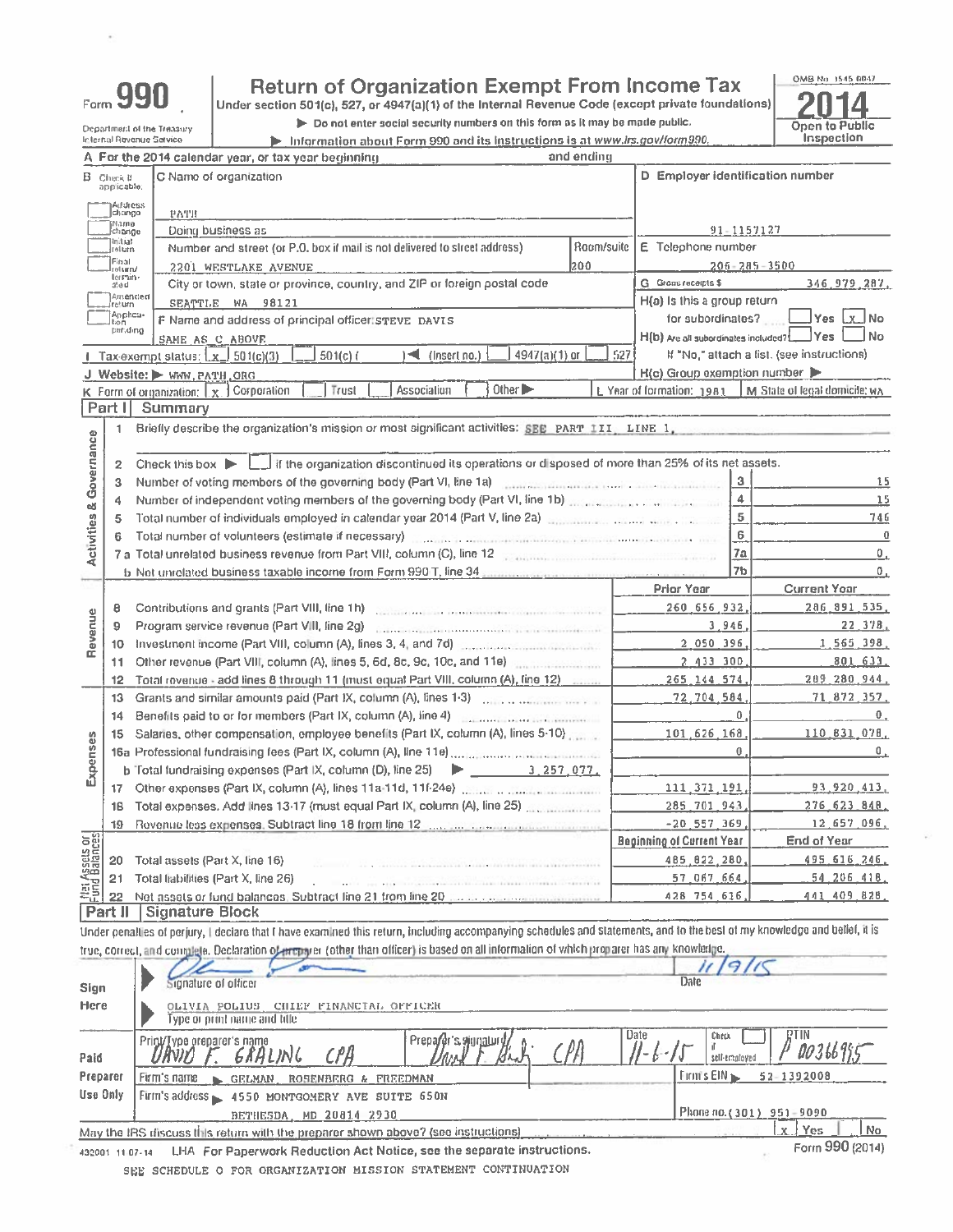| orm |
|-----|
|-----|

Department of the Treasury

# Return of Organization Exempt From Income Tax<br>
Under section 501(c), 527, or 4947(a)(1) of the Internal Revenue Code (excopt private foundations)

> Do not enter social security numbers on this form as it may be made public. Information about Form 990 and its instructions is at www.irs.gov/form990.

OMB No. 1545 0047 Open to Public<br>Inspection

|                              |                         | Internal Revenue Service                                                              | Information about Form 990 and its instructions is at www.irs.gov/form990.                                                                                                                                                     |            |                                         |                    | Inspection                                                         |
|------------------------------|-------------------------|---------------------------------------------------------------------------------------|--------------------------------------------------------------------------------------------------------------------------------------------------------------------------------------------------------------------------------|------------|-----------------------------------------|--------------------|--------------------------------------------------------------------|
|                              |                         |                                                                                       | and ending<br>A For the 2014 calendar year, or tax year beginning                                                                                                                                                              |            |                                         |                    |                                                                    |
| в                            | Check If<br>applicable; |                                                                                       | C Name of organization                                                                                                                                                                                                         |            | D Employer identification number        |                    |                                                                    |
|                              | )Address<br> dhango     | РАТИ                                                                                  |                                                                                                                                                                                                                                |            |                                         |                    |                                                                    |
|                              | Name<br> change         |                                                                                       | Doing business as                                                                                                                                                                                                              |            |                                         | $91 - 1157127$     |                                                                    |
|                              | Initial<br>return       |                                                                                       | Number and street (or P.O. box if mail is not delivered to street address).                                                                                                                                                    | Room/suite | E Telephone number                      |                    |                                                                    |
|                              | Final<br>relum <i>√</i> |                                                                                       | 1200<br>2201 WESTLAKE AVENUE                                                                                                                                                                                                   |            |                                         | $206 - 285 - 3500$ |                                                                    |
|                              | lemin-<br>ated          |                                                                                       | City or town, state or province, country, and ZIP or foreign postal code                                                                                                                                                       |            | G Gross receipts \$                     |                    | 346.979.287.                                                       |
|                              | Amended<br>ire um       |                                                                                       | SEATTLE WA 98121                                                                                                                                                                                                               |            | H(a) Is this a group return             |                    |                                                                    |
|                              | ]Apphca∙<br> tion       |                                                                                       | F Name and address of principal officertsTEVE DAVIS                                                                                                                                                                            |            | for subordinates?                       |                    | Yes Lx No                                                          |
|                              | periding                |                                                                                       | SAME AS C ABOVE                                                                                                                                                                                                                |            | H(b) Are all subordinates included? Ves |                    | $\Box$ No                                                          |
|                              |                         | Tax exempt status; $\left[ \underline{x} \underline{]} \underline{501(c)(3)} \right]$ | 4947(a)(1) or<br>$\blacktriangleright$ (insertino.)<br>$501(c)$ (                                                                                                                                                              | 527        |                                         |                    | If "No," attach a list. (see instructions)                         |
|                              |                         | Website: WWW.PATH.ORG                                                                 |                                                                                                                                                                                                                                |            | H(c) Group exemption number             |                    |                                                                    |
|                              |                         | K Form of organization: $\lfloor x \rfloor$                                           | Other ><br>Trust<br>Association<br>Corporation                                                                                                                                                                                 |            |                                         |                    | <b>L</b> Year of formation: $1981$ M State of legal domicile: $WA$ |
|                              | Part II                 | Summary                                                                               |                                                                                                                                                                                                                                |            |                                         |                    |                                                                    |
|                              | 1.                      |                                                                                       | Briefly describe the organization's mission or most significant activities: SEE PART III LINE 1.                                                                                                                               |            |                                         |                    |                                                                    |
| Activities & Governance      |                         |                                                                                       |                                                                                                                                                                                                                                |            |                                         |                    |                                                                    |
|                              | $\overline{2}$          |                                                                                       | Check this box $\blacktriangleright$ $\Box$ if the organization discontinued its operations or disposed of more than 25% of its net assets.                                                                                    |            |                                         |                    |                                                                    |
|                              | з                       |                                                                                       | Number of voting members of the governing body (Part VI, line 1a) manufactured contains the contract of the state of the government of the state of the state of the state of the state of the state of the state of the state |            |                                         |                    | 15                                                                 |
|                              | 4                       |                                                                                       | Number of independent voting members of the governing body (Part VI, line 1b)                                                                                                                                                  |            |                                         | $\overline{4}$     | 15                                                                 |
|                              | 5                       |                                                                                       | Total number of individuals employed in calendar year 2014 (Part V, line 2a) [11] Total number of individuals employed in calendary year 2014 (Part V, line 2a)                                                                |            |                                         | $\overline{5}$     | 746                                                                |
|                              |                         |                                                                                       |                                                                                                                                                                                                                                |            |                                         | 6                  | $\theta$                                                           |
|                              |                         |                                                                                       |                                                                                                                                                                                                                                |            |                                         | 7a                 | $\mathbf{0}$ ,                                                     |
|                              |                         |                                                                                       |                                                                                                                                                                                                                                |            |                                         | 7 <sub>b</sub>     |                                                                    |
|                              |                         |                                                                                       | b Not unrelated business taxable income from Form 990 T, line 34 minutes and contained the state of                                                                                                                            |            | Prior Year                              |                    | $\mathbf{0}_{\perp}$<br><b>Current Year</b>                        |
|                              |                         |                                                                                       |                                                                                                                                                                                                                                |            |                                         |                    |                                                                    |
| Revenue                      | 8                       |                                                                                       |                                                                                                                                                                                                                                |            | 260 656 932                             |                    | 286 891 535,                                                       |
|                              | 9                       |                                                                                       |                                                                                                                                                                                                                                |            |                                         | 3,946              | 22, 378.                                                           |
|                              | 10                      |                                                                                       | Investment income (Part VIII, column (A), lines 3, 4, and 7d)                                                                                                                                                                  |            | 2 050 396                               |                    | <u>1,565,398,</u>                                                  |
|                              | 11                      |                                                                                       | Other revenue (Part VIII, column (A), lines 5, 6d, 8c, 9c, 10c, and 11e)                                                                                                                                                       |            | 2,433,300                               |                    | 801 633.                                                           |
|                              | 12                      |                                                                                       | Total rovenue - add lines 8 through 11 (must equal Part VIII, column (A), line 12) Fig. 11.                                                                                                                                    |            | 265 144 574.                            |                    | 289 280 944.                                                       |
|                              | 13                      |                                                                                       |                                                                                                                                                                                                                                |            | 72,704,584                              |                    | 71 872 357                                                         |
|                              | 14                      |                                                                                       |                                                                                                                                                                                                                                |            |                                         | $0$ .              | $\mathbf{0}$ .                                                     |
|                              | 15.                     |                                                                                       | Salaries, other compensation, employee benefits (Part IX, column (A), lines 5-10)                                                                                                                                              |            | 101 626 168                             |                    | 110.831.078                                                        |
| Expenses                     |                         |                                                                                       |                                                                                                                                                                                                                                |            |                                         | 0                  | Ο.                                                                 |
|                              |                         |                                                                                       |                                                                                                                                                                                                                                |            |                                         |                    |                                                                    |
|                              |                         |                                                                                       | 17 Other expenses (Part IX, column (A), lines 11a-11d, 11f-24e) manus components                                                                                                                                               |            | 111, 371, 191,                          |                    | 93.920.413.                                                        |
|                              | 16                      |                                                                                       |                                                                                                                                                                                                                                |            | 285 701 943                             |                    | 276 623 848.                                                       |
|                              | 19                      |                                                                                       |                                                                                                                                                                                                                                |            | $-20, 557, 369$                         |                    | 12.657.096.                                                        |
| <b>Assets or</b><br>Balances |                         |                                                                                       |                                                                                                                                                                                                                                |            | <b>Beginning of Current Year</b>        |                    | End of Year                                                        |
|                              | 20                      |                                                                                       | Total assets (Part X, line 16)                                                                                                                                                                                                 |            | 485 822 280                             |                    | 495 616 246.                                                       |
| <b>Algeb</b><br>ELECT        | 21                      |                                                                                       | Total liabilities (Part X, line 26)                                                                                                                                                                                            |            | 57 067 664                              |                    | 54.206.418.                                                        |
|                              | 22                      |                                                                                       | Net assets or fund balances. Subtract line 21 from line 20 and all                                                                                                                                                             |            | 428 754 616                             |                    | 441 409 828.                                                       |
|                              | Part II                 | <b>Signature Block</b>                                                                |                                                                                                                                                                                                                                |            |                                         |                    |                                                                    |
|                              |                         |                                                                                       | Under penalties of perjury, I declare that I have examined this return, including accompanying schedules and statements, and to the best of my knowledge and belief, it is                                                     |            |                                         |                    |                                                                    |
|                              |                         |                                                                                       | true, correct, and complete. Declaration of errors re (other than officer) is based on all information of which proparer has any knowledge.                                                                                    |            |                                         |                    |                                                                    |
|                              |                         |                                                                                       |                                                                                                                                                                                                                                |            |                                         | $\mathcal{F}$      |                                                                    |
| Sign                         |                         |                                                                                       | Signature of officer                                                                                                                                                                                                           |            | Date                                    |                    |                                                                    |
| Here                         |                         |                                                                                       | <u>OLIVIA POLIUS, CHIEF FINANCIAL OFFICER</u>                                                                                                                                                                                  |            |                                         |                    |                                                                    |
|                              |                         |                                                                                       | Type or print name and title                                                                                                                                                                                                   |            |                                         |                    |                                                                    |
|                              |                         | Print/Type preparer's name                                                            | Preparer's sjunguing                                                                                                                                                                                                           | Date       | Check<br>iľ.                            |                    | PTIN                                                               |
| Paid                         |                         | <i>UKVIY)</i>                                                                         | CPA<br>GRALING                                                                                                                                                                                                                 |            | $\ell$                                  | self-employed      | 00366955                                                           |
| <b>Preparer</b>              |                         | Firm's name                                                                           | <b>GELMAN</b><br>ROSENBERG & FREEDMAN                                                                                                                                                                                          |            | Eirm's EIN                              |                    | 52-1392008                                                         |
| <b>Use Only</b>              |                         |                                                                                       | Firm's address 4550 MONTGOMERY AVE SUITE 650N                                                                                                                                                                                  |            |                                         |                    |                                                                    |
|                              |                         |                                                                                       | BETHESDA, MD 20814 2930                                                                                                                                                                                                        |            |                                         |                    | Phone no. (301) 951-9090                                           |
|                              |                         |                                                                                       | May the IRS discuss this return with the preparer shown above? (see instructions)                                                                                                                                              |            |                                         |                    | x J<br>Yes<br>No.                                                  |
|                              | 432001 11:07-14         |                                                                                       | LHA For Paperwork Reduction Act Notice, see the separate instructions.                                                                                                                                                         |            |                                         |                    | Form 990 (2014)                                                    |
|                              |                         |                                                                                       | SEE SCHEDULE O FOR ORGANIZATION MISSION STATEMENT CONTINUATION                                                                                                                                                                 |            |                                         |                    |                                                                    |
|                              |                         |                                                                                       |                                                                                                                                                                                                                                |            |                                         |                    |                                                                    |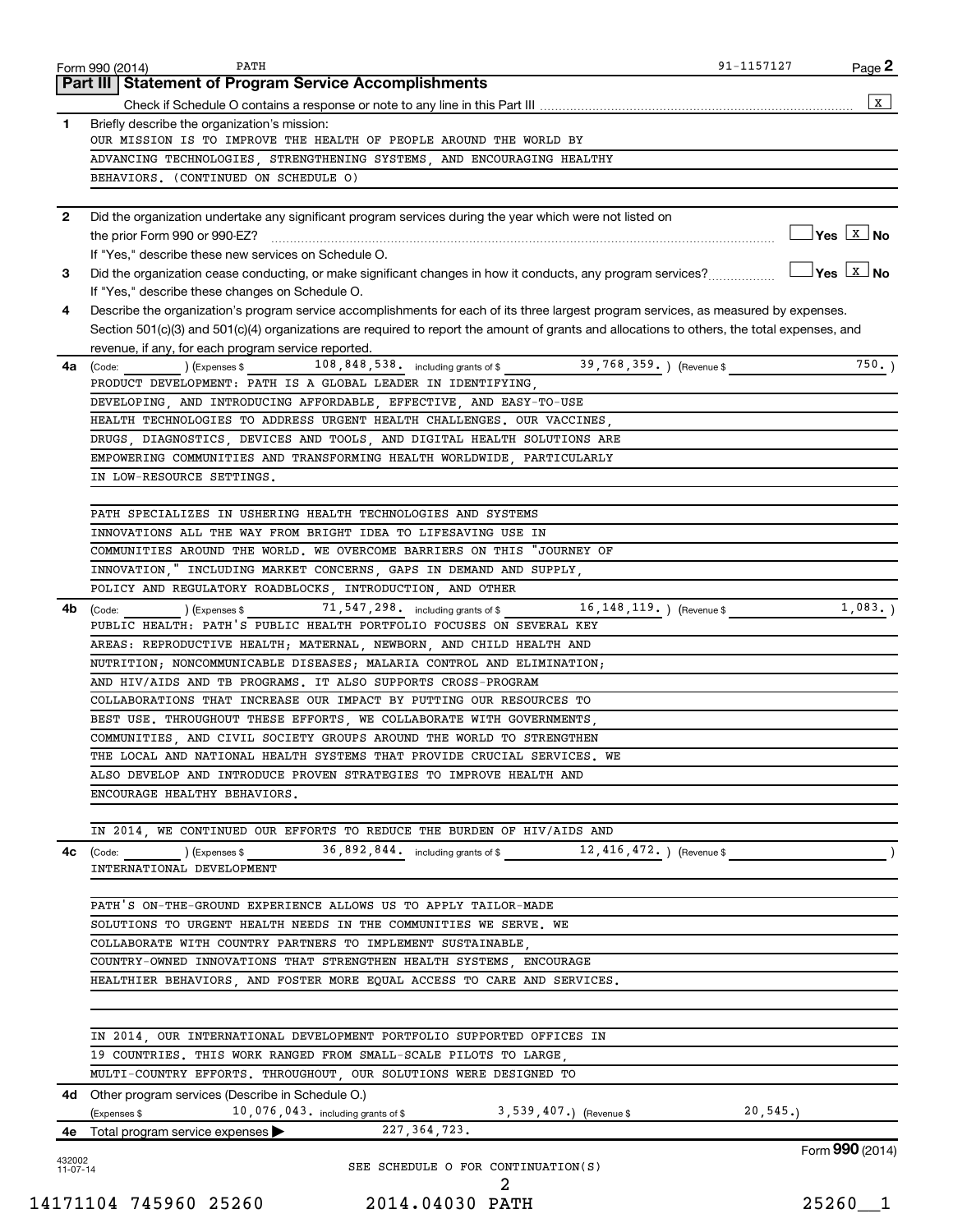|                                                                                                                                                                                                                                                                                                                                                                                                                                                                                                                                                                                                                                                                                                                                                                                                                                                                                                                                                                                                                                                                                                                                                                                                                                                                                                                                                                                                                                                                                                                                                                                                                                                                                                                                                                                                                                                                                                                                                                                                                                                                                                                                                                                                                        |                                                                                                                                                                                                                                | 91-1157127 | Page 2                               |
|------------------------------------------------------------------------------------------------------------------------------------------------------------------------------------------------------------------------------------------------------------------------------------------------------------------------------------------------------------------------------------------------------------------------------------------------------------------------------------------------------------------------------------------------------------------------------------------------------------------------------------------------------------------------------------------------------------------------------------------------------------------------------------------------------------------------------------------------------------------------------------------------------------------------------------------------------------------------------------------------------------------------------------------------------------------------------------------------------------------------------------------------------------------------------------------------------------------------------------------------------------------------------------------------------------------------------------------------------------------------------------------------------------------------------------------------------------------------------------------------------------------------------------------------------------------------------------------------------------------------------------------------------------------------------------------------------------------------------------------------------------------------------------------------------------------------------------------------------------------------------------------------------------------------------------------------------------------------------------------------------------------------------------------------------------------------------------------------------------------------------------------------------------------------------------------------------------------------|--------------------------------------------------------------------------------------------------------------------------------------------------------------------------------------------------------------------------------|------------|--------------------------------------|
|                                                                                                                                                                                                                                                                                                                                                                                                                                                                                                                                                                                                                                                                                                                                                                                                                                                                                                                                                                                                                                                                                                                                                                                                                                                                                                                                                                                                                                                                                                                                                                                                                                                                                                                                                                                                                                                                                                                                                                                                                                                                                                                                                                                                                        |                                                                                                                                                                                                                                |            |                                      |
|                                                                                                                                                                                                                                                                                                                                                                                                                                                                                                                                                                                                                                                                                                                                                                                                                                                                                                                                                                                                                                                                                                                                                                                                                                                                                                                                                                                                                                                                                                                                                                                                                                                                                                                                                                                                                                                                                                                                                                                                                                                                                                                                                                                                                        |                                                                                                                                                                                                                                |            | $\mathbf{x}$                         |
|                                                                                                                                                                                                                                                                                                                                                                                                                                                                                                                                                                                                                                                                                                                                                                                                                                                                                                                                                                                                                                                                                                                                                                                                                                                                                                                                                                                                                                                                                                                                                                                                                                                                                                                                                                                                                                                                                                                                                                                                                                                                                                                                                                                                                        |                                                                                                                                                                                                                                |            |                                      |
|                                                                                                                                                                                                                                                                                                                                                                                                                                                                                                                                                                                                                                                                                                                                                                                                                                                                                                                                                                                                                                                                                                                                                                                                                                                                                                                                                                                                                                                                                                                                                                                                                                                                                                                                                                                                                                                                                                                                                                                                                                                                                                                                                                                                                        |                                                                                                                                                                                                                                |            |                                      |
|                                                                                                                                                                                                                                                                                                                                                                                                                                                                                                                                                                                                                                                                                                                                                                                                                                                                                                                                                                                                                                                                                                                                                                                                                                                                                                                                                                                                                                                                                                                                                                                                                                                                                                                                                                                                                                                                                                                                                                                                                                                                                                                                                                                                                        |                                                                                                                                                                                                                                |            |                                      |
| PATH<br>Form 990 (2014)<br>Part III   Statement of Program Service Accomplishments<br>Briefly describe the organization's mission:<br>1<br>OUR MISSION IS TO IMPROVE THE HEALTH OF PEOPLE AROUND THE WORLD BY<br>ADVANCING TECHNOLOGIES, STRENGTHENING SYSTEMS, AND ENCOURAGING HEALTHY<br>BEHAVIORS. (CONTINUED ON SCHEDULE O)<br>Did the organization undertake any significant program services during the year which were not listed on<br>2<br>the prior Form 990 or 990-EZ?<br>If "Yes," describe these new services on Schedule O.<br>Did the organization cease conducting, or make significant changes in how it conducts, any program services?<br>3<br>If "Yes," describe these changes on Schedule O.<br>Describe the organization's program service accomplishments for each of its three largest program services, as measured by expenses.<br>4<br>Section 501(c)(3) and 501(c)(4) organizations are required to report the amount of grants and allocations to others, the total expenses, and<br>revenue, if any, for each program service reported.<br>108,848,538. including grants of \$ 39,768,359. The venue \$<br>4a<br>(Express \$<br>(Code:<br>PRODUCT DEVELOPMENT: PATH IS A GLOBAL LEADER IN IDENTIFYING.<br>DEVELOPING, AND INTRODUCING AFFORDABLE, EFFECTIVE, AND EASY-TO-USE<br>HEALTH TECHNOLOGIES TO ADDRESS URGENT HEALTH CHALLENGES. OUR VACCINES,<br>IN LOW-RESOURCE SETTINGS.<br>INNOVATIONS ALL THE WAY FROM BRIGHT IDEA TO LIFESAVING USE IN<br>INNOVATION," INCLUDING MARKET CONCERNS, GAPS IN DEMAND AND SUPPLY,<br>POLICY AND REGULATORY ROADBLOCKS, INTRODUCTION, AND OTHER<br>4b<br>$\left($ Expenses \$<br>(Code:<br>AREAS: REPRODUCTIVE HEALTH; MATERNAL, NEWBORN, AND CHILD HEALTH AND<br>AND HIV/AIDS AND TB PROGRAMS. IT ALSO SUPPORTS CROSS-PROGRAM<br>THE LOCAL AND NATIONAL HEALTH SYSTEMS THAT PROVIDE CRUCIAL SERVICES. WE<br>ENCOURAGE HEALTHY BEHAVIORS.<br>4c<br>INTERNATIONAL DEVELOPMENT<br>4d Other program services (Describe in Schedule O.)<br>10,076,043. including grants of \$<br>(Expenses \$<br>$227,364,723$ .<br><b>4e</b> Total program service expenses $\blacktriangleright$<br>432002<br>11-07-14<br>2014.04030 PATH<br>14171104 745960 25260 |                                                                                                                                                                                                                                |            |                                      |
|                                                                                                                                                                                                                                                                                                                                                                                                                                                                                                                                                                                                                                                                                                                                                                                                                                                                                                                                                                                                                                                                                                                                                                                                                                                                                                                                                                                                                                                                                                                                                                                                                                                                                                                                                                                                                                                                                                                                                                                                                                                                                                                                                                                                                        |                                                                                                                                                                                                                                |            |                                      |
|                                                                                                                                                                                                                                                                                                                                                                                                                                                                                                                                                                                                                                                                                                                                                                                                                                                                                                                                                                                                                                                                                                                                                                                                                                                                                                                                                                                                                                                                                                                                                                                                                                                                                                                                                                                                                                                                                                                                                                                                                                                                                                                                                                                                                        |                                                                                                                                                                                                                                |            | $\Box$ Yes $\boxed{\text{x}}$ No     |
|                                                                                                                                                                                                                                                                                                                                                                                                                                                                                                                                                                                                                                                                                                                                                                                                                                                                                                                                                                                                                                                                                                                                                                                                                                                                                                                                                                                                                                                                                                                                                                                                                                                                                                                                                                                                                                                                                                                                                                                                                                                                                                                                                                                                                        |                                                                                                                                                                                                                                |            |                                      |
|                                                                                                                                                                                                                                                                                                                                                                                                                                                                                                                                                                                                                                                                                                                                                                                                                                                                                                                                                                                                                                                                                                                                                                                                                                                                                                                                                                                                                                                                                                                                                                                                                                                                                                                                                                                                                                                                                                                                                                                                                                                                                                                                                                                                                        |                                                                                                                                                                                                                                |            | $\overline{X}$ Yes $\overline{X}$ No |
|                                                                                                                                                                                                                                                                                                                                                                                                                                                                                                                                                                                                                                                                                                                                                                                                                                                                                                                                                                                                                                                                                                                                                                                                                                                                                                                                                                                                                                                                                                                                                                                                                                                                                                                                                                                                                                                                                                                                                                                                                                                                                                                                                                                                                        |                                                                                                                                                                                                                                |            |                                      |
|                                                                                                                                                                                                                                                                                                                                                                                                                                                                                                                                                                                                                                                                                                                                                                                                                                                                                                                                                                                                                                                                                                                                                                                                                                                                                                                                                                                                                                                                                                                                                                                                                                                                                                                                                                                                                                                                                                                                                                                                                                                                                                                                                                                                                        |                                                                                                                                                                                                                                |            |                                      |
|                                                                                                                                                                                                                                                                                                                                                                                                                                                                                                                                                                                                                                                                                                                                                                                                                                                                                                                                                                                                                                                                                                                                                                                                                                                                                                                                                                                                                                                                                                                                                                                                                                                                                                                                                                                                                                                                                                                                                                                                                                                                                                                                                                                                                        |                                                                                                                                                                                                                                |            |                                      |
|                                                                                                                                                                                                                                                                                                                                                                                                                                                                                                                                                                                                                                                                                                                                                                                                                                                                                                                                                                                                                                                                                                                                                                                                                                                                                                                                                                                                                                                                                                                                                                                                                                                                                                                                                                                                                                                                                                                                                                                                                                                                                                                                                                                                                        |                                                                                                                                                                                                                                |            |                                      |
|                                                                                                                                                                                                                                                                                                                                                                                                                                                                                                                                                                                                                                                                                                                                                                                                                                                                                                                                                                                                                                                                                                                                                                                                                                                                                                                                                                                                                                                                                                                                                                                                                                                                                                                                                                                                                                                                                                                                                                                                                                                                                                                                                                                                                        |                                                                                                                                                                                                                                |            | 750.                                 |
|                                                                                                                                                                                                                                                                                                                                                                                                                                                                                                                                                                                                                                                                                                                                                                                                                                                                                                                                                                                                                                                                                                                                                                                                                                                                                                                                                                                                                                                                                                                                                                                                                                                                                                                                                                                                                                                                                                                                                                                                                                                                                                                                                                                                                        |                                                                                                                                                                                                                                |            |                                      |
|                                                                                                                                                                                                                                                                                                                                                                                                                                                                                                                                                                                                                                                                                                                                                                                                                                                                                                                                                                                                                                                                                                                                                                                                                                                                                                                                                                                                                                                                                                                                                                                                                                                                                                                                                                                                                                                                                                                                                                                                                                                                                                                                                                                                                        |                                                                                                                                                                                                                                |            |                                      |
|                                                                                                                                                                                                                                                                                                                                                                                                                                                                                                                                                                                                                                                                                                                                                                                                                                                                                                                                                                                                                                                                                                                                                                                                                                                                                                                                                                                                                                                                                                                                                                                                                                                                                                                                                                                                                                                                                                                                                                                                                                                                                                                                                                                                                        |                                                                                                                                                                                                                                |            |                                      |
|                                                                                                                                                                                                                                                                                                                                                                                                                                                                                                                                                                                                                                                                                                                                                                                                                                                                                                                                                                                                                                                                                                                                                                                                                                                                                                                                                                                                                                                                                                                                                                                                                                                                                                                                                                                                                                                                                                                                                                                                                                                                                                                                                                                                                        | DRUGS, DIAGNOSTICS, DEVICES AND TOOLS, AND DIGITAL HEALTH SOLUTIONS ARE                                                                                                                                                        |            |                                      |
|                                                                                                                                                                                                                                                                                                                                                                                                                                                                                                                                                                                                                                                                                                                                                                                                                                                                                                                                                                                                                                                                                                                                                                                                                                                                                                                                                                                                                                                                                                                                                                                                                                                                                                                                                                                                                                                                                                                                                                                                                                                                                                                                                                                                                        | EMPOWERING COMMUNITIES AND TRANSFORMING HEALTH WORLDWIDE PARTICULARLY                                                                                                                                                          |            |                                      |
|                                                                                                                                                                                                                                                                                                                                                                                                                                                                                                                                                                                                                                                                                                                                                                                                                                                                                                                                                                                                                                                                                                                                                                                                                                                                                                                                                                                                                                                                                                                                                                                                                                                                                                                                                                                                                                                                                                                                                                                                                                                                                                                                                                                                                        |                                                                                                                                                                                                                                |            |                                      |
|                                                                                                                                                                                                                                                                                                                                                                                                                                                                                                                                                                                                                                                                                                                                                                                                                                                                                                                                                                                                                                                                                                                                                                                                                                                                                                                                                                                                                                                                                                                                                                                                                                                                                                                                                                                                                                                                                                                                                                                                                                                                                                                                                                                                                        |                                                                                                                                                                                                                                |            |                                      |
|                                                                                                                                                                                                                                                                                                                                                                                                                                                                                                                                                                                                                                                                                                                                                                                                                                                                                                                                                                                                                                                                                                                                                                                                                                                                                                                                                                                                                                                                                                                                                                                                                                                                                                                                                                                                                                                                                                                                                                                                                                                                                                                                                                                                                        | PATH SPECIALIZES IN USHERING HEALTH TECHNOLOGIES AND SYSTEMS                                                                                                                                                                   |            |                                      |
|                                                                                                                                                                                                                                                                                                                                                                                                                                                                                                                                                                                                                                                                                                                                                                                                                                                                                                                                                                                                                                                                                                                                                                                                                                                                                                                                                                                                                                                                                                                                                                                                                                                                                                                                                                                                                                                                                                                                                                                                                                                                                                                                                                                                                        |                                                                                                                                                                                                                                |            |                                      |
|                                                                                                                                                                                                                                                                                                                                                                                                                                                                                                                                                                                                                                                                                                                                                                                                                                                                                                                                                                                                                                                                                                                                                                                                                                                                                                                                                                                                                                                                                                                                                                                                                                                                                                                                                                                                                                                                                                                                                                                                                                                                                                                                                                                                                        | COMMUNITIES AROUND THE WORLD. WE OVERCOME BARRIERS ON THIS "JOURNEY OF                                                                                                                                                         |            |                                      |
|                                                                                                                                                                                                                                                                                                                                                                                                                                                                                                                                                                                                                                                                                                                                                                                                                                                                                                                                                                                                                                                                                                                                                                                                                                                                                                                                                                                                                                                                                                                                                                                                                                                                                                                                                                                                                                                                                                                                                                                                                                                                                                                                                                                                                        |                                                                                                                                                                                                                                |            |                                      |
|                                                                                                                                                                                                                                                                                                                                                                                                                                                                                                                                                                                                                                                                                                                                                                                                                                                                                                                                                                                                                                                                                                                                                                                                                                                                                                                                                                                                                                                                                                                                                                                                                                                                                                                                                                                                                                                                                                                                                                                                                                                                                                                                                                                                                        |                                                                                                                                                                                                                                |            |                                      |
|                                                                                                                                                                                                                                                                                                                                                                                                                                                                                                                                                                                                                                                                                                                                                                                                                                                                                                                                                                                                                                                                                                                                                                                                                                                                                                                                                                                                                                                                                                                                                                                                                                                                                                                                                                                                                                                                                                                                                                                                                                                                                                                                                                                                                        | 71, 547, 298. including grants of \$ 16, 148, 119. ) (Revenue \$                                                                                                                                                               |            | 1,083.                               |
|                                                                                                                                                                                                                                                                                                                                                                                                                                                                                                                                                                                                                                                                                                                                                                                                                                                                                                                                                                                                                                                                                                                                                                                                                                                                                                                                                                                                                                                                                                                                                                                                                                                                                                                                                                                                                                                                                                                                                                                                                                                                                                                                                                                                                        | PUBLIC HEALTH: PATH'S PUBLIC HEALTH PORTFOLIO FOCUSES ON SEVERAL KEY                                                                                                                                                           |            |                                      |
|                                                                                                                                                                                                                                                                                                                                                                                                                                                                                                                                                                                                                                                                                                                                                                                                                                                                                                                                                                                                                                                                                                                                                                                                                                                                                                                                                                                                                                                                                                                                                                                                                                                                                                                                                                                                                                                                                                                                                                                                                                                                                                                                                                                                                        |                                                                                                                                                                                                                                |            |                                      |
|                                                                                                                                                                                                                                                                                                                                                                                                                                                                                                                                                                                                                                                                                                                                                                                                                                                                                                                                                                                                                                                                                                                                                                                                                                                                                                                                                                                                                                                                                                                                                                                                                                                                                                                                                                                                                                                                                                                                                                                                                                                                                                                                                                                                                        | NUTRITION; NONCOMMUNICABLE DISEASES; MALARIA CONTROL AND ELIMINATION;                                                                                                                                                          |            |                                      |
|                                                                                                                                                                                                                                                                                                                                                                                                                                                                                                                                                                                                                                                                                                                                                                                                                                                                                                                                                                                                                                                                                                                                                                                                                                                                                                                                                                                                                                                                                                                                                                                                                                                                                                                                                                                                                                                                                                                                                                                                                                                                                                                                                                                                                        |                                                                                                                                                                                                                                |            |                                      |
|                                                                                                                                                                                                                                                                                                                                                                                                                                                                                                                                                                                                                                                                                                                                                                                                                                                                                                                                                                                                                                                                                                                                                                                                                                                                                                                                                                                                                                                                                                                                                                                                                                                                                                                                                                                                                                                                                                                                                                                                                                                                                                                                                                                                                        | COLLABORATIONS THAT INCREASE OUR IMPACT BY PUTTING OUR RESOURCES TO                                                                                                                                                            |            |                                      |
|                                                                                                                                                                                                                                                                                                                                                                                                                                                                                                                                                                                                                                                                                                                                                                                                                                                                                                                                                                                                                                                                                                                                                                                                                                                                                                                                                                                                                                                                                                                                                                                                                                                                                                                                                                                                                                                                                                                                                                                                                                                                                                                                                                                                                        | BEST USE. THROUGHOUT THESE EFFORTS, WE COLLABORATE WITH GOVERNMENTS,                                                                                                                                                           |            |                                      |
|                                                                                                                                                                                                                                                                                                                                                                                                                                                                                                                                                                                                                                                                                                                                                                                                                                                                                                                                                                                                                                                                                                                                                                                                                                                                                                                                                                                                                                                                                                                                                                                                                                                                                                                                                                                                                                                                                                                                                                                                                                                                                                                                                                                                                        | COMMUNITIES, AND CIVIL SOCIETY GROUPS AROUND THE WORLD TO STRENGTHEN                                                                                                                                                           |            |                                      |
|                                                                                                                                                                                                                                                                                                                                                                                                                                                                                                                                                                                                                                                                                                                                                                                                                                                                                                                                                                                                                                                                                                                                                                                                                                                                                                                                                                                                                                                                                                                                                                                                                                                                                                                                                                                                                                                                                                                                                                                                                                                                                                                                                                                                                        |                                                                                                                                                                                                                                |            |                                      |
|                                                                                                                                                                                                                                                                                                                                                                                                                                                                                                                                                                                                                                                                                                                                                                                                                                                                                                                                                                                                                                                                                                                                                                                                                                                                                                                                                                                                                                                                                                                                                                                                                                                                                                                                                                                                                                                                                                                                                                                                                                                                                                                                                                                                                        | ALSO DEVELOP AND INTRODUCE PROVEN STRATEGIES TO IMPROVE HEALTH AND                                                                                                                                                             |            |                                      |
|                                                                                                                                                                                                                                                                                                                                                                                                                                                                                                                                                                                                                                                                                                                                                                                                                                                                                                                                                                                                                                                                                                                                                                                                                                                                                                                                                                                                                                                                                                                                                                                                                                                                                                                                                                                                                                                                                                                                                                                                                                                                                                                                                                                                                        |                                                                                                                                                                                                                                |            |                                      |
|                                                                                                                                                                                                                                                                                                                                                                                                                                                                                                                                                                                                                                                                                                                                                                                                                                                                                                                                                                                                                                                                                                                                                                                                                                                                                                                                                                                                                                                                                                                                                                                                                                                                                                                                                                                                                                                                                                                                                                                                                                                                                                                                                                                                                        |                                                                                                                                                                                                                                |            |                                      |
|                                                                                                                                                                                                                                                                                                                                                                                                                                                                                                                                                                                                                                                                                                                                                                                                                                                                                                                                                                                                                                                                                                                                                                                                                                                                                                                                                                                                                                                                                                                                                                                                                                                                                                                                                                                                                                                                                                                                                                                                                                                                                                                                                                                                                        | IN 2014, WE CONTINUED OUR EFFORTS TO REDUCE THE BURDEN OF HIV/AIDS AND                                                                                                                                                         |            |                                      |
|                                                                                                                                                                                                                                                                                                                                                                                                                                                                                                                                                                                                                                                                                                                                                                                                                                                                                                                                                                                                                                                                                                                                                                                                                                                                                                                                                                                                                                                                                                                                                                                                                                                                                                                                                                                                                                                                                                                                                                                                                                                                                                                                                                                                                        | (Code: (Compared to the Separate of Senation of Senation of Senation of Senation of Senation of Senation of Senation of Senation of Senation of Senation of Senation of Senation of Senation of Senation of Senation of Senati |            |                                      |
|                                                                                                                                                                                                                                                                                                                                                                                                                                                                                                                                                                                                                                                                                                                                                                                                                                                                                                                                                                                                                                                                                                                                                                                                                                                                                                                                                                                                                                                                                                                                                                                                                                                                                                                                                                                                                                                                                                                                                                                                                                                                                                                                                                                                                        |                                                                                                                                                                                                                                |            |                                      |
|                                                                                                                                                                                                                                                                                                                                                                                                                                                                                                                                                                                                                                                                                                                                                                                                                                                                                                                                                                                                                                                                                                                                                                                                                                                                                                                                                                                                                                                                                                                                                                                                                                                                                                                                                                                                                                                                                                                                                                                                                                                                                                                                                                                                                        |                                                                                                                                                                                                                                |            |                                      |
|                                                                                                                                                                                                                                                                                                                                                                                                                                                                                                                                                                                                                                                                                                                                                                                                                                                                                                                                                                                                                                                                                                                                                                                                                                                                                                                                                                                                                                                                                                                                                                                                                                                                                                                                                                                                                                                                                                                                                                                                                                                                                                                                                                                                                        | PATH'S ON-THE-GROUND EXPERIENCE ALLOWS US TO APPLY TAILOR-MADE                                                                                                                                                                 |            |                                      |
|                                                                                                                                                                                                                                                                                                                                                                                                                                                                                                                                                                                                                                                                                                                                                                                                                                                                                                                                                                                                                                                                                                                                                                                                                                                                                                                                                                                                                                                                                                                                                                                                                                                                                                                                                                                                                                                                                                                                                                                                                                                                                                                                                                                                                        | SOLUTIONS TO URGENT HEALTH NEEDS IN THE COMMUNITIES WE SERVE. WE                                                                                                                                                               |            |                                      |
|                                                                                                                                                                                                                                                                                                                                                                                                                                                                                                                                                                                                                                                                                                                                                                                                                                                                                                                                                                                                                                                                                                                                                                                                                                                                                                                                                                                                                                                                                                                                                                                                                                                                                                                                                                                                                                                                                                                                                                                                                                                                                                                                                                                                                        | COLLABORATE WITH COUNTRY PARTNERS TO IMPLEMENT SUSTAINABLE,                                                                                                                                                                    |            |                                      |
|                                                                                                                                                                                                                                                                                                                                                                                                                                                                                                                                                                                                                                                                                                                                                                                                                                                                                                                                                                                                                                                                                                                                                                                                                                                                                                                                                                                                                                                                                                                                                                                                                                                                                                                                                                                                                                                                                                                                                                                                                                                                                                                                                                                                                        | COUNTRY-OWNED INNOVATIONS THAT STRENGTHEN HEALTH SYSTEMS, ENCOURAGE                                                                                                                                                            |            |                                      |
|                                                                                                                                                                                                                                                                                                                                                                                                                                                                                                                                                                                                                                                                                                                                                                                                                                                                                                                                                                                                                                                                                                                                                                                                                                                                                                                                                                                                                                                                                                                                                                                                                                                                                                                                                                                                                                                                                                                                                                                                                                                                                                                                                                                                                        | HEALTHIER BEHAVIORS, AND FOSTER MORE EQUAL ACCESS TO CARE AND SERVICES.                                                                                                                                                        |            |                                      |
|                                                                                                                                                                                                                                                                                                                                                                                                                                                                                                                                                                                                                                                                                                                                                                                                                                                                                                                                                                                                                                                                                                                                                                                                                                                                                                                                                                                                                                                                                                                                                                                                                                                                                                                                                                                                                                                                                                                                                                                                                                                                                                                                                                                                                        |                                                                                                                                                                                                                                |            |                                      |
|                                                                                                                                                                                                                                                                                                                                                                                                                                                                                                                                                                                                                                                                                                                                                                                                                                                                                                                                                                                                                                                                                                                                                                                                                                                                                                                                                                                                                                                                                                                                                                                                                                                                                                                                                                                                                                                                                                                                                                                                                                                                                                                                                                                                                        |                                                                                                                                                                                                                                |            |                                      |
|                                                                                                                                                                                                                                                                                                                                                                                                                                                                                                                                                                                                                                                                                                                                                                                                                                                                                                                                                                                                                                                                                                                                                                                                                                                                                                                                                                                                                                                                                                                                                                                                                                                                                                                                                                                                                                                                                                                                                                                                                                                                                                                                                                                                                        | IN 2014, OUR INTERNATIONAL DEVELOPMENT PORTFOLIO SUPPORTED OFFICES IN                                                                                                                                                          |            |                                      |
|                                                                                                                                                                                                                                                                                                                                                                                                                                                                                                                                                                                                                                                                                                                                                                                                                                                                                                                                                                                                                                                                                                                                                                                                                                                                                                                                                                                                                                                                                                                                                                                                                                                                                                                                                                                                                                                                                                                                                                                                                                                                                                                                                                                                                        | 19 COUNTRIES. THIS WORK RANGED FROM SMALL-SCALE PILOTS TO LARGE,                                                                                                                                                               |            |                                      |
|                                                                                                                                                                                                                                                                                                                                                                                                                                                                                                                                                                                                                                                                                                                                                                                                                                                                                                                                                                                                                                                                                                                                                                                                                                                                                                                                                                                                                                                                                                                                                                                                                                                                                                                                                                                                                                                                                                                                                                                                                                                                                                                                                                                                                        | MULTI-COUNTRY EFFORTS. THROUGHOUT, OUR SOLUTIONS WERE DESIGNED TO                                                                                                                                                              |            |                                      |
|                                                                                                                                                                                                                                                                                                                                                                                                                                                                                                                                                                                                                                                                                                                                                                                                                                                                                                                                                                                                                                                                                                                                                                                                                                                                                                                                                                                                                                                                                                                                                                                                                                                                                                                                                                                                                                                                                                                                                                                                                                                                                                                                                                                                                        |                                                                                                                                                                                                                                |            |                                      |
|                                                                                                                                                                                                                                                                                                                                                                                                                                                                                                                                                                                                                                                                                                                                                                                                                                                                                                                                                                                                                                                                                                                                                                                                                                                                                                                                                                                                                                                                                                                                                                                                                                                                                                                                                                                                                                                                                                                                                                                                                                                                                                                                                                                                                        | 3,539,407.) (Revenue \$                                                                                                                                                                                                        |            | 20, 545.                             |
|                                                                                                                                                                                                                                                                                                                                                                                                                                                                                                                                                                                                                                                                                                                                                                                                                                                                                                                                                                                                                                                                                                                                                                                                                                                                                                                                                                                                                                                                                                                                                                                                                                                                                                                                                                                                                                                                                                                                                                                                                                                                                                                                                                                                                        |                                                                                                                                                                                                                                |            |                                      |
|                                                                                                                                                                                                                                                                                                                                                                                                                                                                                                                                                                                                                                                                                                                                                                                                                                                                                                                                                                                                                                                                                                                                                                                                                                                                                                                                                                                                                                                                                                                                                                                                                                                                                                                                                                                                                                                                                                                                                                                                                                                                                                                                                                                                                        |                                                                                                                                                                                                                                |            | Form 990 (2014)                      |
|                                                                                                                                                                                                                                                                                                                                                                                                                                                                                                                                                                                                                                                                                                                                                                                                                                                                                                                                                                                                                                                                                                                                                                                                                                                                                                                                                                                                                                                                                                                                                                                                                                                                                                                                                                                                                                                                                                                                                                                                                                                                                                                                                                                                                        | SEE SCHEDULE O FOR CONTINUATION(S)                                                                                                                                                                                             |            |                                      |
|                                                                                                                                                                                                                                                                                                                                                                                                                                                                                                                                                                                                                                                                                                                                                                                                                                                                                                                                                                                                                                                                                                                                                                                                                                                                                                                                                                                                                                                                                                                                                                                                                                                                                                                                                                                                                                                                                                                                                                                                                                                                                                                                                                                                                        | 2                                                                                                                                                                                                                              |            |                                      |
|                                                                                                                                                                                                                                                                                                                                                                                                                                                                                                                                                                                                                                                                                                                                                                                                                                                                                                                                                                                                                                                                                                                                                                                                                                                                                                                                                                                                                                                                                                                                                                                                                                                                                                                                                                                                                                                                                                                                                                                                                                                                                                                                                                                                                        |                                                                                                                                                                                                                                |            |                                      |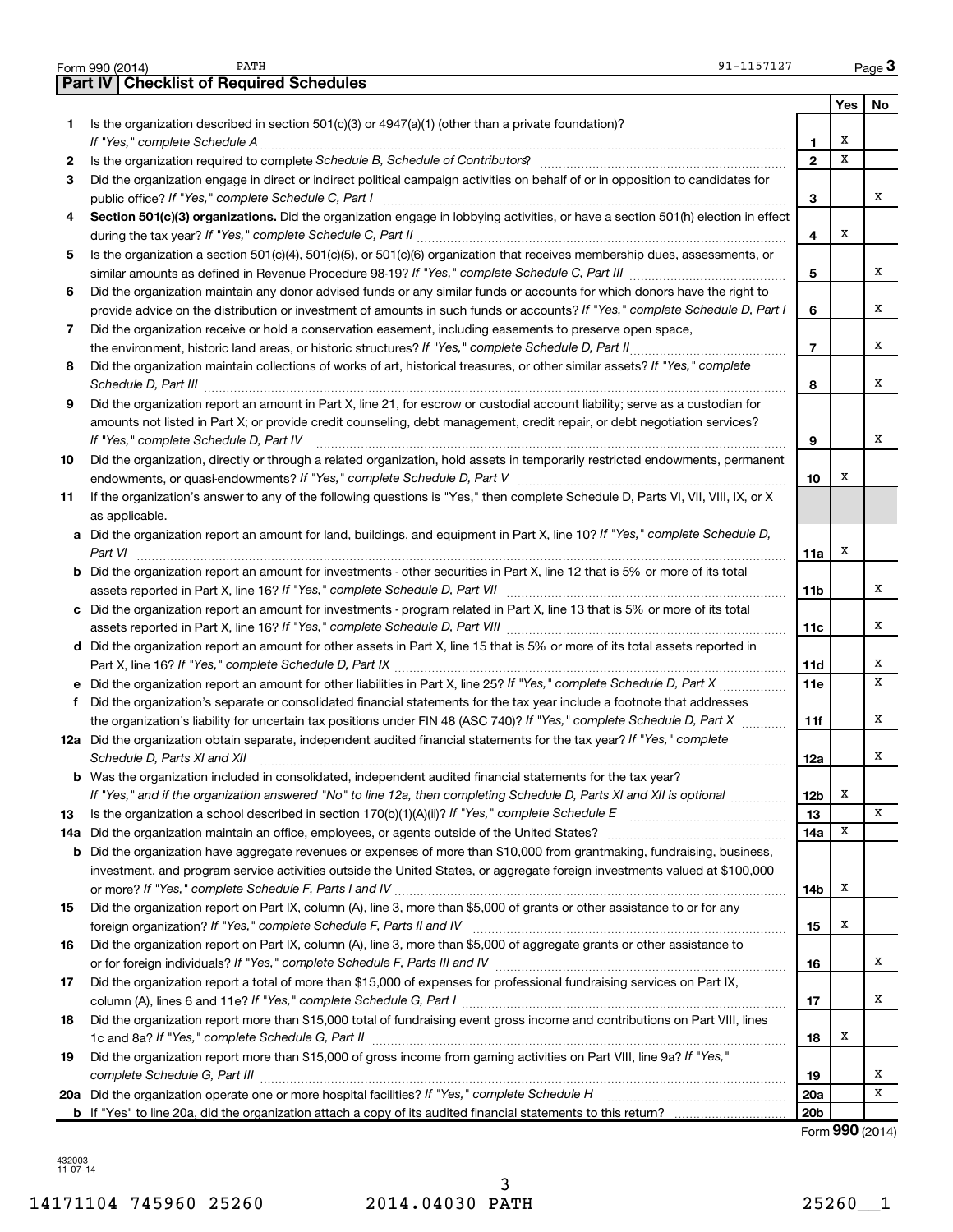|    | 91-1157127<br>PATH<br>Form 990 (2014)                                                                                                                                                                                                                     |                        |     | Page 3 |
|----|-----------------------------------------------------------------------------------------------------------------------------------------------------------------------------------------------------------------------------------------------------------|------------------------|-----|--------|
|    | <b>Part IV   Checklist of Required Schedules</b>                                                                                                                                                                                                          |                        |     |        |
|    |                                                                                                                                                                                                                                                           |                        | Yes | No     |
| 1. | Is the organization described in section 501(c)(3) or 4947(a)(1) (other than a private foundation)?                                                                                                                                                       |                        |     |        |
|    |                                                                                                                                                                                                                                                           | 1                      | х   |        |
| 2  | Is the organization required to complete Schedule B, Schedule of Contributors? [11] The organization required to complete Schedule B, Schedule of Contributors?                                                                                           | $\mathbf{2}$           | X   |        |
| З  | Did the organization engage in direct or indirect political campaign activities on behalf of or in opposition to candidates for                                                                                                                           |                        |     |        |
|    |                                                                                                                                                                                                                                                           | 3                      |     | x      |
| 4  | Section 501(c)(3) organizations. Did the organization engage in lobbying activities, or have a section 501(h) election in effect                                                                                                                          |                        |     |        |
|    |                                                                                                                                                                                                                                                           | 4                      | х   |        |
| 5  | Is the organization a section 501(c)(4), 501(c)(5), or 501(c)(6) organization that receives membership dues, assessments, or                                                                                                                              | 5                      |     | x      |
| 6  |                                                                                                                                                                                                                                                           |                        |     |        |
|    | Did the organization maintain any donor advised funds or any similar funds or accounts for which donors have the right to<br>provide advice on the distribution or investment of amounts in such funds or accounts? If "Yes," complete Schedule D, Part I | 6                      |     | x      |
| 7  | Did the organization receive or hold a conservation easement, including easements to preserve open space,                                                                                                                                                 |                        |     |        |
|    |                                                                                                                                                                                                                                                           | $\overline{7}$         |     | x      |
| 8  | Did the organization maintain collections of works of art, historical treasures, or other similar assets? If "Yes," complete                                                                                                                              |                        |     |        |
|    |                                                                                                                                                                                                                                                           | 8                      |     | х      |
| 9  | Did the organization report an amount in Part X, line 21, for escrow or custodial account liability; serve as a custodian for                                                                                                                             |                        |     |        |
|    | amounts not listed in Part X; or provide credit counseling, debt management, credit repair, or debt negotiation services?                                                                                                                                 |                        |     |        |
|    | If "Yes," complete Schedule D, Part IV                                                                                                                                                                                                                    | 9                      |     | X      |
| 10 | Did the organization, directly or through a related organization, hold assets in temporarily restricted endowments, permanent                                                                                                                             |                        |     |        |
|    |                                                                                                                                                                                                                                                           | 10                     | х   |        |
| 11 | If the organization's answer to any of the following questions is "Yes," then complete Schedule D, Parts VI, VII, VIII, IX, or X                                                                                                                          |                        |     |        |
|    | as applicable.                                                                                                                                                                                                                                            |                        |     |        |
|    | a Did the organization report an amount for land, buildings, and equipment in Part X, line 10? If "Yes," complete Schedule D,                                                                                                                             |                        |     |        |
|    | Part VI                                                                                                                                                                                                                                                   | 11a                    | х   |        |
|    | <b>b</b> Did the organization report an amount for investments - other securities in Part X, line 12 that is 5% or more of its total                                                                                                                      |                        |     |        |
|    |                                                                                                                                                                                                                                                           | 11b                    |     | x      |
|    | c Did the organization report an amount for investments - program related in Part X, line 13 that is 5% or more of its total                                                                                                                              |                        |     |        |
|    |                                                                                                                                                                                                                                                           | 11c                    |     | x      |
|    | d Did the organization report an amount for other assets in Part X, line 15 that is 5% or more of its total assets reported in                                                                                                                            |                        |     | x      |
|    |                                                                                                                                                                                                                                                           | 11d<br>11 <sub>e</sub> |     | X      |
| f  | Did the organization's separate or consolidated financial statements for the tax year include a footnote that addresses                                                                                                                                   |                        |     |        |
|    | the organization's liability for uncertain tax positions under FIN 48 (ASC 740)? If "Yes," complete Schedule D, Part X                                                                                                                                    | 11f                    |     | х      |
|    | 12a Did the organization obtain separate, independent audited financial statements for the tax year? If "Yes," complete                                                                                                                                   |                        |     |        |
|    | Schedule D, Parts XI and XII                                                                                                                                                                                                                              | <b>12a</b>             |     | Χ      |
|    | <b>b</b> Was the organization included in consolidated, independent audited financial statements for the tax year?                                                                                                                                        |                        |     |        |
|    | If "Yes," and if the organization answered "No" to line 12a, then completing Schedule D, Parts XI and XII is optional <i>manum</i>                                                                                                                        | <b>12b</b>             | х   |        |
| 13 |                                                                                                                                                                                                                                                           | 13                     |     | x      |
|    | 14a Did the organization maintain an office, employees, or agents outside of the United States?                                                                                                                                                           | 14a                    | х   |        |
|    | <b>b</b> Did the organization have aggregate revenues or expenses of more than \$10,000 from grantmaking, fundraising, business,                                                                                                                          |                        |     |        |
|    | investment, and program service activities outside the United States, or aggregate foreign investments valued at \$100,000                                                                                                                                |                        |     |        |
|    |                                                                                                                                                                                                                                                           | 14b                    | х   |        |
| 15 | Did the organization report on Part IX, column (A), line 3, more than \$5,000 of grants or other assistance to or for any                                                                                                                                 |                        |     |        |
|    |                                                                                                                                                                                                                                                           | 15                     | х   |        |
| 16 | Did the organization report on Part IX, column (A), line 3, more than \$5,000 of aggregate grants or other assistance to                                                                                                                                  |                        |     |        |
|    |                                                                                                                                                                                                                                                           | 16                     |     | x      |
| 17 | Did the organization report a total of more than \$15,000 of expenses for professional fundraising services on Part IX,                                                                                                                                   |                        |     |        |
|    |                                                                                                                                                                                                                                                           | 17                     |     | x      |
| 18 | Did the organization report more than \$15,000 total of fundraising event gross income and contributions on Part VIII, lines                                                                                                                              | 18                     | х   |        |
| 19 | Did the organization report more than \$15,000 of gross income from gaming activities on Part VIII, line 9a? If "Yes,"                                                                                                                                    |                        |     |        |
|    |                                                                                                                                                                                                                                                           | 19                     |     | х      |
|    |                                                                                                                                                                                                                                                           | 20a                    |     | x      |
|    |                                                                                                                                                                                                                                                           | 20 <sub>b</sub>        |     |        |
|    |                                                                                                                                                                                                                                                           |                        |     |        |

|  |  | Form 990 (2014) |
|--|--|-----------------|
|--|--|-----------------|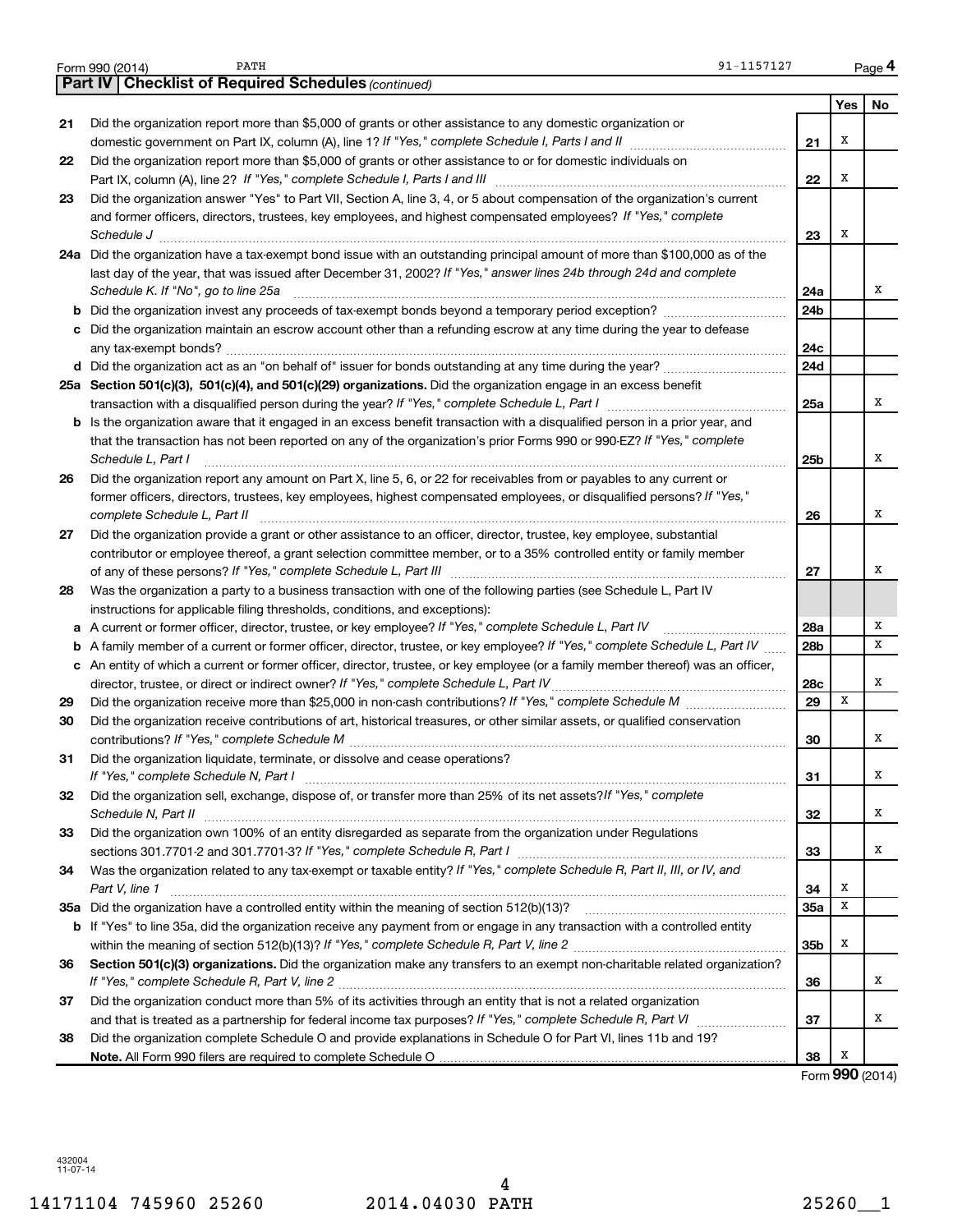| <b>Part IV   Checklist of Required Schedules (continued)</b><br><b>Yes</b><br>No<br>Did the organization report more than \$5,000 of grants or other assistance to any domestic organization or<br>21<br>domestic government on Part IX, column (A), line 1? If "Yes," complete Schedule I, Parts I and II manufactured with the distance of the distance of the distance of the distance of the distance of the distance of the distan<br>21<br>х<br>Did the organization report more than \$5,000 of grants or other assistance to or for domestic individuals on<br>22<br>х<br>22<br>Part IX, column (A), line 2? If "Yes," complete Schedule I, Parts I and III [11]] [11]] [11] [11] [11] [11] [1<br>Did the organization answer "Yes" to Part VII, Section A, line 3, 4, or 5 about compensation of the organization's current<br>23<br>and former officers, directors, trustees, key employees, and highest compensated employees? If "Yes," complete<br>х<br>Schedule J <b>Example 2 Constant Constant Constant Constant Constant Constant Constant Constant Constant Constant Constant Constant Constant Constant Constant Constant Constant Constant Constant Constant Constant Constant </b><br>23<br>24a Did the organization have a tax-exempt bond issue with an outstanding principal amount of more than \$100,000 as of the<br>last day of the year, that was issued after December 31, 2002? If "Yes," answer lines 24b through 24d and complete<br>x<br>Schedule K. If "No", go to line 25a [11] Schedule K. If "No", go to line 25a<br>24a<br>b Did the organization invest any proceeds of tax-exempt bonds beyond a temporary period exception?<br>24b<br>c Did the organization maintain an escrow account other than a refunding escrow at any time during the year to defease<br>24c<br>24d<br>25a Section 501(c)(3), 501(c)(4), and 501(c)(29) organizations. Did the organization engage in an excess benefit<br>x<br>25a<br><b>b</b> Is the organization aware that it engaged in an excess benefit transaction with a disqualified person in a prior year, and<br>that the transaction has not been reported on any of the organization's prior Forms 990 or 990-EZ? If "Yes," complete<br>х<br>Schedule L, Part I<br>25b<br>Did the organization report any amount on Part X, line 5, 6, or 22 for receivables from or payables to any current or<br>26<br>former officers, directors, trustees, key employees, highest compensated employees, or disqualified persons? If "Yes,"<br>X<br>26<br>Did the organization provide a grant or other assistance to an officer, director, trustee, key employee, substantial<br>27<br>contributor or employee thereof, a grant selection committee member, or to a 35% controlled entity or family member<br>х<br>27<br>Was the organization a party to a business transaction with one of the following parties (see Schedule L, Part IV<br>28<br>instructions for applicable filing thresholds, conditions, and exceptions):<br>х<br>a A current or former officer, director, trustee, or key employee? If "Yes," complete Schedule L, Part IV<br>28a<br>x<br>28b<br><b>b</b> A family member of a current or former officer, director, trustee, or key employee? If "Yes," complete Schedule L, Part IV<br>c An entity of which a current or former officer, director, trustee, or key employee (or a family member thereof) was an officer,<br>x<br>28c<br>29<br>х<br>29<br>Did the organization receive contributions of art, historical treasures, or other similar assets, or qualified conservation<br>30<br>x<br>30<br>31<br>Did the organization liquidate, terminate, or dissolve and cease operations?<br>х<br>31<br>Did the organization sell, exchange, dispose of, or transfer more than 25% of its net assets? If "Yes," complete<br>32<br>x<br>Schedule N, Part II<br>32<br>Did the organization own 100% of an entity disregarded as separate from the organization under Regulations<br>33<br>x<br>33<br>Was the organization related to any tax-exempt or taxable entity? If "Yes," complete Schedule R, Part II, III, or IV, and<br>34<br>х<br>Part V, line 1<br>34<br>х<br>35a<br>b If "Yes" to line 35a, did the organization receive any payment from or engage in any transaction with a controlled entity<br>35 <sub>b</sub><br>х<br>Section 501(c)(3) organizations. Did the organization make any transfers to an exempt non-charitable related organization?<br>36<br>x<br>36<br>Did the organization conduct more than 5% of its activities through an entity that is not a related organization<br>37<br>x<br>37<br>Did the organization complete Schedule O and provide explanations in Schedule O for Part VI, lines 11b and 19?<br>38<br>х<br>38 | 91-1157127<br>PATH<br>Form 990 (2014) |  | Page 4 |
|----------------------------------------------------------------------------------------------------------------------------------------------------------------------------------------------------------------------------------------------------------------------------------------------------------------------------------------------------------------------------------------------------------------------------------------------------------------------------------------------------------------------------------------------------------------------------------------------------------------------------------------------------------------------------------------------------------------------------------------------------------------------------------------------------------------------------------------------------------------------------------------------------------------------------------------------------------------------------------------------------------------------------------------------------------------------------------------------------------------------------------------------------------------------------------------------------------------------------------------------------------------------------------------------------------------------------------------------------------------------------------------------------------------------------------------------------------------------------------------------------------------------------------------------------------------------------------------------------------------------------------------------------------------------------------------------------------------------------------------------------------------------------------------------------------------------------------------------------------------------------------------------------------------------------------------------------------------------------------------------------------------------------------------------------------------------------------------------------------------------------------------------------------------------------------------------------------------------------------------------------------------------------------------------------------------------------------------------------------------------------------------------------------------------------------------------------------------------------------------------------------------------------------------------------------------------------------------------------------------------------------------------------------------------------------------------------------------------------------------------------------------------------------------------------------------------------------------------------------------------------------------------------------------------------------------------------------------------------------------------------------------------------------------------------------------------------------------------------------------------------------------------------------------------------------------------------------------------------------------------------------------------------------------------------------------------------------------------------------------------------------------------------------------------------------------------------------------------------------------------------------------------------------------------------------------------------------------------------------------------------------------------------------------------------------------------------------------------------------------------------------------------------------------------------------------------------------------------------------------------------------------------------------------------------------------------------------------------------------------------------------------------------------------------------------------------------------------------------------------------------------------------------------------------------------------------------------------------------------------------------------------------------------------------------------------------------------------------------------------------------------------------------------------------------------------------------------------------------------------------------------------------------------------------------------------------------------------------------------------------------------------------------------------------------------------------------------------------------------------------------------|---------------------------------------|--|--------|
|                                                                                                                                                                                                                                                                                                                                                                                                                                                                                                                                                                                                                                                                                                                                                                                                                                                                                                                                                                                                                                                                                                                                                                                                                                                                                                                                                                                                                                                                                                                                                                                                                                                                                                                                                                                                                                                                                                                                                                                                                                                                                                                                                                                                                                                                                                                                                                                                                                                                                                                                                                                                                                                                                                                                                                                                                                                                                                                                                                                                                                                                                                                                                                                                                                                                                                                                                                                                                                                                                                                                                                                                                                                                                                                                                                                                                                                                                                                                                                                                                                                                                                                                                                                                                                                                                                                                                                                                                                                                                                                                                                                                                                                                                                                                                          |                                       |  |        |
|                                                                                                                                                                                                                                                                                                                                                                                                                                                                                                                                                                                                                                                                                                                                                                                                                                                                                                                                                                                                                                                                                                                                                                                                                                                                                                                                                                                                                                                                                                                                                                                                                                                                                                                                                                                                                                                                                                                                                                                                                                                                                                                                                                                                                                                                                                                                                                                                                                                                                                                                                                                                                                                                                                                                                                                                                                                                                                                                                                                                                                                                                                                                                                                                                                                                                                                                                                                                                                                                                                                                                                                                                                                                                                                                                                                                                                                                                                                                                                                                                                                                                                                                                                                                                                                                                                                                                                                                                                                                                                                                                                                                                                                                                                                                                          |                                       |  |        |
|                                                                                                                                                                                                                                                                                                                                                                                                                                                                                                                                                                                                                                                                                                                                                                                                                                                                                                                                                                                                                                                                                                                                                                                                                                                                                                                                                                                                                                                                                                                                                                                                                                                                                                                                                                                                                                                                                                                                                                                                                                                                                                                                                                                                                                                                                                                                                                                                                                                                                                                                                                                                                                                                                                                                                                                                                                                                                                                                                                                                                                                                                                                                                                                                                                                                                                                                                                                                                                                                                                                                                                                                                                                                                                                                                                                                                                                                                                                                                                                                                                                                                                                                                                                                                                                                                                                                                                                                                                                                                                                                                                                                                                                                                                                                                          |                                       |  |        |
|                                                                                                                                                                                                                                                                                                                                                                                                                                                                                                                                                                                                                                                                                                                                                                                                                                                                                                                                                                                                                                                                                                                                                                                                                                                                                                                                                                                                                                                                                                                                                                                                                                                                                                                                                                                                                                                                                                                                                                                                                                                                                                                                                                                                                                                                                                                                                                                                                                                                                                                                                                                                                                                                                                                                                                                                                                                                                                                                                                                                                                                                                                                                                                                                                                                                                                                                                                                                                                                                                                                                                                                                                                                                                                                                                                                                                                                                                                                                                                                                                                                                                                                                                                                                                                                                                                                                                                                                                                                                                                                                                                                                                                                                                                                                                          |                                       |  |        |
|                                                                                                                                                                                                                                                                                                                                                                                                                                                                                                                                                                                                                                                                                                                                                                                                                                                                                                                                                                                                                                                                                                                                                                                                                                                                                                                                                                                                                                                                                                                                                                                                                                                                                                                                                                                                                                                                                                                                                                                                                                                                                                                                                                                                                                                                                                                                                                                                                                                                                                                                                                                                                                                                                                                                                                                                                                                                                                                                                                                                                                                                                                                                                                                                                                                                                                                                                                                                                                                                                                                                                                                                                                                                                                                                                                                                                                                                                                                                                                                                                                                                                                                                                                                                                                                                                                                                                                                                                                                                                                                                                                                                                                                                                                                                                          |                                       |  |        |
|                                                                                                                                                                                                                                                                                                                                                                                                                                                                                                                                                                                                                                                                                                                                                                                                                                                                                                                                                                                                                                                                                                                                                                                                                                                                                                                                                                                                                                                                                                                                                                                                                                                                                                                                                                                                                                                                                                                                                                                                                                                                                                                                                                                                                                                                                                                                                                                                                                                                                                                                                                                                                                                                                                                                                                                                                                                                                                                                                                                                                                                                                                                                                                                                                                                                                                                                                                                                                                                                                                                                                                                                                                                                                                                                                                                                                                                                                                                                                                                                                                                                                                                                                                                                                                                                                                                                                                                                                                                                                                                                                                                                                                                                                                                                                          |                                       |  |        |
|                                                                                                                                                                                                                                                                                                                                                                                                                                                                                                                                                                                                                                                                                                                                                                                                                                                                                                                                                                                                                                                                                                                                                                                                                                                                                                                                                                                                                                                                                                                                                                                                                                                                                                                                                                                                                                                                                                                                                                                                                                                                                                                                                                                                                                                                                                                                                                                                                                                                                                                                                                                                                                                                                                                                                                                                                                                                                                                                                                                                                                                                                                                                                                                                                                                                                                                                                                                                                                                                                                                                                                                                                                                                                                                                                                                                                                                                                                                                                                                                                                                                                                                                                                                                                                                                                                                                                                                                                                                                                                                                                                                                                                                                                                                                                          |                                       |  |        |
|                                                                                                                                                                                                                                                                                                                                                                                                                                                                                                                                                                                                                                                                                                                                                                                                                                                                                                                                                                                                                                                                                                                                                                                                                                                                                                                                                                                                                                                                                                                                                                                                                                                                                                                                                                                                                                                                                                                                                                                                                                                                                                                                                                                                                                                                                                                                                                                                                                                                                                                                                                                                                                                                                                                                                                                                                                                                                                                                                                                                                                                                                                                                                                                                                                                                                                                                                                                                                                                                                                                                                                                                                                                                                                                                                                                                                                                                                                                                                                                                                                                                                                                                                                                                                                                                                                                                                                                                                                                                                                                                                                                                                                                                                                                                                          |                                       |  |        |
|                                                                                                                                                                                                                                                                                                                                                                                                                                                                                                                                                                                                                                                                                                                                                                                                                                                                                                                                                                                                                                                                                                                                                                                                                                                                                                                                                                                                                                                                                                                                                                                                                                                                                                                                                                                                                                                                                                                                                                                                                                                                                                                                                                                                                                                                                                                                                                                                                                                                                                                                                                                                                                                                                                                                                                                                                                                                                                                                                                                                                                                                                                                                                                                                                                                                                                                                                                                                                                                                                                                                                                                                                                                                                                                                                                                                                                                                                                                                                                                                                                                                                                                                                                                                                                                                                                                                                                                                                                                                                                                                                                                                                                                                                                                                                          |                                       |  |        |
|                                                                                                                                                                                                                                                                                                                                                                                                                                                                                                                                                                                                                                                                                                                                                                                                                                                                                                                                                                                                                                                                                                                                                                                                                                                                                                                                                                                                                                                                                                                                                                                                                                                                                                                                                                                                                                                                                                                                                                                                                                                                                                                                                                                                                                                                                                                                                                                                                                                                                                                                                                                                                                                                                                                                                                                                                                                                                                                                                                                                                                                                                                                                                                                                                                                                                                                                                                                                                                                                                                                                                                                                                                                                                                                                                                                                                                                                                                                                                                                                                                                                                                                                                                                                                                                                                                                                                                                                                                                                                                                                                                                                                                                                                                                                                          |                                       |  |        |
|                                                                                                                                                                                                                                                                                                                                                                                                                                                                                                                                                                                                                                                                                                                                                                                                                                                                                                                                                                                                                                                                                                                                                                                                                                                                                                                                                                                                                                                                                                                                                                                                                                                                                                                                                                                                                                                                                                                                                                                                                                                                                                                                                                                                                                                                                                                                                                                                                                                                                                                                                                                                                                                                                                                                                                                                                                                                                                                                                                                                                                                                                                                                                                                                                                                                                                                                                                                                                                                                                                                                                                                                                                                                                                                                                                                                                                                                                                                                                                                                                                                                                                                                                                                                                                                                                                                                                                                                                                                                                                                                                                                                                                                                                                                                                          |                                       |  |        |
|                                                                                                                                                                                                                                                                                                                                                                                                                                                                                                                                                                                                                                                                                                                                                                                                                                                                                                                                                                                                                                                                                                                                                                                                                                                                                                                                                                                                                                                                                                                                                                                                                                                                                                                                                                                                                                                                                                                                                                                                                                                                                                                                                                                                                                                                                                                                                                                                                                                                                                                                                                                                                                                                                                                                                                                                                                                                                                                                                                                                                                                                                                                                                                                                                                                                                                                                                                                                                                                                                                                                                                                                                                                                                                                                                                                                                                                                                                                                                                                                                                                                                                                                                                                                                                                                                                                                                                                                                                                                                                                                                                                                                                                                                                                                                          |                                       |  |        |
|                                                                                                                                                                                                                                                                                                                                                                                                                                                                                                                                                                                                                                                                                                                                                                                                                                                                                                                                                                                                                                                                                                                                                                                                                                                                                                                                                                                                                                                                                                                                                                                                                                                                                                                                                                                                                                                                                                                                                                                                                                                                                                                                                                                                                                                                                                                                                                                                                                                                                                                                                                                                                                                                                                                                                                                                                                                                                                                                                                                                                                                                                                                                                                                                                                                                                                                                                                                                                                                                                                                                                                                                                                                                                                                                                                                                                                                                                                                                                                                                                                                                                                                                                                                                                                                                                                                                                                                                                                                                                                                                                                                                                                                                                                                                                          |                                       |  |        |
|                                                                                                                                                                                                                                                                                                                                                                                                                                                                                                                                                                                                                                                                                                                                                                                                                                                                                                                                                                                                                                                                                                                                                                                                                                                                                                                                                                                                                                                                                                                                                                                                                                                                                                                                                                                                                                                                                                                                                                                                                                                                                                                                                                                                                                                                                                                                                                                                                                                                                                                                                                                                                                                                                                                                                                                                                                                                                                                                                                                                                                                                                                                                                                                                                                                                                                                                                                                                                                                                                                                                                                                                                                                                                                                                                                                                                                                                                                                                                                                                                                                                                                                                                                                                                                                                                                                                                                                                                                                                                                                                                                                                                                                                                                                                                          |                                       |  |        |
|                                                                                                                                                                                                                                                                                                                                                                                                                                                                                                                                                                                                                                                                                                                                                                                                                                                                                                                                                                                                                                                                                                                                                                                                                                                                                                                                                                                                                                                                                                                                                                                                                                                                                                                                                                                                                                                                                                                                                                                                                                                                                                                                                                                                                                                                                                                                                                                                                                                                                                                                                                                                                                                                                                                                                                                                                                                                                                                                                                                                                                                                                                                                                                                                                                                                                                                                                                                                                                                                                                                                                                                                                                                                                                                                                                                                                                                                                                                                                                                                                                                                                                                                                                                                                                                                                                                                                                                                                                                                                                                                                                                                                                                                                                                                                          |                                       |  |        |
|                                                                                                                                                                                                                                                                                                                                                                                                                                                                                                                                                                                                                                                                                                                                                                                                                                                                                                                                                                                                                                                                                                                                                                                                                                                                                                                                                                                                                                                                                                                                                                                                                                                                                                                                                                                                                                                                                                                                                                                                                                                                                                                                                                                                                                                                                                                                                                                                                                                                                                                                                                                                                                                                                                                                                                                                                                                                                                                                                                                                                                                                                                                                                                                                                                                                                                                                                                                                                                                                                                                                                                                                                                                                                                                                                                                                                                                                                                                                                                                                                                                                                                                                                                                                                                                                                                                                                                                                                                                                                                                                                                                                                                                                                                                                                          |                                       |  |        |
|                                                                                                                                                                                                                                                                                                                                                                                                                                                                                                                                                                                                                                                                                                                                                                                                                                                                                                                                                                                                                                                                                                                                                                                                                                                                                                                                                                                                                                                                                                                                                                                                                                                                                                                                                                                                                                                                                                                                                                                                                                                                                                                                                                                                                                                                                                                                                                                                                                                                                                                                                                                                                                                                                                                                                                                                                                                                                                                                                                                                                                                                                                                                                                                                                                                                                                                                                                                                                                                                                                                                                                                                                                                                                                                                                                                                                                                                                                                                                                                                                                                                                                                                                                                                                                                                                                                                                                                                                                                                                                                                                                                                                                                                                                                                                          |                                       |  |        |
|                                                                                                                                                                                                                                                                                                                                                                                                                                                                                                                                                                                                                                                                                                                                                                                                                                                                                                                                                                                                                                                                                                                                                                                                                                                                                                                                                                                                                                                                                                                                                                                                                                                                                                                                                                                                                                                                                                                                                                                                                                                                                                                                                                                                                                                                                                                                                                                                                                                                                                                                                                                                                                                                                                                                                                                                                                                                                                                                                                                                                                                                                                                                                                                                                                                                                                                                                                                                                                                                                                                                                                                                                                                                                                                                                                                                                                                                                                                                                                                                                                                                                                                                                                                                                                                                                                                                                                                                                                                                                                                                                                                                                                                                                                                                                          |                                       |  |        |
|                                                                                                                                                                                                                                                                                                                                                                                                                                                                                                                                                                                                                                                                                                                                                                                                                                                                                                                                                                                                                                                                                                                                                                                                                                                                                                                                                                                                                                                                                                                                                                                                                                                                                                                                                                                                                                                                                                                                                                                                                                                                                                                                                                                                                                                                                                                                                                                                                                                                                                                                                                                                                                                                                                                                                                                                                                                                                                                                                                                                                                                                                                                                                                                                                                                                                                                                                                                                                                                                                                                                                                                                                                                                                                                                                                                                                                                                                                                                                                                                                                                                                                                                                                                                                                                                                                                                                                                                                                                                                                                                                                                                                                                                                                                                                          |                                       |  |        |
|                                                                                                                                                                                                                                                                                                                                                                                                                                                                                                                                                                                                                                                                                                                                                                                                                                                                                                                                                                                                                                                                                                                                                                                                                                                                                                                                                                                                                                                                                                                                                                                                                                                                                                                                                                                                                                                                                                                                                                                                                                                                                                                                                                                                                                                                                                                                                                                                                                                                                                                                                                                                                                                                                                                                                                                                                                                                                                                                                                                                                                                                                                                                                                                                                                                                                                                                                                                                                                                                                                                                                                                                                                                                                                                                                                                                                                                                                                                                                                                                                                                                                                                                                                                                                                                                                                                                                                                                                                                                                                                                                                                                                                                                                                                                                          |                                       |  |        |
|                                                                                                                                                                                                                                                                                                                                                                                                                                                                                                                                                                                                                                                                                                                                                                                                                                                                                                                                                                                                                                                                                                                                                                                                                                                                                                                                                                                                                                                                                                                                                                                                                                                                                                                                                                                                                                                                                                                                                                                                                                                                                                                                                                                                                                                                                                                                                                                                                                                                                                                                                                                                                                                                                                                                                                                                                                                                                                                                                                                                                                                                                                                                                                                                                                                                                                                                                                                                                                                                                                                                                                                                                                                                                                                                                                                                                                                                                                                                                                                                                                                                                                                                                                                                                                                                                                                                                                                                                                                                                                                                                                                                                                                                                                                                                          |                                       |  |        |
|                                                                                                                                                                                                                                                                                                                                                                                                                                                                                                                                                                                                                                                                                                                                                                                                                                                                                                                                                                                                                                                                                                                                                                                                                                                                                                                                                                                                                                                                                                                                                                                                                                                                                                                                                                                                                                                                                                                                                                                                                                                                                                                                                                                                                                                                                                                                                                                                                                                                                                                                                                                                                                                                                                                                                                                                                                                                                                                                                                                                                                                                                                                                                                                                                                                                                                                                                                                                                                                                                                                                                                                                                                                                                                                                                                                                                                                                                                                                                                                                                                                                                                                                                                                                                                                                                                                                                                                                                                                                                                                                                                                                                                                                                                                                                          |                                       |  |        |
|                                                                                                                                                                                                                                                                                                                                                                                                                                                                                                                                                                                                                                                                                                                                                                                                                                                                                                                                                                                                                                                                                                                                                                                                                                                                                                                                                                                                                                                                                                                                                                                                                                                                                                                                                                                                                                                                                                                                                                                                                                                                                                                                                                                                                                                                                                                                                                                                                                                                                                                                                                                                                                                                                                                                                                                                                                                                                                                                                                                                                                                                                                                                                                                                                                                                                                                                                                                                                                                                                                                                                                                                                                                                                                                                                                                                                                                                                                                                                                                                                                                                                                                                                                                                                                                                                                                                                                                                                                                                                                                                                                                                                                                                                                                                                          |                                       |  |        |
|                                                                                                                                                                                                                                                                                                                                                                                                                                                                                                                                                                                                                                                                                                                                                                                                                                                                                                                                                                                                                                                                                                                                                                                                                                                                                                                                                                                                                                                                                                                                                                                                                                                                                                                                                                                                                                                                                                                                                                                                                                                                                                                                                                                                                                                                                                                                                                                                                                                                                                                                                                                                                                                                                                                                                                                                                                                                                                                                                                                                                                                                                                                                                                                                                                                                                                                                                                                                                                                                                                                                                                                                                                                                                                                                                                                                                                                                                                                                                                                                                                                                                                                                                                                                                                                                                                                                                                                                                                                                                                                                                                                                                                                                                                                                                          |                                       |  |        |
|                                                                                                                                                                                                                                                                                                                                                                                                                                                                                                                                                                                                                                                                                                                                                                                                                                                                                                                                                                                                                                                                                                                                                                                                                                                                                                                                                                                                                                                                                                                                                                                                                                                                                                                                                                                                                                                                                                                                                                                                                                                                                                                                                                                                                                                                                                                                                                                                                                                                                                                                                                                                                                                                                                                                                                                                                                                                                                                                                                                                                                                                                                                                                                                                                                                                                                                                                                                                                                                                                                                                                                                                                                                                                                                                                                                                                                                                                                                                                                                                                                                                                                                                                                                                                                                                                                                                                                                                                                                                                                                                                                                                                                                                                                                                                          |                                       |  |        |
|                                                                                                                                                                                                                                                                                                                                                                                                                                                                                                                                                                                                                                                                                                                                                                                                                                                                                                                                                                                                                                                                                                                                                                                                                                                                                                                                                                                                                                                                                                                                                                                                                                                                                                                                                                                                                                                                                                                                                                                                                                                                                                                                                                                                                                                                                                                                                                                                                                                                                                                                                                                                                                                                                                                                                                                                                                                                                                                                                                                                                                                                                                                                                                                                                                                                                                                                                                                                                                                                                                                                                                                                                                                                                                                                                                                                                                                                                                                                                                                                                                                                                                                                                                                                                                                                                                                                                                                                                                                                                                                                                                                                                                                                                                                                                          |                                       |  |        |
|                                                                                                                                                                                                                                                                                                                                                                                                                                                                                                                                                                                                                                                                                                                                                                                                                                                                                                                                                                                                                                                                                                                                                                                                                                                                                                                                                                                                                                                                                                                                                                                                                                                                                                                                                                                                                                                                                                                                                                                                                                                                                                                                                                                                                                                                                                                                                                                                                                                                                                                                                                                                                                                                                                                                                                                                                                                                                                                                                                                                                                                                                                                                                                                                                                                                                                                                                                                                                                                                                                                                                                                                                                                                                                                                                                                                                                                                                                                                                                                                                                                                                                                                                                                                                                                                                                                                                                                                                                                                                                                                                                                                                                                                                                                                                          |                                       |  |        |
|                                                                                                                                                                                                                                                                                                                                                                                                                                                                                                                                                                                                                                                                                                                                                                                                                                                                                                                                                                                                                                                                                                                                                                                                                                                                                                                                                                                                                                                                                                                                                                                                                                                                                                                                                                                                                                                                                                                                                                                                                                                                                                                                                                                                                                                                                                                                                                                                                                                                                                                                                                                                                                                                                                                                                                                                                                                                                                                                                                                                                                                                                                                                                                                                                                                                                                                                                                                                                                                                                                                                                                                                                                                                                                                                                                                                                                                                                                                                                                                                                                                                                                                                                                                                                                                                                                                                                                                                                                                                                                                                                                                                                                                                                                                                                          |                                       |  |        |
|                                                                                                                                                                                                                                                                                                                                                                                                                                                                                                                                                                                                                                                                                                                                                                                                                                                                                                                                                                                                                                                                                                                                                                                                                                                                                                                                                                                                                                                                                                                                                                                                                                                                                                                                                                                                                                                                                                                                                                                                                                                                                                                                                                                                                                                                                                                                                                                                                                                                                                                                                                                                                                                                                                                                                                                                                                                                                                                                                                                                                                                                                                                                                                                                                                                                                                                                                                                                                                                                                                                                                                                                                                                                                                                                                                                                                                                                                                                                                                                                                                                                                                                                                                                                                                                                                                                                                                                                                                                                                                                                                                                                                                                                                                                                                          |                                       |  |        |
|                                                                                                                                                                                                                                                                                                                                                                                                                                                                                                                                                                                                                                                                                                                                                                                                                                                                                                                                                                                                                                                                                                                                                                                                                                                                                                                                                                                                                                                                                                                                                                                                                                                                                                                                                                                                                                                                                                                                                                                                                                                                                                                                                                                                                                                                                                                                                                                                                                                                                                                                                                                                                                                                                                                                                                                                                                                                                                                                                                                                                                                                                                                                                                                                                                                                                                                                                                                                                                                                                                                                                                                                                                                                                                                                                                                                                                                                                                                                                                                                                                                                                                                                                                                                                                                                                                                                                                                                                                                                                                                                                                                                                                                                                                                                                          |                                       |  |        |
|                                                                                                                                                                                                                                                                                                                                                                                                                                                                                                                                                                                                                                                                                                                                                                                                                                                                                                                                                                                                                                                                                                                                                                                                                                                                                                                                                                                                                                                                                                                                                                                                                                                                                                                                                                                                                                                                                                                                                                                                                                                                                                                                                                                                                                                                                                                                                                                                                                                                                                                                                                                                                                                                                                                                                                                                                                                                                                                                                                                                                                                                                                                                                                                                                                                                                                                                                                                                                                                                                                                                                                                                                                                                                                                                                                                                                                                                                                                                                                                                                                                                                                                                                                                                                                                                                                                                                                                                                                                                                                                                                                                                                                                                                                                                                          |                                       |  |        |
|                                                                                                                                                                                                                                                                                                                                                                                                                                                                                                                                                                                                                                                                                                                                                                                                                                                                                                                                                                                                                                                                                                                                                                                                                                                                                                                                                                                                                                                                                                                                                                                                                                                                                                                                                                                                                                                                                                                                                                                                                                                                                                                                                                                                                                                                                                                                                                                                                                                                                                                                                                                                                                                                                                                                                                                                                                                                                                                                                                                                                                                                                                                                                                                                                                                                                                                                                                                                                                                                                                                                                                                                                                                                                                                                                                                                                                                                                                                                                                                                                                                                                                                                                                                                                                                                                                                                                                                                                                                                                                                                                                                                                                                                                                                                                          |                                       |  |        |
|                                                                                                                                                                                                                                                                                                                                                                                                                                                                                                                                                                                                                                                                                                                                                                                                                                                                                                                                                                                                                                                                                                                                                                                                                                                                                                                                                                                                                                                                                                                                                                                                                                                                                                                                                                                                                                                                                                                                                                                                                                                                                                                                                                                                                                                                                                                                                                                                                                                                                                                                                                                                                                                                                                                                                                                                                                                                                                                                                                                                                                                                                                                                                                                                                                                                                                                                                                                                                                                                                                                                                                                                                                                                                                                                                                                                                                                                                                                                                                                                                                                                                                                                                                                                                                                                                                                                                                                                                                                                                                                                                                                                                                                                                                                                                          |                                       |  |        |
|                                                                                                                                                                                                                                                                                                                                                                                                                                                                                                                                                                                                                                                                                                                                                                                                                                                                                                                                                                                                                                                                                                                                                                                                                                                                                                                                                                                                                                                                                                                                                                                                                                                                                                                                                                                                                                                                                                                                                                                                                                                                                                                                                                                                                                                                                                                                                                                                                                                                                                                                                                                                                                                                                                                                                                                                                                                                                                                                                                                                                                                                                                                                                                                                                                                                                                                                                                                                                                                                                                                                                                                                                                                                                                                                                                                                                                                                                                                                                                                                                                                                                                                                                                                                                                                                                                                                                                                                                                                                                                                                                                                                                                                                                                                                                          |                                       |  |        |
|                                                                                                                                                                                                                                                                                                                                                                                                                                                                                                                                                                                                                                                                                                                                                                                                                                                                                                                                                                                                                                                                                                                                                                                                                                                                                                                                                                                                                                                                                                                                                                                                                                                                                                                                                                                                                                                                                                                                                                                                                                                                                                                                                                                                                                                                                                                                                                                                                                                                                                                                                                                                                                                                                                                                                                                                                                                                                                                                                                                                                                                                                                                                                                                                                                                                                                                                                                                                                                                                                                                                                                                                                                                                                                                                                                                                                                                                                                                                                                                                                                                                                                                                                                                                                                                                                                                                                                                                                                                                                                                                                                                                                                                                                                                                                          |                                       |  |        |
|                                                                                                                                                                                                                                                                                                                                                                                                                                                                                                                                                                                                                                                                                                                                                                                                                                                                                                                                                                                                                                                                                                                                                                                                                                                                                                                                                                                                                                                                                                                                                                                                                                                                                                                                                                                                                                                                                                                                                                                                                                                                                                                                                                                                                                                                                                                                                                                                                                                                                                                                                                                                                                                                                                                                                                                                                                                                                                                                                                                                                                                                                                                                                                                                                                                                                                                                                                                                                                                                                                                                                                                                                                                                                                                                                                                                                                                                                                                                                                                                                                                                                                                                                                                                                                                                                                                                                                                                                                                                                                                                                                                                                                                                                                                                                          |                                       |  |        |
|                                                                                                                                                                                                                                                                                                                                                                                                                                                                                                                                                                                                                                                                                                                                                                                                                                                                                                                                                                                                                                                                                                                                                                                                                                                                                                                                                                                                                                                                                                                                                                                                                                                                                                                                                                                                                                                                                                                                                                                                                                                                                                                                                                                                                                                                                                                                                                                                                                                                                                                                                                                                                                                                                                                                                                                                                                                                                                                                                                                                                                                                                                                                                                                                                                                                                                                                                                                                                                                                                                                                                                                                                                                                                                                                                                                                                                                                                                                                                                                                                                                                                                                                                                                                                                                                                                                                                                                                                                                                                                                                                                                                                                                                                                                                                          |                                       |  |        |
|                                                                                                                                                                                                                                                                                                                                                                                                                                                                                                                                                                                                                                                                                                                                                                                                                                                                                                                                                                                                                                                                                                                                                                                                                                                                                                                                                                                                                                                                                                                                                                                                                                                                                                                                                                                                                                                                                                                                                                                                                                                                                                                                                                                                                                                                                                                                                                                                                                                                                                                                                                                                                                                                                                                                                                                                                                                                                                                                                                                                                                                                                                                                                                                                                                                                                                                                                                                                                                                                                                                                                                                                                                                                                                                                                                                                                                                                                                                                                                                                                                                                                                                                                                                                                                                                                                                                                                                                                                                                                                                                                                                                                                                                                                                                                          |                                       |  |        |
|                                                                                                                                                                                                                                                                                                                                                                                                                                                                                                                                                                                                                                                                                                                                                                                                                                                                                                                                                                                                                                                                                                                                                                                                                                                                                                                                                                                                                                                                                                                                                                                                                                                                                                                                                                                                                                                                                                                                                                                                                                                                                                                                                                                                                                                                                                                                                                                                                                                                                                                                                                                                                                                                                                                                                                                                                                                                                                                                                                                                                                                                                                                                                                                                                                                                                                                                                                                                                                                                                                                                                                                                                                                                                                                                                                                                                                                                                                                                                                                                                                                                                                                                                                                                                                                                                                                                                                                                                                                                                                                                                                                                                                                                                                                                                          |                                       |  |        |
|                                                                                                                                                                                                                                                                                                                                                                                                                                                                                                                                                                                                                                                                                                                                                                                                                                                                                                                                                                                                                                                                                                                                                                                                                                                                                                                                                                                                                                                                                                                                                                                                                                                                                                                                                                                                                                                                                                                                                                                                                                                                                                                                                                                                                                                                                                                                                                                                                                                                                                                                                                                                                                                                                                                                                                                                                                                                                                                                                                                                                                                                                                                                                                                                                                                                                                                                                                                                                                                                                                                                                                                                                                                                                                                                                                                                                                                                                                                                                                                                                                                                                                                                                                                                                                                                                                                                                                                                                                                                                                                                                                                                                                                                                                                                                          |                                       |  |        |
|                                                                                                                                                                                                                                                                                                                                                                                                                                                                                                                                                                                                                                                                                                                                                                                                                                                                                                                                                                                                                                                                                                                                                                                                                                                                                                                                                                                                                                                                                                                                                                                                                                                                                                                                                                                                                                                                                                                                                                                                                                                                                                                                                                                                                                                                                                                                                                                                                                                                                                                                                                                                                                                                                                                                                                                                                                                                                                                                                                                                                                                                                                                                                                                                                                                                                                                                                                                                                                                                                                                                                                                                                                                                                                                                                                                                                                                                                                                                                                                                                                                                                                                                                                                                                                                                                                                                                                                                                                                                                                                                                                                                                                                                                                                                                          |                                       |  |        |
|                                                                                                                                                                                                                                                                                                                                                                                                                                                                                                                                                                                                                                                                                                                                                                                                                                                                                                                                                                                                                                                                                                                                                                                                                                                                                                                                                                                                                                                                                                                                                                                                                                                                                                                                                                                                                                                                                                                                                                                                                                                                                                                                                                                                                                                                                                                                                                                                                                                                                                                                                                                                                                                                                                                                                                                                                                                                                                                                                                                                                                                                                                                                                                                                                                                                                                                                                                                                                                                                                                                                                                                                                                                                                                                                                                                                                                                                                                                                                                                                                                                                                                                                                                                                                                                                                                                                                                                                                                                                                                                                                                                                                                                                                                                                                          |                                       |  |        |
|                                                                                                                                                                                                                                                                                                                                                                                                                                                                                                                                                                                                                                                                                                                                                                                                                                                                                                                                                                                                                                                                                                                                                                                                                                                                                                                                                                                                                                                                                                                                                                                                                                                                                                                                                                                                                                                                                                                                                                                                                                                                                                                                                                                                                                                                                                                                                                                                                                                                                                                                                                                                                                                                                                                                                                                                                                                                                                                                                                                                                                                                                                                                                                                                                                                                                                                                                                                                                                                                                                                                                                                                                                                                                                                                                                                                                                                                                                                                                                                                                                                                                                                                                                                                                                                                                                                                                                                                                                                                                                                                                                                                                                                                                                                                                          |                                       |  |        |
|                                                                                                                                                                                                                                                                                                                                                                                                                                                                                                                                                                                                                                                                                                                                                                                                                                                                                                                                                                                                                                                                                                                                                                                                                                                                                                                                                                                                                                                                                                                                                                                                                                                                                                                                                                                                                                                                                                                                                                                                                                                                                                                                                                                                                                                                                                                                                                                                                                                                                                                                                                                                                                                                                                                                                                                                                                                                                                                                                                                                                                                                                                                                                                                                                                                                                                                                                                                                                                                                                                                                                                                                                                                                                                                                                                                                                                                                                                                                                                                                                                                                                                                                                                                                                                                                                                                                                                                                                                                                                                                                                                                                                                                                                                                                                          |                                       |  |        |
|                                                                                                                                                                                                                                                                                                                                                                                                                                                                                                                                                                                                                                                                                                                                                                                                                                                                                                                                                                                                                                                                                                                                                                                                                                                                                                                                                                                                                                                                                                                                                                                                                                                                                                                                                                                                                                                                                                                                                                                                                                                                                                                                                                                                                                                                                                                                                                                                                                                                                                                                                                                                                                                                                                                                                                                                                                                                                                                                                                                                                                                                                                                                                                                                                                                                                                                                                                                                                                                                                                                                                                                                                                                                                                                                                                                                                                                                                                                                                                                                                                                                                                                                                                                                                                                                                                                                                                                                                                                                                                                                                                                                                                                                                                                                                          |                                       |  |        |
|                                                                                                                                                                                                                                                                                                                                                                                                                                                                                                                                                                                                                                                                                                                                                                                                                                                                                                                                                                                                                                                                                                                                                                                                                                                                                                                                                                                                                                                                                                                                                                                                                                                                                                                                                                                                                                                                                                                                                                                                                                                                                                                                                                                                                                                                                                                                                                                                                                                                                                                                                                                                                                                                                                                                                                                                                                                                                                                                                                                                                                                                                                                                                                                                                                                                                                                                                                                                                                                                                                                                                                                                                                                                                                                                                                                                                                                                                                                                                                                                                                                                                                                                                                                                                                                                                                                                                                                                                                                                                                                                                                                                                                                                                                                                                          |                                       |  |        |
|                                                                                                                                                                                                                                                                                                                                                                                                                                                                                                                                                                                                                                                                                                                                                                                                                                                                                                                                                                                                                                                                                                                                                                                                                                                                                                                                                                                                                                                                                                                                                                                                                                                                                                                                                                                                                                                                                                                                                                                                                                                                                                                                                                                                                                                                                                                                                                                                                                                                                                                                                                                                                                                                                                                                                                                                                                                                                                                                                                                                                                                                                                                                                                                                                                                                                                                                                                                                                                                                                                                                                                                                                                                                                                                                                                                                                                                                                                                                                                                                                                                                                                                                                                                                                                                                                                                                                                                                                                                                                                                                                                                                                                                                                                                                                          |                                       |  |        |
|                                                                                                                                                                                                                                                                                                                                                                                                                                                                                                                                                                                                                                                                                                                                                                                                                                                                                                                                                                                                                                                                                                                                                                                                                                                                                                                                                                                                                                                                                                                                                                                                                                                                                                                                                                                                                                                                                                                                                                                                                                                                                                                                                                                                                                                                                                                                                                                                                                                                                                                                                                                                                                                                                                                                                                                                                                                                                                                                                                                                                                                                                                                                                                                                                                                                                                                                                                                                                                                                                                                                                                                                                                                                                                                                                                                                                                                                                                                                                                                                                                                                                                                                                                                                                                                                                                                                                                                                                                                                                                                                                                                                                                                                                                                                                          |                                       |  |        |
|                                                                                                                                                                                                                                                                                                                                                                                                                                                                                                                                                                                                                                                                                                                                                                                                                                                                                                                                                                                                                                                                                                                                                                                                                                                                                                                                                                                                                                                                                                                                                                                                                                                                                                                                                                                                                                                                                                                                                                                                                                                                                                                                                                                                                                                                                                                                                                                                                                                                                                                                                                                                                                                                                                                                                                                                                                                                                                                                                                                                                                                                                                                                                                                                                                                                                                                                                                                                                                                                                                                                                                                                                                                                                                                                                                                                                                                                                                                                                                                                                                                                                                                                                                                                                                                                                                                                                                                                                                                                                                                                                                                                                                                                                                                                                          |                                       |  |        |
|                                                                                                                                                                                                                                                                                                                                                                                                                                                                                                                                                                                                                                                                                                                                                                                                                                                                                                                                                                                                                                                                                                                                                                                                                                                                                                                                                                                                                                                                                                                                                                                                                                                                                                                                                                                                                                                                                                                                                                                                                                                                                                                                                                                                                                                                                                                                                                                                                                                                                                                                                                                                                                                                                                                                                                                                                                                                                                                                                                                                                                                                                                                                                                                                                                                                                                                                                                                                                                                                                                                                                                                                                                                                                                                                                                                                                                                                                                                                                                                                                                                                                                                                                                                                                                                                                                                                                                                                                                                                                                                                                                                                                                                                                                                                                          |                                       |  |        |
|                                                                                                                                                                                                                                                                                                                                                                                                                                                                                                                                                                                                                                                                                                                                                                                                                                                                                                                                                                                                                                                                                                                                                                                                                                                                                                                                                                                                                                                                                                                                                                                                                                                                                                                                                                                                                                                                                                                                                                                                                                                                                                                                                                                                                                                                                                                                                                                                                                                                                                                                                                                                                                                                                                                                                                                                                                                                                                                                                                                                                                                                                                                                                                                                                                                                                                                                                                                                                                                                                                                                                                                                                                                                                                                                                                                                                                                                                                                                                                                                                                                                                                                                                                                                                                                                                                                                                                                                                                                                                                                                                                                                                                                                                                                                                          |                                       |  |        |
| $000 \text{ hours}$                                                                                                                                                                                                                                                                                                                                                                                                                                                                                                                                                                                                                                                                                                                                                                                                                                                                                                                                                                                                                                                                                                                                                                                                                                                                                                                                                                                                                                                                                                                                                                                                                                                                                                                                                                                                                                                                                                                                                                                                                                                                                                                                                                                                                                                                                                                                                                                                                                                                                                                                                                                                                                                                                                                                                                                                                                                                                                                                                                                                                                                                                                                                                                                                                                                                                                                                                                                                                                                                                                                                                                                                                                                                                                                                                                                                                                                                                                                                                                                                                                                                                                                                                                                                                                                                                                                                                                                                                                                                                                                                                                                                                                                                                                                                      |                                       |  |        |

Form (2014) **990**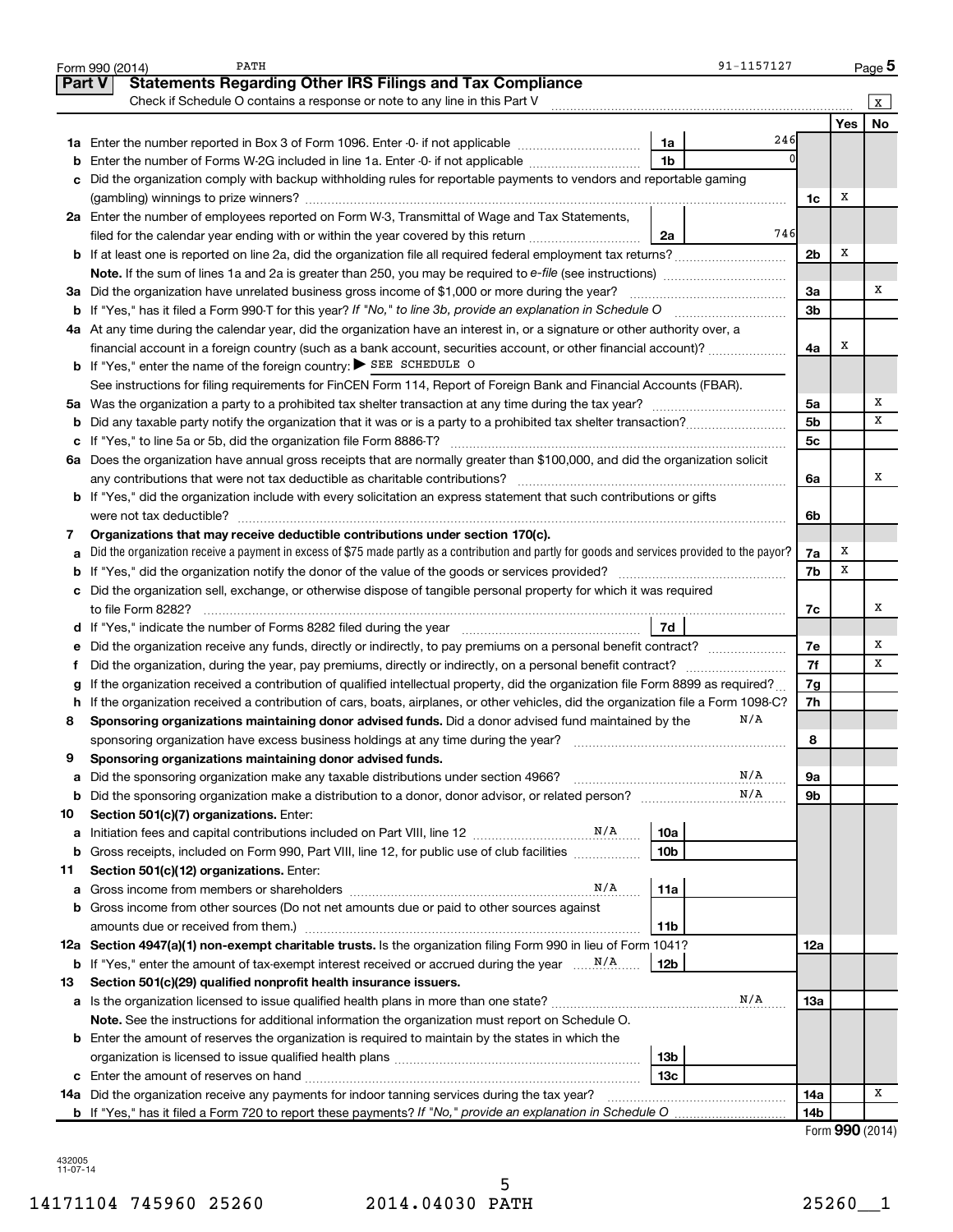|               | PATH<br>91-1157127<br>Form 990 (2014)                                                                                                           |                 |                                                | Page 5    |
|---------------|-------------------------------------------------------------------------------------------------------------------------------------------------|-----------------|------------------------------------------------|-----------|
| <b>Part V</b> | <b>Statements Regarding Other IRS Filings and Tax Compliance</b>                                                                                |                 |                                                |           |
|               | Check if Schedule O contains a response or note to any line in this Part V                                                                      |                 |                                                | x         |
|               |                                                                                                                                                 |                 | <b>Yes</b>                                     | <b>No</b> |
|               | 246<br>1a                                                                                                                                       |                 |                                                |           |
| b             | 1 <sub>b</sub><br>Enter the number of Forms W-2G included in line 1a. Enter -0- if not applicable                                               |                 |                                                |           |
| с             | Did the organization comply with backup withholding rules for reportable payments to vendors and reportable gaming                              |                 |                                                |           |
|               |                                                                                                                                                 | 1c              | Х                                              |           |
|               | 2a Enter the number of employees reported on Form W-3, Transmittal of Wage and Tax Statements,                                                  |                 |                                                |           |
|               | 746<br>filed for the calendar year ending with or within the year covered by this return <i>[[[[[[[[[[[[[[]]]]</i> ]<br>2a                      |                 |                                                |           |
|               |                                                                                                                                                 | 2 <sub>b</sub>  | Х                                              |           |
|               |                                                                                                                                                 |                 |                                                |           |
|               | 3a Did the organization have unrelated business gross income of \$1,000 or more during the year?                                                | За              |                                                | х         |
| b             | If "Yes," has it filed a Form 990 T for this year? If "No," to line 3b, provide an explanation in Schedule O manumerrous                        | 3b              |                                                |           |
|               | 4a At any time during the calendar year, did the organization have an interest in, or a signature or other authority over, a                    |                 |                                                |           |
|               | financial account in a foreign country (such as a bank account, securities account, or other financial account)?                                | 4a              | х                                              |           |
|               | <b>b</b> If "Yes," enter the name of the foreign country: $\triangleright$ SEE SCHEDULE O                                                       |                 |                                                |           |
|               | See instructions for filing requirements for FinCEN Form 114, Report of Foreign Bank and Financial Accounts (FBAR).                             |                 |                                                |           |
|               |                                                                                                                                                 | 5a              |                                                | х         |
|               |                                                                                                                                                 | 5 <sub>b</sub>  |                                                | x         |
| b             |                                                                                                                                                 | 5c              |                                                |           |
| с             |                                                                                                                                                 |                 |                                                |           |
|               | 6a Does the organization have annual gross receipts that are normally greater than \$100,000, and did the organization solicit                  |                 |                                                | х         |
|               |                                                                                                                                                 | 6а              |                                                |           |
|               | <b>b</b> If "Yes," did the organization include with every solicitation an express statement that such contributions or gifts                   |                 |                                                |           |
|               |                                                                                                                                                 | 6b              |                                                |           |
| 7             | Organizations that may receive deductible contributions under section 170(c).                                                                   |                 |                                                |           |
| а             | Did the organization receive a payment in excess of \$75 made partly as a contribution and partly for goods and services provided to the payor? | 7a              | х<br>X                                         |           |
| b             |                                                                                                                                                 | 7b              |                                                |           |
|               | c Did the organization sell, exchange, or otherwise dispose of tangible personal property for which it was required                             |                 |                                                |           |
|               |                                                                                                                                                 | 7c              |                                                | х         |
|               | 7d                                                                                                                                              |                 |                                                |           |
| е             |                                                                                                                                                 | 7е              |                                                | х         |
| f.            | Did the organization, during the year, pay premiums, directly or indirectly, on a personal benefit contract?                                    | 7f              |                                                | x         |
| g             | If the organization received a contribution of qualified intellectual property, did the organization file Form 8899 as required?                | 7g              |                                                |           |
|               | h If the organization received a contribution of cars, boats, airplanes, or other vehicles, did the organization file a Form 1098-C?            | 7h              |                                                |           |
| 8             | N/A<br>Sponsoring organizations maintaining donor advised funds. Did a donor advised fund maintained by the                                     |                 |                                                |           |
|               | sponsoring organization have excess business holdings at any time during the year?                                                              | 8               |                                                |           |
|               | Sponsoring organizations maintaining donor advised funds.                                                                                       |                 |                                                |           |
| а             | N/A<br>Did the sponsoring organization make any taxable distributions under section 4966?                                                       | 9а              |                                                |           |
| b             | N/A                                                                                                                                             | 9b              |                                                |           |
| 10            | Section 501(c)(7) organizations. Enter:                                                                                                         |                 |                                                |           |
| а             | N/A<br>10a<br>Initiation fees and capital contributions included on Part VIII, line 12                                                          |                 |                                                |           |
| b             | Gross receipts, included on Form 990, Part VIII, line 12, for public use of club facilities<br>10 <sub>b</sub>                                  |                 |                                                |           |
| 11            | Section 501(c)(12) organizations. Enter:                                                                                                        |                 |                                                |           |
| а             | N/A<br>11a                                                                                                                                      |                 |                                                |           |
| b             | Gross income from other sources (Do not net amounts due or paid to other sources against                                                        |                 |                                                |           |
|               | amounts due or received from them.)<br>11b                                                                                                      |                 |                                                |           |
|               | 12a Section 4947(a)(1) non-exempt charitable trusts. Is the organization filing Form 990 in lieu of Form 1041?                                  | 12a             |                                                |           |
| b             | If "Yes," enter the amount of tax-exempt interest received or accrued during the year<br>12b                                                    |                 |                                                |           |
| 13            | Section 501(c)(29) qualified nonprofit health insurance issuers.                                                                                |                 |                                                |           |
|               | N/A<br>a Is the organization licensed to issue qualified health plans in more than one state?                                                   | 13a             |                                                |           |
|               | Note. See the instructions for additional information the organization must report on Schedule O.                                               |                 |                                                |           |
|               | <b>b</b> Enter the amount of reserves the organization is required to maintain by the states in which the                                       |                 |                                                |           |
|               | 13 <sub>b</sub>                                                                                                                                 |                 |                                                |           |
| с             | 13с                                                                                                                                             |                 |                                                |           |
|               | 14a Did the organization receive any payments for indoor tanning services during the tax year?                                                  | 14a             |                                                | х         |
|               |                                                                                                                                                 | 14 <sub>b</sub> |                                                |           |
|               |                                                                                                                                                 |                 | $F_{\text{arm}}$ $\Omega \Omega \Omega$ (2014) |           |

|  |  | Form 990 (2014) |
|--|--|-----------------|
|--|--|-----------------|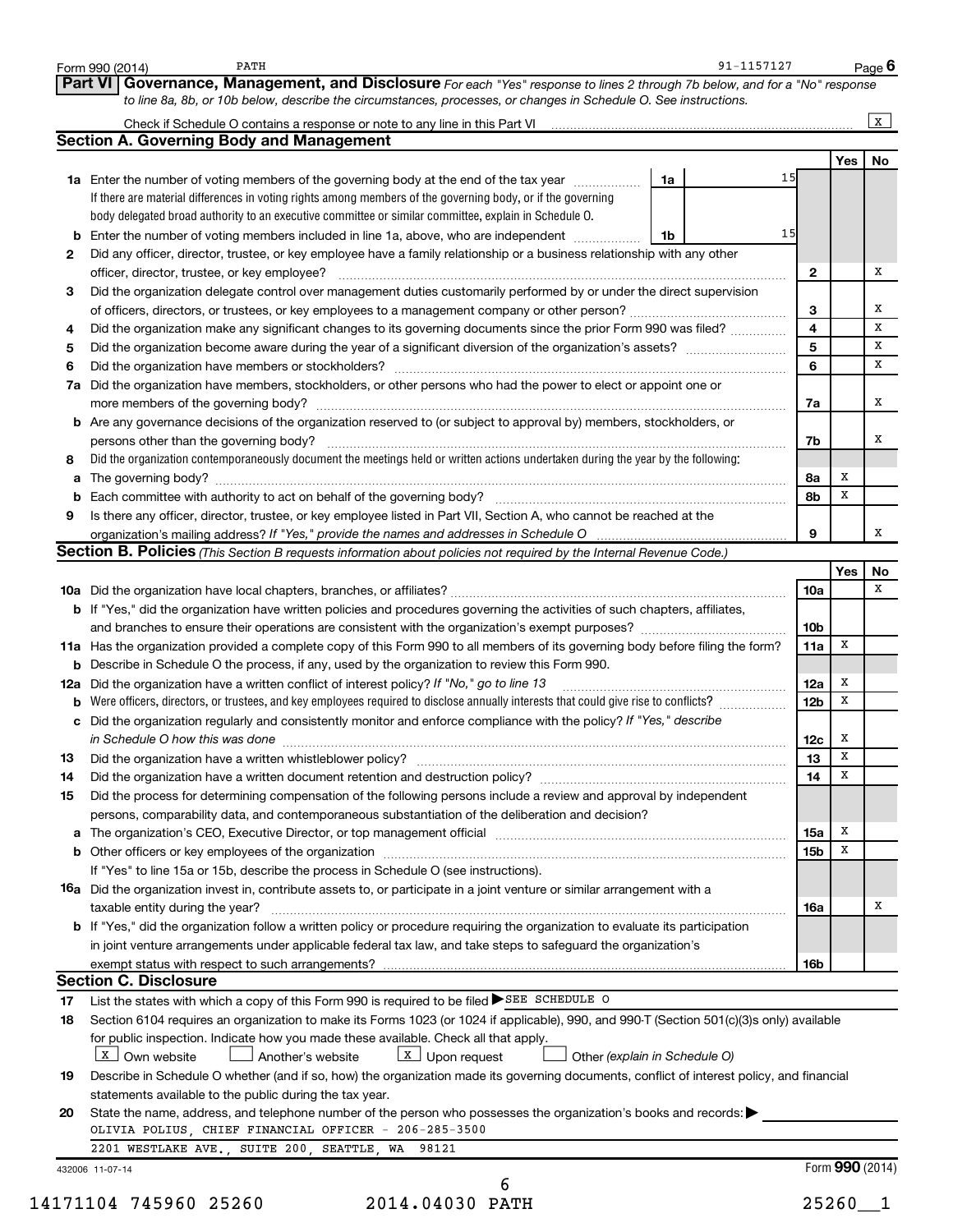| <b>Section A. Governing Body and Management</b><br>Yes  <br>15<br>1a Enter the number of voting members of the governing body at the end of the tax year<br>1a<br>If there are material differences in voting rights among members of the governing body, or if the governing<br>body delegated broad authority to an executive committee or similar committee, explain in Schedule O.<br>15<br>Enter the number of voting members included in line 1a, above, who are independent<br>1b<br>Did any officer, director, trustee, or key employee have a family relationship or a business relationship with any other<br>2<br>$\mathbf{2}$<br>officer, director, trustee, or key employee?<br>Did the organization delegate control over management duties customarily performed by or under the direct supervision<br>З<br>3<br>$\overline{4}$<br>Did the organization make any significant changes to its governing documents since the prior Form 990 was filed?<br>4<br>5<br>5<br>6<br>Did the organization have members, stockholders, or other persons who had the power to elect or appoint one or<br>7a<br>7a<br><b>b</b> Are any governance decisions of the organization reserved to (or subject to approval by) members, stockholders, or<br>persons other than the governing body?<br>7b<br>Did the organization contemporaneously document the meetings held or written actions undertaken during the year by the following:<br>8<br>X<br>8а<br>a<br>х<br>Each committee with authority to act on behalf of the governing body?<br>8b<br>Is there any officer, director, trustee, or key employee listed in Part VII, Section A, who cannot be reached at the<br>9<br>9<br>Section B. Policies (This Section B requests information about policies not required by the Internal Revenue Code.)<br>Yes<br>10a<br>b If "Yes," did the organization have written policies and procedures governing the activities of such chapters, affiliates,<br>10 <sub>b</sub><br>х<br>11a Has the organization provided a complete copy of this Form 990 to all members of its governing body before filing the form?<br>11a<br><b>b</b> Describe in Schedule O the process, if any, used by the organization to review this Form 990.<br>х<br>Did the organization have a written conflict of interest policy? If "No," go to line 13<br>12a<br>х<br><b>b</b> Were officers, directors, or trustees, and key employees required to disclose annually interests that could give rise to conflicts?<br>12 <sub>b</sub><br>Did the organization regularly and consistently monitor and enforce compliance with the policy? If "Yes," describe<br>х<br>in Schedule O how this was done<br>12c<br>х<br>13<br>13<br>X<br>Did the organization have a written document retention and destruction policy? [11] manufaction in the organization have a written document retention and destruction policy?<br>14<br>14<br>Did the process for determining compensation of the following persons include a review and approval by independent<br>15<br>persons, comparability data, and contemporaneous substantiation of the deliberation and decision?<br>Х<br>The organization's CEO, Executive Director, or top management official manufactured content of the organization's CEO, Executive Director, or top management official manufactured content of the state of the state of the st<br>15a<br>X<br>15b<br>If "Yes" to line 15a or 15b, describe the process in Schedule O (see instructions).<br><b>16a</b> Did the organization invest in, contribute assets to, or participate in a joint venture or similar arrangement with a<br>taxable entity during the year?<br>16a<br>b If "Yes," did the organization follow a written policy or procedure requiring the organization to evaluate its participation<br>in joint venture arrangements under applicable federal tax law, and take steps to safeguard the organization's<br>exempt status with respect to such arrangements?<br>16 <sub>b</sub><br><b>Section C. Disclosure</b><br>List the states with which a copy of this Form 990 is required to be filed $\blacktriangleright$ SEE SCHEDULE O<br>17<br>Section 6104 requires an organization to make its Forms 1023 (or 1024 if applicable), 990, and 990-T (Section 501(c)(3)s only) available<br>18<br>for public inspection. Indicate how you made these available. Check all that apply.<br>  X   Own website<br>$\Box$ Another's website<br>$\boxed{\text{X}}$ Upon request<br>Other (explain in Schedule O)<br>Describe in Schedule O whether (and if so, how) the organization made its governing documents, conflict of interest policy, and financial<br>statements available to the public during the tax year.<br>State the name, address, and telephone number of the person who possesses the organization's books and records:<br>OLIVIA POLIUS, CHIEF FINANCIAL OFFICER - 206-285-3500<br>2201 WESTLAKE AVE., SUITE 200, SEATTLE, WA 98121<br>Form 990 (2014)<br>432006 11-07-14<br>6 | 2014.04030 PATH<br>14171104 745960 25260<br>25260 |     | Part VI Governance, Management, and Disclosure For each "Yes" response to lines 2 through 7b below, and for a "No" response<br>to line 8a, 8b, or 10b below, describe the circumstances, processes, or changes in Schedule O. See instructions. |  |              |
|------------------------------------------------------------------------------------------------------------------------------------------------------------------------------------------------------------------------------------------------------------------------------------------------------------------------------------------------------------------------------------------------------------------------------------------------------------------------------------------------------------------------------------------------------------------------------------------------------------------------------------------------------------------------------------------------------------------------------------------------------------------------------------------------------------------------------------------------------------------------------------------------------------------------------------------------------------------------------------------------------------------------------------------------------------------------------------------------------------------------------------------------------------------------------------------------------------------------------------------------------------------------------------------------------------------------------------------------------------------------------------------------------------------------------------------------------------------------------------------------------------------------------------------------------------------------------------------------------------------------------------------------------------------------------------------------------------------------------------------------------------------------------------------------------------------------------------------------------------------------------------------------------------------------------------------------------------------------------------------------------------------------------------------------------------------------------------------------------------------------------------------------------------------------------------------------------------------------------------------------------------------------------------------------------------------------------------------------------------------------------------------------------------------------------------------------------------------------------------------------------------------------------------------------------------------------------------------------------------------------------------------------------------------------------------------------------------------------------------------------------------------------------------------------------------------------------------------------------------------------------------------------------------------------------------------------------------------------------------------------------------------------------------------------------------------------------------------------------------------------------------------------------------------------------------------------------------------------------------------------------------------------------------------------------------------------------------------------------------------------------------------------------------------------------------------------------------------------------------------------------------------------------------------------------------------------------------------------------------------------------------------------------------------------------------------------------------------------------------------------------------------------------------------------------------------------------------------------------------------------------------------------------------------------------------------------------------------------------------------------------------------------------------------------------------------------------------------------------------------------------------------------------------------------------------------------------------------------------------------------------------------------------------------------------------------------------------------------------------------------------------------------------------------------------------------------------------------------------------------------------------------------------------------------------------------------------------------------------------------------------------------------------------------------------------------------------------------------------------------------------------------------------------------------------------------------------------------------------------------------------------------------------------------------------------------------------------------------------------------------------------------|---------------------------------------------------|-----|-------------------------------------------------------------------------------------------------------------------------------------------------------------------------------------------------------------------------------------------------|--|--------------|
|                                                                                                                                                                                                                                                                                                                                                                                                                                                                                                                                                                                                                                                                                                                                                                                                                                                                                                                                                                                                                                                                                                                                                                                                                                                                                                                                                                                                                                                                                                                                                                                                                                                                                                                                                                                                                                                                                                                                                                                                                                                                                                                                                                                                                                                                                                                                                                                                                                                                                                                                                                                                                                                                                                                                                                                                                                                                                                                                                                                                                                                                                                                                                                                                                                                                                                                                                                                                                                                                                                                                                                                                                                                                                                                                                                                                                                                                                                                                                                                                                                                                                                                                                                                                                                                                                                                                                                                                                                                                                                                                                                                                                                                                                                                                                                                                                                                                                                                                                                                                                  |                                                   |     |                                                                                                                                                                                                                                                 |  | $\mathbf{x}$ |
|                                                                                                                                                                                                                                                                                                                                                                                                                                                                                                                                                                                                                                                                                                                                                                                                                                                                                                                                                                                                                                                                                                                                                                                                                                                                                                                                                                                                                                                                                                                                                                                                                                                                                                                                                                                                                                                                                                                                                                                                                                                                                                                                                                                                                                                                                                                                                                                                                                                                                                                                                                                                                                                                                                                                                                                                                                                                                                                                                                                                                                                                                                                                                                                                                                                                                                                                                                                                                                                                                                                                                                                                                                                                                                                                                                                                                                                                                                                                                                                                                                                                                                                                                                                                                                                                                                                                                                                                                                                                                                                                                                                                                                                                                                                                                                                                                                                                                                                                                                                                                  |                                                   |     |                                                                                                                                                                                                                                                 |  |              |
|                                                                                                                                                                                                                                                                                                                                                                                                                                                                                                                                                                                                                                                                                                                                                                                                                                                                                                                                                                                                                                                                                                                                                                                                                                                                                                                                                                                                                                                                                                                                                                                                                                                                                                                                                                                                                                                                                                                                                                                                                                                                                                                                                                                                                                                                                                                                                                                                                                                                                                                                                                                                                                                                                                                                                                                                                                                                                                                                                                                                                                                                                                                                                                                                                                                                                                                                                                                                                                                                                                                                                                                                                                                                                                                                                                                                                                                                                                                                                                                                                                                                                                                                                                                                                                                                                                                                                                                                                                                                                                                                                                                                                                                                                                                                                                                                                                                                                                                                                                                                                  |                                                   |     |                                                                                                                                                                                                                                                 |  | No           |
|                                                                                                                                                                                                                                                                                                                                                                                                                                                                                                                                                                                                                                                                                                                                                                                                                                                                                                                                                                                                                                                                                                                                                                                                                                                                                                                                                                                                                                                                                                                                                                                                                                                                                                                                                                                                                                                                                                                                                                                                                                                                                                                                                                                                                                                                                                                                                                                                                                                                                                                                                                                                                                                                                                                                                                                                                                                                                                                                                                                                                                                                                                                                                                                                                                                                                                                                                                                                                                                                                                                                                                                                                                                                                                                                                                                                                                                                                                                                                                                                                                                                                                                                                                                                                                                                                                                                                                                                                                                                                                                                                                                                                                                                                                                                                                                                                                                                                                                                                                                                                  |                                                   |     |                                                                                                                                                                                                                                                 |  |              |
|                                                                                                                                                                                                                                                                                                                                                                                                                                                                                                                                                                                                                                                                                                                                                                                                                                                                                                                                                                                                                                                                                                                                                                                                                                                                                                                                                                                                                                                                                                                                                                                                                                                                                                                                                                                                                                                                                                                                                                                                                                                                                                                                                                                                                                                                                                                                                                                                                                                                                                                                                                                                                                                                                                                                                                                                                                                                                                                                                                                                                                                                                                                                                                                                                                                                                                                                                                                                                                                                                                                                                                                                                                                                                                                                                                                                                                                                                                                                                                                                                                                                                                                                                                                                                                                                                                                                                                                                                                                                                                                                                                                                                                                                                                                                                                                                                                                                                                                                                                                                                  |                                                   |     |                                                                                                                                                                                                                                                 |  |              |
|                                                                                                                                                                                                                                                                                                                                                                                                                                                                                                                                                                                                                                                                                                                                                                                                                                                                                                                                                                                                                                                                                                                                                                                                                                                                                                                                                                                                                                                                                                                                                                                                                                                                                                                                                                                                                                                                                                                                                                                                                                                                                                                                                                                                                                                                                                                                                                                                                                                                                                                                                                                                                                                                                                                                                                                                                                                                                                                                                                                                                                                                                                                                                                                                                                                                                                                                                                                                                                                                                                                                                                                                                                                                                                                                                                                                                                                                                                                                                                                                                                                                                                                                                                                                                                                                                                                                                                                                                                                                                                                                                                                                                                                                                                                                                                                                                                                                                                                                                                                                                  |                                                   |     |                                                                                                                                                                                                                                                 |  |              |
|                                                                                                                                                                                                                                                                                                                                                                                                                                                                                                                                                                                                                                                                                                                                                                                                                                                                                                                                                                                                                                                                                                                                                                                                                                                                                                                                                                                                                                                                                                                                                                                                                                                                                                                                                                                                                                                                                                                                                                                                                                                                                                                                                                                                                                                                                                                                                                                                                                                                                                                                                                                                                                                                                                                                                                                                                                                                                                                                                                                                                                                                                                                                                                                                                                                                                                                                                                                                                                                                                                                                                                                                                                                                                                                                                                                                                                                                                                                                                                                                                                                                                                                                                                                                                                                                                                                                                                                                                                                                                                                                                                                                                                                                                                                                                                                                                                                                                                                                                                                                                  |                                                   |     |                                                                                                                                                                                                                                                 |  |              |
|                                                                                                                                                                                                                                                                                                                                                                                                                                                                                                                                                                                                                                                                                                                                                                                                                                                                                                                                                                                                                                                                                                                                                                                                                                                                                                                                                                                                                                                                                                                                                                                                                                                                                                                                                                                                                                                                                                                                                                                                                                                                                                                                                                                                                                                                                                                                                                                                                                                                                                                                                                                                                                                                                                                                                                                                                                                                                                                                                                                                                                                                                                                                                                                                                                                                                                                                                                                                                                                                                                                                                                                                                                                                                                                                                                                                                                                                                                                                                                                                                                                                                                                                                                                                                                                                                                                                                                                                                                                                                                                                                                                                                                                                                                                                                                                                                                                                                                                                                                                                                  |                                                   |     |                                                                                                                                                                                                                                                 |  |              |
|                                                                                                                                                                                                                                                                                                                                                                                                                                                                                                                                                                                                                                                                                                                                                                                                                                                                                                                                                                                                                                                                                                                                                                                                                                                                                                                                                                                                                                                                                                                                                                                                                                                                                                                                                                                                                                                                                                                                                                                                                                                                                                                                                                                                                                                                                                                                                                                                                                                                                                                                                                                                                                                                                                                                                                                                                                                                                                                                                                                                                                                                                                                                                                                                                                                                                                                                                                                                                                                                                                                                                                                                                                                                                                                                                                                                                                                                                                                                                                                                                                                                                                                                                                                                                                                                                                                                                                                                                                                                                                                                                                                                                                                                                                                                                                                                                                                                                                                                                                                                                  |                                                   |     |                                                                                                                                                                                                                                                 |  |              |
|                                                                                                                                                                                                                                                                                                                                                                                                                                                                                                                                                                                                                                                                                                                                                                                                                                                                                                                                                                                                                                                                                                                                                                                                                                                                                                                                                                                                                                                                                                                                                                                                                                                                                                                                                                                                                                                                                                                                                                                                                                                                                                                                                                                                                                                                                                                                                                                                                                                                                                                                                                                                                                                                                                                                                                                                                                                                                                                                                                                                                                                                                                                                                                                                                                                                                                                                                                                                                                                                                                                                                                                                                                                                                                                                                                                                                                                                                                                                                                                                                                                                                                                                                                                                                                                                                                                                                                                                                                                                                                                                                                                                                                                                                                                                                                                                                                                                                                                                                                                                                  |                                                   |     |                                                                                                                                                                                                                                                 |  |              |
|                                                                                                                                                                                                                                                                                                                                                                                                                                                                                                                                                                                                                                                                                                                                                                                                                                                                                                                                                                                                                                                                                                                                                                                                                                                                                                                                                                                                                                                                                                                                                                                                                                                                                                                                                                                                                                                                                                                                                                                                                                                                                                                                                                                                                                                                                                                                                                                                                                                                                                                                                                                                                                                                                                                                                                                                                                                                                                                                                                                                                                                                                                                                                                                                                                                                                                                                                                                                                                                                                                                                                                                                                                                                                                                                                                                                                                                                                                                                                                                                                                                                                                                                                                                                                                                                                                                                                                                                                                                                                                                                                                                                                                                                                                                                                                                                                                                                                                                                                                                                                  |                                                   |     |                                                                                                                                                                                                                                                 |  |              |
|                                                                                                                                                                                                                                                                                                                                                                                                                                                                                                                                                                                                                                                                                                                                                                                                                                                                                                                                                                                                                                                                                                                                                                                                                                                                                                                                                                                                                                                                                                                                                                                                                                                                                                                                                                                                                                                                                                                                                                                                                                                                                                                                                                                                                                                                                                                                                                                                                                                                                                                                                                                                                                                                                                                                                                                                                                                                                                                                                                                                                                                                                                                                                                                                                                                                                                                                                                                                                                                                                                                                                                                                                                                                                                                                                                                                                                                                                                                                                                                                                                                                                                                                                                                                                                                                                                                                                                                                                                                                                                                                                                                                                                                                                                                                                                                                                                                                                                                                                                                                                  |                                                   |     |                                                                                                                                                                                                                                                 |  |              |
|                                                                                                                                                                                                                                                                                                                                                                                                                                                                                                                                                                                                                                                                                                                                                                                                                                                                                                                                                                                                                                                                                                                                                                                                                                                                                                                                                                                                                                                                                                                                                                                                                                                                                                                                                                                                                                                                                                                                                                                                                                                                                                                                                                                                                                                                                                                                                                                                                                                                                                                                                                                                                                                                                                                                                                                                                                                                                                                                                                                                                                                                                                                                                                                                                                                                                                                                                                                                                                                                                                                                                                                                                                                                                                                                                                                                                                                                                                                                                                                                                                                                                                                                                                                                                                                                                                                                                                                                                                                                                                                                                                                                                                                                                                                                                                                                                                                                                                                                                                                                                  |                                                   |     |                                                                                                                                                                                                                                                 |  |              |
|                                                                                                                                                                                                                                                                                                                                                                                                                                                                                                                                                                                                                                                                                                                                                                                                                                                                                                                                                                                                                                                                                                                                                                                                                                                                                                                                                                                                                                                                                                                                                                                                                                                                                                                                                                                                                                                                                                                                                                                                                                                                                                                                                                                                                                                                                                                                                                                                                                                                                                                                                                                                                                                                                                                                                                                                                                                                                                                                                                                                                                                                                                                                                                                                                                                                                                                                                                                                                                                                                                                                                                                                                                                                                                                                                                                                                                                                                                                                                                                                                                                                                                                                                                                                                                                                                                                                                                                                                                                                                                                                                                                                                                                                                                                                                                                                                                                                                                                                                                                                                  |                                                   | 6   |                                                                                                                                                                                                                                                 |  |              |
|                                                                                                                                                                                                                                                                                                                                                                                                                                                                                                                                                                                                                                                                                                                                                                                                                                                                                                                                                                                                                                                                                                                                                                                                                                                                                                                                                                                                                                                                                                                                                                                                                                                                                                                                                                                                                                                                                                                                                                                                                                                                                                                                                                                                                                                                                                                                                                                                                                                                                                                                                                                                                                                                                                                                                                                                                                                                                                                                                                                                                                                                                                                                                                                                                                                                                                                                                                                                                                                                                                                                                                                                                                                                                                                                                                                                                                                                                                                                                                                                                                                                                                                                                                                                                                                                                                                                                                                                                                                                                                                                                                                                                                                                                                                                                                                                                                                                                                                                                                                                                  |                                                   |     |                                                                                                                                                                                                                                                 |  |              |
|                                                                                                                                                                                                                                                                                                                                                                                                                                                                                                                                                                                                                                                                                                                                                                                                                                                                                                                                                                                                                                                                                                                                                                                                                                                                                                                                                                                                                                                                                                                                                                                                                                                                                                                                                                                                                                                                                                                                                                                                                                                                                                                                                                                                                                                                                                                                                                                                                                                                                                                                                                                                                                                                                                                                                                                                                                                                                                                                                                                                                                                                                                                                                                                                                                                                                                                                                                                                                                                                                                                                                                                                                                                                                                                                                                                                                                                                                                                                                                                                                                                                                                                                                                                                                                                                                                                                                                                                                                                                                                                                                                                                                                                                                                                                                                                                                                                                                                                                                                                                                  |                                                   |     |                                                                                                                                                                                                                                                 |  |              |
|                                                                                                                                                                                                                                                                                                                                                                                                                                                                                                                                                                                                                                                                                                                                                                                                                                                                                                                                                                                                                                                                                                                                                                                                                                                                                                                                                                                                                                                                                                                                                                                                                                                                                                                                                                                                                                                                                                                                                                                                                                                                                                                                                                                                                                                                                                                                                                                                                                                                                                                                                                                                                                                                                                                                                                                                                                                                                                                                                                                                                                                                                                                                                                                                                                                                                                                                                                                                                                                                                                                                                                                                                                                                                                                                                                                                                                                                                                                                                                                                                                                                                                                                                                                                                                                                                                                                                                                                                                                                                                                                                                                                                                                                                                                                                                                                                                                                                                                                                                                                                  |                                                   |     |                                                                                                                                                                                                                                                 |  |              |
|                                                                                                                                                                                                                                                                                                                                                                                                                                                                                                                                                                                                                                                                                                                                                                                                                                                                                                                                                                                                                                                                                                                                                                                                                                                                                                                                                                                                                                                                                                                                                                                                                                                                                                                                                                                                                                                                                                                                                                                                                                                                                                                                                                                                                                                                                                                                                                                                                                                                                                                                                                                                                                                                                                                                                                                                                                                                                                                                                                                                                                                                                                                                                                                                                                                                                                                                                                                                                                                                                                                                                                                                                                                                                                                                                                                                                                                                                                                                                                                                                                                                                                                                                                                                                                                                                                                                                                                                                                                                                                                                                                                                                                                                                                                                                                                                                                                                                                                                                                                                                  |                                                   |     |                                                                                                                                                                                                                                                 |  |              |
|                                                                                                                                                                                                                                                                                                                                                                                                                                                                                                                                                                                                                                                                                                                                                                                                                                                                                                                                                                                                                                                                                                                                                                                                                                                                                                                                                                                                                                                                                                                                                                                                                                                                                                                                                                                                                                                                                                                                                                                                                                                                                                                                                                                                                                                                                                                                                                                                                                                                                                                                                                                                                                                                                                                                                                                                                                                                                                                                                                                                                                                                                                                                                                                                                                                                                                                                                                                                                                                                                                                                                                                                                                                                                                                                                                                                                                                                                                                                                                                                                                                                                                                                                                                                                                                                                                                                                                                                                                                                                                                                                                                                                                                                                                                                                                                                                                                                                                                                                                                                                  |                                                   |     |                                                                                                                                                                                                                                                 |  |              |
|                                                                                                                                                                                                                                                                                                                                                                                                                                                                                                                                                                                                                                                                                                                                                                                                                                                                                                                                                                                                                                                                                                                                                                                                                                                                                                                                                                                                                                                                                                                                                                                                                                                                                                                                                                                                                                                                                                                                                                                                                                                                                                                                                                                                                                                                                                                                                                                                                                                                                                                                                                                                                                                                                                                                                                                                                                                                                                                                                                                                                                                                                                                                                                                                                                                                                                                                                                                                                                                                                                                                                                                                                                                                                                                                                                                                                                                                                                                                                                                                                                                                                                                                                                                                                                                                                                                                                                                                                                                                                                                                                                                                                                                                                                                                                                                                                                                                                                                                                                                                                  |                                                   |     |                                                                                                                                                                                                                                                 |  |              |
|                                                                                                                                                                                                                                                                                                                                                                                                                                                                                                                                                                                                                                                                                                                                                                                                                                                                                                                                                                                                                                                                                                                                                                                                                                                                                                                                                                                                                                                                                                                                                                                                                                                                                                                                                                                                                                                                                                                                                                                                                                                                                                                                                                                                                                                                                                                                                                                                                                                                                                                                                                                                                                                                                                                                                                                                                                                                                                                                                                                                                                                                                                                                                                                                                                                                                                                                                                                                                                                                                                                                                                                                                                                                                                                                                                                                                                                                                                                                                                                                                                                                                                                                                                                                                                                                                                                                                                                                                                                                                                                                                                                                                                                                                                                                                                                                                                                                                                                                                                                                                  |                                                   |     |                                                                                                                                                                                                                                                 |  |              |
|                                                                                                                                                                                                                                                                                                                                                                                                                                                                                                                                                                                                                                                                                                                                                                                                                                                                                                                                                                                                                                                                                                                                                                                                                                                                                                                                                                                                                                                                                                                                                                                                                                                                                                                                                                                                                                                                                                                                                                                                                                                                                                                                                                                                                                                                                                                                                                                                                                                                                                                                                                                                                                                                                                                                                                                                                                                                                                                                                                                                                                                                                                                                                                                                                                                                                                                                                                                                                                                                                                                                                                                                                                                                                                                                                                                                                                                                                                                                                                                                                                                                                                                                                                                                                                                                                                                                                                                                                                                                                                                                                                                                                                                                                                                                                                                                                                                                                                                                                                                                                  |                                                   |     |                                                                                                                                                                                                                                                 |  |              |
|                                                                                                                                                                                                                                                                                                                                                                                                                                                                                                                                                                                                                                                                                                                                                                                                                                                                                                                                                                                                                                                                                                                                                                                                                                                                                                                                                                                                                                                                                                                                                                                                                                                                                                                                                                                                                                                                                                                                                                                                                                                                                                                                                                                                                                                                                                                                                                                                                                                                                                                                                                                                                                                                                                                                                                                                                                                                                                                                                                                                                                                                                                                                                                                                                                                                                                                                                                                                                                                                                                                                                                                                                                                                                                                                                                                                                                                                                                                                                                                                                                                                                                                                                                                                                                                                                                                                                                                                                                                                                                                                                                                                                                                                                                                                                                                                                                                                                                                                                                                                                  |                                                   |     |                                                                                                                                                                                                                                                 |  |              |
|                                                                                                                                                                                                                                                                                                                                                                                                                                                                                                                                                                                                                                                                                                                                                                                                                                                                                                                                                                                                                                                                                                                                                                                                                                                                                                                                                                                                                                                                                                                                                                                                                                                                                                                                                                                                                                                                                                                                                                                                                                                                                                                                                                                                                                                                                                                                                                                                                                                                                                                                                                                                                                                                                                                                                                                                                                                                                                                                                                                                                                                                                                                                                                                                                                                                                                                                                                                                                                                                                                                                                                                                                                                                                                                                                                                                                                                                                                                                                                                                                                                                                                                                                                                                                                                                                                                                                                                                                                                                                                                                                                                                                                                                                                                                                                                                                                                                                                                                                                                                                  |                                                   |     |                                                                                                                                                                                                                                                 |  |              |
|                                                                                                                                                                                                                                                                                                                                                                                                                                                                                                                                                                                                                                                                                                                                                                                                                                                                                                                                                                                                                                                                                                                                                                                                                                                                                                                                                                                                                                                                                                                                                                                                                                                                                                                                                                                                                                                                                                                                                                                                                                                                                                                                                                                                                                                                                                                                                                                                                                                                                                                                                                                                                                                                                                                                                                                                                                                                                                                                                                                                                                                                                                                                                                                                                                                                                                                                                                                                                                                                                                                                                                                                                                                                                                                                                                                                                                                                                                                                                                                                                                                                                                                                                                                                                                                                                                                                                                                                                                                                                                                                                                                                                                                                                                                                                                                                                                                                                                                                                                                                                  |                                                   |     |                                                                                                                                                                                                                                                 |  |              |
|                                                                                                                                                                                                                                                                                                                                                                                                                                                                                                                                                                                                                                                                                                                                                                                                                                                                                                                                                                                                                                                                                                                                                                                                                                                                                                                                                                                                                                                                                                                                                                                                                                                                                                                                                                                                                                                                                                                                                                                                                                                                                                                                                                                                                                                                                                                                                                                                                                                                                                                                                                                                                                                                                                                                                                                                                                                                                                                                                                                                                                                                                                                                                                                                                                                                                                                                                                                                                                                                                                                                                                                                                                                                                                                                                                                                                                                                                                                                                                                                                                                                                                                                                                                                                                                                                                                                                                                                                                                                                                                                                                                                                                                                                                                                                                                                                                                                                                                                                                                                                  |                                                   |     |                                                                                                                                                                                                                                                 |  |              |
|                                                                                                                                                                                                                                                                                                                                                                                                                                                                                                                                                                                                                                                                                                                                                                                                                                                                                                                                                                                                                                                                                                                                                                                                                                                                                                                                                                                                                                                                                                                                                                                                                                                                                                                                                                                                                                                                                                                                                                                                                                                                                                                                                                                                                                                                                                                                                                                                                                                                                                                                                                                                                                                                                                                                                                                                                                                                                                                                                                                                                                                                                                                                                                                                                                                                                                                                                                                                                                                                                                                                                                                                                                                                                                                                                                                                                                                                                                                                                                                                                                                                                                                                                                                                                                                                                                                                                                                                                                                                                                                                                                                                                                                                                                                                                                                                                                                                                                                                                                                                                  |                                                   |     |                                                                                                                                                                                                                                                 |  |              |
|                                                                                                                                                                                                                                                                                                                                                                                                                                                                                                                                                                                                                                                                                                                                                                                                                                                                                                                                                                                                                                                                                                                                                                                                                                                                                                                                                                                                                                                                                                                                                                                                                                                                                                                                                                                                                                                                                                                                                                                                                                                                                                                                                                                                                                                                                                                                                                                                                                                                                                                                                                                                                                                                                                                                                                                                                                                                                                                                                                                                                                                                                                                                                                                                                                                                                                                                                                                                                                                                                                                                                                                                                                                                                                                                                                                                                                                                                                                                                                                                                                                                                                                                                                                                                                                                                                                                                                                                                                                                                                                                                                                                                                                                                                                                                                                                                                                                                                                                                                                                                  |                                                   |     |                                                                                                                                                                                                                                                 |  |              |
|                                                                                                                                                                                                                                                                                                                                                                                                                                                                                                                                                                                                                                                                                                                                                                                                                                                                                                                                                                                                                                                                                                                                                                                                                                                                                                                                                                                                                                                                                                                                                                                                                                                                                                                                                                                                                                                                                                                                                                                                                                                                                                                                                                                                                                                                                                                                                                                                                                                                                                                                                                                                                                                                                                                                                                                                                                                                                                                                                                                                                                                                                                                                                                                                                                                                                                                                                                                                                                                                                                                                                                                                                                                                                                                                                                                                                                                                                                                                                                                                                                                                                                                                                                                                                                                                                                                                                                                                                                                                                                                                                                                                                                                                                                                                                                                                                                                                                                                                                                                                                  |                                                   |     |                                                                                                                                                                                                                                                 |  |              |
|                                                                                                                                                                                                                                                                                                                                                                                                                                                                                                                                                                                                                                                                                                                                                                                                                                                                                                                                                                                                                                                                                                                                                                                                                                                                                                                                                                                                                                                                                                                                                                                                                                                                                                                                                                                                                                                                                                                                                                                                                                                                                                                                                                                                                                                                                                                                                                                                                                                                                                                                                                                                                                                                                                                                                                                                                                                                                                                                                                                                                                                                                                                                                                                                                                                                                                                                                                                                                                                                                                                                                                                                                                                                                                                                                                                                                                                                                                                                                                                                                                                                                                                                                                                                                                                                                                                                                                                                                                                                                                                                                                                                                                                                                                                                                                                                                                                                                                                                                                                                                  |                                                   |     |                                                                                                                                                                                                                                                 |  |              |
|                                                                                                                                                                                                                                                                                                                                                                                                                                                                                                                                                                                                                                                                                                                                                                                                                                                                                                                                                                                                                                                                                                                                                                                                                                                                                                                                                                                                                                                                                                                                                                                                                                                                                                                                                                                                                                                                                                                                                                                                                                                                                                                                                                                                                                                                                                                                                                                                                                                                                                                                                                                                                                                                                                                                                                                                                                                                                                                                                                                                                                                                                                                                                                                                                                                                                                                                                                                                                                                                                                                                                                                                                                                                                                                                                                                                                                                                                                                                                                                                                                                                                                                                                                                                                                                                                                                                                                                                                                                                                                                                                                                                                                                                                                                                                                                                                                                                                                                                                                                                                  |                                                   | 12a |                                                                                                                                                                                                                                                 |  |              |
|                                                                                                                                                                                                                                                                                                                                                                                                                                                                                                                                                                                                                                                                                                                                                                                                                                                                                                                                                                                                                                                                                                                                                                                                                                                                                                                                                                                                                                                                                                                                                                                                                                                                                                                                                                                                                                                                                                                                                                                                                                                                                                                                                                                                                                                                                                                                                                                                                                                                                                                                                                                                                                                                                                                                                                                                                                                                                                                                                                                                                                                                                                                                                                                                                                                                                                                                                                                                                                                                                                                                                                                                                                                                                                                                                                                                                                                                                                                                                                                                                                                                                                                                                                                                                                                                                                                                                                                                                                                                                                                                                                                                                                                                                                                                                                                                                                                                                                                                                                                                                  |                                                   |     |                                                                                                                                                                                                                                                 |  |              |
|                                                                                                                                                                                                                                                                                                                                                                                                                                                                                                                                                                                                                                                                                                                                                                                                                                                                                                                                                                                                                                                                                                                                                                                                                                                                                                                                                                                                                                                                                                                                                                                                                                                                                                                                                                                                                                                                                                                                                                                                                                                                                                                                                                                                                                                                                                                                                                                                                                                                                                                                                                                                                                                                                                                                                                                                                                                                                                                                                                                                                                                                                                                                                                                                                                                                                                                                                                                                                                                                                                                                                                                                                                                                                                                                                                                                                                                                                                                                                                                                                                                                                                                                                                                                                                                                                                                                                                                                                                                                                                                                                                                                                                                                                                                                                                                                                                                                                                                                                                                                                  |                                                   |     |                                                                                                                                                                                                                                                 |  |              |
|                                                                                                                                                                                                                                                                                                                                                                                                                                                                                                                                                                                                                                                                                                                                                                                                                                                                                                                                                                                                                                                                                                                                                                                                                                                                                                                                                                                                                                                                                                                                                                                                                                                                                                                                                                                                                                                                                                                                                                                                                                                                                                                                                                                                                                                                                                                                                                                                                                                                                                                                                                                                                                                                                                                                                                                                                                                                                                                                                                                                                                                                                                                                                                                                                                                                                                                                                                                                                                                                                                                                                                                                                                                                                                                                                                                                                                                                                                                                                                                                                                                                                                                                                                                                                                                                                                                                                                                                                                                                                                                                                                                                                                                                                                                                                                                                                                                                                                                                                                                                                  |                                                   |     |                                                                                                                                                                                                                                                 |  |              |
|                                                                                                                                                                                                                                                                                                                                                                                                                                                                                                                                                                                                                                                                                                                                                                                                                                                                                                                                                                                                                                                                                                                                                                                                                                                                                                                                                                                                                                                                                                                                                                                                                                                                                                                                                                                                                                                                                                                                                                                                                                                                                                                                                                                                                                                                                                                                                                                                                                                                                                                                                                                                                                                                                                                                                                                                                                                                                                                                                                                                                                                                                                                                                                                                                                                                                                                                                                                                                                                                                                                                                                                                                                                                                                                                                                                                                                                                                                                                                                                                                                                                                                                                                                                                                                                                                                                                                                                                                                                                                                                                                                                                                                                                                                                                                                                                                                                                                                                                                                                                                  |                                                   |     |                                                                                                                                                                                                                                                 |  |              |
|                                                                                                                                                                                                                                                                                                                                                                                                                                                                                                                                                                                                                                                                                                                                                                                                                                                                                                                                                                                                                                                                                                                                                                                                                                                                                                                                                                                                                                                                                                                                                                                                                                                                                                                                                                                                                                                                                                                                                                                                                                                                                                                                                                                                                                                                                                                                                                                                                                                                                                                                                                                                                                                                                                                                                                                                                                                                                                                                                                                                                                                                                                                                                                                                                                                                                                                                                                                                                                                                                                                                                                                                                                                                                                                                                                                                                                                                                                                                                                                                                                                                                                                                                                                                                                                                                                                                                                                                                                                                                                                                                                                                                                                                                                                                                                                                                                                                                                                                                                                                                  |                                                   |     |                                                                                                                                                                                                                                                 |  |              |
|                                                                                                                                                                                                                                                                                                                                                                                                                                                                                                                                                                                                                                                                                                                                                                                                                                                                                                                                                                                                                                                                                                                                                                                                                                                                                                                                                                                                                                                                                                                                                                                                                                                                                                                                                                                                                                                                                                                                                                                                                                                                                                                                                                                                                                                                                                                                                                                                                                                                                                                                                                                                                                                                                                                                                                                                                                                                                                                                                                                                                                                                                                                                                                                                                                                                                                                                                                                                                                                                                                                                                                                                                                                                                                                                                                                                                                                                                                                                                                                                                                                                                                                                                                                                                                                                                                                                                                                                                                                                                                                                                                                                                                                                                                                                                                                                                                                                                                                                                                                                                  |                                                   |     |                                                                                                                                                                                                                                                 |  |              |
|                                                                                                                                                                                                                                                                                                                                                                                                                                                                                                                                                                                                                                                                                                                                                                                                                                                                                                                                                                                                                                                                                                                                                                                                                                                                                                                                                                                                                                                                                                                                                                                                                                                                                                                                                                                                                                                                                                                                                                                                                                                                                                                                                                                                                                                                                                                                                                                                                                                                                                                                                                                                                                                                                                                                                                                                                                                                                                                                                                                                                                                                                                                                                                                                                                                                                                                                                                                                                                                                                                                                                                                                                                                                                                                                                                                                                                                                                                                                                                                                                                                                                                                                                                                                                                                                                                                                                                                                                                                                                                                                                                                                                                                                                                                                                                                                                                                                                                                                                                                                                  |                                                   |     |                                                                                                                                                                                                                                                 |  |              |
|                                                                                                                                                                                                                                                                                                                                                                                                                                                                                                                                                                                                                                                                                                                                                                                                                                                                                                                                                                                                                                                                                                                                                                                                                                                                                                                                                                                                                                                                                                                                                                                                                                                                                                                                                                                                                                                                                                                                                                                                                                                                                                                                                                                                                                                                                                                                                                                                                                                                                                                                                                                                                                                                                                                                                                                                                                                                                                                                                                                                                                                                                                                                                                                                                                                                                                                                                                                                                                                                                                                                                                                                                                                                                                                                                                                                                                                                                                                                                                                                                                                                                                                                                                                                                                                                                                                                                                                                                                                                                                                                                                                                                                                                                                                                                                                                                                                                                                                                                                                                                  |                                                   |     |                                                                                                                                                                                                                                                 |  |              |
|                                                                                                                                                                                                                                                                                                                                                                                                                                                                                                                                                                                                                                                                                                                                                                                                                                                                                                                                                                                                                                                                                                                                                                                                                                                                                                                                                                                                                                                                                                                                                                                                                                                                                                                                                                                                                                                                                                                                                                                                                                                                                                                                                                                                                                                                                                                                                                                                                                                                                                                                                                                                                                                                                                                                                                                                                                                                                                                                                                                                                                                                                                                                                                                                                                                                                                                                                                                                                                                                                                                                                                                                                                                                                                                                                                                                                                                                                                                                                                                                                                                                                                                                                                                                                                                                                                                                                                                                                                                                                                                                                                                                                                                                                                                                                                                                                                                                                                                                                                                                                  |                                                   |     |                                                                                                                                                                                                                                                 |  |              |
|                                                                                                                                                                                                                                                                                                                                                                                                                                                                                                                                                                                                                                                                                                                                                                                                                                                                                                                                                                                                                                                                                                                                                                                                                                                                                                                                                                                                                                                                                                                                                                                                                                                                                                                                                                                                                                                                                                                                                                                                                                                                                                                                                                                                                                                                                                                                                                                                                                                                                                                                                                                                                                                                                                                                                                                                                                                                                                                                                                                                                                                                                                                                                                                                                                                                                                                                                                                                                                                                                                                                                                                                                                                                                                                                                                                                                                                                                                                                                                                                                                                                                                                                                                                                                                                                                                                                                                                                                                                                                                                                                                                                                                                                                                                                                                                                                                                                                                                                                                                                                  |                                                   |     |                                                                                                                                                                                                                                                 |  |              |
|                                                                                                                                                                                                                                                                                                                                                                                                                                                                                                                                                                                                                                                                                                                                                                                                                                                                                                                                                                                                                                                                                                                                                                                                                                                                                                                                                                                                                                                                                                                                                                                                                                                                                                                                                                                                                                                                                                                                                                                                                                                                                                                                                                                                                                                                                                                                                                                                                                                                                                                                                                                                                                                                                                                                                                                                                                                                                                                                                                                                                                                                                                                                                                                                                                                                                                                                                                                                                                                                                                                                                                                                                                                                                                                                                                                                                                                                                                                                                                                                                                                                                                                                                                                                                                                                                                                                                                                                                                                                                                                                                                                                                                                                                                                                                                                                                                                                                                                                                                                                                  |                                                   |     |                                                                                                                                                                                                                                                 |  |              |
|                                                                                                                                                                                                                                                                                                                                                                                                                                                                                                                                                                                                                                                                                                                                                                                                                                                                                                                                                                                                                                                                                                                                                                                                                                                                                                                                                                                                                                                                                                                                                                                                                                                                                                                                                                                                                                                                                                                                                                                                                                                                                                                                                                                                                                                                                                                                                                                                                                                                                                                                                                                                                                                                                                                                                                                                                                                                                                                                                                                                                                                                                                                                                                                                                                                                                                                                                                                                                                                                                                                                                                                                                                                                                                                                                                                                                                                                                                                                                                                                                                                                                                                                                                                                                                                                                                                                                                                                                                                                                                                                                                                                                                                                                                                                                                                                                                                                                                                                                                                                                  |                                                   |     |                                                                                                                                                                                                                                                 |  |              |
|                                                                                                                                                                                                                                                                                                                                                                                                                                                                                                                                                                                                                                                                                                                                                                                                                                                                                                                                                                                                                                                                                                                                                                                                                                                                                                                                                                                                                                                                                                                                                                                                                                                                                                                                                                                                                                                                                                                                                                                                                                                                                                                                                                                                                                                                                                                                                                                                                                                                                                                                                                                                                                                                                                                                                                                                                                                                                                                                                                                                                                                                                                                                                                                                                                                                                                                                                                                                                                                                                                                                                                                                                                                                                                                                                                                                                                                                                                                                                                                                                                                                                                                                                                                                                                                                                                                                                                                                                                                                                                                                                                                                                                                                                                                                                                                                                                                                                                                                                                                                                  |                                                   |     |                                                                                                                                                                                                                                                 |  |              |
|                                                                                                                                                                                                                                                                                                                                                                                                                                                                                                                                                                                                                                                                                                                                                                                                                                                                                                                                                                                                                                                                                                                                                                                                                                                                                                                                                                                                                                                                                                                                                                                                                                                                                                                                                                                                                                                                                                                                                                                                                                                                                                                                                                                                                                                                                                                                                                                                                                                                                                                                                                                                                                                                                                                                                                                                                                                                                                                                                                                                                                                                                                                                                                                                                                                                                                                                                                                                                                                                                                                                                                                                                                                                                                                                                                                                                                                                                                                                                                                                                                                                                                                                                                                                                                                                                                                                                                                                                                                                                                                                                                                                                                                                                                                                                                                                                                                                                                                                                                                                                  |                                                   |     |                                                                                                                                                                                                                                                 |  |              |
|                                                                                                                                                                                                                                                                                                                                                                                                                                                                                                                                                                                                                                                                                                                                                                                                                                                                                                                                                                                                                                                                                                                                                                                                                                                                                                                                                                                                                                                                                                                                                                                                                                                                                                                                                                                                                                                                                                                                                                                                                                                                                                                                                                                                                                                                                                                                                                                                                                                                                                                                                                                                                                                                                                                                                                                                                                                                                                                                                                                                                                                                                                                                                                                                                                                                                                                                                                                                                                                                                                                                                                                                                                                                                                                                                                                                                                                                                                                                                                                                                                                                                                                                                                                                                                                                                                                                                                                                                                                                                                                                                                                                                                                                                                                                                                                                                                                                                                                                                                                                                  |                                                   |     |                                                                                                                                                                                                                                                 |  |              |
|                                                                                                                                                                                                                                                                                                                                                                                                                                                                                                                                                                                                                                                                                                                                                                                                                                                                                                                                                                                                                                                                                                                                                                                                                                                                                                                                                                                                                                                                                                                                                                                                                                                                                                                                                                                                                                                                                                                                                                                                                                                                                                                                                                                                                                                                                                                                                                                                                                                                                                                                                                                                                                                                                                                                                                                                                                                                                                                                                                                                                                                                                                                                                                                                                                                                                                                                                                                                                                                                                                                                                                                                                                                                                                                                                                                                                                                                                                                                                                                                                                                                                                                                                                                                                                                                                                                                                                                                                                                                                                                                                                                                                                                                                                                                                                                                                                                                                                                                                                                                                  |                                                   |     |                                                                                                                                                                                                                                                 |  |              |
|                                                                                                                                                                                                                                                                                                                                                                                                                                                                                                                                                                                                                                                                                                                                                                                                                                                                                                                                                                                                                                                                                                                                                                                                                                                                                                                                                                                                                                                                                                                                                                                                                                                                                                                                                                                                                                                                                                                                                                                                                                                                                                                                                                                                                                                                                                                                                                                                                                                                                                                                                                                                                                                                                                                                                                                                                                                                                                                                                                                                                                                                                                                                                                                                                                                                                                                                                                                                                                                                                                                                                                                                                                                                                                                                                                                                                                                                                                                                                                                                                                                                                                                                                                                                                                                                                                                                                                                                                                                                                                                                                                                                                                                                                                                                                                                                                                                                                                                                                                                                                  |                                                   |     |                                                                                                                                                                                                                                                 |  |              |
|                                                                                                                                                                                                                                                                                                                                                                                                                                                                                                                                                                                                                                                                                                                                                                                                                                                                                                                                                                                                                                                                                                                                                                                                                                                                                                                                                                                                                                                                                                                                                                                                                                                                                                                                                                                                                                                                                                                                                                                                                                                                                                                                                                                                                                                                                                                                                                                                                                                                                                                                                                                                                                                                                                                                                                                                                                                                                                                                                                                                                                                                                                                                                                                                                                                                                                                                                                                                                                                                                                                                                                                                                                                                                                                                                                                                                                                                                                                                                                                                                                                                                                                                                                                                                                                                                                                                                                                                                                                                                                                                                                                                                                                                                                                                                                                                                                                                                                                                                                                                                  |                                                   |     |                                                                                                                                                                                                                                                 |  |              |
|                                                                                                                                                                                                                                                                                                                                                                                                                                                                                                                                                                                                                                                                                                                                                                                                                                                                                                                                                                                                                                                                                                                                                                                                                                                                                                                                                                                                                                                                                                                                                                                                                                                                                                                                                                                                                                                                                                                                                                                                                                                                                                                                                                                                                                                                                                                                                                                                                                                                                                                                                                                                                                                                                                                                                                                                                                                                                                                                                                                                                                                                                                                                                                                                                                                                                                                                                                                                                                                                                                                                                                                                                                                                                                                                                                                                                                                                                                                                                                                                                                                                                                                                                                                                                                                                                                                                                                                                                                                                                                                                                                                                                                                                                                                                                                                                                                                                                                                                                                                                                  |                                                   |     |                                                                                                                                                                                                                                                 |  |              |
|                                                                                                                                                                                                                                                                                                                                                                                                                                                                                                                                                                                                                                                                                                                                                                                                                                                                                                                                                                                                                                                                                                                                                                                                                                                                                                                                                                                                                                                                                                                                                                                                                                                                                                                                                                                                                                                                                                                                                                                                                                                                                                                                                                                                                                                                                                                                                                                                                                                                                                                                                                                                                                                                                                                                                                                                                                                                                                                                                                                                                                                                                                                                                                                                                                                                                                                                                                                                                                                                                                                                                                                                                                                                                                                                                                                                                                                                                                                                                                                                                                                                                                                                                                                                                                                                                                                                                                                                                                                                                                                                                                                                                                                                                                                                                                                                                                                                                                                                                                                                                  |                                                   |     |                                                                                                                                                                                                                                                 |  |              |
|                                                                                                                                                                                                                                                                                                                                                                                                                                                                                                                                                                                                                                                                                                                                                                                                                                                                                                                                                                                                                                                                                                                                                                                                                                                                                                                                                                                                                                                                                                                                                                                                                                                                                                                                                                                                                                                                                                                                                                                                                                                                                                                                                                                                                                                                                                                                                                                                                                                                                                                                                                                                                                                                                                                                                                                                                                                                                                                                                                                                                                                                                                                                                                                                                                                                                                                                                                                                                                                                                                                                                                                                                                                                                                                                                                                                                                                                                                                                                                                                                                                                                                                                                                                                                                                                                                                                                                                                                                                                                                                                                                                                                                                                                                                                                                                                                                                                                                                                                                                                                  |                                                   |     |                                                                                                                                                                                                                                                 |  |              |
|                                                                                                                                                                                                                                                                                                                                                                                                                                                                                                                                                                                                                                                                                                                                                                                                                                                                                                                                                                                                                                                                                                                                                                                                                                                                                                                                                                                                                                                                                                                                                                                                                                                                                                                                                                                                                                                                                                                                                                                                                                                                                                                                                                                                                                                                                                                                                                                                                                                                                                                                                                                                                                                                                                                                                                                                                                                                                                                                                                                                                                                                                                                                                                                                                                                                                                                                                                                                                                                                                                                                                                                                                                                                                                                                                                                                                                                                                                                                                                                                                                                                                                                                                                                                                                                                                                                                                                                                                                                                                                                                                                                                                                                                                                                                                                                                                                                                                                                                                                                                                  |                                                   | 19  |                                                                                                                                                                                                                                                 |  |              |
|                                                                                                                                                                                                                                                                                                                                                                                                                                                                                                                                                                                                                                                                                                                                                                                                                                                                                                                                                                                                                                                                                                                                                                                                                                                                                                                                                                                                                                                                                                                                                                                                                                                                                                                                                                                                                                                                                                                                                                                                                                                                                                                                                                                                                                                                                                                                                                                                                                                                                                                                                                                                                                                                                                                                                                                                                                                                                                                                                                                                                                                                                                                                                                                                                                                                                                                                                                                                                                                                                                                                                                                                                                                                                                                                                                                                                                                                                                                                                                                                                                                                                                                                                                                                                                                                                                                                                                                                                                                                                                                                                                                                                                                                                                                                                                                                                                                                                                                                                                                                                  |                                                   |     |                                                                                                                                                                                                                                                 |  |              |
|                                                                                                                                                                                                                                                                                                                                                                                                                                                                                                                                                                                                                                                                                                                                                                                                                                                                                                                                                                                                                                                                                                                                                                                                                                                                                                                                                                                                                                                                                                                                                                                                                                                                                                                                                                                                                                                                                                                                                                                                                                                                                                                                                                                                                                                                                                                                                                                                                                                                                                                                                                                                                                                                                                                                                                                                                                                                                                                                                                                                                                                                                                                                                                                                                                                                                                                                                                                                                                                                                                                                                                                                                                                                                                                                                                                                                                                                                                                                                                                                                                                                                                                                                                                                                                                                                                                                                                                                                                                                                                                                                                                                                                                                                                                                                                                                                                                                                                                                                                                                                  |                                                   | 20  |                                                                                                                                                                                                                                                 |  |              |
|                                                                                                                                                                                                                                                                                                                                                                                                                                                                                                                                                                                                                                                                                                                                                                                                                                                                                                                                                                                                                                                                                                                                                                                                                                                                                                                                                                                                                                                                                                                                                                                                                                                                                                                                                                                                                                                                                                                                                                                                                                                                                                                                                                                                                                                                                                                                                                                                                                                                                                                                                                                                                                                                                                                                                                                                                                                                                                                                                                                                                                                                                                                                                                                                                                                                                                                                                                                                                                                                                                                                                                                                                                                                                                                                                                                                                                                                                                                                                                                                                                                                                                                                                                                                                                                                                                                                                                                                                                                                                                                                                                                                                                                                                                                                                                                                                                                                                                                                                                                                                  |                                                   |     |                                                                                                                                                                                                                                                 |  |              |
|                                                                                                                                                                                                                                                                                                                                                                                                                                                                                                                                                                                                                                                                                                                                                                                                                                                                                                                                                                                                                                                                                                                                                                                                                                                                                                                                                                                                                                                                                                                                                                                                                                                                                                                                                                                                                                                                                                                                                                                                                                                                                                                                                                                                                                                                                                                                                                                                                                                                                                                                                                                                                                                                                                                                                                                                                                                                                                                                                                                                                                                                                                                                                                                                                                                                                                                                                                                                                                                                                                                                                                                                                                                                                                                                                                                                                                                                                                                                                                                                                                                                                                                                                                                                                                                                                                                                                                                                                                                                                                                                                                                                                                                                                                                                                                                                                                                                                                                                                                                                                  |                                                   |     |                                                                                                                                                                                                                                                 |  |              |
|                                                                                                                                                                                                                                                                                                                                                                                                                                                                                                                                                                                                                                                                                                                                                                                                                                                                                                                                                                                                                                                                                                                                                                                                                                                                                                                                                                                                                                                                                                                                                                                                                                                                                                                                                                                                                                                                                                                                                                                                                                                                                                                                                                                                                                                                                                                                                                                                                                                                                                                                                                                                                                                                                                                                                                                                                                                                                                                                                                                                                                                                                                                                                                                                                                                                                                                                                                                                                                                                                                                                                                                                                                                                                                                                                                                                                                                                                                                                                                                                                                                                                                                                                                                                                                                                                                                                                                                                                                                                                                                                                                                                                                                                                                                                                                                                                                                                                                                                                                                                                  |                                                   |     |                                                                                                                                                                                                                                                 |  |              |
|                                                                                                                                                                                                                                                                                                                                                                                                                                                                                                                                                                                                                                                                                                                                                                                                                                                                                                                                                                                                                                                                                                                                                                                                                                                                                                                                                                                                                                                                                                                                                                                                                                                                                                                                                                                                                                                                                                                                                                                                                                                                                                                                                                                                                                                                                                                                                                                                                                                                                                                                                                                                                                                                                                                                                                                                                                                                                                                                                                                                                                                                                                                                                                                                                                                                                                                                                                                                                                                                                                                                                                                                                                                                                                                                                                                                                                                                                                                                                                                                                                                                                                                                                                                                                                                                                                                                                                                                                                                                                                                                                                                                                                                                                                                                                                                                                                                                                                                                                                                                                  |                                                   |     |                                                                                                                                                                                                                                                 |  |              |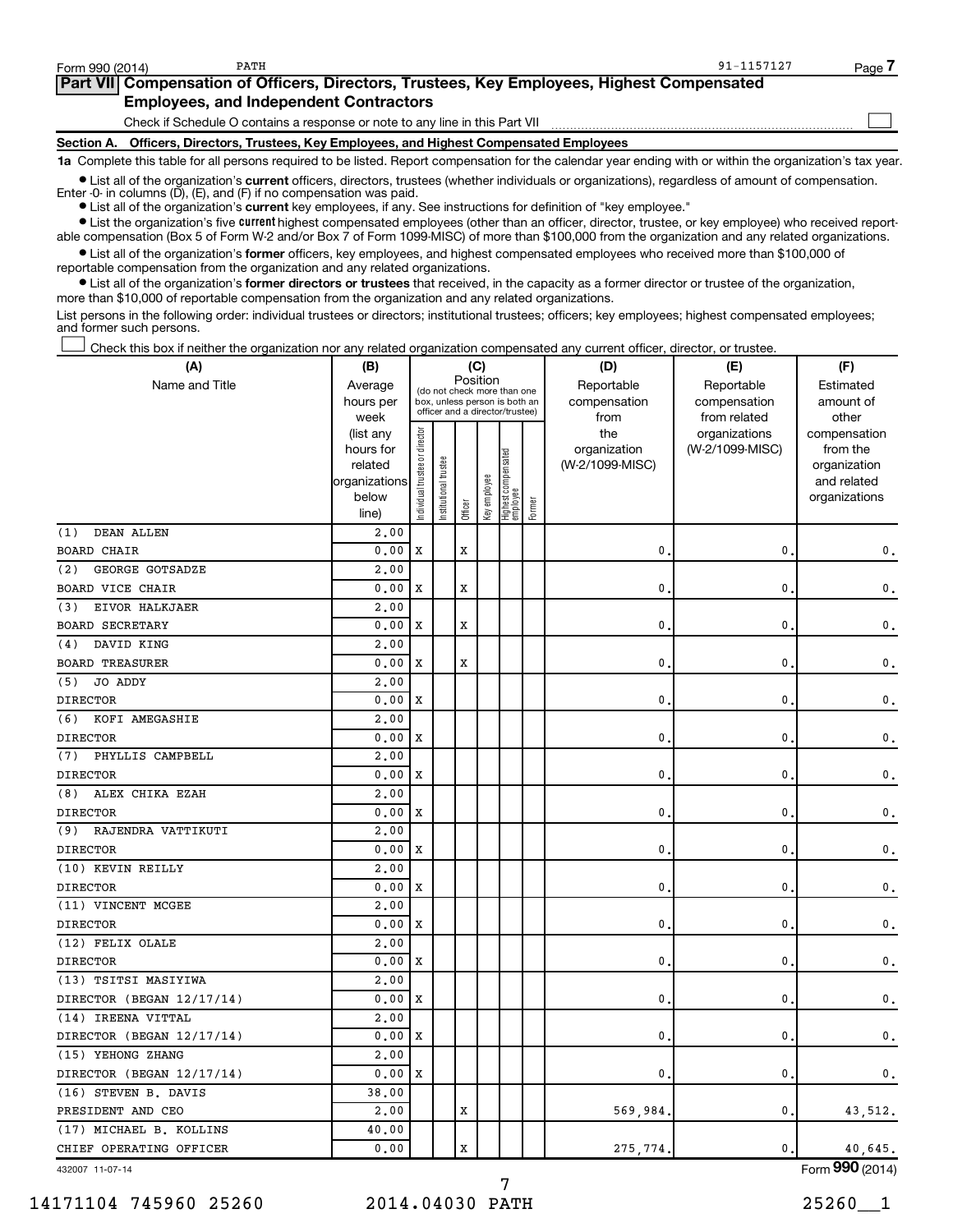$\Box$ 

| Part VII Compensation of Officers, Directors, Trustees, Key Employees, Highest Compensated |  |
|--------------------------------------------------------------------------------------------|--|
| <b>Employees, and Independent Contractors</b>                                              |  |
| Check if Schedule O contains a response or note to any line in this Part VII               |  |

**Section A. Officers, Directors, Trustees, Key Employees, and Highest Compensated Employees**

**1a**  Complete this table for all persons required to be listed. Report compensation for the calendar year ending with or within the organization's tax year.

**•** List all of the organization's current officers, directors, trustees (whether individuals or organizations), regardless of amount of compensation.

Enter -0- in columns  $(D)$ ,  $(E)$ , and  $(F)$  if no compensation was paid.

**•** List all of the organization's **current** key employees, if any. See instructions for definition of "key employee."

**•** List the organization's five current highest compensated employees (other than an officer, director, trustee, or key employee) who received reportable compensation (Box 5 of Form W-2 and/or Box 7 of Form 1099-MISC) of more than \$100,000 from the organization and any related organizations.

**•** List all of the organization's former officers, key employees, and highest compensated employees who received more than \$100,000 of reportable compensation from the organization and any related organizations.

**•** List all of the organization's former directors or trustees that received, in the capacity as a former director or trustee of the organization, more than \$10,000 of reportable compensation from the organization and any related organizations.

List persons in the following order: individual trustees or directors; institutional trustees; officers; key employees; highest compensated employees; and former such persons.

Check this box if neither the organization nor any related organization compensated any current officer, director, or trustee.  $\Box$ 

| Position<br>Name and Title<br>Reportable<br>Reportable<br>Estimated<br>Average<br>(do not check more than one<br>hours per<br>compensation<br>compensation<br>amount of<br>box, unless person is both an<br>officer and a director/trustee)<br>from related<br>week<br>from<br>other<br>Individual trustee or director<br>(list any<br>the<br>organizations<br>compensation<br>organization<br>(W-2/1099-MISC)<br>hours for<br>from the<br>Highest compensated<br>employee<br>(W-2/1099-MISC)<br>related<br>organization<br>Key employee<br>organizations<br>and related<br>Institutional t<br>below<br>organizations<br>Former<br>Officer<br>line)<br>DEAN ALLEN<br>2,00<br>(1)<br>0.00<br>X<br>X<br><b>BOARD CHAIR</b><br>0.<br>0<br>0.<br>GEORGE GOTSADZE<br>2,00<br>(2)<br>0.00<br>X<br>BOARD VICE CHAIR<br>X<br>$\mathbf 0$ .<br>0<br>0.<br>EIVOR HALKJAER<br>2.00<br>(3)<br><b>BOARD SECRETARY</b><br>0.00<br>X<br>X<br>$\mathbf{0}$ .<br>0<br>0.<br>DAVID KING<br>2.00<br>(4)<br><b>BOARD TREASURER</b><br>0.00<br>X<br>X<br>$\mathbf{0}$ .<br>0<br>0.<br>2.00<br>JO ADDY<br>(5)<br>0.00<br><b>DIRECTOR</b><br>X<br>$\mathbf{0}$ .<br>0.<br>0<br>(6) KOFI AMEGASHIE<br>2.00<br><b>DIRECTOR</b><br>0.00<br>X<br>$\mathbf 0$ .<br>0<br>0.<br>2,00<br>(7)<br>PHYLLIS CAMPBELL<br><b>DIRECTOR</b><br>0.00<br>X<br>$\mathbf{0}$ .<br>0<br>0.<br>ALEX CHIKA EZAH<br>2,00<br>(8)<br>0.00<br><b>DIRECTOR</b><br>х<br>0.<br>0<br>0.<br>(9) RAJENDRA VATTIKUTI<br>2,00<br>0.00<br><b>DIRECTOR</b><br>х<br>0.<br>0<br>0.<br>(10) KEVIN REILLY<br>2.00<br>0.00<br><b>DIRECTOR</b><br>х<br>0.<br>0<br>0.<br>2.00<br>(11) VINCENT MCGEE<br>0.00<br><b>DIRECTOR</b><br>X<br>0.<br>0<br>0.<br>(12) FELIX OLALE<br>2.00<br><b>DIRECTOR</b><br>0.00<br>$\mathbf{0}$ .<br>0<br>х<br>(13) TSITSI MASIYIWA<br>2.00<br>0.00<br>DIRECTOR (BEGAN 12/17/14)<br>X<br>0.<br>0<br>0.<br>(14) IREENA VITTAL<br>2.00<br>0.00<br>X<br>$\mathbf{0}$ .<br>0<br>DIRECTOR (BEGAN 12/17/14)<br>0.<br>(15) YEHONG ZHANG<br>2.00<br>0.00<br>DIRECTOR (BEGAN 12/17/14)<br>X<br>$\mathbf{0}$ .<br>0<br>0.<br>38.00<br>(16) STEVEN B. DAVIS<br>2,00<br>PRESIDENT AND CEO<br>X<br>569,984.<br>0<br>43,512.<br>(17) MICHAEL B. KOLLINS<br>40.00<br>0.00<br>$\mathbf x$<br>CHIEF OPERATING OFFICER<br>$\mathbf{0}$ .<br>40,645.<br>275,774. | (A) | (B) |  | (C) |  | (D) | (E) | (F) |
|--------------------------------------------------------------------------------------------------------------------------------------------------------------------------------------------------------------------------------------------------------------------------------------------------------------------------------------------------------------------------------------------------------------------------------------------------------------------------------------------------------------------------------------------------------------------------------------------------------------------------------------------------------------------------------------------------------------------------------------------------------------------------------------------------------------------------------------------------------------------------------------------------------------------------------------------------------------------------------------------------------------------------------------------------------------------------------------------------------------------------------------------------------------------------------------------------------------------------------------------------------------------------------------------------------------------------------------------------------------------------------------------------------------------------------------------------------------------------------------------------------------------------------------------------------------------------------------------------------------------------------------------------------------------------------------------------------------------------------------------------------------------------------------------------------------------------------------------------------------------------------------------------------------------------------------------------------------------------------------------------------------------------------------------------------------------------------------------------------------------------------------------------------------------------------------------------------------------------------------------------------------------------------------------------------|-----|-----|--|-----|--|-----|-----|-----|
| $\mathbf 0$ .                                                                                                                                                                                                                                                                                                                                                                                                                                                                                                                                                                                                                                                                                                                                                                                                                                                                                                                                                                                                                                                                                                                                                                                                                                                                                                                                                                                                                                                                                                                                                                                                                                                                                                                                                                                                                                                                                                                                                                                                                                                                                                                                                                                                                                                                                          |     |     |  |     |  |     |     |     |
|                                                                                                                                                                                                                                                                                                                                                                                                                                                                                                                                                                                                                                                                                                                                                                                                                                                                                                                                                                                                                                                                                                                                                                                                                                                                                                                                                                                                                                                                                                                                                                                                                                                                                                                                                                                                                                                                                                                                                                                                                                                                                                                                                                                                                                                                                                        |     |     |  |     |  |     |     |     |
|                                                                                                                                                                                                                                                                                                                                                                                                                                                                                                                                                                                                                                                                                                                                                                                                                                                                                                                                                                                                                                                                                                                                                                                                                                                                                                                                                                                                                                                                                                                                                                                                                                                                                                                                                                                                                                                                                                                                                                                                                                                                                                                                                                                                                                                                                                        |     |     |  |     |  |     |     |     |
|                                                                                                                                                                                                                                                                                                                                                                                                                                                                                                                                                                                                                                                                                                                                                                                                                                                                                                                                                                                                                                                                                                                                                                                                                                                                                                                                                                                                                                                                                                                                                                                                                                                                                                                                                                                                                                                                                                                                                                                                                                                                                                                                                                                                                                                                                                        |     |     |  |     |  |     |     |     |
|                                                                                                                                                                                                                                                                                                                                                                                                                                                                                                                                                                                                                                                                                                                                                                                                                                                                                                                                                                                                                                                                                                                                                                                                                                                                                                                                                                                                                                                                                                                                                                                                                                                                                                                                                                                                                                                                                                                                                                                                                                                                                                                                                                                                                                                                                                        |     |     |  |     |  |     |     |     |
|                                                                                                                                                                                                                                                                                                                                                                                                                                                                                                                                                                                                                                                                                                                                                                                                                                                                                                                                                                                                                                                                                                                                                                                                                                                                                                                                                                                                                                                                                                                                                                                                                                                                                                                                                                                                                                                                                                                                                                                                                                                                                                                                                                                                                                                                                                        |     |     |  |     |  |     |     |     |
|                                                                                                                                                                                                                                                                                                                                                                                                                                                                                                                                                                                                                                                                                                                                                                                                                                                                                                                                                                                                                                                                                                                                                                                                                                                                                                                                                                                                                                                                                                                                                                                                                                                                                                                                                                                                                                                                                                                                                                                                                                                                                                                                                                                                                                                                                                        |     |     |  |     |  |     |     |     |
|                                                                                                                                                                                                                                                                                                                                                                                                                                                                                                                                                                                                                                                                                                                                                                                                                                                                                                                                                                                                                                                                                                                                                                                                                                                                                                                                                                                                                                                                                                                                                                                                                                                                                                                                                                                                                                                                                                                                                                                                                                                                                                                                                                                                                                                                                                        |     |     |  |     |  |     |     |     |
|                                                                                                                                                                                                                                                                                                                                                                                                                                                                                                                                                                                                                                                                                                                                                                                                                                                                                                                                                                                                                                                                                                                                                                                                                                                                                                                                                                                                                                                                                                                                                                                                                                                                                                                                                                                                                                                                                                                                                                                                                                                                                                                                                                                                                                                                                                        |     |     |  |     |  |     |     |     |
|                                                                                                                                                                                                                                                                                                                                                                                                                                                                                                                                                                                                                                                                                                                                                                                                                                                                                                                                                                                                                                                                                                                                                                                                                                                                                                                                                                                                                                                                                                                                                                                                                                                                                                                                                                                                                                                                                                                                                                                                                                                                                                                                                                                                                                                                                                        |     |     |  |     |  |     |     |     |
|                                                                                                                                                                                                                                                                                                                                                                                                                                                                                                                                                                                                                                                                                                                                                                                                                                                                                                                                                                                                                                                                                                                                                                                                                                                                                                                                                                                                                                                                                                                                                                                                                                                                                                                                                                                                                                                                                                                                                                                                                                                                                                                                                                                                                                                                                                        |     |     |  |     |  |     |     |     |
|                                                                                                                                                                                                                                                                                                                                                                                                                                                                                                                                                                                                                                                                                                                                                                                                                                                                                                                                                                                                                                                                                                                                                                                                                                                                                                                                                                                                                                                                                                                                                                                                                                                                                                                                                                                                                                                                                                                                                                                                                                                                                                                                                                                                                                                                                                        |     |     |  |     |  |     |     |     |
|                                                                                                                                                                                                                                                                                                                                                                                                                                                                                                                                                                                                                                                                                                                                                                                                                                                                                                                                                                                                                                                                                                                                                                                                                                                                                                                                                                                                                                                                                                                                                                                                                                                                                                                                                                                                                                                                                                                                                                                                                                                                                                                                                                                                                                                                                                        |     |     |  |     |  |     |     |     |
|                                                                                                                                                                                                                                                                                                                                                                                                                                                                                                                                                                                                                                                                                                                                                                                                                                                                                                                                                                                                                                                                                                                                                                                                                                                                                                                                                                                                                                                                                                                                                                                                                                                                                                                                                                                                                                                                                                                                                                                                                                                                                                                                                                                                                                                                                                        |     |     |  |     |  |     |     |     |
|                                                                                                                                                                                                                                                                                                                                                                                                                                                                                                                                                                                                                                                                                                                                                                                                                                                                                                                                                                                                                                                                                                                                                                                                                                                                                                                                                                                                                                                                                                                                                                                                                                                                                                                                                                                                                                                                                                                                                                                                                                                                                                                                                                                                                                                                                                        |     |     |  |     |  |     |     |     |
|                                                                                                                                                                                                                                                                                                                                                                                                                                                                                                                                                                                                                                                                                                                                                                                                                                                                                                                                                                                                                                                                                                                                                                                                                                                                                                                                                                                                                                                                                                                                                                                                                                                                                                                                                                                                                                                                                                                                                                                                                                                                                                                                                                                                                                                                                                        |     |     |  |     |  |     |     |     |
|                                                                                                                                                                                                                                                                                                                                                                                                                                                                                                                                                                                                                                                                                                                                                                                                                                                                                                                                                                                                                                                                                                                                                                                                                                                                                                                                                                                                                                                                                                                                                                                                                                                                                                                                                                                                                                                                                                                                                                                                                                                                                                                                                                                                                                                                                                        |     |     |  |     |  |     |     |     |
|                                                                                                                                                                                                                                                                                                                                                                                                                                                                                                                                                                                                                                                                                                                                                                                                                                                                                                                                                                                                                                                                                                                                                                                                                                                                                                                                                                                                                                                                                                                                                                                                                                                                                                                                                                                                                                                                                                                                                                                                                                                                                                                                                                                                                                                                                                        |     |     |  |     |  |     |     |     |
|                                                                                                                                                                                                                                                                                                                                                                                                                                                                                                                                                                                                                                                                                                                                                                                                                                                                                                                                                                                                                                                                                                                                                                                                                                                                                                                                                                                                                                                                                                                                                                                                                                                                                                                                                                                                                                                                                                                                                                                                                                                                                                                                                                                                                                                                                                        |     |     |  |     |  |     |     |     |
|                                                                                                                                                                                                                                                                                                                                                                                                                                                                                                                                                                                                                                                                                                                                                                                                                                                                                                                                                                                                                                                                                                                                                                                                                                                                                                                                                                                                                                                                                                                                                                                                                                                                                                                                                                                                                                                                                                                                                                                                                                                                                                                                                                                                                                                                                                        |     |     |  |     |  |     |     |     |
|                                                                                                                                                                                                                                                                                                                                                                                                                                                                                                                                                                                                                                                                                                                                                                                                                                                                                                                                                                                                                                                                                                                                                                                                                                                                                                                                                                                                                                                                                                                                                                                                                                                                                                                                                                                                                                                                                                                                                                                                                                                                                                                                                                                                                                                                                                        |     |     |  |     |  |     |     |     |
|                                                                                                                                                                                                                                                                                                                                                                                                                                                                                                                                                                                                                                                                                                                                                                                                                                                                                                                                                                                                                                                                                                                                                                                                                                                                                                                                                                                                                                                                                                                                                                                                                                                                                                                                                                                                                                                                                                                                                                                                                                                                                                                                                                                                                                                                                                        |     |     |  |     |  |     |     |     |
|                                                                                                                                                                                                                                                                                                                                                                                                                                                                                                                                                                                                                                                                                                                                                                                                                                                                                                                                                                                                                                                                                                                                                                                                                                                                                                                                                                                                                                                                                                                                                                                                                                                                                                                                                                                                                                                                                                                                                                                                                                                                                                                                                                                                                                                                                                        |     |     |  |     |  |     |     |     |
|                                                                                                                                                                                                                                                                                                                                                                                                                                                                                                                                                                                                                                                                                                                                                                                                                                                                                                                                                                                                                                                                                                                                                                                                                                                                                                                                                                                                                                                                                                                                                                                                                                                                                                                                                                                                                                                                                                                                                                                                                                                                                                                                                                                                                                                                                                        |     |     |  |     |  |     |     |     |
|                                                                                                                                                                                                                                                                                                                                                                                                                                                                                                                                                                                                                                                                                                                                                                                                                                                                                                                                                                                                                                                                                                                                                                                                                                                                                                                                                                                                                                                                                                                                                                                                                                                                                                                                                                                                                                                                                                                                                                                                                                                                                                                                                                                                                                                                                                        |     |     |  |     |  |     |     |     |
|                                                                                                                                                                                                                                                                                                                                                                                                                                                                                                                                                                                                                                                                                                                                                                                                                                                                                                                                                                                                                                                                                                                                                                                                                                                                                                                                                                                                                                                                                                                                                                                                                                                                                                                                                                                                                                                                                                                                                                                                                                                                                                                                                                                                                                                                                                        |     |     |  |     |  |     |     |     |
|                                                                                                                                                                                                                                                                                                                                                                                                                                                                                                                                                                                                                                                                                                                                                                                                                                                                                                                                                                                                                                                                                                                                                                                                                                                                                                                                                                                                                                                                                                                                                                                                                                                                                                                                                                                                                                                                                                                                                                                                                                                                                                                                                                                                                                                                                                        |     |     |  |     |  |     |     |     |
|                                                                                                                                                                                                                                                                                                                                                                                                                                                                                                                                                                                                                                                                                                                                                                                                                                                                                                                                                                                                                                                                                                                                                                                                                                                                                                                                                                                                                                                                                                                                                                                                                                                                                                                                                                                                                                                                                                                                                                                                                                                                                                                                                                                                                                                                                                        |     |     |  |     |  |     |     |     |
|                                                                                                                                                                                                                                                                                                                                                                                                                                                                                                                                                                                                                                                                                                                                                                                                                                                                                                                                                                                                                                                                                                                                                                                                                                                                                                                                                                                                                                                                                                                                                                                                                                                                                                                                                                                                                                                                                                                                                                                                                                                                                                                                                                                                                                                                                                        |     |     |  |     |  |     |     |     |
|                                                                                                                                                                                                                                                                                                                                                                                                                                                                                                                                                                                                                                                                                                                                                                                                                                                                                                                                                                                                                                                                                                                                                                                                                                                                                                                                                                                                                                                                                                                                                                                                                                                                                                                                                                                                                                                                                                                                                                                                                                                                                                                                                                                                                                                                                                        |     |     |  |     |  |     |     |     |
|                                                                                                                                                                                                                                                                                                                                                                                                                                                                                                                                                                                                                                                                                                                                                                                                                                                                                                                                                                                                                                                                                                                                                                                                                                                                                                                                                                                                                                                                                                                                                                                                                                                                                                                                                                                                                                                                                                                                                                                                                                                                                                                                                                                                                                                                                                        |     |     |  |     |  |     |     |     |
|                                                                                                                                                                                                                                                                                                                                                                                                                                                                                                                                                                                                                                                                                                                                                                                                                                                                                                                                                                                                                                                                                                                                                                                                                                                                                                                                                                                                                                                                                                                                                                                                                                                                                                                                                                                                                                                                                                                                                                                                                                                                                                                                                                                                                                                                                                        |     |     |  |     |  |     |     |     |
|                                                                                                                                                                                                                                                                                                                                                                                                                                                                                                                                                                                                                                                                                                                                                                                                                                                                                                                                                                                                                                                                                                                                                                                                                                                                                                                                                                                                                                                                                                                                                                                                                                                                                                                                                                                                                                                                                                                                                                                                                                                                                                                                                                                                                                                                                                        |     |     |  |     |  |     |     |     |
|                                                                                                                                                                                                                                                                                                                                                                                                                                                                                                                                                                                                                                                                                                                                                                                                                                                                                                                                                                                                                                                                                                                                                                                                                                                                                                                                                                                                                                                                                                                                                                                                                                                                                                                                                                                                                                                                                                                                                                                                                                                                                                                                                                                                                                                                                                        |     |     |  |     |  |     |     |     |
|                                                                                                                                                                                                                                                                                                                                                                                                                                                                                                                                                                                                                                                                                                                                                                                                                                                                                                                                                                                                                                                                                                                                                                                                                                                                                                                                                                                                                                                                                                                                                                                                                                                                                                                                                                                                                                                                                                                                                                                                                                                                                                                                                                                                                                                                                                        |     |     |  |     |  |     |     |     |
|                                                                                                                                                                                                                                                                                                                                                                                                                                                                                                                                                                                                                                                                                                                                                                                                                                                                                                                                                                                                                                                                                                                                                                                                                                                                                                                                                                                                                                                                                                                                                                                                                                                                                                                                                                                                                                                                                                                                                                                                                                                                                                                                                                                                                                                                                                        |     |     |  |     |  |     |     |     |
|                                                                                                                                                                                                                                                                                                                                                                                                                                                                                                                                                                                                                                                                                                                                                                                                                                                                                                                                                                                                                                                                                                                                                                                                                                                                                                                                                                                                                                                                                                                                                                                                                                                                                                                                                                                                                                                                                                                                                                                                                                                                                                                                                                                                                                                                                                        |     |     |  |     |  |     |     |     |
|                                                                                                                                                                                                                                                                                                                                                                                                                                                                                                                                                                                                                                                                                                                                                                                                                                                                                                                                                                                                                                                                                                                                                                                                                                                                                                                                                                                                                                                                                                                                                                                                                                                                                                                                                                                                                                                                                                                                                                                                                                                                                                                                                                                                                                                                                                        |     |     |  |     |  |     |     |     |
|                                                                                                                                                                                                                                                                                                                                                                                                                                                                                                                                                                                                                                                                                                                                                                                                                                                                                                                                                                                                                                                                                                                                                                                                                                                                                                                                                                                                                                                                                                                                                                                                                                                                                                                                                                                                                                                                                                                                                                                                                                                                                                                                                                                                                                                                                                        |     |     |  |     |  |     |     |     |
|                                                                                                                                                                                                                                                                                                                                                                                                                                                                                                                                                                                                                                                                                                                                                                                                                                                                                                                                                                                                                                                                                                                                                                                                                                                                                                                                                                                                                                                                                                                                                                                                                                                                                                                                                                                                                                                                                                                                                                                                                                                                                                                                                                                                                                                                                                        |     |     |  |     |  |     |     |     |
|                                                                                                                                                                                                                                                                                                                                                                                                                                                                                                                                                                                                                                                                                                                                                                                                                                                                                                                                                                                                                                                                                                                                                                                                                                                                                                                                                                                                                                                                                                                                                                                                                                                                                                                                                                                                                                                                                                                                                                                                                                                                                                                                                                                                                                                                                                        |     |     |  |     |  |     |     |     |
|                                                                                                                                                                                                                                                                                                                                                                                                                                                                                                                                                                                                                                                                                                                                                                                                                                                                                                                                                                                                                                                                                                                                                                                                                                                                                                                                                                                                                                                                                                                                                                                                                                                                                                                                                                                                                                                                                                                                                                                                                                                                                                                                                                                                                                                                                                        |     |     |  |     |  |     |     |     |

432007 11-07-14

14171104 745960 25260 2014.04030 PATH 25260\_\_1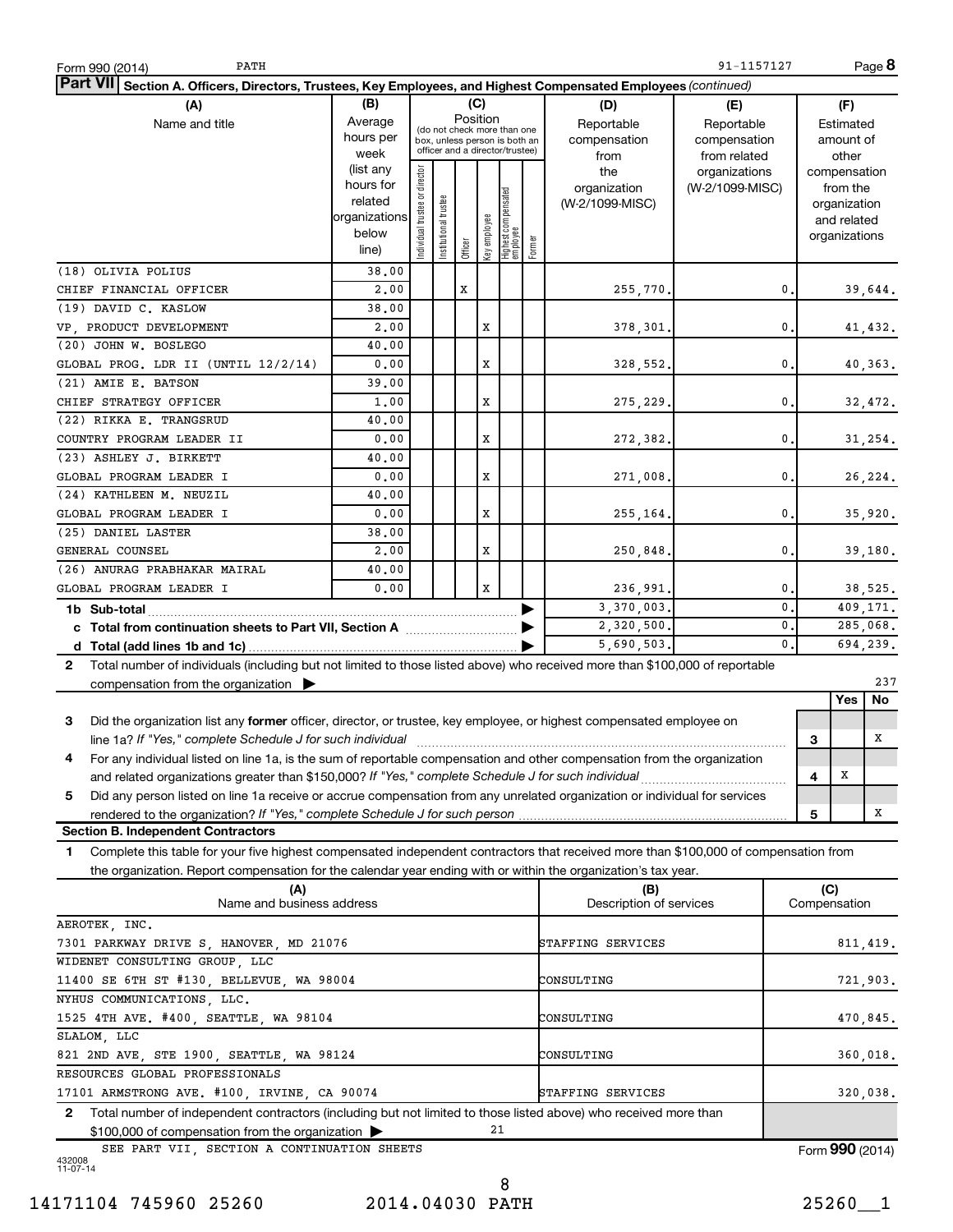| PATH<br>Form 990 (2014)                                                                                                                                                             |                                                            |                                |                       |         |                 |                                                                     |        |                                                | 91-1157127                                       |              |                                                                  | Page 8          |
|-------------------------------------------------------------------------------------------------------------------------------------------------------------------------------------|------------------------------------------------------------|--------------------------------|-----------------------|---------|-----------------|---------------------------------------------------------------------|--------|------------------------------------------------|--------------------------------------------------|--------------|------------------------------------------------------------------|-----------------|
| Part VII Section A. Officers, Directors, Trustees, Key Employees, and Highest Compensated Employees (continued)                                                                     |                                                            |                                |                       |         |                 |                                                                     |        |                                                |                                                  |              |                                                                  |                 |
| (A)<br>Name and title                                                                                                                                                               | (B)<br>Average<br>hours per                                |                                |                       |         | (C)<br>Position | (do not check more than one<br>box, unless person is both an        |        | (D)<br>Reportable<br>compensation              | (E)<br>Reportable<br>compensation                |              | (F)<br>Estimated<br>amount of                                    |                 |
|                                                                                                                                                                                     | week<br>(list any<br>hours for<br>related<br>organizations | Individual trustee or director | Institutional trustee |         |                 | officer and a director/trustee)<br>Highest compensated<br> employee |        | from<br>the<br>organization<br>(W-2/1099-MISC) | from related<br>organizations<br>(W-2/1099-MISC) |              | other<br>compensation<br>from the<br>organization<br>and related |                 |
|                                                                                                                                                                                     | below<br>line)                                             |                                |                       | Officer | key employee    |                                                                     | Former |                                                |                                                  |              | organizations                                                    |                 |
| (18) OLIVIA POLIUS                                                                                                                                                                  | 38.00                                                      |                                |                       |         |                 |                                                                     |        |                                                |                                                  |              |                                                                  |                 |
| CHIEF FINANCIAL OFFICER                                                                                                                                                             | 2,00                                                       |                                |                       | X       |                 |                                                                     |        | 255,770.                                       |                                                  | 0.           |                                                                  | 39,644.         |
| (19) DAVID C. KASLOW                                                                                                                                                                | 38.00                                                      |                                |                       |         |                 |                                                                     |        |                                                |                                                  |              |                                                                  |                 |
| VP, PRODUCT DEVELOPMENT                                                                                                                                                             | 2,00                                                       |                                |                       |         | x               |                                                                     |        | 378,301.                                       |                                                  | 0.           |                                                                  | 41,432.         |
| (20) JOHN W. BOSLEGO                                                                                                                                                                | 40.00                                                      |                                |                       |         |                 |                                                                     |        |                                                |                                                  |              |                                                                  |                 |
| GLOBAL PROG. LDR II (UNTIL 12/2/14)                                                                                                                                                 | 0.00                                                       |                                |                       |         | x               |                                                                     |        | 328,552.                                       |                                                  | 0.           |                                                                  | 40,363.         |
| (21) AMIE E. BATSON                                                                                                                                                                 | 39.00                                                      |                                |                       |         |                 |                                                                     |        |                                                |                                                  |              |                                                                  |                 |
| CHIEF STRATEGY OFFICER                                                                                                                                                              | 1.00                                                       |                                |                       |         | x               |                                                                     |        | 275, 229.                                      |                                                  | 0.           |                                                                  | 32,472.         |
| (22) RIKKA E. TRANGSRUD                                                                                                                                                             | 40.00                                                      |                                |                       |         |                 |                                                                     |        |                                                |                                                  |              |                                                                  |                 |
| COUNTRY PROGRAM LEADER II                                                                                                                                                           | 0.00                                                       |                                |                       |         | x               |                                                                     |        | 272,382.                                       |                                                  | 0.           |                                                                  | 31, 254.        |
| (23) ASHLEY J. BIRKETT                                                                                                                                                              | 40.00                                                      |                                |                       |         |                 |                                                                     |        |                                                |                                                  |              |                                                                  |                 |
| GLOBAL PROGRAM LEADER I                                                                                                                                                             | 0.00                                                       |                                |                       |         | x               |                                                                     |        | 271,008.                                       |                                                  | 0.           |                                                                  | 26, 224.        |
| (24) KATHLEEN M. NEUZIL                                                                                                                                                             | 40.00                                                      |                                |                       |         |                 |                                                                     |        |                                                |                                                  |              |                                                                  |                 |
| GLOBAL PROGRAM LEADER I                                                                                                                                                             | 0.00                                                       |                                |                       |         | x               |                                                                     |        | 255,164.                                       |                                                  | 0.           |                                                                  | 35,920.         |
| (25) DANIEL LASTER                                                                                                                                                                  | 38.00                                                      |                                |                       |         |                 |                                                                     |        |                                                |                                                  |              |                                                                  |                 |
| GENERAL COUNSEL                                                                                                                                                                     | 2,00                                                       |                                |                       |         | x               |                                                                     |        | 250,848.                                       |                                                  | 0.           |                                                                  | 39,180.         |
| (26) ANURAG PRABHAKAR MAIRAL                                                                                                                                                        | 40.00                                                      |                                |                       |         |                 |                                                                     |        |                                                |                                                  |              |                                                                  |                 |
| GLOBAL PROGRAM LEADER I                                                                                                                                                             | 0.00                                                       |                                |                       |         | X               |                                                                     |        | 236,991.                                       |                                                  | 0.           |                                                                  | 38,525.         |
|                                                                                                                                                                                     |                                                            |                                |                       |         |                 |                                                                     |        | 3,370,003.                                     |                                                  | 0.           |                                                                  | 409,171.        |
|                                                                                                                                                                                     |                                                            |                                |                       |         |                 |                                                                     |        | 2,320,500.                                     |                                                  | 0.           |                                                                  | 285,068.        |
|                                                                                                                                                                                     |                                                            |                                |                       |         |                 |                                                                     |        | 5,690,503.                                     |                                                  | 0.           |                                                                  | 694,239.        |
| Total number of individuals (including but not limited to those listed above) who received more than \$100,000 of reportable<br>$\mathbf{2}$                                        |                                                            |                                |                       |         |                 |                                                                     |        |                                                |                                                  |              |                                                                  |                 |
| compensation from the organization $\blacktriangleright$                                                                                                                            |                                                            |                                |                       |         |                 |                                                                     |        |                                                |                                                  |              |                                                                  | 237             |
|                                                                                                                                                                                     |                                                            |                                |                       |         |                 |                                                                     |        |                                                |                                                  |              | Yes                                                              | No              |
| 3<br>Did the organization list any former officer, director, or trustee, key employee, or highest compensated employee on                                                           |                                                            |                                |                       |         |                 |                                                                     |        |                                                |                                                  |              |                                                                  |                 |
| line 1a? If "Yes," complete Schedule J for such individual manufacture content to the set of the set of the schedule J for such individual                                          |                                                            |                                |                       |         |                 |                                                                     |        |                                                |                                                  | З            |                                                                  | х               |
| For any individual listed on line 1a, is the sum of reportable compensation and other compensation from the organization                                                            |                                                            |                                |                       |         |                 |                                                                     |        |                                                |                                                  |              |                                                                  |                 |
| and related organizations greater than \$150,000? If "Yes," complete Schedule J for such individual                                                                                 |                                                            |                                |                       |         |                 |                                                                     |        |                                                |                                                  | 4            | x                                                                |                 |
| Did any person listed on line 1a receive or accrue compensation from any unrelated organization or individual for services<br>5                                                     |                                                            |                                |                       |         |                 |                                                                     |        |                                                |                                                  |              |                                                                  |                 |
|                                                                                                                                                                                     |                                                            |                                |                       |         |                 |                                                                     |        |                                                |                                                  | 5            |                                                                  | Χ               |
| <b>Section B. Independent Contractors</b>                                                                                                                                           |                                                            |                                |                       |         |                 |                                                                     |        |                                                |                                                  |              |                                                                  |                 |
| Complete this table for your five highest compensated independent contractors that received more than \$100,000 of compensation from<br>1                                           |                                                            |                                |                       |         |                 |                                                                     |        |                                                |                                                  |              |                                                                  |                 |
| the organization. Report compensation for the calendar year ending with or within the organization's tax year.                                                                      |                                                            |                                |                       |         |                 |                                                                     |        |                                                |                                                  |              |                                                                  |                 |
| (A)<br>Name and business address                                                                                                                                                    |                                                            |                                |                       |         |                 |                                                                     |        | (B)<br>Description of services                 |                                                  | Compensation | (C)                                                              |                 |
|                                                                                                                                                                                     |                                                            |                                |                       |         |                 |                                                                     |        |                                                |                                                  |              |                                                                  |                 |
| AEROTEK, INC.                                                                                                                                                                       |                                                            |                                |                       |         |                 |                                                                     |        |                                                |                                                  |              |                                                                  |                 |
| 7301 PARKWAY DRIVE S, HANOVER, MD 21076                                                                                                                                             |                                                            |                                |                       |         |                 |                                                                     |        | STAFFING SERVICES                              |                                                  |              |                                                                  | 811, 419.       |
| WIDENET CONSULTING GROUP, LLC                                                                                                                                                       |                                                            |                                |                       |         |                 |                                                                     |        |                                                |                                                  |              |                                                                  |                 |
| 11400 SE 6TH ST #130, BELLEVUE, WA 98004                                                                                                                                            |                                                            |                                |                       |         |                 |                                                                     |        | CONSULTING                                     |                                                  |              |                                                                  | 721,903.        |
| NYHUS COMMUNICATIONS, LLC.                                                                                                                                                          |                                                            |                                |                       |         |                 |                                                                     |        |                                                |                                                  |              |                                                                  |                 |
| 1525 4TH AVE. #400, SEATTLE, WA 98104                                                                                                                                               |                                                            |                                |                       |         |                 |                                                                     |        | CONSULTING                                     |                                                  |              |                                                                  | 470,845.        |
| SLALOM, LLC                                                                                                                                                                         |                                                            |                                |                       |         |                 |                                                                     |        |                                                |                                                  |              |                                                                  |                 |
| 821 2ND AVE, STE 1900, SEATTLE, WA 98124                                                                                                                                            |                                                            |                                |                       |         |                 |                                                                     |        | CONSULTING                                     |                                                  |              |                                                                  | 360,018.        |
| RESOURCES GLOBAL PROFESSIONALS                                                                                                                                                      |                                                            |                                |                       |         |                 |                                                                     |        |                                                |                                                  |              |                                                                  |                 |
| 17101 ARMSTRONG AVE. #100, IRVINE, CA 90074                                                                                                                                         |                                                            |                                |                       |         |                 |                                                                     |        | STAFFING SERVICES                              |                                                  |              |                                                                  | 320,038.        |
| Total number of independent contractors (including but not limited to those listed above) who received more than<br>$\mathbf{2}$<br>\$100,000 of compensation from the organization |                                                            |                                |                       |         |                 | 21                                                                  |        |                                                |                                                  |              |                                                                  |                 |
| SEE PART VII, SECTION A CONTINUATION SHEETS                                                                                                                                         |                                                            |                                |                       |         |                 |                                                                     |        |                                                |                                                  |              |                                                                  | Form 990 (2014) |
| 432008<br>11-07-14                                                                                                                                                                  |                                                            |                                |                       |         |                 |                                                                     |        |                                                |                                                  |              |                                                                  |                 |
|                                                                                                                                                                                     |                                                            |                                |                       |         |                 | 8                                                                   |        |                                                |                                                  |              |                                                                  |                 |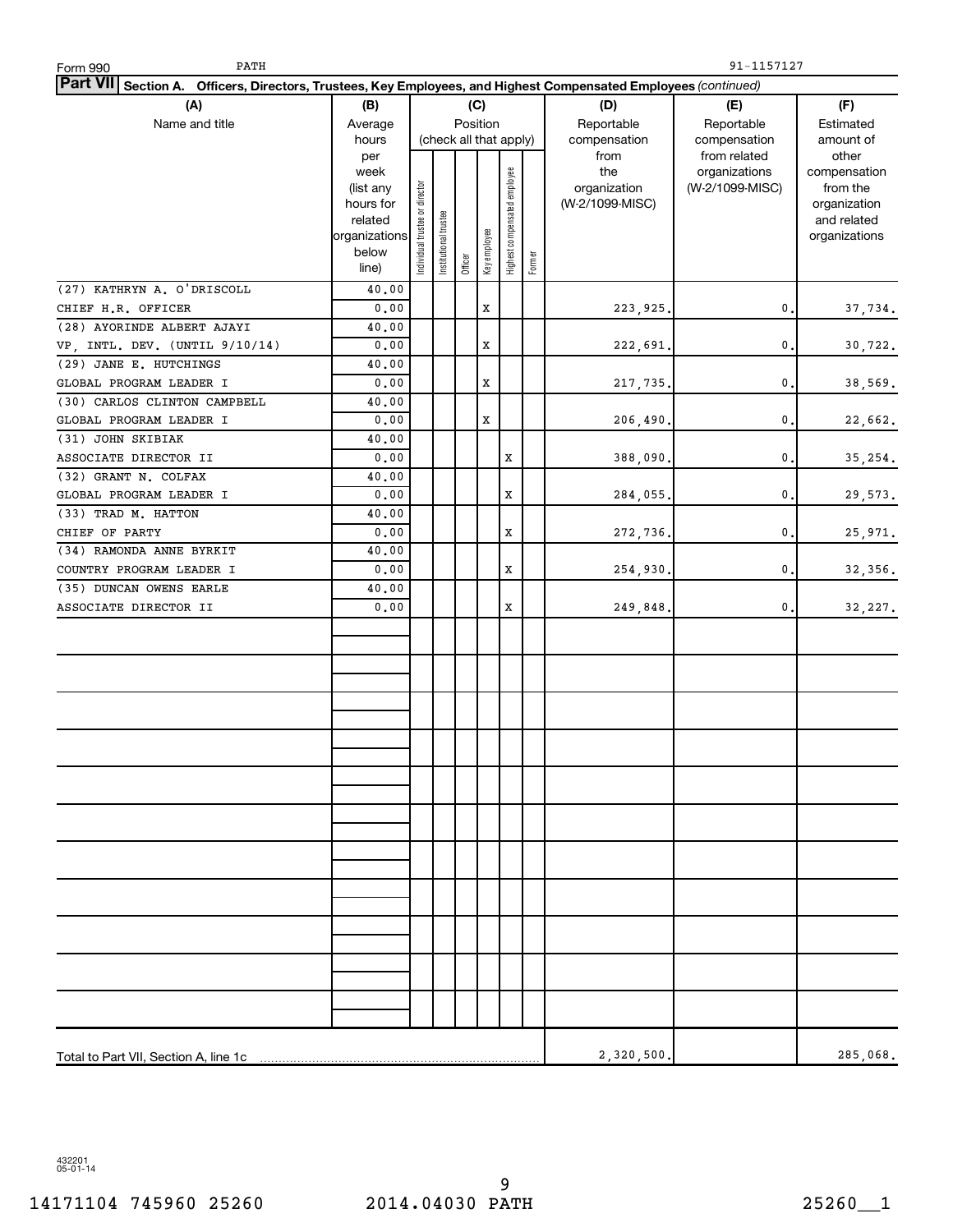| PATH<br>Form 990                                                                                                |                      |                                |                       |                        |              |                              |        |                 | 91-1157127      |                             |
|-----------------------------------------------------------------------------------------------------------------|----------------------|--------------------------------|-----------------------|------------------------|--------------|------------------------------|--------|-----------------|-----------------|-----------------------------|
| Part VII Section A. Officers, Directors, Trustees, Key Employees, and Highest Compensated Employees (continued) |                      |                                |                       |                        |              |                              |        |                 |                 |                             |
| (A)                                                                                                             | (B)                  |                                |                       |                        | (C)          |                              |        | (D)             | (E)             | (F)                         |
| Name and title                                                                                                  | Average              |                                |                       | Position               |              |                              |        | Reportable      | Reportable      | Estimated                   |
|                                                                                                                 | hours                |                                |                       | (check all that apply) |              |                              |        | compensation    | compensation    | amount of                   |
|                                                                                                                 | per                  |                                |                       |                        |              |                              |        | from            | from related    | other                       |
|                                                                                                                 | week                 |                                |                       |                        |              |                              |        | the             | organizations   | compensation                |
|                                                                                                                 | (list any            |                                |                       |                        |              |                              |        | organization    | (W-2/1099-MISC) | from the                    |
|                                                                                                                 | hours for<br>related |                                |                       |                        |              |                              |        | (W-2/1099-MISC) |                 | organization<br>and related |
|                                                                                                                 | organizations        | Individual trustee or director | Institutional trustee |                        |              | Highest compensated employee |        |                 |                 | organizations               |
|                                                                                                                 | below                |                                |                       |                        |              |                              |        |                 |                 |                             |
|                                                                                                                 | line)                |                                |                       | Officer                | Key employee |                              | Former |                 |                 |                             |
| (27) KATHRYN A. O'DRISCOLL                                                                                      | 40.00                |                                |                       |                        |              |                              |        |                 |                 |                             |
| CHIEF H.R. OFFICER                                                                                              | 0.00                 |                                |                       |                        | X            |                              |        | 223,925.        | 0.              | 37,734.                     |
| (28) AYORINDE ALBERT AJAYI                                                                                      | 40.00                |                                |                       |                        |              |                              |        |                 |                 |                             |
| VP, INTL. DEV. (UNTIL 9/10/14)                                                                                  | 0.00                 |                                |                       |                        | X            |                              |        | 222,691.        | 0.              | 30,722.                     |
| (29) JANE E. HUTCHINGS                                                                                          | 40.00                |                                |                       |                        |              |                              |        |                 |                 |                             |
| GLOBAL PROGRAM LEADER I                                                                                         | 0.00                 |                                |                       |                        | X            |                              |        | 217,735.        | $\mathbf{0}$    | 38,569.                     |
| (30) CARLOS CLINTON CAMPBELL                                                                                    | 40.00                |                                |                       |                        |              |                              |        |                 |                 |                             |
| GLOBAL PROGRAM LEADER I                                                                                         | 0.00                 |                                |                       |                        | X            |                              |        | 206,490.        | $\mathbf{0}$ .  | 22,662.                     |
| (31) JOHN SKIBIAK                                                                                               | 40.00                |                                |                       |                        |              |                              |        |                 |                 |                             |
| ASSOCIATE DIRECTOR II                                                                                           | 0.00                 |                                |                       |                        |              | X                            |        | 388,090.        | 0.              | 35, 254.                    |
| (32) GRANT N. COLFAX                                                                                            | 40.00                |                                |                       |                        |              |                              |        |                 |                 |                             |
| GLOBAL PROGRAM LEADER I                                                                                         | 0.00                 |                                |                       |                        |              | X                            |        | 284,055.        | $\mathbf{0}$    | 29,573.                     |
| (33) TRAD M. HATTON                                                                                             | 40.00                |                                |                       |                        |              |                              |        |                 |                 |                             |
| CHIEF OF PARTY                                                                                                  | 0.00                 |                                |                       |                        |              | X                            |        | 272,736.        | $\mathbf{0}$ .  | 25,971.                     |
| (34) RAMONDA ANNE BYRKIT                                                                                        | 40.00                |                                |                       |                        |              |                              |        |                 |                 |                             |
| COUNTRY PROGRAM LEADER I                                                                                        | 0.00                 |                                |                       |                        |              | X                            |        | 254,930.        | 0.              | 32,356.                     |
| (35) DUNCAN OWENS EARLE                                                                                         | 40.00                |                                |                       |                        |              |                              |        |                 |                 |                             |
| ASSOCIATE DIRECTOR II                                                                                           | 0.00                 |                                |                       |                        |              | X                            |        | 249,848.        | 0.              | 32,227.                     |
|                                                                                                                 |                      |                                |                       |                        |              |                              |        |                 |                 |                             |
|                                                                                                                 |                      |                                |                       |                        |              |                              |        |                 |                 |                             |
|                                                                                                                 |                      |                                |                       |                        |              |                              |        |                 |                 |                             |
|                                                                                                                 |                      |                                |                       |                        |              |                              |        |                 |                 |                             |
|                                                                                                                 |                      |                                |                       |                        |              |                              |        |                 |                 |                             |
|                                                                                                                 |                      |                                |                       |                        |              |                              |        |                 |                 |                             |
|                                                                                                                 |                      |                                |                       |                        |              |                              |        |                 |                 |                             |
|                                                                                                                 |                      |                                |                       |                        |              |                              |        |                 |                 |                             |
|                                                                                                                 |                      |                                |                       |                        |              |                              |        |                 |                 |                             |
|                                                                                                                 |                      |                                |                       |                        |              |                              |        |                 |                 |                             |
|                                                                                                                 |                      |                                |                       |                        |              |                              |        |                 |                 |                             |
|                                                                                                                 |                      |                                |                       |                        |              |                              |        |                 |                 |                             |
|                                                                                                                 |                      |                                |                       |                        |              |                              |        |                 |                 |                             |
|                                                                                                                 |                      |                                |                       |                        |              |                              |        |                 |                 |                             |
|                                                                                                                 |                      |                                |                       |                        |              |                              |        |                 |                 |                             |
|                                                                                                                 |                      |                                |                       |                        |              |                              |        |                 |                 |                             |
|                                                                                                                 |                      |                                |                       |                        |              |                              |        |                 |                 |                             |
|                                                                                                                 |                      |                                |                       |                        |              |                              |        |                 |                 |                             |
|                                                                                                                 |                      |                                |                       |                        |              |                              |        |                 |                 |                             |
|                                                                                                                 |                      |                                |                       |                        |              |                              |        |                 |                 |                             |
|                                                                                                                 |                      |                                |                       |                        |              |                              |        |                 |                 |                             |
|                                                                                                                 |                      |                                |                       |                        |              |                              |        |                 |                 |                             |
|                                                                                                                 |                      |                                |                       |                        |              |                              |        | 2,320,500.      |                 | 285,068.                    |

432201 05-01-14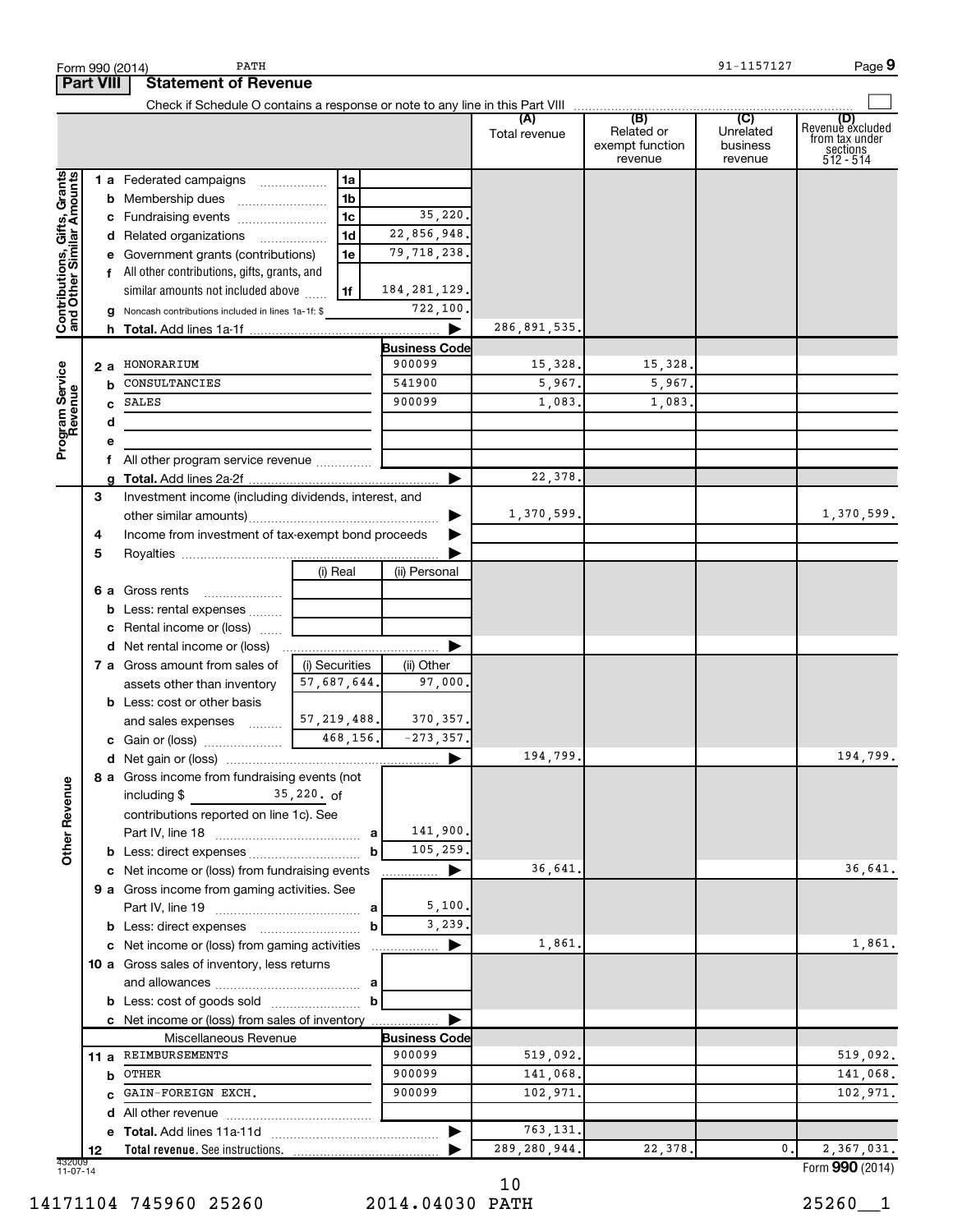|                                                                     |                  |                                                    | PATH<br>Form 990 (2014)                                                            |                  |                                |                      |                                          | 91-1157127                       | Page 9                                                      |
|---------------------------------------------------------------------|------------------|----------------------------------------------------|------------------------------------------------------------------------------------|------------------|--------------------------------|----------------------|------------------------------------------|----------------------------------|-------------------------------------------------------------|
|                                                                     | <b>Part VIII</b> |                                                    | <b>Statement of Revenue</b>                                                        |                  |                                |                      |                                          |                                  |                                                             |
|                                                                     |                  |                                                    | Check if Schedule O contains a response or note to any line in this Part VIII      |                  |                                | (A)                  | (B)                                      | (C)                              | (D)                                                         |
|                                                                     |                  |                                                    |                                                                                    |                  |                                | Total revenue        | Related or<br>exempt function<br>revenue | Unrelated<br>business<br>revenue | Revenue excluded<br>from tax under<br>sections<br>512 - 514 |
|                                                                     |                  |                                                    | 1 a Federated campaigns                                                            | 1a               |                                |                      |                                          |                                  |                                                             |
| Grants<br>Contributions, Gifts, Grants<br>and Other Similar Amounts |                  |                                                    | <b>b</b> Membership dues                                                           | 1b               |                                |                      |                                          |                                  |                                                             |
|                                                                     |                  |                                                    | c Fundraising events                                                               | 1c               | 35,220.                        |                      |                                          |                                  |                                                             |
|                                                                     |                  |                                                    | d Related organizations                                                            | 1d               | 22,856,948.                    |                      |                                          |                                  |                                                             |
|                                                                     |                  |                                                    | e Government grants (contributions)                                                | 1e               | 79,718,238.                    |                      |                                          |                                  |                                                             |
|                                                                     |                  |                                                    | f All other contributions, gifts, grants, and                                      |                  |                                |                      |                                          |                                  |                                                             |
|                                                                     |                  |                                                    | similar amounts not included above                                                 | 1f               | 184, 281, 129.                 |                      |                                          |                                  |                                                             |
|                                                                     |                  |                                                    | g Noncash contributions included in lines 1a-1f: \$                                |                  | 722,100.                       | 286,891,535.         |                                          |                                  |                                                             |
|                                                                     |                  |                                                    |                                                                                    |                  | <b>Business Code</b>           |                      |                                          |                                  |                                                             |
|                                                                     |                  |                                                    | 2 a HONORARIUM                                                                     |                  | 900099                         | 15,328.              | 15,328.                                  |                                  |                                                             |
|                                                                     |                  | b                                                  | CONSULTANCIES                                                                      |                  | 541900                         | 5,967.               | 5,967.                                   |                                  |                                                             |
|                                                                     |                  | C                                                  | <b>SALES</b>                                                                       |                  | 900099                         | 1,083.               | 1,083.                                   |                                  |                                                             |
|                                                                     |                  | d                                                  |                                                                                    |                  |                                |                      |                                          |                                  |                                                             |
| Program Service<br>Revenue                                          |                  | е                                                  |                                                                                    |                  |                                |                      |                                          |                                  |                                                             |
|                                                                     |                  | f.                                                 | All other program service revenue                                                  |                  |                                |                      |                                          |                                  |                                                             |
|                                                                     |                  |                                                    |                                                                                    |                  |                                | 22,378.              |                                          |                                  |                                                             |
|                                                                     | 3                |                                                    | Investment income (including dividends, interest, and                              |                  |                                |                      |                                          |                                  |                                                             |
|                                                                     |                  |                                                    |                                                                                    |                  |                                | 1,370,599.           |                                          |                                  | 1,370,599.                                                  |
|                                                                     | 4                | Income from investment of tax-exempt bond proceeds |                                                                                    |                  |                                |                      |                                          |                                  |                                                             |
|                                                                     | 5                |                                                    |                                                                                    |                  |                                |                      |                                          |                                  |                                                             |
|                                                                     |                  |                                                    |                                                                                    | (i) Real         | (ii) Personal                  |                      |                                          |                                  |                                                             |
|                                                                     |                  |                                                    | 6 a Gross rents<br>$\ldots \ldots \ldots \ldots$<br><b>b</b> Less: rental expenses |                  |                                |                      |                                          |                                  |                                                             |
|                                                                     |                  |                                                    | c Rental income or (loss)                                                          |                  |                                |                      |                                          |                                  |                                                             |
|                                                                     |                  |                                                    | <b>d</b> Net rental income or (loss)                                               |                  |                                |                      |                                          |                                  |                                                             |
|                                                                     |                  |                                                    | 7 a Gross amount from sales of                                                     | (i) Securities   | (ii) Other                     |                      |                                          |                                  |                                                             |
|                                                                     |                  |                                                    | assets other than inventory                                                        | 57,687,644.      | 97,000.                        |                      |                                          |                                  |                                                             |
|                                                                     |                  |                                                    | <b>b</b> Less: cost or other basis                                                 |                  |                                |                      |                                          |                                  |                                                             |
|                                                                     |                  |                                                    | and sales expenses                                                                 | 57, 219, 488.    | 370, 357.                      |                      |                                          |                                  |                                                             |
|                                                                     |                  |                                                    | c Gain or (loss)                                                                   | 468,156.         | $-273, 357.$                   |                      |                                          |                                  |                                                             |
|                                                                     |                  |                                                    |                                                                                    |                  |                                | 194,799.             |                                          |                                  | 194,799.                                                    |
|                                                                     |                  |                                                    | 8 a Gross income from fundraising events (not                                      |                  |                                |                      |                                          |                                  |                                                             |
|                                                                     |                  |                                                    | including $$35,220.$ of                                                            |                  |                                |                      |                                          |                                  |                                                             |
| <b>Other Revenue</b>                                                |                  |                                                    | contributions reported on line 1c). See                                            |                  | 141,900.                       |                      |                                          |                                  |                                                             |
|                                                                     |                  |                                                    | b Less: direct expenses                                                            | a<br>$\mathbf b$ | 105,259.                       |                      |                                          |                                  |                                                             |
|                                                                     |                  |                                                    | c Net income or (loss) from fundraising events                                     |                  |                                | 36,641.              |                                          |                                  | 36,641.                                                     |
|                                                                     |                  |                                                    | 9 a Gross income from gaming activities. See                                       |                  |                                |                      |                                          |                                  |                                                             |
|                                                                     |                  |                                                    |                                                                                    | a                | 5,100.                         |                      |                                          |                                  |                                                             |
|                                                                     |                  |                                                    |                                                                                    | $\mathbf{b}$     | 3,239.                         |                      |                                          |                                  |                                                             |
|                                                                     |                  |                                                    | c Net income or (loss) from gaming activities                                      |                  | ▶                              | 1,861.               |                                          |                                  | 1,861.                                                      |
|                                                                     |                  |                                                    | 10 a Gross sales of inventory, less returns                                        |                  |                                |                      |                                          |                                  |                                                             |
|                                                                     |                  |                                                    |                                                                                    | а                |                                |                      |                                          |                                  |                                                             |
|                                                                     |                  |                                                    | <b>b</b> Less: cost of goods sold                                                  | $\mathbf b$      |                                |                      |                                          |                                  |                                                             |
|                                                                     |                  |                                                    | c Net income or (loss) from sales of inventory                                     |                  |                                |                      |                                          |                                  |                                                             |
|                                                                     |                  |                                                    | Miscellaneous Revenue<br>REIMBURSEMENTS                                            |                  | <b>Business Code</b><br>900099 |                      |                                          |                                  |                                                             |
|                                                                     | 11 a             |                                                    | OTHER                                                                              |                  | 900099                         | 519,092.<br>141,068. |                                          |                                  | 519,092.<br>141,068.                                        |
|                                                                     |                  | b<br>c                                             | GAIN-FOREIGN EXCH.                                                                 |                  | 900099                         | 102,971.             |                                          |                                  | 102,971.                                                    |
|                                                                     |                  | d                                                  |                                                                                    |                  |                                |                      |                                          |                                  |                                                             |
|                                                                     |                  | е                                                  |                                                                                    |                  |                                | 763,131.             |                                          |                                  |                                                             |
|                                                                     | 12               |                                                    |                                                                                    |                  |                                | 289, 280, 944.       | 22,378.                                  | 0.                               | 2,367,031.                                                  |
| 432009<br>11-07-14                                                  |                  |                                                    |                                                                                    |                  |                                |                      |                                          |                                  | Form 990 (2014)                                             |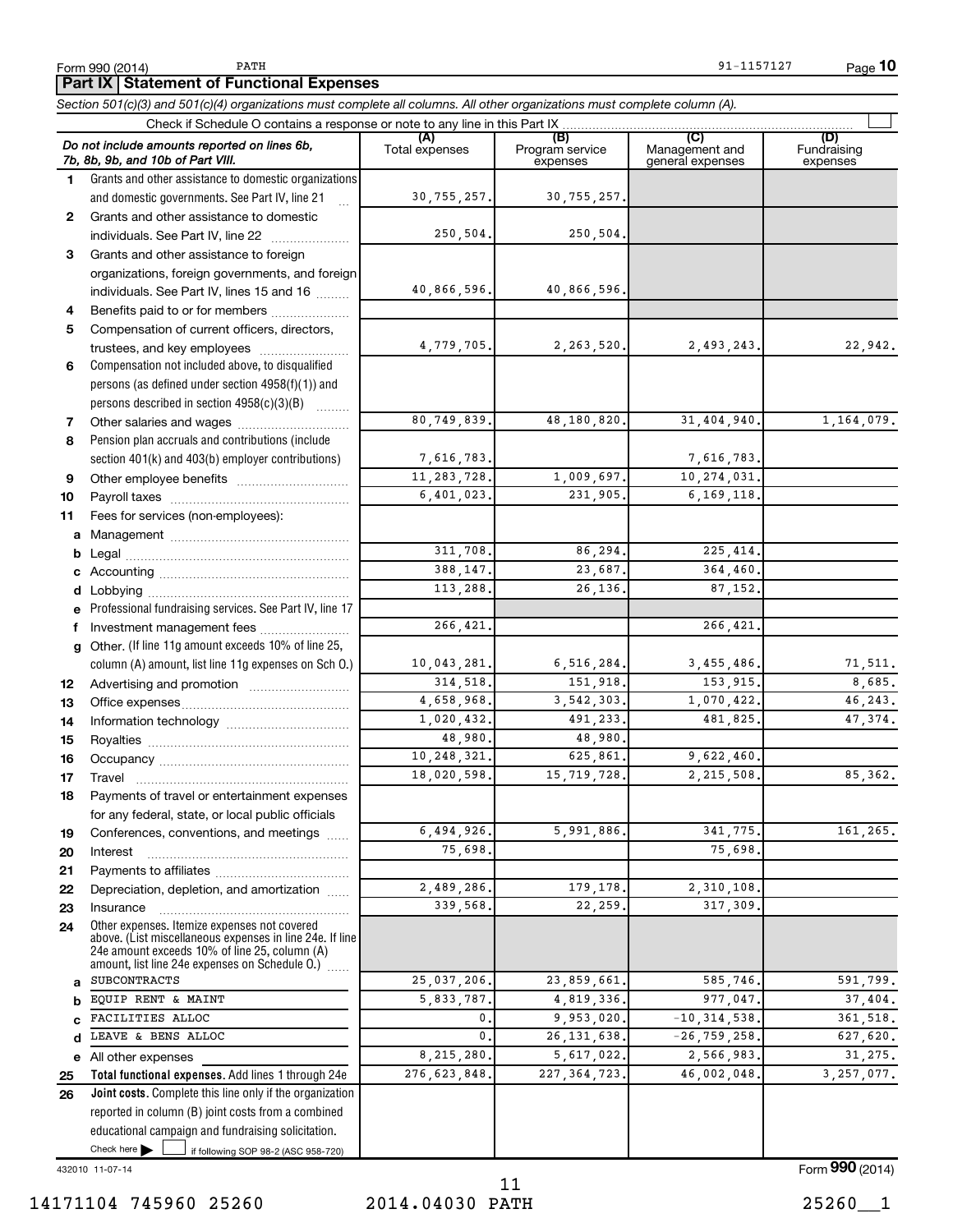**10**

#### **Part IX Statement of Functional Expenses**

*Section 501(c)(3) and 501(c)(4) organizations must complete all columns. All other organizations must complete column (A).*

|              | Check if Schedule O contains a response or note to any line in this Part IX                     |                       |                                    |                                           |                                |
|--------------|-------------------------------------------------------------------------------------------------|-----------------------|------------------------------------|-------------------------------------------|--------------------------------|
|              | Do not include amounts reported on lines 6b,<br>7b, 8b, 9b, and 10b of Part VIII.               | (A)<br>Total expenses | (B)<br>Program service<br>expenses | (C)<br>Management and<br>general expenses | (D)<br>Fundraising<br>expenses |
| $\mathbf 1$  | Grants and other assistance to domestic organizations                                           |                       |                                    |                                           |                                |
|              | and domestic governments. See Part IV, line 21                                                  | 30, 755, 257.         | 30, 755, 257.                      |                                           |                                |
| $\mathbf{2}$ | Grants and other assistance to domestic                                                         |                       |                                    |                                           |                                |
|              | individuals. See Part IV, line 22                                                               | 250,504.              | 250,504.                           |                                           |                                |
| 3            | Grants and other assistance to foreign                                                          |                       |                                    |                                           |                                |
|              | organizations, foreign governments, and foreign                                                 |                       |                                    |                                           |                                |
|              | individuals. See Part IV, lines 15 and 16                                                       | 40,866,596.           | 40,866,596.                        |                                           |                                |
| 4            | Benefits paid to or for members                                                                 |                       |                                    |                                           |                                |
| 5            | Compensation of current officers, directors,                                                    |                       |                                    |                                           |                                |
|              | trustees, and key employees                                                                     | 4,779,705.            | 2,263,520.                         | 2,493,243.                                | 22,942.                        |
| 6            | Compensation not included above, to disqualified                                                |                       |                                    |                                           |                                |
|              | persons (as defined under section 4958(f)(1)) and                                               |                       |                                    |                                           |                                |
|              | persons described in section 4958(c)(3)(B)                                                      |                       |                                    |                                           |                                |
| 7            | Other salaries and wages                                                                        | 80,749,839.           | 48,180,820.                        | 31,404,940.                               | 1,164,079.                     |
| 8            | Pension plan accruals and contributions (include                                                |                       |                                    |                                           |                                |
|              | section 401(k) and 403(b) employer contributions)                                               | 7,616,783.            |                                    | 7,616,783.                                |                                |
| 9            |                                                                                                 | 11, 283, 728.         | 1,009,697.                         | 10,274,031.                               |                                |
| 10           |                                                                                                 | 6,401,023.            | 231,905.                           | 6, 169, 118.                              |                                |
| 11           | Fees for services (non-employees):                                                              |                       |                                    |                                           |                                |
| a            |                                                                                                 |                       |                                    |                                           |                                |
| b            |                                                                                                 | 311,708.              | 86,294.                            | 225, 414.                                 |                                |
|              |                                                                                                 | 388,147.              | 23,687.                            | 364,460.                                  |                                |
| d            |                                                                                                 | 113,288.              | 26,136.                            | 87,152.                                   |                                |
| е            | Professional fundraising services. See Part IV, line 17                                         |                       |                                    |                                           |                                |
| f            | Investment management fees                                                                      | 266,421.              |                                    | 266,421                                   |                                |
| g            | Other. (If line 11g amount exceeds 10% of line 25,                                              |                       |                                    |                                           |                                |
|              | column (A) amount, list line 11g expenses on Sch O.)                                            | 10,043,281.           | 6,516,284.                         | 3,455,486.                                | 71,511.                        |
| 12           |                                                                                                 | 314,518.              | 151,918.                           | 153,915.                                  | 8,685.                         |
| 13           |                                                                                                 | 4,658,968.            | 3,542,303.                         | 1,070,422.                                | 46, 243.                       |
| 14           |                                                                                                 | 1,020,432.            | 491.233.                           | 481,825.                                  | 47,374.                        |
| 15           |                                                                                                 | 48,980.               | 48,980.                            |                                           |                                |
| 16           |                                                                                                 | 10,248,321.           | 625,861.                           | 9,622,460.                                |                                |
| 17           |                                                                                                 | 18,020,598.           | 15,719,728.                        | 2,215,508.                                | 85,362.                        |
| 18           | Payments of travel or entertainment expenses                                                    |                       |                                    |                                           |                                |
|              | for any federal, state, or local public officials                                               |                       |                                    |                                           |                                |
| 19           | Conferences, conventions, and meetings                                                          | 6,494,926.            | 5,991,886.                         | 341,775                                   | 161,265.                       |
| 20           | Interest                                                                                        | 75,698.               |                                    | 75,698                                    |                                |
| 21<br>22     | Depreciation, depletion, and amortization                                                       | 2,489,286.            | 179,178.                           | 2,310,108                                 |                                |
|              |                                                                                                 | 339,568.              | 22,259.                            | 317,309.                                  |                                |
| 23<br>24     | Insurance<br>Other expenses. Itemize expenses not covered                                       |                       |                                    |                                           |                                |
|              | above. (List miscellaneous expenses in line 24e. If line                                        |                       |                                    |                                           |                                |
|              | 24e amount exceeds 10% of line 25, column (A)<br>amount, list line 24e expenses on Schedule O.) |                       |                                    |                                           |                                |
| a            | <b>SUBCONTRACTS</b>                                                                             | 25,037,206.           | 23,859,661.                        | 585,746                                   | 591,799.                       |
| b            | EQUIP RENT & MAINT                                                                              | 5,833,787.            | 4,819,336.                         | 977,047.                                  | 37,404.                        |
|              | FACILITIES ALLOC                                                                                | 0.                    | 9,953,020.                         | $-10, 314, 538$                           | 361,518.                       |
| d            | LEAVE & BENS ALLOC                                                                              | 0.                    | 26, 131, 638.                      | $-26, 759, 258$                           | 627,620.                       |
|              | e All other expenses                                                                            | 8, 215, 280.          | 5,617,022.                         | 2,566,983                                 | 31,275.                        |
| 25           | Total functional expenses. Add lines 1 through 24e                                              | 276, 623, 848.        | 227, 364, 723.                     | 46,002,048                                | 3,257,077.                     |
| 26           | <b>Joint costs.</b> Complete this line only if the organization                                 |                       |                                    |                                           |                                |
|              | reported in column (B) joint costs from a combined                                              |                       |                                    |                                           |                                |
|              | educational campaign and fundraising solicitation.                                              |                       |                                    |                                           |                                |
|              | Check here $\blacktriangleright$<br>if following SOP 98-2 (ASC 958-720)                         |                       |                                    |                                           |                                |

432010 11-07-14

Form (2014) **990**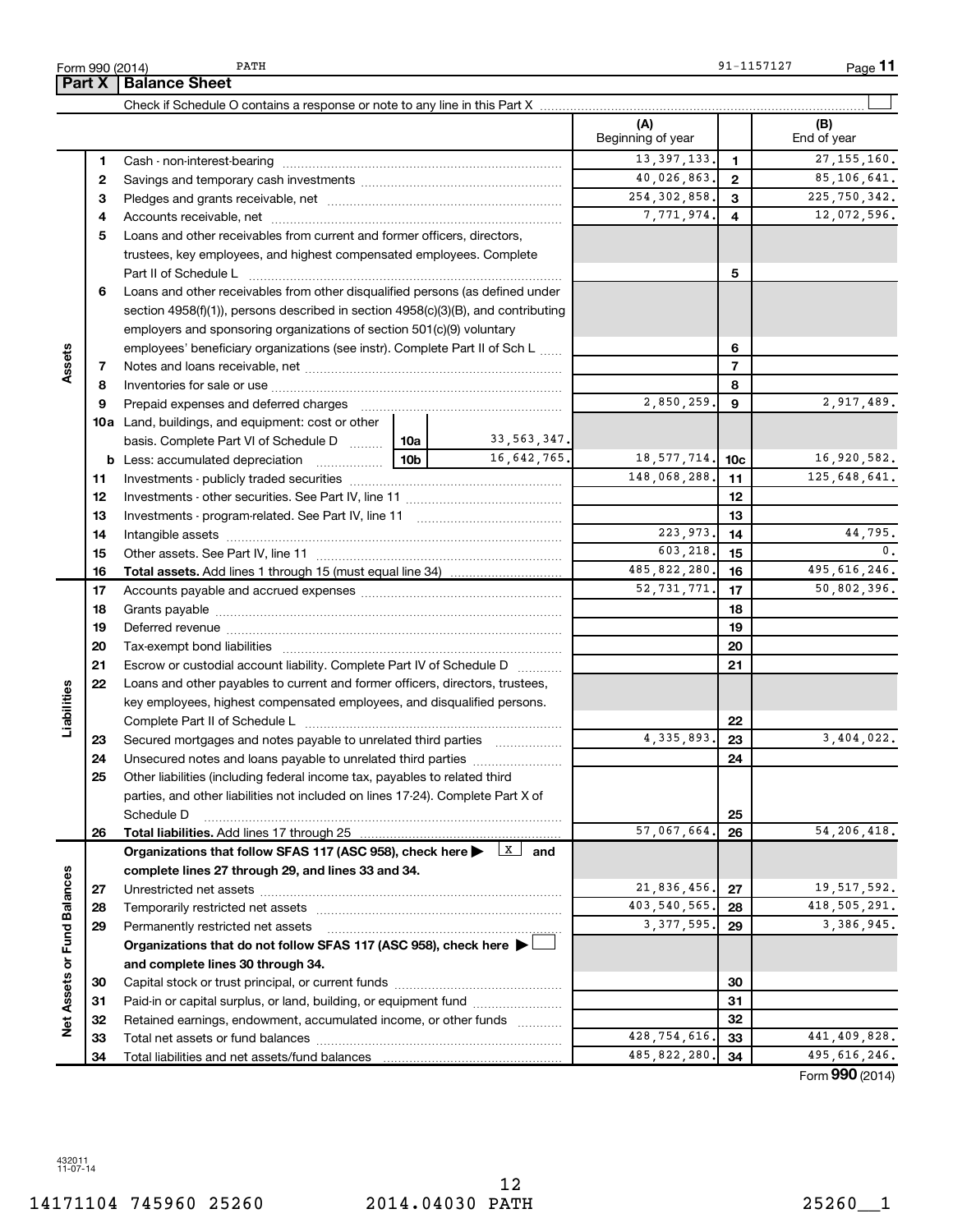$\overline{\phantom{0}}$ 

432011 11-07-14

### 14171104 745960 25260 2014.04030 PATH 25260\_\_1 12

Form (2014) **990**

|                   |    |                                                                                                                                                                                                                                |               | (A)<br>Beginning of year |                | (B)<br>End of year |
|-------------------|----|--------------------------------------------------------------------------------------------------------------------------------------------------------------------------------------------------------------------------------|---------------|--------------------------|----------------|--------------------|
|                   | 1  |                                                                                                                                                                                                                                |               | 13, 397, 133.            | $\mathbf{1}$   | 27, 155, 160.      |
|                   | 2  |                                                                                                                                                                                                                                |               | 40,026,863.              | $\mathbf{2}$   | 85,106,641.        |
|                   | З  |                                                                                                                                                                                                                                |               | 254, 302, 858.           | 3              | 225,750,342.       |
|                   | 4  |                                                                                                                                                                                                                                | 7,771,974.    | 4                        | 12,072,596.    |                    |
|                   | 5  | Loans and other receivables from current and former officers, directors,                                                                                                                                                       |               |                          |                |                    |
|                   |    | trustees, key employees, and highest compensated employees. Complete                                                                                                                                                           |               |                          |                |                    |
|                   |    | Part II of Schedule L                                                                                                                                                                                                          |               |                          | 5              |                    |
|                   | 6  | Loans and other receivables from other disqualified persons (as defined under                                                                                                                                                  |               |                          |                |                    |
|                   |    | section 4958(f)(1)), persons described in section 4958(c)(3)(B), and contributing                                                                                                                                              |               |                          |                |                    |
|                   |    | employers and sponsoring organizations of section 501(c)(9) voluntary                                                                                                                                                          |               |                          |                |                    |
|                   |    | employees' beneficiary organizations (see instr). Complete Part II of Sch L                                                                                                                                                    |               |                          | 6              |                    |
| Assets            | 7  |                                                                                                                                                                                                                                |               |                          | $\overline{7}$ |                    |
|                   | 8  |                                                                                                                                                                                                                                |               |                          | 8              |                    |
|                   | 9  | Prepaid expenses and deferred charges [11] matter continuum matter and referred charges [11] matter continuum matter continuum matter and continuum matter continuum matter and continuum matter continuum matter continuum ma |               | 2,850,259.               | 9              | 2,917,489.         |
|                   |    | 10a Land, buildings, and equipment: cost or other                                                                                                                                                                              |               |                          |                |                    |
|                   |    | basis. Complete Part VI of Schedule D    10a   33, 563, 347.                                                                                                                                                                   |               |                          |                |                    |
|                   |    |                                                                                                                                                                                                                                | 16,642,765.   | 18, 577, 714. 10c        |                | 16,920,582.        |
|                   | 11 |                                                                                                                                                                                                                                |               | 148,068,288.             | 11             | 125,648,641.       |
|                   | 12 |                                                                                                                                                                                                                                |               |                          | 12             |                    |
|                   | 13 |                                                                                                                                                                                                                                |               |                          | 13             |                    |
|                   | 14 | Intangible assets with an annumerous contracts are all the contracts and an analysis of the assets with an annumerous contracts and an analysis and an analysis and an analysis and an analysis and an analysis and an analysi |               | 223,973.                 | 14             | 44,795.            |
|                   | 15 |                                                                                                                                                                                                                                |               | 603,218.                 | 15             | 0.                 |
|                   | 16 |                                                                                                                                                                                                                                |               | 485, 822, 280.           | 16             | 495,616,246.       |
|                   | 17 |                                                                                                                                                                                                                                | 52, 731, 771. | 17                       | 50,802,396.    |                    |
|                   | 18 |                                                                                                                                                                                                                                |               |                          | 18             |                    |
|                   | 19 |                                                                                                                                                                                                                                |               |                          | 19             |                    |
|                   | 20 |                                                                                                                                                                                                                                |               |                          | 20             |                    |
|                   | 21 | Escrow or custodial account liability. Complete Part IV of Schedule D                                                                                                                                                          |               |                          | 21             |                    |
|                   | 22 | Loans and other payables to current and former officers, directors, trustees,                                                                                                                                                  |               |                          |                |                    |
| Liabilities       |    | key employees, highest compensated employees, and disqualified persons.                                                                                                                                                        |               |                          |                |                    |
|                   |    |                                                                                                                                                                                                                                |               |                          | 22             |                    |
|                   | 23 | Secured mortgages and notes payable to unrelated third parties                                                                                                                                                                 |               | 4,335,893.               | 23             | 3,404,022.         |
|                   | 24 |                                                                                                                                                                                                                                |               |                          | 24             |                    |
|                   | 25 | Other liabilities (including federal income tax, payables to related third                                                                                                                                                     |               |                          |                |                    |
|                   |    | parties, and other liabilities not included on lines 17-24). Complete Part X of                                                                                                                                                |               |                          |                |                    |
|                   |    | Schedule D                                                                                                                                                                                                                     |               |                          | 25             |                    |
|                   | 26 |                                                                                                                                                                                                                                |               | 57,067,664.              | 26             | 54, 206, 418.      |
|                   |    | Organizations that follow SFAS 117 (ASC 958), check here $\blacktriangleright$ $\lfloor x \rfloor$                                                                                                                             | and           |                          |                |                    |
|                   |    | complete lines 27 through 29, and lines 33 and 34.                                                                                                                                                                             |               |                          |                |                    |
|                   | 27 |                                                                                                                                                                                                                                |               | 21,836,456.              | 27             | 19,517,592.        |
|                   | 28 |                                                                                                                                                                                                                                |               | 403, 540, 565.           | 28             | 418,505,291.       |
|                   | 29 | Permanently restricted net assets                                                                                                                                                                                              |               | 3, 377, 595.             | 29             | 3,386,945.         |
| or Fund Balances  |    | Organizations that do not follow SFAS 117 (ASC 958), check here $\blacktriangleright$                                                                                                                                          |               |                          |                |                    |
|                   |    | and complete lines 30 through 34.                                                                                                                                                                                              |               |                          |                |                    |
|                   | 30 |                                                                                                                                                                                                                                |               |                          | 30             |                    |
|                   | 31 | Paid-in or capital surplus, or land, building, or equipment fund                                                                                                                                                               |               |                          | 31             |                    |
| <b>Net Assets</b> | 32 | Retained earnings, endowment, accumulated income, or other funds                                                                                                                                                               |               |                          | 32             |                    |
|                   | 33 |                                                                                                                                                                                                                                |               | 428, 754, 616.           | 33             | 441,409,828.       |
|                   | 34 |                                                                                                                                                                                                                                |               | 485,822,280.             | 34             | 495,616,246.       |

Check if Schedule O contains a response or note to any line in this Part X

**11** 91-1157127

 $\perp$ 

Form 990 (2014) PATH **Part X Balance Sheet**

 $\overline{\phantom{0}}$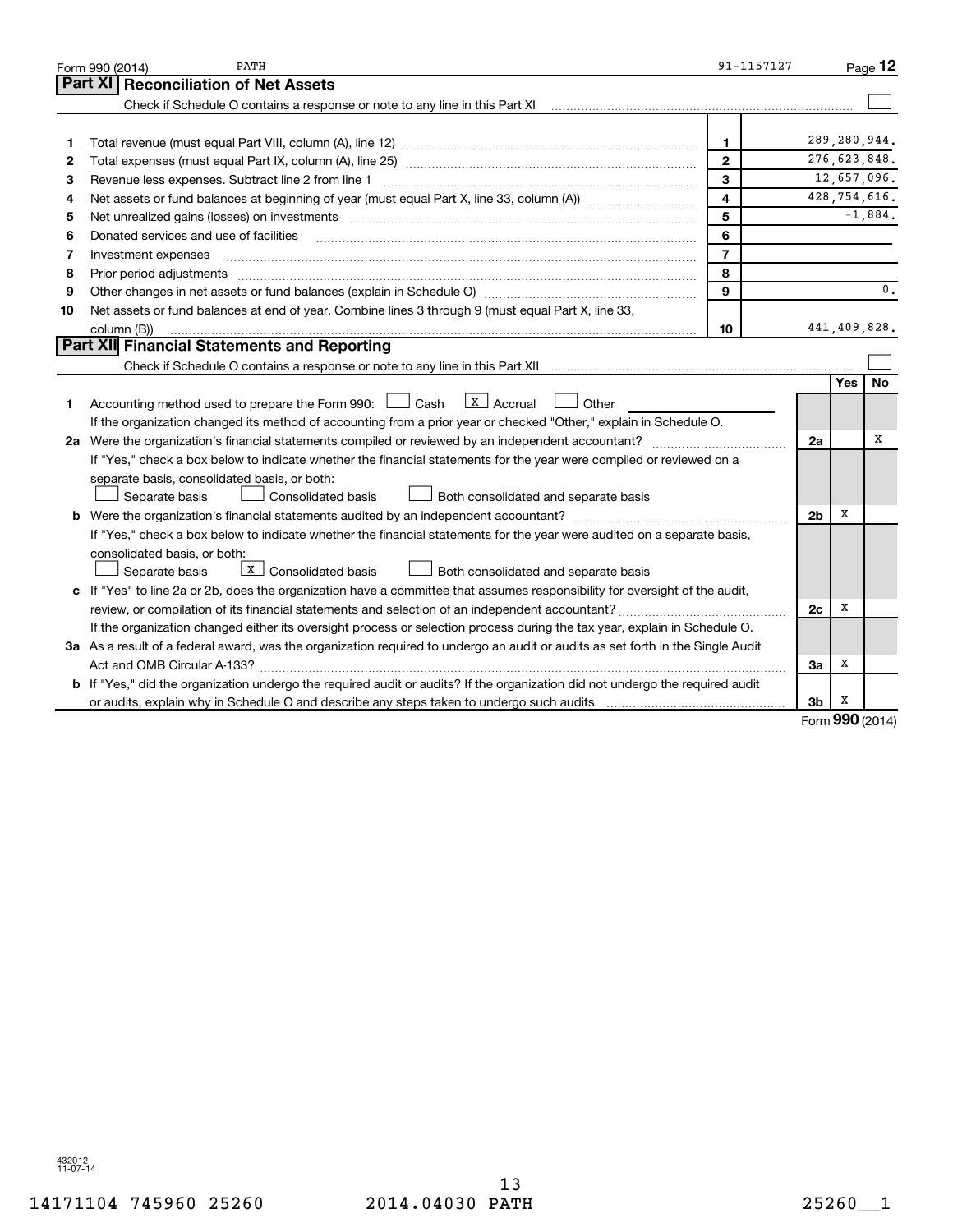|    | PATH<br>Form 990 (2014)                                                                                                                                                                                                        | 91-1157127     |                |                     | Page 12        |
|----|--------------------------------------------------------------------------------------------------------------------------------------------------------------------------------------------------------------------------------|----------------|----------------|---------------------|----------------|
|    | Part XI<br><b>Reconciliation of Net Assets</b>                                                                                                                                                                                 |                |                |                     |                |
|    |                                                                                                                                                                                                                                |                |                |                     |                |
|    |                                                                                                                                                                                                                                |                |                |                     |                |
| 1  |                                                                                                                                                                                                                                | 1              |                |                     | 289, 280, 944. |
| 2  |                                                                                                                                                                                                                                | $\mathbf{2}$   |                |                     | 276, 623, 848. |
| З  | Revenue less expenses. Subtract line 2 from line 1                                                                                                                                                                             | 3              |                |                     | 12,657,096.    |
| 4  |                                                                                                                                                                                                                                | $\overline{4}$ |                |                     | 428,754,616.   |
| 5  | Net unrealized gains (losses) on investments [11] matter in the contract of the contract of the contract of the contract of the contract of the contract of the contract of the contract of the contract of the contract of th | 5              |                |                     | $-1.884.$      |
| 6  | Donated services and use of facilities                                                                                                                                                                                         | 6              |                |                     |                |
| 7  | Investment expenses                                                                                                                                                                                                            | $\overline{7}$ |                |                     |                |
| 8  | Prior period adjustments [111] matter contracts and adjustments and account and account of the contracts and account of the contracts and account of the contracts and account of the contracts and account of the contracts a | 8              |                |                     |                |
| 9  |                                                                                                                                                                                                                                | 9              |                |                     | $\mathbf{0}$ . |
| 10 | Net assets or fund balances at end of year. Combine lines 3 through 9 (must equal Part X, line 33,                                                                                                                             |                |                |                     |                |
|    | column (B))                                                                                                                                                                                                                    | 10             |                |                     | 441,409,828.   |
|    | Part XII Financial Statements and Reporting                                                                                                                                                                                    |                |                |                     |                |
|    |                                                                                                                                                                                                                                |                |                |                     |                |
|    |                                                                                                                                                                                                                                |                |                | <b>Yes</b>          | No             |
| 1. | $\lfloor x \rfloor$ Accrual<br>Accounting method used to prepare the Form 990: $\Box$ Cash<br>Other                                                                                                                            |                |                |                     |                |
|    | If the organization changed its method of accounting from a prior year or checked "Other," explain in Schedule O.                                                                                                              |                |                |                     |                |
|    | 2a Were the organization's financial statements compiled or reviewed by an independent accountant?                                                                                                                             |                | 2a             |                     | х              |
|    | If "Yes," check a box below to indicate whether the financial statements for the year were compiled or reviewed on a                                                                                                           |                |                |                     |                |
|    | separate basis, consolidated basis, or both:                                                                                                                                                                                   |                |                |                     |                |
|    | <b>Consolidated basis</b><br>Both consolidated and separate basis<br>Separate basis                                                                                                                                            |                |                |                     |                |
|    |                                                                                                                                                                                                                                |                | 2 <sub>b</sub> | х                   |                |
|    | If "Yes," check a box below to indicate whether the financial statements for the year were audited on a separate basis,                                                                                                        |                |                |                     |                |
|    | consolidated basis, or both:                                                                                                                                                                                                   |                |                |                     |                |
|    | X   Consolidated basis<br>Both consolidated and separate basis<br>Separate basis                                                                                                                                               |                |                |                     |                |
|    | c If "Yes" to line 2a or 2b, does the organization have a committee that assumes responsibility for oversight of the audit,                                                                                                    |                |                |                     |                |
|    | review, or compilation of its financial statements and selection of an independent accountant?                                                                                                                                 |                | 2c             | х                   |                |
|    | If the organization changed either its oversight process or selection process during the tax year, explain in Schedule O.                                                                                                      |                |                |                     |                |
|    | 3a As a result of a federal award, was the organization required to undergo an audit or audits as set forth in the Single Audit                                                                                                |                |                |                     |                |
|    |                                                                                                                                                                                                                                |                | За             | х                   |                |
|    | b If "Yes," did the organization undergo the required audit or audits? If the organization did not undergo the required audit                                                                                                  |                |                |                     |                |
|    |                                                                                                                                                                                                                                |                | Зb             | x<br><u>nnn 100</u> |                |

Form (2014) **990**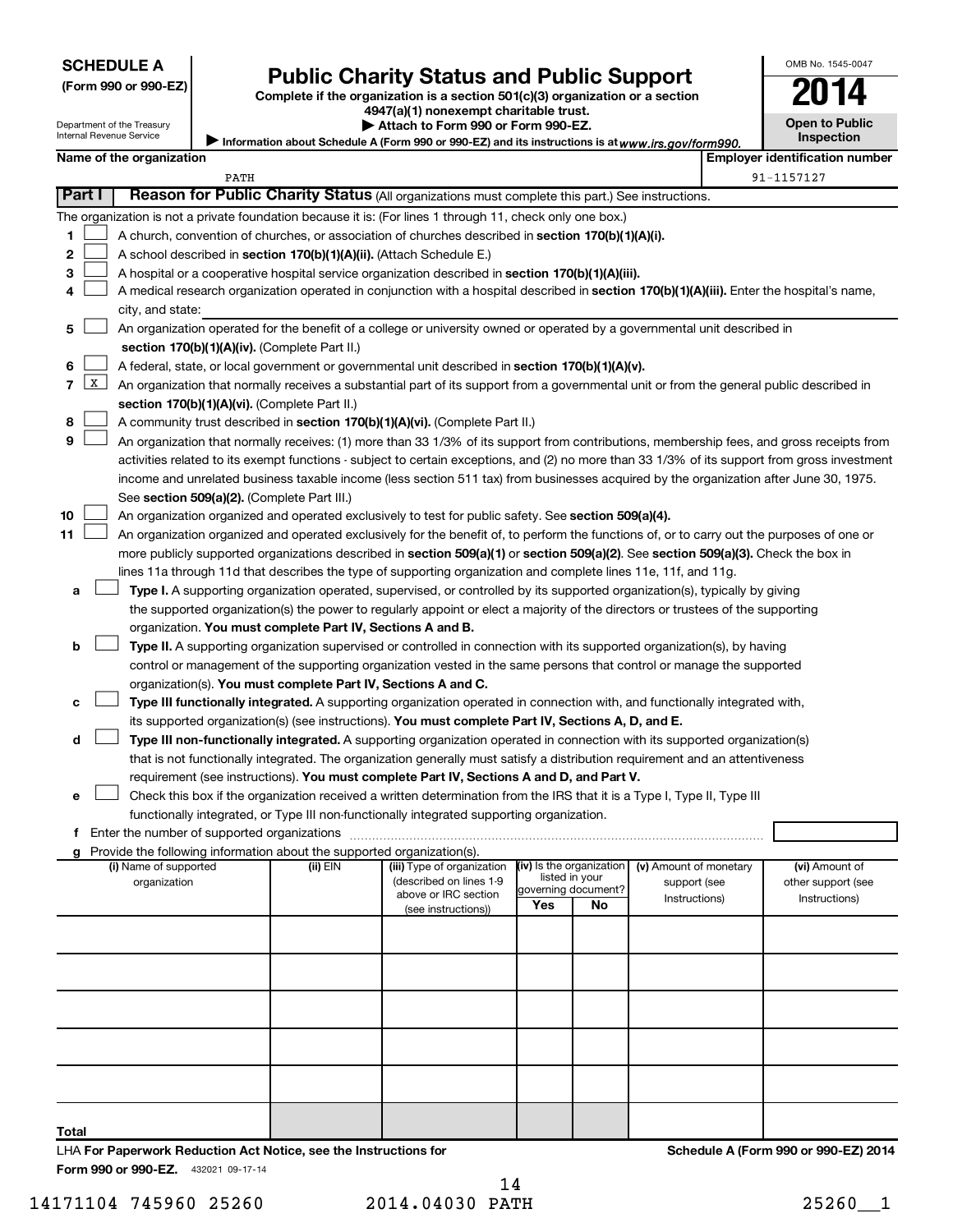Department of the Treasury Internal Revenue Service

| (Form 990 or 990-EZ |  |  |  |  |
|---------------------|--|--|--|--|
|---------------------|--|--|--|--|

# Form 990 or 990-EZ) **Public Charity Status and Public Support**<br>
Complete if the organization is a section 501(c)(3) organization or a section<br> **2014**

**4947(a)(1) nonexempt charitable trust. | Attach to Form 990 or Form 990-EZ.** 

| OMB No 1545-0047                    |
|-------------------------------------|
| 014                                 |
| <b>Open to Public</b><br>Inspection |

|  | Name of the organizatic |  |
|--|-------------------------|--|

Information about Schedule A (Form 990 or 990-EZ) and its instructions is at www.irs.gov/form990.

|              |              | Name of the organization                                                                                                                                                                                            |          |                            |                            |    |                        | <b>Employer identification number</b> |
|--------------|--------------|---------------------------------------------------------------------------------------------------------------------------------------------------------------------------------------------------------------------|----------|----------------------------|----------------------------|----|------------------------|---------------------------------------|
|              |              | PATH                                                                                                                                                                                                                |          |                            |                            |    |                        | 91-1157127                            |
| Part I       |              | Reason for Public Charity Status (All organizations must complete this part.) See instructions.                                                                                                                     |          |                            |                            |    |                        |                                       |
|              |              | The organization is not a private foundation because it is: (For lines 1 through 11, check only one box.)                                                                                                           |          |                            |                            |    |                        |                                       |
| 1.           |              | A church, convention of churches, or association of churches described in section 170(b)(1)(A)(i).                                                                                                                  |          |                            |                            |    |                        |                                       |
| 2            |              | A school described in section 170(b)(1)(A)(ii). (Attach Schedule E.)                                                                                                                                                |          |                            |                            |    |                        |                                       |
| з            |              | A hospital or a cooperative hospital service organization described in section 170(b)(1)(A)(iii).                                                                                                                   |          |                            |                            |    |                        |                                       |
| 4            |              | A medical research organization operated in conjunction with a hospital described in section 170(b)(1)(A)(iii). Enter the hospital's name,                                                                          |          |                            |                            |    |                        |                                       |
|              |              | city, and state:                                                                                                                                                                                                    |          |                            |                            |    |                        |                                       |
| 5            |              | An organization operated for the benefit of a college or university owned or operated by a governmental unit described in                                                                                           |          |                            |                            |    |                        |                                       |
|              |              | section 170(b)(1)(A)(iv). (Complete Part II.)                                                                                                                                                                       |          |                            |                            |    |                        |                                       |
| 6.           |              | A federal, state, or local government or governmental unit described in section 170(b)(1)(A)(v).                                                                                                                    |          |                            |                            |    |                        |                                       |
| $\mathbf{7}$ | $\mathbf{X}$ | An organization that normally receives a substantial part of its support from a governmental unit or from the general public described in                                                                           |          |                            |                            |    |                        |                                       |
|              |              | section 170(b)(1)(A)(vi). (Complete Part II.)                                                                                                                                                                       |          |                            |                            |    |                        |                                       |
| 8            |              | A community trust described in section 170(b)(1)(A)(vi). (Complete Part II.)                                                                                                                                        |          |                            |                            |    |                        |                                       |
| 9            |              | An organization that normally receives: (1) more than 33 1/3% of its support from contributions, membership fees, and gross receipts from                                                                           |          |                            |                            |    |                        |                                       |
|              |              | activities related to its exempt functions - subject to certain exceptions, and (2) no more than 33 1/3% of its support from gross investment                                                                       |          |                            |                            |    |                        |                                       |
|              |              | income and unrelated business taxable income (less section 511 tax) from businesses acquired by the organization after June 30, 1975.                                                                               |          |                            |                            |    |                        |                                       |
|              |              | See section 509(a)(2). (Complete Part III.)                                                                                                                                                                         |          |                            |                            |    |                        |                                       |
| 10           |              | An organization organized and operated exclusively to test for public safety. See section 509(a)(4).                                                                                                                |          |                            |                            |    |                        |                                       |
| 11           |              | An organization organized and operated exclusively for the benefit of, to perform the functions of, or to carry out the purposes of one or                                                                          |          |                            |                            |    |                        |                                       |
|              |              | more publicly supported organizations described in section 509(a)(1) or section 509(a)(2). See section 509(a)(3). Check the box in                                                                                  |          |                            |                            |    |                        |                                       |
|              |              | lines 11a through 11d that describes the type of supporting organization and complete lines 11e, 11f, and 11g.                                                                                                      |          |                            |                            |    |                        |                                       |
| а            |              | Type I. A supporting organization operated, supervised, or controlled by its supported organization(s), typically by giving                                                                                         |          |                            |                            |    |                        |                                       |
|              |              | the supported organization(s) the power to regularly appoint or elect a majority of the directors or trustees of the supporting                                                                                     |          |                            |                            |    |                        |                                       |
|              |              | organization. You must complete Part IV, Sections A and B.                                                                                                                                                          |          |                            |                            |    |                        |                                       |
| b            |              | Type II. A supporting organization supervised or controlled in connection with its supported organization(s), by having                                                                                             |          |                            |                            |    |                        |                                       |
|              |              | control or management of the supporting organization vested in the same persons that control or manage the supported                                                                                                |          |                            |                            |    |                        |                                       |
|              |              | organization(s). You must complete Part IV, Sections A and C.                                                                                                                                                       |          |                            |                            |    |                        |                                       |
|              |              | Type III functionally integrated. A supporting organization operated in connection with, and functionally integrated with,                                                                                          |          |                            |                            |    |                        |                                       |
| с            |              | its supported organization(s) (see instructions). You must complete Part IV, Sections A, D, and E.                                                                                                                  |          |                            |                            |    |                        |                                       |
| d            |              | Type III non-functionally integrated. A supporting organization operated in connection with its supported organization(s)                                                                                           |          |                            |                            |    |                        |                                       |
|              |              | that is not functionally integrated. The organization generally must satisfy a distribution requirement and an attentiveness                                                                                        |          |                            |                            |    |                        |                                       |
|              |              |                                                                                                                                                                                                                     |          |                            |                            |    |                        |                                       |
|              |              | requirement (see instructions). You must complete Part IV, Sections A and D, and Part V.<br>Check this box if the organization received a written determination from the IRS that it is a Type I, Type II, Type III |          |                            |                            |    |                        |                                       |
| е            |              |                                                                                                                                                                                                                     |          |                            |                            |    |                        |                                       |
|              |              | functionally integrated, or Type III non-functionally integrated supporting organization.                                                                                                                           |          |                            |                            |    |                        |                                       |
|              |              | g Provide the following information about the supported organization(s).                                                                                                                                            |          |                            |                            |    |                        |                                       |
|              |              | (i) Name of supported                                                                                                                                                                                               | (ii) EIN | (iii) Type of organization | (iv) Is the organization   |    | (v) Amount of monetary | (vi) Amount of                        |
|              |              | organization                                                                                                                                                                                                        |          | (described on lines 1-9    | listed in your             |    | support (see           | other support (see                    |
|              |              |                                                                                                                                                                                                                     |          | above or IRC section       | governing document?<br>Yes | No | Instructions)          | Instructions)                         |
|              |              |                                                                                                                                                                                                                     |          | (see instructions))        |                            |    |                        |                                       |
|              |              |                                                                                                                                                                                                                     |          |                            |                            |    |                        |                                       |
|              |              |                                                                                                                                                                                                                     |          |                            |                            |    |                        |                                       |
|              |              |                                                                                                                                                                                                                     |          |                            |                            |    |                        |                                       |
|              |              |                                                                                                                                                                                                                     |          |                            |                            |    |                        |                                       |
|              |              |                                                                                                                                                                                                                     |          |                            |                            |    |                        |                                       |
|              |              |                                                                                                                                                                                                                     |          |                            |                            |    |                        |                                       |

**Total**

Form 990 or 990-EZ. 432021 09-17-14

LHA **For Paperwork Reduction Act Notice, see the Instructions for**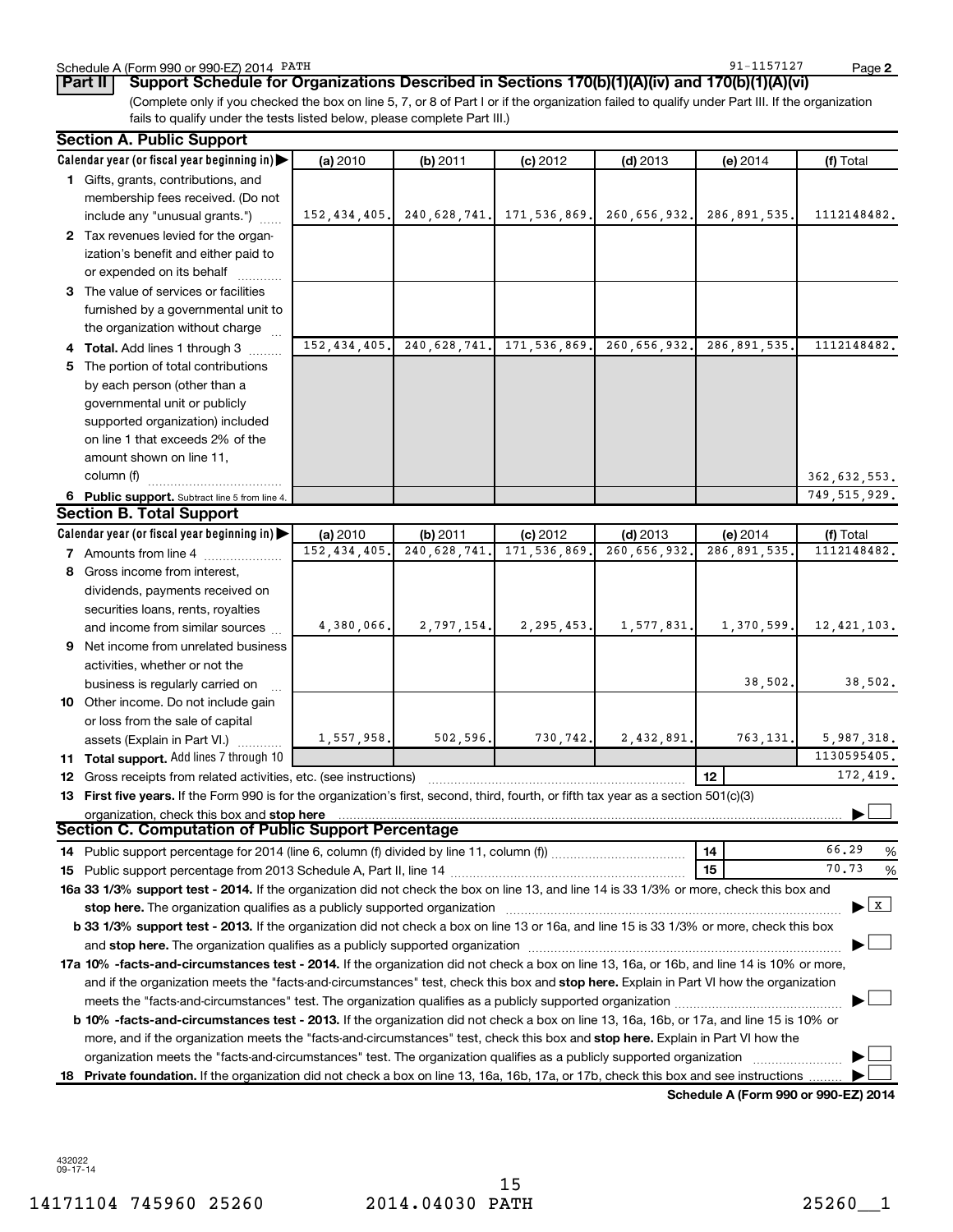|     | Calendar year (or fiscal year beginning in)<br>(a) 2010<br>(b) 2011<br>(c) 2012<br>$(d)$ 2013<br>(e) 2014<br>(f) Total                     |                |              |                |              |                                      |                                    |  |  |
|-----|--------------------------------------------------------------------------------------------------------------------------------------------|----------------|--------------|----------------|--------------|--------------------------------------|------------------------------------|--|--|
|     | 1 Gifts, grants, contributions, and                                                                                                        |                |              |                |              |                                      |                                    |  |  |
|     | membership fees received. (Do not                                                                                                          |                |              |                |              |                                      |                                    |  |  |
|     | include any "unusual grants.")                                                                                                             | 152, 434, 405. | 240,628,741. | 171,536,869.   | 260,656,932. | 286,891,535.                         | 1112148482.                        |  |  |
|     | 2 Tax revenues levied for the organ-                                                                                                       |                |              |                |              |                                      |                                    |  |  |
|     | ization's benefit and either paid to                                                                                                       |                |              |                |              |                                      |                                    |  |  |
|     | or expended on its behalf                                                                                                                  |                |              |                |              |                                      |                                    |  |  |
|     | 3 The value of services or facilities                                                                                                      |                |              |                |              |                                      |                                    |  |  |
|     | furnished by a governmental unit to                                                                                                        |                |              |                |              |                                      |                                    |  |  |
|     | the organization without charge                                                                                                            |                |              |                |              |                                      |                                    |  |  |
| 4   | <b>Total.</b> Add lines 1 through 3                                                                                                        | 152,434,405.   | 240,628,741. | 171, 536, 869. | 260,656,932. | 286,891,535.                         | 1112148482.                        |  |  |
| 5   | The portion of total contributions                                                                                                         |                |              |                |              |                                      |                                    |  |  |
|     | by each person (other than a                                                                                                               |                |              |                |              |                                      |                                    |  |  |
|     | governmental unit or publicly                                                                                                              |                |              |                |              |                                      |                                    |  |  |
|     | supported organization) included                                                                                                           |                |              |                |              |                                      |                                    |  |  |
|     | on line 1 that exceeds 2% of the                                                                                                           |                |              |                |              |                                      |                                    |  |  |
|     | amount shown on line 11,                                                                                                                   |                |              |                |              |                                      |                                    |  |  |
|     | column (f)                                                                                                                                 |                |              |                |              |                                      | 362, 632, 553.                     |  |  |
|     | 6 Public support. Subtract line 5 from line 4.                                                                                             |                |              |                |              |                                      | 749, 515, 929.                     |  |  |
|     | <b>Section B. Total Support</b>                                                                                                            |                |              |                |              |                                      |                                    |  |  |
|     | Calendar year (or fiscal year beginning in)                                                                                                | (a) 2010       | (b) 2011     | $(c)$ 2012     | $(d)$ 2013   | (e) 2014                             | (f) Total                          |  |  |
|     | <b>7</b> Amounts from line 4                                                                                                               | 152, 434, 405. | 240,628,741. | 171,536,869    | 260,656,932  | 286,891,535.                         | 1112148482.                        |  |  |
| 8   | Gross income from interest,                                                                                                                |                |              |                |              |                                      |                                    |  |  |
|     | dividends, payments received on                                                                                                            |                |              |                |              |                                      |                                    |  |  |
|     | securities loans, rents, royalties                                                                                                         |                |              |                |              |                                      |                                    |  |  |
|     | and income from similar sources                                                                                                            | 4,380,066.     | 2,797,154.   | 2, 295, 453.   | 1,577,831.   | 1,370,599.                           | 12, 421, 103.                      |  |  |
|     | Net income from unrelated business                                                                                                         |                |              |                |              |                                      |                                    |  |  |
|     | activities, whether or not the                                                                                                             |                |              |                |              |                                      |                                    |  |  |
|     | business is regularly carried on                                                                                                           |                |              |                |              | 38,502.                              | 38,502.                            |  |  |
|     | 10 Other income. Do not include gain                                                                                                       |                |              |                |              |                                      |                                    |  |  |
|     | or loss from the sale of capital                                                                                                           |                |              |                |              |                                      |                                    |  |  |
|     | assets (Explain in Part VI.)                                                                                                               | 1,557,958.     | 502,596.     | 730,742.       | 2,432,891.   | 763,131.                             | 5,987,318.                         |  |  |
|     | 11 Total support. Add lines 7 through 10                                                                                                   |                |              |                |              |                                      | 1130595405.                        |  |  |
| 12  | Gross receipts from related activities, etc. (see instructions)                                                                            |                |              |                |              | 12                                   | 172,419.                           |  |  |
| 13  | First five years. If the Form 990 is for the organization's first, second, third, fourth, or fifth tax year as a section 501(c)(3)         |                |              |                |              |                                      |                                    |  |  |
|     | organization, check this box and stop here                                                                                                 |                |              |                |              |                                      |                                    |  |  |
|     | Section C. Computation of Public Support Percentage                                                                                        |                |              |                |              |                                      |                                    |  |  |
|     |                                                                                                                                            |                |              |                |              | 14                                   | 66.29<br>%                         |  |  |
|     |                                                                                                                                            |                |              |                |              |                                      | 70.73<br>%                         |  |  |
|     | 16a 33 1/3% support test - 2014. If the organization did not check the box on line 13, and line 14 is 33 1/3% or more, check this box and  |                |              |                |              |                                      |                                    |  |  |
|     |                                                                                                                                            |                |              |                |              |                                      | $\blacktriangleright$ $\mathbf{X}$ |  |  |
|     | b 33 1/3% support test - 2013. If the organization did not check a box on line 13 or 16a, and line 15 is 33 1/3% or more, check this box   |                |              |                |              |                                      |                                    |  |  |
|     |                                                                                                                                            |                |              |                |              |                                      |                                    |  |  |
|     | 17a 10% -facts-and-circumstances test - 2014. If the organization did not check a box on line 13, 16a, or 16b, and line 14 is 10% or more, |                |              |                |              |                                      |                                    |  |  |
|     | and if the organization meets the "facts-and-circumstances" test, check this box and stop here. Explain in Part VI how the organization    |                |              |                |              |                                      |                                    |  |  |
|     |                                                                                                                                            |                |              |                |              |                                      |                                    |  |  |
|     | b 10% -facts-and-circumstances test - 2013. If the organization did not check a box on line 13, 16a, 16b, or 17a, and line 15 is 10% or    |                |              |                |              |                                      |                                    |  |  |
|     | more, and if the organization meets the "facts-and-circumstances" test, check this box and stop here. Explain in Part VI how the           |                |              |                |              |                                      |                                    |  |  |
|     |                                                                                                                                            |                |              |                |              |                                      |                                    |  |  |
| 18. | Private foundation. If the organization did not check a box on line 13, 16a, 16b, 17a, or 17b, check this box and see instructions         |                |              |                |              |                                      |                                    |  |  |
|     |                                                                                                                                            |                |              |                |              | Schedule A (Form 990 or 990-EZ) 2014 |                                    |  |  |

(Complete only if you checked the box on line 5, 7, or 8 of Part I or if the organization failed to qualify under Part III. If the organization

**Part II Support Schedule for Organizations Described in Sections 170(b)(1)(A)(iv) and 170(b)(1)(A)(vi)**

432022 09-17-14

Schedule A (Form 990 or 990-EZ) 2014 PATH

**Section A. Public Support**

fails to qualify under the tests listed below, please complete Part III.)

91-1157127

**2**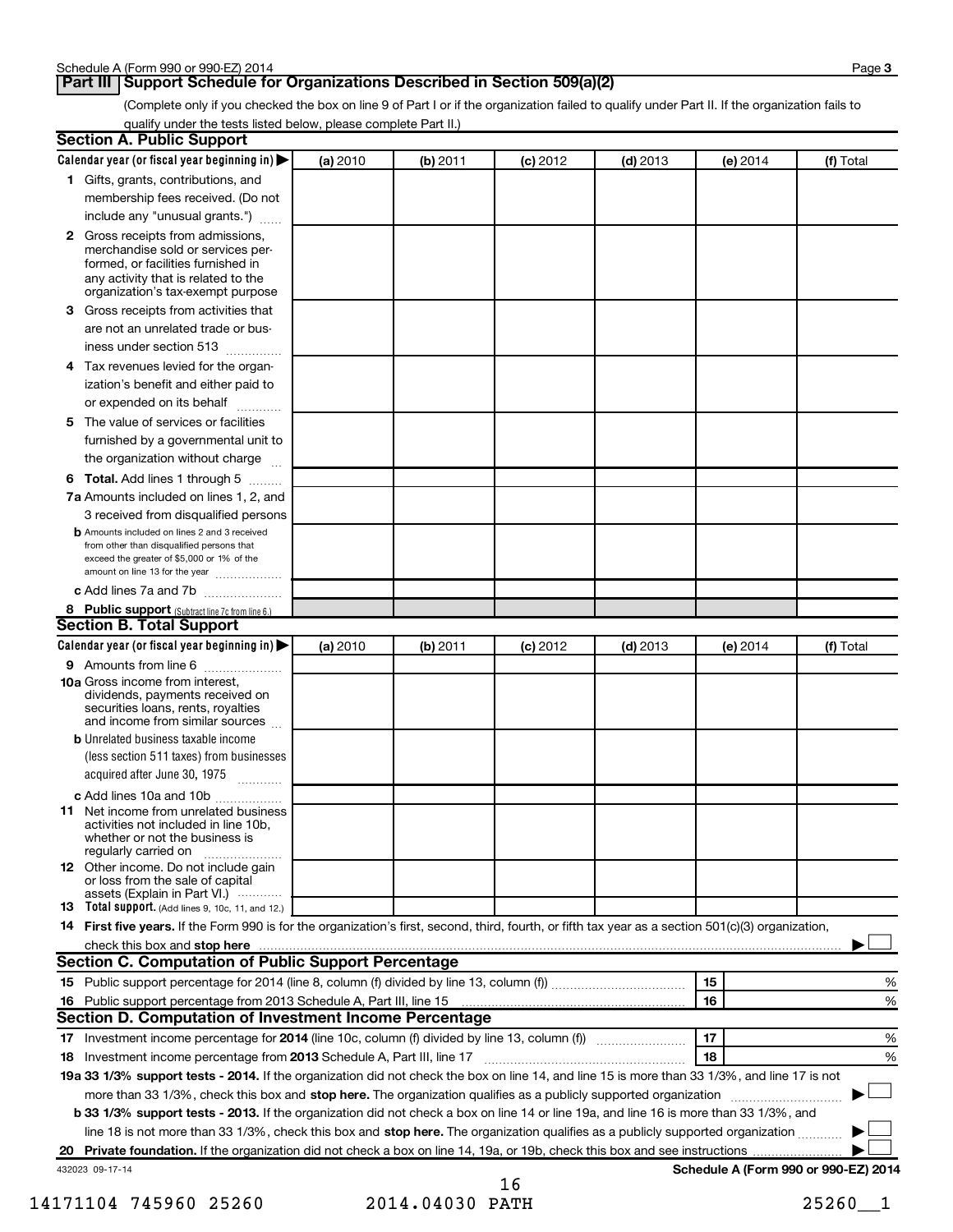#### **Part III Support Schedule for Organizations Described in Section 509(a)(2)**

(Complete only if you checked the box on line 9 of Part I or if the organization failed to qualify under Part II. If the organization fails to qualify under the tests listed below, please complete Part II.)

| <b>Section A. Public Support</b>                                                                                                                                                                                         |          |            |            |            |          |                                      |
|--------------------------------------------------------------------------------------------------------------------------------------------------------------------------------------------------------------------------|----------|------------|------------|------------|----------|--------------------------------------|
| Calendar year (or fiscal year beginning in)                                                                                                                                                                              | (a) 2010 | $(b)$ 2011 | $(c)$ 2012 | $(d)$ 2013 | (e) 2014 | (f) Total                            |
| 1 Gifts, grants, contributions, and                                                                                                                                                                                      |          |            |            |            |          |                                      |
| membership fees received. (Do not                                                                                                                                                                                        |          |            |            |            |          |                                      |
| include any "unusual grants.")                                                                                                                                                                                           |          |            |            |            |          |                                      |
| 2 Gross receipts from admissions,<br>merchandise sold or services per-<br>formed, or facilities furnished in<br>any activity that is related to the                                                                      |          |            |            |            |          |                                      |
| organization's tax-exempt purpose                                                                                                                                                                                        |          |            |            |            |          |                                      |
| 3 Gross receipts from activities that                                                                                                                                                                                    |          |            |            |            |          |                                      |
| are not an unrelated trade or bus-                                                                                                                                                                                       |          |            |            |            |          |                                      |
| iness under section 513                                                                                                                                                                                                  |          |            |            |            |          |                                      |
| 4 Tax revenues levied for the organ-<br>ization's benefit and either paid to                                                                                                                                             |          |            |            |            |          |                                      |
| or expended on its behalf                                                                                                                                                                                                |          |            |            |            |          |                                      |
| 5 The value of services or facilities                                                                                                                                                                                    |          |            |            |            |          |                                      |
| furnished by a governmental unit to                                                                                                                                                                                      |          |            |            |            |          |                                      |
| the organization without charge                                                                                                                                                                                          |          |            |            |            |          |                                      |
|                                                                                                                                                                                                                          |          |            |            |            |          |                                      |
| 6 Total. Add lines 1 through 5                                                                                                                                                                                           |          |            |            |            |          |                                      |
| 7a Amounts included on lines 1, 2, and                                                                                                                                                                                   |          |            |            |            |          |                                      |
| 3 received from disqualified persons<br><b>b</b> Amounts included on lines 2 and 3 received<br>from other than disqualified persons that<br>exceed the greater of \$5,000 or 1% of the<br>amount on line 13 for the year |          |            |            |            |          |                                      |
| c Add lines 7a and 7b                                                                                                                                                                                                    |          |            |            |            |          |                                      |
| 8 Public support (Subtract line 7c from line 6.)                                                                                                                                                                         |          |            |            |            |          |                                      |
| <b>Section B. Total Support</b>                                                                                                                                                                                          |          |            |            |            |          |                                      |
| Calendar year (or fiscal year beginning in)                                                                                                                                                                              | (a) 2010 | (b) 2011   | $(c)$ 2012 | $(d)$ 2013 | (e) 2014 | (f) Total                            |
| 9 Amounts from line 6                                                                                                                                                                                                    |          |            |            |            |          |                                      |
| <b>10a</b> Gross income from interest,<br>dividends, payments received on<br>securities loans, rents, royalties<br>and income from similar sources                                                                       |          |            |            |            |          |                                      |
| <b>b</b> Unrelated business taxable income                                                                                                                                                                               |          |            |            |            |          |                                      |
| (less section 511 taxes) from businesses<br>acquired after June 30, 1975                                                                                                                                                 |          |            |            |            |          |                                      |
| c Add lines 10a and 10b                                                                                                                                                                                                  |          |            |            |            |          |                                      |
| <b>11</b> Net income from unrelated business<br>activities not included in line 10b.<br>whether or not the business is<br>regularly carried on                                                                           |          |            |            |            |          |                                      |
| <b>12</b> Other income. Do not include gain<br>or loss from the sale of capital<br>assets (Explain in Part VI.)                                                                                                          |          |            |            |            |          |                                      |
| <b>13</b> Total support. (Add lines 9, 10c, 11, and 12.)                                                                                                                                                                 |          |            |            |            |          |                                      |
| 14 First five years. If the Form 990 is for the organization's first, second, third, fourth, or fifth tax year as a section 501(c)(3) organization,                                                                      |          |            |            |            |          |                                      |
| check this box and stop here                                                                                                                                                                                             |          |            |            |            |          |                                      |
| Section C. Computation of Public Support Percentage                                                                                                                                                                      |          |            |            |            |          |                                      |
|                                                                                                                                                                                                                          |          |            |            |            | 15       | %                                    |
| 16 Public support percentage from 2013 Schedule A, Part III, line 15                                                                                                                                                     |          |            |            |            | 16       | %                                    |
| Section D. Computation of Investment Income Percentage                                                                                                                                                                   |          |            |            |            |          |                                      |
|                                                                                                                                                                                                                          |          |            |            |            | 17       | %                                    |
| 18 Investment income percentage from 2013 Schedule A, Part III, line 17                                                                                                                                                  |          |            |            |            | 18       | %                                    |
| 19a 33 1/3% support tests - 2014. If the organization did not check the box on line 14, and line 15 is more than 33 1/3%, and line 17 is not                                                                             |          |            |            |            |          |                                      |
| more than 33 1/3%, check this box and stop here. The organization qualifies as a publicly supported organization                                                                                                         |          |            |            |            |          |                                      |
| b 33 1/3% support tests - 2013. If the organization did not check a box on line 14 or line 19a, and line 16 is more than 33 1/3%, and                                                                                    |          |            |            |            |          |                                      |
| line 18 is not more than 33 1/3%, check this box and stop here. The organization qualifies as a publicly supported organization                                                                                          |          |            |            |            |          |                                      |
|                                                                                                                                                                                                                          |          |            |            |            |          |                                      |
| 432023 09-17-14                                                                                                                                                                                                          |          |            | 16         |            |          | Schedule A (Form 990 or 990-EZ) 2014 |

14171104 745960 25260 2014.04030 PATH 25260\_\_1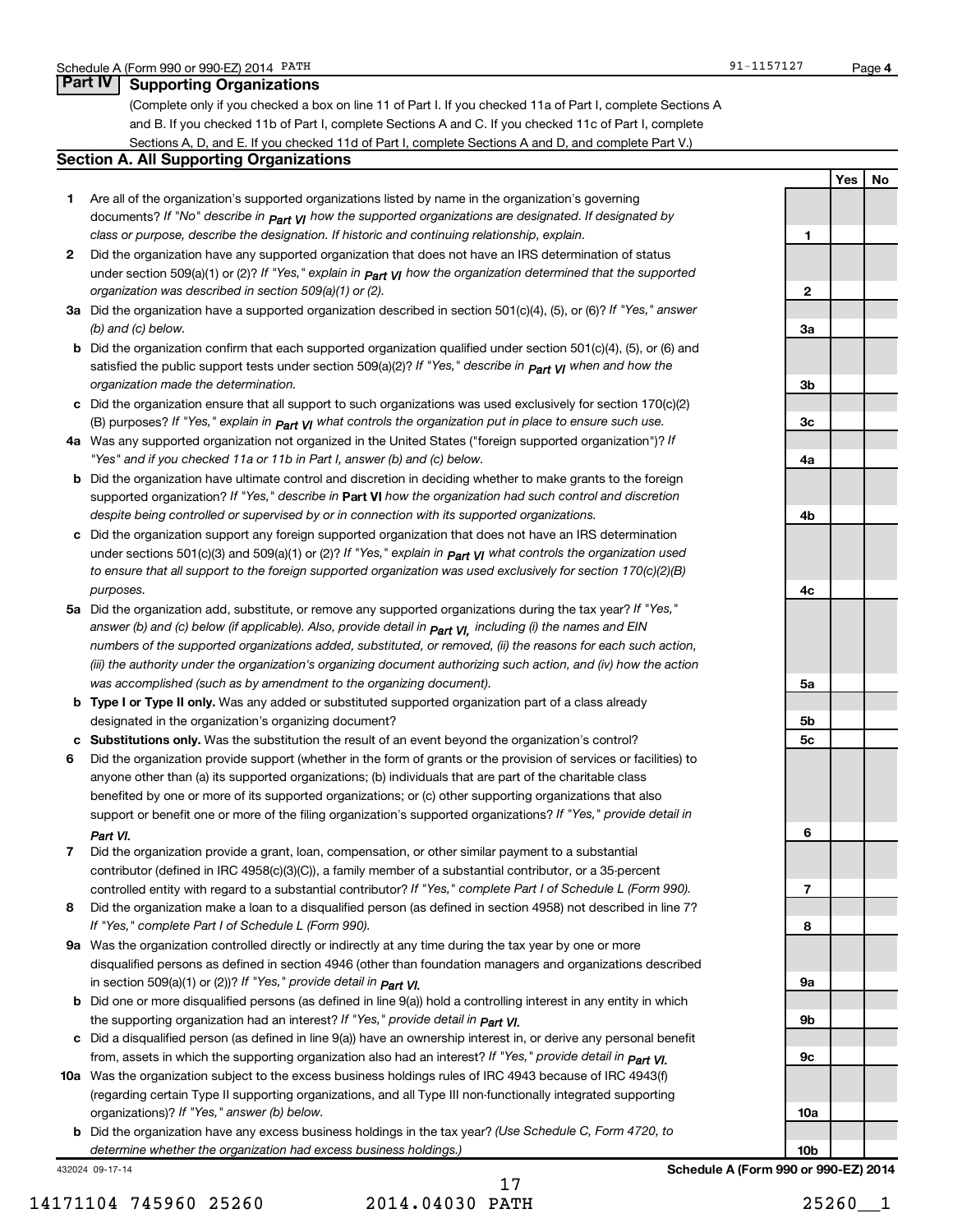### **Part IV Supporting Organizations**

(Complete only if you checked a box on line 11 of Part I. If you checked 11a of Part I, complete Sections A and B. If you checked 11b of Part I, complete Sections A and C. If you checked 11c of Part I, complete Sections A, D, and E. If you checked 11d of Part I, complete Sections A and D, and complete Part V.)

#### **Section A. All Supporting Organizations**

- **1** Are all of the organization's supported organizations listed by name in the organization's governing documents? If "No" describe in  $_{\mathsf{Part}}$   $_{\mathsf{V}}$  how the supported organizations are designated. If designated by *class or purpose, describe the designation. If historic and continuing relationship, explain.*
- **2** Did the organization have any supported organization that does not have an IRS determination of status under section 509(a)(1) or (2)? If "Yes," explain in  $_{\sf Part}$   $_{\sf VI}$  how the organization determined that the supported *organization was described in section 509(a)(1) or (2).*
- **3a** Did the organization have a supported organization described in section 501(c)(4), (5), or (6)? If "Yes," answer *(b) and (c) below.*
- **b** Did the organization confirm that each supported organization qualified under section 501(c)(4), (5), or (6) and satisfied the public support tests under section 509(a)(2)? If "Yes," describe in  $_{\rm Part}$   $_{\rm VI}$  when and how the *organization made the determination.*
- **c** Did the organization ensure that all support to such organizations was used exclusively for section 170(c)(2) (B) purposes? If "Yes," explain in  $_{\mathsf{Part}}$   $_{\mathsf{V}}$  what controls the organization put in place to ensure such use.
- **4 a** *If* Was any supported organization not organized in the United States ("foreign supported organization")? *"Yes" and if you checked 11a or 11b in Part I, answer (b) and (c) below.*
- **b** Did the organization have ultimate control and discretion in deciding whether to make grants to the foreign supported organization? If "Yes," describe in Part VI how the organization had such control and discretion *despite being controlled or supervised by or in connection with its supported organizations.*
- **c** Did the organization support any foreign supported organization that does not have an IRS determination under sections 501(c)(3) and 509(a)(1) or (2)? If "Yes," ex*plain in*  $_{\sf Part}$  *v*J what controls the organization used *to ensure that all support to the foreign supported organization was used exclusively for section 170(c)(2)(B) purposes.*
- **5a** Did the organization add, substitute, or remove any supported organizations during the tax year? If "Yes," answer (b) and (c) below (if applicable). Also, provide detail in  $_{\mathsf{Part}}$   $_{\mathsf{V{\mathsf{I}}}}$ , including (i) the names and EIN *numbers of the supported organizations added, substituted, or removed, (ii) the reasons for each such action, (iii) the authority under the organization's organizing document authorizing such action, and (iv) how the action was accomplished (such as by amendment to the organizing document).*
- **b** Type I or Type II only. Was any added or substituted supported organization part of a class already designated in the organization's organizing document?
- **c Substitutions only.**  Was the substitution the result of an event beyond the organization's control?
- **6** Did the organization provide support (whether in the form of grants or the provision of services or facilities) to support or benefit one or more of the filing organization's supported organizations? If "Yes," provide detail in anyone other than (a) its supported organizations; (b) individuals that are part of the charitable class benefited by one or more of its supported organizations; or (c) other supporting organizations that also *Part VI.*
- **7** Did the organization provide a grant, loan, compensation, or other similar payment to a substantial controlled entity with regard to a substantial contributor? If "Yes," complete Part I of Schedule L (Form 990). contributor (defined in IRC 4958(c)(3)(C)), a family member of a substantial contributor, or a 35-percent
- **8** Did the organization make a loan to a disqualified person (as defined in section 4958) not described in line 7? *If "Yes," complete Part I of Schedule L (Form 990).*
- **9 a** Was the organization controlled directly or indirectly at any time during the tax year by one or more *If "Yes," provide detail in*  in section 509(a)(1) or (2))? *Part VI.* disqualified persons as defined in section 4946 (other than foundation managers and organizations described
- **b** Did one or more disqualified persons (as defined in line 9(a)) hold a controlling interest in any entity in which  *If "Yes," provide detail in*  the supporting organization had an interest? *Part VI.*
- **c** Did a disqualified person (as defined in line 9(a)) have an ownership interest in, or derive any personal benefit from, assets in which the supporting organization also had an interest? If "Yes," *provide detail in Part VI.*
- **10 a** Was the organization subject to the excess business holdings rules of IRC 4943 because of IRC 4943(f)  *If "Yes," answer (b) below.* organizations)? (regarding certain Type II supporting organizations, and all Type III non-functionally integrated supporting
	- **b** Did the organization have any excess business holdings in the tax year? (Use Schedule C, Form 4720, to *determine whether the organization had excess business holdings.)*

432024 09-17-14

**3b 3c 4a 4b 4c 5a 5b 5c 6 7 8 9a 9b 9c 10a 10b Schedule A (Form 990 or 990-EZ) 2014**

**1**

**2**

**3a**

**Yes No**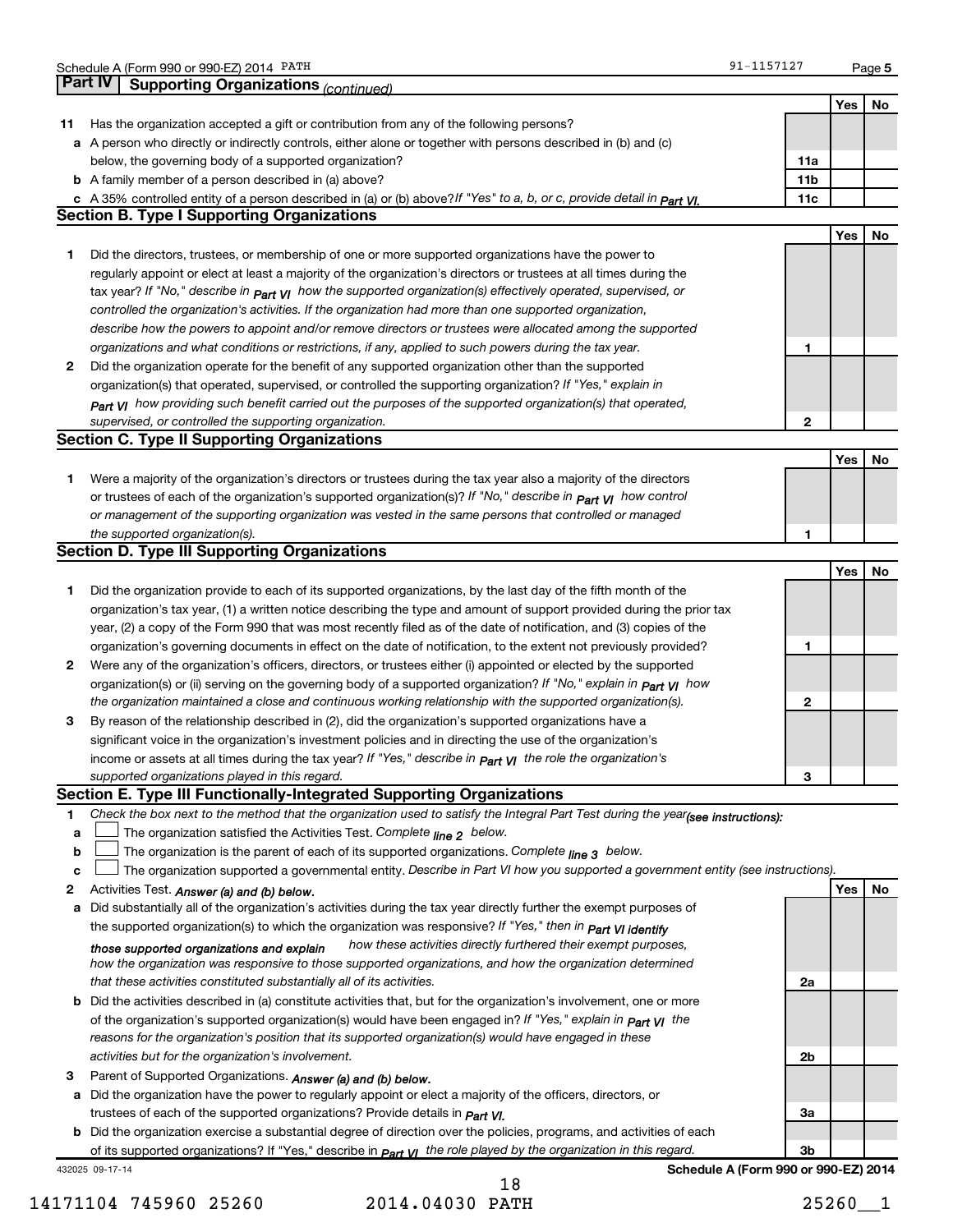|    | Schedule A (Form 990 or 990-EZ) 2014 PATH                                                                                                                                                                                               | 91-1157127                           |     | Page 5 |
|----|-----------------------------------------------------------------------------------------------------------------------------------------------------------------------------------------------------------------------------------------|--------------------------------------|-----|--------|
|    | <b>Part IV</b><br><b>Supporting Organizations (continued)</b>                                                                                                                                                                           |                                      |     |        |
|    |                                                                                                                                                                                                                                         |                                      | Yes | No     |
| 11 | Has the organization accepted a gift or contribution from any of the following persons?                                                                                                                                                 |                                      |     |        |
|    | a A person who directly or indirectly controls, either alone or together with persons described in (b) and (c)                                                                                                                          |                                      |     |        |
|    | below, the governing body of a supported organization?                                                                                                                                                                                  | 11a                                  |     |        |
|    | <b>b</b> A family member of a person described in (a) above?                                                                                                                                                                            | 11 <sub>b</sub>                      |     |        |
|    | c A 35% controlled entity of a person described in (a) or (b) above? If "Yes" to a, b, or c, provide detail in $P_{\text{part}}$ VI.<br><b>Section B. Type I Supporting Organizations</b>                                               | 11c                                  |     |        |
|    |                                                                                                                                                                                                                                         |                                      | Yes | No     |
| 1. | Did the directors, trustees, or membership of one or more supported organizations have the power to                                                                                                                                     |                                      |     |        |
|    | regularly appoint or elect at least a majority of the organization's directors or trustees at all times during the                                                                                                                      |                                      |     |        |
|    | tax year? If "No," describe in $p_{art}$ VI how the supported organization(s) effectively operated, supervised, or                                                                                                                      |                                      |     |        |
|    | controlled the organization's activities. If the organization had more than one supported organization,                                                                                                                                 |                                      |     |        |
|    | describe how the powers to appoint and/or remove directors or trustees were allocated among the supported                                                                                                                               |                                      |     |        |
|    | organizations and what conditions or restrictions, if any, applied to such powers during the tax year.                                                                                                                                  | 1                                    |     |        |
| 2  | Did the organization operate for the benefit of any supported organization other than the supported                                                                                                                                     |                                      |     |        |
|    | organization(s) that operated, supervised, or controlled the supporting organization? If "Yes," explain in                                                                                                                              |                                      |     |        |
|    | $_{Part}$ v <sub>I</sub> how providing such benefit carried out the purposes of the supported organization(s) that operated,                                                                                                            |                                      |     |        |
|    | supervised, or controlled the supporting organization.                                                                                                                                                                                  | $\mathbf{2}$                         |     |        |
|    | <b>Section C. Type II Supporting Organizations</b>                                                                                                                                                                                      |                                      |     |        |
|    |                                                                                                                                                                                                                                         |                                      | Yes | No     |
| 1  | Were a majority of the organization's directors or trustees during the tax year also a majority of the directors                                                                                                                        |                                      |     |        |
|    | or trustees of each of the organization's supported organization(s)? If "No," describe in $_{Part}$ $_{VI}$ how control                                                                                                                 |                                      |     |        |
|    | or management of the supporting organization was vested in the same persons that controlled or managed                                                                                                                                  |                                      |     |        |
|    | the supported organization(s).                                                                                                                                                                                                          | 1                                    |     |        |
|    | <b>Section D. Type III Supporting Organizations</b>                                                                                                                                                                                     |                                      |     |        |
|    |                                                                                                                                                                                                                                         |                                      | Yes | No     |
| 1  | Did the organization provide to each of its supported organizations, by the last day of the fifth month of the<br>organization's tax year, (1) a written notice describing the type and amount of support provided during the prior tax |                                      |     |        |
|    | year, (2) a copy of the Form 990 that was most recently filed as of the date of notification, and (3) copies of the                                                                                                                     |                                      |     |        |
|    | organization's governing documents in effect on the date of notification, to the extent not previously provided?                                                                                                                        | 1                                    |     |        |
| 2  | Were any of the organization's officers, directors, or trustees either (i) appointed or elected by the supported                                                                                                                        |                                      |     |        |
|    | organization(s) or (ii) serving on the governing body of a supported organization? If "No," explain in part VI how                                                                                                                      |                                      |     |        |
|    | the organization maintained a close and continuous working relationship with the supported organization(s).                                                                                                                             | 2                                    |     |        |
| 3  | By reason of the relationship described in (2), did the organization's supported organizations have a                                                                                                                                   |                                      |     |        |
|    | significant voice in the organization's investment policies and in directing the use of the organization's                                                                                                                              |                                      |     |        |
|    | income or assets at all times during the tax year? If "Yes," describe in part VI the role the organization's                                                                                                                            |                                      |     |        |
|    | supported organizations played in this regard.                                                                                                                                                                                          | 3                                    |     |        |
|    | Section E. Type III Functionally-Integrated Supporting Organizations                                                                                                                                                                    |                                      |     |        |
| 1  | Check the box next to the method that the organization used to satisfy the Integral Part Test during the year(see instructions):                                                                                                        |                                      |     |        |
| a  | The organization satisfied the Activities Test. Complete line 2 below.                                                                                                                                                                  |                                      |     |        |
| b  | The organization is the parent of each of its supported organizations. Complete $_{\text{line 3}}$ below.                                                                                                                               |                                      |     |        |
| c  | The organization supported a governmental entity. Describe in Part VI how you supported a government entity (see instructions).                                                                                                         |                                      |     |        |
| 2  | Activities Test. Answer (a) and (b) below.                                                                                                                                                                                              |                                      | Yes | No     |
| a  | Did substantially all of the organization's activities during the tax year directly further the exempt purposes of                                                                                                                      |                                      |     |        |
|    | the supported organization(s) to which the organization was responsive? If "Yes," then in Part VI identify                                                                                                                              |                                      |     |        |
|    | how these activities directly furthered their exempt purposes,<br>those supported organizations and explain                                                                                                                             |                                      |     |        |
|    | how the organization was responsive to those supported organizations, and how the organization determined                                                                                                                               |                                      |     |        |
|    | that these activities constituted substantially all of its activities.                                                                                                                                                                  | 2a                                   |     |        |
|    | <b>b</b> Did the activities described in (a) constitute activities that, but for the organization's involvement, one or more                                                                                                            |                                      |     |        |
|    | of the organization's supported organization(s) would have been engaged in? If "Yes," explain in <b>Part VI</b> the                                                                                                                     |                                      |     |        |
|    | reasons for the organization's position that its supported organization(s) would have engaged in these<br>activities but for the organization's involvement.                                                                            |                                      |     |        |
| З  |                                                                                                                                                                                                                                         | 2b                                   |     |        |
| a  | Parent of Supported Organizations. Answer (a) and (b) below.<br>Did the organization have the power to regularly appoint or elect a majority of the officers, directors, or                                                             |                                      |     |        |
|    | trustees of each of the supported organizations? Provide details in <i>Part VI.</i>                                                                                                                                                     | За                                   |     |        |
|    | <b>b</b> Did the organization exercise a substantial degree of direction over the policies, programs, and activities of each                                                                                                            |                                      |     |        |
|    | of its supported organizations? If "Yes," describe in $P_{\text{art}}$ VI the role played by the organization in this regard.                                                                                                           | 3b                                   |     |        |
|    | 432025 09-17-14                                                                                                                                                                                                                         | Schedule A (Form 990 or 990-EZ) 2014 |     |        |
|    | 10                                                                                                                                                                                                                                      |                                      |     |        |

14171104 745960 25260 2014.04030 PATH 25260\_\_1

18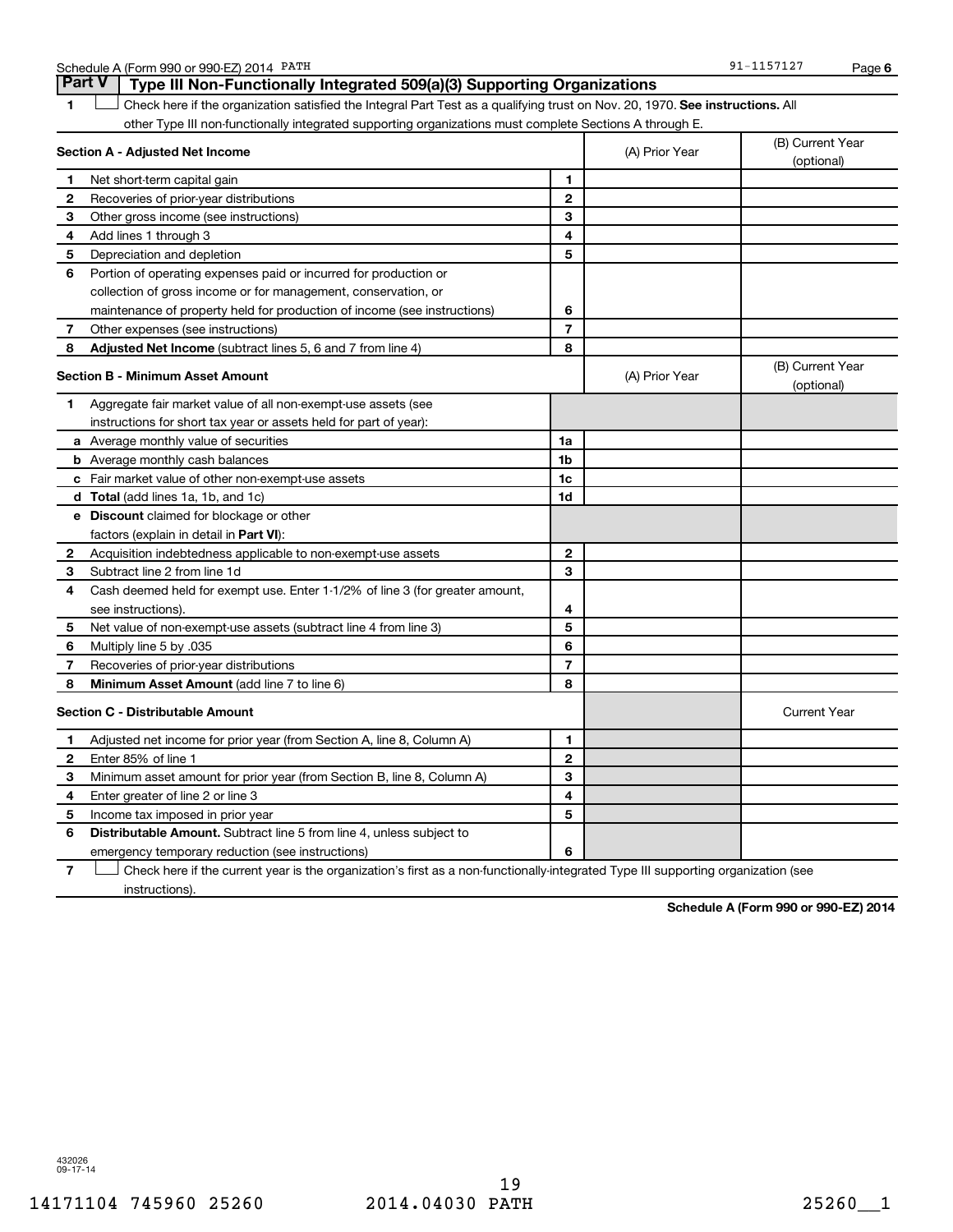|              | <b>Part V</b><br>Type III Non-Functionally Integrated 509(a)(3) Supporting Organizations                                      |                |                |                                |
|--------------|-------------------------------------------------------------------------------------------------------------------------------|----------------|----------------|--------------------------------|
| 1            | Check here if the organization satisfied the Integral Part Test as a qualifying trust on Nov. 20, 1970. See instructions. All |                |                |                                |
|              | other Type III non-functionally integrated supporting organizations must complete Sections A through E.                       |                |                |                                |
|              | Section A - Adjusted Net Income                                                                                               |                | (A) Prior Year | (B) Current Year<br>(optional) |
| 1            | Net short-term capital gain                                                                                                   | 1              |                |                                |
| $\mathbf{2}$ | Recoveries of prior-year distributions                                                                                        | $\mathbf{2}$   |                |                                |
| З            | Other gross income (see instructions)                                                                                         | 3              |                |                                |
| 4            | Add lines 1 through 3                                                                                                         | 4              |                |                                |
| 5            | Depreciation and depletion                                                                                                    | 5              |                |                                |
| 6            | Portion of operating expenses paid or incurred for production or                                                              |                |                |                                |
|              | collection of gross income or for management, conservation, or                                                                |                |                |                                |
|              | maintenance of property held for production of income (see instructions)                                                      | 6              |                |                                |
| 7            | Other expenses (see instructions)                                                                                             | $\overline{7}$ |                |                                |
| 8            | <b>Adjusted Net Income</b> (subtract lines 5, 6 and 7 from line 4)                                                            | 8              |                |                                |
|              | Section B - Minimum Asset Amount                                                                                              |                | (A) Prior Year | (B) Current Year<br>(optional) |
| 1            | Aggregate fair market value of all non-exempt-use assets (see                                                                 |                |                |                                |
|              | instructions for short tax year or assets held for part of year):                                                             |                |                |                                |
|              | a Average monthly value of securities                                                                                         | 1a             |                |                                |
|              | <b>b</b> Average monthly cash balances                                                                                        | 1 <sub>b</sub> |                |                                |
|              | <b>c</b> Fair market value of other non-exempt-use assets                                                                     | 1c             |                |                                |
|              | <b>d</b> Total (add lines 1a, 1b, and 1c)                                                                                     | 1d             |                |                                |
|              | <b>e</b> Discount claimed for blockage or other                                                                               |                |                |                                |
|              | factors (explain in detail in <b>Part VI</b> ):                                                                               |                |                |                                |
| 2            | Acquisition indebtedness applicable to non-exempt-use assets                                                                  | $\mathbf{2}$   |                |                                |
| З            | Subtract line 2 from line 1d                                                                                                  | 3              |                |                                |
| 4            | Cash deemed held for exempt use. Enter 1-1/2% of line 3 (for greater amount,                                                  |                |                |                                |
|              | see instructions).                                                                                                            | 4              |                |                                |
| 5            | Net value of non-exempt-use assets (subtract line 4 from line 3)                                                              | 5              |                |                                |
| 6            | Multiply line 5 by .035                                                                                                       | 6              |                |                                |
| 7            | Recoveries of prior-year distributions                                                                                        | 7              |                |                                |
| 8            | Minimum Asset Amount (add line 7 to line 6)                                                                                   | 8              |                |                                |
|              | <b>Section C - Distributable Amount</b>                                                                                       |                |                | <b>Current Year</b>            |
| 1            | Adjusted net income for prior year (from Section A, line 8, Column A)                                                         | 1              |                |                                |
| $\mathbf{2}$ | Enter 85% of line 1                                                                                                           | $\overline{2}$ |                |                                |
| З            | Minimum asset amount for prior year (from Section B, line 8, Column A)                                                        | 3              |                |                                |
| 4            | Enter greater of line 2 or line 3                                                                                             | 4              |                |                                |
| 5            | Income tax imposed in prior year                                                                                              | 5              |                |                                |
| 6            | <b>Distributable Amount.</b> Subtract line 5 from line 4, unless subject to                                                   |                |                |                                |
|              | emergency temporary reduction (see instructions)                                                                              | 6              |                |                                |
|              |                                                                                                                               |                |                |                                |

Schedule A (Form 990 or 990-EZ) 2014 Page

PATH 91-1157127

**7** Check here if the current year is the organization's first as a non-functionally-integrated Type III supporting organization (see † instructions).

**Schedule A (Form 990 or 990-EZ) 2014**

432026 09-17-14

**6**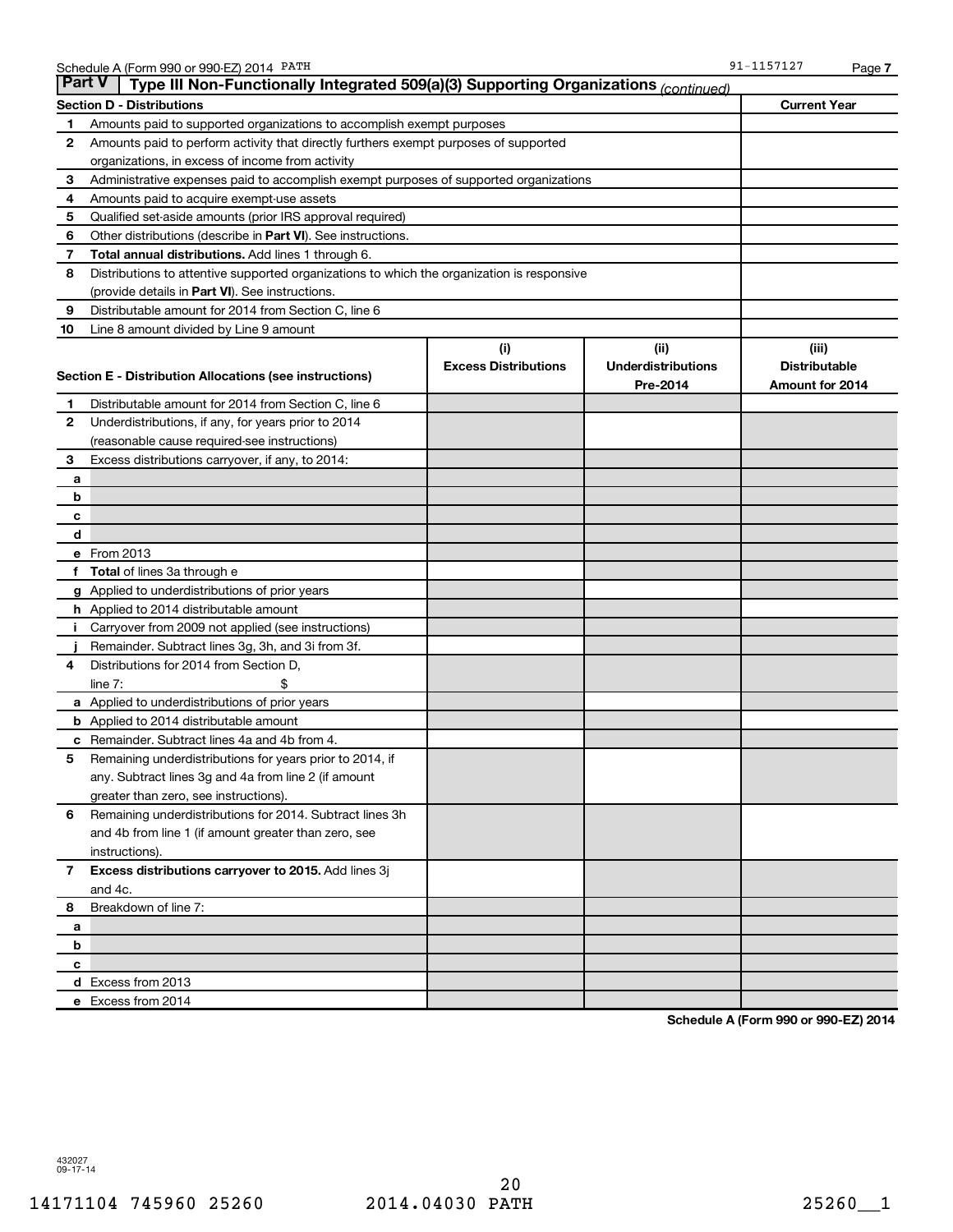| <b>Part V</b> | Schedule A (Form 990 or 990-EZ) 2014 PATH<br>Type III Non-Functionally Integrated 509(a)(3) Supporting Organizations (continued) |                             |                           | 91-1157127<br>Page 7 |
|---------------|----------------------------------------------------------------------------------------------------------------------------------|-----------------------------|---------------------------|----------------------|
|               | <b>Section D - Distributions</b>                                                                                                 |                             |                           | <b>Current Year</b>  |
| 1             | Amounts paid to supported organizations to accomplish exempt purposes                                                            |                             |                           |                      |
| 2             | Amounts paid to perform activity that directly furthers exempt purposes of supported                                             |                             |                           |                      |
|               | organizations, in excess of income from activity                                                                                 |                             |                           |                      |
| З             | Administrative expenses paid to accomplish exempt purposes of supported organizations                                            |                             |                           |                      |
| 4             | Amounts paid to acquire exempt-use assets                                                                                        |                             |                           |                      |
| 5             | Qualified set-aside amounts (prior IRS approval required)                                                                        |                             |                           |                      |
| 6             | Other distributions (describe in Part VI). See instructions.                                                                     |                             |                           |                      |
| 7             | Total annual distributions. Add lines 1 through 6.                                                                               |                             |                           |                      |
| 8             | Distributions to attentive supported organizations to which the organization is responsive                                       |                             |                           |                      |
|               | (provide details in Part VI). See instructions.                                                                                  |                             |                           |                      |
| 9             | Distributable amount for 2014 from Section C, line 6                                                                             |                             |                           |                      |
| 10            | Line 8 amount divided by Line 9 amount                                                                                           |                             |                           |                      |
|               |                                                                                                                                  | (i)                         | (ii)                      | (iii)                |
|               |                                                                                                                                  | <b>Excess Distributions</b> | <b>Underdistributions</b> | <b>Distributable</b> |
|               | Section E - Distribution Allocations (see instructions)                                                                          |                             | Pre-2014                  | Amount for 2014      |
| 1             | Distributable amount for 2014 from Section C, line 6                                                                             |                             |                           |                      |
| $\mathbf{2}$  | Underdistributions, if any, for years prior to 2014                                                                              |                             |                           |                      |
|               | (reasonable cause required-see instructions)                                                                                     |                             |                           |                      |
| 3             | Excess distributions carryover, if any, to 2014:                                                                                 |                             |                           |                      |
| а             |                                                                                                                                  |                             |                           |                      |
| b             |                                                                                                                                  |                             |                           |                      |
| с             |                                                                                                                                  |                             |                           |                      |
| d             |                                                                                                                                  |                             |                           |                      |
|               | e From 2013                                                                                                                      |                             |                           |                      |
|               | f Total of lines 3a through e                                                                                                    |                             |                           |                      |
|               | g Applied to underdistributions of prior years                                                                                   |                             |                           |                      |
|               | h Applied to 2014 distributable amount                                                                                           |                             |                           |                      |
| j.            | Carryover from 2009 not applied (see instructions)                                                                               |                             |                           |                      |
|               | Remainder. Subtract lines 3g, 3h, and 3i from 3f.                                                                                |                             |                           |                      |
| 4             | Distributions for 2014 from Section D,                                                                                           |                             |                           |                      |
|               | \$<br>line $7:$                                                                                                                  |                             |                           |                      |
|               | a Applied to underdistributions of prior years                                                                                   |                             |                           |                      |
|               | <b>b</b> Applied to 2014 distributable amount                                                                                    |                             |                           |                      |
|               | <b>c</b> Remainder. Subtract lines 4a and 4b from 4.                                                                             |                             |                           |                      |
| 5             | Remaining underdistributions for years prior to 2014, if                                                                         |                             |                           |                      |
|               | any. Subtract lines 3g and 4a from line 2 (if amount                                                                             |                             |                           |                      |
|               | greater than zero, see instructions).                                                                                            |                             |                           |                      |
| 6             | Remaining underdistributions for 2014. Subtract lines 3h                                                                         |                             |                           |                      |
|               | and 4b from line 1 (if amount greater than zero, see                                                                             |                             |                           |                      |
|               | instructions).                                                                                                                   |                             |                           |                      |
| 7             | Excess distributions carryover to 2015. Add lines 3j                                                                             |                             |                           |                      |
|               | and 4c.                                                                                                                          |                             |                           |                      |
| 8             | Breakdown of line 7:                                                                                                             |                             |                           |                      |
| а             |                                                                                                                                  |                             |                           |                      |
| b             |                                                                                                                                  |                             |                           |                      |
| с             |                                                                                                                                  |                             |                           |                      |
|               | d Excess from 2013                                                                                                               |                             |                           |                      |
|               | e Excess from 2014                                                                                                               |                             |                           |                      |

**Schedule A (Form 990 or 990-EZ) 2014**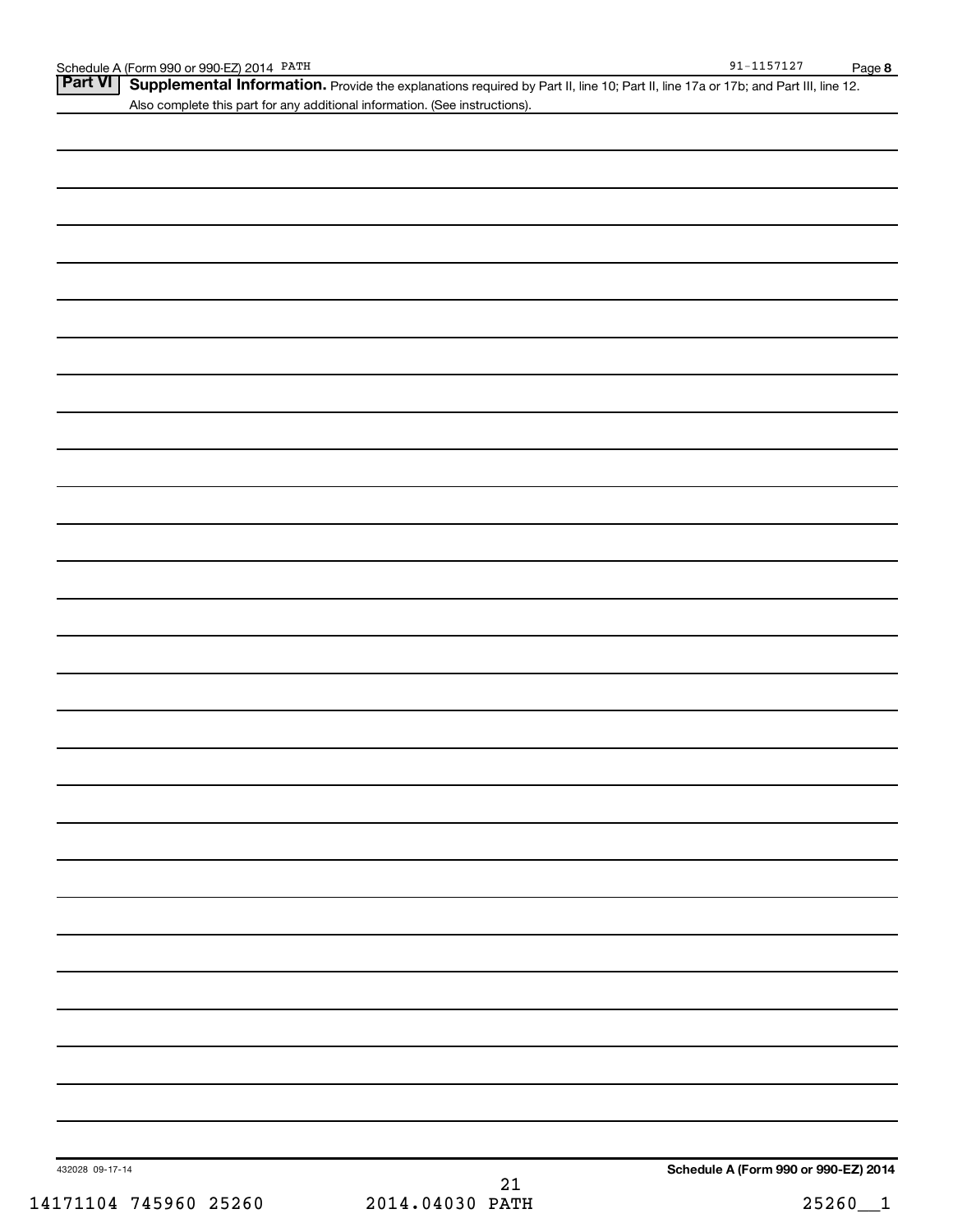| Part VI Supplemental Information. Provide the explanations required by Part II, line 10; Part II, line 17a or 17b; and Part III, line 12. |  |
|-------------------------------------------------------------------------------------------------------------------------------------------|--|
| Also complete this part for any additional information. (See instructions).                                                               |  |

| 432028 09-17-14 | 21 | Schedule A (Form 990 or 990-EZ) 2014 |
|-----------------|----|--------------------------------------|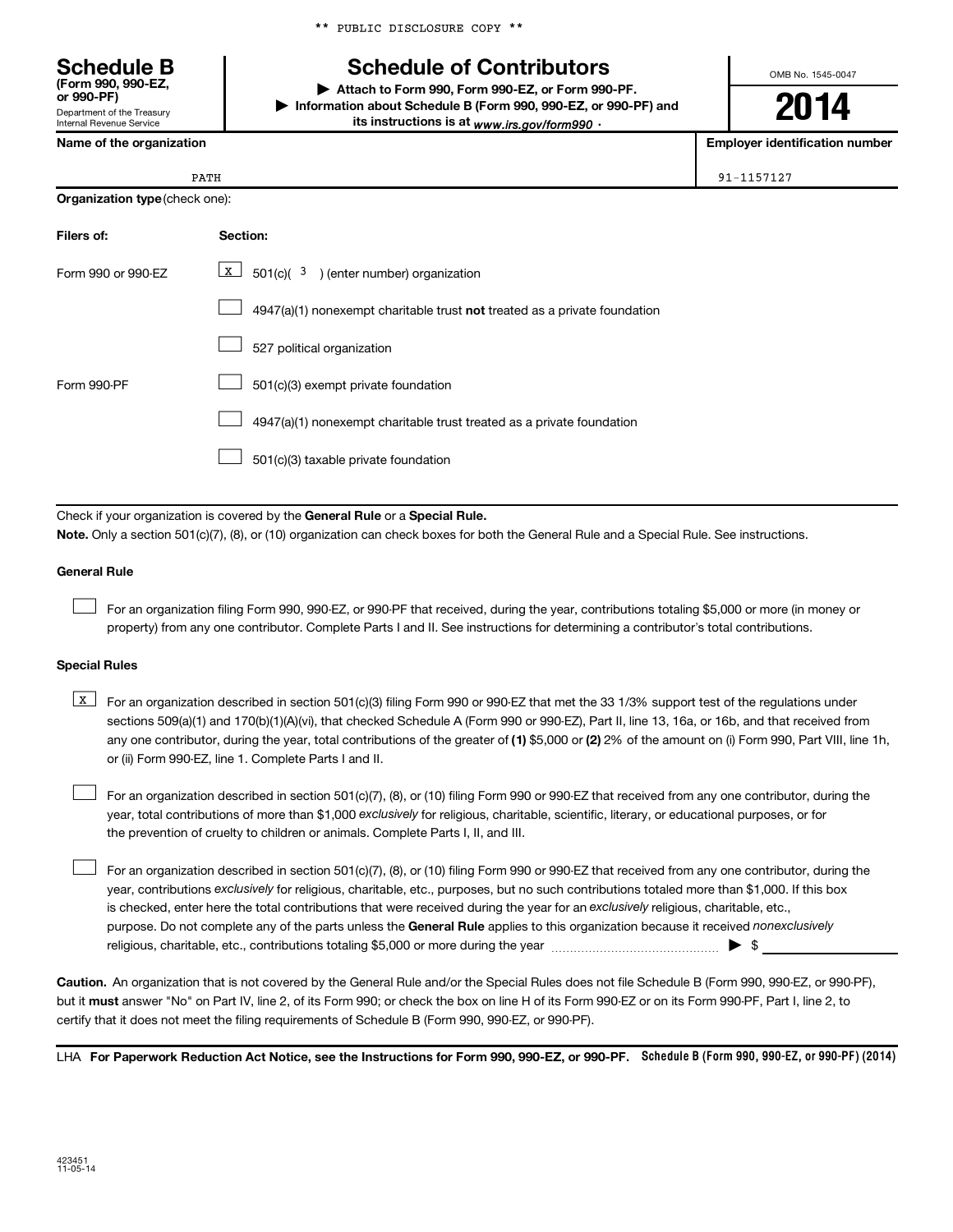\*\* PUBLIC DISCLOSURE COPY \*\*

### **Schedule of Contributors**

**or 990-PF) | Attach to Form 990, Form 990-EZ, or Form 990-PF. | Information about Schedule B (Form 990, 990-EZ, or 990-PF) and** its instructions is at <sub>www.irs.gov/form990  $\cdot$ </sub>

OMB No. 1545-0047

## **2014**

**Name of the organization Employer identification number**

| PATH | 91-1157127 |
|------|------------|
|      |            |

| <b>Schedule B</b><br>(Form 990, 990-EZ,<br>or 990-PF)  |
|--------------------------------------------------------|
| Department of the Treasury<br>Internal Revenue Service |

**Organization type** (check one):

| -----<br>_ |  |
|------------|--|
|            |  |

| Filers of:         | Section:                                                                  |
|--------------------|---------------------------------------------------------------------------|
| Form 990 or 990-EZ | $\boxed{\text{X}}$ 501(c)( 3) (enter number) organization                 |
|                    | 4947(a)(1) nonexempt charitable trust not treated as a private foundation |
|                    | 527 political organization                                                |
| Form 990-PF        | 501(c)(3) exempt private foundation                                       |
|                    | 4947(a)(1) nonexempt charitable trust treated as a private foundation     |
|                    | 501(c)(3) taxable private foundation                                      |

Check if your organization is covered by the General Rule or a Special Rule.

**Note.**  Only a section 501(c)(7), (8), or (10) organization can check boxes for both the General Rule and a Special Rule. See instructions.

#### **General Rule**

 $\Box$ 

For an organization filing Form 990, 990-EZ, or 990-PF that received, during the year, contributions totaling \$5,000 or more (in money or property) from any one contributor. Complete Parts I and II. See instructions for determining a contributor's total contributions.

#### **Special Rules**

any one contributor, during the year, total contributions of the greater of **(1)** \$5,000 or **(2)** 2% of the amount on (i) Form 990, Part VIII, line 1h, **K** For an organization described in section 501(c)(3) filing Form 990 or 990-EZ that met the 33 1/3% support test of the regulations under sections 509(a)(1) and 170(b)(1)(A)(vi), that checked Schedule A (Form 990 or 990-EZ), Part II, line 13, 16a, or 16b, and that received from or (ii) Form 990-EZ, line 1. Complete Parts I and II.

year, total contributions of more than \$1,000 *exclusively* for religious, charitable, scientific, literary, or educational purposes, or for For an organization described in section 501(c)(7), (8), or (10) filing Form 990 or 990-EZ that received from any one contributor, during the the prevention of cruelty to children or animals. Complete Parts I, II, and III.  $\Box$ 

purpose. Do not complete any of the parts unless the General Rule applies to this organization because it received nonexclusively year, contributions exclusively for religious, charitable, etc., purposes, but no such contributions totaled more than \$1,000. If this box is checked, enter here the total contributions that were received during the year for an exclusively religious, charitable, etc., For an organization described in section 501(c)(7), (8), or (10) filing Form 990 or 990-EZ that received from any one contributor, during the religious, charitable, etc., contributions totaling \$5,000 or more during the year  $\ldots$  $\ldots$  $\ldots$  $\ldots$  $\ldots$  $\ldots$  $\Box$ 

**Caution.** An organization that is not covered by the General Rule and/or the Special Rules does not file Schedule B (Form 990, 990-EZ, or 990-PF),  **must** but it answer "No" on Part IV, line 2, of its Form 990; or check the box on line H of its Form 990-EZ or on its Form 990-PF, Part I, line 2, to certify that it does not meet the filing requirements of Schedule B (Form 990, 990-EZ, or 990-PF).

LHA For Paperwork Reduction Act Notice, see the Instructions for Form 990, 990-EZ, or 990-PF. Schedule B (Form 990, 990-EZ, or 990-PF) (2014)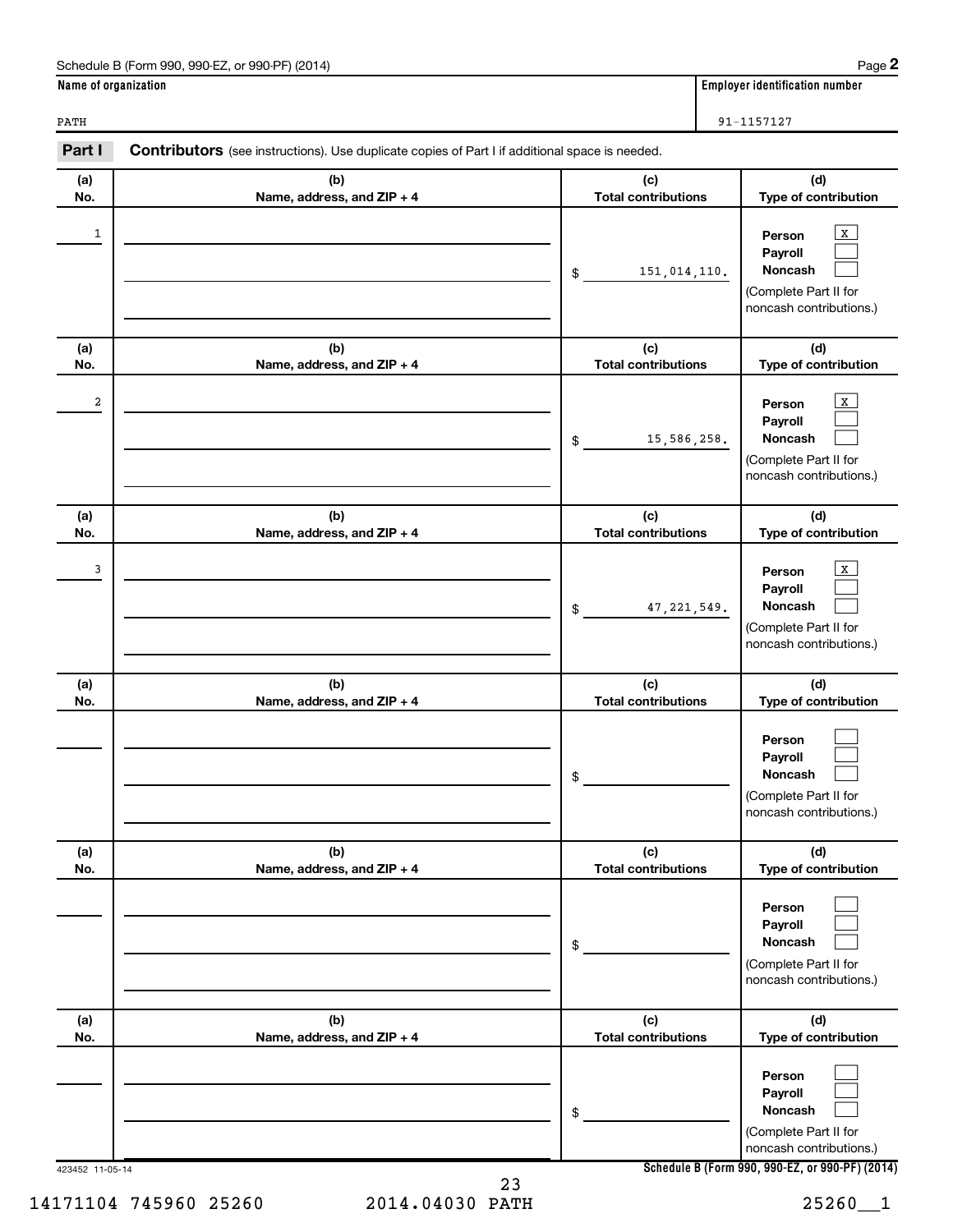| Schedule B (Form 990, 990-EZ, or 990-PF) (2014) | Page                                  |
|-------------------------------------------------|---------------------------------------|
| Name of organization                            | <b>Employer identification number</b> |
| PATH                                            | 91-1157127                            |

**Part I** Contributors (see instructions). Use duplicate copies of Part I if additional space is needed.

| (a)<br>No.              | (b)<br>Name, address, and ZIP + 4 | (c)<br><b>Total contributions</b> | (d)<br>Type of contribution                                                                            |
|-------------------------|-----------------------------------|-----------------------------------|--------------------------------------------------------------------------------------------------------|
| 1                       |                                   | 151,014,110.<br>\$                | $\mathbf X$<br>Person<br>Payroll<br>Noncash<br>(Complete Part II for<br>noncash contributions.)        |
| (a)<br>No.              | (b)<br>Name, address, and ZIP + 4 | (c)<br><b>Total contributions</b> | (d)<br>Type of contribution                                                                            |
| $\overline{\mathbf{2}}$ |                                   | 15,586,258.<br>\$                 | $\mathbf X$<br>Person<br>Payroll<br><b>Noncash</b><br>(Complete Part II for<br>noncash contributions.) |
| (a)<br>No.              | (b)<br>Name, address, and ZIP + 4 | (c)<br><b>Total contributions</b> | (d)<br>Type of contribution                                                                            |
| 3                       |                                   | 47, 221, 549.<br>\$               | X<br>Person<br>Payroll<br><b>Noncash</b><br>(Complete Part II for<br>noncash contributions.)           |
| (a)<br>No.              | (b)<br>Name, address, and ZIP + 4 | (c)<br><b>Total contributions</b> | (d)<br>Type of contribution                                                                            |
|                         |                                   | \$                                | Person<br>Payroll<br><b>Noncash</b><br>(Complete Part II for<br>noncash contributions.)                |
| (a)<br>No.              | (b)<br>Name, address, and ZIP + 4 | (c)<br><b>Total contributions</b> | (d)<br>Type of contribution                                                                            |
|                         |                                   | \$                                | Person<br>Payroll<br>Noncash<br>(Complete Part II for<br>noncash contributions.)                       |
| (a)<br>No.              | (b)<br>Name, address, and ZIP + 4 | (c)<br><b>Total contributions</b> | (d)<br>Type of contribution                                                                            |
|                         |                                   | \$                                | Person<br>Payroll<br><b>Noncash</b><br>(Complete Part II for<br>noncash contributions.)                |

423452 11-05-14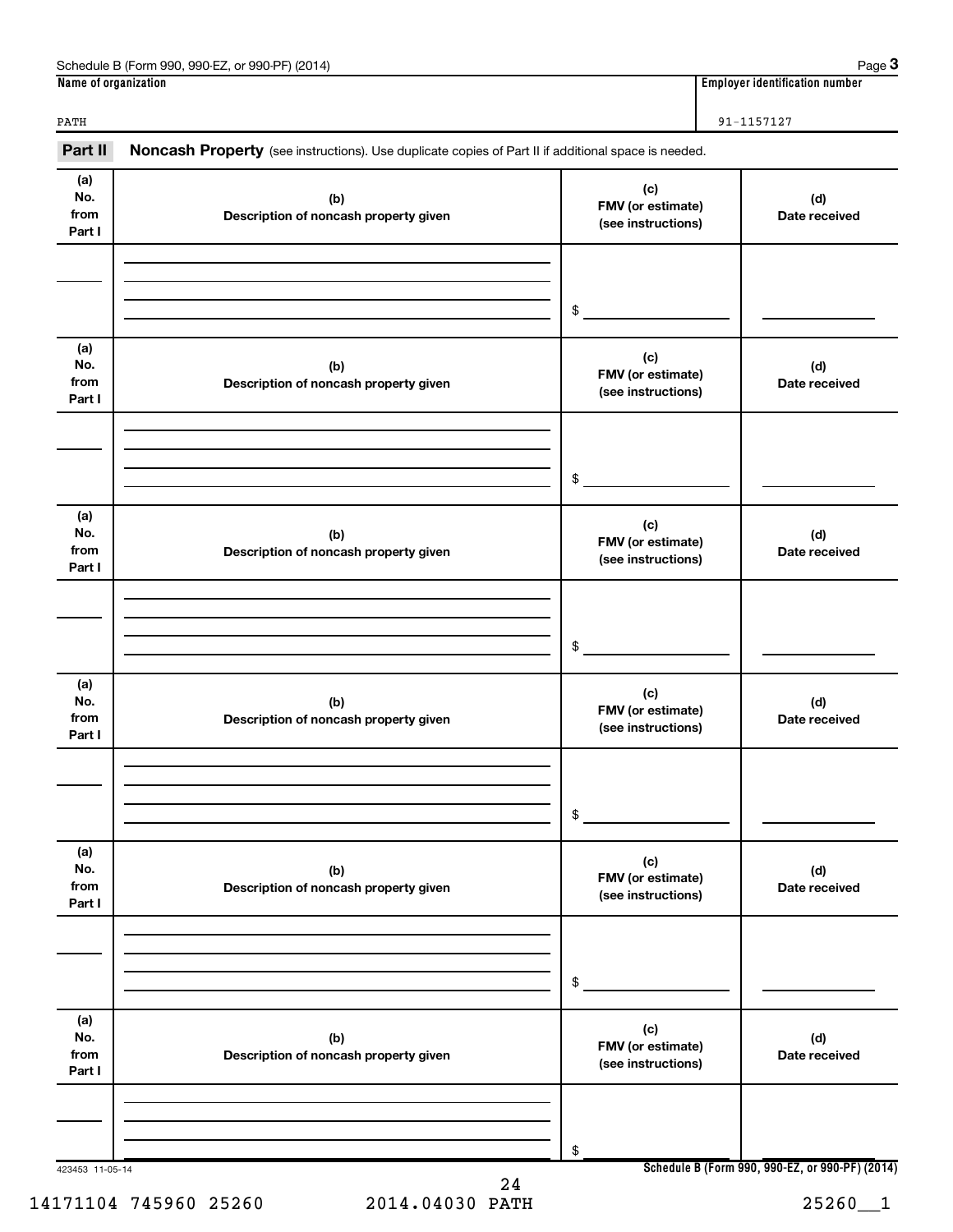| 990-EZ<br>Schedule B (Form<br>(2014)<br>990-PF)<br>n 990<br>. or | Page                           |
|------------------------------------------------------------------|--------------------------------|
| Name                                                             |                                |
| of organization (                                                | Emplover identification number |

**Employer identification number** 

423453 11-05-14 **Schedule B (Form 990, 990-EZ, or 990-PF) (2014) (a) No. from Part I (c) FMV (or estimate) (see instructions) (b) Description of noncash property given (d) Date received (a) No. from Part I (c) FMV (or estimate) (see instructions) (b) Description of noncash property given (d) Date received (a) No. from Part I (c) FMV (or estimate) (see instructions) (b) Description of noncash property given (d) Date received (a) No. from Part I (c) FMV (or estimate) (see instructions) (b) Description of noncash property given (d) Date received (a) No. from Part I (c) FMV (or estimate) (see instructions) (b) Description of noncash property given (d) Date received (a) No. from Part I (c) FMV (or estimate) (see instructions) (b) Description of noncash property given (d) Date received** Part II Noncash Property (see instructions). Use duplicate copies of Part II if additional space is needed. \$ \$ \$ \$ \$ \$ PATH 91-1157127 24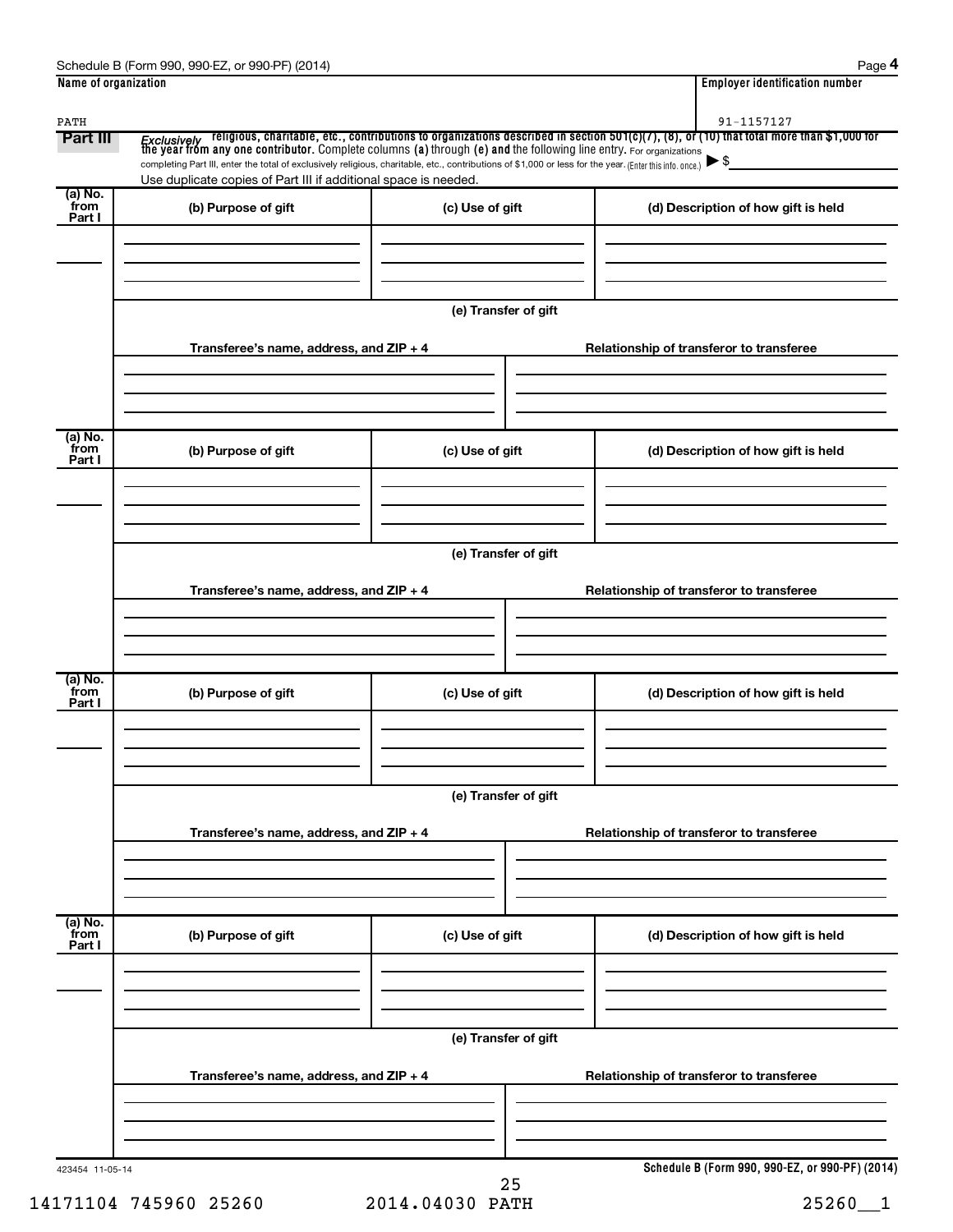| Part III                  |                                                                                                                                                          |                      | 91-1157127<br><i>Exclusively</i> religious, charitable, etc., contributions to organizations described in section 501(c)(7), (8), or (10) that total more than \$1,000 for<br>the year from any one contributor. Complete columns (a) through (e) and |  |  |  |  |
|---------------------------|----------------------------------------------------------------------------------------------------------------------------------------------------------|----------------------|-------------------------------------------------------------------------------------------------------------------------------------------------------------------------------------------------------------------------------------------------------|--|--|--|--|
|                           | completing Part III, enter the total of exclusively religious, charitable, etc., contributions of \$1,000 or less for the year. (Enter this info. once.) |                      |                                                                                                                                                                                                                                                       |  |  |  |  |
| (a) No.                   | Use duplicate copies of Part III if additional space is needed.                                                                                          |                      |                                                                                                                                                                                                                                                       |  |  |  |  |
| from<br>Part I            | (b) Purpose of gift                                                                                                                                      | (c) Use of gift      | (d) Description of how gift is held                                                                                                                                                                                                                   |  |  |  |  |
|                           |                                                                                                                                                          |                      |                                                                                                                                                                                                                                                       |  |  |  |  |
|                           |                                                                                                                                                          | (e) Transfer of gift |                                                                                                                                                                                                                                                       |  |  |  |  |
|                           | Transferee's name, address, and ZIP + 4                                                                                                                  |                      | Relationship of transferor to transferee                                                                                                                                                                                                              |  |  |  |  |
| $(a)$ No.<br>from         | (b) Purpose of gift                                                                                                                                      | (c) Use of gift      | (d) Description of how gift is held                                                                                                                                                                                                                   |  |  |  |  |
| Part I                    |                                                                                                                                                          |                      |                                                                                                                                                                                                                                                       |  |  |  |  |
|                           |                                                                                                                                                          | (e) Transfer of gift |                                                                                                                                                                                                                                                       |  |  |  |  |
|                           | Transferee's name, address, and ZIP + 4                                                                                                                  |                      | Relationship of transferor to transferee                                                                                                                                                                                                              |  |  |  |  |
|                           |                                                                                                                                                          |                      |                                                                                                                                                                                                                                                       |  |  |  |  |
| (a) No.<br>from<br>Part I | (b) Purpose of gift                                                                                                                                      | (c) Use of gift      | (d) Description of how gift is held                                                                                                                                                                                                                   |  |  |  |  |
|                           |                                                                                                                                                          |                      |                                                                                                                                                                                                                                                       |  |  |  |  |
|                           | (e) Transfer of gift                                                                                                                                     |                      |                                                                                                                                                                                                                                                       |  |  |  |  |
|                           | Transferee's name, address, and $ZIP + 4$                                                                                                                |                      | Relationship of transferor to transferee                                                                                                                                                                                                              |  |  |  |  |
| (a) No.<br>from           | (b) Purpose of gift                                                                                                                                      | (c) Use of gift      | (d) Description of how gift is held                                                                                                                                                                                                                   |  |  |  |  |
| Part I                    |                                                                                                                                                          |                      |                                                                                                                                                                                                                                                       |  |  |  |  |
|                           |                                                                                                                                                          | (e) Transfer of gift |                                                                                                                                                                                                                                                       |  |  |  |  |
|                           | Transferee's name, address, and ZIP + 4                                                                                                                  |                      | Relationship of transferor to transferee                                                                                                                                                                                                              |  |  |  |  |
|                           |                                                                                                                                                          |                      |                                                                                                                                                                                                                                                       |  |  |  |  |

14171104 745960 25260 2014.04030 PATH 25260\_\_1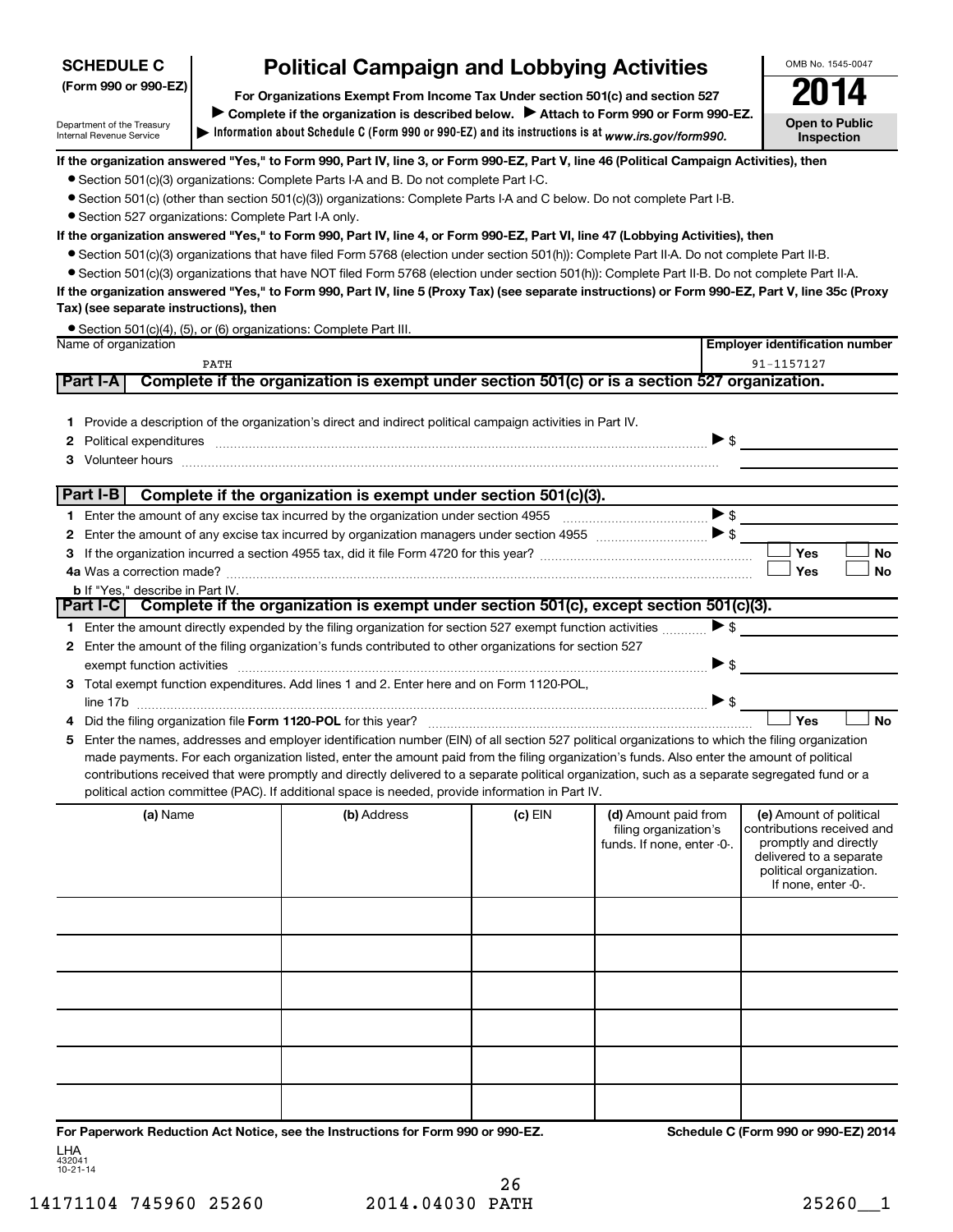### **SCHEDULE C**

Department of the Treasury Internal Revenue Service

## **Political Campaign and Lobbying Activities** 2016 MB No. 1545-00<br>Draanizations Exempt From Income Tax Under section 501(c) and section 527

**Information about Schedule C (Form 990 or 990-EZ) and its instructions is at |**  *www.irs.gov/form990.* **(Form 990 or 990-EZ) For Organizations Exempt From Income Tax Under section 501(c) and section 527** Complete if the organization is described below. > Attach to Form 990 or Form 990-EZ. **Open to Public Inspection**

OMB No. 1545-0047

**If the organization answered "Yes," to Form 990, Part IV, line 3, or Form 990-EZ, Part V, line 46 (Political Campaign Activities), then**

- Section 501(c)(3) organizations: Complete Parts I-A and B. Do not complete Part I-C.
- Section 501(c) (other than section 501(c)(3)) organizations: Complete Parts I-A and C below. Do not complete Part I-B.
- Section 527 organizations: Complete Part I-A only.

#### **If the organization answered "Yes," to Form 990, Part IV, line 4, or Form 990-EZ, Part VI, line 47 (Lobbying Activities), then**

- Section 501(c)(3) organizations that have filed Form 5768 (election under section 501(h)): Complete Part II-A. Do not complete Part II-B.
- Section 501(c)(3) organizations that have NOT filed Form 5768 (election under section 501(h)): Complete Part II-B. Do not complete Part II-A.

**If the organization answered "Yes," to Form 990, Part IV, line 5 (Proxy Tax) (see separate instructions) or Form 990-EZ, Part V, line 35c (Proxy Tax) (see separate instructions), then**

• Section 501(c)(4), (5), or (6) organizations: Complete Part III.

| Name of organization                                                                                                                                                                                                                                                                                                                                                                                                                                                                                                                                      |                                                                                               |           |                                                                             | <b>Employer identification number</b>                                                                                                                       |
|-----------------------------------------------------------------------------------------------------------------------------------------------------------------------------------------------------------------------------------------------------------------------------------------------------------------------------------------------------------------------------------------------------------------------------------------------------------------------------------------------------------------------------------------------------------|-----------------------------------------------------------------------------------------------|-----------|-----------------------------------------------------------------------------|-------------------------------------------------------------------------------------------------------------------------------------------------------------|
| PATH                                                                                                                                                                                                                                                                                                                                                                                                                                                                                                                                                      |                                                                                               |           |                                                                             | 91-1157127                                                                                                                                                  |
| <b>Part I-A</b>                                                                                                                                                                                                                                                                                                                                                                                                                                                                                                                                           | Complete if the organization is exempt under section 501(c) or is a section 527 organization. |           |                                                                             |                                                                                                                                                             |
| 1 Provide a description of the organization's direct and indirect political campaign activities in Part IV.<br>2 Political expenditures <b>communications</b> successful and service and service and service and service and service service of the service of the service of the service of the service of the service of the service of the serv                                                                                                                                                                                                        |                                                                                               |           |                                                                             |                                                                                                                                                             |
| $Part I-B$                                                                                                                                                                                                                                                                                                                                                                                                                                                                                                                                                | Complete if the organization is exempt under section 501(c)(3).                               |           |                                                                             |                                                                                                                                                             |
|                                                                                                                                                                                                                                                                                                                                                                                                                                                                                                                                                           |                                                                                               |           |                                                                             |                                                                                                                                                             |
| 2 Enter the amount of any excise tax incurred by organization managers under section 4955 [1] [1] [1] \$                                                                                                                                                                                                                                                                                                                                                                                                                                                  |                                                                                               |           |                                                                             |                                                                                                                                                             |
|                                                                                                                                                                                                                                                                                                                                                                                                                                                                                                                                                           |                                                                                               |           |                                                                             | Yes<br><b>No</b>                                                                                                                                            |
|                                                                                                                                                                                                                                                                                                                                                                                                                                                                                                                                                           |                                                                                               |           |                                                                             | <b>No</b><br>Yes                                                                                                                                            |
| <b>b</b> If "Yes," describe in Part IV.                                                                                                                                                                                                                                                                                                                                                                                                                                                                                                                   |                                                                                               |           |                                                                             |                                                                                                                                                             |
| $\overline{Part I-C}$ Complete if the organization is exempt under section 501(c), except section 501(c)(3).                                                                                                                                                                                                                                                                                                                                                                                                                                              |                                                                                               |           |                                                                             |                                                                                                                                                             |
| 1 Enter the amount directly expended by the filing organization for section 527 exempt function activities                                                                                                                                                                                                                                                                                                                                                                                                                                                |                                                                                               |           | $\blacktriangleright$ \$                                                    |                                                                                                                                                             |
| 2 Enter the amount of the filing organization's funds contributed to other organizations for section 527                                                                                                                                                                                                                                                                                                                                                                                                                                                  |                                                                                               |           |                                                                             |                                                                                                                                                             |
|                                                                                                                                                                                                                                                                                                                                                                                                                                                                                                                                                           |                                                                                               |           | $\blacktriangleright$ \$                                                    |                                                                                                                                                             |
| 3 Total exempt function expenditures. Add lines 1 and 2. Enter here and on Form 1120-POL,                                                                                                                                                                                                                                                                                                                                                                                                                                                                 |                                                                                               |           |                                                                             |                                                                                                                                                             |
|                                                                                                                                                                                                                                                                                                                                                                                                                                                                                                                                                           |                                                                                               |           |                                                                             |                                                                                                                                                             |
|                                                                                                                                                                                                                                                                                                                                                                                                                                                                                                                                                           |                                                                                               |           |                                                                             | Yes<br><b>No</b>                                                                                                                                            |
| Enter the names, addresses and employer identification number (EIN) of all section 527 political organizations to which the filing organization<br>5<br>made payments. For each organization listed, enter the amount paid from the filing organization's funds. Also enter the amount of political<br>contributions received that were promptly and directly delivered to a separate political organization, such as a separate segregated fund or a<br>political action committee (PAC). If additional space is needed, provide information in Part IV. |                                                                                               |           |                                                                             |                                                                                                                                                             |
| (a) Name                                                                                                                                                                                                                                                                                                                                                                                                                                                                                                                                                  | (b) Address                                                                                   | $(c)$ EIN | (d) Amount paid from<br>filing organization's<br>funds. If none, enter -0-. | (e) Amount of political<br>contributions received and<br>promptly and directly<br>delivered to a separate<br>political organization.<br>If none, enter -0-. |
|                                                                                                                                                                                                                                                                                                                                                                                                                                                                                                                                                           |                                                                                               |           |                                                                             |                                                                                                                                                             |
|                                                                                                                                                                                                                                                                                                                                                                                                                                                                                                                                                           |                                                                                               |           |                                                                             |                                                                                                                                                             |
|                                                                                                                                                                                                                                                                                                                                                                                                                                                                                                                                                           |                                                                                               |           |                                                                             |                                                                                                                                                             |
|                                                                                                                                                                                                                                                                                                                                                                                                                                                                                                                                                           |                                                                                               |           |                                                                             |                                                                                                                                                             |
|                                                                                                                                                                                                                                                                                                                                                                                                                                                                                                                                                           |                                                                                               |           |                                                                             |                                                                                                                                                             |
|                                                                                                                                                                                                                                                                                                                                                                                                                                                                                                                                                           |                                                                                               |           |                                                                             |                                                                                                                                                             |

**For Paperwork Reduction Act Notice, see the Instructions for Form 990 or 990-EZ. Schedule C (Form 990 or 990-EZ) 2014** LHA

432041 10-21-14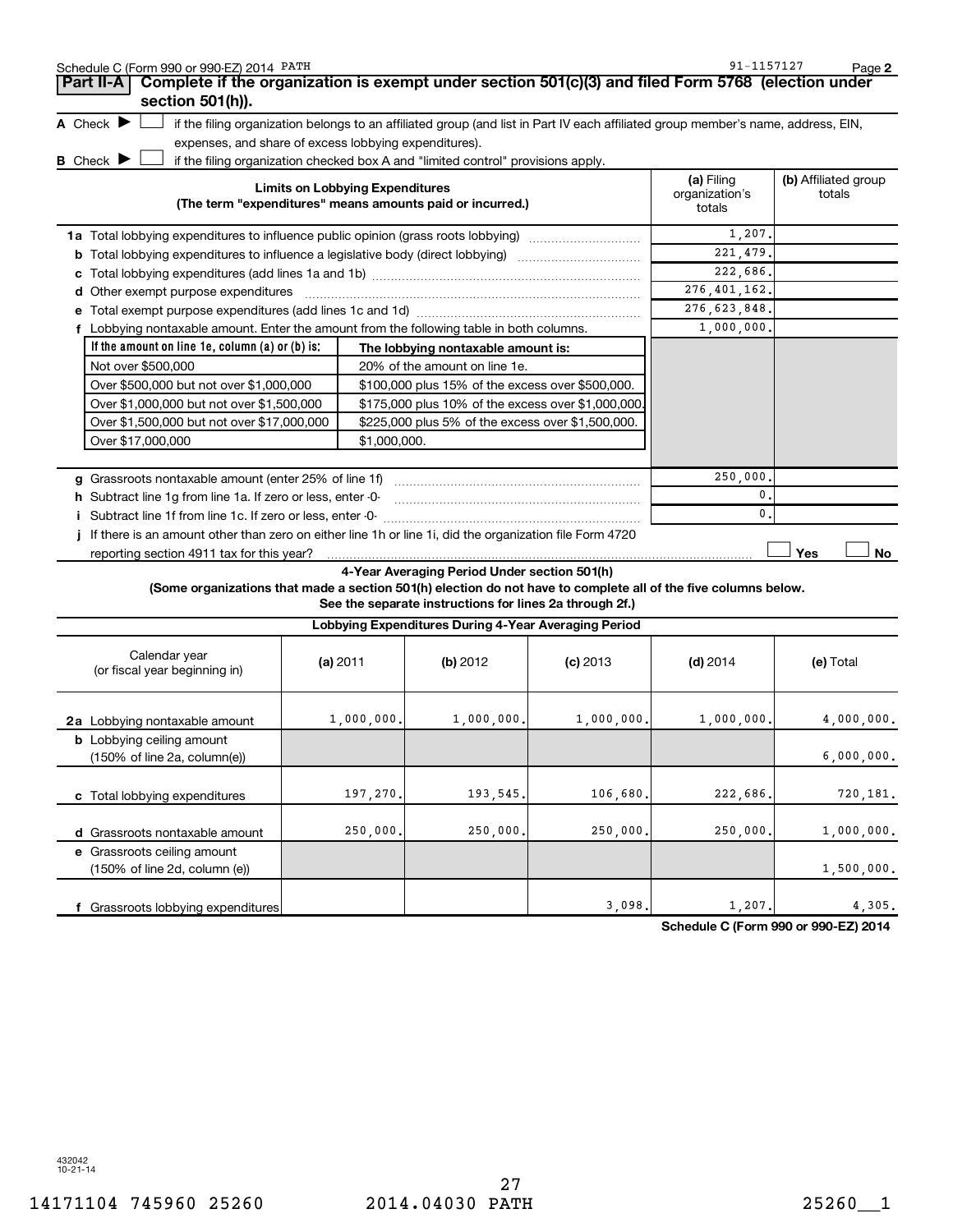| Schedule C (Form 990 or 990-EZ) 2014 PATH<br>Complete if the organization is exempt under section 501(c)(3) and filed Form 5768 (election under<br>Part II-A |                                        |                                                                                                                                   |            | 91-1157127                             | Page 2                         |
|--------------------------------------------------------------------------------------------------------------------------------------------------------------|----------------------------------------|-----------------------------------------------------------------------------------------------------------------------------------|------------|----------------------------------------|--------------------------------|
| section 501(h)).                                                                                                                                             |                                        |                                                                                                                                   |            |                                        |                                |
| A Check $\blacktriangleright$                                                                                                                                |                                        | if the filing organization belongs to an affiliated group (and list in Part IV each affiliated group member's name, address, EIN, |            |                                        |                                |
| expenses, and share of excess lobbying expenditures).                                                                                                        |                                        |                                                                                                                                   |            |                                        |                                |
| <b>B</b> Check ▶                                                                                                                                             |                                        | if the filing organization checked box A and "limited control" provisions apply.                                                  |            |                                        |                                |
|                                                                                                                                                              | <b>Limits on Lobbying Expenditures</b> | (The term "expenditures" means amounts paid or incurred.)                                                                         |            | (a) Filing<br>organization's<br>totals | (b) Affiliated group<br>totals |
|                                                                                                                                                              |                                        |                                                                                                                                   |            | 1,207.                                 |                                |
| <b>b</b> Total lobbying expenditures to influence a legislative body (direct lobbying) <i>manumanomes</i>                                                    |                                        |                                                                                                                                   |            | 221,479.                               |                                |
|                                                                                                                                                              |                                        |                                                                                                                                   |            | 222,686.                               |                                |
| d Other exempt purpose expenditures                                                                                                                          |                                        |                                                                                                                                   |            | 276, 401, 162.                         |                                |
|                                                                                                                                                              |                                        |                                                                                                                                   |            | 276, 623, 848.                         |                                |
| f Lobbying nontaxable amount. Enter the amount from the following table in both columns.                                                                     |                                        |                                                                                                                                   |            | 1,000,000.                             |                                |
| If the amount on line 1e, column $(a)$ or $(b)$ is:                                                                                                          |                                        | The lobbying nontaxable amount is:                                                                                                |            |                                        |                                |
| Not over \$500,000                                                                                                                                           |                                        | 20% of the amount on line 1e.                                                                                                     |            |                                        |                                |
| Over \$500,000 but not over \$1,000,000                                                                                                                      |                                        | \$100,000 plus 15% of the excess over \$500,000.                                                                                  |            |                                        |                                |
| Over \$1,000,000 but not over \$1,500,000                                                                                                                    |                                        | \$175,000 plus 10% of the excess over \$1,000,000                                                                                 |            |                                        |                                |
| Over \$1,500,000 but not over \$17,000,000                                                                                                                   |                                        | \$225,000 plus 5% of the excess over \$1,500,000.                                                                                 |            |                                        |                                |
| Over \$17,000,000                                                                                                                                            |                                        | \$1,000,000.                                                                                                                      |            |                                        |                                |
|                                                                                                                                                              |                                        |                                                                                                                                   |            |                                        |                                |
| g Grassroots nontaxable amount (enter 25% of line 1f)                                                                                                        |                                        |                                                                                                                                   |            | 250,000                                |                                |
| h Subtract line 1g from line 1a. If zero or less, enter -0-                                                                                                  |                                        |                                                                                                                                   |            | $\mathbf{0}$                           |                                |
| i Subtract line 1f from line 1c. If zero or less, enter -0-                                                                                                  |                                        |                                                                                                                                   |            | 0                                      |                                |
| If there is an amount other than zero on either line 1h or line 1i, did the organization file Form 4720                                                      |                                        |                                                                                                                                   |            |                                        |                                |
| reporting section 4911 tax for this year?                                                                                                                    |                                        |                                                                                                                                   |            |                                        | Yes<br>No                      |
|                                                                                                                                                              |                                        | 4-Year Averaging Period Under section 501(h)                                                                                      |            |                                        |                                |
| (Some organizations that made a section 501(h) election do not have to complete all of the five columns below.                                               |                                        |                                                                                                                                   |            |                                        |                                |
|                                                                                                                                                              |                                        | See the separate instructions for lines 2a through 2f.)                                                                           |            |                                        |                                |
|                                                                                                                                                              |                                        | Lobbying Expenditures During 4-Year Averaging Period                                                                              |            |                                        |                                |
| Calendar year<br>(or fiscal year beginning in)                                                                                                               | (a) 2011                               | (b) 2012                                                                                                                          | $(c)$ 2013 | $(d)$ 2014                             | (e) Total                      |
| <b>2a</b> Lobbying nontaxable amount                                                                                                                         | 1,000,000.                             | 1,000,000.                                                                                                                        | 1,000,000. | 1,000,000.                             | 4,000,000.                     |
| <b>b</b> Lobbying ceiling amount<br>(150% of line 2a, column(e))                                                                                             |                                        |                                                                                                                                   |            |                                        | 6,000,000.                     |
| c Total lobbying expenditures                                                                                                                                | 197,270.                               | 193,545                                                                                                                           | 106,680    | 222,686.                               | 720,181.                       |
| d Grassroots nontaxable amount                                                                                                                               | 250,000.                               | 250,000                                                                                                                           | 250,000    | 250,000.                               | 1,000,000.                     |
| e Grassroots ceiling amount                                                                                                                                  |                                        |                                                                                                                                   |            |                                        |                                |
| (150% of line 2d, column (e))                                                                                                                                |                                        |                                                                                                                                   |            |                                        | 1,500,000.                     |
|                                                                                                                                                              |                                        |                                                                                                                                   |            |                                        |                                |
| f Grassroots lobbying expenditures                                                                                                                           |                                        |                                                                                                                                   | 3,098.     | 1,207.                                 | 4,305.                         |

**Schedule C (Form 990 or 990-EZ) 2014**

432042 10-21-14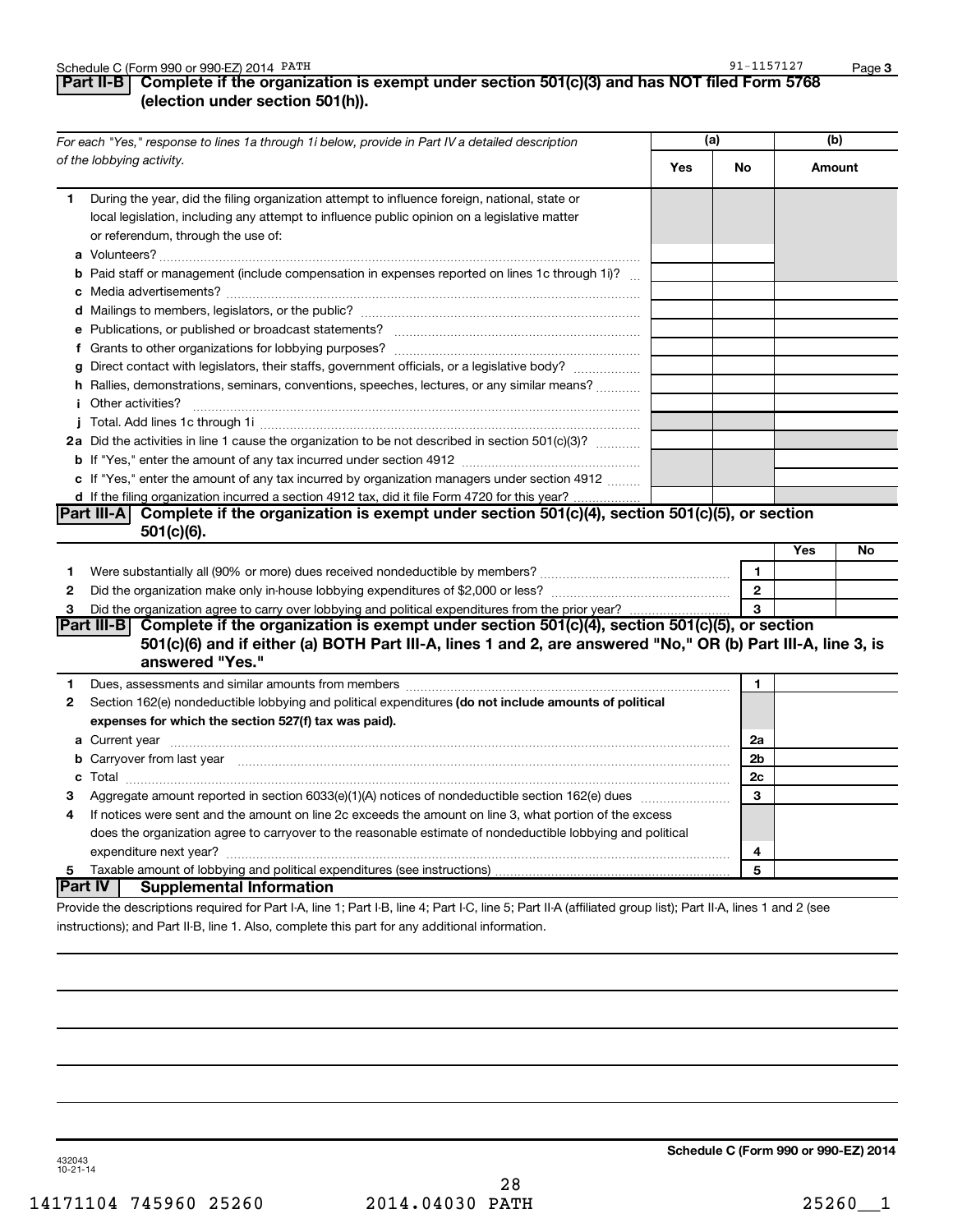|  | Schedule C (Form 990 or 990-EZ) 2014 PATH | 1157107<br>$91 - i$<br>17777 | Page |  |
|--|-------------------------------------------|------------------------------|------|--|
|--|-------------------------------------------|------------------------------|------|--|

#### **Part II-B Complete if the organization is exempt under section 501(c)(3) and has NOT filed Form 5768 (election under section 501(h)).**

|    | For each "Yes," response to lines 1a through 1i below, provide in Part IV a detailed description                                                                                                                                                                                                                                                                                                                                                                               |     | (a)            | (b) |        |
|----|--------------------------------------------------------------------------------------------------------------------------------------------------------------------------------------------------------------------------------------------------------------------------------------------------------------------------------------------------------------------------------------------------------------------------------------------------------------------------------|-----|----------------|-----|--------|
|    | of the lobbying activity.                                                                                                                                                                                                                                                                                                                                                                                                                                                      | Yes | No             |     | Amount |
| 1. | During the year, did the filing organization attempt to influence foreign, national, state or<br>local legislation, including any attempt to influence public opinion on a legislative matter<br>or referendum, through the use of:                                                                                                                                                                                                                                            |     |                |     |        |
|    | <b>b</b> Paid staff or management (include compensation in expenses reported on lines 1c through 1i)?                                                                                                                                                                                                                                                                                                                                                                          |     |                |     |        |
|    |                                                                                                                                                                                                                                                                                                                                                                                                                                                                                |     |                |     |        |
|    |                                                                                                                                                                                                                                                                                                                                                                                                                                                                                |     |                |     |        |
|    |                                                                                                                                                                                                                                                                                                                                                                                                                                                                                |     |                |     |        |
|    | g Direct contact with legislators, their staffs, government officials, or a legislative body?                                                                                                                                                                                                                                                                                                                                                                                  |     |                |     |        |
|    | h Rallies, demonstrations, seminars, conventions, speeches, lectures, or any similar means?                                                                                                                                                                                                                                                                                                                                                                                    |     |                |     |        |
|    | <i>i</i> Other activities?<br>$\begin{minipage}{0.5\textwidth} \begin{tabular}{ l l l } \hline \multicolumn{1}{ l l l } \hline \multicolumn{1}{ l l } \hline \multicolumn{1}{ l } \multicolumn{1}{ l } \hline \multicolumn{1}{ l } \multicolumn{1}{ l } \multicolumn{1}{ l } \hline \multicolumn{1}{ l } \multicolumn{1}{ l } \multicolumn{1}{ l } \hline \multicolumn{1}{ l } \multicolumn{1}{ l } \hline \multicolumn{1}{ l } \multicolumn{1}{ l } \hline \multicolumn{1}{ $ |     |                |     |        |
|    |                                                                                                                                                                                                                                                                                                                                                                                                                                                                                |     |                |     |        |
|    | 2a Did the activities in line 1 cause the organization to be not described in section 501(c)(3)?                                                                                                                                                                                                                                                                                                                                                                               |     |                |     |        |
|    |                                                                                                                                                                                                                                                                                                                                                                                                                                                                                |     |                |     |        |
|    | c If "Yes," enter the amount of any tax incurred by organization managers under section 4912                                                                                                                                                                                                                                                                                                                                                                                   |     |                |     |        |
|    | d If the filing organization incurred a section 4912 tax, did it file Form 4720 for this year?                                                                                                                                                                                                                                                                                                                                                                                 |     |                |     |        |
|    | Part III-A Complete if the organization is exempt under section 501(c)(4), section 501(c)(5), or section                                                                                                                                                                                                                                                                                                                                                                       |     |                |     |        |
|    | 501(c)(6).                                                                                                                                                                                                                                                                                                                                                                                                                                                                     |     |                |     |        |
|    |                                                                                                                                                                                                                                                                                                                                                                                                                                                                                |     |                | Yes | No     |
| 1  | Were substantially all (90% or more) dues received nondeductible by members? www.communition.communition.                                                                                                                                                                                                                                                                                                                                                                      |     | 1              |     |        |
| 2  |                                                                                                                                                                                                                                                                                                                                                                                                                                                                                |     | $\mathbf{2}$   |     |        |
| 3  |                                                                                                                                                                                                                                                                                                                                                                                                                                                                                |     | 3              |     |        |
|    | Part III-B Complete if the organization is exempt under section 501(c)(4), section 501(c)(5), or section<br>501(c)(6) and if either (a) BOTH Part III-A, lines 1 and 2, are answered "No," OR (b) Part III-A, line 3, is<br>answered "Yes."                                                                                                                                                                                                                                    |     |                |     |        |
| 1. | Dues, assessments and similar amounts from members [11] matter content and streamly matter and similar amounts from members [11] matter contents and similar amounts from members [11] matter contents and streamly matter and                                                                                                                                                                                                                                                 |     | 1              |     |        |
| 2  | Section 162(e) nondeductible lobbying and political expenditures (do not include amounts of political                                                                                                                                                                                                                                                                                                                                                                          |     |                |     |        |
|    | expenses for which the section 527(f) tax was paid).                                                                                                                                                                                                                                                                                                                                                                                                                           |     |                |     |        |
|    |                                                                                                                                                                                                                                                                                                                                                                                                                                                                                |     | 2a             |     |        |
|    | b Carryover from last year manufactured and continuum control of the control of the control of the control of the control of the control of the control of the control of the control of the control of the control of the con                                                                                                                                                                                                                                                 |     | 2b             |     |        |
|    |                                                                                                                                                                                                                                                                                                                                                                                                                                                                                |     | 2 <sub>c</sub> |     |        |
| 3  |                                                                                                                                                                                                                                                                                                                                                                                                                                                                                |     | 3              |     |        |
| 4  | If notices were sent and the amount on line 2c exceeds the amount on line 3, what portion of the excess                                                                                                                                                                                                                                                                                                                                                                        |     |                |     |        |
|    | does the organization agree to carryover to the reasonable estimate of nondeductible lobbying and political                                                                                                                                                                                                                                                                                                                                                                    |     |                |     |        |
|    |                                                                                                                                                                                                                                                                                                                                                                                                                                                                                |     | 4              |     |        |
| 5  |                                                                                                                                                                                                                                                                                                                                                                                                                                                                                |     | 5              |     |        |
|    | ∣Part IV ∣<br><b>Supplemental Information</b>                                                                                                                                                                                                                                                                                                                                                                                                                                  |     |                |     |        |
|    | Provide the descriptions required for Part I-A, line 1; Part I-B, line 4; Part I-C, line 5; Part II-A (affiliated group list); Part II-A, lines 1 and 2 (see                                                                                                                                                                                                                                                                                                                   |     |                |     |        |

instructions); and Part II-B, line 1. Also, complete this part for any additional information.

432043 10-21-14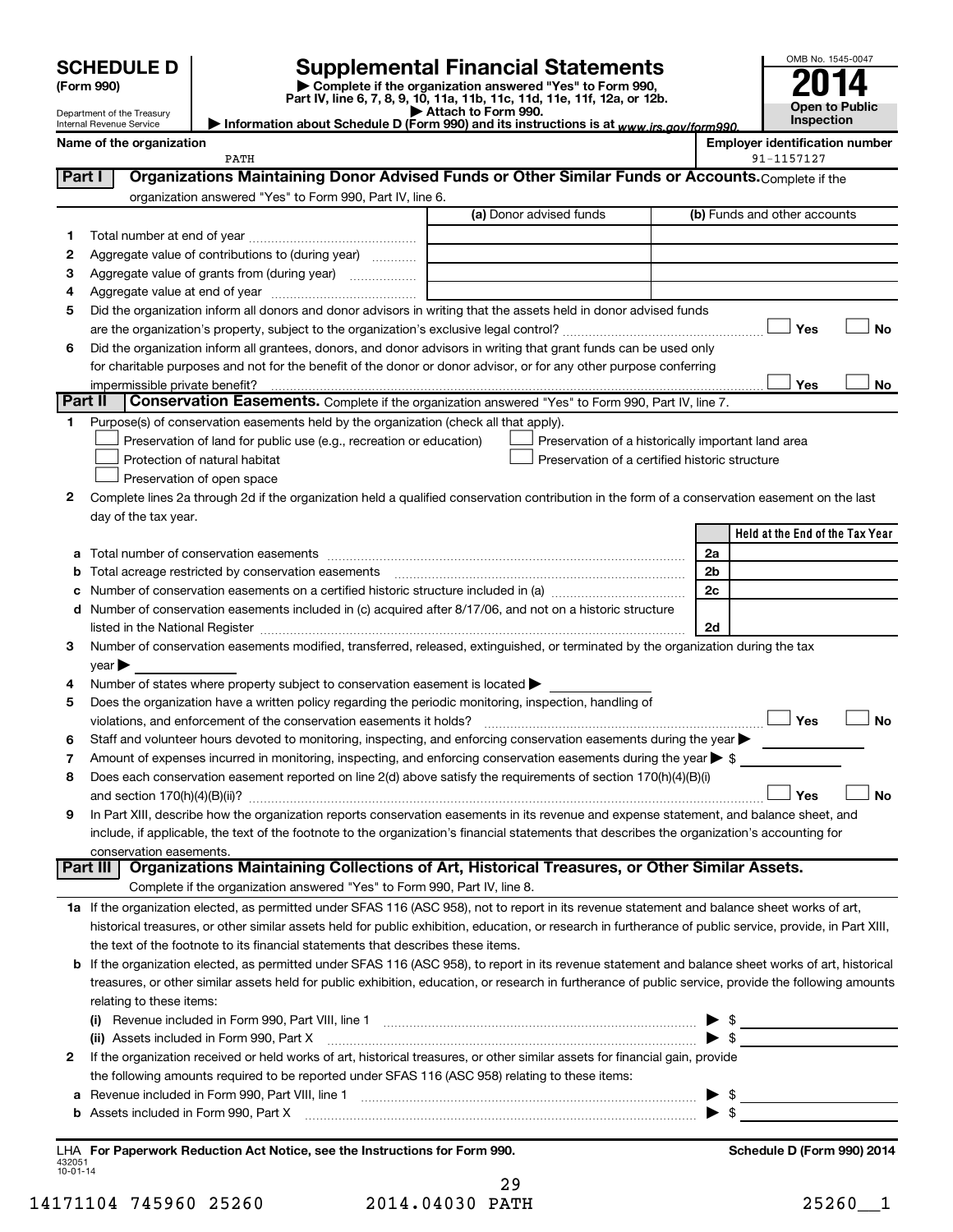| (Form 990) |
|------------|
|------------|

**(Form 990) | Complete if the organization answered "Yes" to Form 990, Part IV, line 6, 7, 8, 9, 10, 11a, 11b, 11c, 11d, 11e, 11f, 12a, or 12b. | Attach to Form 990. | Information about Schedule D (Form 990) and its instructions is at**  *www.irs.gov/form990.* **SCHEDULE D Supplemental Financial Statements**<br> **Form 990 2014**<br> **Part IV** line 6.7.8.9.10, 11a, 11b, 11d, 11d, 11d, 11d, 11d, 12a, 0r, 12b

OMB No. 1545-0047 **Open to Public Inspection**

| h la secara de Aldade de secara de la Aldade |                                  |
|----------------------------------------------|----------------------------------|
| Internal Revenue Service                     | $\blacktriangleright$ Informatio |
| Department of the Treasury                   |                                  |

|         | Name of the organization<br>PATH                                                                                                                                                      |                         | <b>Employer identification number</b><br>91-1157127 |
|---------|---------------------------------------------------------------------------------------------------------------------------------------------------------------------------------------|-------------------------|-----------------------------------------------------|
| Part I  | Organizations Maintaining Donor Advised Funds or Other Similar Funds or Accounts. Complete if the                                                                                     |                         |                                                     |
|         | organization answered "Yes" to Form 990, Part IV, line 6.                                                                                                                             |                         |                                                     |
|         |                                                                                                                                                                                       | (a) Donor advised funds | (b) Funds and other accounts                        |
|         |                                                                                                                                                                                       |                         |                                                     |
| 1.<br>2 | Aggregate value of contributions to (during year)                                                                                                                                     |                         |                                                     |
| з       | Aggregate value of grants from (during year)                                                                                                                                          |                         |                                                     |
| 4       |                                                                                                                                                                                       |                         |                                                     |
| 5       | Did the organization inform all donors and donor advisors in writing that the assets held in donor advised funds                                                                      |                         |                                                     |
|         |                                                                                                                                                                                       |                         | Yes<br>No                                           |
| 6       | Did the organization inform all grantees, donors, and donor advisors in writing that grant funds can be used only                                                                     |                         |                                                     |
|         | for charitable purposes and not for the benefit of the donor or donor advisor, or for any other purpose conferring                                                                    |                         |                                                     |
|         | impermissible private benefit?                                                                                                                                                        |                         | Yes<br>No                                           |
| Part II | Conservation Easements. Complete if the organization answered "Yes" to Form 990, Part IV, line 7.                                                                                     |                         |                                                     |
| 1.      | Purpose(s) of conservation easements held by the organization (check all that apply).                                                                                                 |                         |                                                     |
|         | Preservation of land for public use (e.g., recreation or education)                                                                                                                   |                         | Preservation of a historically important land area  |
|         | Protection of natural habitat                                                                                                                                                         |                         | Preservation of a certified historic structure      |
|         | Preservation of open space                                                                                                                                                            |                         |                                                     |
| 2       | Complete lines 2a through 2d if the organization held a qualified conservation contribution in the form of a conservation easement on the last                                        |                         |                                                     |
|         | day of the tax year.                                                                                                                                                                  |                         |                                                     |
|         |                                                                                                                                                                                       |                         | Held at the End of the Tax Year                     |
|         |                                                                                                                                                                                       |                         | 2a                                                  |
| b       |                                                                                                                                                                                       |                         | 2b                                                  |
| с       | Number of conservation easements on a certified historic structure included in (a) manufacture included in (a)                                                                        |                         | 2c                                                  |
|         | d Number of conservation easements included in (c) acquired after 8/17/06, and not on a historic structure                                                                            |                         |                                                     |
|         |                                                                                                                                                                                       |                         | 2d                                                  |
| З       | Number of conservation easements modified, transferred, released, extinguished, or terminated by the organization during the tax                                                      |                         |                                                     |
|         | $year \blacktriangleright$                                                                                                                                                            |                         |                                                     |
| 4       | Number of states where property subject to conservation easement is located >                                                                                                         |                         |                                                     |
| 5       | Does the organization have a written policy regarding the periodic monitoring, inspection, handling of                                                                                |                         |                                                     |
|         | violations, and enforcement of the conservation easements it holds?                                                                                                                   |                         | Yes<br><b>No</b>                                    |
| 6       | Staff and volunteer hours devoted to monitoring, inspecting, and enforcing conservation easements during the year $\blacktriangleright$                                               |                         |                                                     |
| 7       | Amount of expenses incurred in monitoring, inspecting, and enforcing conservation easements during the year $\triangleright$ \$                                                       |                         |                                                     |
| 8       | Does each conservation easement reported on line 2(d) above satisfy the requirements of section 170(h)(4)(B)(i)                                                                       |                         |                                                     |
|         |                                                                                                                                                                                       |                         | <b>No</b><br>Yes                                    |
| 9       | In Part XIII, describe how the organization reports conservation easements in its revenue and expense statement, and balance sheet, and                                               |                         |                                                     |
|         | include, if applicable, the text of the footnote to the organization's financial statements that describes the organization's accounting for                                          |                         |                                                     |
|         | conservation easements.                                                                                                                                                               |                         |                                                     |
|         | Organizations Maintaining Collections of Art, Historical Treasures, or Other Similar Assets.<br>Part III<br>Complete if the organization answered "Yes" to Form 990, Part IV, line 8. |                         |                                                     |
|         |                                                                                                                                                                                       |                         |                                                     |
|         | 1a If the organization elected, as permitted under SFAS 116 (ASC 958), not to report in its revenue statement and balance sheet works of art,                                         |                         |                                                     |
|         | historical treasures, or other similar assets held for public exhibition, education, or research in furtherance of public service, provide, in Part XIII,                             |                         |                                                     |
|         | the text of the footnote to its financial statements that describes these items.                                                                                                      |                         |                                                     |
|         | <b>b</b> If the organization elected, as permitted under SFAS 116 (ASC 958), to report in its revenue statement and balance sheet works of art, historical                            |                         |                                                     |
|         | treasures, or other similar assets held for public exhibition, education, or research in furtherance of public service, provide the following amounts                                 |                         |                                                     |
|         | relating to these items:                                                                                                                                                              |                         |                                                     |
|         | (i) Revenue included in Form 990, Part VIII, line 1 [1] [1] [1] [1] [1] [1] [1] [1] Revenue included in Form 990, Part VIII, line 1                                                   |                         | $\triangleright$ \$                                 |
|         | (ii) Assets included in Form 990, Part X                                                                                                                                              |                         | $\blacktriangleright$ \$                            |
| 2       | If the organization received or held works of art, historical treasures, or other similar assets for financial gain, provide                                                          |                         |                                                     |
|         | the following amounts required to be reported under SFAS 116 (ASC 958) relating to these items:                                                                                       |                         |                                                     |
| a       | <b>b</b> Assets included in Form 990, Part X                                                                                                                                          |                         | $\frac{1}{\sqrt{2}}$                                |
|         |                                                                                                                                                                                       |                         |                                                     |

432051 10-01-14 **For Paperwork Reduction Act Notice, see the Instructions for Form 990. Schedule D (Form 990) 2014** LHA

14171104 745960 25260 2014.04030 PATH 25260\_\_1

|                 | 29 |
|-----------------|----|
| 1014.04030 PATH |    |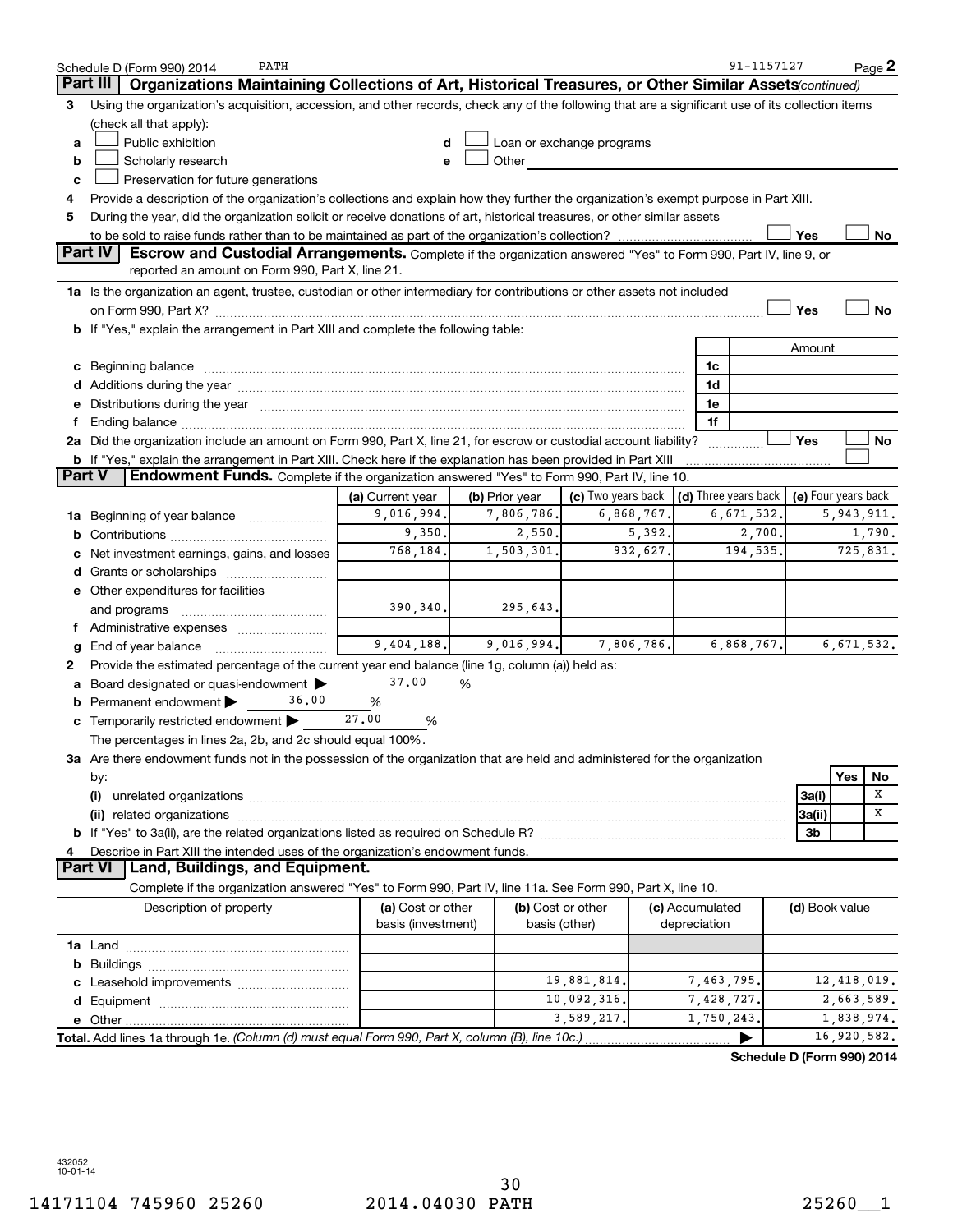|        | PATH<br>Schedule D (Form 990) 2014                                                                                                                                                                                                        |                                |                              |                           |          |                                                    | 91-1157127 |                            |     | Page 2               |
|--------|-------------------------------------------------------------------------------------------------------------------------------------------------------------------------------------------------------------------------------------------|--------------------------------|------------------------------|---------------------------|----------|----------------------------------------------------|------------|----------------------------|-----|----------------------|
|        | Part III<br>Organizations Maintaining Collections of Art, Historical Treasures, or Other Similar Assets(continued)                                                                                                                        |                                |                              |                           |          |                                                    |            |                            |     |                      |
| 3      | Using the organization's acquisition, accession, and other records, check any of the following that are a significant use of its collection items                                                                                         |                                |                              |                           |          |                                                    |            |                            |     |                      |
|        | (check all that apply):                                                                                                                                                                                                                   |                                |                              |                           |          |                                                    |            |                            |     |                      |
| a      | Public exhibition                                                                                                                                                                                                                         | d                              |                              | Loan or exchange programs |          |                                                    |            |                            |     |                      |
| b      | Scholarly research                                                                                                                                                                                                                        | e                              | Other                        |                           |          |                                                    |            |                            |     |                      |
| c      | Preservation for future generations                                                                                                                                                                                                       |                                |                              |                           |          |                                                    |            |                            |     |                      |
| 4      | Provide a description of the organization's collections and explain how they further the organization's exempt purpose in Part XIII.                                                                                                      |                                |                              |                           |          |                                                    |            |                            |     |                      |
| 5      | During the year, did the organization solicit or receive donations of art, historical treasures, or other similar assets                                                                                                                  |                                |                              |                           |          |                                                    |            |                            |     |                      |
|        |                                                                                                                                                                                                                                           |                                |                              |                           |          |                                                    |            | Yes                        |     | No                   |
|        | Part IV<br><b>Escrow and Custodial Arrangements.</b> Complete if the organization answered "Yes" to Form 990, Part IV, line 9, or                                                                                                         |                                |                              |                           |          |                                                    |            |                            |     |                      |
|        | reported an amount on Form 990, Part X, line 21.                                                                                                                                                                                          |                                |                              |                           |          |                                                    |            |                            |     |                      |
|        | 1a Is the organization an agent, trustee, custodian or other intermediary for contributions or other assets not included                                                                                                                  |                                |                              |                           |          |                                                    |            |                            |     |                      |
|        | on Form 990, Part X? [11] matter contracts and contracts and contracts are contracted as a function of the set of the set of the set of the set of the set of the set of the set of the set of the set of the set of the set o            |                                |                              |                           |          |                                                    |            | Yes                        |     | No                   |
|        | b If "Yes," explain the arrangement in Part XIII and complete the following table:                                                                                                                                                        |                                |                              |                           |          |                                                    |            |                            |     |                      |
|        |                                                                                                                                                                                                                                           |                                |                              |                           |          |                                                    |            | Amount                     |     |                      |
|        |                                                                                                                                                                                                                                           |                                |                              |                           |          | 1c                                                 |            |                            |     |                      |
|        | c Beginning balance measurements and the contract of the contract of the contract of the contract of the contract of the contract of the contract of the contract of the contract of the contract of the contract of the contr            |                                |                              |                           |          | 1d                                                 |            |                            |     |                      |
|        |                                                                                                                                                                                                                                           |                                |                              |                           |          | 1e                                                 |            |                            |     |                      |
| е      | Distributions during the year manufactured and an account of the year manufactured and the year manufactured and the year manufactured and the year manufactured and the year manufactured and the year manufactured and the s            |                                |                              |                           |          | 1f                                                 |            |                            |     |                      |
| f.     | 2a Did the organization include an amount on Form 990, Part X, line 21, for escrow or custodial account liability?                                                                                                                        |                                |                              |                           |          |                                                    |            | Yes                        |     | No                   |
|        |                                                                                                                                                                                                                                           |                                |                              |                           |          |                                                    |            |                            |     |                      |
| Part V | <b>b</b> If "Yes," explain the arrangement in Part XIII. Check here if the explanation has been provided in Part XIII<br><b>Endowment Funds.</b> Complete if the organization answered "Yes" to Form 990, Part IV, line 10.               |                                |                              |                           |          |                                                    |            |                            |     |                      |
|        |                                                                                                                                                                                                                                           |                                |                              | (c) Two years back        |          |                                                    |            |                            |     |                      |
|        |                                                                                                                                                                                                                                           | (a) Current year<br>9,016,994. | (b) Prior year<br>7,806,786. | 6,868,767.                |          | $\vert$ (d) Three years back $\vert$<br>6,671,532. |            | (e) Four years back        |     |                      |
| 1a     | Beginning of year balance <i>manumman</i>                                                                                                                                                                                                 | 9,350.                         | 2,550.                       |                           | 5,392.   |                                                    | 2,700.     |                            |     | 5,943,911.<br>1,790. |
| b      |                                                                                                                                                                                                                                           |                                |                              |                           |          |                                                    |            |                            |     |                      |
|        | Net investment earnings, gains, and losses                                                                                                                                                                                                | 768,184.                       | 1,503,301.                   |                           | 932,627. | 194,535.                                           |            |                            |     | 725,831.             |
| d      |                                                                                                                                                                                                                                           |                                |                              |                           |          |                                                    |            |                            |     |                      |
|        | e Other expenditures for facilities                                                                                                                                                                                                       |                                |                              |                           |          |                                                    |            |                            |     |                      |
|        | and programs                                                                                                                                                                                                                              | 390,340.                       | 295,643.                     |                           |          |                                                    |            |                            |     |                      |
|        | f Administrative expenses                                                                                                                                                                                                                 |                                |                              |                           |          |                                                    |            |                            |     |                      |
| g      | End of year balance                                                                                                                                                                                                                       | 9,404,188.                     | 9,016,994.                   | 7,806,786.                |          | 6,868,767.                                         |            |                            |     | 6,671,532.           |
| 2      | Provide the estimated percentage of the current year end balance (line 1g, column (a)) held as:                                                                                                                                           |                                |                              |                           |          |                                                    |            |                            |     |                      |
| а      | Board designated or quasi-endowment                                                                                                                                                                                                       | 37.00                          | %                            |                           |          |                                                    |            |                            |     |                      |
|        | Permanent endowment<br>36,00                                                                                                                                                                                                              | %                              |                              |                           |          |                                                    |            |                            |     |                      |
|        | <b>c</b> Temporarily restricted endowment $\blacktriangleright$                                                                                                                                                                           | 27.00<br>%                     |                              |                           |          |                                                    |            |                            |     |                      |
|        | The percentages in lines 2a, 2b, and 2c should equal 100%.                                                                                                                                                                                |                                |                              |                           |          |                                                    |            |                            |     |                      |
|        | 3a Are there endowment funds not in the possession of the organization that are held and administered for the organization                                                                                                                |                                |                              |                           |          |                                                    |            |                            |     |                      |
|        | by:                                                                                                                                                                                                                                       |                                |                              |                           |          |                                                    |            |                            | Yes | No                   |
|        | (i)                                                                                                                                                                                                                                       |                                |                              |                           |          |                                                    |            | 3a(i)                      |     | X                    |
|        |                                                                                                                                                                                                                                           |                                |                              |                           |          |                                                    |            | 3a(ii)                     |     | X                    |
|        |                                                                                                                                                                                                                                           |                                |                              |                           |          |                                                    |            | 3b                         |     |                      |
| 4      | Describe in Part XIII the intended uses of the organization's endowment funds.                                                                                                                                                            |                                |                              |                           |          |                                                    |            |                            |     |                      |
|        | <b>Part VI</b><br>Land, Buildings, and Equipment.                                                                                                                                                                                         |                                |                              |                           |          |                                                    |            |                            |     |                      |
|        | Complete if the organization answered "Yes" to Form 990, Part IV, line 11a. See Form 990, Part X, line 10.                                                                                                                                |                                |                              |                           |          |                                                    |            |                            |     |                      |
|        | Description of property                                                                                                                                                                                                                   | (a) Cost or other              |                              | (b) Cost or other         |          | (c) Accumulated                                    |            | (d) Book value             |     |                      |
|        |                                                                                                                                                                                                                                           | basis (investment)             |                              | basis (other)             |          | depreciation                                       |            |                            |     |                      |
|        | <b>1a</b> Land <b>Executive Contract and Service Contract and Service Contract and Service Contract and Service Contract and Service Contract and Service Contract and Service Contract and Service Contract and Service Contract and</b> |                                |                              |                           |          |                                                    |            |                            |     |                      |
|        |                                                                                                                                                                                                                                           |                                |                              |                           |          |                                                    |            |                            |     |                      |
|        |                                                                                                                                                                                                                                           |                                |                              | 19,881,814.               |          | 7,463,795.                                         |            |                            |     | 12,418,019.          |
|        |                                                                                                                                                                                                                                           |                                |                              | 10,092,316.               |          | 7,428,727.                                         |            |                            |     | 2,663,589.           |
|        |                                                                                                                                                                                                                                           |                                |                              | 3,589,217.                |          | 1,750,243.                                         |            |                            |     | 1,838,974.           |
|        | Total. Add lines 1a through 1e. (Column (d) must equal Form 990, Part X, column (B), line 10c.)                                                                                                                                           |                                |                              |                           |          |                                                    |            |                            |     | 16,920,582.          |
|        |                                                                                                                                                                                                                                           |                                |                              |                           |          |                                                    |            | Schedule D (Form 990) 2014 |     |                      |
|        |                                                                                                                                                                                                                                           |                                |                              |                           |          |                                                    |            |                            |     |                      |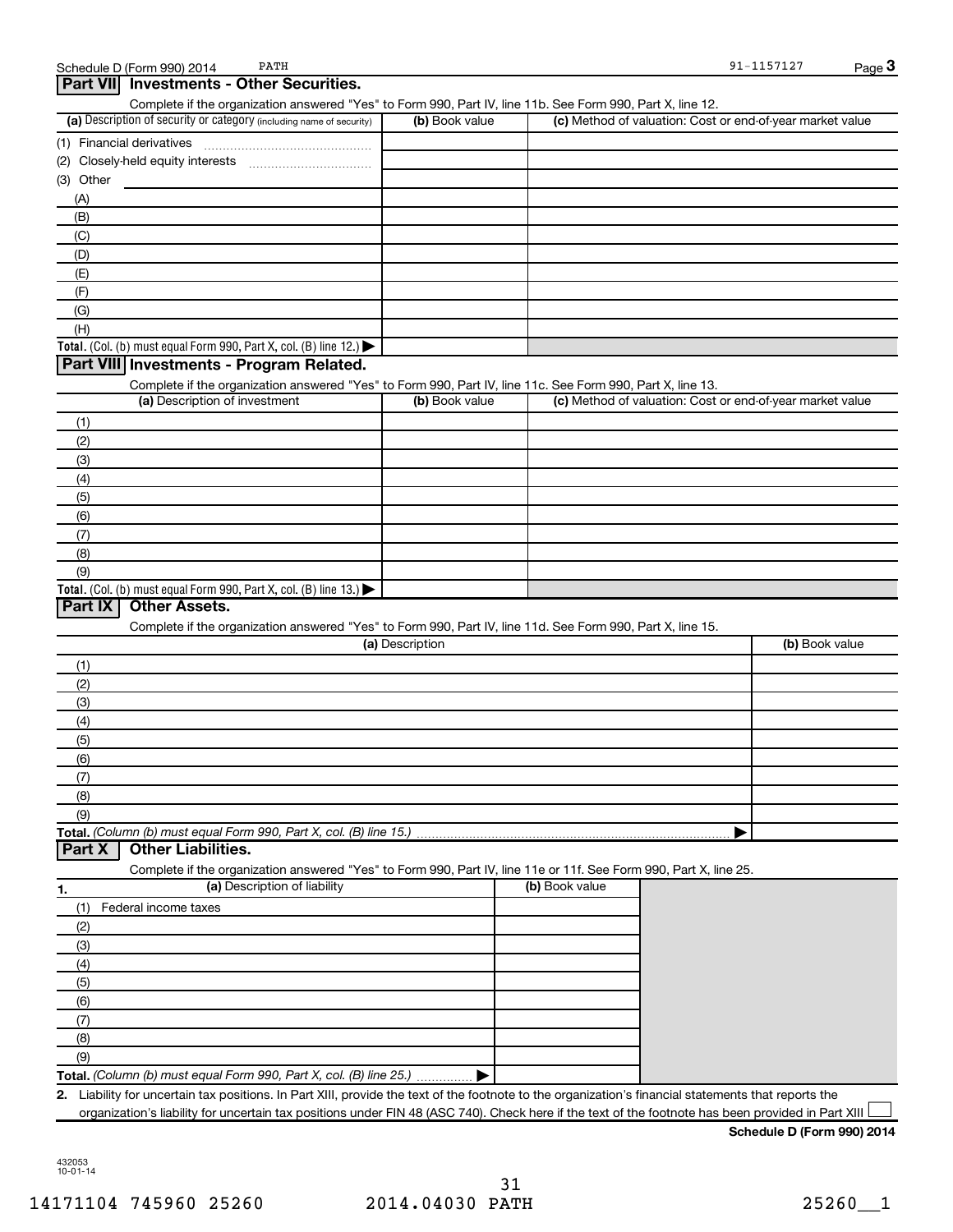|                           | Part VII Investments - Other Securities.                                                                                                             |                 |                |                                                           |
|---------------------------|------------------------------------------------------------------------------------------------------------------------------------------------------|-----------------|----------------|-----------------------------------------------------------|
|                           | Complete if the organization answered "Yes" to Form 990, Part IV, line 11b. See Form 990, Part X, line 12.                                           |                 |                |                                                           |
|                           | (a) Description of security or category (including name of security)                                                                                 | (b) Book value  |                | (c) Method of valuation: Cost or end-of-year market value |
| (1) Financial derivatives |                                                                                                                                                      |                 |                |                                                           |
|                           |                                                                                                                                                      |                 |                |                                                           |
| (3) Other                 |                                                                                                                                                      |                 |                |                                                           |
| (A)                       |                                                                                                                                                      |                 |                |                                                           |
| (B)                       |                                                                                                                                                      |                 |                |                                                           |
| (C)                       |                                                                                                                                                      |                 |                |                                                           |
| (D)<br>(E)                |                                                                                                                                                      |                 |                |                                                           |
| (F)                       |                                                                                                                                                      |                 |                |                                                           |
| (G)                       |                                                                                                                                                      |                 |                |                                                           |
| (H)                       |                                                                                                                                                      |                 |                |                                                           |
|                           | Total. (Col. (b) must equal Form 990, Part X, col. (B) line 12.)                                                                                     |                 |                |                                                           |
|                           | Part VIII Investments - Program Related.                                                                                                             |                 |                |                                                           |
|                           | Complete if the organization answered "Yes" to Form 990, Part IV, line 11c. See Form 990, Part X, line 13.                                           |                 |                |                                                           |
|                           | (a) Description of investment                                                                                                                        | (b) Book value  |                | (c) Method of valuation: Cost or end-of-year market value |
| (1)                       |                                                                                                                                                      |                 |                |                                                           |
| (2)                       |                                                                                                                                                      |                 |                |                                                           |
| (3)                       |                                                                                                                                                      |                 |                |                                                           |
| (4)                       |                                                                                                                                                      |                 |                |                                                           |
| (5)                       |                                                                                                                                                      |                 |                |                                                           |
| (6)                       |                                                                                                                                                      |                 |                |                                                           |
| (7)                       |                                                                                                                                                      |                 |                |                                                           |
| (8)                       |                                                                                                                                                      |                 |                |                                                           |
| (9)                       |                                                                                                                                                      |                 |                |                                                           |
|                           | Total. (Col. (b) must equal Form 990, Part X, col. (B) line 13.) $\blacktriangleright$                                                               |                 |                |                                                           |
| Part IX                   | <b>Other Assets.</b>                                                                                                                                 |                 |                |                                                           |
|                           | Complete if the organization answered "Yes" to Form 990, Part IV, line 11d. See Form 990, Part X, line 15.                                           |                 |                |                                                           |
|                           |                                                                                                                                                      | (a) Description |                | (b) Book value                                            |
| (1)                       |                                                                                                                                                      |                 |                |                                                           |
| (2)                       |                                                                                                                                                      |                 |                |                                                           |
| (3)                       |                                                                                                                                                      |                 |                |                                                           |
| (4)                       |                                                                                                                                                      |                 |                |                                                           |
| (5)                       |                                                                                                                                                      |                 |                |                                                           |
| (6)                       |                                                                                                                                                      |                 |                |                                                           |
| (7)                       |                                                                                                                                                      |                 |                |                                                           |
| (8)                       |                                                                                                                                                      |                 |                |                                                           |
| (9)                       |                                                                                                                                                      |                 |                |                                                           |
| Part X                    | Total. (Column (b) must equal Form 990, Part X, col. (B) line 15.)<br><b>Other Liabilities.</b>                                                      |                 |                |                                                           |
|                           | Complete if the organization answered "Yes" to Form 990, Part IV, line 11e or 11f. See Form 990, Part X, line 25.                                    |                 |                |                                                           |
|                           | (a) Description of liability                                                                                                                         |                 | (b) Book value |                                                           |
| 1.<br>(1)                 | Federal income taxes                                                                                                                                 |                 |                |                                                           |
| (2)                       |                                                                                                                                                      |                 |                |                                                           |
| (3)                       |                                                                                                                                                      |                 |                |                                                           |
| (4)                       |                                                                                                                                                      |                 |                |                                                           |
| (5)                       |                                                                                                                                                      |                 |                |                                                           |
| (6)                       |                                                                                                                                                      |                 |                |                                                           |
| (7)                       |                                                                                                                                                      |                 |                |                                                           |
| (8)                       |                                                                                                                                                      |                 |                |                                                           |
| (9)                       |                                                                                                                                                      |                 |                |                                                           |
|                           | Total. (Column (b) must equal Form 990, Part X, col. (B) line 25.)                                                                                   |                 |                |                                                           |
|                           | 2. Liability for uncertain tax positions. In Part XIII, provide the text of the footnote to the organization's financial statements that reports the |                 |                |                                                           |
|                           | organization's liability for uncertain tax positions under FIN 48 (ASC 740). Check here if the text of the footnote has been provided in Part XIII   |                 |                |                                                           |
|                           |                                                                                                                                                      |                 |                | Schedule D (Form 990) 2014                                |

**3**

 $91 - 1157127$ 

Schedule D (Form 990) 2014 PATH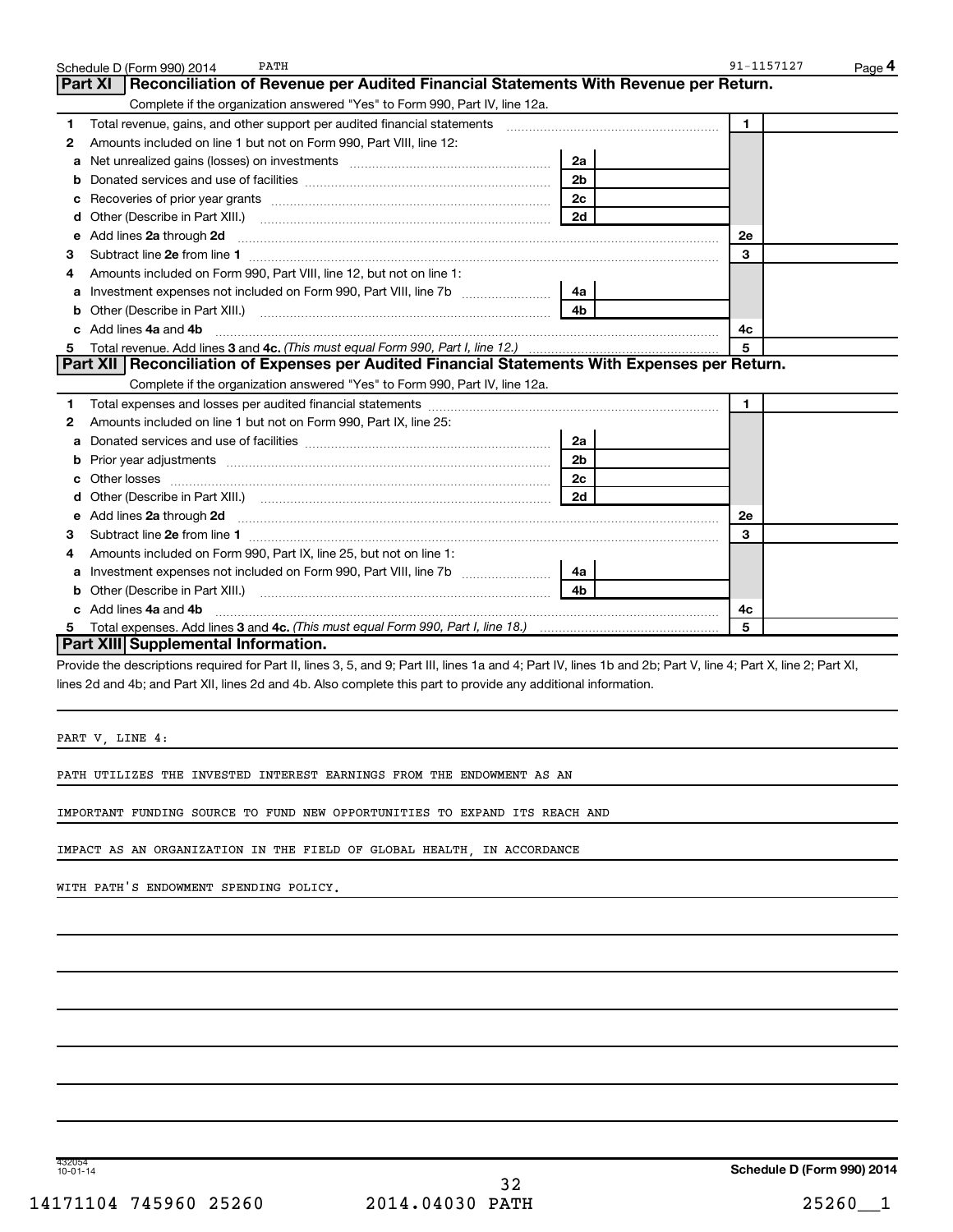|    | PATH<br>Schedule D (Form 990) 2014                                                                                                                                                                                                   |                | 91-1157127<br>Page 4 |
|----|--------------------------------------------------------------------------------------------------------------------------------------------------------------------------------------------------------------------------------------|----------------|----------------------|
|    | Part XI<br>Reconciliation of Revenue per Audited Financial Statements With Revenue per Return.                                                                                                                                       |                |                      |
|    | Complete if the organization answered "Yes" to Form 990, Part IV, line 12a.                                                                                                                                                          |                |                      |
| 1  | Total revenue, gains, and other support per audited financial statements [11, 11] matter contains the statements and the support per audited financial statements [11] matter support of the statements and the statements and       |                | $\mathbf{1}$         |
| 2  | Amounts included on line 1 but not on Form 990, Part VIII, line 12:                                                                                                                                                                  |                |                      |
| a  |                                                                                                                                                                                                                                      | 2a             |                      |
|    |                                                                                                                                                                                                                                      | 2 <sub>b</sub> |                      |
| с  |                                                                                                                                                                                                                                      | 2 <sub>c</sub> |                      |
| d  | Other (Describe in Part XIII.) <b>Construction Contract Construction</b> Chemistry Chemistry Chemistry Chemistry Chemistry                                                                                                           | 2d             |                      |
| е  | Add lines 2a through 2d <b>continuum continuum contract and all the contract and all the contract and all the contract and all the contract of the contract of the contract of the contract of the contract of the contract of t</b> |                | 2e                   |
| 3  |                                                                                                                                                                                                                                      |                | 3                    |
| 4  | Amounts included on Form 990, Part VIII, line 12, but not on line 1:                                                                                                                                                                 |                |                      |
| а  |                                                                                                                                                                                                                                      | 4a             |                      |
| b  |                                                                                                                                                                                                                                      | 4 <sub>b</sub> |                      |
| C. | Add lines 4a and 4b                                                                                                                                                                                                                  |                | 4c                   |
| 5  |                                                                                                                                                                                                                                      |                | 5                    |
|    | Part XII   Reconciliation of Expenses per Audited Financial Statements With Expenses per Return.                                                                                                                                     |                |                      |
|    | Complete if the organization answered "Yes" to Form 990, Part IV, line 12a.                                                                                                                                                          |                |                      |
| 1  |                                                                                                                                                                                                                                      |                | $\mathbf{1}$         |
| 2  | Amounts included on line 1 but not on Form 990, Part IX, line 25:                                                                                                                                                                    |                |                      |
| a  |                                                                                                                                                                                                                                      | 2a             |                      |
| b  |                                                                                                                                                                                                                                      | 2 <sub>b</sub> |                      |
| c  |                                                                                                                                                                                                                                      | 2 <sub>c</sub> |                      |
| d  |                                                                                                                                                                                                                                      | 2d             |                      |
| е  | Add lines 2a through 2d                                                                                                                                                                                                              |                | 2e                   |
| 3  |                                                                                                                                                                                                                                      |                | 3                    |
| 4  | Amounts included on Form 990, Part IX, line 25, but not on line 1:                                                                                                                                                                   |                |                      |
| a  |                                                                                                                                                                                                                                      | 4a             |                      |
| b  |                                                                                                                                                                                                                                      | 4b.            |                      |
| c. | Add lines 4a and 4b                                                                                                                                                                                                                  |                | 4с                   |
|    |                                                                                                                                                                                                                                      |                | 5                    |
|    | Part XIII Supplemental Information.                                                                                                                                                                                                  |                |                      |

Provide the descriptions required for Part II, lines 3, 5, and 9; Part III, lines 1a and 4; Part IV, lines 1b and 2b; Part V, line 4; Part X, line 2; Part XI, lines 2d and 4b; and Part XII, lines 2d and 4b. Also complete this part to provide any additional information.

PART V, LINE 4:

PATH UTILIZES THE INVESTED INTEREST EARNINGS FROM THE ENDOWMENT AS AN

IMPORTANT FUNDING SOURCE TO FUND NEW OPPORTUNITIES TO EXPAND ITS REACH AND

IMPACT AS AN ORGANIZATION IN THE FIELD OF GLOBAL HEALTH, IN ACCORDANCE

WITH PATH'S ENDOWMENT SPENDING POLICY.

432054 10-01-14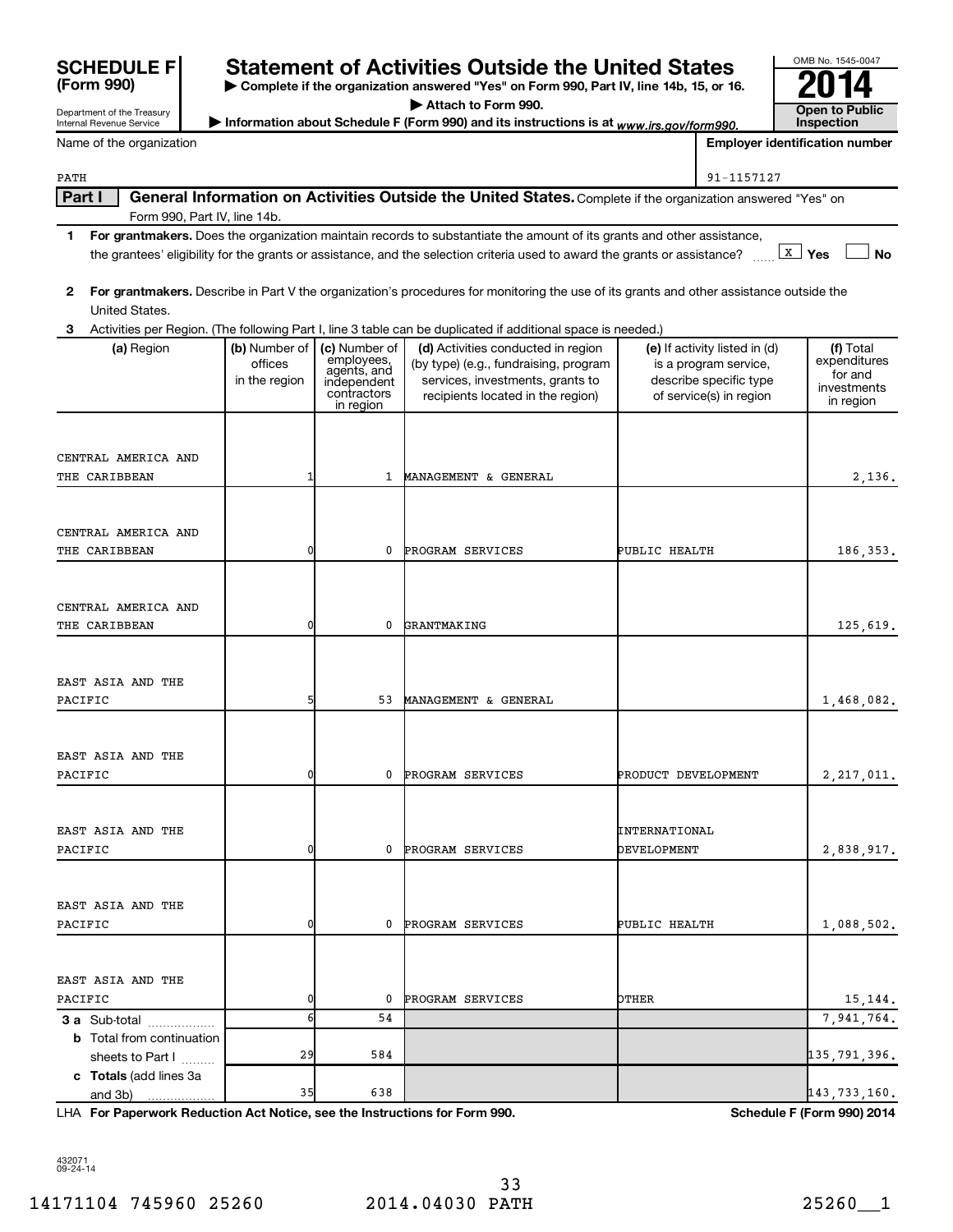| <b>SCHEDULE F</b> |  |
|-------------------|--|
| (Form 990)        |  |

**| Complete if the organization answered "Yes" on Form 990, Part IV, line 14b, 15, or 16. | Attach to Form 990.** Information about Schedule F (Form 990) and its instructions is at *www.irs.gov/form990.* Public line pection Statement of Activities Outside the United States<br>  $\triangleright$  Complete if the organization answered "Yes" on Form 990, Part IV, line 14b, 15, or 16.<br>  $\triangleright$  Attach to Form 990.

Department of the Treasury Internal Revenue Service

| m990. | <b>Inspection</b>                     |  |  |
|-------|---------------------------------------|--|--|
|       | <b>Employer identification number</b> |  |  |

OMB No. 1545-0047

| Name of the organization |  |
|--------------------------|--|
|                          |  |

| PATH                                                 |                                           |                                                                                       |                                                                                                                                                      | 91-1157127                                                                                                  |                                                                  |
|------------------------------------------------------|-------------------------------------------|---------------------------------------------------------------------------------------|------------------------------------------------------------------------------------------------------------------------------------------------------|-------------------------------------------------------------------------------------------------------------|------------------------------------------------------------------|
| Part I                                               |                                           |                                                                                       | General Information on Activities Outside the United States. Complete if the organization answered "Yes" on                                          |                                                                                                             |                                                                  |
| Form 990, Part IV, line 14b.                         |                                           |                                                                                       |                                                                                                                                                      |                                                                                                             |                                                                  |
| 1.                                                   |                                           |                                                                                       | For grantmakers. Does the organization maintain records to substantiate the amount of its grants and other assistance,                               |                                                                                                             |                                                                  |
|                                                      |                                           |                                                                                       | the grantees' eligibility for the grants or assistance, and the selection criteria used to award the grants or assistance?                           |                                                                                                             | $\lfloor x \rfloor$ Yes<br><b>No</b>                             |
| 2<br>United States.                                  |                                           |                                                                                       | For grantmakers. Describe in Part V the organization's procedures for monitoring the use of its grants and other assistance outside the              |                                                                                                             |                                                                  |
| 3                                                    |                                           |                                                                                       | Activities per Region. (The following Part I, line 3 table can be duplicated if additional space is needed.)                                         |                                                                                                             |                                                                  |
| (a) Region                                           | (b) Number of<br>offices<br>in the region | (c) Number of<br>employees,<br>agents, and<br>independent<br>contractors<br>in region | (d) Activities conducted in region<br>(by type) (e.g., fundraising, program<br>services, investments, grants to<br>recipients located in the region) | (e) If activity listed in (d)<br>is a program service,<br>describe specific type<br>of service(s) in region | (f) Total<br>expenditures<br>for and<br>investments<br>in region |
| CENTRAL AMERICA AND<br>THE CARIBBEAN                 | -1                                        | 1                                                                                     | MANAGEMENT & GENERAL                                                                                                                                 |                                                                                                             | 2,136.                                                           |
| CENTRAL AMERICA AND<br>THE CARIBBEAN                 | 0                                         | 0                                                                                     | <b>PROGRAM SERVICES</b>                                                                                                                              | PUBLIC HEALTH                                                                                               | 186,353.                                                         |
| CENTRAL AMERICA AND<br>THE CARIBBEAN                 | 0                                         | 0                                                                                     | GRANTMAKING                                                                                                                                          |                                                                                                             | 125,619.                                                         |
| EAST ASIA AND THE<br>PACIFIC                         | 5                                         | 53                                                                                    | MANAGEMENT & GENERAL                                                                                                                                 |                                                                                                             | 1,468,082.                                                       |
| EAST ASIA AND THE<br>PACIFIC                         | 0                                         | 0                                                                                     | PROGRAM SERVICES                                                                                                                                     | PRODUCT DEVELOPMENT                                                                                         | 2, 217, 011.                                                     |
| EAST ASIA AND THE<br>PACIFIC                         | 0                                         | 0                                                                                     | PROGRAM SERVICES                                                                                                                                     | INTERNATIONAL<br><b>DEVELOPMENT</b>                                                                         | 2,838,917.                                                       |
| EAST ASIA AND THE<br>PACIFIC                         | 0                                         | 0                                                                                     | PROGRAM SERVICES                                                                                                                                     | PUBLIC HEALTH                                                                                               | 1,088,502.                                                       |
| EAST ASIA AND THE                                    |                                           |                                                                                       |                                                                                                                                                      |                                                                                                             |                                                                  |
| PACIFIC                                              | 0<br>6                                    | 0<br>54                                                                               | PROGRAM SERVICES                                                                                                                                     | OTHER                                                                                                       | 15, 144.<br>7,941,764.                                           |
| 3 a Sub-total                                        |                                           |                                                                                       |                                                                                                                                                      |                                                                                                             |                                                                  |
| <b>b</b> Total from continuation<br>sheets to Part I | 29                                        | 584                                                                                   |                                                                                                                                                      |                                                                                                             | 135,791,396.                                                     |
| c Totals (add lines 3a<br>and 3b)                    | 35                                        | 638                                                                                   |                                                                                                                                                      |                                                                                                             | 143,733,160.                                                     |

**For Paperwork Reduction Act Notice, see the Instructions for Form 990. Schedule F (Form 990) 2014** LHA

432071 09-24-14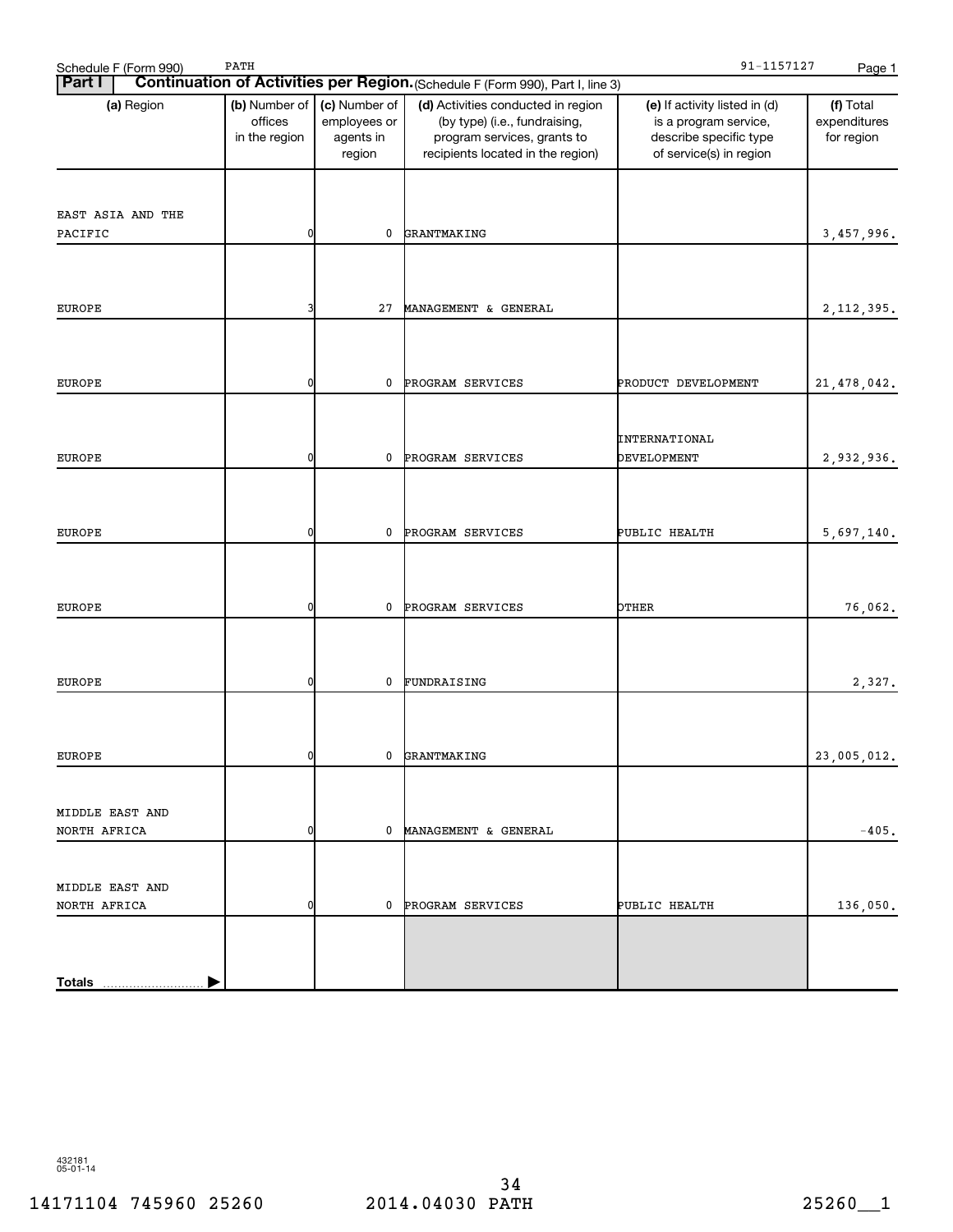| 91-1157127<br>PATH<br>Schedule F (Form 990)<br>Page 1                                           |                                           |                                                      |                                                                                                                                         |                                                                                                             |                                         |
|-------------------------------------------------------------------------------------------------|-------------------------------------------|------------------------------------------------------|-----------------------------------------------------------------------------------------------------------------------------------------|-------------------------------------------------------------------------------------------------------------|-----------------------------------------|
| Continuation of Activities per Region. (Schedule F (Form 990), Part I, line 3)<br><b>Part I</b> |                                           |                                                      |                                                                                                                                         |                                                                                                             |                                         |
| (a) Region                                                                                      | (b) Number of<br>offices<br>in the region | (c) Number of<br>employees or<br>agents in<br>region | (d) Activities conducted in region<br>(by type) (i.e., fundraising,<br>program services, grants to<br>recipients located in the region) | (e) If activity listed in (d)<br>is a program service,<br>describe specific type<br>of service(s) in region | (f) Total<br>expenditures<br>for region |
| EAST ASIA AND THE                                                                               |                                           |                                                      |                                                                                                                                         |                                                                                                             |                                         |
| PACIFIC                                                                                         | 0                                         | 0                                                    | GRANTMAKING                                                                                                                             |                                                                                                             | 3,457,996.                              |
|                                                                                                 |                                           |                                                      |                                                                                                                                         |                                                                                                             |                                         |
| <b>EUROPE</b>                                                                                   |                                           | 27                                                   | MANAGEMENT & GENERAL                                                                                                                    |                                                                                                             | 2, 112, 395.                            |
|                                                                                                 |                                           |                                                      |                                                                                                                                         |                                                                                                             |                                         |
| <b>EUROPE</b>                                                                                   | 0                                         | 0                                                    | PROGRAM SERVICES                                                                                                                        | PRODUCT DEVELOPMENT                                                                                         | 21, 478, 042.                           |
|                                                                                                 |                                           |                                                      |                                                                                                                                         | INTERNATIONAL                                                                                               |                                         |
| EUROPE                                                                                          | 0                                         | 0                                                    | PROGRAM SERVICES                                                                                                                        | DEVELOPMENT                                                                                                 | 2,932,936.                              |
|                                                                                                 |                                           |                                                      |                                                                                                                                         |                                                                                                             |                                         |
| <b>EUROPE</b>                                                                                   | 0                                         | 0                                                    | PROGRAM SERVICES                                                                                                                        | PUBLIC HEALTH                                                                                               | 5,697,140.                              |
|                                                                                                 |                                           |                                                      |                                                                                                                                         |                                                                                                             |                                         |
| <b>EUROPE</b>                                                                                   | 0                                         | 0                                                    | PROGRAM SERVICES                                                                                                                        | OTHER                                                                                                       | 76,062.                                 |
| <b>EUROPE</b>                                                                                   | 0                                         | 0                                                    | FUNDRAISING                                                                                                                             |                                                                                                             | 2,327.                                  |
| <b>EUROPE</b>                                                                                   |                                           | $\mathbf{0}$                                         | GRANTMAKING                                                                                                                             |                                                                                                             | 23,005,012.                             |
|                                                                                                 |                                           |                                                      |                                                                                                                                         |                                                                                                             |                                         |
| MIDDLE EAST AND                                                                                 |                                           |                                                      |                                                                                                                                         |                                                                                                             |                                         |
| NORTH AFRICA                                                                                    | 0                                         | 0                                                    | MANAGEMENT & GENERAL                                                                                                                    |                                                                                                             | $-405.$                                 |
| MIDDLE EAST AND                                                                                 |                                           |                                                      |                                                                                                                                         |                                                                                                             |                                         |
| NORTH AFRICA                                                                                    | 0                                         | 0                                                    | PROGRAM SERVICES                                                                                                                        | PUBLIC HEALTH                                                                                               | 136,050.                                |
|                                                                                                 |                                           |                                                      |                                                                                                                                         |                                                                                                             |                                         |
| <b>Totals</b>                                                                                   |                                           |                                                      |                                                                                                                                         |                                                                                                             |                                         |

432181 05-01-14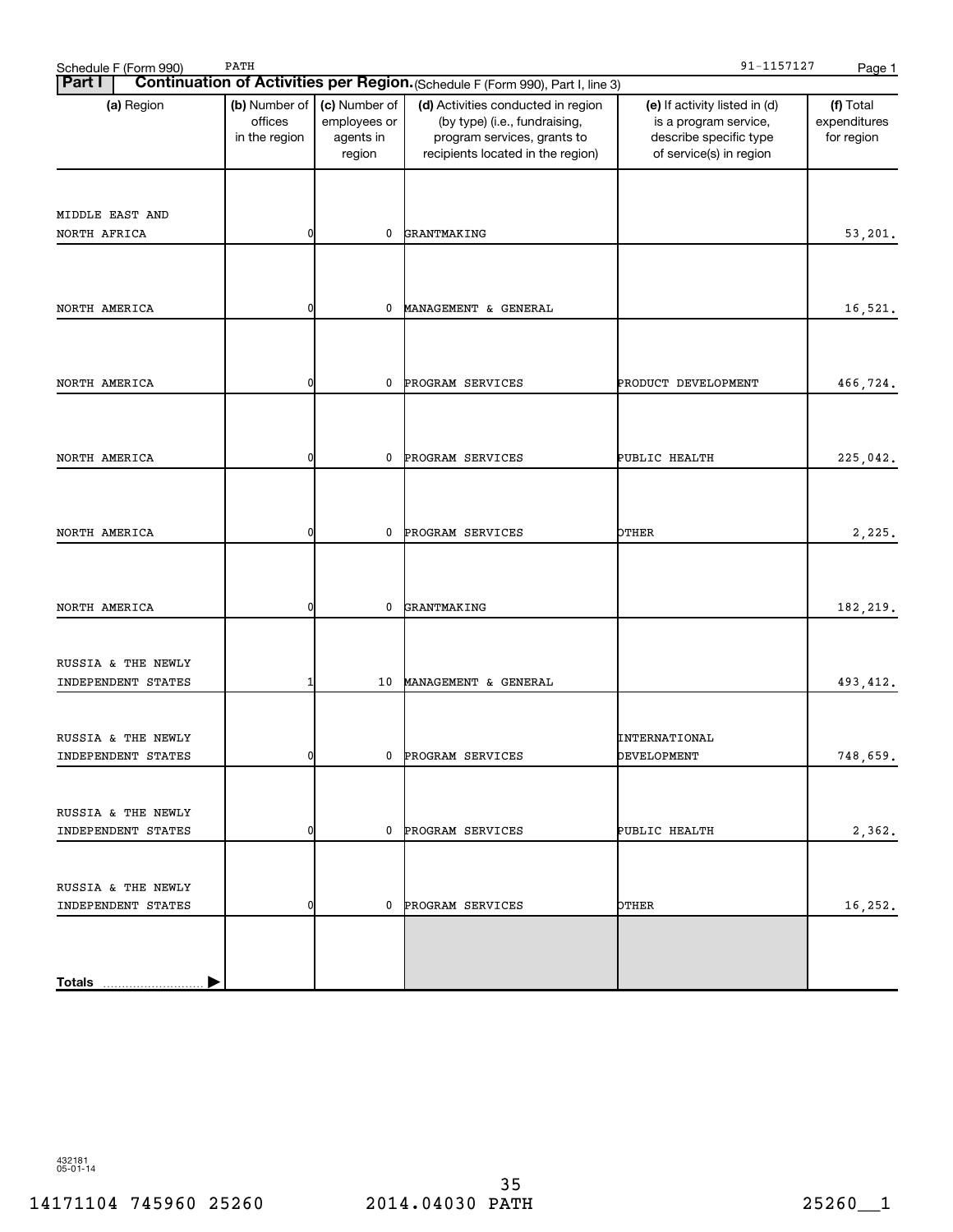| PATH<br>91-1157127<br>Schedule F (Form 990)<br>Page 1                                           |                                           |                                                      |                                                                                                                                         |                                                                                                             |                                         |
|-------------------------------------------------------------------------------------------------|-------------------------------------------|------------------------------------------------------|-----------------------------------------------------------------------------------------------------------------------------------------|-------------------------------------------------------------------------------------------------------------|-----------------------------------------|
| Continuation of Activities per Region. (Schedule F (Form 990), Part I, line 3)<br><b>Part I</b> |                                           |                                                      |                                                                                                                                         |                                                                                                             |                                         |
| (a) Region                                                                                      | (b) Number of<br>offices<br>in the region | (c) Number of<br>employees or<br>agents in<br>region | (d) Activities conducted in region<br>(by type) (i.e., fundraising,<br>program services, grants to<br>recipients located in the region) | (e) If activity listed in (d)<br>is a program service,<br>describe specific type<br>of service(s) in region | (f) Total<br>expenditures<br>for region |
| MIDDLE EAST AND<br>NORTH AFRICA                                                                 | 0                                         | 0                                                    | GRANTMAKING                                                                                                                             |                                                                                                             | 53,201.                                 |
| NORTH AMERICA                                                                                   | 0                                         | 0                                                    | MANAGEMENT & GENERAL                                                                                                                    |                                                                                                             | 16,521.                                 |
| NORTH AMERICA                                                                                   | 0                                         | 0                                                    | PROGRAM SERVICES                                                                                                                        | PRODUCT DEVELOPMENT                                                                                         | 466,724.                                |
| NORTH AMERICA                                                                                   | 0                                         | 0                                                    | PROGRAM SERVICES                                                                                                                        | PUBLIC HEALTH                                                                                               | 225,042.                                |
| NORTH AMERICA                                                                                   | 0                                         | 0                                                    | PROGRAM SERVICES                                                                                                                        | OTHER                                                                                                       | 2,225.                                  |
| NORTH AMERICA                                                                                   | 0                                         | 0                                                    | GRANTMAKING                                                                                                                             |                                                                                                             | 182,219.                                |
| RUSSIA & THE NEWLY<br>INDEPENDENT STATES                                                        | 1                                         | 10                                                   | MANAGEMENT & GENERAL                                                                                                                    |                                                                                                             | 493, 412.                               |
| RUSSIA & THE NEWLY<br>INDEPENDENT STATES                                                        | ωı                                        | $\mathbf{0}$                                         | PROGRAM SERVICES                                                                                                                        | INTERNATIONAL<br><b>DEVELOPMENT</b>                                                                         | 748,659.                                |
| RUSSIA & THE NEWLY<br>INDEPENDENT STATES                                                        | 0                                         | 0                                                    | PROGRAM SERVICES                                                                                                                        | PUBLIC HEALTH                                                                                               | 2,362.                                  |
| RUSSIA & THE NEWLY<br>INDEPENDENT STATES                                                        | 0                                         | 0                                                    | PROGRAM SERVICES                                                                                                                        | OTHER                                                                                                       | 16, 252.                                |
| <b>Totals</b>                                                                                   |                                           |                                                      |                                                                                                                                         |                                                                                                             |                                         |

432181 05-01-14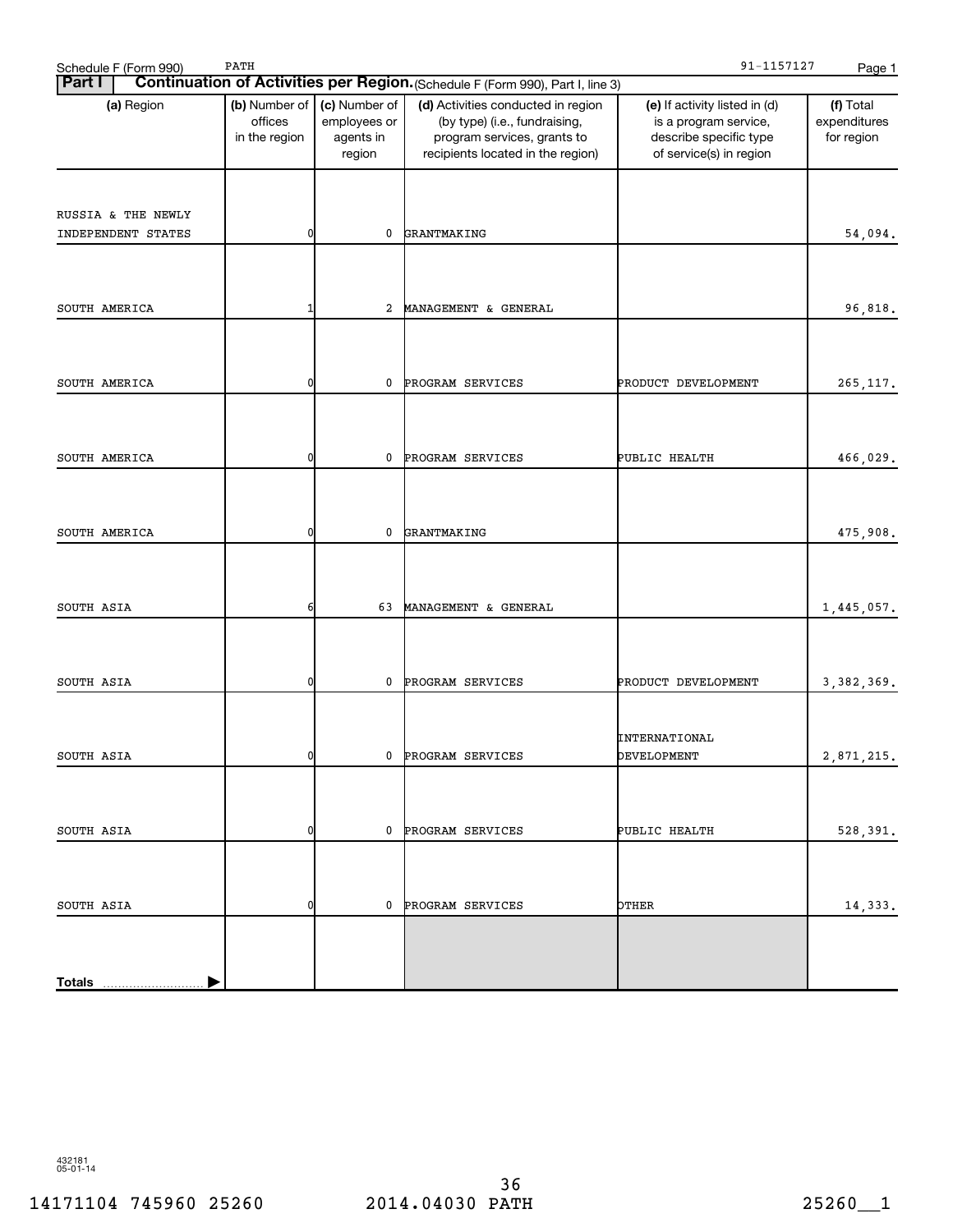| PATH<br>91-1157127<br>Schedule F (Form 990)<br>Page 1                                           |                                           |                                                      |                                                                                                                                         |                                                                                                             |                                         |
|-------------------------------------------------------------------------------------------------|-------------------------------------------|------------------------------------------------------|-----------------------------------------------------------------------------------------------------------------------------------------|-------------------------------------------------------------------------------------------------------------|-----------------------------------------|
| Continuation of Activities per Region. (Schedule F (Form 990), Part I, line 3)<br><b>Part I</b> |                                           |                                                      |                                                                                                                                         |                                                                                                             |                                         |
| (a) Region                                                                                      | (b) Number of<br>offices<br>in the region | (c) Number of<br>employees or<br>agents in<br>region | (d) Activities conducted in region<br>(by type) (i.e., fundraising,<br>program services, grants to<br>recipients located in the region) | (e) If activity listed in (d)<br>is a program service,<br>describe specific type<br>of service(s) in region | (f) Total<br>expenditures<br>for region |
| RUSSIA & THE NEWLY<br>INDEPENDENT STATES                                                        | 0                                         | 0                                                    | GRANTMAKING                                                                                                                             |                                                                                                             | 54,094.                                 |
| SOUTH AMERICA                                                                                   | -1                                        | 2                                                    | MANAGEMENT & GENERAL                                                                                                                    |                                                                                                             | 96,818.                                 |
| SOUTH AMERICA                                                                                   | 0                                         | 0                                                    | PROGRAM SERVICES                                                                                                                        | PRODUCT DEVELOPMENT                                                                                         | 265, 117.                               |
| SOUTH AMERICA                                                                                   | 0                                         | 0                                                    | PROGRAM SERVICES                                                                                                                        | PUBLIC HEALTH                                                                                               | 466,029.                                |
| SOUTH AMERICA                                                                                   | 0                                         | 0                                                    | GRANTMAKING                                                                                                                             |                                                                                                             | 475,908.                                |
| SOUTH ASIA                                                                                      | 6                                         | 63                                                   | MANAGEMENT & GENERAL                                                                                                                    |                                                                                                             | 1,445,057.                              |
| SOUTH ASIA                                                                                      | 0                                         | 0                                                    | PROGRAM SERVICES                                                                                                                        | PRODUCT DEVELOPMENT                                                                                         | 3,382,369.                              |
| SOUTH ASIA                                                                                      |                                           | $\mathbf{0}$                                         | PROGRAM SERVICES                                                                                                                        | INTERNATIONAL<br><b>DEVELOPMENT</b>                                                                         | 2,871,215.                              |
| SOUTH ASIA                                                                                      | 0                                         | $\mathbf{0}$                                         | PROGRAM SERVICES                                                                                                                        | PUBLIC HEALTH                                                                                               | 528,391.                                |
| SOUTH ASIA                                                                                      | 0                                         | $\mathbf{0}$                                         | PROGRAM SERVICES                                                                                                                        | OTHER                                                                                                       | 14,333.                                 |
| <b>Totals</b>                                                                                   |                                           |                                                      |                                                                                                                                         |                                                                                                             |                                         |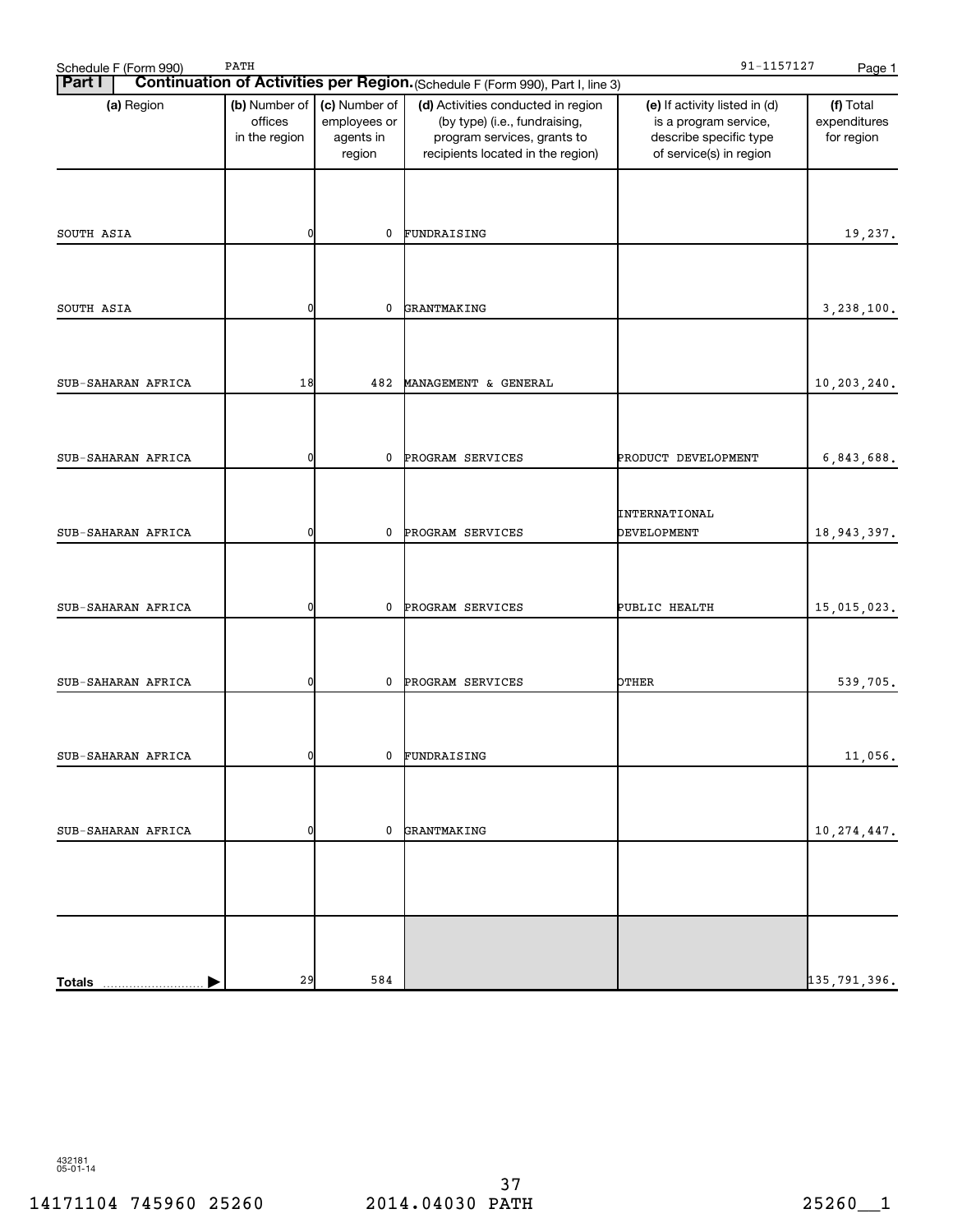| PATH<br>91-1157127<br>Schedule F (Form 990)<br>Page 1<br>Continuation of Activities per Region. (Schedule F (Form 990), Part I, line 3) |                                           |                                                      |                                                                                                                                         |                                                                                                             |                                         |  |  |  |  |  |  |  |
|-----------------------------------------------------------------------------------------------------------------------------------------|-------------------------------------------|------------------------------------------------------|-----------------------------------------------------------------------------------------------------------------------------------------|-------------------------------------------------------------------------------------------------------------|-----------------------------------------|--|--|--|--|--|--|--|
| <b>Part I</b>                                                                                                                           |                                           |                                                      |                                                                                                                                         |                                                                                                             |                                         |  |  |  |  |  |  |  |
| (a) Region                                                                                                                              | (b) Number of<br>offices<br>in the region | (c) Number of<br>employees or<br>agents in<br>region | (d) Activities conducted in region<br>(by type) (i.e., fundraising,<br>program services, grants to<br>recipients located in the region) | (e) If activity listed in (d)<br>is a program service,<br>describe specific type<br>of service(s) in region | (f) Total<br>expenditures<br>for region |  |  |  |  |  |  |  |
| SOUTH ASIA                                                                                                                              | $\Omega$                                  | $\mathbf 0$                                          | FUNDRAISING                                                                                                                             |                                                                                                             | 19,237.                                 |  |  |  |  |  |  |  |
|                                                                                                                                         |                                           |                                                      |                                                                                                                                         |                                                                                                             |                                         |  |  |  |  |  |  |  |
| SOUTH ASIA                                                                                                                              | $\Omega$                                  | $\mathbf 0$                                          | GRANTMAKING                                                                                                                             |                                                                                                             | 3,238,100.                              |  |  |  |  |  |  |  |
| SUB-SAHARAN AFRICA                                                                                                                      | 18                                        | 482                                                  | MANAGEMENT & GENERAL                                                                                                                    |                                                                                                             | 10,203,240.                             |  |  |  |  |  |  |  |
| SUB-SAHARAN AFRICA                                                                                                                      | $\Omega$                                  | $\mathbf 0$                                          | PROGRAM SERVICES                                                                                                                        | PRODUCT DEVELOPMENT                                                                                         | 6,843,688.                              |  |  |  |  |  |  |  |
| SUB-SAHARAN AFRICA                                                                                                                      | $\Omega$                                  | $\mathbf 0$                                          | PROGRAM SERVICES                                                                                                                        | INTERNATIONAL<br>DEVELOPMENT                                                                                | 18, 943, 397.                           |  |  |  |  |  |  |  |
| SUB-SAHARAN AFRICA                                                                                                                      | 0                                         | 0                                                    | PROGRAM SERVICES                                                                                                                        | PUBLIC HEALTH                                                                                               | 15,015,023.                             |  |  |  |  |  |  |  |
|                                                                                                                                         |                                           |                                                      |                                                                                                                                         |                                                                                                             |                                         |  |  |  |  |  |  |  |
| SUB-SAHARAN AFRICA                                                                                                                      | $\Omega$                                  | 0                                                    | PROGRAM SERVICES                                                                                                                        | OTHER                                                                                                       | 539,705.                                |  |  |  |  |  |  |  |
| SUB-SAHARAN AFRICA                                                                                                                      | U                                         | 0                                                    | FUNDRAISING                                                                                                                             |                                                                                                             | 11,056.                                 |  |  |  |  |  |  |  |
| SUB-SAHARAN AFRICA                                                                                                                      | 0                                         |                                                      | 0 GRANTMAKING                                                                                                                           |                                                                                                             | 10, 274, 447.                           |  |  |  |  |  |  |  |
|                                                                                                                                         |                                           |                                                      |                                                                                                                                         |                                                                                                             |                                         |  |  |  |  |  |  |  |
|                                                                                                                                         |                                           |                                                      |                                                                                                                                         |                                                                                                             |                                         |  |  |  |  |  |  |  |
| <b>Totals</b>                                                                                                                           | 29                                        | 584                                                  |                                                                                                                                         |                                                                                                             | 135, 791, 396.                          |  |  |  |  |  |  |  |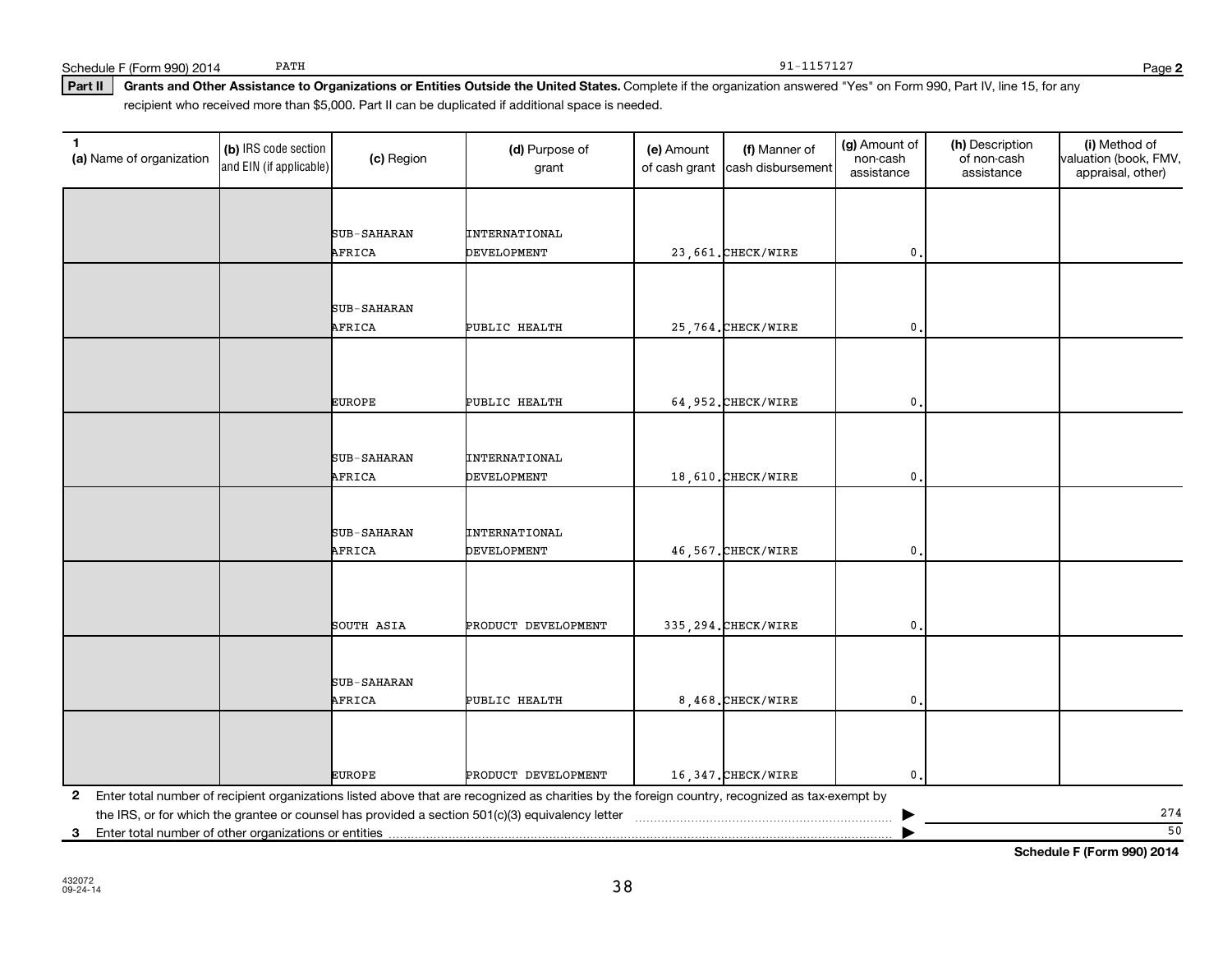**2**

Part II | Grants and Other Assistance to Organizations or Entities Outside the United States. Complete if the organization answered "Yes" on Form 990, Part IV, line 15, for any recipient who received more than \$5,000. Part II can be duplicated if additional space is needed.

| $\mathbf{1}$<br>(a) Name of organization                   | (b) IRS code section<br>and EIN (if applicable) | (c) Region            | (d) Purpose of<br>grant                                                                                                                                                | (e) Amount<br>of cash grant | (f) Manner of<br>cash disbursement | (g) Amount of<br>non-cash<br>assistance | (h) Description<br>of non-cash<br>assistance | (i) Method of<br>valuation (book, FMV,<br>appraisal, other) |
|------------------------------------------------------------|-------------------------------------------------|-----------------------|------------------------------------------------------------------------------------------------------------------------------------------------------------------------|-----------------------------|------------------------------------|-----------------------------------------|----------------------------------------------|-------------------------------------------------------------|
|                                                            |                                                 |                       |                                                                                                                                                                        |                             |                                    |                                         |                                              |                                                             |
|                                                            |                                                 | SUB-SAHARAN           | INTERNATIONAL                                                                                                                                                          |                             |                                    |                                         |                                              |                                                             |
|                                                            |                                                 | AFRICA                | <b>DEVELOPMENT</b>                                                                                                                                                     |                             | 23,661. CHECK/WIRE                 | 0                                       |                                              |                                                             |
|                                                            |                                                 |                       |                                                                                                                                                                        |                             |                                    |                                         |                                              |                                                             |
|                                                            |                                                 | SUB-SAHARAN           |                                                                                                                                                                        |                             |                                    |                                         |                                              |                                                             |
|                                                            |                                                 | AFRICA                | PUBLIC HEALTH                                                                                                                                                          |                             | 25,764. CHECK/WIRE                 | $\mathbf{0}$                            |                                              |                                                             |
|                                                            |                                                 |                       |                                                                                                                                                                        |                             |                                    |                                         |                                              |                                                             |
|                                                            |                                                 |                       |                                                                                                                                                                        |                             |                                    |                                         |                                              |                                                             |
|                                                            |                                                 |                       |                                                                                                                                                                        |                             |                                    |                                         |                                              |                                                             |
|                                                            |                                                 | <b>EUROPE</b>         | PUBLIC HEALTH                                                                                                                                                          |                             | 64,952. CHECK/WIRE                 | $\mathbf{0}$                            |                                              |                                                             |
|                                                            |                                                 |                       |                                                                                                                                                                        |                             |                                    |                                         |                                              |                                                             |
|                                                            |                                                 | SUB-SAHARAN           | INTERNATIONAL                                                                                                                                                          |                             |                                    |                                         |                                              |                                                             |
|                                                            |                                                 | AFRICA                | <b>DEVELOPMENT</b>                                                                                                                                                     |                             | 18,610. CHECK/WIRE                 | $\mathbf{0}$                            |                                              |                                                             |
|                                                            |                                                 |                       |                                                                                                                                                                        |                             |                                    |                                         |                                              |                                                             |
|                                                            |                                                 |                       |                                                                                                                                                                        |                             |                                    |                                         |                                              |                                                             |
|                                                            |                                                 | SUB-SAHARAN<br>AFRICA | INTERNATIONAL<br><b>DEVELOPMENT</b>                                                                                                                                    |                             | 46,567. CHECK/WIRE                 | $\mathbf{0}$                            |                                              |                                                             |
|                                                            |                                                 |                       |                                                                                                                                                                        |                             |                                    |                                         |                                              |                                                             |
|                                                            |                                                 |                       |                                                                                                                                                                        |                             |                                    |                                         |                                              |                                                             |
|                                                            |                                                 |                       |                                                                                                                                                                        |                             |                                    |                                         |                                              |                                                             |
|                                                            |                                                 | SOUTH ASIA            | PRODUCT DEVELOPMENT                                                                                                                                                    |                             | 335, 294. CHECK/WIRE               | $\mathbf{0}$                            |                                              |                                                             |
|                                                            |                                                 |                       |                                                                                                                                                                        |                             |                                    |                                         |                                              |                                                             |
|                                                            |                                                 | SUB-SAHARAN           |                                                                                                                                                                        |                             |                                    |                                         |                                              |                                                             |
|                                                            |                                                 | AFRICA                | PUBLIC HEALTH                                                                                                                                                          |                             | 8,468. CHECK/WIRE                  | $\mathbf{0}$                            |                                              |                                                             |
|                                                            |                                                 |                       |                                                                                                                                                                        |                             |                                    |                                         |                                              |                                                             |
|                                                            |                                                 |                       |                                                                                                                                                                        |                             |                                    |                                         |                                              |                                                             |
|                                                            |                                                 |                       |                                                                                                                                                                        |                             |                                    |                                         |                                              |                                                             |
|                                                            |                                                 | <b>EUROPE</b>         | PRODUCT DEVELOPMENT<br>Enter total number of recipient organizations listed above that are recognized as charities by the foreign country, recognized as tax-exempt by |                             | 16, 347. CHECK/WIRE                | $\mathbf{0}$                            |                                              |                                                             |
| $\mathbf{2}$                                               |                                                 |                       | the IRS, or for which the grantee or counsel has provided a section 501(c)(3) equivalency letter                                                                       |                             |                                    |                                         |                                              | 274                                                         |
| Enter total number of other organizations or entities<br>3 |                                                 |                       |                                                                                                                                                                        |                             |                                    |                                         |                                              | 50                                                          |

**Schedule F (Form 990) 2014**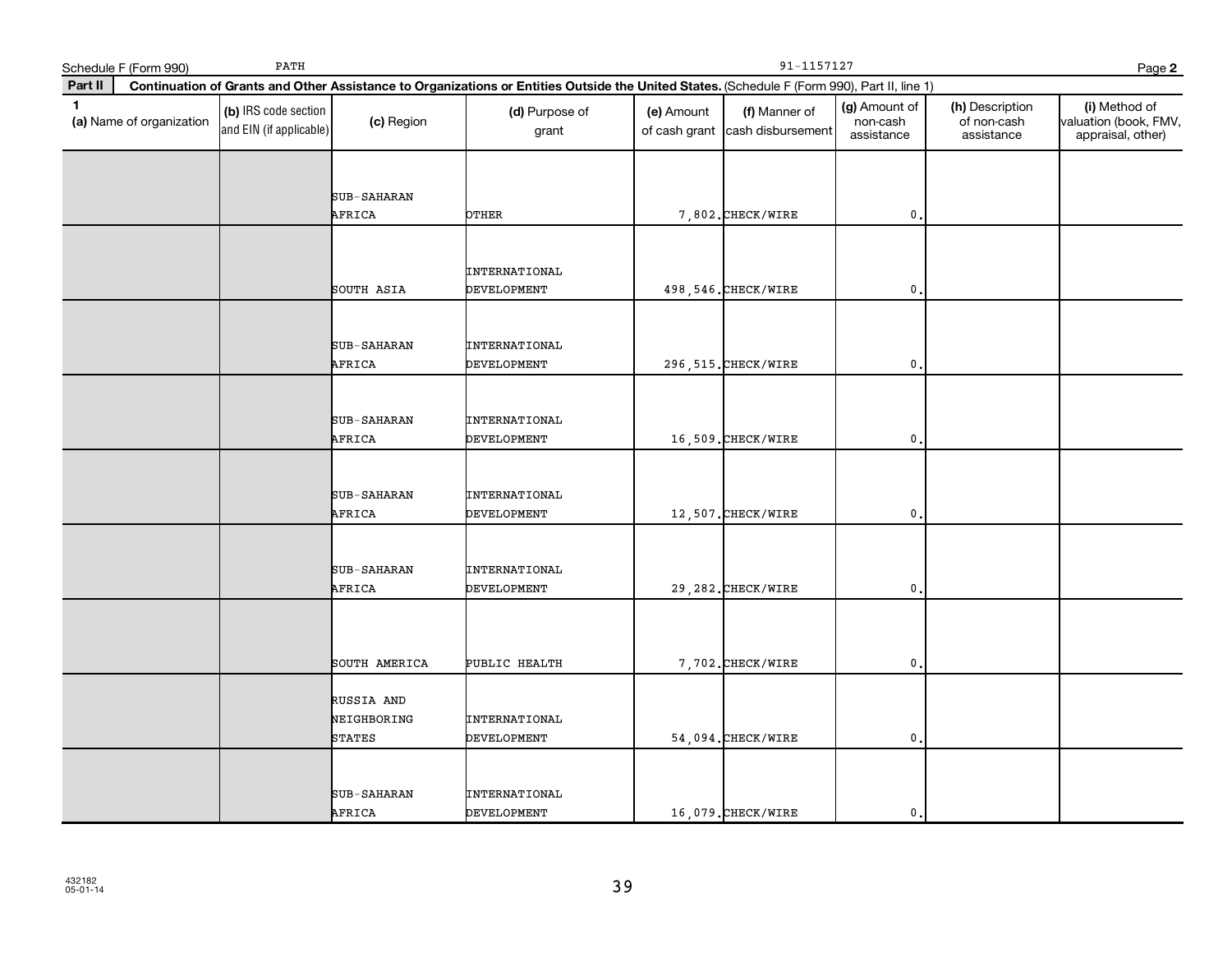|              | Schedule F (Form 990)    | PATH                                            |                                            |                                                                                                                                              | 91-1157127<br>Page 2 |                                                  |                                         |                                              |                                                             |  |
|--------------|--------------------------|-------------------------------------------------|--------------------------------------------|----------------------------------------------------------------------------------------------------------------------------------------------|----------------------|--------------------------------------------------|-----------------------------------------|----------------------------------------------|-------------------------------------------------------------|--|
| Part II      |                          |                                                 |                                            | Continuation of Grants and Other Assistance to Organizations or Entities Outside the United States. (Schedule F (Form 990), Part II, line 1) |                      |                                                  |                                         |                                              |                                                             |  |
| $\mathbf{1}$ | (a) Name of organization | (b) IRS code section<br>and EIN (if applicable) | (c) Region                                 | (d) Purpose of<br>grant                                                                                                                      | (e) Amount           | (f) Manner of<br>of cash grant cash disbursement | (g) Amount of<br>non-cash<br>assistance | (h) Description<br>of non-cash<br>assistance | (i) Method of<br>valuation (book, FMV,<br>appraisal, other) |  |
|              |                          |                                                 | <b>SUB-SAHARAN</b><br>AFRICA               | <b>OTHER</b>                                                                                                                                 |                      | 7,802. CHECK/WIRE                                | $\mathbf 0$ .                           |                                              |                                                             |  |
|              |                          |                                                 | SOUTH ASIA                                 | INTERNATIONAL<br><b>DEVELOPMENT</b>                                                                                                          |                      | 498, 546. CHECK/WIRE                             | $\mathfrak{o}$ .                        |                                              |                                                             |  |
|              |                          |                                                 | SUB-SAHARAN<br>AFRICA                      | INTERNATIONAL<br>DEVELOPMENT                                                                                                                 |                      | 296, 515. CHECK/WIRE                             | $\mathbf 0$ .                           |                                              |                                                             |  |
|              |                          |                                                 | <b>SUB-SAHARAN</b><br>AFRICA               | <b>INTERNATIONAL</b><br><b>DEVELOPMENT</b>                                                                                                   |                      | 16,509. CHECK/WIRE                               | $\mathbf{0}$ .                          |                                              |                                                             |  |
|              |                          |                                                 | <b>SUB-SAHARAN</b><br>AFRICA               | INTERNATIONAL<br><b>DEVELOPMENT</b>                                                                                                          |                      | 12,507. CHECK/WIRE                               | $\mathbf{0}$                            |                                              |                                                             |  |
|              |                          |                                                 | <b>SUB-SAHARAN</b><br>AFRICA               | INTERNATIONAL<br><b>DEVELOPMENT</b>                                                                                                          |                      | 29, 282. CHECK/WIRE                              | $\mathbf{0}$ .                          |                                              |                                                             |  |
|              |                          |                                                 | SOUTH AMERICA                              | PUBLIC HEALTH                                                                                                                                |                      | 7.702. CHECK/WIRE                                | 0.                                      |                                              |                                                             |  |
|              |                          |                                                 | RUSSIA AND<br>NEIGHBORING<br><b>STATES</b> | INTERNATIONAL<br>DEVELOPMENT                                                                                                                 |                      | 54,094. CHECK/WIRE                               | $\mathbf{0}$ .                          |                                              |                                                             |  |
|              |                          |                                                 | SUB-SAHARAN<br>AFRICA                      | <b>INTERNATIONAL</b><br><b>DEVELOPMENT</b>                                                                                                   |                      | 16,079. CHECK/WIRE                               | 0.                                      |                                              |                                                             |  |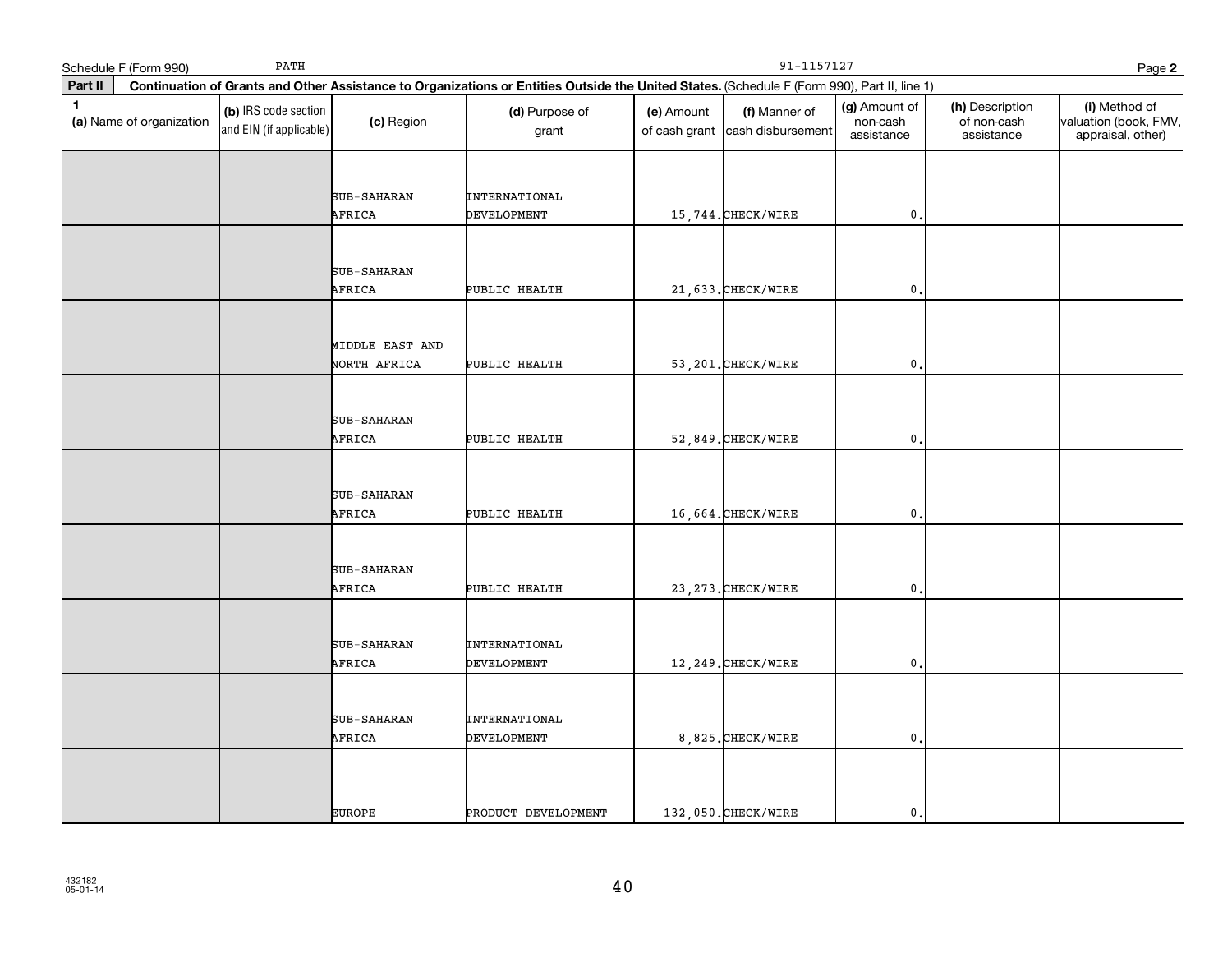|         | Schedule F (Form 990)    | PATH                                            |                                 |                                                                                                                                              | 91-1157127 |                                                  |                                         |                                              |                                                             |  |  |
|---------|--------------------------|-------------------------------------------------|---------------------------------|----------------------------------------------------------------------------------------------------------------------------------------------|------------|--------------------------------------------------|-----------------------------------------|----------------------------------------------|-------------------------------------------------------------|--|--|
| Part II |                          |                                                 |                                 | Continuation of Grants and Other Assistance to Organizations or Entities Outside the United States. (Schedule F (Form 990), Part II, line 1) |            |                                                  |                                         |                                              | Page 2                                                      |  |  |
| 1       | (a) Name of organization | (b) IRS code section<br>and EIN (if applicable) | (c) Region                      | (d) Purpose of<br>grant                                                                                                                      | (e) Amount | (f) Manner of<br>of cash grant cash disbursement | (g) Amount of<br>non-cash<br>assistance | (h) Description<br>of non-cash<br>assistance | (i) Method of<br>valuation (book, FMV,<br>appraisal, other) |  |  |
|         |                          |                                                 | SUB-SAHARAN<br>AFRICA           | <b>INTERNATIONAL</b><br>DEVELOPMENT                                                                                                          |            | 15,744. CHECK/WIRE                               | $\pmb{0}$                               |                                              |                                                             |  |  |
|         |                          |                                                 | <b>SUB-SAHARAN</b><br>AFRICA    | PUBLIC HEALTH                                                                                                                                |            | 21,633. CHECK/WIRE                               | $\mathfrak{o}$ .                        |                                              |                                                             |  |  |
|         |                          |                                                 | MIDDLE EAST AND<br>NORTH AFRICA | PUBLIC HEALTH                                                                                                                                |            | 53, 201. CHECK/WIRE                              | $\mathbf 0$                             |                                              |                                                             |  |  |
|         |                          |                                                 | SUB-SAHARAN<br>AFRICA           | PUBLIC HEALTH                                                                                                                                |            | 52,849. CHECK/WIRE                               | $\mathfrak o$ .                         |                                              |                                                             |  |  |
|         |                          |                                                 | SUB-SAHARAN<br>AFRICA           | PUBLIC HEALTH                                                                                                                                |            | 16,664. CHECK/WIRE                               | $\pmb{0}$                               |                                              |                                                             |  |  |
|         |                          |                                                 | <b>SUB-SAHARAN</b><br>AFRICA    | PUBLIC HEALTH                                                                                                                                |            | 23, 273. CHECK/WIRE                              | $\mathfrak{o}$ .                        |                                              |                                                             |  |  |
|         |                          |                                                 | SUB-SAHARAN<br>AFRICA           | <b>INTERNATIONAL</b><br><b>DEVELOPMENT</b>                                                                                                   |            | 12, 249. CHECK/WIRE                              | $\mathbf 0$ .                           |                                              |                                                             |  |  |
|         |                          |                                                 | <b>SUB-SAHARAN</b><br>AFRICA    | INTERNATIONAL<br>DEVELOPMENT                                                                                                                 |            | 8,825. CHECK/WIRE                                | $\mathbf 0$ .                           |                                              |                                                             |  |  |
|         |                          |                                                 | <b>EUROPE</b>                   | PRODUCT DEVELOPMENT                                                                                                                          |            | 132,050. CHECK/WIRE                              | $\mathfrak{o}$ .                        |                                              |                                                             |  |  |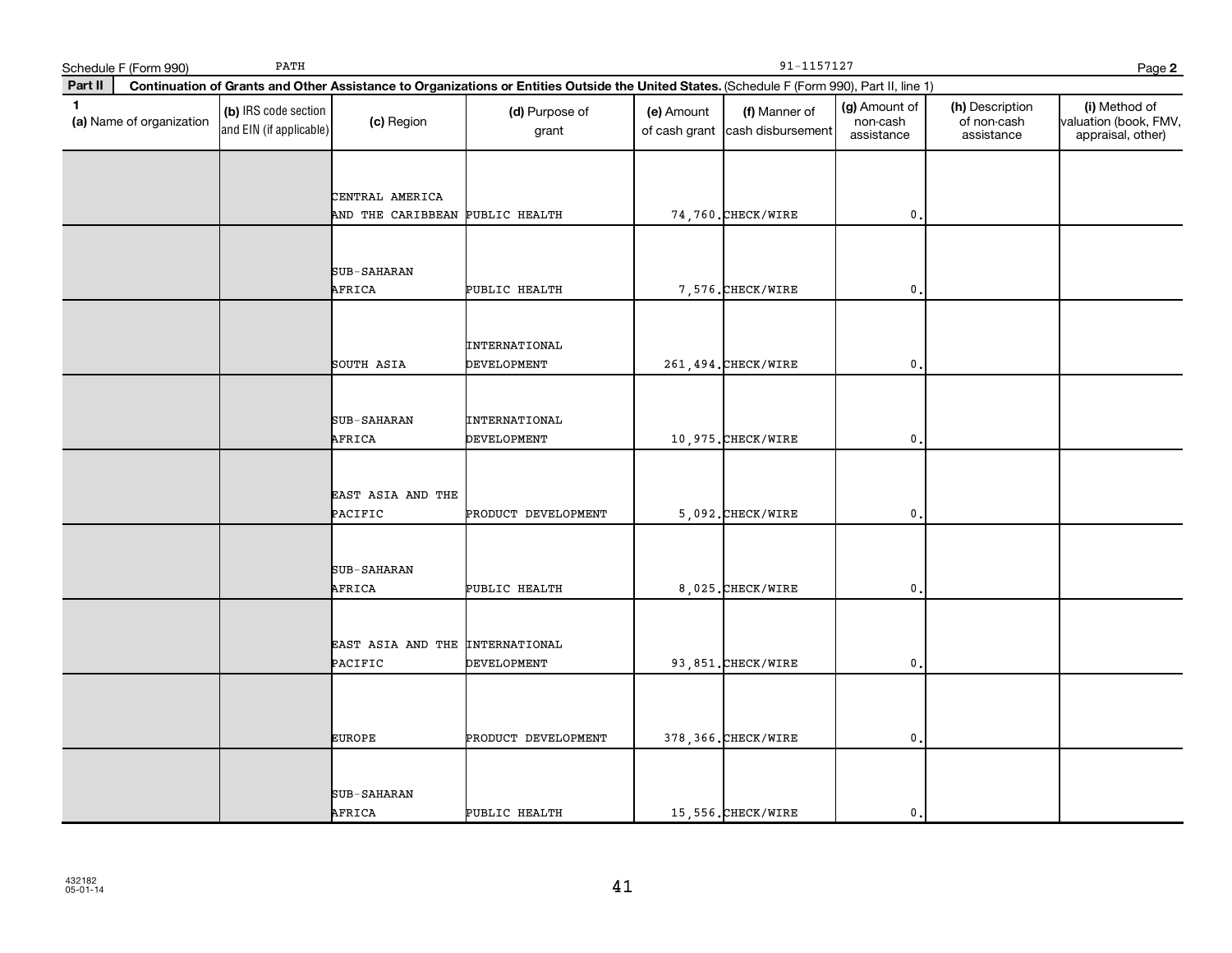|              | Schedule F (Form 990)    | PATH                                            |                                                    |                                                                                                                                              | 91-1157127<br>Page 2 |                                                  |                                         |                                              |                                                             |  |
|--------------|--------------------------|-------------------------------------------------|----------------------------------------------------|----------------------------------------------------------------------------------------------------------------------------------------------|----------------------|--------------------------------------------------|-----------------------------------------|----------------------------------------------|-------------------------------------------------------------|--|
| Part II      |                          |                                                 |                                                    | Continuation of Grants and Other Assistance to Organizations or Entities Outside the United States. (Schedule F (Form 990), Part II, line 1) |                      |                                                  |                                         |                                              |                                                             |  |
| $\mathbf{1}$ | (a) Name of organization | (b) IRS code section<br>and EIN (if applicable) | (c) Region                                         | (d) Purpose of<br>grant                                                                                                                      | (e) Amount           | (f) Manner of<br>of cash grant cash disbursement | (g) Amount of<br>non-cash<br>assistance | (h) Description<br>of non-cash<br>assistance | (i) Method of<br>valuation (book, FMV,<br>appraisal, other) |  |
|              |                          |                                                 | CENTRAL AMERICA<br>AND THE CARIBBEAN PUBLIC HEALTH |                                                                                                                                              |                      | 74,760. CHECK/WIRE                               | $\mathfrak o$ .                         |                                              |                                                             |  |
|              |                          |                                                 | SUB-SAHARAN<br>AFRICA                              | PUBLIC HEALTH                                                                                                                                |                      | 7,576. CHECK/WIRE                                | $\mathfrak{o}$ .                        |                                              |                                                             |  |
|              |                          |                                                 | SOUTH ASIA                                         | INTERNATIONAL<br>DEVELOPMENT                                                                                                                 |                      | 261, 494. CHECK/WIRE                             | $\mathbf 0$ .                           |                                              |                                                             |  |
|              |                          |                                                 | SUB-SAHARAN<br>AFRICA                              | <b>INTERNATIONAL</b><br><b>DEVELOPMENT</b>                                                                                                   |                      | 10,975. CHECK/WIRE                               | $\mathbf{0}$ .                          |                                              |                                                             |  |
|              |                          |                                                 | EAST ASIA AND THE<br>PACIFIC                       | PRODUCT DEVELOPMENT                                                                                                                          |                      | $5,092.$ CHECK/WIRE                              | $\mathbf{0}$                            |                                              |                                                             |  |
|              |                          |                                                 | SUB-SAHARAN<br>AFRICA                              | PUBLIC HEALTH                                                                                                                                |                      | 8,025. CHECK/WIRE                                | $\mathbf{0}$ .                          |                                              |                                                             |  |
|              |                          |                                                 | EAST ASIA AND THE INTERNATIONAL<br>PACIFIC         | <b>DEVELOPMENT</b>                                                                                                                           |                      | 93,851. CHECK/WIRE                               | $\mathbf 0$ .                           |                                              |                                                             |  |
|              |                          |                                                 | EUROPE                                             | PRODUCT DEVELOPMENT                                                                                                                          |                      | 378, 366. CHECK/WIRE                             | $\mathfrak{o}$ .                        |                                              |                                                             |  |
|              |                          |                                                 | SUB-SAHARAN<br>AFRICA                              | PUBLIC HEALTH                                                                                                                                |                      | 15,556. CHECK/WIRE                               | $\mathbf{0}$ .                          |                                              |                                                             |  |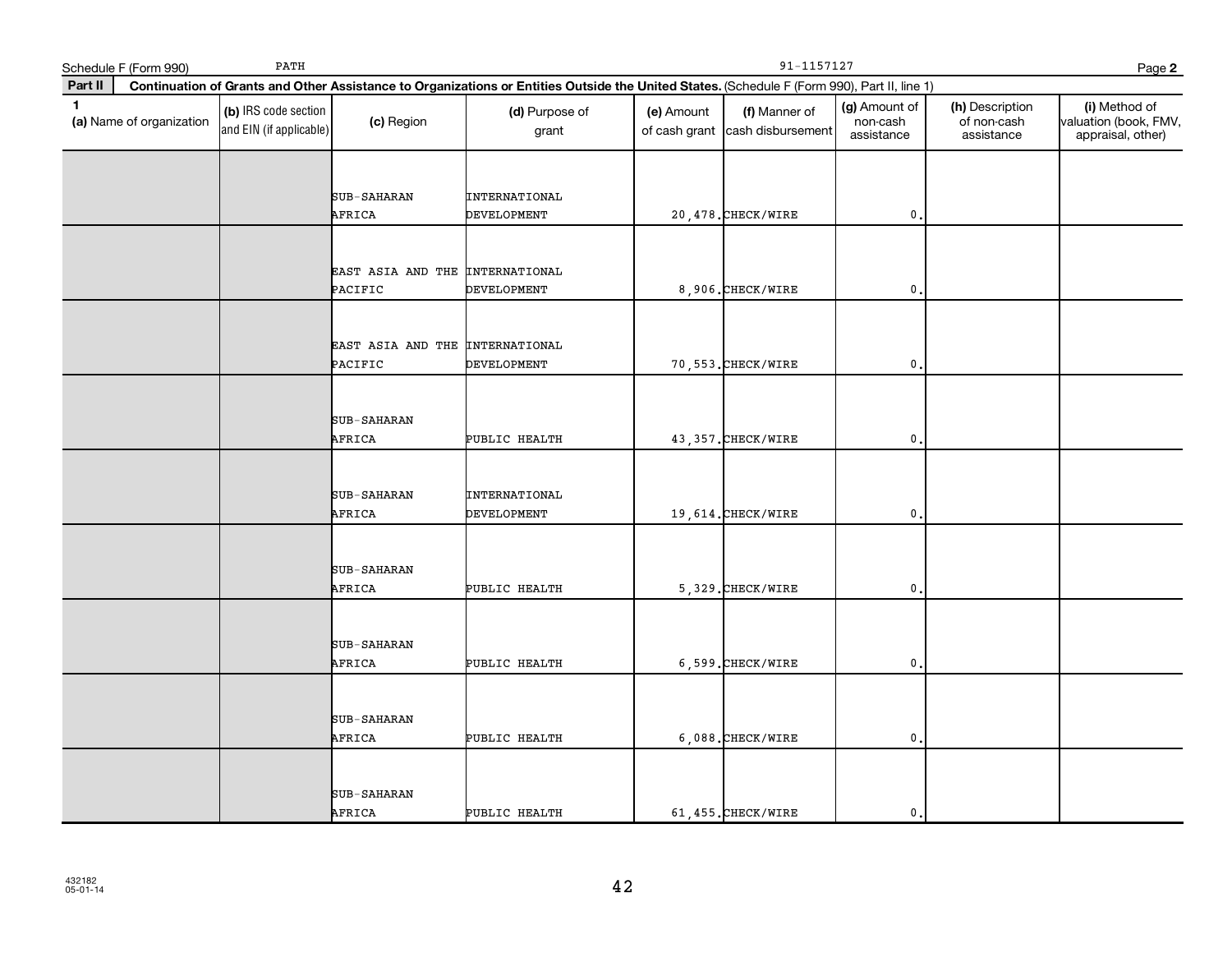|              | Schedule F (Form 990)    | PATH                                            |                                            |                                                                                                                                              | 91-1157127<br>Page 2 |                                                  |                                         |                                              |                                                             |  |
|--------------|--------------------------|-------------------------------------------------|--------------------------------------------|----------------------------------------------------------------------------------------------------------------------------------------------|----------------------|--------------------------------------------------|-----------------------------------------|----------------------------------------------|-------------------------------------------------------------|--|
| Part II      |                          |                                                 |                                            | Continuation of Grants and Other Assistance to Organizations or Entities Outside the United States. (Schedule F (Form 990), Part II, line 1) |                      |                                                  |                                         |                                              |                                                             |  |
| $\mathbf{1}$ | (a) Name of organization | (b) IRS code section<br>and EIN (if applicable) | (c) Region                                 | (d) Purpose of<br>grant                                                                                                                      | (e) Amount           | (f) Manner of<br>of cash grant cash disbursement | (g) Amount of<br>non-cash<br>assistance | (h) Description<br>of non-cash<br>assistance | (i) Method of<br>valuation (book, FMV,<br>appraisal, other) |  |
|              |                          |                                                 | <b>SUB-SAHARAN</b><br>AFRICA               | INTERNATIONAL<br><b>DEVELOPMENT</b>                                                                                                          |                      | 20,478. CHECK/WIRE                               | $\mathbf 0$ .                           |                                              |                                                             |  |
|              |                          |                                                 | EAST ASIA AND THE INTERNATIONAL<br>PACIFIC | <b>DEVELOPMENT</b>                                                                                                                           |                      | 8,906. CHECK/WIRE                                | $\mathfrak{o}$ .                        |                                              |                                                             |  |
|              |                          |                                                 | EAST ASIA AND THE INTERNATIONAL<br>PACIFIC | DEVELOPMENT                                                                                                                                  |                      | 70, 553. CHECK/WIRE                              | $\mathbf 0$ .                           |                                              |                                                             |  |
|              |                          |                                                 | <b>SUB-SAHARAN</b><br>AFRICA               | PUBLIC HEALTH                                                                                                                                |                      | 43,357. CHECK/WIRE                               | $\mathbf{0}$ .                          |                                              |                                                             |  |
|              |                          |                                                 | <b>SUB-SAHARAN</b><br>AFRICA               | INTERNATIONAL<br><b>DEVELOPMENT</b>                                                                                                          |                      | 19,614. CHECK/WIRE                               | $\mathbf{0}$                            |                                              |                                                             |  |
|              |                          |                                                 | <b>SUB-SAHARAN</b><br>AFRICA               | PUBLIC HEALTH                                                                                                                                |                      | 5,329. CHECK/WIRE                                | $\mathbf{0}$ .                          |                                              |                                                             |  |
|              |                          |                                                 | <b>SUB-SAHARAN</b><br>AFRICA               | PUBLIC HEALTH                                                                                                                                |                      | 6,599. CHECK/WIRE                                | $\mathfrak o$ .                         |                                              |                                                             |  |
|              |                          |                                                 | <b>SUB-SAHARAN</b><br>AFRICA               | PUBLIC HEALTH                                                                                                                                |                      | 6,088. CHECK/WIRE                                | $\mathbf{0}$ .                          |                                              |                                                             |  |
|              |                          |                                                 | SUB-SAHARAN<br>AFRICA                      | PUBLIC HEALTH                                                                                                                                |                      | 61,455. CHECK/WIRE                               | 0.                                      |                                              |                                                             |  |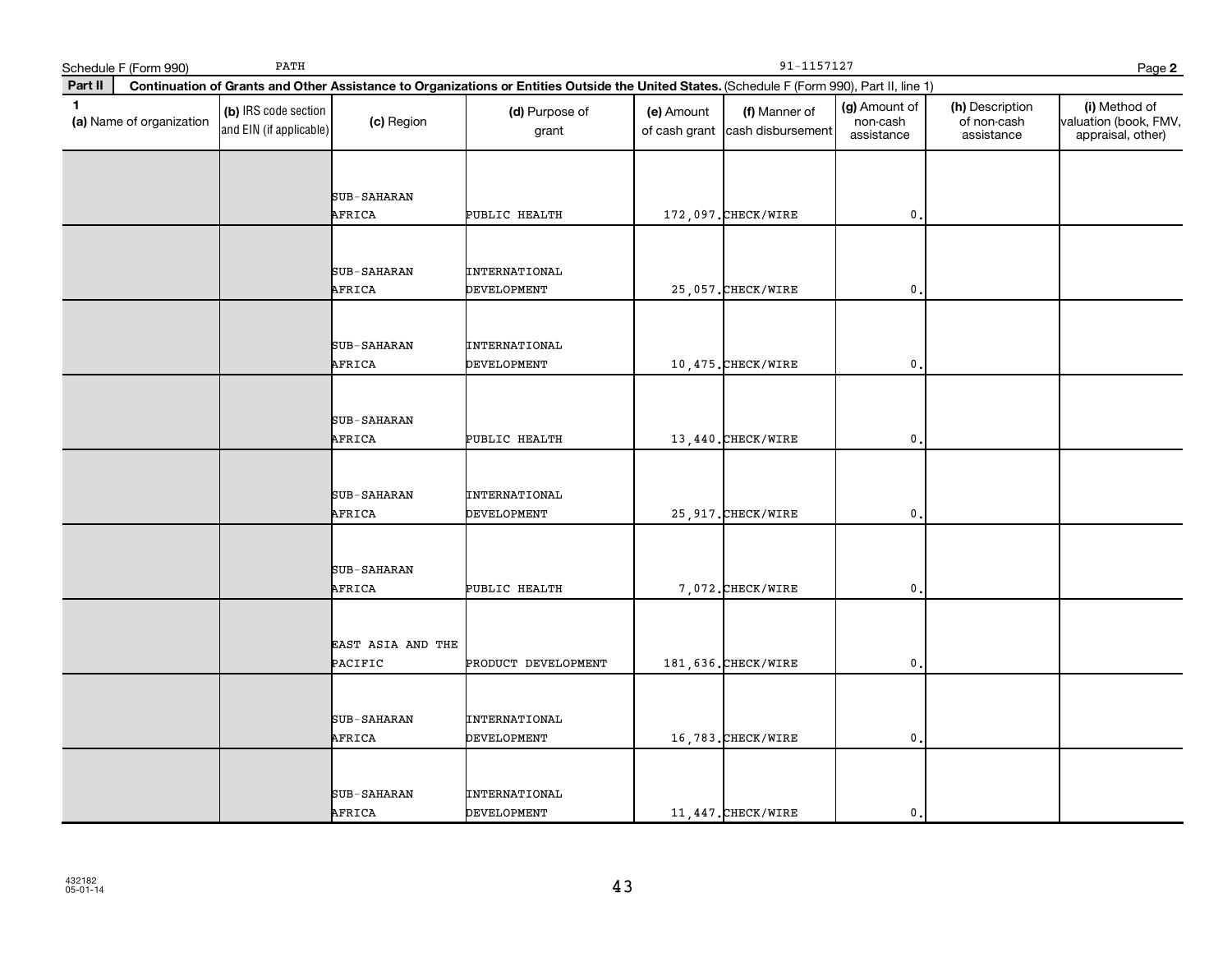|              | Schedule F (Form 990)    | PATH                                            |                    |                                                                                                                                              | 91-1157127<br>Page 2 |                                                  |                                         |                                              |                                                             |  |  |
|--------------|--------------------------|-------------------------------------------------|--------------------|----------------------------------------------------------------------------------------------------------------------------------------------|----------------------|--------------------------------------------------|-----------------------------------------|----------------------------------------------|-------------------------------------------------------------|--|--|
| Part II      |                          |                                                 |                    | Continuation of Grants and Other Assistance to Organizations or Entities Outside the United States. (Schedule F (Form 990), Part II, line 1) |                      |                                                  |                                         |                                              |                                                             |  |  |
| $\mathbf{1}$ | (a) Name of organization | (b) IRS code section<br>and EIN (if applicable) | (c) Region         | (d) Purpose of<br>grant                                                                                                                      | (e) Amount           | (f) Manner of<br>of cash grant cash disbursement | (g) Amount of<br>non-cash<br>assistance | (h) Description<br>of non-cash<br>assistance | (i) Method of<br>valuation (book, FMV,<br>appraisal, other) |  |  |
|              |                          |                                                 |                    |                                                                                                                                              |                      |                                                  |                                         |                                              |                                                             |  |  |
|              |                          |                                                 | SUB-SAHARAN        |                                                                                                                                              |                      |                                                  |                                         |                                              |                                                             |  |  |
|              |                          |                                                 | AFRICA             | PUBLIC HEALTH                                                                                                                                |                      | 172,097. CHECK/WIRE                              | 0.                                      |                                              |                                                             |  |  |
|              |                          |                                                 |                    |                                                                                                                                              |                      |                                                  |                                         |                                              |                                                             |  |  |
|              |                          |                                                 | SUB-SAHARAN        | INTERNATIONAL                                                                                                                                |                      |                                                  |                                         |                                              |                                                             |  |  |
|              |                          |                                                 | AFRICA             | <b>DEVELOPMENT</b>                                                                                                                           |                      | 25,057. CHECK/WIRE                               | $\mathfrak{o}$ .                        |                                              |                                                             |  |  |
|              |                          |                                                 |                    |                                                                                                                                              |                      |                                                  |                                         |                                              |                                                             |  |  |
|              |                          |                                                 | SUB-SAHARAN        | INTERNATIONAL                                                                                                                                |                      |                                                  |                                         |                                              |                                                             |  |  |
|              |                          |                                                 | AFRICA             | DEVELOPMENT                                                                                                                                  |                      | 10,475. CHECK/WIRE                               | $\mathbf 0$ .                           |                                              |                                                             |  |  |
|              |                          |                                                 |                    |                                                                                                                                              |                      |                                                  |                                         |                                              |                                                             |  |  |
|              |                          |                                                 | <b>SUB-SAHARAN</b> |                                                                                                                                              |                      |                                                  |                                         |                                              |                                                             |  |  |
|              |                          |                                                 | AFRICA             | PUBLIC HEALTH                                                                                                                                |                      | 13,440. CHECK/WIRE                               | $\mathbf{0}$ .                          |                                              |                                                             |  |  |
|              |                          |                                                 |                    |                                                                                                                                              |                      |                                                  |                                         |                                              |                                                             |  |  |
|              |                          |                                                 | SUB-SAHARAN        | INTERNATIONAL                                                                                                                                |                      |                                                  |                                         |                                              |                                                             |  |  |
|              |                          |                                                 | AFRICA             | <b>DEVELOPMENT</b>                                                                                                                           |                      | 25, 917. CHECK/WIRE                              | $\mathbf{0}$                            |                                              |                                                             |  |  |
|              |                          |                                                 |                    |                                                                                                                                              |                      |                                                  |                                         |                                              |                                                             |  |  |
|              |                          |                                                 | <b>SUB-SAHARAN</b> |                                                                                                                                              |                      |                                                  |                                         |                                              |                                                             |  |  |
|              |                          |                                                 | AFRICA             | PUBLIC HEALTH                                                                                                                                |                      | 7,072. CHECK/WIRE                                | $\mathbf{0}$ .                          |                                              |                                                             |  |  |
|              |                          |                                                 |                    |                                                                                                                                              |                      |                                                  |                                         |                                              |                                                             |  |  |
|              |                          |                                                 | EAST ASIA AND THE  |                                                                                                                                              |                      |                                                  |                                         |                                              |                                                             |  |  |
|              |                          |                                                 | PACIFIC            | PRODUCT DEVELOPMENT                                                                                                                          |                      | 181,636. CHECK/WIRE                              | 0.                                      |                                              |                                                             |  |  |
|              |                          |                                                 |                    |                                                                                                                                              |                      |                                                  |                                         |                                              |                                                             |  |  |
|              |                          |                                                 | <b>SUB-SAHARAN</b> | INTERNATIONAL                                                                                                                                |                      |                                                  |                                         |                                              |                                                             |  |  |
|              |                          |                                                 | AFRICA             | DEVELOPMENT                                                                                                                                  |                      | 16,783. CHECK/WIRE                               | $\mathbf{0}$ .                          |                                              |                                                             |  |  |
|              |                          |                                                 |                    |                                                                                                                                              |                      |                                                  |                                         |                                              |                                                             |  |  |
|              |                          |                                                 | SUB-SAHARAN        | <b>INTERNATIONAL</b>                                                                                                                         |                      |                                                  |                                         |                                              |                                                             |  |  |
|              |                          |                                                 | AFRICA             | <b>DEVELOPMENT</b>                                                                                                                           |                      | 11,447. CHECK/WIRE                               | 0.                                      |                                              |                                                             |  |  |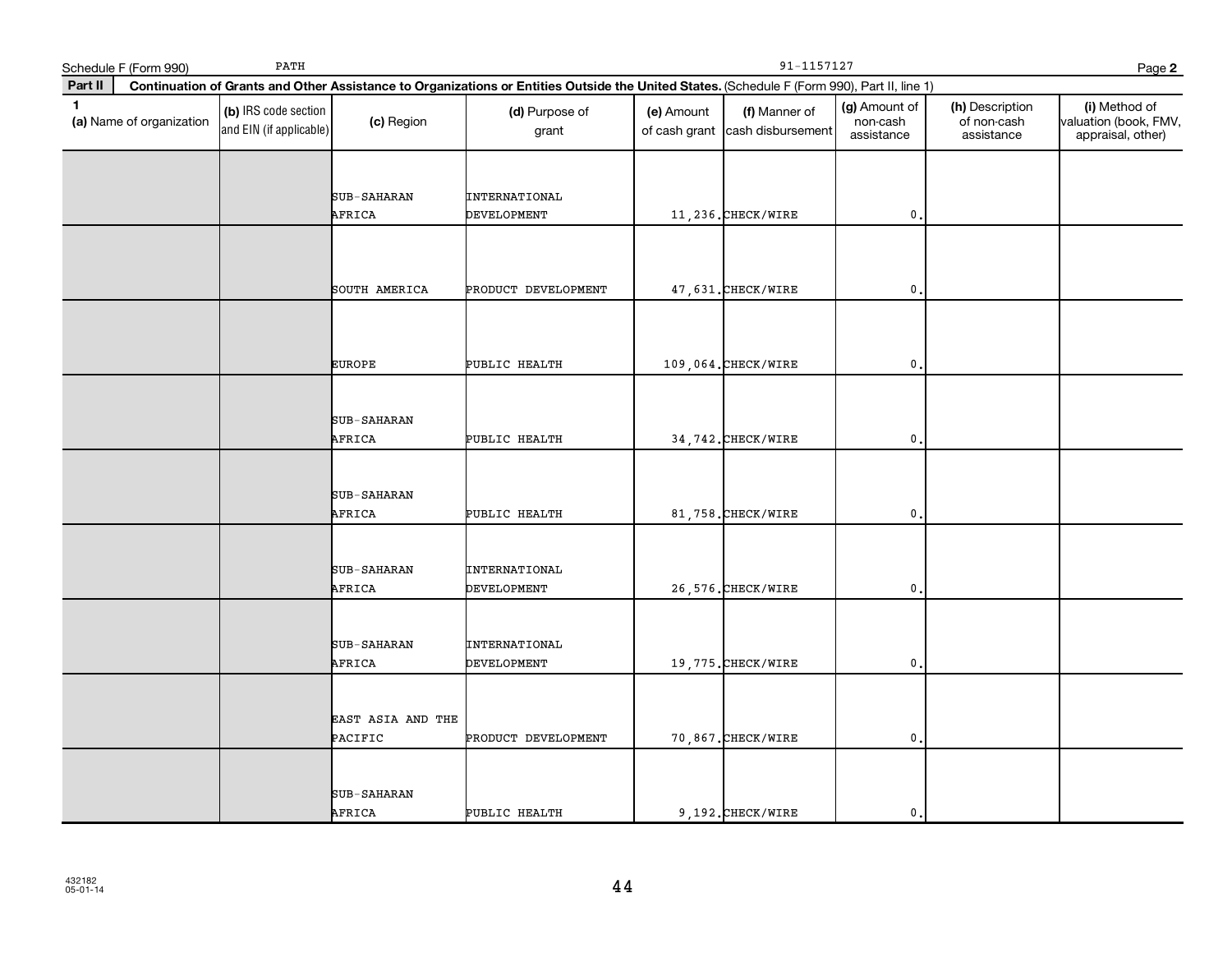|              | Schedule F (Form 990)    | PATH                                            |                              | 91-1157127<br>Page 2                                                                                                                         |            |                                                  |                                         |                                              |                                                             |  |  |
|--------------|--------------------------|-------------------------------------------------|------------------------------|----------------------------------------------------------------------------------------------------------------------------------------------|------------|--------------------------------------------------|-----------------------------------------|----------------------------------------------|-------------------------------------------------------------|--|--|
| Part II      |                          |                                                 |                              | Continuation of Grants and Other Assistance to Organizations or Entities Outside the United States. (Schedule F (Form 990), Part II, line 1) |            |                                                  |                                         |                                              |                                                             |  |  |
| $\mathbf{1}$ | (a) Name of organization | (b) IRS code section<br>and EIN (if applicable) | (c) Region                   | (d) Purpose of<br>grant                                                                                                                      | (e) Amount | (f) Manner of<br>of cash grant cash disbursement | (g) Amount of<br>non-cash<br>assistance | (h) Description<br>of non-cash<br>assistance | (i) Method of<br>valuation (book, FMV,<br>appraisal, other) |  |  |
|              |                          |                                                 | SUB-SAHARAN<br>AFRICA        | <b>INTERNATIONAL</b><br><b>DEVELOPMENT</b>                                                                                                   |            | 11,236. CHECK/WIRE                               | $\mathbf 0$ .                           |                                              |                                                             |  |  |
|              |                          |                                                 | SOUTH AMERICA                | PRODUCT DEVELOPMENT                                                                                                                          |            | 47,631. CHECK/WIRE                               | $\mathbf{0}$ .                          |                                              |                                                             |  |  |
|              |                          |                                                 | <b>EUROPE</b>                | PUBLIC HEALTH                                                                                                                                |            | 109,064. CHECK/WIRE                              | $\mathbf 0$ .                           |                                              |                                                             |  |  |
|              |                          |                                                 | SUB-SAHARAN<br>AFRICA        | PUBLIC HEALTH                                                                                                                                |            | 34, 742. CHECK/WIRE                              | $\mathfrak{o}$ .                        |                                              |                                                             |  |  |
|              |                          |                                                 | SUB-SAHARAN<br>AFRICA        | PUBLIC HEALTH                                                                                                                                |            | 81,758. CHECK/WIRE                               | $\mathbf{0}$                            |                                              |                                                             |  |  |
|              |                          |                                                 | SUB-SAHARAN<br>AFRICA        | INTERNATIONAL<br>DEVELOPMENT                                                                                                                 |            | 26,576. CHECK/WIRE                               | $\mathfrak{o}$ .                        |                                              |                                                             |  |  |
|              |                          |                                                 | SUB-SAHARAN<br>AFRICA        | <b>INTERNATIONAL</b><br><b>DEVELOPMENT</b>                                                                                                   |            | 19,775. CHECK/WIRE                               | $\mathbf{0}$ .                          |                                              |                                                             |  |  |
|              |                          |                                                 | EAST ASIA AND THE<br>PACIFIC | PRODUCT DEVELOPMENT                                                                                                                          |            | 70,867. CHECK/WIRE                               | $\mathfrak{o}$ .                        |                                              |                                                             |  |  |
|              |                          |                                                 | SUB-SAHARAN<br>AFRICA        | PUBLIC HEALTH                                                                                                                                |            | 9.192. CHECK/WIRE                                | $\mathbf{0}$ .                          |                                              |                                                             |  |  |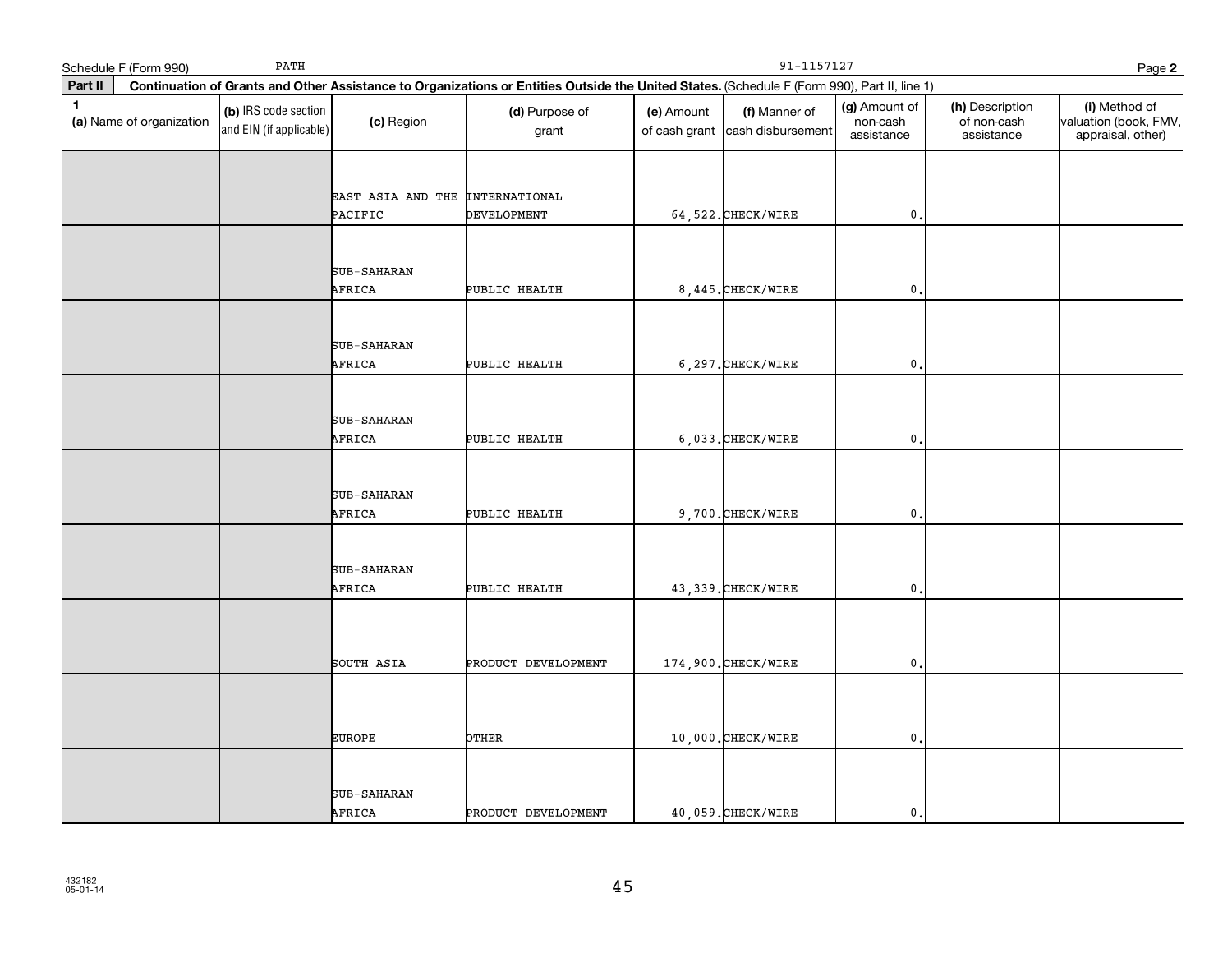|              | Schedule F (Form 990)    | PATH                                            |                                            |                                                                                                                                              | 91-1157127<br>Page 2 |                                                  |                                         |                                              |                                                             |  |  |
|--------------|--------------------------|-------------------------------------------------|--------------------------------------------|----------------------------------------------------------------------------------------------------------------------------------------------|----------------------|--------------------------------------------------|-----------------------------------------|----------------------------------------------|-------------------------------------------------------------|--|--|
| Part II      |                          |                                                 |                                            | Continuation of Grants and Other Assistance to Organizations or Entities Outside the United States. (Schedule F (Form 990), Part II, line 1) |                      |                                                  |                                         |                                              |                                                             |  |  |
| $\mathbf{1}$ | (a) Name of organization | (b) IRS code section<br>and EIN (if applicable) | (c) Region                                 | (d) Purpose of<br>grant                                                                                                                      | (e) Amount           | (f) Manner of<br>of cash grant cash disbursement | (g) Amount of<br>non-cash<br>assistance | (h) Description<br>of non-cash<br>assistance | (i) Method of<br>valuation (book, FMV,<br>appraisal, other) |  |  |
|              |                          |                                                 | EAST ASIA AND THE INTERNATIONAL<br>PACIFIC | <b>DEVELOPMENT</b>                                                                                                                           |                      | 64, 522. CHECK/WIRE                              | $\mathbf 0$ .                           |                                              |                                                             |  |  |
|              |                          |                                                 | SUB-SAHARAN<br>AFRICA                      | PUBLIC HEALTH                                                                                                                                |                      | 8,445. CHECK/WIRE                                | $\mathbf{0}$ .                          |                                              |                                                             |  |  |
|              |                          |                                                 | SUB-SAHARAN<br>AFRICA                      | PUBLIC HEALTH                                                                                                                                |                      | $6, 297.$ CHECK/WIRE                             | $\mathbf 0$ .                           |                                              |                                                             |  |  |
|              |                          |                                                 | SUB-SAHARAN<br>AFRICA                      | PUBLIC HEALTH                                                                                                                                |                      | $6,033.$ CHECK/WIRE                              | $\mathfrak{o}$ .                        |                                              |                                                             |  |  |
|              |                          |                                                 | SUB-SAHARAN<br>AFRICA                      | PUBLIC HEALTH                                                                                                                                |                      | 9,700. CHECK/WIRE                                | $\mathbf{0}$                            |                                              |                                                             |  |  |
|              |                          |                                                 | SUB-SAHARAN<br>AFRICA                      | PUBLIC HEALTH                                                                                                                                |                      | 43,339. CHECK/WIRE                               | $\mathbf{0}$ .                          |                                              |                                                             |  |  |
|              |                          |                                                 | SOUTH ASIA                                 | PRODUCT DEVELOPMENT                                                                                                                          |                      | 174,900. CHECK/WIRE                              | $\mathbf{0}$ .                          |                                              |                                                             |  |  |
|              |                          |                                                 | <b>EUROPE</b>                              | OTHER                                                                                                                                        |                      | 10,000. CHECK/WIRE                               | $\mathfrak{o}$ .                        |                                              |                                                             |  |  |
|              |                          |                                                 | SUB-SAHARAN<br>AFRICA                      | PRODUCT DEVELOPMENT                                                                                                                          |                      | 40,059. CHECK/WIRE                               | $\mathbf{0}$ .                          |                                              |                                                             |  |  |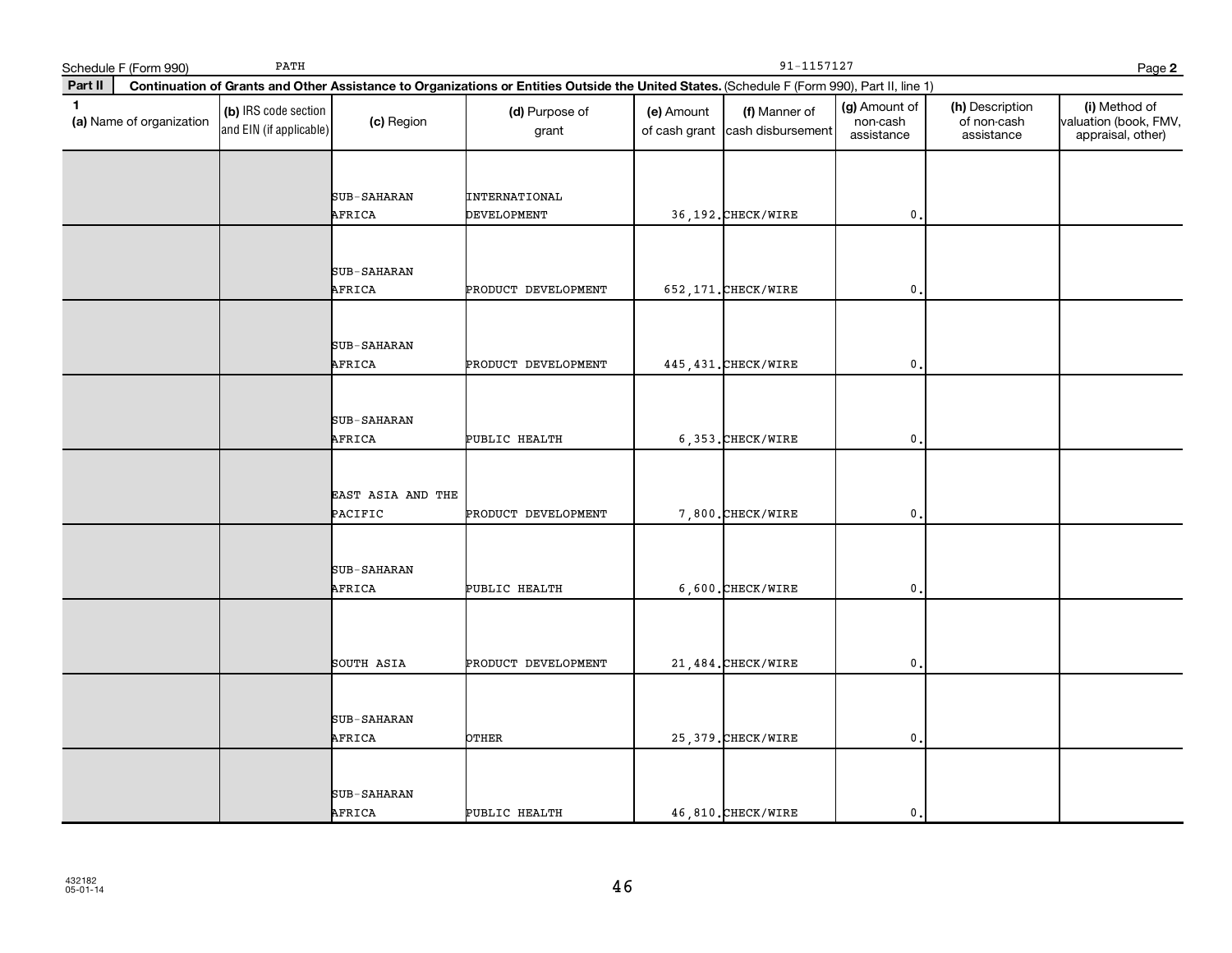|             | Schedule F (Form 990)    | PATH                                            |                              | 91-1157127<br>Page 2                                                                                                                         |            |                                                  |                                         |                                              |                                                             |  |  |
|-------------|--------------------------|-------------------------------------------------|------------------------------|----------------------------------------------------------------------------------------------------------------------------------------------|------------|--------------------------------------------------|-----------------------------------------|----------------------------------------------|-------------------------------------------------------------|--|--|
| Part II     |                          |                                                 |                              | Continuation of Grants and Other Assistance to Organizations or Entities Outside the United States. (Schedule F (Form 990), Part II, line 1) |            |                                                  |                                         |                                              |                                                             |  |  |
| $\mathbf 1$ | (a) Name of organization | (b) IRS code section<br>and EIN (if applicable) | (c) Region                   | (d) Purpose of<br>grant                                                                                                                      | (e) Amount | (f) Manner of<br>of cash grant cash disbursement | (g) Amount of<br>non-cash<br>assistance | (h) Description<br>of non-cash<br>assistance | (i) Method of<br>valuation (book, FMV,<br>appraisal, other) |  |  |
|             |                          |                                                 | SUB-SAHARAN<br>AFRICA        | <b>INTERNATIONAL</b><br>DEVELOPMENT                                                                                                          |            | 36,192. CHECK/WIRE                               | $\mathbf{0}$ .                          |                                              |                                                             |  |  |
|             |                          |                                                 | SUB-SAHARAN<br>AFRICA        | PRODUCT DEVELOPMENT                                                                                                                          |            | 652, 171. CHECK/WIRE                             | $\mathbf 0$ .                           |                                              |                                                             |  |  |
|             |                          |                                                 | SUB-SAHARAN<br>AFRICA        | PRODUCT DEVELOPMENT                                                                                                                          |            | 445, 431. CHECK/WIRE                             | $\mathfrak{o}$ .                        |                                              |                                                             |  |  |
|             |                          |                                                 | SUB-SAHARAN<br>AFRICA        | PUBLIC HEALTH                                                                                                                                |            | 6,353. CHECK/WIRE                                | $\mathbf{0}$ .                          |                                              |                                                             |  |  |
|             |                          |                                                 | EAST ASIA AND THE<br>PACIFIC | PRODUCT DEVELOPMENT                                                                                                                          |            | 7,800. CHECK/WIRE                                | $\mathfrak{o}$ .                        |                                              |                                                             |  |  |
|             |                          |                                                 | SUB-SAHARAN<br>AFRICA        | PUBLIC HEALTH                                                                                                                                |            | 6,600. CHECK/WIRE                                | $\mathbf{0}$                            |                                              |                                                             |  |  |
|             |                          |                                                 | SOUTH ASIA                   | PRODUCT DEVELOPMENT                                                                                                                          |            | 21,484. CHECK/WIRE                               | $\mathbf{0}$ .                          |                                              |                                                             |  |  |
|             |                          |                                                 | SUB-SAHARAN<br>AFRICA        | OTHER                                                                                                                                        |            | 25, 379. CHECK/WIRE                              | $\mathfrak{o}$ .                        |                                              |                                                             |  |  |
|             |                          |                                                 | SUB-SAHARAN<br>AFRICA        | PUBLIC HEALTH                                                                                                                                |            | 46,810. CHECK/WIRE                               | $\mathbf{0}$ .                          |                                              |                                                             |  |  |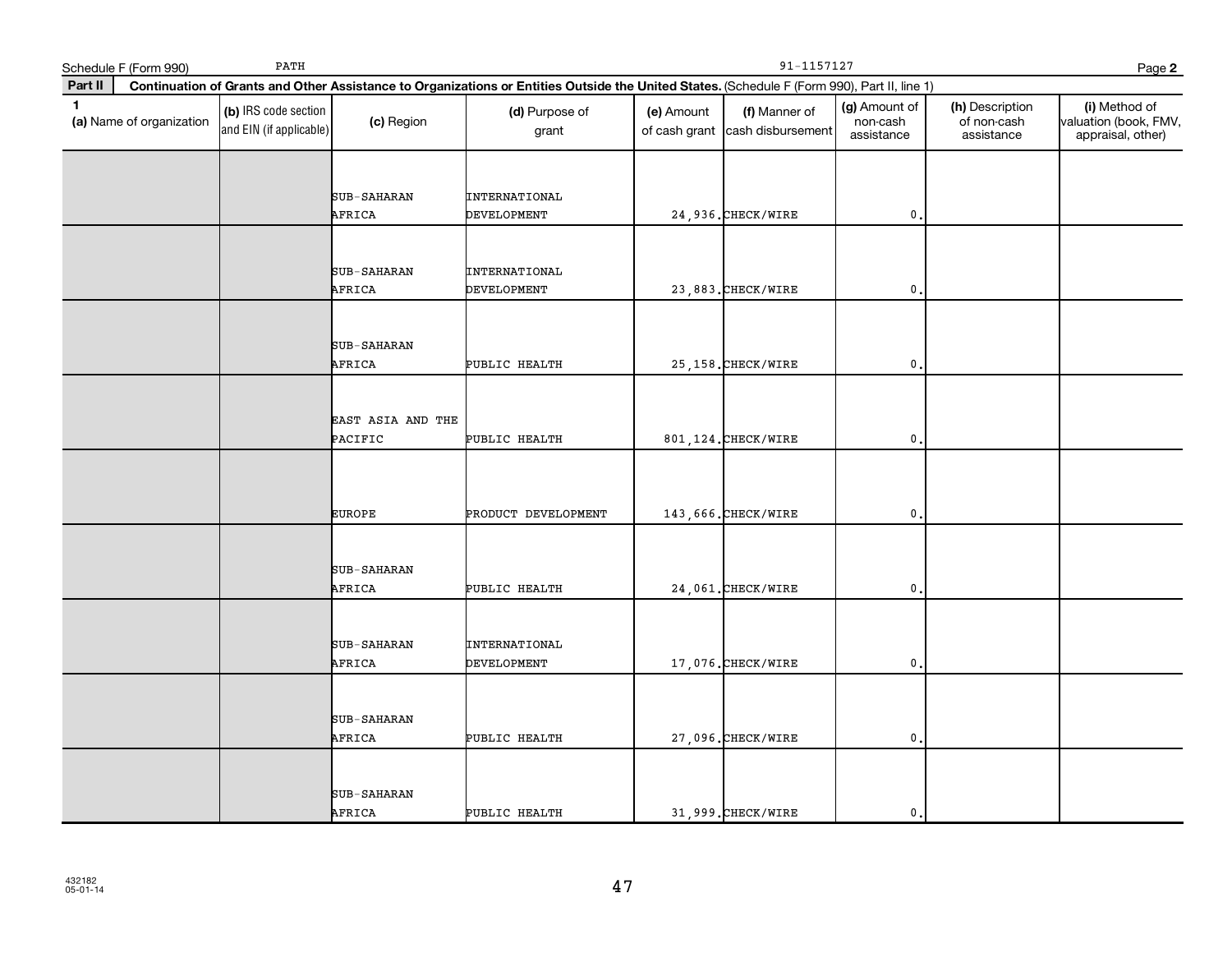|              | Schedule F (Form 990)    | PATH                                            |                              | 91-1157127<br>Page 2                                                                                                                         |            |                                                  |                                         |                                              |                                                             |  |  |
|--------------|--------------------------|-------------------------------------------------|------------------------------|----------------------------------------------------------------------------------------------------------------------------------------------|------------|--------------------------------------------------|-----------------------------------------|----------------------------------------------|-------------------------------------------------------------|--|--|
| Part II      |                          |                                                 |                              | Continuation of Grants and Other Assistance to Organizations or Entities Outside the United States. (Schedule F (Form 990), Part II, line 1) |            |                                                  |                                         |                                              |                                                             |  |  |
| $\mathbf{1}$ | (a) Name of organization | (b) IRS code section<br>and EIN (if applicable) | (c) Region                   | (d) Purpose of<br>grant                                                                                                                      | (e) Amount | (f) Manner of<br>of cash grant cash disbursement | (g) Amount of<br>non-cash<br>assistance | (h) Description<br>of non-cash<br>assistance | (i) Method of<br>valuation (book, FMV,<br>appraisal, other) |  |  |
|              |                          |                                                 | SUB-SAHARAN<br>AFRICA        | INTERNATIONAL<br>DEVELOPMENT                                                                                                                 |            | 24,936. CHECK/WIRE                               | $\mathfrak o$ .                         |                                              |                                                             |  |  |
|              |                          |                                                 | SUB-SAHARAN<br>AFRICA        | <b>INTERNATIONAL</b><br><b>DEVELOPMENT</b>                                                                                                   |            | 23,883. CHECK/WIRE                               | $\mathbf{0}$                            |                                              |                                                             |  |  |
|              |                          |                                                 | SUB-SAHARAN<br>AFRICA        | PUBLIC HEALTH                                                                                                                                |            | 25,158. CHECK/WIRE                               | $\mathbf{0}$                            |                                              |                                                             |  |  |
|              |                          |                                                 | EAST ASIA AND THE<br>PACIFIC | PUBLIC HEALTH                                                                                                                                |            | 801, 124. CHECK/WIRE                             | $\mathbf{0}$                            |                                              |                                                             |  |  |
|              |                          |                                                 | <b>EUROPE</b>                | PRODUCT DEVELOPMENT                                                                                                                          |            | 143,666. CHECK/WIRE                              | $\mathfrak o$ .                         |                                              |                                                             |  |  |
|              |                          |                                                 | SUB-SAHARAN<br>AFRICA        | PUBLIC HEALTH                                                                                                                                |            | 24,061. CHECK/WIRE                               | $\mathfrak o$ .                         |                                              |                                                             |  |  |
|              |                          |                                                 | SUB-SAHARAN<br>AFRICA        | INTERNATIONAL<br>DEVELOPMENT                                                                                                                 |            | 17,076. CHECK/WIRE                               | $\mathbf{0}$ .                          |                                              |                                                             |  |  |
|              |                          |                                                 | SUB-SAHARAN<br>AFRICA        | PUBLIC HEALTH                                                                                                                                |            | 27,096. CHECK/WIRE                               | $\mathfrak o$ .                         |                                              |                                                             |  |  |
|              |                          |                                                 | SUB-SAHARAN<br>AFRICA        | PUBLIC HEALTH                                                                                                                                |            | 31,999. CHECK/WIRE                               | $\mathbf{0}$ .                          |                                              |                                                             |  |  |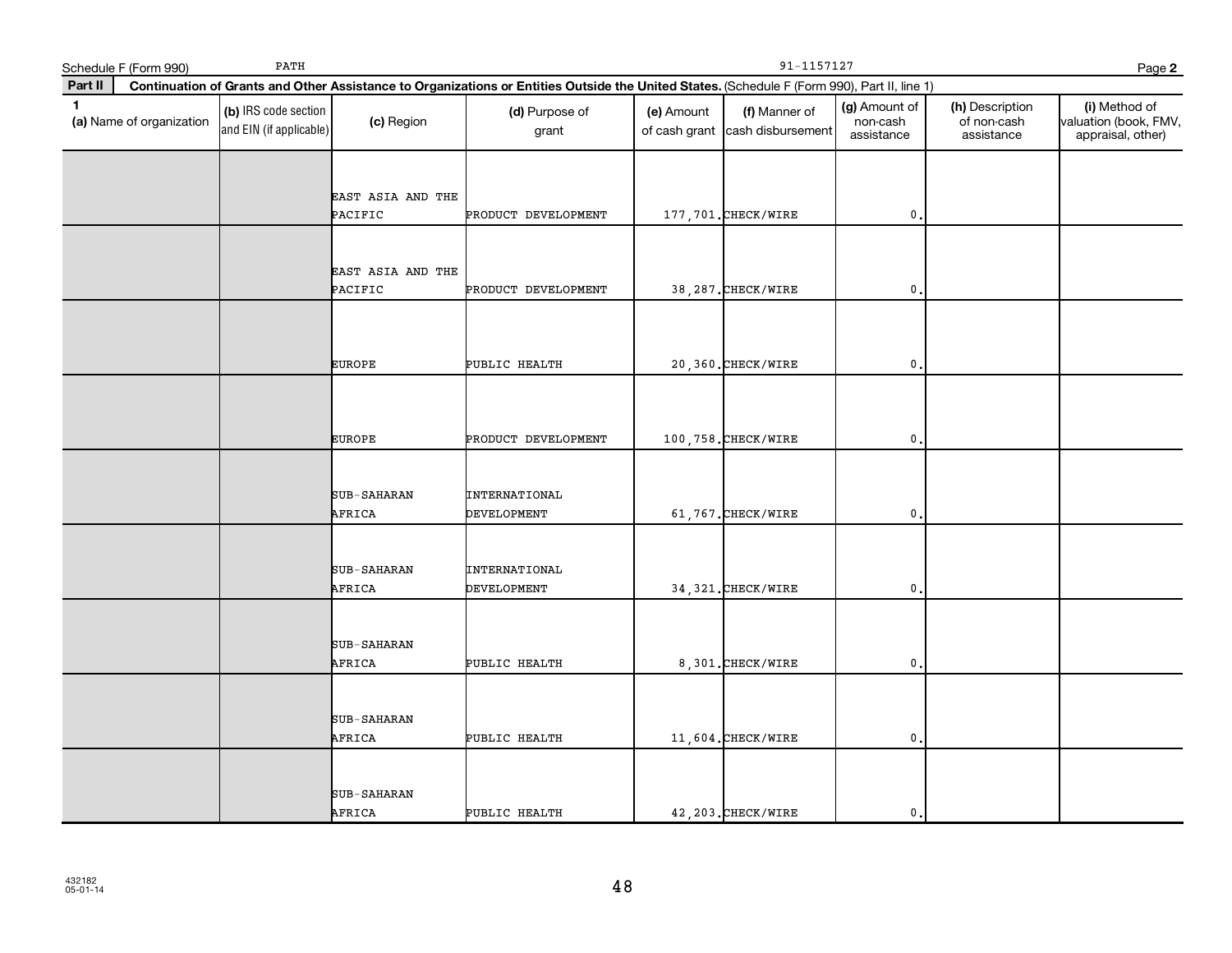|              | Schedule F (Form 990)    | PATH                                            |                              | 91-1157127<br>Page 2                                                                                                                         |            |                                                  |                                         |                                              |                                                             |  |
|--------------|--------------------------|-------------------------------------------------|------------------------------|----------------------------------------------------------------------------------------------------------------------------------------------|------------|--------------------------------------------------|-----------------------------------------|----------------------------------------------|-------------------------------------------------------------|--|
| Part II      |                          |                                                 |                              | Continuation of Grants and Other Assistance to Organizations or Entities Outside the United States. (Schedule F (Form 990), Part II, line 1) |            |                                                  |                                         |                                              |                                                             |  |
| $\mathbf{1}$ | (a) Name of organization | (b) IRS code section<br>and EIN (if applicable) | (c) Region                   | (d) Purpose of<br>grant                                                                                                                      | (e) Amount | (f) Manner of<br>of cash grant cash disbursement | (g) Amount of<br>non-cash<br>assistance | (h) Description<br>of non-cash<br>assistance | (i) Method of<br>valuation (book, FMV,<br>appraisal, other) |  |
|              |                          |                                                 | EAST ASIA AND THE<br>PACIFIC | PRODUCT DEVELOPMENT                                                                                                                          |            | 177, 701. CHECK/WIRE                             | $\mathbf 0$ .                           |                                              |                                                             |  |
|              |                          |                                                 | EAST ASIA AND THE<br>PACIFIC | PRODUCT DEVELOPMENT                                                                                                                          |            | 38, 287. CHECK/WIRE                              | $\mathfrak o$ .                         |                                              |                                                             |  |
|              |                          |                                                 | EUROPE                       | PUBLIC HEALTH                                                                                                                                |            | 20,360. CHECK/WIRE                               | $\mathbf{0}$                            |                                              |                                                             |  |
|              |                          |                                                 | <b>EUROPE</b>                | PRODUCT DEVELOPMENT                                                                                                                          |            | 100,758. CHECK/WIRE                              | $\mathbf{0}$ .                          |                                              |                                                             |  |
|              |                          |                                                 | SUB-SAHARAN<br>AFRICA        | <b>INTERNATIONAL</b><br>DEVELOPMENT                                                                                                          |            | 61,767. CHECK/WIRE                               | $\mathfrak o$ .                         |                                              |                                                             |  |
|              |                          |                                                 | SUB-SAHARAN<br>AFRICA        | INTERNATIONAL<br>DEVELOPMENT                                                                                                                 |            | 34, 321. CHECK/WIRE                              | $\mathbf{0}$ .                          |                                              |                                                             |  |
|              |                          |                                                 | SUB-SAHARAN<br>AFRICA        | PUBLIC HEALTH                                                                                                                                |            | 8,301.CHECK/WIRE                                 | $\mathfrak o$ .                         |                                              |                                                             |  |
|              |                          |                                                 | SUB-SAHARAN<br>AFRICA        | PUBLIC HEALTH                                                                                                                                |            | 11,604. CHECK/WIRE                               | $\mathfrak{o}$ .                        |                                              |                                                             |  |
|              |                          |                                                 | SUB-SAHARAN<br>AFRICA        | PUBLIC HEALTH                                                                                                                                |            | 42, 203. CHECK/WIRE                              | $\mathbf{0}$ .                          |                                              |                                                             |  |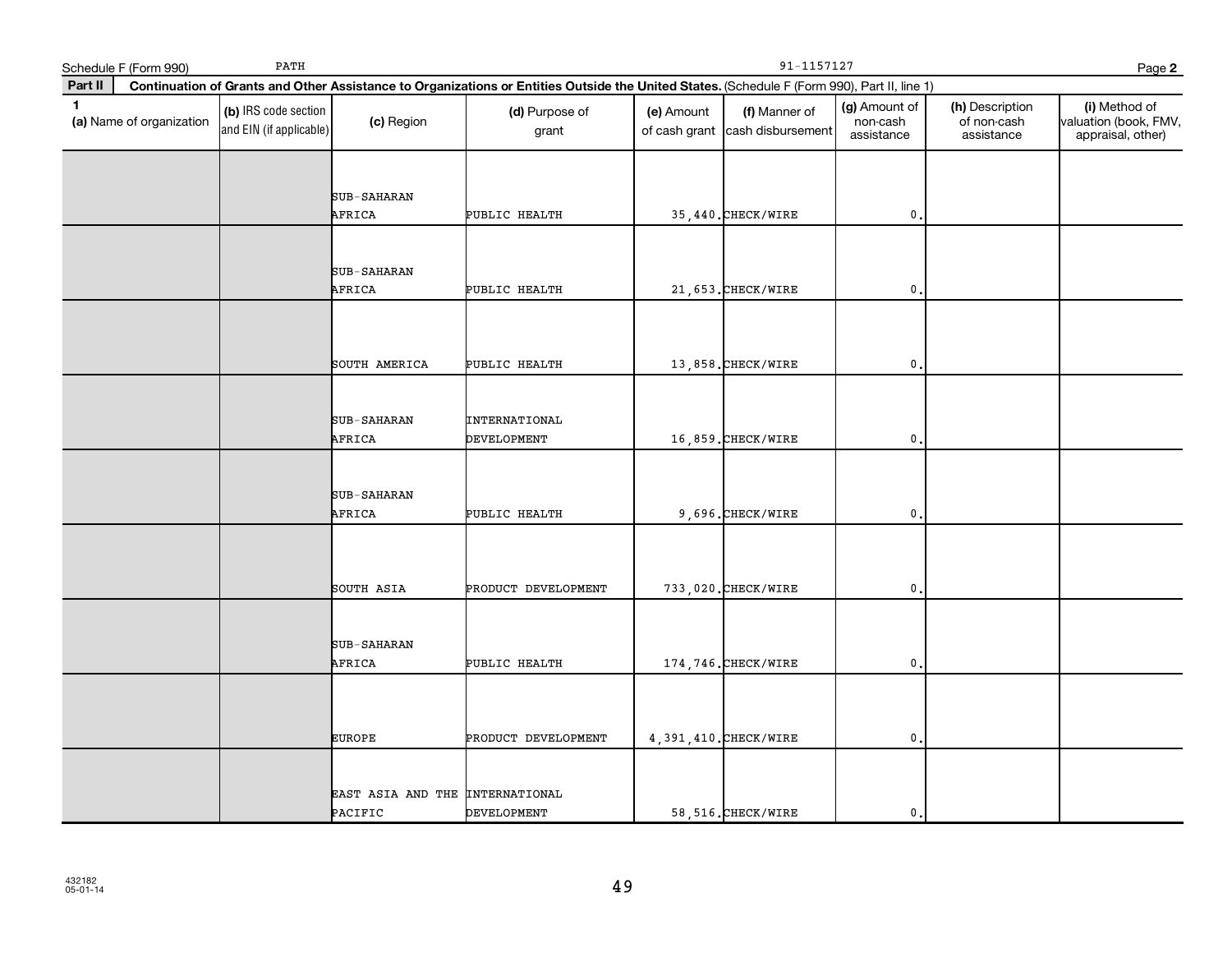|              | Schedule F (Form 990)    | PATH                                            |                                            | 91-1157127<br>Page 2                                                                                                                         |            |                                                  |                                         |                                              |                                                             |  |
|--------------|--------------------------|-------------------------------------------------|--------------------------------------------|----------------------------------------------------------------------------------------------------------------------------------------------|------------|--------------------------------------------------|-----------------------------------------|----------------------------------------------|-------------------------------------------------------------|--|
| Part II      |                          |                                                 |                                            | Continuation of Grants and Other Assistance to Organizations or Entities Outside the United States. (Schedule F (Form 990), Part II, line 1) |            |                                                  |                                         |                                              |                                                             |  |
| $\mathbf{1}$ | (a) Name of organization | (b) IRS code section<br>and EIN (if applicable) | (c) Region                                 | (d) Purpose of<br>grant                                                                                                                      | (e) Amount | (f) Manner of<br>of cash grant cash disbursement | (g) Amount of<br>non-cash<br>assistance | (h) Description<br>of non-cash<br>assistance | (i) Method of<br>valuation (book, FMV,<br>appraisal, other) |  |
|              |                          |                                                 | SUB-SAHARAN<br>AFRICA                      | PUBLIC HEALTH                                                                                                                                |            | 35,440. CHECK/WIRE                               | $\mathfrak o$ .                         |                                              |                                                             |  |
|              |                          |                                                 | SUB-SAHARAN                                |                                                                                                                                              |            |                                                  |                                         |                                              |                                                             |  |
|              |                          |                                                 | AFRICA                                     | PUBLIC HEALTH                                                                                                                                |            | $21,653.$ CHECK/WIRE                             | $\mathfrak{o}$ .                        |                                              |                                                             |  |
|              |                          |                                                 | SOUTH AMERICA                              | PUBLIC HEALTH                                                                                                                                |            | 13,858. CHECK/WIRE                               | $\mathbf 0$ .                           |                                              |                                                             |  |
|              |                          |                                                 |                                            |                                                                                                                                              |            |                                                  |                                         |                                              |                                                             |  |
|              |                          |                                                 | <b>SUB-SAHARAN</b><br>AFRICA               | <b>INTERNATIONAL</b><br><b>DEVELOPMENT</b>                                                                                                   |            | 16,859. CHECK/WIRE                               | $\mathbf{0}$ .                          |                                              |                                                             |  |
|              |                          |                                                 | <b>SUB-SAHARAN</b><br>AFRICA               | PUBLIC HEALTH                                                                                                                                |            | 9,696. CHECK/WIRE                                | $\mathbf 0$ .                           |                                              |                                                             |  |
|              |                          |                                                 | SOUTH ASIA                                 | PRODUCT DEVELOPMENT                                                                                                                          |            | 733,020. CHECK/WIRE                              | $\mathbf{0}$ .                          |                                              |                                                             |  |
|              |                          |                                                 | <b>SUB-SAHARAN</b><br>AFRICA               | PUBLIC HEALTH                                                                                                                                |            | 174, 746. CHECK/WIRE                             | $\mathbf{0}$ .                          |                                              |                                                             |  |
|              |                          |                                                 | <b>EUROPE</b>                              | PRODUCT DEVELOPMENT                                                                                                                          |            | 4, 391, 410. CHECK/WIRE                          | $\mathfrak o$ .                         |                                              |                                                             |  |
|              |                          |                                                 | EAST ASIA AND THE INTERNATIONAL<br>PACIFIC | <b>DEVELOPMENT</b>                                                                                                                           |            | 58, 516. CHECK/WIRE                              | $\mathbf{0}$ .                          |                                              |                                                             |  |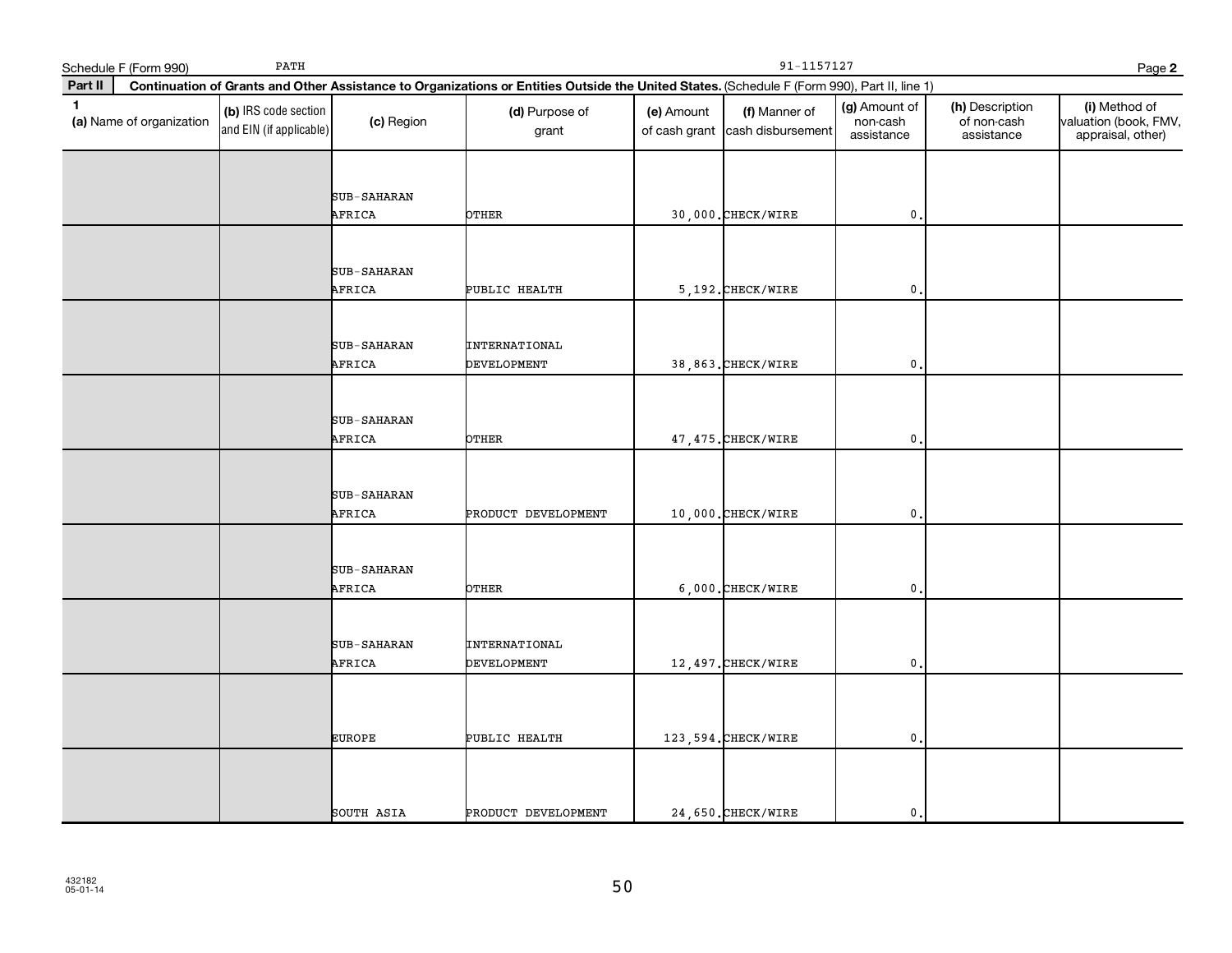|              | Schedule F (Form 990)    | PATH                                            |                       | 91-1157127<br>Page 2                                                                                                                         |            |                                                  |                                         |                                              |                                                             |  |
|--------------|--------------------------|-------------------------------------------------|-----------------------|----------------------------------------------------------------------------------------------------------------------------------------------|------------|--------------------------------------------------|-----------------------------------------|----------------------------------------------|-------------------------------------------------------------|--|
| Part II      |                          |                                                 |                       | Continuation of Grants and Other Assistance to Organizations or Entities Outside the United States. (Schedule F (Form 990), Part II, line 1) |            |                                                  |                                         |                                              |                                                             |  |
| $\mathbf{1}$ | (a) Name of organization | (b) IRS code section<br>and EIN (if applicable) | (c) Region            | (d) Purpose of<br>grant                                                                                                                      | (e) Amount | (f) Manner of<br>of cash grant cash disbursement | (g) Amount of<br>non-cash<br>assistance | (h) Description<br>of non-cash<br>assistance | (i) Method of<br>valuation (book, FMV,<br>appraisal, other) |  |
|              |                          |                                                 | SUB-SAHARAN<br>AFRICA | OTHER                                                                                                                                        |            | 30,000. CHECK/WIRE                               | $\mathbf 0$ .                           |                                              |                                                             |  |
|              |                          |                                                 | SUB-SAHARAN<br>AFRICA | PUBLIC HEALTH                                                                                                                                |            | 5,192. CHECK/WIRE                                | $\mathfrak o$ .                         |                                              |                                                             |  |
|              |                          |                                                 | SUB-SAHARAN<br>AFRICA | INTERNATIONAL<br><b>DEVELOPMENT</b>                                                                                                          |            | 38,863. CHECK/WIRE                               | $\mathbf{0}$                            |                                              |                                                             |  |
|              |                          |                                                 | SUB-SAHARAN<br>AFRICA | OTHER                                                                                                                                        |            | 47, 475. CHECK/WIRE                              | $\mathfrak{o}$ .                        |                                              |                                                             |  |
|              |                          |                                                 | SUB-SAHARAN<br>AFRICA | PRODUCT DEVELOPMENT                                                                                                                          |            | $10,000$ . CHECK/WIRE                            | $\mathfrak o$ .                         |                                              |                                                             |  |
|              |                          |                                                 | SUB-SAHARAN<br>AFRICA | <b>OTHER</b>                                                                                                                                 |            | $6,000$ . CHECK/WIRE                             | $\mathbf{0}$ .                          |                                              |                                                             |  |
|              |                          |                                                 | SUB-SAHARAN<br>AFRICA | <b>INTERNATIONAL</b><br><b>DEVELOPMENT</b>                                                                                                   |            | 12,497. CHECK/WIRE                               | $\mathfrak o$ .                         |                                              |                                                             |  |
|              |                          |                                                 | <b>EUROPE</b>         | PUBLIC HEALTH                                                                                                                                |            | 123, 594. CHECK/WIRE                             | $\mathfrak{o}$ .                        |                                              |                                                             |  |
|              |                          |                                                 | SOUTH ASIA            | PRODUCT DEVELOPMENT                                                                                                                          |            | 24,650. CHECK/WIRE                               | $\mathbf{0}$ .                          |                                              |                                                             |  |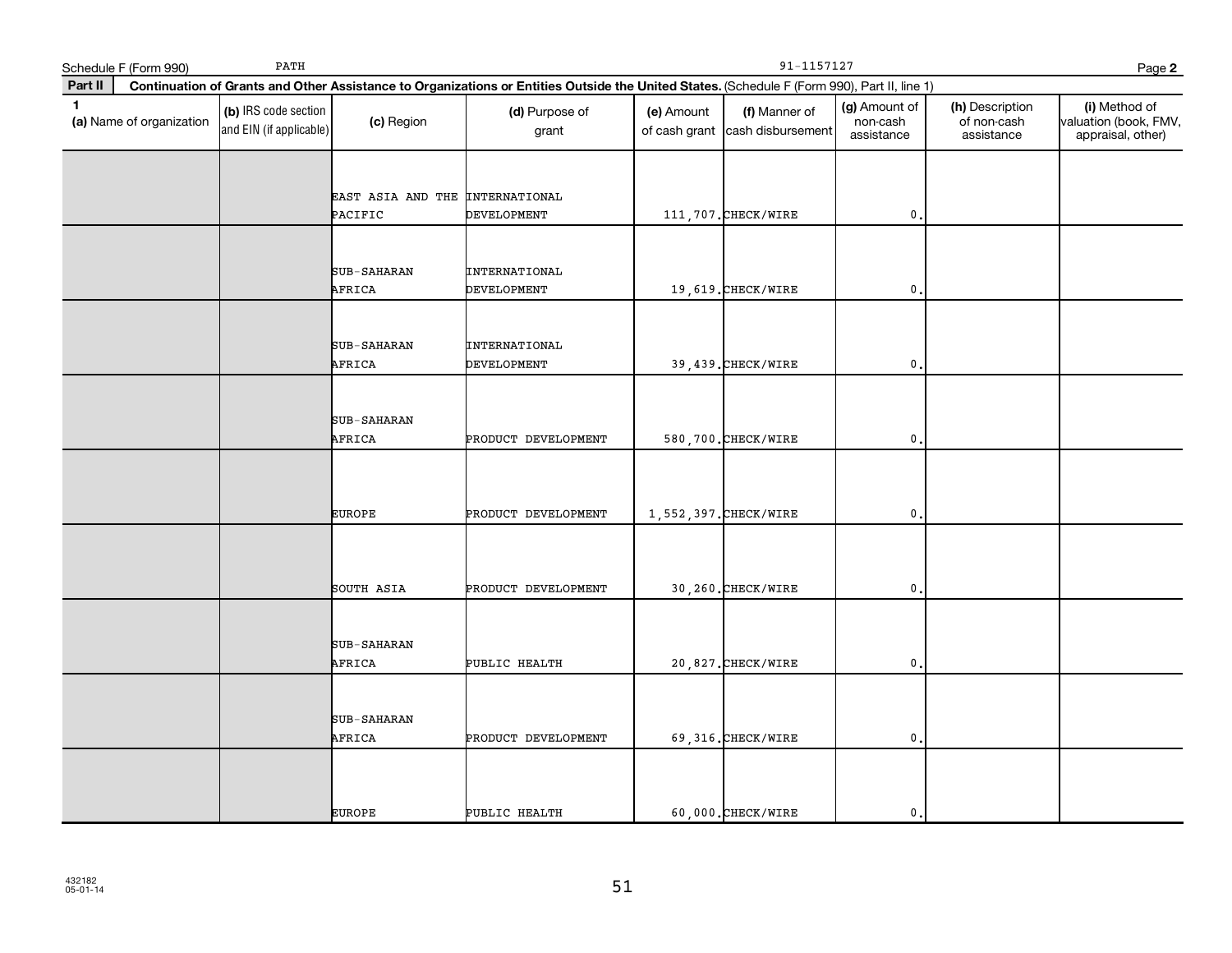|              | Schedule F (Form 990)    | PATH                                            |                                            | 91-1157127<br>Page 2                                                                                                                         |            |                                                  |                                         |                                              |                                                             |  |
|--------------|--------------------------|-------------------------------------------------|--------------------------------------------|----------------------------------------------------------------------------------------------------------------------------------------------|------------|--------------------------------------------------|-----------------------------------------|----------------------------------------------|-------------------------------------------------------------|--|
| Part II      |                          |                                                 |                                            | Continuation of Grants and Other Assistance to Organizations or Entities Outside the United States. (Schedule F (Form 990), Part II, line 1) |            |                                                  |                                         |                                              |                                                             |  |
| $\mathbf{1}$ | (a) Name of organization | (b) IRS code section<br>and EIN (if applicable) | (c) Region                                 | (d) Purpose of<br>grant                                                                                                                      | (e) Amount | (f) Manner of<br>of cash grant cash disbursement | (g) Amount of<br>non-cash<br>assistance | (h) Description<br>of non-cash<br>assistance | (i) Method of<br>valuation (book, FMV,<br>appraisal, other) |  |
|              |                          |                                                 | EAST ASIA AND THE INTERNATIONAL<br>PACIFIC | <b>DEVELOPMENT</b>                                                                                                                           |            | 111,707. CHECK/WIRE                              | $\mathbf 0$ .                           |                                              |                                                             |  |
|              |                          |                                                 | SUB-SAHARAN<br>AFRICA                      | <b>INTERNATIONAL</b><br><b>DEVELOPMENT</b>                                                                                                   |            | 19,619. CHECK/WIRE                               | $\mathbf{0}$ .                          |                                              |                                                             |  |
|              |                          |                                                 | SUB-SAHARAN<br>AFRICA                      | <b>INTERNATIONAL</b><br><b>DEVELOPMENT</b>                                                                                                   |            | 39,439. CHECK/WIRE                               | $\mathbf 0$ .                           |                                              |                                                             |  |
|              |                          |                                                 | SUB-SAHARAN<br>AFRICA                      | PRODUCT DEVELOPMENT                                                                                                                          |            | 580,700. CHECK/WIRE                              | $\mathfrak{o}$ .                        |                                              |                                                             |  |
|              |                          |                                                 | <b>EUROPE</b>                              | PRODUCT DEVELOPMENT                                                                                                                          |            | 1,552,397. CHECK/WIRE                            | $\mathbf{0}$                            |                                              |                                                             |  |
|              |                          |                                                 | SOUTH ASIA                                 | PRODUCT DEVELOPMENT                                                                                                                          |            | 30,260. CHECK/WIRE                               | $\mathbf{0}$ .                          |                                              |                                                             |  |
|              |                          |                                                 | SUB-SAHARAN<br>AFRICA                      | PUBLIC HEALTH                                                                                                                                |            | 20,827. CHECK/WIRE                               | $\mathbf{0}$ .                          |                                              |                                                             |  |
|              |                          |                                                 | SUB-SAHARAN<br>AFRICA                      | PRODUCT DEVELOPMENT                                                                                                                          |            | 69, 316. CHECK/WIRE                              | $\mathfrak{o}$ .                        |                                              |                                                             |  |
|              |                          |                                                 | EUROPE                                     | PUBLIC HEALTH                                                                                                                                |            | 60,000. CHECK/WIRE                               | $\mathbf{0}$ .                          |                                              |                                                             |  |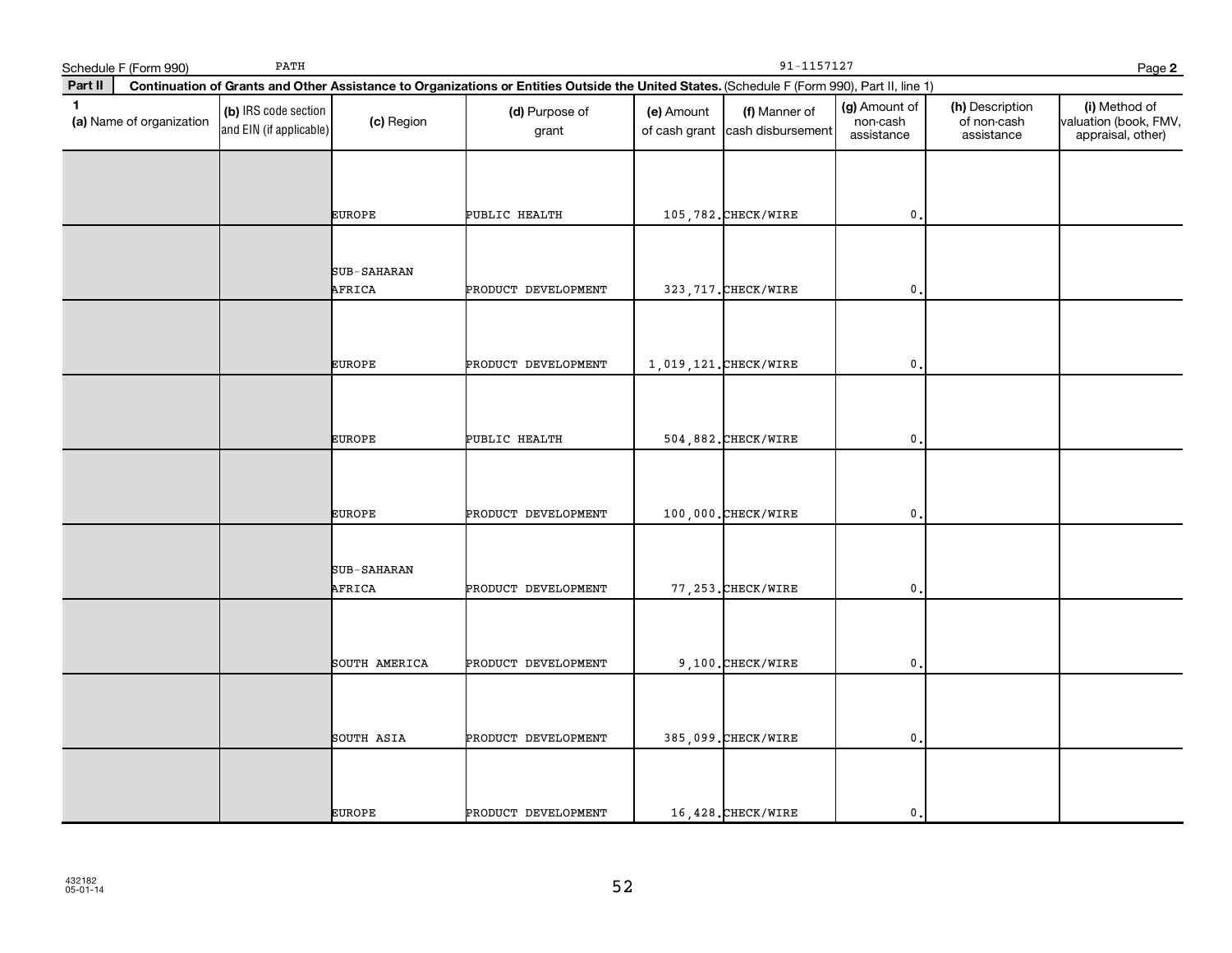|              | Schedule F (Form 990)    | PATH                                            |                              | 91-1157127<br>Page 2                                                                                                                         |            |                                                  |                                         |                                              |                                                             |  |
|--------------|--------------------------|-------------------------------------------------|------------------------------|----------------------------------------------------------------------------------------------------------------------------------------------|------------|--------------------------------------------------|-----------------------------------------|----------------------------------------------|-------------------------------------------------------------|--|
| Part II      |                          |                                                 |                              | Continuation of Grants and Other Assistance to Organizations or Entities Outside the United States. (Schedule F (Form 990), Part II, line 1) |            |                                                  |                                         |                                              |                                                             |  |
| $\mathbf{1}$ | (a) Name of organization | (b) IRS code section<br>and EIN (if applicable) | (c) Region                   | (d) Purpose of<br>grant                                                                                                                      | (e) Amount | (f) Manner of<br>of cash grant cash disbursement | (g) Amount of<br>non-cash<br>assistance | (h) Description<br>of non-cash<br>assistance | (i) Method of<br>valuation (book, FMV,<br>appraisal, other) |  |
|              |                          |                                                 |                              |                                                                                                                                              |            |                                                  |                                         |                                              |                                                             |  |
|              |                          |                                                 | <b>EUROPE</b>                | PUBLIC HEALTH                                                                                                                                |            | 105,782. CHECK/WIRE                              | $\mathbf 0$ .                           |                                              |                                                             |  |
|              |                          |                                                 | SUB-SAHARAN<br>AFRICA        | PRODUCT DEVELOPMENT                                                                                                                          |            | 323, 717. CHECK/WIRE                             | $\mathbf{0}$                            |                                              |                                                             |  |
|              |                          |                                                 | EUROPE                       | PRODUCT DEVELOPMENT                                                                                                                          |            | 1,019,121. CHECK/WIRE                            | $\mathbf 0$ .                           |                                              |                                                             |  |
|              |                          |                                                 | <b>EUROPE</b>                | PUBLIC HEALTH                                                                                                                                |            | 504,882. CHECK/WIRE                              | 0.                                      |                                              |                                                             |  |
|              |                          |                                                 | <b>EUROPE</b>                | PRODUCT DEVELOPMENT                                                                                                                          |            | 100,000. CHECK/WIRE                              | $\mathbf{0}$                            |                                              |                                                             |  |
|              |                          |                                                 | <b>SUB-SAHARAN</b><br>AFRICA | PRODUCT DEVELOPMENT                                                                                                                          |            | 77, 253. CHECK/WIRE                              | $\mathbf{0}$                            |                                              |                                                             |  |
|              |                          |                                                 | SOUTH AMERICA                | PRODUCT DEVELOPMENT                                                                                                                          |            | 9,100. CHECK/WIRE                                | $\mathbf{0}$                            |                                              |                                                             |  |
|              |                          |                                                 | SOUTH ASIA                   | PRODUCT DEVELOPMENT                                                                                                                          |            | 385,099. CHECK/WIRE                              | $\mathfrak{o}$ .                        |                                              |                                                             |  |
|              |                          |                                                 | EUROPE                       | PRODUCT DEVELOPMENT                                                                                                                          |            | 16,428. CHECK/WIRE                               | $\mathbf 0$ .                           |                                              |                                                             |  |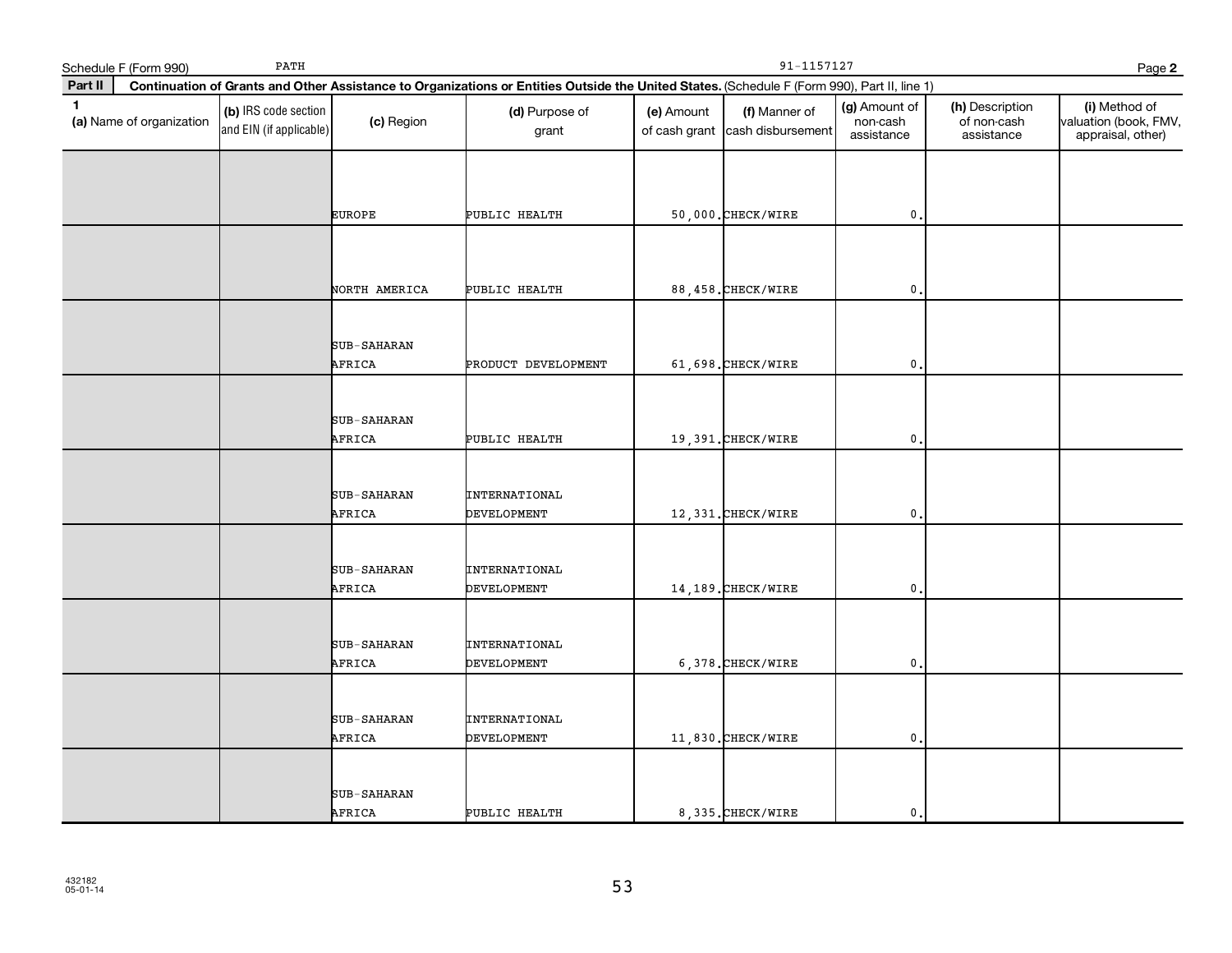|              | Schedule F (Form 990)    | PATH                                            |                              | 91-1157127                                                                                                                                   |            |                                                  |                                         |                                              |                                                             |  |
|--------------|--------------------------|-------------------------------------------------|------------------------------|----------------------------------------------------------------------------------------------------------------------------------------------|------------|--------------------------------------------------|-----------------------------------------|----------------------------------------------|-------------------------------------------------------------|--|
| Part II      |                          |                                                 |                              | Continuation of Grants and Other Assistance to Organizations or Entities Outside the United States. (Schedule F (Form 990), Part II, line 1) |            |                                                  |                                         |                                              | Page 2                                                      |  |
| $\mathbf{1}$ | (a) Name of organization | (b) IRS code section<br>and EIN (if applicable) | (c) Region                   | (d) Purpose of<br>grant                                                                                                                      | (e) Amount | (f) Manner of<br>of cash grant cash disbursement | (g) Amount of<br>non-cash<br>assistance | (h) Description<br>of non-cash<br>assistance | (i) Method of<br>valuation (book, FMV,<br>appraisal, other) |  |
|              |                          |                                                 | <b>EUROPE</b>                | PUBLIC HEALTH                                                                                                                                |            | 50,000. CHECK/WIRE                               | $\mathbf 0$ .                           |                                              |                                                             |  |
|              |                          |                                                 |                              |                                                                                                                                              |            |                                                  |                                         |                                              |                                                             |  |
|              |                          |                                                 | NORTH AMERICA                | PUBLIC HEALTH                                                                                                                                |            | 88,458. CHECK/WIRE                               | $\mathbf{0}$ .                          |                                              |                                                             |  |
|              |                          |                                                 | <b>SUB-SAHARAN</b><br>AFRICA | PRODUCT DEVELOPMENT                                                                                                                          |            | 61,698. CHECK/WIRE                               | 0.                                      |                                              |                                                             |  |
|              |                          |                                                 | SUB-SAHARAN<br>AFRICA        | PUBLIC HEALTH                                                                                                                                |            | 19,391. CHECK/WIRE                               | $\mathfrak o$ .                         |                                              |                                                             |  |
|              |                          |                                                 | SUB-SAHARAN<br>AFRICA        | <b>INTERNATIONAL</b><br><b>DEVELOPMENT</b>                                                                                                   |            | 12,331. CHECK/WIRE                               | 0.                                      |                                              |                                                             |  |
|              |                          |                                                 | SUB-SAHARAN<br>AFRICA        | INTERNATIONAL<br><b>DEVELOPMENT</b>                                                                                                          |            | 14, 189. CHECK/WIRE                              | $\mathbf{0}$ .                          |                                              |                                                             |  |
|              |                          |                                                 | SUB-SAHARAN<br>AFRICA        | <b>INTERNATIONAL</b><br><b>DEVELOPMENT</b>                                                                                                   |            | 6,378. CHECK/WIRE                                | $\mathbf{0}$ .                          |                                              |                                                             |  |
|              |                          |                                                 | SUB-SAHARAN<br>AFRICA        | INTERNATIONAL<br><b>DEVELOPMENT</b>                                                                                                          |            | 11,830. CHECK/WIRE                               | $\mathfrak o$ .                         |                                              |                                                             |  |
|              |                          |                                                 | SUB-SAHARAN<br>AFRICA        | PUBLIC HEALTH                                                                                                                                |            | 8,335. CHECK/WIRE                                | $\mathbf{0}$ .                          |                                              |                                                             |  |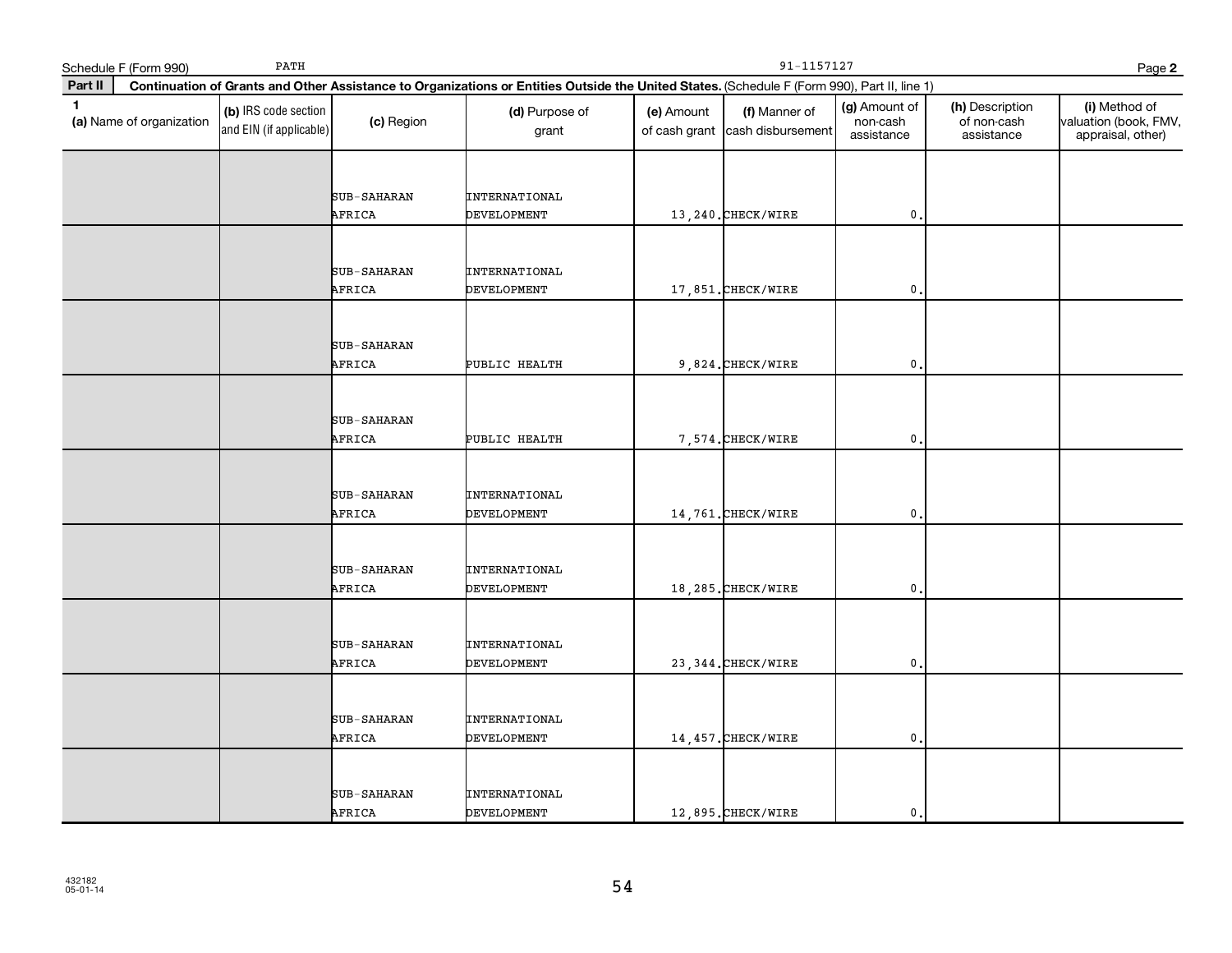|              | Schedule F (Form 990)    | PATH                                            |                       |                                                                                                                                              | 91-1157127<br>Page 2 |                                                  |                                         |                                              |                                                             |  |  |
|--------------|--------------------------|-------------------------------------------------|-----------------------|----------------------------------------------------------------------------------------------------------------------------------------------|----------------------|--------------------------------------------------|-----------------------------------------|----------------------------------------------|-------------------------------------------------------------|--|--|
| Part II      |                          |                                                 |                       | Continuation of Grants and Other Assistance to Organizations or Entities Outside the United States. (Schedule F (Form 990), Part II, line 1) |                      |                                                  |                                         |                                              |                                                             |  |  |
| $\mathbf{1}$ | (a) Name of organization | (b) IRS code section<br>and EIN (if applicable) | (c) Region            | (d) Purpose of<br>grant                                                                                                                      | (e) Amount           | (f) Manner of<br>of cash grant cash disbursement | (g) Amount of<br>non-cash<br>assistance | (h) Description<br>of non-cash<br>assistance | (i) Method of<br>valuation (book, FMV,<br>appraisal, other) |  |  |
|              |                          |                                                 | SUB-SAHARAN<br>AFRICA | INTERNATIONAL<br><b>DEVELOPMENT</b>                                                                                                          |                      | 13, 240. CHECK/WIRE                              | $\mathbf 0$ .                           |                                              |                                                             |  |  |
|              |                          |                                                 | SUB-SAHARAN<br>AFRICA | <b>INTERNATIONAL</b><br><b>DEVELOPMENT</b>                                                                                                   |                      | 17,851. CHECK/WIRE                               | $\mathbf{0}$ .                          |                                              |                                                             |  |  |
|              |                          |                                                 | SUB-SAHARAN<br>AFRICA | PUBLIC HEALTH                                                                                                                                |                      | 9,824. CHECK/WIRE                                | $\mathbf 0$ .                           |                                              |                                                             |  |  |
|              |                          |                                                 | SUB-SAHARAN<br>AFRICA | PUBLIC HEALTH                                                                                                                                |                      | 7,574. CHECK/WIRE                                | $\mathfrak{o}$ .                        |                                              |                                                             |  |  |
|              |                          |                                                 | SUB-SAHARAN<br>AFRICA | <b>INTERNATIONAL</b><br><b>DEVELOPMENT</b>                                                                                                   |                      | 14,761. CHECK/WIRE                               | $\mathbf{0}$                            |                                              |                                                             |  |  |
|              |                          |                                                 | SUB-SAHARAN<br>AFRICA | <b>INTERNATIONAL</b><br><b>DEVELOPMENT</b>                                                                                                   |                      | 18, 285. CHECK/WIRE                              | $\mathbf{0}$ .                          |                                              |                                                             |  |  |
|              |                          |                                                 | SUB-SAHARAN<br>AFRICA | <b>INTERNATIONAL</b><br>DEVELOPMENT                                                                                                          |                      | 23, 344. CHECK/WIRE                              | $\mathfrak o$ .                         |                                              |                                                             |  |  |
|              |                          |                                                 | SUB-SAHARAN<br>AFRICA | <b>INTERNATIONAL</b><br><b>DEVELOPMENT</b>                                                                                                   |                      | 14, 457. CHECK/WIRE                              | $\mathfrak{o}$ .                        |                                              |                                                             |  |  |
|              |                          |                                                 | SUB-SAHARAN<br>AFRICA | <b>INTERNATIONAL</b><br><b>DEVELOPMENT</b>                                                                                                   |                      | 12,895. CHECK/WIRE                               | $\mathbf{0}$ .                          |                                              |                                                             |  |  |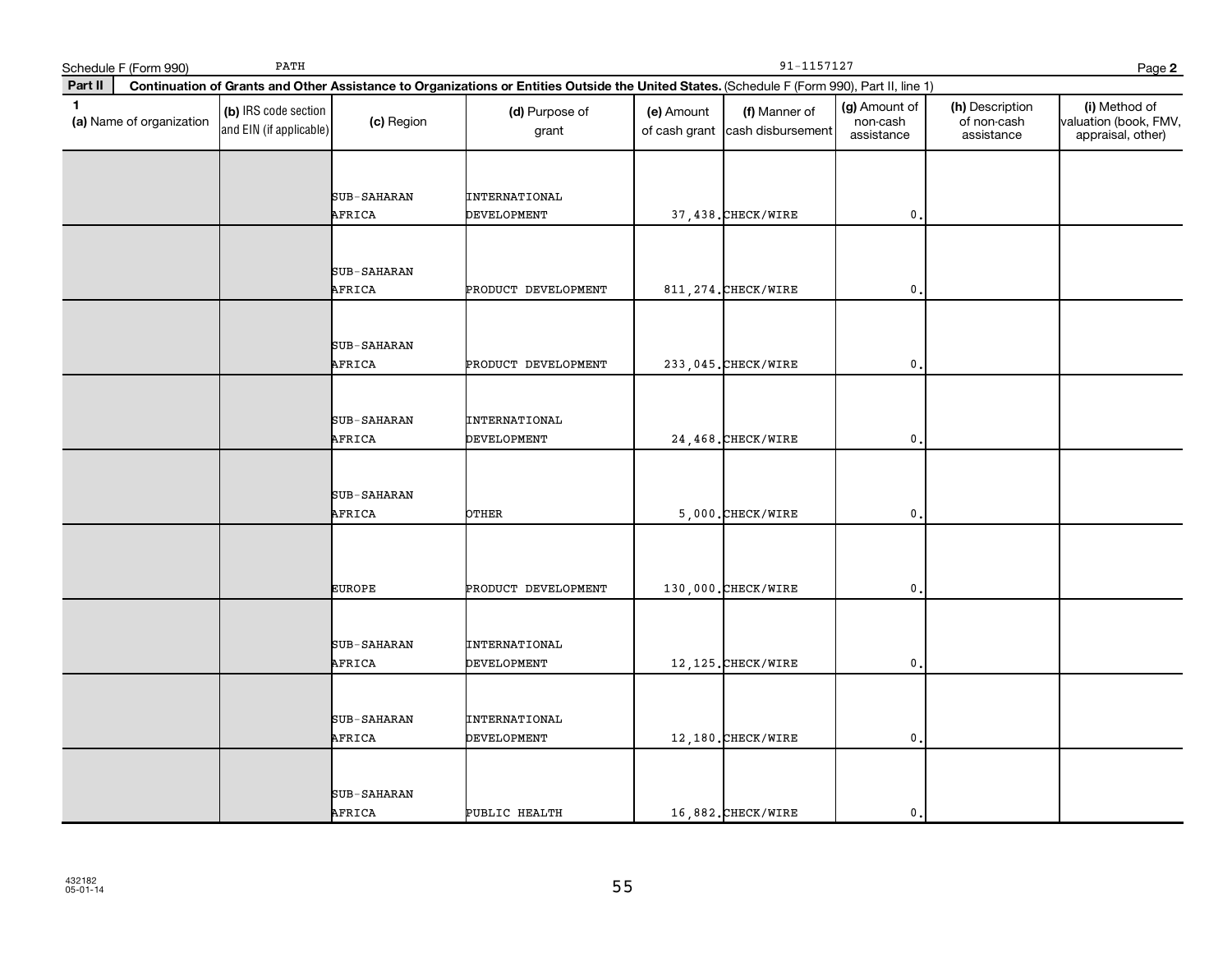|              | Schedule F (Form 990)    | PATH                                            |                              | 91-1157127<br>Page 2                                                                                                                         |            |                                                  |                                         |                                              |                                                             |  |
|--------------|--------------------------|-------------------------------------------------|------------------------------|----------------------------------------------------------------------------------------------------------------------------------------------|------------|--------------------------------------------------|-----------------------------------------|----------------------------------------------|-------------------------------------------------------------|--|
| Part II      |                          |                                                 |                              | Continuation of Grants and Other Assistance to Organizations or Entities Outside the United States. (Schedule F (Form 990), Part II, line 1) |            |                                                  |                                         |                                              |                                                             |  |
| $\mathbf{1}$ | (a) Name of organization | (b) IRS code section<br>and EIN (if applicable) | (c) Region                   | (d) Purpose of<br>grant                                                                                                                      | (e) Amount | (f) Manner of<br>of cash grant cash disbursement | (g) Amount of<br>non-cash<br>assistance | (h) Description<br>of non-cash<br>assistance | (i) Method of<br>valuation (book, FMV,<br>appraisal, other) |  |
|              |                          |                                                 | SUB-SAHARAN<br>AFRICA        | <b>INTERNATIONAL</b><br><b>DEVELOPMENT</b>                                                                                                   |            | 37,438. CHECK/WIRE                               | $\mathbf 0$ .                           |                                              |                                                             |  |
|              |                          |                                                 | <b>SUB-SAHARAN</b><br>AFRICA | PRODUCT DEVELOPMENT                                                                                                                          |            | 811, 274. CHECK/WIRE                             | $\mathfrak o$ .                         |                                              |                                                             |  |
|              |                          |                                                 | SUB-SAHARAN<br>AFRICA        | PRODUCT DEVELOPMENT                                                                                                                          |            | 233,045. CHECK/WIRE                              | $\mathbf{0}$                            |                                              |                                                             |  |
|              |                          |                                                 | SUB-SAHARAN<br>AFRICA        | INTERNATIONAL<br><b>DEVELOPMENT</b>                                                                                                          |            | 24, 468. CHECK/WIRE                              | $\mathfrak{o}$ .                        |                                              |                                                             |  |
|              |                          |                                                 | SUB-SAHARAN<br>AFRICA        | OTHER                                                                                                                                        |            | $5,000$ . CHECK/WIRE                             | $\mathfrak o$ .                         |                                              |                                                             |  |
|              |                          |                                                 | EUROPE                       | PRODUCT DEVELOPMENT                                                                                                                          |            | 130,000. CHECK/WIRE                              | $\mathbf{0}$ .                          |                                              |                                                             |  |
|              |                          |                                                 | SUB-SAHARAN<br>AFRICA        | <b>INTERNATIONAL</b><br><b>DEVELOPMENT</b>                                                                                                   |            | 12, 125. CHECK/WIRE                              | $\mathfrak o$ .                         |                                              |                                                             |  |
|              |                          |                                                 | SUB-SAHARAN<br>AFRICA        | INTERNATIONAL<br><b>DEVELOPMENT</b>                                                                                                          |            | 12,180. CHECK/WIRE                               | $\mathfrak{o}$ .                        |                                              |                                                             |  |
|              |                          |                                                 | SUB-SAHARAN<br>AFRICA        | PUBLIC HEALTH                                                                                                                                |            | 16,882. CHECK/WIRE                               | $\mathbf{0}$ .                          |                                              |                                                             |  |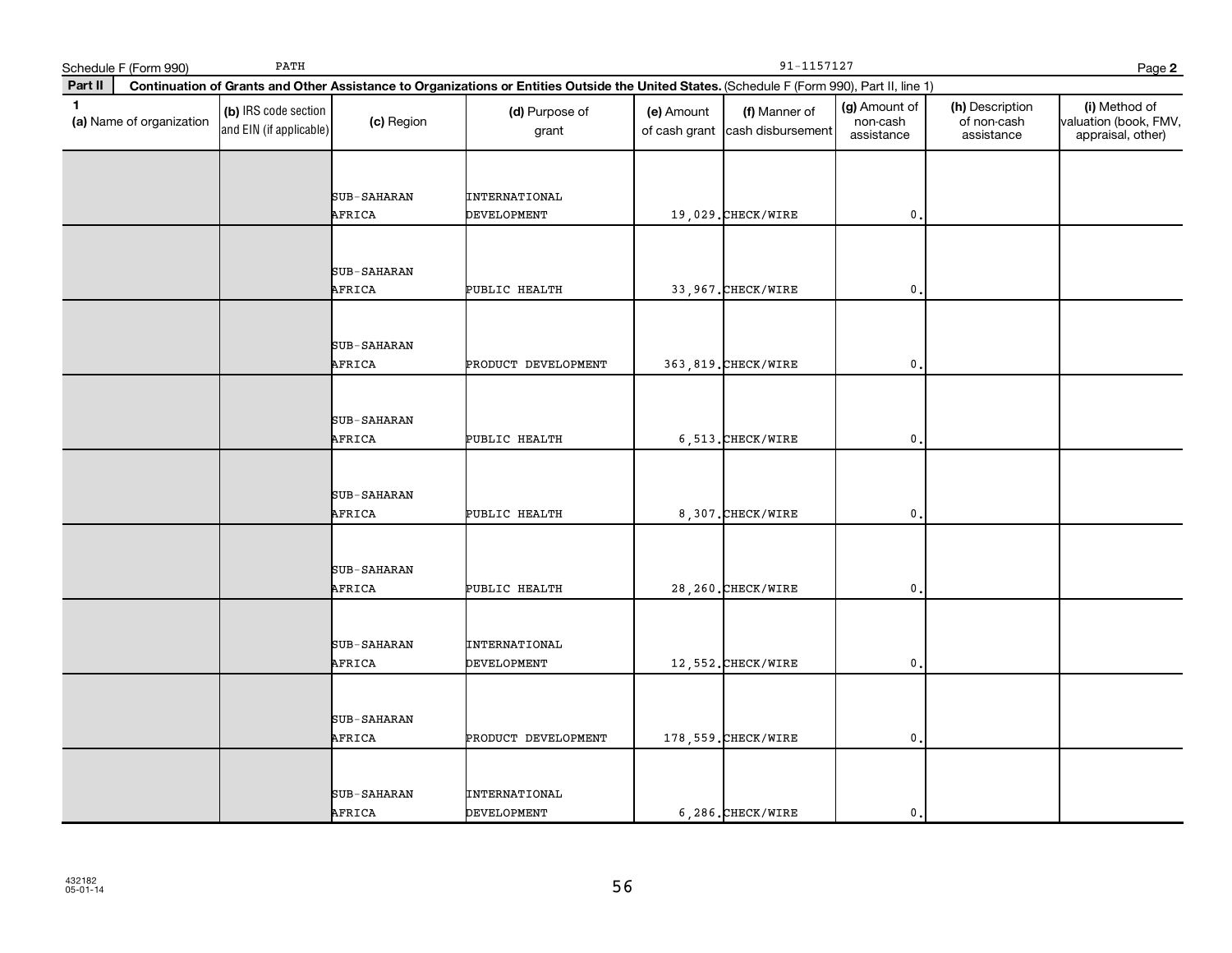|              | Schedule F (Form 990)    | PATH                                            |                       | 91-1157127<br>Page 2                                                                                                                         |            |                                                  |                                         |                                              |                                                             |  |
|--------------|--------------------------|-------------------------------------------------|-----------------------|----------------------------------------------------------------------------------------------------------------------------------------------|------------|--------------------------------------------------|-----------------------------------------|----------------------------------------------|-------------------------------------------------------------|--|
| Part II      |                          |                                                 |                       | Continuation of Grants and Other Assistance to Organizations or Entities Outside the United States. (Schedule F (Form 990), Part II, line 1) |            |                                                  |                                         |                                              |                                                             |  |
| $\mathbf{1}$ | (a) Name of organization | (b) IRS code section<br>and EIN (if applicable) | (c) Region            | (d) Purpose of<br>grant                                                                                                                      | (e) Amount | (f) Manner of<br>of cash grant cash disbursement | (g) Amount of<br>non-cash<br>assistance | (h) Description<br>of non-cash<br>assistance | (i) Method of<br>valuation (book, FMV,<br>appraisal, other) |  |
|              |                          |                                                 | SUB-SAHARAN<br>AFRICA | <b>INTERNATIONAL</b><br><b>DEVELOPMENT</b>                                                                                                   |            | 19,029. CHECK/WIRE                               | $\mathbf 0$ .                           |                                              |                                                             |  |
|              |                          |                                                 | SUB-SAHARAN<br>AFRICA | PUBLIC HEALTH                                                                                                                                |            | 33,967. CHECK/WIRE                               | $\mathbf{0}$ .                          |                                              |                                                             |  |
|              |                          |                                                 | SUB-SAHARAN<br>AFRICA | PRODUCT DEVELOPMENT                                                                                                                          |            | 363,819. CHECK/WIRE                              | $\mathbf{0}$                            |                                              |                                                             |  |
|              |                          |                                                 | SUB-SAHARAN<br>AFRICA | PUBLIC HEALTH                                                                                                                                |            | 6,513. CHECK/WIRE                                | $\mathfrak{o}$ .                        |                                              |                                                             |  |
|              |                          |                                                 | SUB-SAHARAN<br>AFRICA | PUBLIC HEALTH                                                                                                                                |            | 8,307. CHECK/WIRE                                | $\mathbf{0}$                            |                                              |                                                             |  |
|              |                          |                                                 | SUB-SAHARAN<br>AFRICA | PUBLIC HEALTH                                                                                                                                |            | 28, 260. CHECK/WIRE                              | $\mathfrak o$ .                         |                                              |                                                             |  |
|              |                          |                                                 | SUB-SAHARAN<br>AFRICA | <b>INTERNATIONAL</b><br><b>DEVELOPMENT</b>                                                                                                   |            | 12,552. CHECK/WIRE                               | $\mathsf{0}$ .                          |                                              |                                                             |  |
|              |                          |                                                 | SUB-SAHARAN<br>AFRICA | PRODUCT DEVELOPMENT                                                                                                                          |            | 178, 559. CHECK/WIRE                             | $\mathfrak{o}$ .                        |                                              |                                                             |  |
|              |                          |                                                 | SUB-SAHARAN<br>AFRICA | <b>INTERNATIONAL</b><br><b>DEVELOPMENT</b>                                                                                                   |            | 6,286. CHECK/WIRE                                | $\mathbf 0$ .                           |                                              |                                                             |  |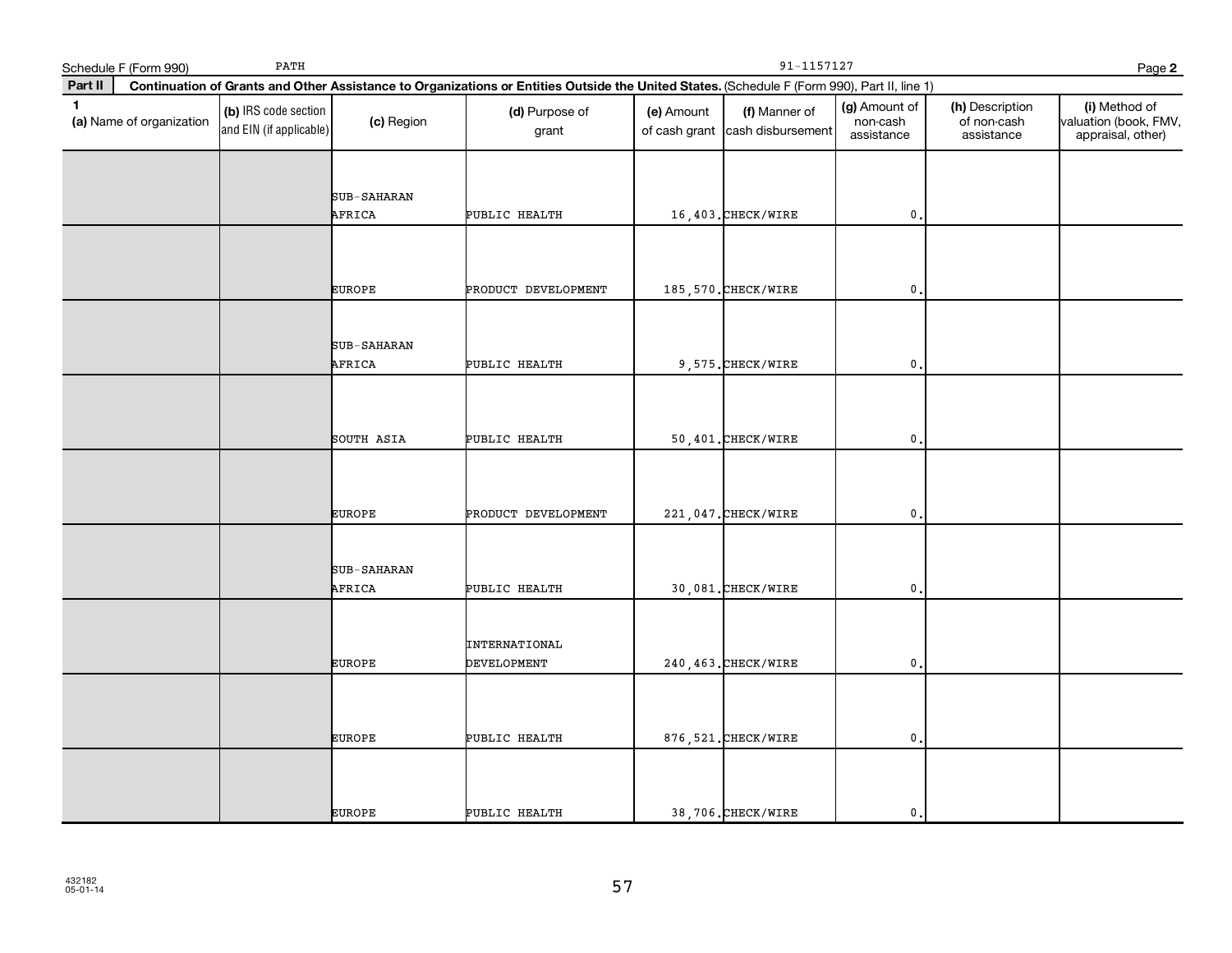|              | Schedule F (Form 990)    | PATH                                            |                       | 91-1157127<br>Page 2                                                                                                                         |            |                                                  |                                         |                                              |                                                             |  |
|--------------|--------------------------|-------------------------------------------------|-----------------------|----------------------------------------------------------------------------------------------------------------------------------------------|------------|--------------------------------------------------|-----------------------------------------|----------------------------------------------|-------------------------------------------------------------|--|
| Part II      |                          |                                                 |                       | Continuation of Grants and Other Assistance to Organizations or Entities Outside the United States. (Schedule F (Form 990), Part II, line 1) |            |                                                  |                                         |                                              |                                                             |  |
| $\mathbf{1}$ | (a) Name of organization | (b) IRS code section<br>and EIN (if applicable) | (c) Region            | (d) Purpose of<br>grant                                                                                                                      | (e) Amount | (f) Manner of<br>of cash grant cash disbursement | (g) Amount of<br>non-cash<br>assistance | (h) Description<br>of non-cash<br>assistance | (i) Method of<br>valuation (book, FMV,<br>appraisal, other) |  |
|              |                          |                                                 | SUB-SAHARAN<br>AFRICA | PUBLIC HEALTH                                                                                                                                |            | 16,403. CHECK/WIRE                               | $\mathfrak o$ .                         |                                              |                                                             |  |
|              |                          |                                                 | <b>EUROPE</b>         | PRODUCT DEVELOPMENT                                                                                                                          |            | 185,570. CHECK/WIRE                              | $\mathbf{0}$                            |                                              |                                                             |  |
|              |                          |                                                 | SUB-SAHARAN<br>AFRICA | PUBLIC HEALTH                                                                                                                                |            | 9,575. CHECK/WIRE                                | $\mathbf 0$ .                           |                                              |                                                             |  |
|              |                          |                                                 | SOUTH ASIA            | PUBLIC HEALTH                                                                                                                                |            | 50,401. CHECK/WIRE                               | $\mathbf 0$ .                           |                                              |                                                             |  |
|              |                          |                                                 | <b>EUROPE</b>         | PRODUCT DEVELOPMENT                                                                                                                          |            | 221,047. CHECK/WIRE                              | $\mathbf 0$                             |                                              |                                                             |  |
|              |                          |                                                 | SUB-SAHARAN<br>AFRICA | PUBLIC HEALTH                                                                                                                                |            | 30,081. CHECK/WIRE                               | $\mathfrak o$ .                         |                                              |                                                             |  |
|              |                          |                                                 | <b>EUROPE</b>         | INTERNATIONAL<br><b>DEVELOPMENT</b>                                                                                                          |            | 240, 463. CHECK/WIRE                             | $\mathbf{0}$                            |                                              |                                                             |  |
|              |                          |                                                 | <b>EUROPE</b>         | PUBLIC HEALTH                                                                                                                                |            | 876, 521. CHECK/WIRE                             | $\mathfrak{o}$ .                        |                                              |                                                             |  |
|              |                          |                                                 | <b>EUROPE</b>         | PUBLIC HEALTH                                                                                                                                |            | 38,706. CHECK/WIRE                               | $\mathbf{0}$                            |                                              |                                                             |  |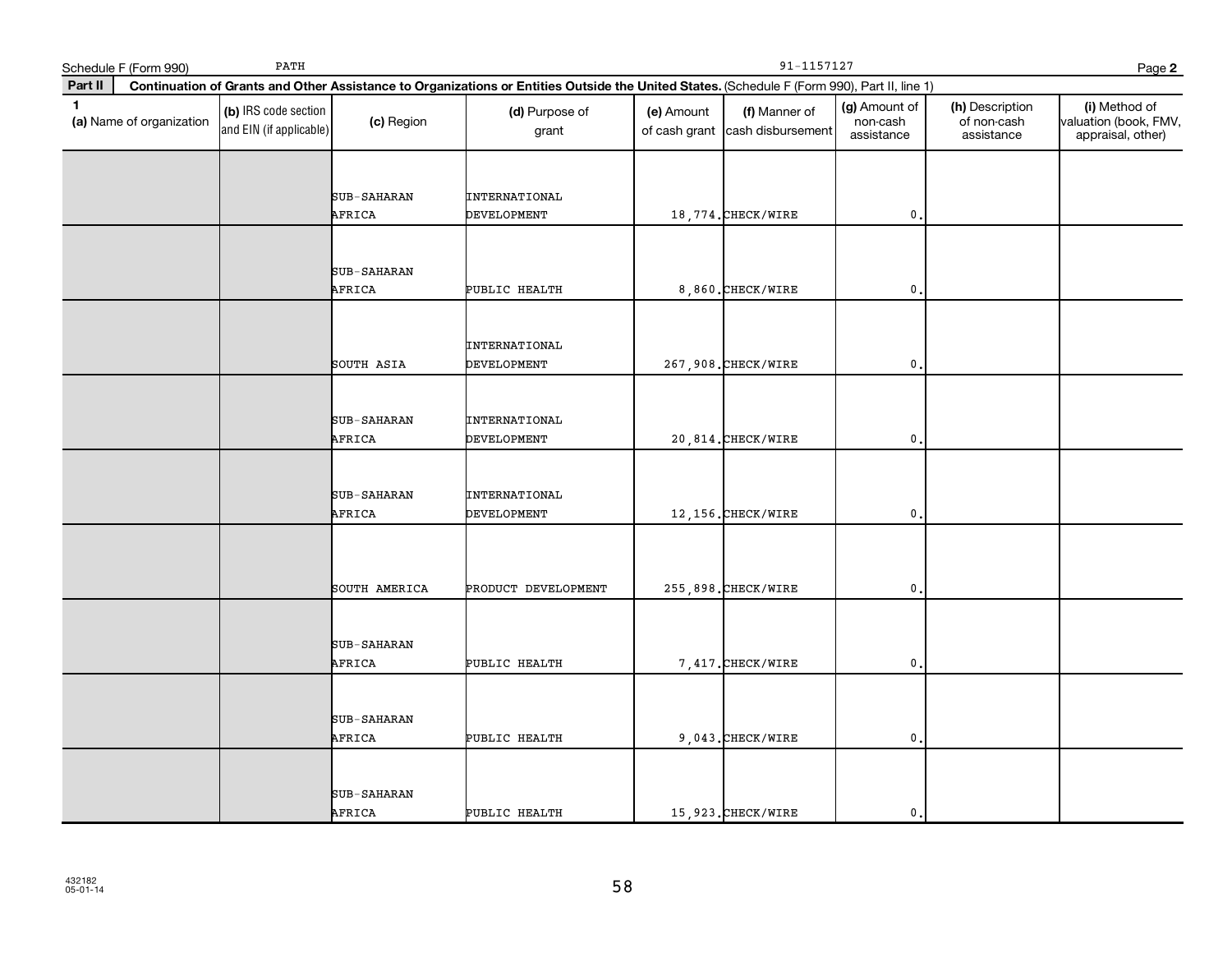|              | Schedule F (Form 990)    | PATH                                            |                              |                                                                                                                                              | 91-1157127<br>Page 2 |                                                  |                                         |                                              |                                                             |  |
|--------------|--------------------------|-------------------------------------------------|------------------------------|----------------------------------------------------------------------------------------------------------------------------------------------|----------------------|--------------------------------------------------|-----------------------------------------|----------------------------------------------|-------------------------------------------------------------|--|
| Part II      |                          |                                                 |                              | Continuation of Grants and Other Assistance to Organizations or Entities Outside the United States. (Schedule F (Form 990), Part II, line 1) |                      |                                                  |                                         |                                              |                                                             |  |
| $\mathbf{1}$ | (a) Name of organization | (b) IRS code section<br>and EIN (if applicable) | (c) Region                   | (d) Purpose of<br>grant                                                                                                                      | (e) Amount           | (f) Manner of<br>of cash grant cash disbursement | (g) Amount of<br>non-cash<br>assistance | (h) Description<br>of non-cash<br>assistance | (i) Method of<br>valuation (book, FMV,<br>appraisal, other) |  |
|              |                          |                                                 | <b>SUB-SAHARAN</b><br>AFRICA | INTERNATIONAL<br><b>DEVELOPMENT</b>                                                                                                          |                      | 18,774. CHECK/WIRE                               | $\mathfrak{o}$ .                        |                                              |                                                             |  |
|              |                          |                                                 | <b>SUB-SAHARAN</b><br>AFRICA | PUBLIC HEALTH                                                                                                                                |                      | 8,860. CHECK/WIRE                                | $\mathfrak{o}$ .                        |                                              |                                                             |  |
|              |                          |                                                 | SOUTH ASIA                   | INTERNATIONAL<br>DEVELOPMENT                                                                                                                 |                      | 267,908. CHECK/WIRE                              | $\mathbf 0$ .                           |                                              |                                                             |  |
|              |                          |                                                 | <b>SUB-SAHARAN</b><br>AFRICA | <b>INTERNATIONAL</b><br><b>DEVELOPMENT</b>                                                                                                   |                      | 20,814. CHECK/WIRE                               | $\mathbf{0}$ .                          |                                              |                                                             |  |
|              |                          |                                                 | <b>SUB-SAHARAN</b><br>AFRICA | INTERNATIONAL<br><b>DEVELOPMENT</b>                                                                                                          |                      | 12,156. CHECK/WIRE                               | $\mathbf{0}$                            |                                              |                                                             |  |
|              |                          |                                                 | SOUTH AMERICA                | PRODUCT DEVELOPMENT                                                                                                                          |                      | 255,898. CHECK/WIRE                              | $\mathbf{0}$ .                          |                                              |                                                             |  |
|              |                          |                                                 | <b>SUB-SAHARAN</b><br>AFRICA | PUBLIC HEALTH                                                                                                                                |                      | 7.417. CHECK/WIRE                                | $\mathfrak o$ .                         |                                              |                                                             |  |
|              |                          |                                                 | <b>SUB-SAHARAN</b><br>AFRICA | PUBLIC HEALTH                                                                                                                                |                      | 9,043. CHECK/WIRE                                | $\mathbf{0}$ .                          |                                              |                                                             |  |
|              |                          |                                                 | SUB-SAHARAN<br>AFRICA        | PUBLIC HEALTH                                                                                                                                |                      | 15,923. CHECK/WIRE                               | 0.                                      |                                              |                                                             |  |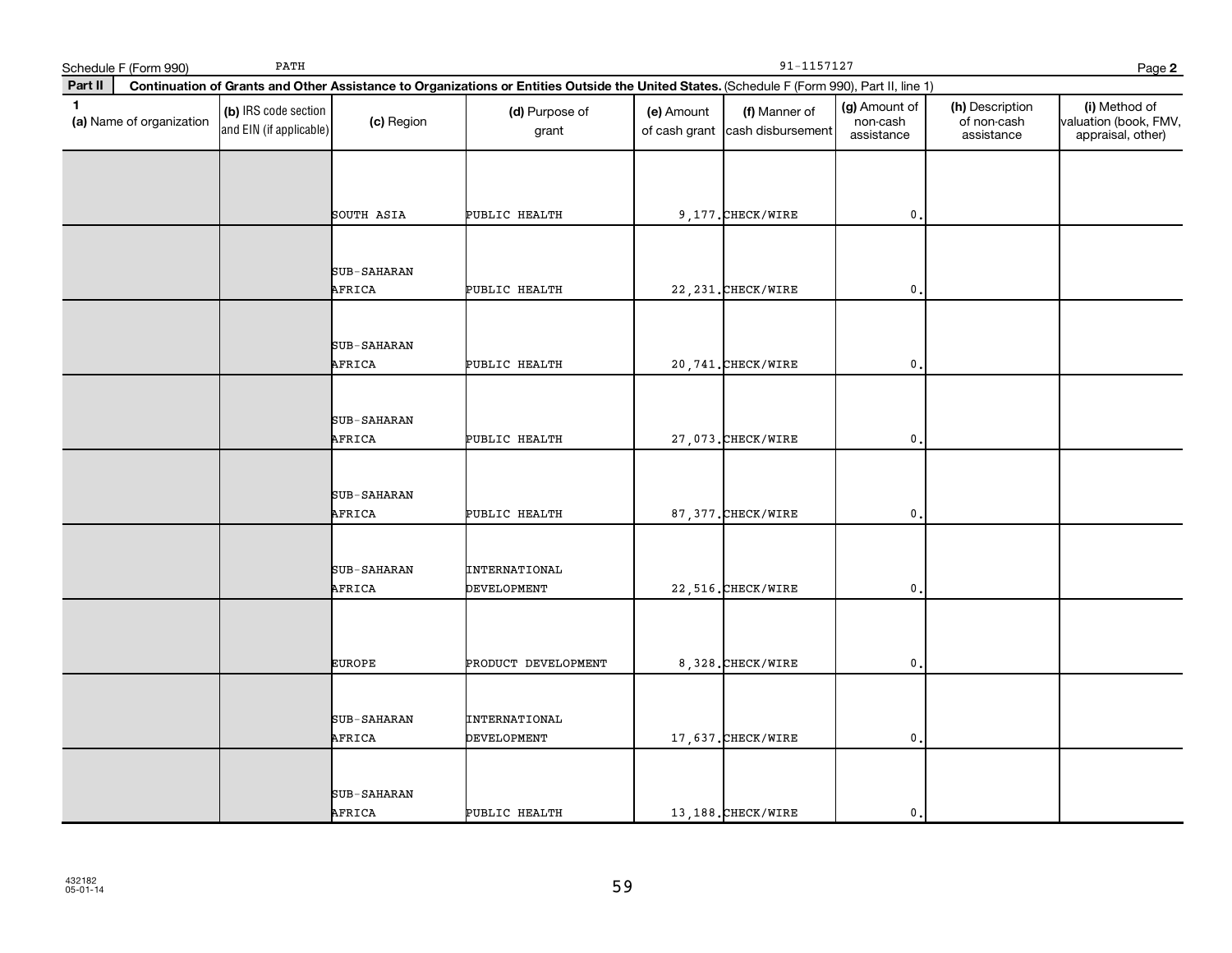|              | Schedule F (Form 990)    | PATH                                            |                              | $91 - 1157127$<br>Page 2                                                                                                                     |            |                                                  |                                         |                                              |                                                             |  |
|--------------|--------------------------|-------------------------------------------------|------------------------------|----------------------------------------------------------------------------------------------------------------------------------------------|------------|--------------------------------------------------|-----------------------------------------|----------------------------------------------|-------------------------------------------------------------|--|
| Part II      |                          |                                                 |                              | Continuation of Grants and Other Assistance to Organizations or Entities Outside the United States. (Schedule F (Form 990), Part II, line 1) |            |                                                  |                                         |                                              |                                                             |  |
| $\mathbf{1}$ | (a) Name of organization | (b) IRS code section<br>and EIN (if applicable) | (c) Region                   | (d) Purpose of<br>grant                                                                                                                      | (e) Amount | (f) Manner of<br>of cash grant cash disbursement | (g) Amount of<br>non-cash<br>assistance | (h) Description<br>of non-cash<br>assistance | (i) Method of<br>valuation (book, FMV,<br>appraisal, other) |  |
|              |                          |                                                 |                              |                                                                                                                                              |            |                                                  |                                         |                                              |                                                             |  |
|              |                          |                                                 | SOUTH ASIA                   | PUBLIC HEALTH                                                                                                                                |            | 9, 177. CHECK/WIRE                               | $\mathbf{0}$                            |                                              |                                                             |  |
|              |                          |                                                 | SUB-SAHARAN<br>AFRICA        | PUBLIC HEALTH                                                                                                                                |            | 22, 231. CHECK/WIRE                              | $\mathfrak o$ .                         |                                              |                                                             |  |
|              |                          |                                                 | <b>SUB-SAHARAN</b><br>AFRICA | PUBLIC HEALTH                                                                                                                                |            | 20,741. CHECK/WIRE                               | $\mathbf 0$                             |                                              |                                                             |  |
|              |                          |                                                 | SUB-SAHARAN<br>AFRICA        | PUBLIC HEALTH                                                                                                                                |            | 27,073. CHECK/WIRE                               | $\mathfrak o$ .                         |                                              |                                                             |  |
|              |                          |                                                 | SUB-SAHARAN<br>AFRICA        | PUBLIC HEALTH                                                                                                                                |            | 87, 377. CHECK/WIRE                              | $\pmb{0}$                               |                                              |                                                             |  |
|              |                          |                                                 | SUB-SAHARAN<br>AFRICA        | <b>INTERNATIONAL</b><br><b>DEVELOPMENT</b>                                                                                                   |            | 22,516. CHECK/WIRE                               | $\mathbf{0}$ .                          |                                              |                                                             |  |
|              |                          |                                                 | EUROPE                       | PRODUCT DEVELOPMENT                                                                                                                          |            | 8,328. CHECK/WIRE                                | $\mathbf 0$ .                           |                                              |                                                             |  |
|              |                          |                                                 | <b>SUB-SAHARAN</b><br>AFRICA | <b>INTERNATIONAL</b><br>DEVELOPMENT                                                                                                          |            | 17,637.CHECK/WIRE                                | $\mathfrak o$ .                         |                                              |                                                             |  |
|              |                          |                                                 | SUB-SAHARAN<br>AFRICA        | PUBLIC HEALTH                                                                                                                                |            | 13,188. CHECK/WIRE                               | $\mathbf{0}$                            |                                              |                                                             |  |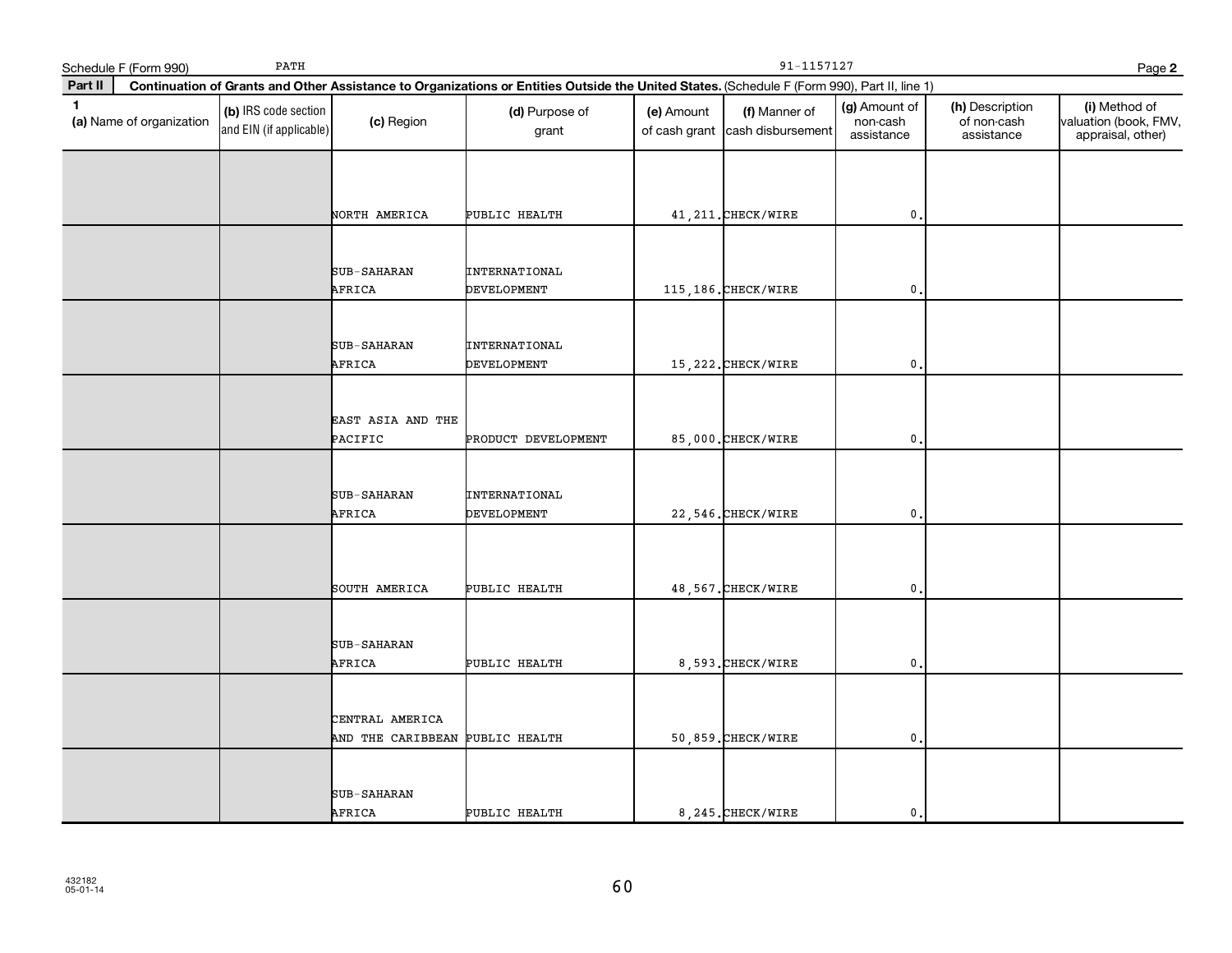|              | Schedule F (Form 990)    | PATH                                            |                                                    |                                                                                                                                              | 91-1157127 |                                                  |                                         |                                              |                                                             |  |
|--------------|--------------------------|-------------------------------------------------|----------------------------------------------------|----------------------------------------------------------------------------------------------------------------------------------------------|------------|--------------------------------------------------|-----------------------------------------|----------------------------------------------|-------------------------------------------------------------|--|
| Part II      |                          |                                                 |                                                    | Continuation of Grants and Other Assistance to Organizations or Entities Outside the United States. (Schedule F (Form 990), Part II, line 1) |            |                                                  |                                         |                                              | Page 2                                                      |  |
| $\mathbf{1}$ | (a) Name of organization | (b) IRS code section<br>and EIN (if applicable) | (c) Region                                         | (d) Purpose of<br>grant                                                                                                                      | (e) Amount | (f) Manner of<br>of cash grant cash disbursement | (g) Amount of<br>non-cash<br>assistance | (h) Description<br>of non-cash<br>assistance | (i) Method of<br>valuation (book, FMV,<br>appraisal, other) |  |
|              |                          |                                                 |                                                    |                                                                                                                                              |            |                                                  |                                         |                                              |                                                             |  |
|              |                          |                                                 | NORTH AMERICA                                      | PUBLIC HEALTH                                                                                                                                |            | 41, 211. CHECK/WIRE                              | $\mathbf 0$ .                           |                                              |                                                             |  |
|              |                          |                                                 | SUB-SAHARAN<br>AFRICA                              | INTERNATIONAL<br><b>DEVELOPMENT</b>                                                                                                          |            | 115, 186. CHECK/WIRE                             | $\mathbf{0}$ .                          |                                              |                                                             |  |
|              |                          |                                                 | SUB-SAHARAN<br>AFRICA                              | INTERNATIONAL<br><b>DEVELOPMENT</b>                                                                                                          |            | 15, 222. CHECK/WIRE                              | $\mathbf 0$ .                           |                                              |                                                             |  |
|              |                          |                                                 | EAST ASIA AND THE<br>PACIFIC                       | PRODUCT DEVELOPMENT                                                                                                                          |            | 85,000. CHECK/WIRE                               | $\mathbf{0}$ .                          |                                              |                                                             |  |
|              |                          |                                                 | <b>SUB-SAHARAN</b><br>AFRICA                       | INTERNATIONAL<br><b>DEVELOPMENT</b>                                                                                                          |            | 22,546. CHECK/WIRE                               | $\mathbf 0$ .                           |                                              |                                                             |  |
|              |                          |                                                 | SOUTH AMERICA                                      | PUBLIC HEALTH                                                                                                                                |            | 48,567. CHECK/WIRE                               | $\mathbf{0}$ .                          |                                              |                                                             |  |
|              |                          |                                                 | SUB-SAHARAN<br>AFRICA                              | PUBLIC HEALTH                                                                                                                                |            | 8,593. CHECK/WIRE                                | $\mathfrak o$ .                         |                                              |                                                             |  |
|              |                          |                                                 | CENTRAL AMERICA<br>AND THE CARIBBEAN PUBLIC HEALTH |                                                                                                                                              |            | 50,859. CHECK/WIRE                               | $\mathbf{0}$ .                          |                                              |                                                             |  |
|              |                          |                                                 | <b>SUB-SAHARAN</b><br>AFRICA                       | PUBLIC HEALTH                                                                                                                                |            | 8, 245. CHECK/WIRE                               | $\mathbf{0}$ .                          |                                              |                                                             |  |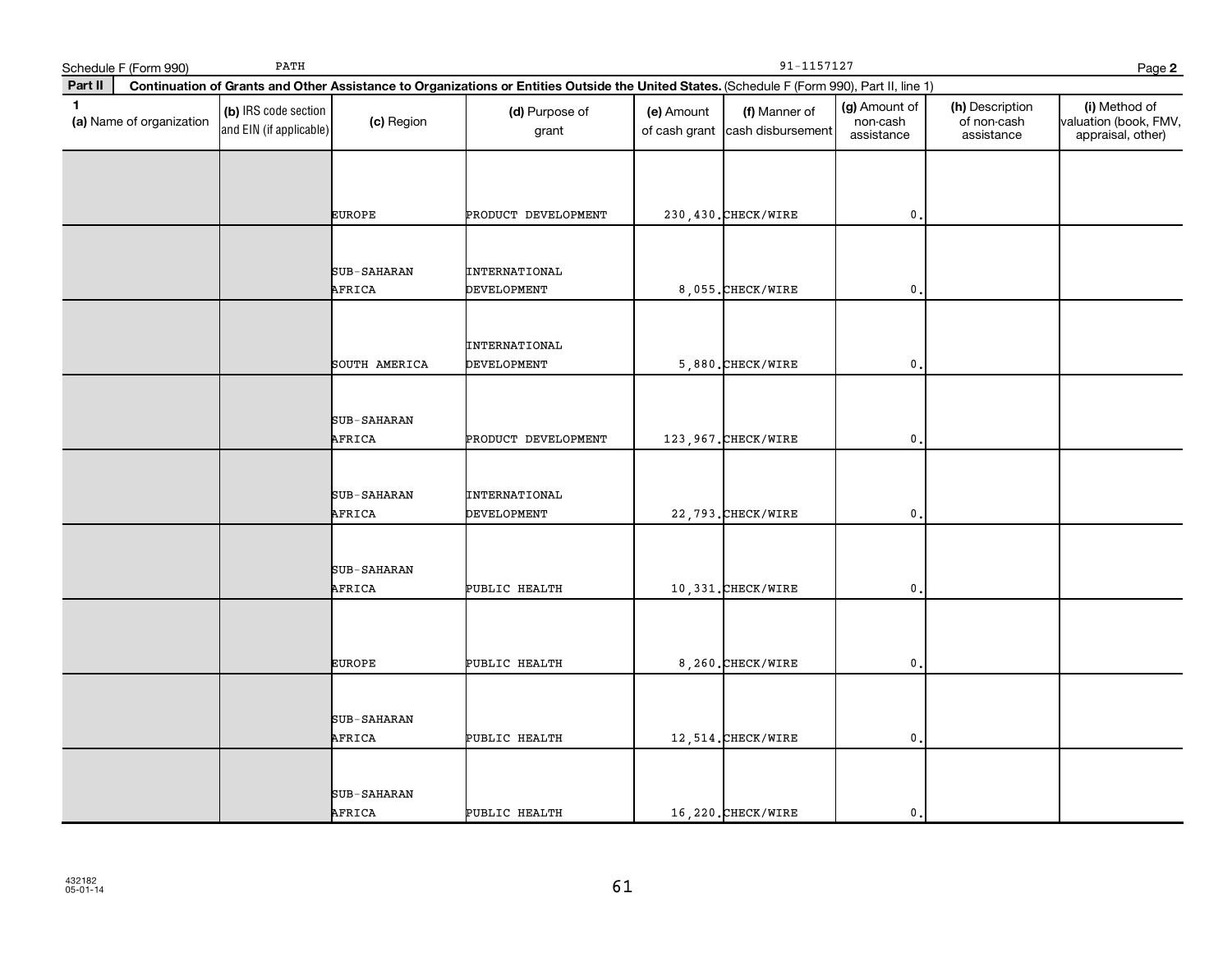|              | Schedule F (Form 990)    | PATH                                            |                              | 91-1157127<br>Page 2                                                                                                                         |            |                                                  |                                         |                                              |                                                             |  |
|--------------|--------------------------|-------------------------------------------------|------------------------------|----------------------------------------------------------------------------------------------------------------------------------------------|------------|--------------------------------------------------|-----------------------------------------|----------------------------------------------|-------------------------------------------------------------|--|
| Part II      |                          |                                                 |                              | Continuation of Grants and Other Assistance to Organizations or Entities Outside the United States. (Schedule F (Form 990), Part II, line 1) |            |                                                  |                                         |                                              |                                                             |  |
| $\mathbf{1}$ | (a) Name of organization | (b) IRS code section<br>and EIN (if applicable) | (c) Region                   | (d) Purpose of<br>grant                                                                                                                      | (e) Amount | (f) Manner of<br>of cash grant cash disbursement | (g) Amount of<br>non-cash<br>assistance | (h) Description<br>of non-cash<br>assistance | (i) Method of<br>valuation (book, FMV,<br>appraisal, other) |  |
|              |                          |                                                 |                              |                                                                                                                                              |            |                                                  |                                         |                                              |                                                             |  |
|              |                          |                                                 | <b>EUROPE</b>                | PRODUCT DEVELOPMENT                                                                                                                          |            | 230,430. CHECK/WIRE                              | $\mathfrak{o}$ .                        |                                              |                                                             |  |
|              |                          |                                                 | SUB-SAHARAN<br>AFRICA        | INTERNATIONAL<br><b>DEVELOPMENT</b>                                                                                                          |            | 8,055. CHECK/WIRE                                | $\mathfrak{o}$ .                        |                                              |                                                             |  |
|              |                          |                                                 | SOUTH AMERICA                | INTERNATIONAL<br>DEVELOPMENT                                                                                                                 |            | 5,880. CHECK/WIRE                                | $\mathbf 0$ .                           |                                              |                                                             |  |
|              |                          |                                                 | <b>SUB-SAHARAN</b><br>AFRICA | PRODUCT DEVELOPMENT                                                                                                                          |            | 123, 967. CHECK/WIRE                             | $\mathbf{0}$ .                          |                                              |                                                             |  |
|              |                          |                                                 | SUB-SAHARAN<br>AFRICA        | INTERNATIONAL<br><b>DEVELOPMENT</b>                                                                                                          |            | 22,793. CHECK/WIRE                               | $\mathbf 0$ .                           |                                              |                                                             |  |
|              |                          |                                                 | <b>SUB-SAHARAN</b><br>AFRICA | PUBLIC HEALTH                                                                                                                                |            | $10, 331.$ CHECK/WIRE                            | $\mathbf{0}$ .                          |                                              |                                                             |  |
|              |                          |                                                 | EUROPE                       | PUBLIC HEALTH                                                                                                                                |            | 8.260. CHECK/WIRE                                | $\mathfrak o$ .                         |                                              |                                                             |  |
|              |                          |                                                 | <b>SUB-SAHARAN</b><br>AFRICA | PUBLIC HEALTH                                                                                                                                |            | 12,514. CHECK/WIRE                               | $\mathbf{0}$ .                          |                                              |                                                             |  |
|              |                          |                                                 | SUB-SAHARAN<br>AFRICA        | PUBLIC HEALTH                                                                                                                                |            | 16,220.CHECK/WIRE                                | $\mathbf{0}$ .                          |                                              |                                                             |  |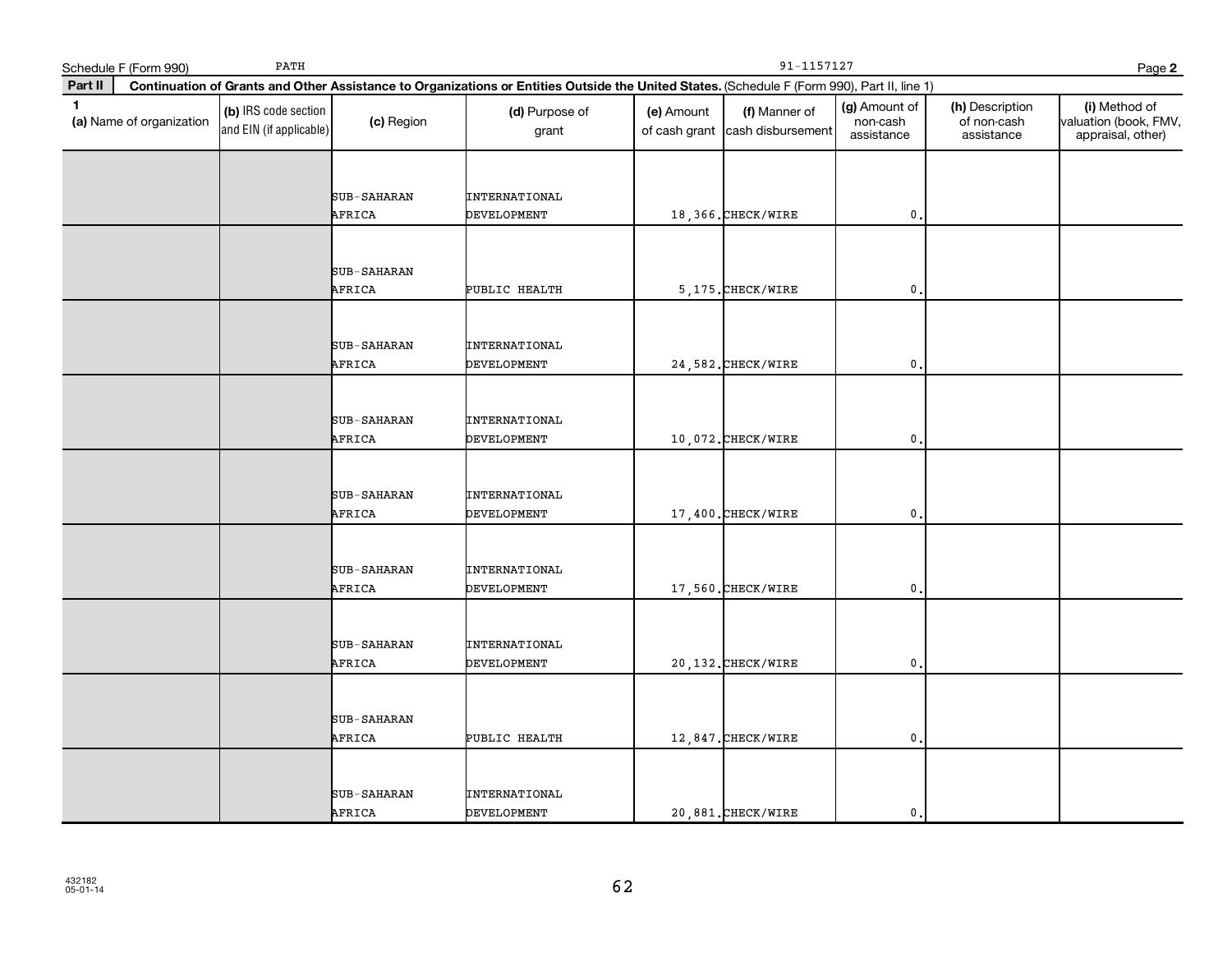|              | Schedule F (Form 990)    | PATH                                            |                       |                                                                                                                                              | 91-1157127<br>Page 2 |                                                  |                                         |                                              |                                                             |  |  |
|--------------|--------------------------|-------------------------------------------------|-----------------------|----------------------------------------------------------------------------------------------------------------------------------------------|----------------------|--------------------------------------------------|-----------------------------------------|----------------------------------------------|-------------------------------------------------------------|--|--|
| Part II      |                          |                                                 |                       | Continuation of Grants and Other Assistance to Organizations or Entities Outside the United States. (Schedule F (Form 990), Part II, line 1) |                      |                                                  |                                         |                                              |                                                             |  |  |
| $\mathbf{1}$ | (a) Name of organization | (b) IRS code section<br>and EIN (if applicable) | (c) Region            | (d) Purpose of<br>grant                                                                                                                      | (e) Amount           | (f) Manner of<br>of cash grant cash disbursement | (g) Amount of<br>non-cash<br>assistance | (h) Description<br>of non-cash<br>assistance | (i) Method of<br>valuation (book, FMV,<br>appraisal, other) |  |  |
|              |                          |                                                 | SUB-SAHARAN<br>AFRICA | INTERNATIONAL<br><b>DEVELOPMENT</b>                                                                                                          |                      | 18,366. CHECK/WIRE                               | $\mathbf 0$ .                           |                                              |                                                             |  |  |
|              |                          |                                                 | SUB-SAHARAN<br>AFRICA | PUBLIC HEALTH                                                                                                                                |                      | 5, 175. CHECK/WIRE                               | $\mathbf{0}$ .                          |                                              |                                                             |  |  |
|              |                          |                                                 | SUB-SAHARAN<br>AFRICA | INTERNATIONAL<br>DEVELOPMENT                                                                                                                 |                      | 24,582. CHECK/WIRE                               | $\mathbf 0$ .                           |                                              |                                                             |  |  |
|              |                          |                                                 | SUB-SAHARAN<br>AFRICA | <b>INTERNATIONAL</b><br><b>DEVELOPMENT</b>                                                                                                   |                      | 10,072. CHECK/WIRE                               | $\mathfrak{o}$ .                        |                                              |                                                             |  |  |
|              |                          |                                                 | SUB-SAHARAN<br>AFRICA | INTERNATIONAL<br><b>DEVELOPMENT</b>                                                                                                          |                      | 17,400. CHECK/WIRE                               | $\mathbf{0}$                            |                                              |                                                             |  |  |
|              |                          |                                                 | SUB-SAHARAN<br>AFRICA | <b>INTERNATIONAL</b><br><b>DEVELOPMENT</b>                                                                                                   |                      | 17,560. CHECK/WIRE                               | $\mathbf{0}$ .                          |                                              |                                                             |  |  |
|              |                          |                                                 | SUB-SAHARAN<br>AFRICA | <b>INTERNATIONAL</b><br>DEVELOPMENT                                                                                                          |                      | 20, 132. CHECK/WIRE                              | $\mathbf{0}$                            |                                              |                                                             |  |  |
|              |                          |                                                 | SUB-SAHARAN<br>AFRICA | PUBLIC HEALTH                                                                                                                                |                      | 12,847. CHECK/WIRE                               | $\mathfrak{o}$ .                        |                                              |                                                             |  |  |
|              |                          |                                                 | SUB-SAHARAN<br>AFRICA | <b>INTERNATIONAL</b><br><b>DEVELOPMENT</b>                                                                                                   |                      | 20,881. CHECK/WIRE                               | $\mathbf{0}$ .                          |                                              |                                                             |  |  |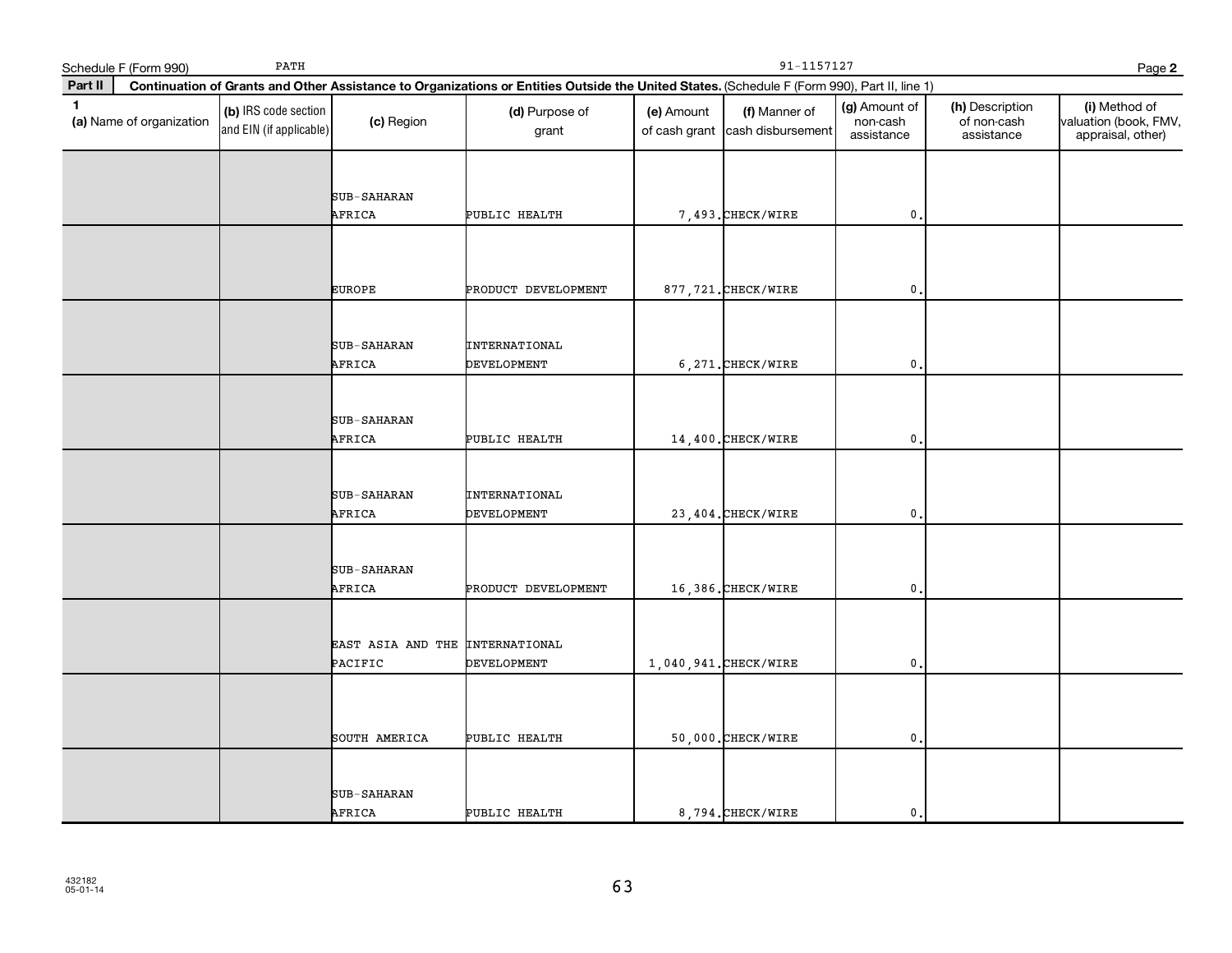|              | Schedule F (Form 990)    | PATH                                            |                                            | 91-1157127<br>Page 2                                                                                                                         |            |                                                  |                                         |                                              |                                                             |  |
|--------------|--------------------------|-------------------------------------------------|--------------------------------------------|----------------------------------------------------------------------------------------------------------------------------------------------|------------|--------------------------------------------------|-----------------------------------------|----------------------------------------------|-------------------------------------------------------------|--|
| Part II      |                          |                                                 |                                            | Continuation of Grants and Other Assistance to Organizations or Entities Outside the United States. (Schedule F (Form 990), Part II, line 1) |            |                                                  |                                         |                                              |                                                             |  |
| $\mathbf{1}$ | (a) Name of organization | (b) IRS code section<br>and EIN (if applicable) | (c) Region                                 | (d) Purpose of<br>grant                                                                                                                      | (e) Amount | (f) Manner of<br>of cash grant cash disbursement | (g) Amount of<br>non-cash<br>assistance | (h) Description<br>of non-cash<br>assistance | (i) Method of<br>valuation (book, FMV,<br>appraisal, other) |  |
|              |                          |                                                 | <b>SUB-SAHARAN</b><br>AFRICA               | PUBLIC HEALTH                                                                                                                                |            | 7,493. CHECK/WIRE                                | $\mathfrak{o}$ .                        |                                              |                                                             |  |
|              |                          |                                                 | <b>EUROPE</b>                              | PRODUCT DEVELOPMENT                                                                                                                          |            | 877, 721. CHECK/WIRE                             | $\mathfrak{o}$ .                        |                                              |                                                             |  |
|              |                          |                                                 | <b>SUB-SAHARAN</b><br>AFRICA               | INTERNATIONAL<br>DEVELOPMENT                                                                                                                 |            | 6, 271. CHECK/WIRE                               | $\mathbf 0$ .                           |                                              |                                                             |  |
|              |                          |                                                 | <b>SUB-SAHARAN</b><br>AFRICA               | PUBLIC HEALTH                                                                                                                                |            | 14,400. CHECK/WIRE                               | $\mathbf{0}$ .                          |                                              |                                                             |  |
|              |                          |                                                 | SUB-SAHARAN<br>AFRICA                      | INTERNATIONAL<br><b>DEVELOPMENT</b>                                                                                                          |            | 23, 404. CHECK/WIRE                              | $\mathbf{0}$                            |                                              |                                                             |  |
|              |                          |                                                 | <b>SUB-SAHARAN</b><br>AFRICA               | PRODUCT DEVELOPMENT                                                                                                                          |            | 16,386.CHECK/WIRE                                | $\mathbf{0}$ .                          |                                              |                                                             |  |
|              |                          |                                                 | EAST ASIA AND THE INTERNATIONAL<br>PACIFIC | <b>DEVELOPMENT</b>                                                                                                                           |            | 1,040,941. CHECK/WIRE                            | $\mathfrak o$ .                         |                                              |                                                             |  |
|              |                          |                                                 | SOUTH AMERICA                              | PUBLIC HEALTH                                                                                                                                |            | 50,000. CHECK/WIRE                               | $\mathbf{0}$ .                          |                                              |                                                             |  |
|              |                          |                                                 | SUB-SAHARAN<br>AFRICA                      | PUBLIC HEALTH                                                                                                                                |            | 8,794. CHECK/WIRE                                | 0.                                      |                                              |                                                             |  |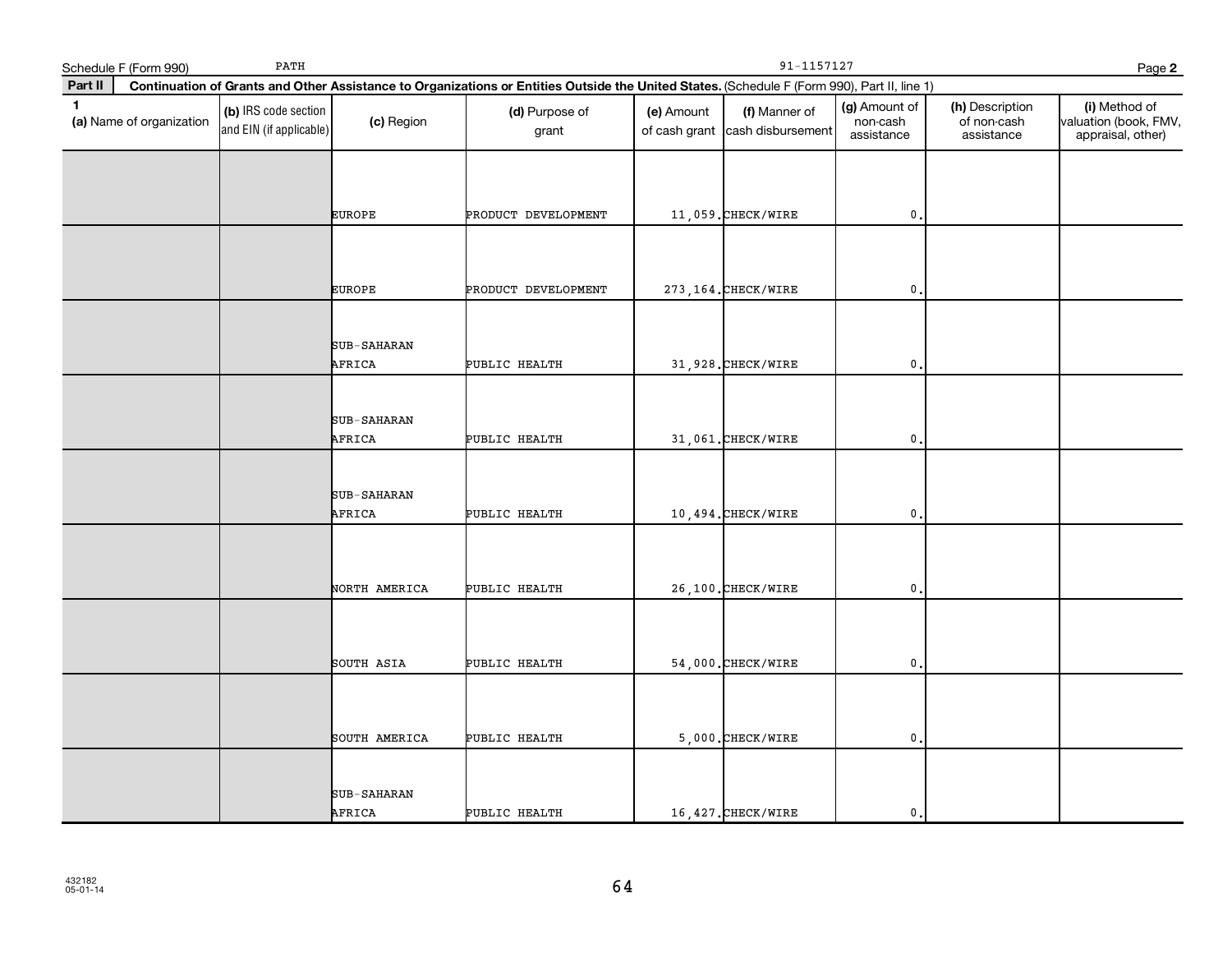|              | Schedule F (Form 990)    | PATH                                            |                              | 91-1157127<br>Page 2                                                                                                                         |            |                                                  |                                         |                                              |                                                             |  |
|--------------|--------------------------|-------------------------------------------------|------------------------------|----------------------------------------------------------------------------------------------------------------------------------------------|------------|--------------------------------------------------|-----------------------------------------|----------------------------------------------|-------------------------------------------------------------|--|
| Part II      |                          |                                                 |                              | Continuation of Grants and Other Assistance to Organizations or Entities Outside the United States. (Schedule F (Form 990), Part II, line 1) |            |                                                  |                                         |                                              |                                                             |  |
| $\mathbf{1}$ | (a) Name of organization | (b) IRS code section<br>and EIN (if applicable) | (c) Region                   | (d) Purpose of<br>grant                                                                                                                      | (e) Amount | (f) Manner of<br>of cash grant cash disbursement | (g) Amount of<br>non-cash<br>assistance | (h) Description<br>of non-cash<br>assistance | (i) Method of<br>valuation (book, FMV,<br>appraisal, other) |  |
|              |                          |                                                 |                              |                                                                                                                                              |            |                                                  |                                         |                                              |                                                             |  |
|              |                          |                                                 | <b>EUROPE</b>                | PRODUCT DEVELOPMENT                                                                                                                          |            | 11,059. CHECK/WIRE                               | $\mathfrak{o}$ .                        |                                              |                                                             |  |
|              |                          |                                                 | <b>EUROPE</b>                | PRODUCT DEVELOPMENT                                                                                                                          |            | 273, 164. CHECK/WIRE                             | $\mathfrak{o}$ .                        |                                              |                                                             |  |
|              |                          |                                                 | SUB-SAHARAN<br>AFRICA        | PUBLIC HEALTH                                                                                                                                |            | 31,928. CHECK/WIRE                               | $\mathfrak o$ .                         |                                              |                                                             |  |
|              |                          |                                                 |                              |                                                                                                                                              |            |                                                  |                                         |                                              |                                                             |  |
|              |                          |                                                 | <b>SUB-SAHARAN</b><br>AFRICA | PUBLIC HEALTH                                                                                                                                |            | 31,061. CHECK/WIRE                               | $\mathbf{0}$ .                          |                                              |                                                             |  |
|              |                          |                                                 | SUB-SAHARAN<br>AFRICA        | PUBLIC HEALTH                                                                                                                                |            | 10,494. CHECK/WIRE                               | $\mathbf 0$ .                           |                                              |                                                             |  |
|              |                          |                                                 |                              |                                                                                                                                              |            |                                                  |                                         |                                              |                                                             |  |
|              |                          |                                                 | NORTH AMERICA                | PUBLIC HEALTH                                                                                                                                |            | 26,100. CHECK/WIRE                               | $\mathbf{0}$ .                          |                                              |                                                             |  |
|              |                          |                                                 | SOUTH ASIA                   | PUBLIC HEALTH                                                                                                                                |            | 54,000. CHECK/WIRE                               | $\mathfrak o$ .                         |                                              |                                                             |  |
|              |                          |                                                 |                              |                                                                                                                                              |            |                                                  |                                         |                                              |                                                             |  |
|              |                          |                                                 | SOUTH AMERICA                | PUBLIC HEALTH                                                                                                                                |            | 5,000. CHECK/WIRE                                | $\mathbf{0}$ .                          |                                              |                                                             |  |
|              |                          |                                                 | SUB-SAHARAN<br>AFRICA        | PUBLIC HEALTH                                                                                                                                |            | 16,427. CHECK/WIRE                               | $\mathbf{0}$ .                          |                                              |                                                             |  |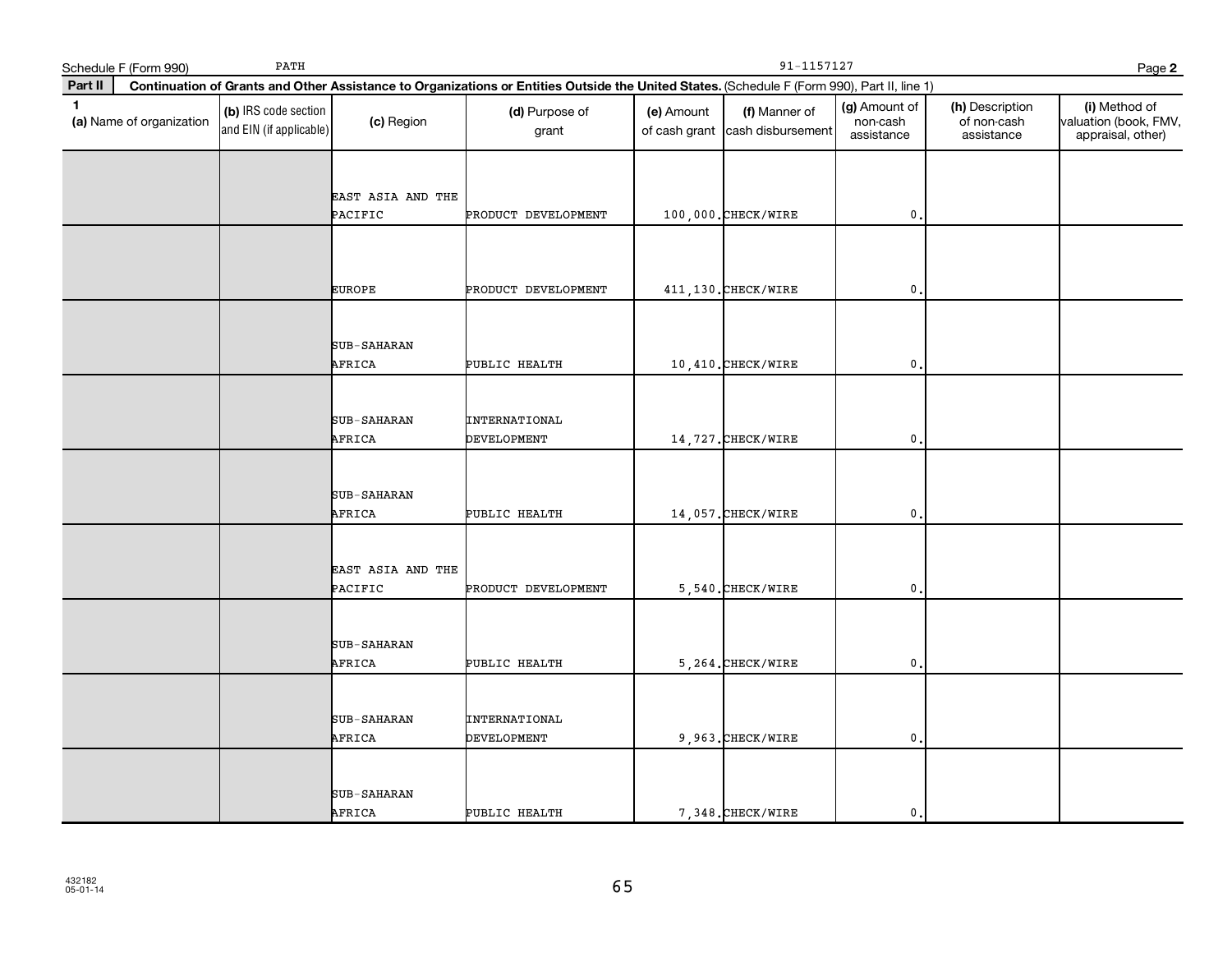|              | Schedule F (Form 990)    | PATH                                            |                              | 91-1157127<br>Page 2                                                                                                                         |            |                                                  |                                         |                                              |                                                             |  |
|--------------|--------------------------|-------------------------------------------------|------------------------------|----------------------------------------------------------------------------------------------------------------------------------------------|------------|--------------------------------------------------|-----------------------------------------|----------------------------------------------|-------------------------------------------------------------|--|
| Part II      |                          |                                                 |                              | Continuation of Grants and Other Assistance to Organizations or Entities Outside the United States. (Schedule F (Form 990), Part II, line 1) |            |                                                  |                                         |                                              |                                                             |  |
| $\mathbf{1}$ | (a) Name of organization | (b) IRS code section<br>and EIN (if applicable) | (c) Region                   | (d) Purpose of<br>grant                                                                                                                      | (e) Amount | (f) Manner of<br>of cash grant cash disbursement | (g) Amount of<br>non-cash<br>assistance | (h) Description<br>of non-cash<br>assistance | (i) Method of<br>valuation (book, FMV,<br>appraisal, other) |  |
|              |                          |                                                 | EAST ASIA AND THE<br>PACIFIC | PRODUCT DEVELOPMENT                                                                                                                          |            | 100,000. CHECK/WIRE                              | $\mathbf 0$ .                           |                                              |                                                             |  |
|              |                          |                                                 | <b>EUROPE</b>                | PRODUCT DEVELOPMENT                                                                                                                          |            | 411, 130. CHECK/WIRE                             | $\mathbf 0$ .                           |                                              |                                                             |  |
|              |                          |                                                 | <b>SUB-SAHARAN</b><br>AFRICA | PUBLIC HEALTH                                                                                                                                |            | 10,410. CHECK/WIRE                               | 0.                                      |                                              |                                                             |  |
|              |                          |                                                 | <b>SUB-SAHARAN</b><br>AFRICA | INTERNATIONAL<br><b>DEVELOPMENT</b>                                                                                                          |            | 14,727. CHECK/WIRE                               | $\mathbf{0}$ .                          |                                              |                                                             |  |
|              |                          |                                                 | SUB-SAHARAN<br>AFRICA        | PUBLIC HEALTH                                                                                                                                |            | 14,057. CHECK/WIRE                               | $\mathbf{0}$                            |                                              |                                                             |  |
|              |                          |                                                 | EAST ASIA AND THE<br>PACIFIC | PRODUCT DEVELOPMENT                                                                                                                          |            | 5,540. CHECK/WIRE                                | $\mathbf{0}$ .                          |                                              |                                                             |  |
|              |                          |                                                 | SUB-SAHARAN<br>AFRICA        | PUBLIC HEALTH                                                                                                                                |            | 5.264. CHECK/WIRE                                | $\mathfrak o$ .                         |                                              |                                                             |  |
|              |                          |                                                 | SUB-SAHARAN<br>AFRICA        | INTERNATIONAL<br><b>DEVELOPMENT</b>                                                                                                          |            | 9,963. CHECK/WIRE                                | $\mathbf{0}$ .                          |                                              |                                                             |  |
|              |                          |                                                 | SUB-SAHARAN<br>AFRICA        | PUBLIC HEALTH                                                                                                                                |            | 7.348. CHECK/WIRE                                | $\mathbf{0}$ .                          |                                              |                                                             |  |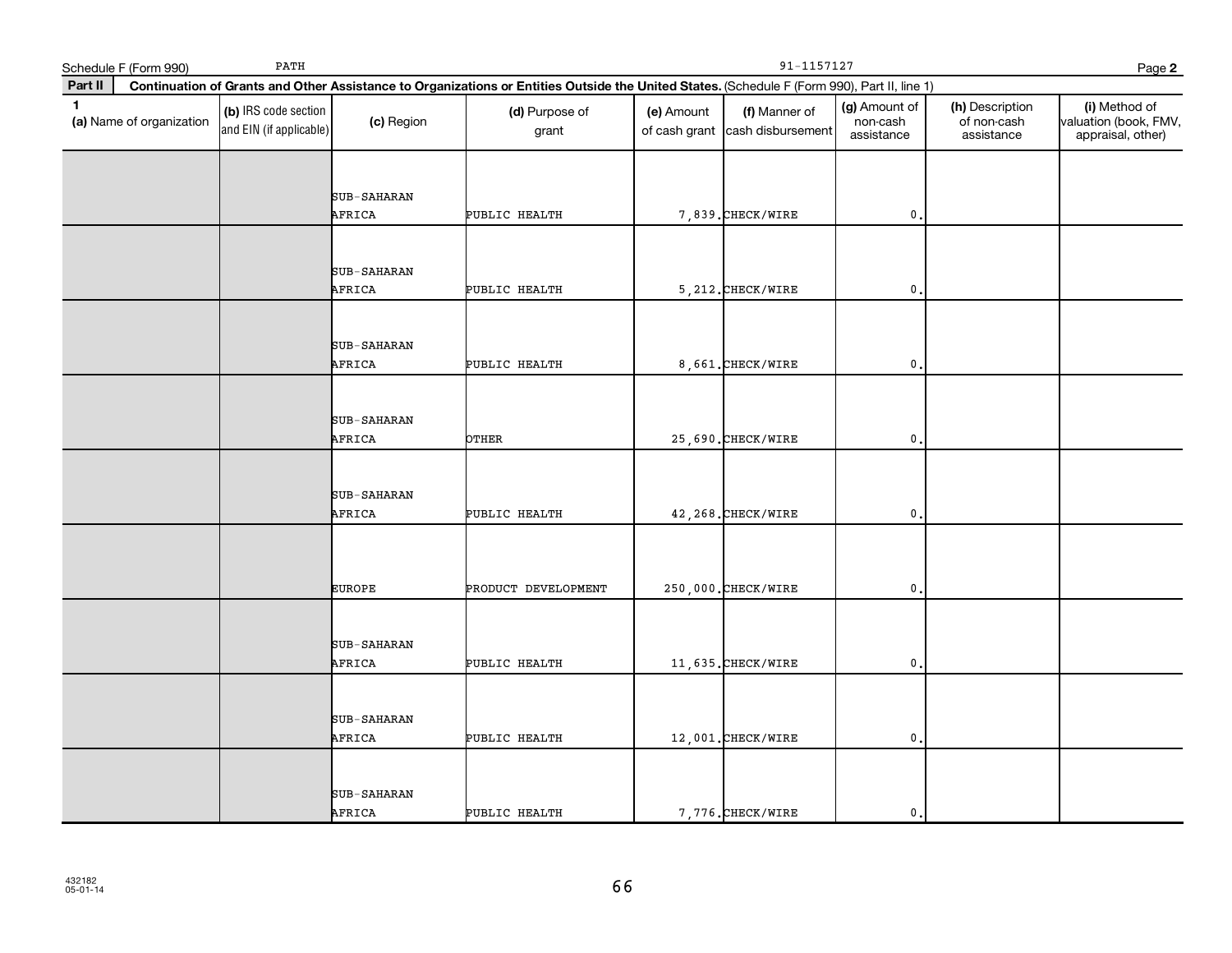|              | Schedule F (Form 990)    | PATH                                            |                              | 91-1157127<br>Page 2                                                                                                                         |            |                                                  |                                         |                                              |                                                             |  |
|--------------|--------------------------|-------------------------------------------------|------------------------------|----------------------------------------------------------------------------------------------------------------------------------------------|------------|--------------------------------------------------|-----------------------------------------|----------------------------------------------|-------------------------------------------------------------|--|
| Part II      |                          |                                                 |                              | Continuation of Grants and Other Assistance to Organizations or Entities Outside the United States. (Schedule F (Form 990), Part II, line 1) |            |                                                  |                                         |                                              |                                                             |  |
| $\mathbf{1}$ | (a) Name of organization | (b) IRS code section<br>and EIN (if applicable) | (c) Region                   | (d) Purpose of<br>grant                                                                                                                      | (e) Amount | (f) Manner of<br>of cash grant cash disbursement | (g) Amount of<br>non-cash<br>assistance | (h) Description<br>of non-cash<br>assistance | (i) Method of<br>valuation (book, FMV,<br>appraisal, other) |  |
|              |                          |                                                 | <b>SUB-SAHARAN</b><br>AFRICA | PUBLIC HEALTH                                                                                                                                |            | 7,839. CHECK/WIRE                                | $\mathfrak{o}$ .                        |                                              |                                                             |  |
|              |                          |                                                 | SUB-SAHARAN<br>AFRICA        | PUBLIC HEALTH                                                                                                                                |            | 5, 212. CHECK/WIRE                               | $\mathfrak{o}$ .                        |                                              |                                                             |  |
|              |                          |                                                 | SUB-SAHARAN<br>AFRICA        | PUBLIC HEALTH                                                                                                                                |            | 8,661. CHECK/WIRE                                | $\mathfrak o$ .                         |                                              |                                                             |  |
|              |                          |                                                 | <b>SUB-SAHARAN</b><br>AFRICA | <b>OTHER</b>                                                                                                                                 |            | 25,690. CHECK/WIRE                               | $\mathbf{0}$ .                          |                                              |                                                             |  |
|              |                          |                                                 | <b>SUB-SAHARAN</b><br>AFRICA | PUBLIC HEALTH                                                                                                                                |            | 42,268. CHECK/WIRE                               | $\mathbf 0$ .                           |                                              |                                                             |  |
|              |                          |                                                 | <b>EUROPE</b>                | PRODUCT DEVELOPMENT                                                                                                                          |            | 250,000. CHECK/WIRE                              | $\mathbf{0}$ .                          |                                              |                                                             |  |
|              |                          |                                                 | <b>SUB-SAHARAN</b><br>AFRICA | PUBLIC HEALTH                                                                                                                                |            | 11,635. CHECK/WIRE                               | $\mathfrak o$ .                         |                                              |                                                             |  |
|              |                          |                                                 | <b>SUB-SAHARAN</b><br>AFRICA | PUBLIC HEALTH                                                                                                                                |            | 12,001. CHECK/WIRE                               | $\mathbf{0}$ .                          |                                              |                                                             |  |
|              |                          |                                                 | SUB-SAHARAN<br>AFRICA        | PUBLIC HEALTH                                                                                                                                |            | 7,776. CHECK/WIRE                                | $\mathbf{0}$ .                          |                                              |                                                             |  |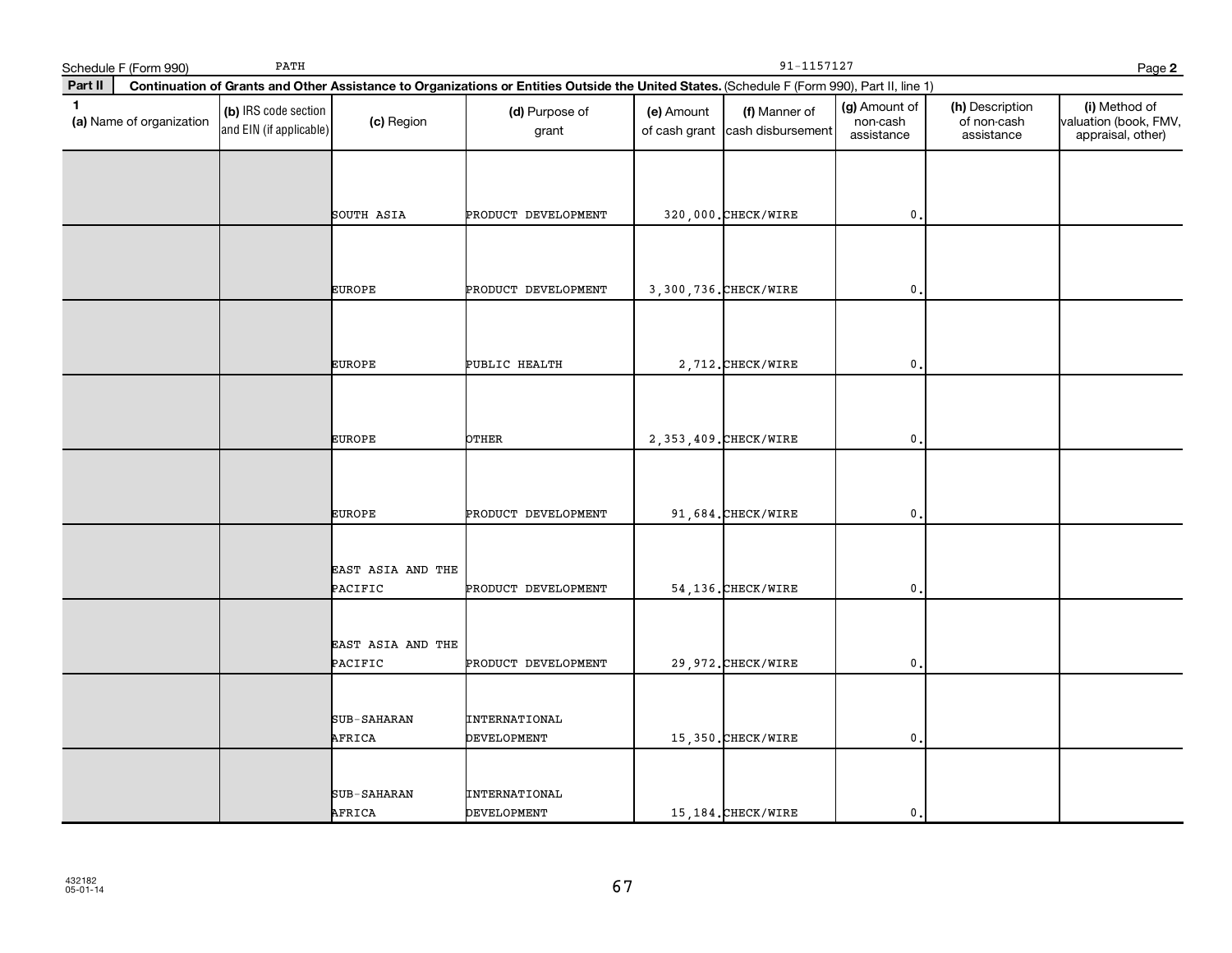|              | Schedule F (Form 990)    | PATH                                            |                              | 91-1157127<br>Page 2                                                                                                                         |            |                                                  |                                         |                                              |                                                             |  |
|--------------|--------------------------|-------------------------------------------------|------------------------------|----------------------------------------------------------------------------------------------------------------------------------------------|------------|--------------------------------------------------|-----------------------------------------|----------------------------------------------|-------------------------------------------------------------|--|
| Part II      |                          |                                                 |                              | Continuation of Grants and Other Assistance to Organizations or Entities Outside the United States. (Schedule F (Form 990), Part II, line 1) |            |                                                  |                                         |                                              |                                                             |  |
| $\mathbf{1}$ | (a) Name of organization | (b) IRS code section<br>and EIN (if applicable) | (c) Region                   | (d) Purpose of<br>grant                                                                                                                      | (e) Amount | (f) Manner of<br>of cash grant cash disbursement | (g) Amount of<br>non-cash<br>assistance | (h) Description<br>of non-cash<br>assistance | (i) Method of<br>valuation (book, FMV,<br>appraisal, other) |  |
|              |                          |                                                 | SOUTH ASIA                   | PRODUCT DEVELOPMENT                                                                                                                          |            | 320,000. CHECK/WIRE                              | $\mathbf 0$ .                           |                                              |                                                             |  |
|              |                          |                                                 |                              |                                                                                                                                              |            |                                                  |                                         |                                              |                                                             |  |
|              |                          |                                                 | <b>EUROPE</b>                | PRODUCT DEVELOPMENT                                                                                                                          |            | 3,300,736. CHECK/WIRE                            | $\mathfrak o$ .                         |                                              |                                                             |  |
|              |                          |                                                 | <b>EUROPE</b>                | PUBLIC HEALTH                                                                                                                                |            | 2,712. CHECK/WIRE                                | $\mathbf 0$ .                           |                                              |                                                             |  |
|              |                          |                                                 |                              |                                                                                                                                              |            |                                                  |                                         |                                              |                                                             |  |
|              |                          |                                                 | <b>EUROPE</b>                | OTHER                                                                                                                                        |            | 2, 353, 409. CHECK/WIRE                          | $\mathfrak{o}$ .                        |                                              |                                                             |  |
|              |                          |                                                 | <b>EUROPE</b>                | PRODUCT DEVELOPMENT                                                                                                                          |            | 91,684. CHECK/WIRE                               | $\mathbf{0}$                            |                                              |                                                             |  |
|              |                          |                                                 | EAST ASIA AND THE<br>PACIFIC | PRODUCT DEVELOPMENT                                                                                                                          |            | 54,136. CHECK/WIRE                               | $\mathbf{0}$ .                          |                                              |                                                             |  |
|              |                          |                                                 | EAST ASIA AND THE<br>PACIFIC | PRODUCT DEVELOPMENT                                                                                                                          |            | 29,972. CHECK/WIRE                               | $\mathbf{0}$ .                          |                                              |                                                             |  |
|              |                          |                                                 | SUB-SAHARAN<br>AFRICA        | <b>INTERNATIONAL</b><br><b>DEVELOPMENT</b>                                                                                                   |            | 15,350.CHECK/WIRE                                | $\mathfrak{o}$ .                        |                                              |                                                             |  |
|              |                          |                                                 | SUB-SAHARAN<br>AFRICA        | <b>INTERNATIONAL</b><br><b>DEVELOPMENT</b>                                                                                                   |            | 15,184. CHECK/WIRE                               | $\mathbf{0}$ .                          |                                              |                                                             |  |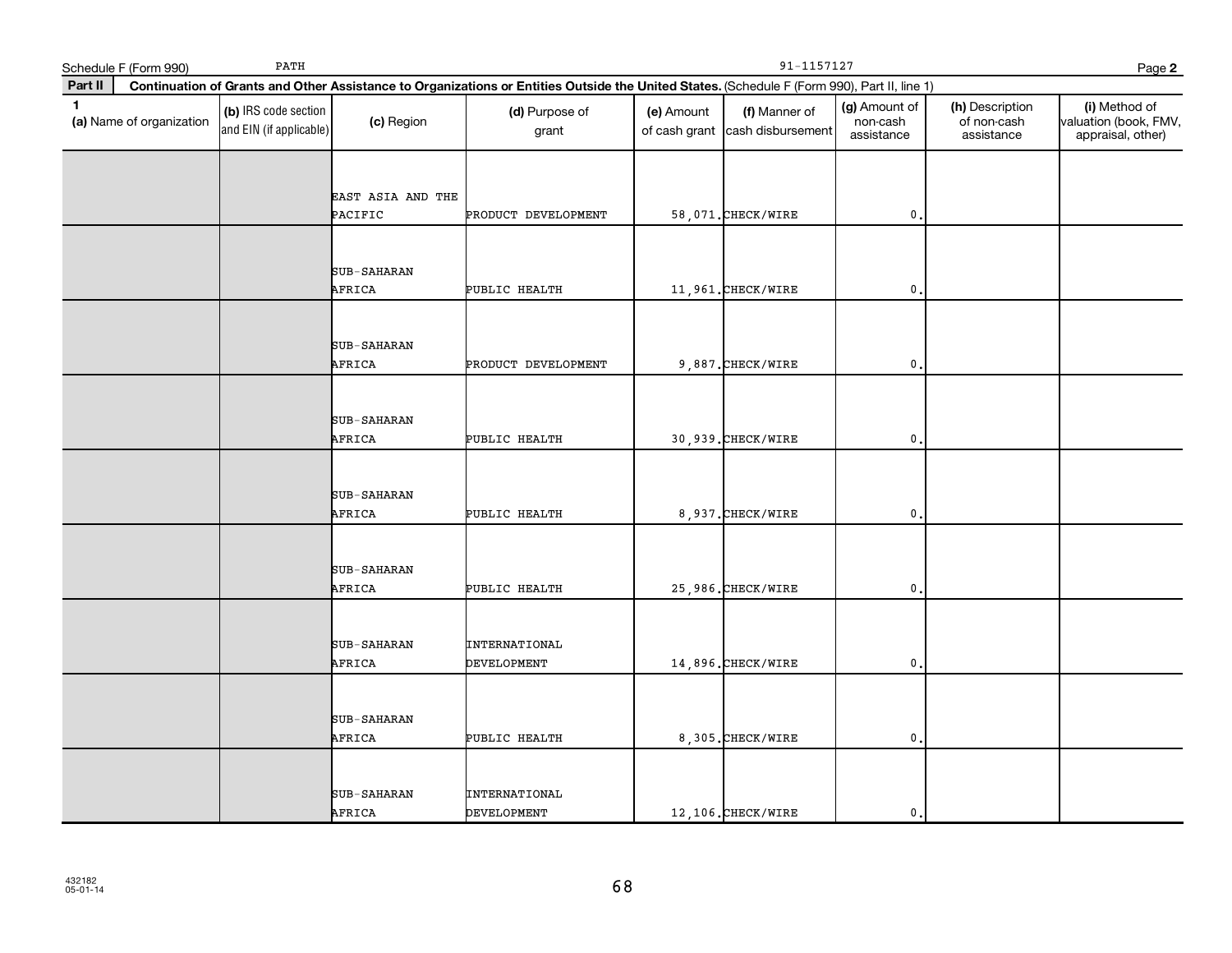|              | PATH<br>Schedule F (Form 990) |                                                 |                              | 91-1157127<br>Page 2                                                                                                                         |            |                                                  |                                         |                                              |                                                             |  |  |
|--------------|-------------------------------|-------------------------------------------------|------------------------------|----------------------------------------------------------------------------------------------------------------------------------------------|------------|--------------------------------------------------|-----------------------------------------|----------------------------------------------|-------------------------------------------------------------|--|--|
| Part II      |                               |                                                 |                              | Continuation of Grants and Other Assistance to Organizations or Entities Outside the United States. (Schedule F (Form 990), Part II, line 1) |            |                                                  |                                         |                                              |                                                             |  |  |
| $\mathbf{1}$ | (a) Name of organization      | (b) IRS code section<br>and EIN (if applicable) | (c) Region                   | (d) Purpose of<br>grant                                                                                                                      | (e) Amount | (f) Manner of<br>of cash grant cash disbursement | (g) Amount of<br>non-cash<br>assistance | (h) Description<br>of non-cash<br>assistance | (i) Method of<br>valuation (book, FMV,<br>appraisal, other) |  |  |
|              |                               |                                                 | EAST ASIA AND THE<br>PACIFIC | PRODUCT DEVELOPMENT                                                                                                                          |            | 58,071. CHECK/WIRE                               | 0,                                      |                                              |                                                             |  |  |
|              |                               |                                                 | SUB-SAHARAN<br>AFRICA        | PUBLIC HEALTH                                                                                                                                |            | 11,961.CHECK/WIRE                                | $\mathbf{0}$ .                          |                                              |                                                             |  |  |
|              |                               |                                                 | <b>SUB-SAHARAN</b><br>AFRICA | PRODUCT DEVELOPMENT                                                                                                                          |            | 9,887. CHECK/WIRE                                | 0,                                      |                                              |                                                             |  |  |
|              |                               |                                                 | SUB-SAHARAN<br>AFRICA        | PUBLIC HEALTH                                                                                                                                |            | 30,939. CHECK/WIRE                               | $\mathfrak o$ .                         |                                              |                                                             |  |  |
|              |                               |                                                 | SUB-SAHARAN<br>AFRICA        | PUBLIC HEALTH                                                                                                                                |            | 8,937. CHECK/WIRE                                | $\mathbf{0}$ .                          |                                              |                                                             |  |  |
|              |                               |                                                 | SUB-SAHARAN<br>AFRICA        | PUBLIC HEALTH                                                                                                                                |            | 25,986. CHECK/WIRE                               | $\mathbf{0}$ .                          |                                              |                                                             |  |  |
|              |                               |                                                 | <b>SUB-SAHARAN</b><br>AFRICA | <b>INTERNATIONAL</b><br><b>DEVELOPMENT</b>                                                                                                   |            | 14,896. CHECK/WIRE                               | 0.                                      |                                              |                                                             |  |  |
|              |                               |                                                 | <b>SUB-SAHARAN</b><br>AFRICA | PUBLIC HEALTH                                                                                                                                |            | 8,305. CHECK/WIRE                                | $\mathbf{0}$ .                          |                                              |                                                             |  |  |
|              |                               |                                                 | SUB-SAHARAN<br>AFRICA        | INTERNATIONAL<br><b>DEVELOPMENT</b>                                                                                                          |            | 12,106. CHECK/WIRE                               | 0.                                      |                                              |                                                             |  |  |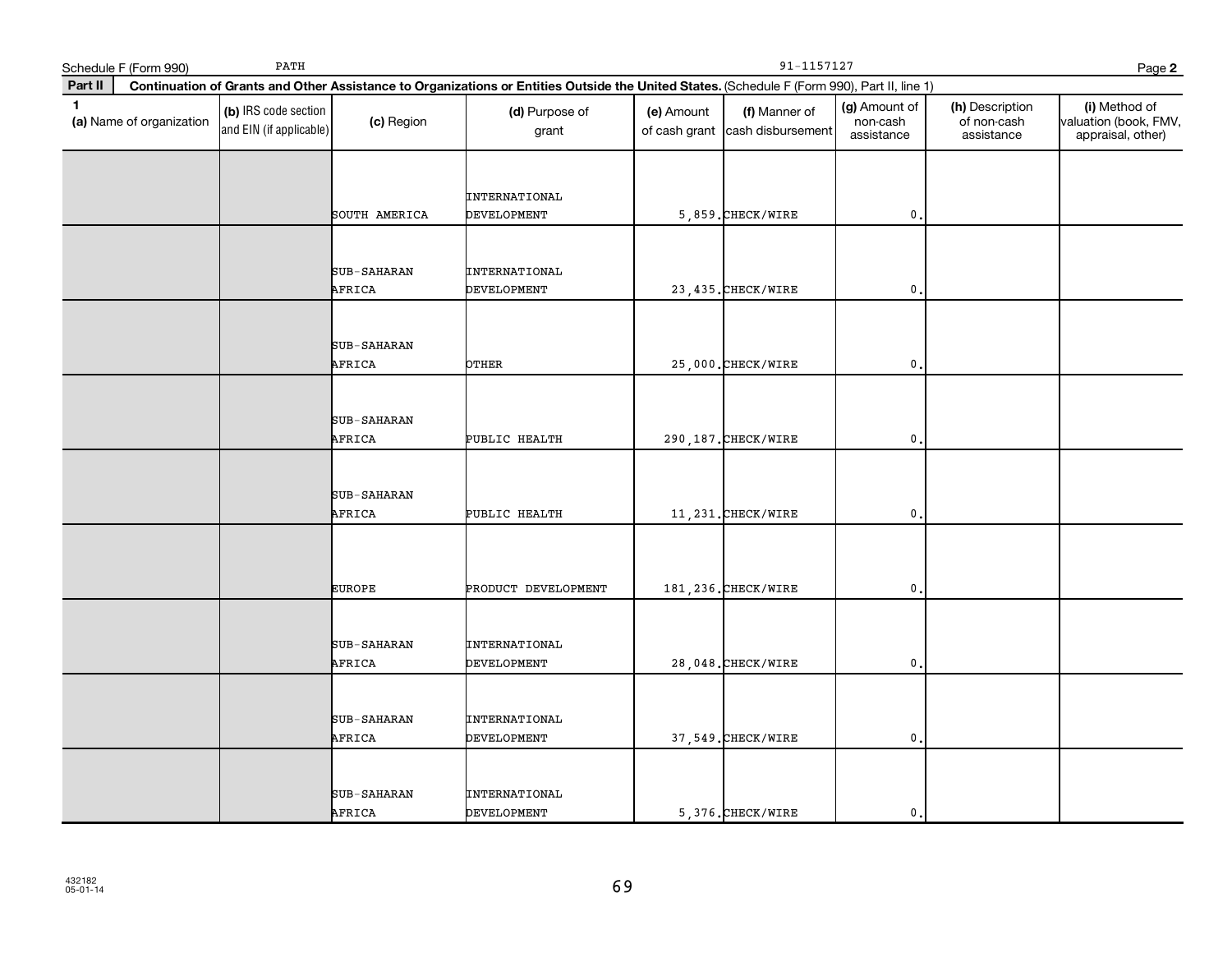|              | Schedule F (Form 990)    | PATH                                            |                       | 91-1157127<br>Page 2                                                                                                                         |            |                                                  |                                         |                                              |                                                             |  |  |
|--------------|--------------------------|-------------------------------------------------|-----------------------|----------------------------------------------------------------------------------------------------------------------------------------------|------------|--------------------------------------------------|-----------------------------------------|----------------------------------------------|-------------------------------------------------------------|--|--|
| Part II      |                          |                                                 |                       | Continuation of Grants and Other Assistance to Organizations or Entities Outside the United States. (Schedule F (Form 990), Part II, line 1) |            |                                                  |                                         |                                              |                                                             |  |  |
| $\mathbf{1}$ | (a) Name of organization | (b) IRS code section<br>and EIN (if applicable) | (c) Region            | (d) Purpose of<br>grant                                                                                                                      | (e) Amount | (f) Manner of<br>of cash grant cash disbursement | (g) Amount of<br>non-cash<br>assistance | (h) Description<br>of non-cash<br>assistance | (i) Method of<br>valuation (book, FMV,<br>appraisal, other) |  |  |
|              |                          |                                                 | SOUTH AMERICA         | <b>INTERNATIONAL</b><br><b>DEVELOPMENT</b>                                                                                                   |            | 5,859. CHECK/WIRE                                | $\mathbf 0$ .                           |                                              |                                                             |  |  |
|              |                          |                                                 | SUB-SAHARAN<br>AFRICA | <b>INTERNATIONAL</b><br><b>DEVELOPMENT</b>                                                                                                   |            | 23, 435. CHECK/WIRE                              | $\mathbf{0}$ .                          |                                              |                                                             |  |  |
|              |                          |                                                 | SUB-SAHARAN<br>AFRICA | OTHER                                                                                                                                        |            | 25,000. CHECK/WIRE                               | $\mathbf 0$ .                           |                                              |                                                             |  |  |
|              |                          |                                                 | SUB-SAHARAN<br>AFRICA | PUBLIC HEALTH                                                                                                                                |            | 290, 187. CHECK/WIRE                             | $\mathfrak{o}$ .                        |                                              |                                                             |  |  |
|              |                          |                                                 | SUB-SAHARAN<br>AFRICA | PUBLIC HEALTH                                                                                                                                |            | 11, 231. CHECK/WIRE                              | $\pmb{0}$                               |                                              |                                                             |  |  |
|              |                          |                                                 | EUROPE                | PRODUCT DEVELOPMENT                                                                                                                          |            | 181, 236. CHECK/WIRE                             | $\mathfrak{o}$ .                        |                                              |                                                             |  |  |
|              |                          |                                                 | SUB-SAHARAN<br>AFRICA | INTERNATIONAL<br>DEVELOPMENT                                                                                                                 |            | 28,048. CHECK/WIRE                               | $\mathbf{0}$                            |                                              |                                                             |  |  |
|              |                          |                                                 | SUB-SAHARAN<br>AFRICA | <b>INTERNATIONAL</b><br><b>DEVELOPMENT</b>                                                                                                   |            | 37,549. CHECK/WIRE                               | $\mathfrak{o}$ .                        |                                              |                                                             |  |  |
|              |                          |                                                 | SUB-SAHARAN<br>AFRICA | <b>INTERNATIONAL</b><br><b>DEVELOPMENT</b>                                                                                                   |            | 5,376. CHECK/WIRE                                | $\mathbf{0}$ .                          |                                              |                                                             |  |  |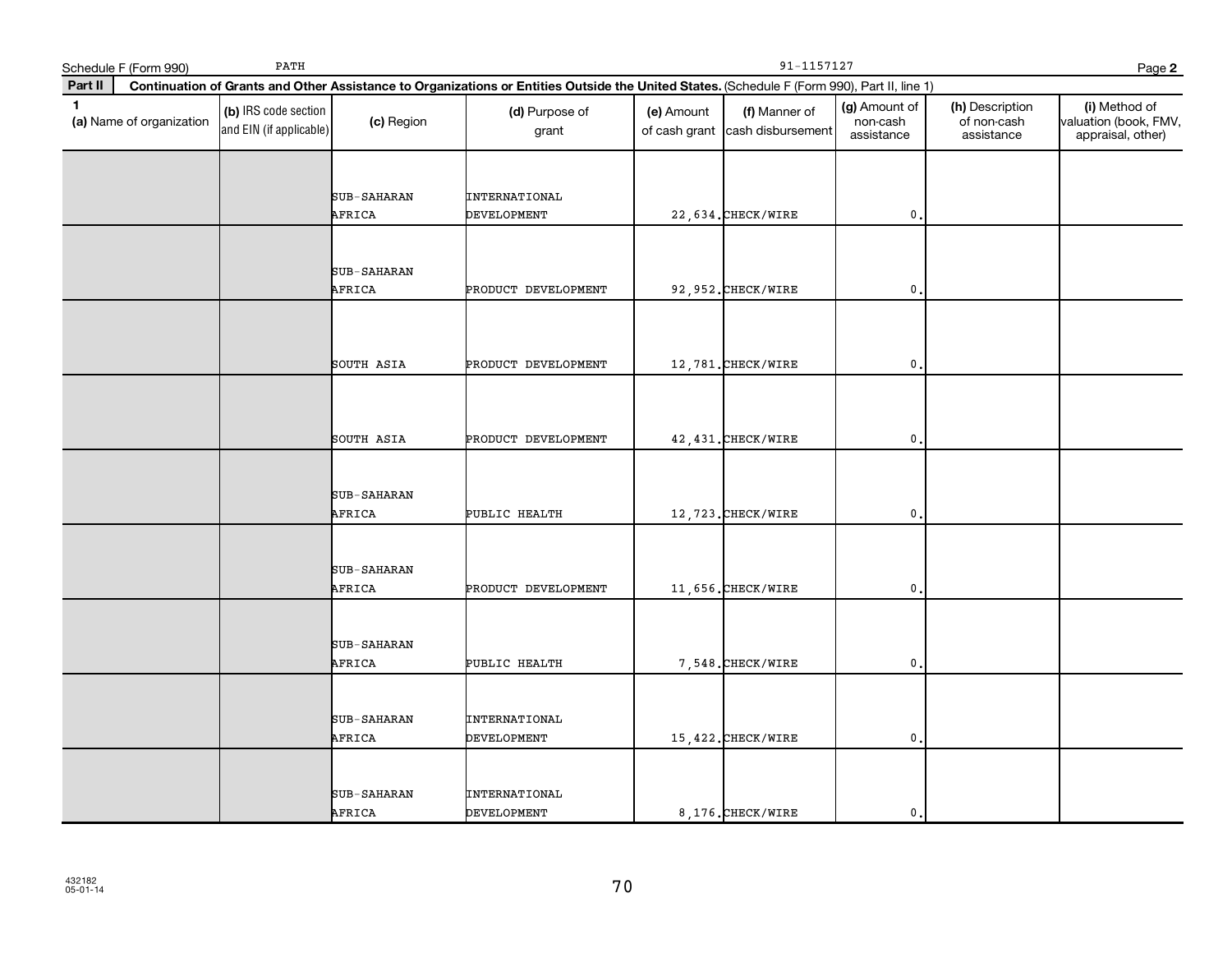|              | Schedule F (Form 990)    | PATH                                            |                       | 91-1157127<br>Page 2                                                                                                                         |            |                                                  |                                         |                                              |                                                             |  |
|--------------|--------------------------|-------------------------------------------------|-----------------------|----------------------------------------------------------------------------------------------------------------------------------------------|------------|--------------------------------------------------|-----------------------------------------|----------------------------------------------|-------------------------------------------------------------|--|
| Part II      |                          |                                                 |                       | Continuation of Grants and Other Assistance to Organizations or Entities Outside the United States. (Schedule F (Form 990), Part II, line 1) |            |                                                  |                                         |                                              |                                                             |  |
| $\mathbf{1}$ | (a) Name of organization | (b) IRS code section<br>and EIN (if applicable) | (c) Region            | (d) Purpose of<br>grant                                                                                                                      | (e) Amount | (f) Manner of<br>of cash grant cash disbursement | (g) Amount of<br>non-cash<br>assistance | (h) Description<br>of non-cash<br>assistance | (i) Method of<br>valuation (book, FMV,<br>appraisal, other) |  |
|              |                          |                                                 | SUB-SAHARAN<br>AFRICA | INTERNATIONAL<br><b>DEVELOPMENT</b>                                                                                                          |            | 22,634. CHECK/WIRE                               | $\mathbf 0$ .                           |                                              |                                                             |  |
|              |                          |                                                 | SUB-SAHARAN<br>AFRICA | PRODUCT DEVELOPMENT                                                                                                                          |            | 92,952. CHECK/WIRE                               | $\mathbf{0}$ .                          |                                              |                                                             |  |
|              |                          |                                                 | SOUTH ASIA            | PRODUCT DEVELOPMENT                                                                                                                          |            | 12,781. CHECK/WIRE                               | $\mathbf 0$ .                           |                                              |                                                             |  |
|              |                          |                                                 | SOUTH ASIA            | PRODUCT DEVELOPMENT                                                                                                                          |            | 42, 431. CHECK/WIRE                              | $\mathfrak{o}$ .                        |                                              |                                                             |  |
|              |                          |                                                 | SUB-SAHARAN<br>AFRICA | PUBLIC HEALTH                                                                                                                                |            | 12,723. CHECK/WIRE                               | $\mathbf{0}$                            |                                              |                                                             |  |
|              |                          |                                                 | SUB-SAHARAN<br>AFRICA | PRODUCT DEVELOPMENT                                                                                                                          |            | 11,656. CHECK/WIRE                               | $\mathbf{0}$ .                          |                                              |                                                             |  |
|              |                          |                                                 | SUB-SAHARAN<br>AFRICA | PUBLIC HEALTH                                                                                                                                |            | 7,548. CHECK/WIRE                                | $\mathbf{0}$ .                          |                                              |                                                             |  |
|              |                          |                                                 | SUB-SAHARAN<br>AFRICA | <b>INTERNATIONAL</b><br><b>DEVELOPMENT</b>                                                                                                   |            | 15,422. CHECK/WIRE                               | $\mathfrak{o}$ .                        |                                              |                                                             |  |
|              |                          |                                                 | SUB-SAHARAN<br>AFRICA | <b>INTERNATIONAL</b><br><b>DEVELOPMENT</b>                                                                                                   |            | 8,176. CHECK/WIRE                                | $\mathbf{0}$ .                          |                                              |                                                             |  |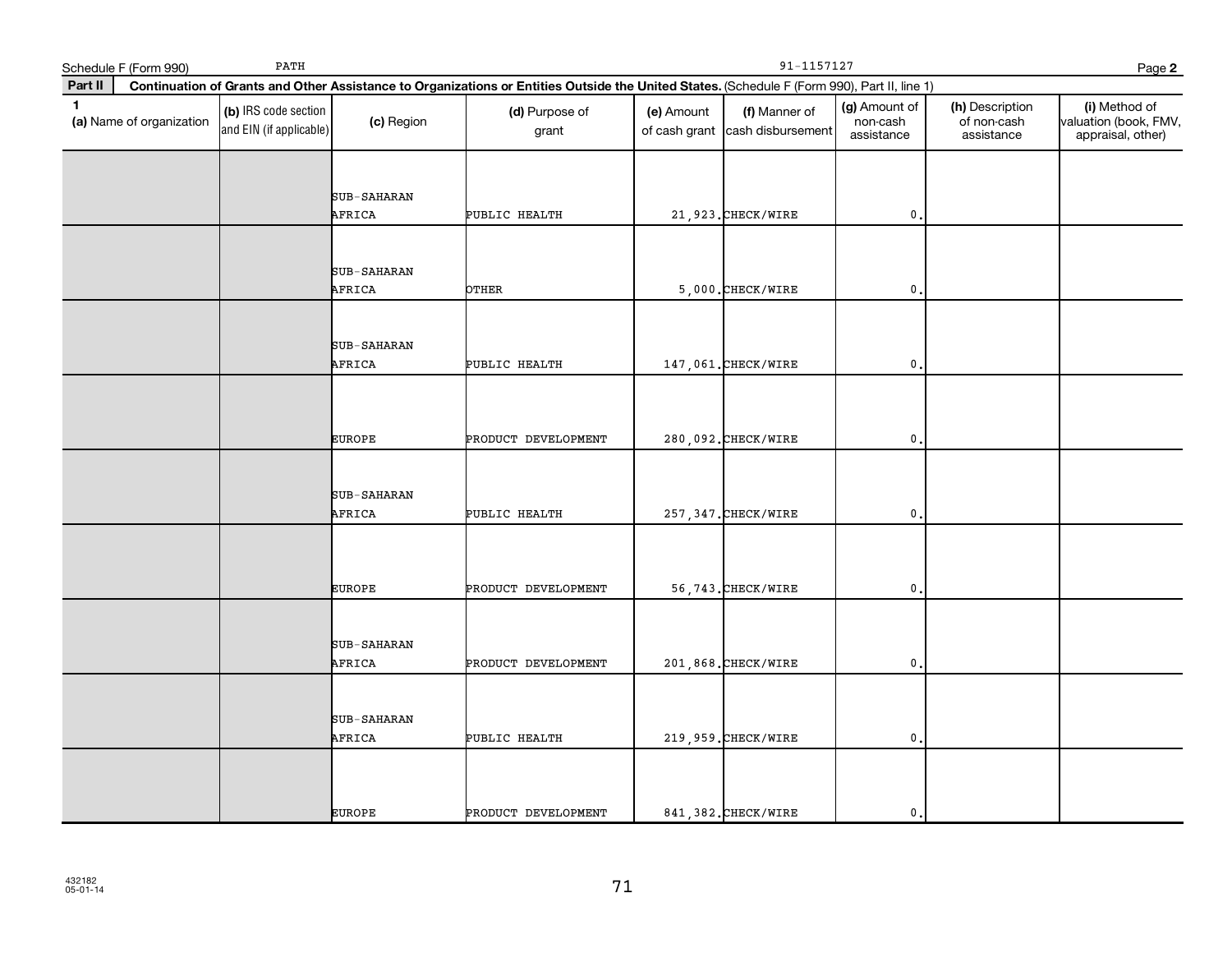|              | Schedule F (Form 990)    | PATH                                            |                                 | 91-1157127<br>Page 2                                                                                                                         |            |                                                  |                                         |                                              |                                                             |  |
|--------------|--------------------------|-------------------------------------------------|---------------------------------|----------------------------------------------------------------------------------------------------------------------------------------------|------------|--------------------------------------------------|-----------------------------------------|----------------------------------------------|-------------------------------------------------------------|--|
| Part II      |                          |                                                 |                                 | Continuation of Grants and Other Assistance to Organizations or Entities Outside the United States. (Schedule F (Form 990), Part II, line 1) |            |                                                  |                                         |                                              |                                                             |  |
| $\mathbf{1}$ | (a) Name of organization | (b) IRS code section<br>and EIN (if applicable) | (c) Region                      | (d) Purpose of<br>grant                                                                                                                      | (e) Amount | (f) Manner of<br>of cash grant cash disbursement | (g) Amount of<br>non-cash<br>assistance | (h) Description<br>of non-cash<br>assistance | (i) Method of<br>valuation (book, FMV,<br>appraisal, other) |  |
|              |                          |                                                 | SUB-SAHARAN<br>AFRICA           | PUBLIC HEALTH                                                                                                                                |            | 21,923. CHECK/WIRE                               | $\mathbf 0$ .                           |                                              |                                                             |  |
|              |                          |                                                 | SUB-SAHARAN                     |                                                                                                                                              |            |                                                  |                                         |                                              |                                                             |  |
|              |                          |                                                 | AFRICA<br>SUB-SAHARAN<br>AFRICA | OTHER<br>PUBLIC HEALTH                                                                                                                       |            | 5,000. CHECK/WIRE<br>147,061. CHECK/WIRE         | $\mathfrak{o}$ .<br>$\mathbf{0}$        |                                              |                                                             |  |
|              |                          |                                                 | EUROPE                          | PRODUCT DEVELOPMENT                                                                                                                          |            | 280,092. CHECK/WIRE                              | $\mathfrak o$ .                         |                                              |                                                             |  |
|              |                          |                                                 | SUB-SAHARAN<br>AFRICA           | PUBLIC HEALTH                                                                                                                                |            | 257, 347. CHECK/WIRE                             | $\mathbf{0}$                            |                                              |                                                             |  |
|              |                          |                                                 | <b>EUROPE</b>                   | PRODUCT DEVELOPMENT                                                                                                                          |            | 56,743. CHECK/WIRE                               | $\mathfrak{o}$ .                        |                                              |                                                             |  |
|              |                          |                                                 | SUB-SAHARAN<br>AFRICA           | PRODUCT DEVELOPMENT                                                                                                                          |            | 201,868. CHECK/WIRE                              | $\mathbf{0}$ .                          |                                              |                                                             |  |
|              |                          |                                                 | SUB-SAHARAN<br>AFRICA           | PUBLIC HEALTH                                                                                                                                |            | 219, 959. CHECK/WIRE                             | $\mathbf{0}$ .                          |                                              |                                                             |  |
|              |                          |                                                 | EUROPE                          | PRODUCT DEVELOPMENT                                                                                                                          |            | 841, 382. CHECK/WIRE                             | $\mathbf{0}$ .                          |                                              |                                                             |  |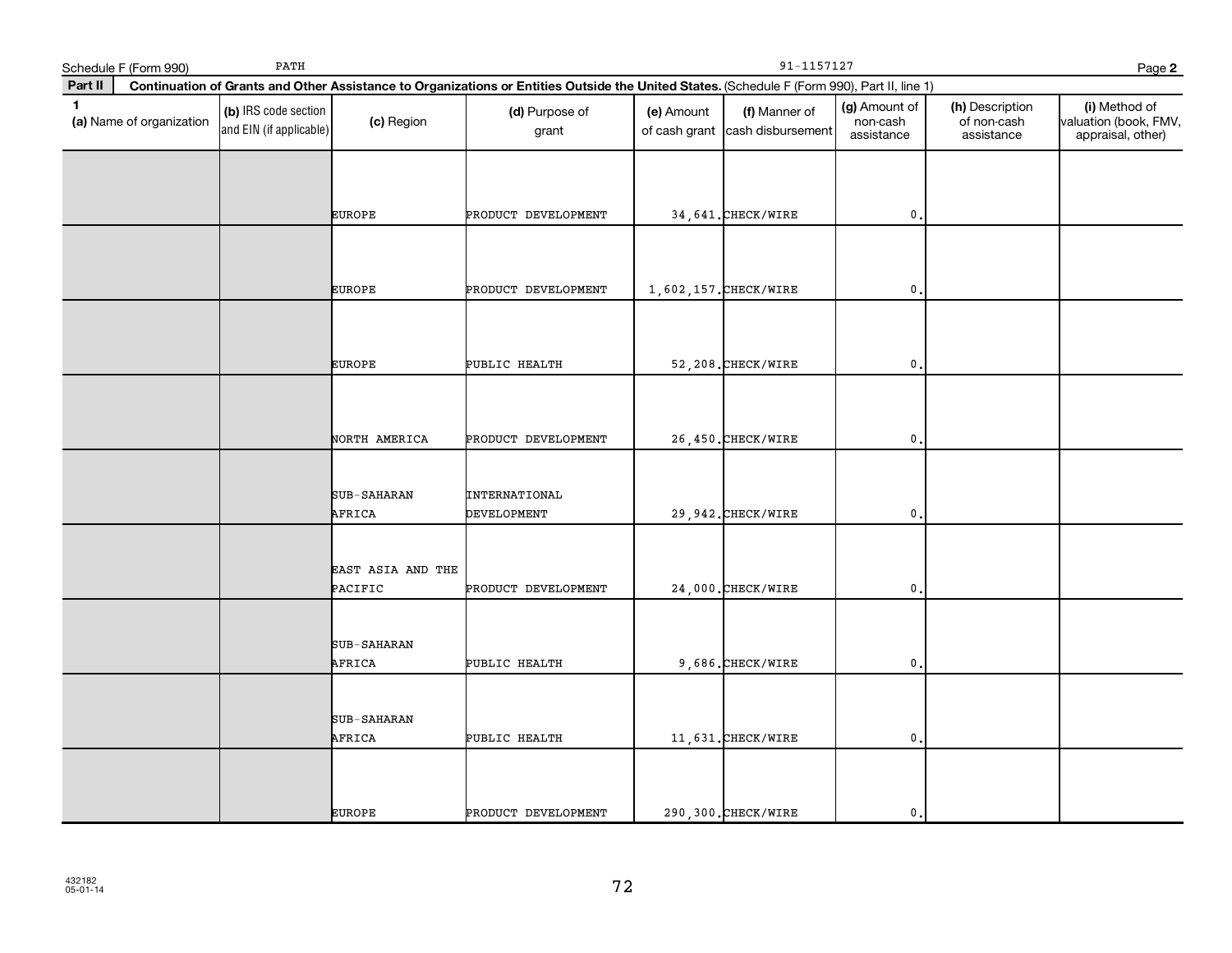|              | Schedule F (Form 990)    | PATH                                            |                              | 91-1157127<br>Page 2                                                                                                                         |            |                                                  |                                         |                                              |                                                             |  |
|--------------|--------------------------|-------------------------------------------------|------------------------------|----------------------------------------------------------------------------------------------------------------------------------------------|------------|--------------------------------------------------|-----------------------------------------|----------------------------------------------|-------------------------------------------------------------|--|
| Part II      |                          |                                                 |                              | Continuation of Grants and Other Assistance to Organizations or Entities Outside the United States. (Schedule F (Form 990), Part II, line 1) |            |                                                  |                                         |                                              |                                                             |  |
| $\mathbf{1}$ | (a) Name of organization | (b) IRS code section<br>and EIN (if applicable) | (c) Region                   | (d) Purpose of<br>grant                                                                                                                      | (e) Amount | (f) Manner of<br>of cash grant cash disbursement | (g) Amount of<br>non-cash<br>assistance | (h) Description<br>of non-cash<br>assistance | (i) Method of<br>valuation (book, FMV,<br>appraisal, other) |  |
|              |                          |                                                 |                              |                                                                                                                                              |            |                                                  |                                         |                                              |                                                             |  |
|              |                          |                                                 | <b>EUROPE</b>                | PRODUCT DEVELOPMENT                                                                                                                          |            | 34, 641. CHECK/WIRE                              | $\mathbf 0$ .                           |                                              |                                                             |  |
|              |                          |                                                 | <b>EUROPE</b>                | PRODUCT DEVELOPMENT                                                                                                                          |            | 1,602,157. CHECK/WIRE                            | $\mathfrak{o}$ .                        |                                              |                                                             |  |
|              |                          |                                                 |                              |                                                                                                                                              |            |                                                  |                                         |                                              |                                                             |  |
|              |                          |                                                 | EUROPE                       | PUBLIC HEALTH                                                                                                                                |            | 52,208. CHECK/WIRE                               | $\mathbf{0}$                            |                                              |                                                             |  |
|              |                          |                                                 | NORTH AMERICA                | PRODUCT DEVELOPMENT                                                                                                                          |            | 26,450. CHECK/WIRE                               | $\mathfrak o$ .                         |                                              |                                                             |  |
|              |                          |                                                 | SUB-SAHARAN<br>AFRICA        | <b>INTERNATIONAL</b><br>DEVELOPMENT                                                                                                          |            | 29,942. CHECK/WIRE                               | $\mathbf{0}$                            |                                              |                                                             |  |
|              |                          |                                                 | EAST ASIA AND THE<br>PACIFIC | PRODUCT DEVELOPMENT                                                                                                                          |            | 24,000. CHECK/WIRE                               | $\mathfrak{o}$ .                        |                                              |                                                             |  |
|              |                          |                                                 | SUB-SAHARAN<br>AFRICA        | PUBLIC HEALTH                                                                                                                                |            | 9,686. CHECK/WIRE                                | $\mathbf{0}$ .                          |                                              |                                                             |  |
|              |                          |                                                 | SUB-SAHARAN<br>AFRICA        | PUBLIC HEALTH                                                                                                                                |            | 11,631.CHECK/WIRE                                | $\mathfrak o$ .                         |                                              |                                                             |  |
|              |                          |                                                 | EUROPE                       | PRODUCT DEVELOPMENT                                                                                                                          |            | 290,300. CHECK/WIRE                              | $\mathfrak{o}$ .                        |                                              |                                                             |  |
|              |                          |                                                 |                              |                                                                                                                                              |            |                                                  |                                         |                                              |                                                             |  |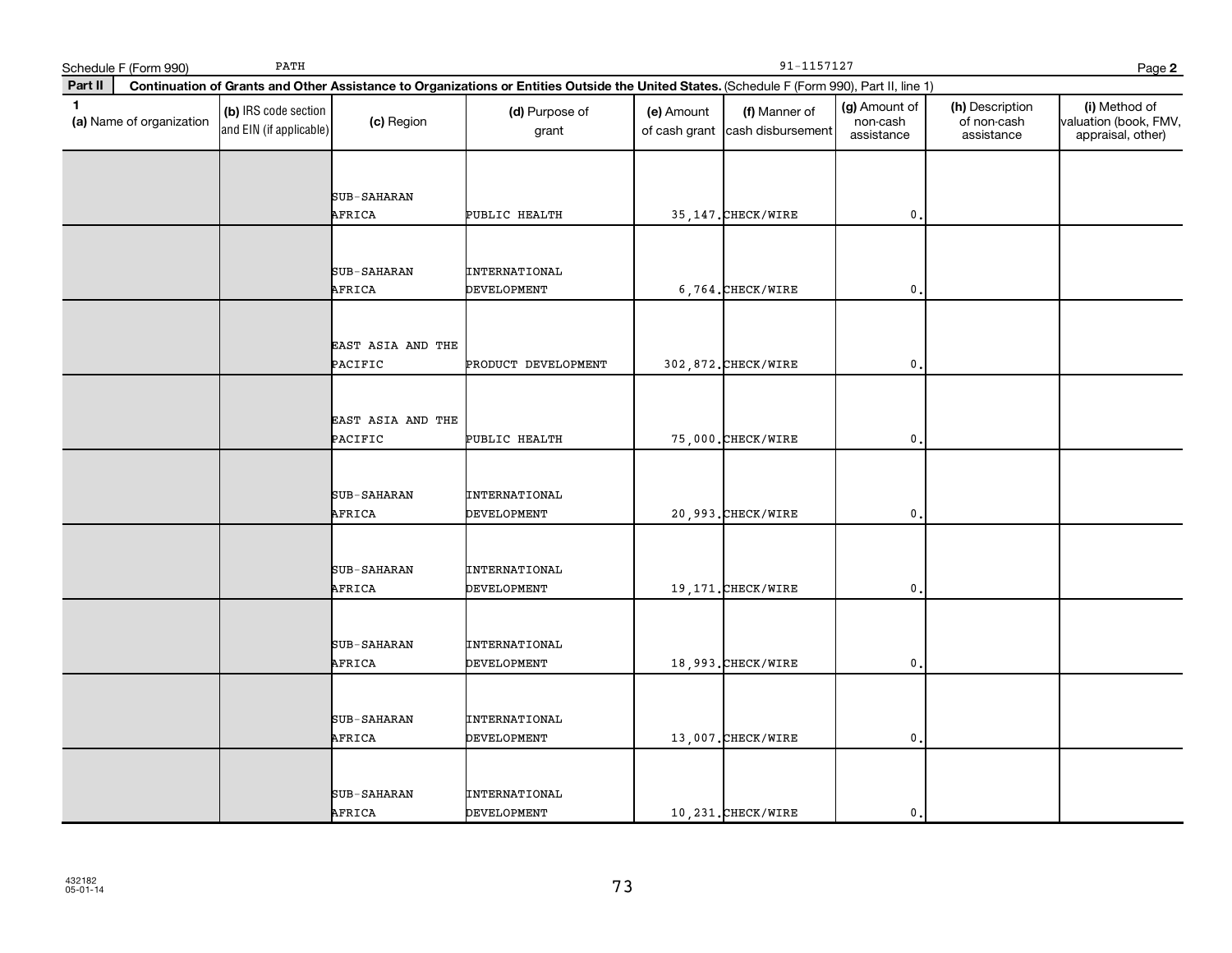|              | Schedule F (Form 990)    | PATH                                            |                   |                                                                                                                                              | 91-1157127 |                                                  |                                         |                                              |                                                             |  |  |  |
|--------------|--------------------------|-------------------------------------------------|-------------------|----------------------------------------------------------------------------------------------------------------------------------------------|------------|--------------------------------------------------|-----------------------------------------|----------------------------------------------|-------------------------------------------------------------|--|--|--|
| Part II      |                          |                                                 |                   | Continuation of Grants and Other Assistance to Organizations or Entities Outside the United States. (Schedule F (Form 990), Part II, line 1) |            |                                                  |                                         |                                              | Page 2                                                      |  |  |  |
| $\mathbf{1}$ | (a) Name of organization | (b) IRS code section<br>and EIN (if applicable) | (c) Region        | (d) Purpose of<br>grant                                                                                                                      | (e) Amount | (f) Manner of<br>of cash grant cash disbursement | (g) Amount of<br>non-cash<br>assistance | (h) Description<br>of non-cash<br>assistance | (i) Method of<br>valuation (book, FMV,<br>appraisal, other) |  |  |  |
|              |                          |                                                 |                   |                                                                                                                                              |            |                                                  |                                         |                                              |                                                             |  |  |  |
|              |                          |                                                 | SUB-SAHARAN       |                                                                                                                                              |            |                                                  |                                         |                                              |                                                             |  |  |  |
|              |                          |                                                 | AFRICA            | PUBLIC HEALTH                                                                                                                                |            | 35, 147. CHECK/WIRE                              | $\mathbf{0}$                            |                                              |                                                             |  |  |  |
|              |                          |                                                 |                   |                                                                                                                                              |            |                                                  |                                         |                                              |                                                             |  |  |  |
|              |                          |                                                 | SUB-SAHARAN       | INTERNATIONAL                                                                                                                                |            |                                                  |                                         |                                              |                                                             |  |  |  |
|              |                          |                                                 | AFRICA            | <b>DEVELOPMENT</b>                                                                                                                           |            | 6,764. CHECK/WIRE                                | $\mathbf{0}$ .                          |                                              |                                                             |  |  |  |
|              |                          |                                                 |                   |                                                                                                                                              |            |                                                  |                                         |                                              |                                                             |  |  |  |
|              |                          |                                                 | EAST ASIA AND THE |                                                                                                                                              |            |                                                  |                                         |                                              |                                                             |  |  |  |
|              |                          |                                                 | PACIFIC           | PRODUCT DEVELOPMENT                                                                                                                          |            | 302,872. CHECK/WIRE                              | $\mathbf{0}$                            |                                              |                                                             |  |  |  |
|              |                          |                                                 |                   |                                                                                                                                              |            |                                                  |                                         |                                              |                                                             |  |  |  |
|              |                          |                                                 | EAST ASIA AND THE |                                                                                                                                              |            |                                                  |                                         |                                              |                                                             |  |  |  |
|              |                          |                                                 | PACIFIC           | PUBLIC HEALTH                                                                                                                                |            | 75,000. CHECK/WIRE                               | 0.                                      |                                              |                                                             |  |  |  |
|              |                          |                                                 |                   |                                                                                                                                              |            |                                                  |                                         |                                              |                                                             |  |  |  |
|              |                          |                                                 | SUB-SAHARAN       | INTERNATIONAL                                                                                                                                |            |                                                  |                                         |                                              |                                                             |  |  |  |
|              |                          |                                                 | AFRICA            | <b>DEVELOPMENT</b>                                                                                                                           |            | 20,993. CHECK/WIRE                               | $\mathbf{0}$                            |                                              |                                                             |  |  |  |
|              |                          |                                                 |                   |                                                                                                                                              |            |                                                  |                                         |                                              |                                                             |  |  |  |
|              |                          |                                                 | SUB-SAHARAN       | <b>INTERNATIONAL</b>                                                                                                                         |            |                                                  |                                         |                                              |                                                             |  |  |  |
|              |                          |                                                 | AFRICA            | DEVELOPMENT                                                                                                                                  |            | 19, 171. CHECK/WIRE                              | $\mathfrak{o}$ .                        |                                              |                                                             |  |  |  |
|              |                          |                                                 |                   |                                                                                                                                              |            |                                                  |                                         |                                              |                                                             |  |  |  |
|              |                          |                                                 | SUB-SAHARAN       | <b>INTERNATIONAL</b>                                                                                                                         |            |                                                  |                                         |                                              |                                                             |  |  |  |
|              |                          |                                                 | AFRICA            | DEVELOPMENT                                                                                                                                  |            | 18,993. CHECK/WIRE                               | 0.                                      |                                              |                                                             |  |  |  |
|              |                          |                                                 |                   |                                                                                                                                              |            |                                                  |                                         |                                              |                                                             |  |  |  |
|              |                          |                                                 | SUB-SAHARAN       | <b>INTERNATIONAL</b>                                                                                                                         |            |                                                  |                                         |                                              |                                                             |  |  |  |
|              |                          |                                                 | AFRICA            | <b>DEVELOPMENT</b>                                                                                                                           |            | 13,007. CHECK/WIRE                               | $\mathbf{0}$ .                          |                                              |                                                             |  |  |  |
|              |                          |                                                 |                   |                                                                                                                                              |            |                                                  |                                         |                                              |                                                             |  |  |  |
|              |                          |                                                 | SUB-SAHARAN       | <b>INTERNATIONAL</b>                                                                                                                         |            |                                                  |                                         |                                              |                                                             |  |  |  |
|              |                          |                                                 | AFRICA            | <b>DEVELOPMENT</b>                                                                                                                           |            | 10,231.CHECK/WIRE                                | $\mathbf{0}$ .                          |                                              |                                                             |  |  |  |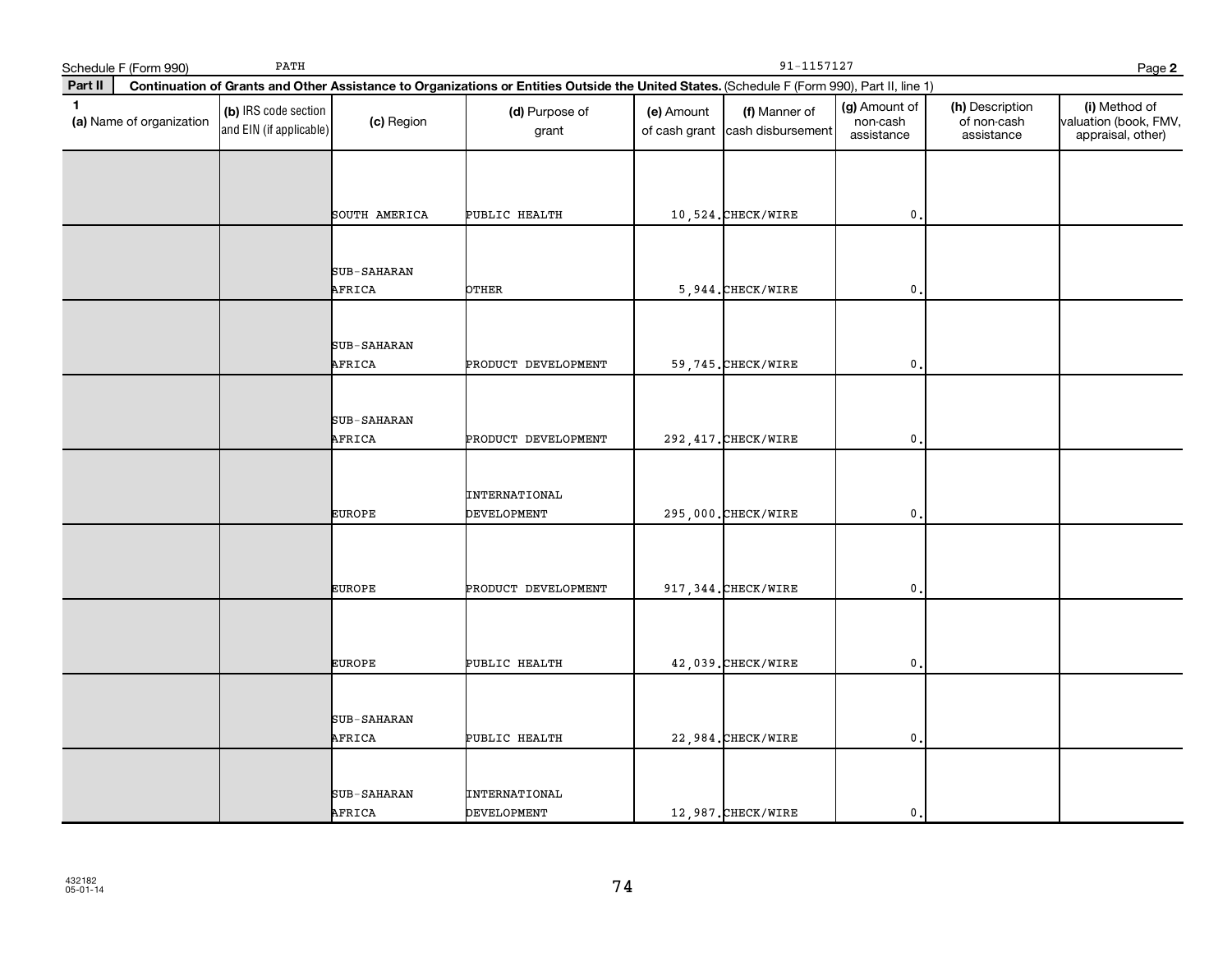|              | Schedule F (Form 990)    | PATH                                            |                              |                                                                                                                                              | 91-1157127 |                                                  |                                         |                                              |                                                             |  |  |
|--------------|--------------------------|-------------------------------------------------|------------------------------|----------------------------------------------------------------------------------------------------------------------------------------------|------------|--------------------------------------------------|-----------------------------------------|----------------------------------------------|-------------------------------------------------------------|--|--|
| Part II      |                          |                                                 |                              | Continuation of Grants and Other Assistance to Organizations or Entities Outside the United States. (Schedule F (Form 990), Part II, line 1) |            |                                                  |                                         |                                              | Page 2                                                      |  |  |
| $\mathbf{1}$ | (a) Name of organization | (b) IRS code section<br>and EIN (if applicable) | (c) Region                   | (d) Purpose of<br>grant                                                                                                                      | (e) Amount | (f) Manner of<br>of cash grant cash disbursement | (g) Amount of<br>non-cash<br>assistance | (h) Description<br>of non-cash<br>assistance | (i) Method of<br>valuation (book, FMV,<br>appraisal, other) |  |  |
|              |                          |                                                 |                              |                                                                                                                                              |            |                                                  |                                         |                                              |                                                             |  |  |
|              |                          |                                                 | SOUTH AMERICA                | PUBLIC HEALTH                                                                                                                                |            | 10,524. CHECK/WIRE                               | $\mathbf{0}$                            |                                              |                                                             |  |  |
|              |                          |                                                 | SUB-SAHARAN<br>AFRICA        | OTHER                                                                                                                                        |            | 5, 944. CHECK/WIRE                               | $\mathbf{0}$ .                          |                                              |                                                             |  |  |
|              |                          |                                                 | <b>SUB-SAHARAN</b><br>AFRICA | PRODUCT DEVELOPMENT                                                                                                                          |            | 59,745. CHECK/WIRE                               | $\mathbf 0$ .                           |                                              |                                                             |  |  |
|              |                          |                                                 | SUB-SAHARAN<br>AFRICA        | PRODUCT DEVELOPMENT                                                                                                                          |            | 292, 417. CHECK/WIRE                             | $\mathfrak o$ .                         |                                              |                                                             |  |  |
|              |                          |                                                 | <b>EUROPE</b>                | INTERNATIONAL<br><b>DEVELOPMENT</b>                                                                                                          |            | 295,000. CHECK/WIRE                              | $\mathbf 0$ .                           |                                              |                                                             |  |  |
|              |                          |                                                 | <b>EUROPE</b>                | PRODUCT DEVELOPMENT                                                                                                                          |            | 917, 344. CHECK/WIRE                             | $\mathfrak o$ .                         |                                              |                                                             |  |  |
|              |                          |                                                 | <b>EUROPE</b>                | PUBLIC HEALTH                                                                                                                                |            | 42,039. CHECK/WIRE                               | $\mathbf 0$ .                           |                                              |                                                             |  |  |
|              |                          |                                                 | <b>SUB-SAHARAN</b><br>AFRICA | PUBLIC HEALTH                                                                                                                                |            | 22,984. CHECK/WIRE                               | $\mathbf{0}$ .                          |                                              |                                                             |  |  |
|              |                          |                                                 | SUB-SAHARAN<br>AFRICA        | <b>INTERNATIONAL</b><br>DEVELOPMENT                                                                                                          |            | 12,987. CHECK/WIRE                               | $\mathbf{0}$                            |                                              |                                                             |  |  |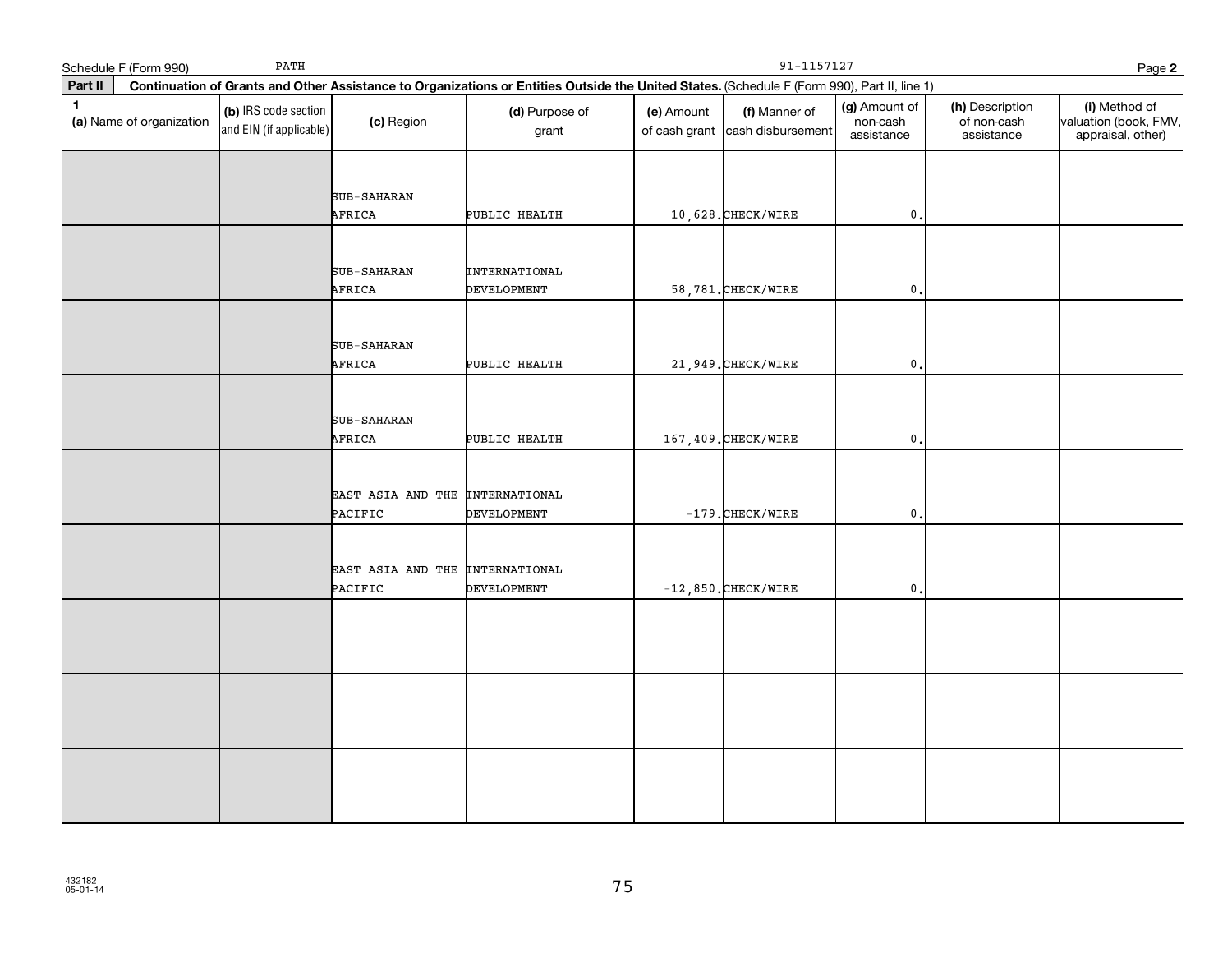|              | Schedule F (Form 990)    | $91 - 1157127$<br>PATH                          |                                            |                                                                                                                                              |            |                                                  |                                         |                                              |                                                             |  |
|--------------|--------------------------|-------------------------------------------------|--------------------------------------------|----------------------------------------------------------------------------------------------------------------------------------------------|------------|--------------------------------------------------|-----------------------------------------|----------------------------------------------|-------------------------------------------------------------|--|
| Part II      |                          |                                                 |                                            | Continuation of Grants and Other Assistance to Organizations or Entities Outside the United States. (Schedule F (Form 990), Part II, line 1) |            |                                                  |                                         |                                              | Page 2                                                      |  |
| $\mathbf{1}$ | (a) Name of organization | (b) IRS code section<br>and EIN (if applicable) | (c) Region                                 | (d) Purpose of<br>grant                                                                                                                      | (e) Amount | (f) Manner of<br>of cash grant cash disbursement | (g) Amount of<br>non-cash<br>assistance | (h) Description<br>of non-cash<br>assistance | (i) Method of<br>valuation (book, FMV,<br>appraisal, other) |  |
|              |                          |                                                 |                                            |                                                                                                                                              |            |                                                  |                                         |                                              |                                                             |  |
|              |                          |                                                 | SUB-SAHARAN<br>AFRICA                      | PUBLIC HEALTH                                                                                                                                |            | 10,628. CHECK/WIRE                               | $\mathbf{0}$                            |                                              |                                                             |  |
|              |                          |                                                 | SUB-SAHARAN<br>AFRICA                      | <b>INTERNATIONAL</b><br>DEVELOPMENT                                                                                                          |            | 58,781. CHECK/WIRE                               | $\mathbf{0}$ .                          |                                              |                                                             |  |
|              |                          |                                                 | SUB-SAHARAN<br>AFRICA                      | PUBLIC HEALTH                                                                                                                                |            | 21,949. CHECK/WIRE                               | $\mathbf{0}$                            |                                              |                                                             |  |
|              |                          |                                                 | SUB-SAHARAN<br>AFRICA                      | PUBLIC HEALTH                                                                                                                                |            | 167,409. CHECK/WIRE                              | $\mathbf{0}$ .                          |                                              |                                                             |  |
|              |                          |                                                 | EAST ASIA AND THE INTERNATIONAL<br>PACIFIC | <b>DEVELOPMENT</b>                                                                                                                           |            | $-179$ . CHECK/WIRE                              | $\mathfrak o$ .                         |                                              |                                                             |  |
|              |                          |                                                 | EAST ASIA AND THE INTERNATIONAL<br>PACIFIC | <b>DEVELOPMENT</b>                                                                                                                           |            | $-12,850$ . CHECK/WIRE                           | $\mathbf{0}$ .                          |                                              |                                                             |  |
|              |                          |                                                 |                                            |                                                                                                                                              |            |                                                  |                                         |                                              |                                                             |  |
|              |                          |                                                 |                                            |                                                                                                                                              |            |                                                  |                                         |                                              |                                                             |  |
|              |                          |                                                 |                                            |                                                                                                                                              |            |                                                  |                                         |                                              |                                                             |  |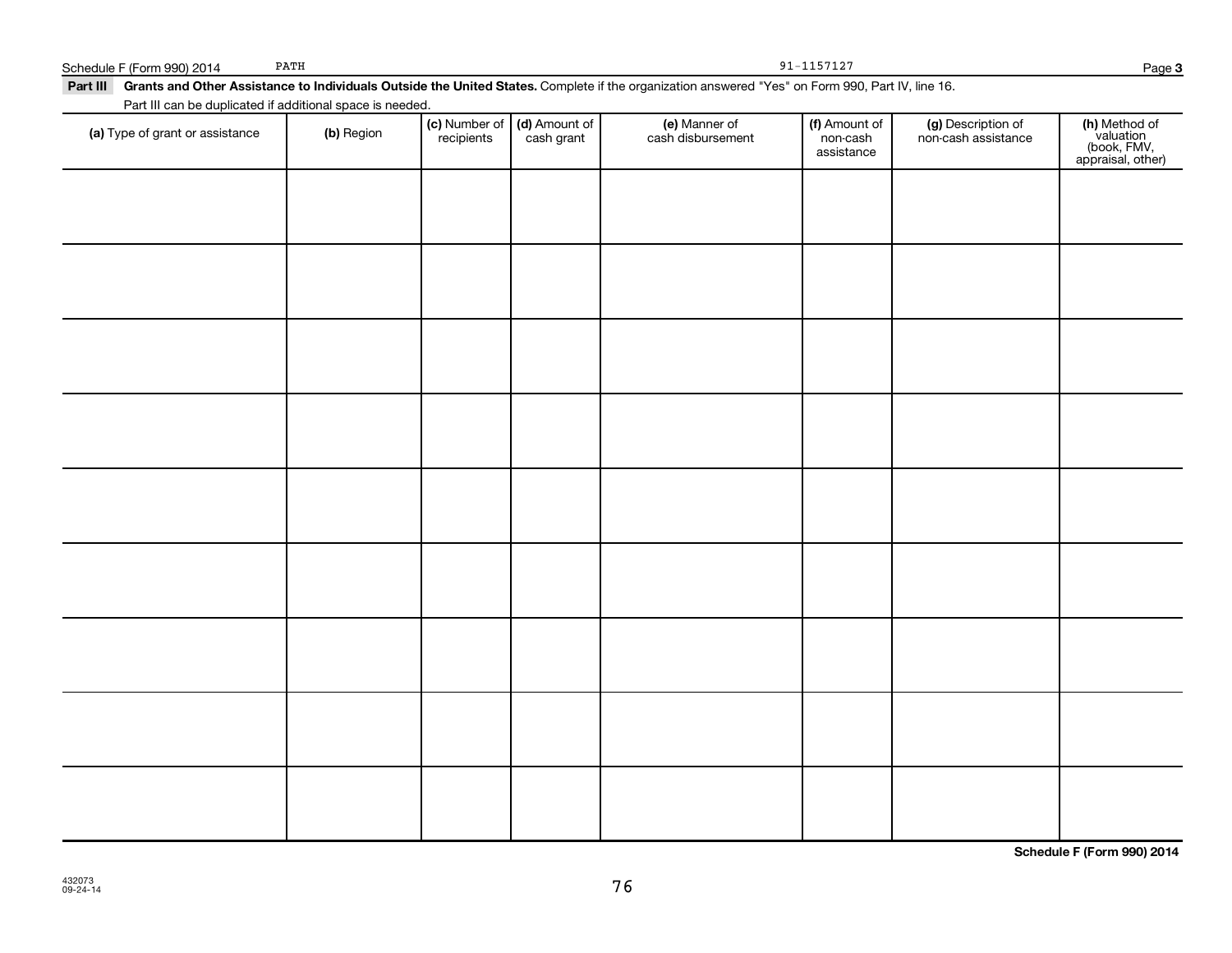**3**

| Schedule F (Form 990) 2014                                                                                                                                | $\ensuremath{\mathrm{PATH}}$ |                             |                             |                                    | $91 - 1157127$                          |                                           | Pag                                                            |
|-----------------------------------------------------------------------------------------------------------------------------------------------------------|------------------------------|-----------------------------|-----------------------------|------------------------------------|-----------------------------------------|-------------------------------------------|----------------------------------------------------------------|
| Part III Grants and Other Assistance to Individuals Outside the United States. Complete if the organization answered "Yes" on Form 990, Part IV, line 16. |                              |                             |                             |                                    |                                         |                                           |                                                                |
| Part III can be duplicated if additional space is needed.                                                                                                 |                              |                             |                             |                                    |                                         |                                           |                                                                |
| (a) Type of grant or assistance                                                                                                                           | (b) Region                   | (c) Number of<br>recipients | (d) Amount of<br>cash grant | (e) Manner of<br>cash disbursement | (f) Amount of<br>non-cash<br>assistance | (g) Description of<br>non-cash assistance | (h) Method of<br>valuation<br>(book, FMV,<br>appraisal, other) |
|                                                                                                                                                           |                              |                             |                             |                                    |                                         |                                           |                                                                |
|                                                                                                                                                           |                              |                             |                             |                                    |                                         |                                           |                                                                |
|                                                                                                                                                           |                              |                             |                             |                                    |                                         |                                           |                                                                |
|                                                                                                                                                           |                              |                             |                             |                                    |                                         |                                           |                                                                |
|                                                                                                                                                           |                              |                             |                             |                                    |                                         |                                           |                                                                |
|                                                                                                                                                           |                              |                             |                             |                                    |                                         |                                           |                                                                |
|                                                                                                                                                           |                              |                             |                             |                                    |                                         |                                           |                                                                |
|                                                                                                                                                           |                              |                             |                             |                                    |                                         |                                           |                                                                |
|                                                                                                                                                           |                              |                             |                             |                                    |                                         |                                           |                                                                |
|                                                                                                                                                           |                              |                             |                             |                                    |                                         |                                           |                                                                |
|                                                                                                                                                           |                              |                             |                             |                                    |                                         |                                           |                                                                |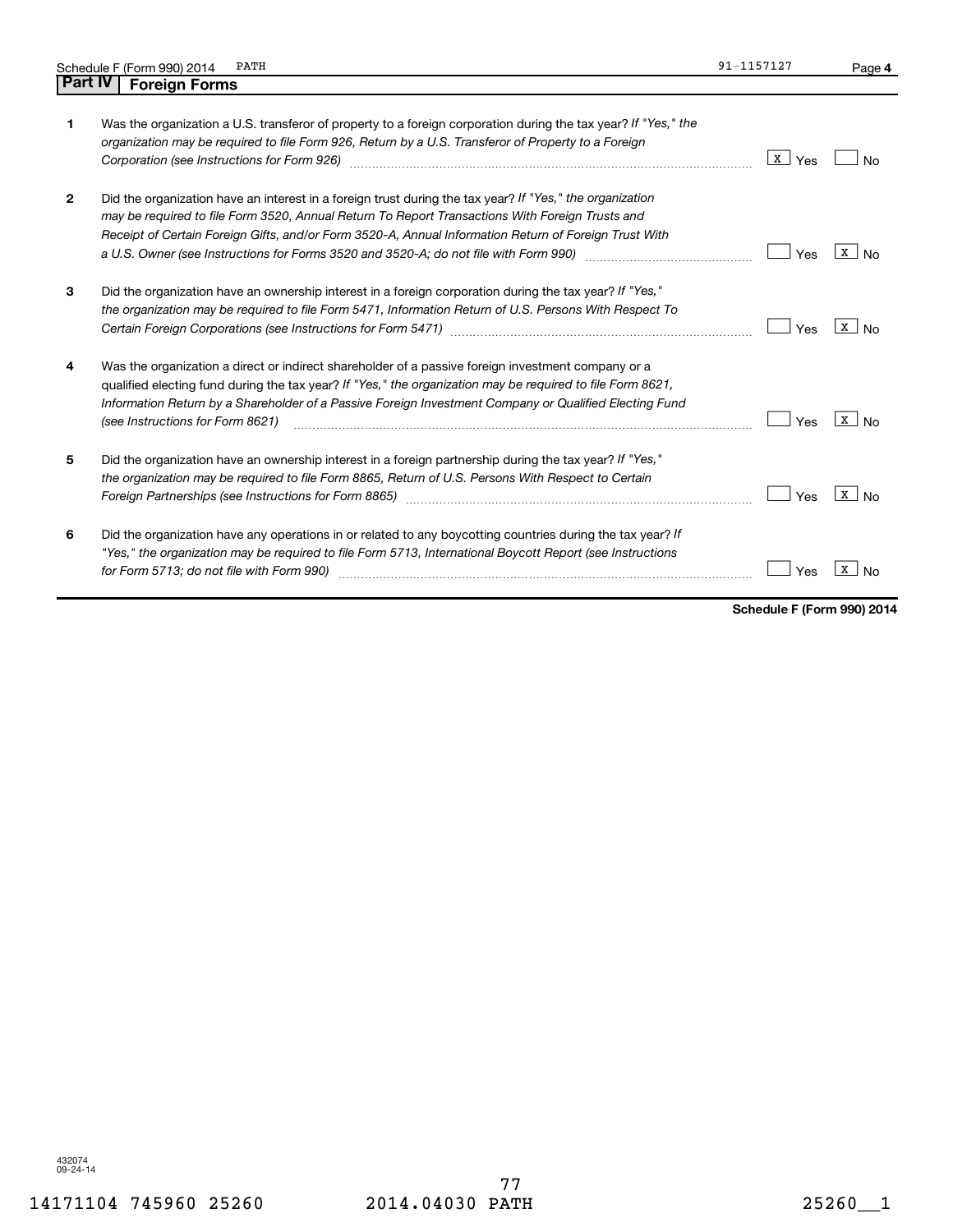|              | Schedule F (Form 990) 2014<br>PATH                                                                                                                                                                                                                                                                                                                                                                                                             | 91-1157127   | Page 4                         |
|--------------|------------------------------------------------------------------------------------------------------------------------------------------------------------------------------------------------------------------------------------------------------------------------------------------------------------------------------------------------------------------------------------------------------------------------------------------------|--------------|--------------------------------|
| Part IV      | <b>Foreign Forms</b>                                                                                                                                                                                                                                                                                                                                                                                                                           |              |                                |
| 1            | Was the organization a U.S. transferor of property to a foreign corporation during the tax year? If "Yes," the<br>organization may be required to file Form 926, Return by a U.S. Transferor of Property to a Foreign<br>Corporation (see Instructions for Form 926) [11] Corporation (see Instruction of the Instruction of Toronto)                                                                                                          | $x \mid$ Yes | No                             |
| $\mathbf{2}$ | Did the organization have an interest in a foreign trust during the tax year? If "Yes," the organization<br>may be required to file Form 3520, Annual Return To Report Transactions With Foreign Trusts and<br>Receipt of Certain Foreign Gifts, and/or Form 3520-A, Annual Information Return of Foreign Trust With<br>a U.S. Owner (see Instructions for Forms 3520 and 3520-A; do not file with Form 990) <i>manual community community</i> | Yes          | $X \mid N_{\Omega}$            |
| 3            | Did the organization have an ownership interest in a foreign corporation during the tax year? If "Yes,"<br>the organization may be required to file Form 5471, Information Return of U.S. Persons With Respect To                                                                                                                                                                                                                              | Yes          | $X \mid N_{0}$                 |
| 4            | Was the organization a direct or indirect shareholder of a passive foreign investment company or a<br>qualified electing fund during the tax year? If "Yes," the organization may be required to file Form 8621,<br>Information Return by a Shareholder of a Passive Foreign Investment Company or Qualified Electing Fund<br>(see Instructions for Form 8621)                                                                                 | Yes          | $x \mid N_0$                   |
| 5            | Did the organization have an ownership interest in a foreign partnership during the tax year? If "Yes,"<br>the organization may be required to file Form 8865, Return of U.S. Persons With Respect to Certain                                                                                                                                                                                                                                  | Yes          | $\vert x \vert_{\text{No}}$    |
| 6            | Did the organization have any operations in or related to any boycotting countries during the tax year? If<br>"Yes," the organization may be required to file Form 5713, International Boycott Report (see Instructions<br>for Form 5713; do not file with Form 990)                                                                                                                                                                           | Yes          | $\mathbf{x}$<br>N <sub>o</sub> |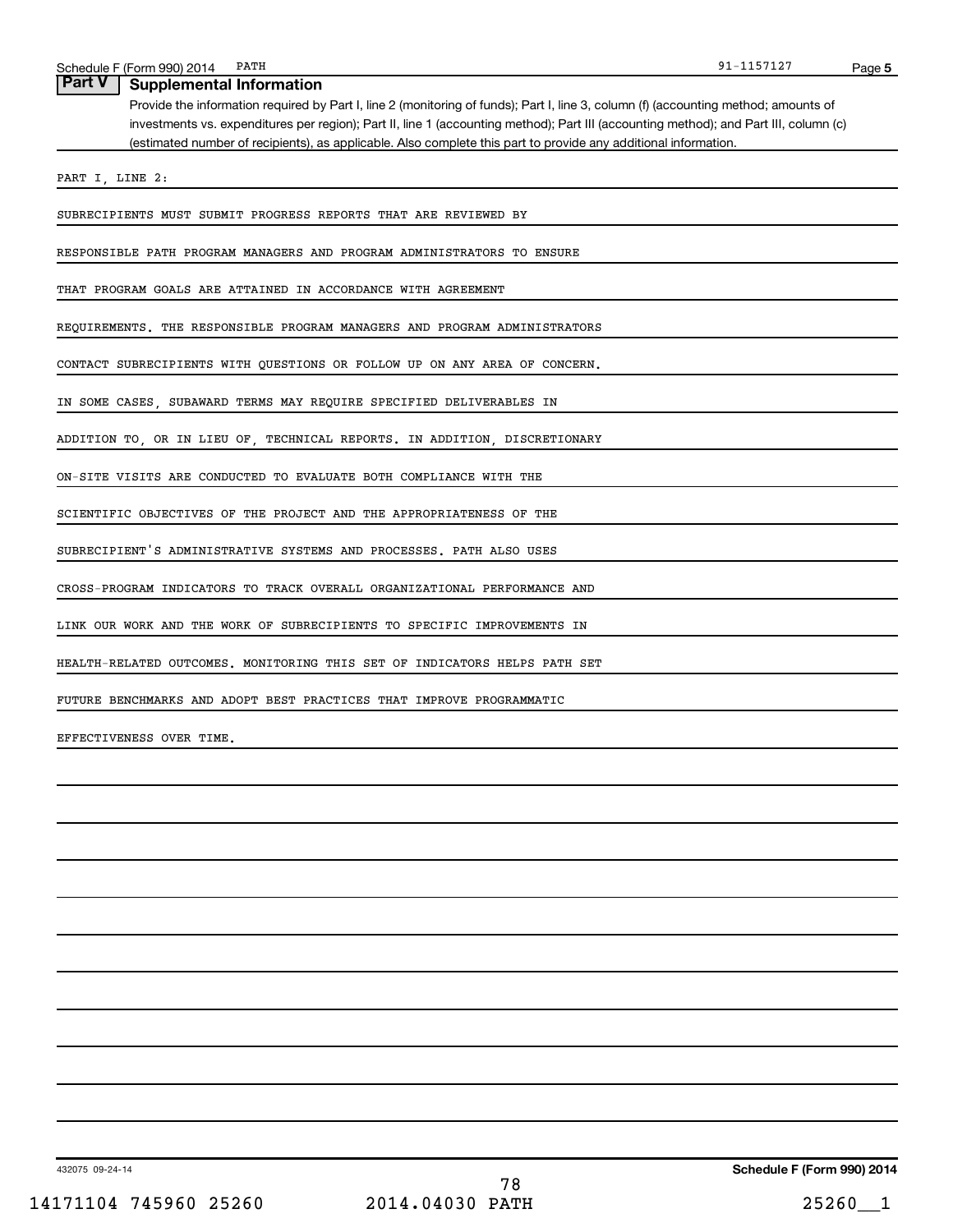## **Part Supplemental Information**

Provide the information required by Part I, line 2 (monitoring of funds); Part I, line 3, column (f) (accounting method; amounts of investments vs. expenditures per region); Part II, line 1 (accounting method); Part III (accounting method); and Part III, column (c) (estimated number of recipients), as applicable. Also complete this part to provide any additional information.

PART I, LINE 2:

SUBRECIPIENTS MUST SUBMIT PROGRESS REPORTS THAT ARE REVIEWED BY

RESPONSIBLE PATH PROGRAM MANAGERS AND PROGRAM ADMINISTRATORS TO ENSURE

THAT PROGRAM GOALS ARE ATTAINED IN ACCORDANCE WITH AGREEMENT

REQUIREMENTS. THE RESPONSIBLE PROGRAM MANAGERS AND PROGRAM ADMINISTRATORS

CONTACT SUBRECIPIENTS WITH QUESTIONS OR FOLLOW UP ON ANY AREA OF CONCERN.

IN SOME CASES, SUBAWARD TERMS MAY REQUIRE SPECIFIED DELIVERABLES IN

ADDITION TO, OR IN LIEU OF, TECHNICAL REPORTS. IN ADDITION, DISCRETIONARY

ON-SITE VISITS ARE CONDUCTED TO EVALUATE BOTH COMPLIANCE WITH THE

SCIENTIFIC OBJECTIVES OF THE PROJECT AND THE APPROPRIATENESS OF THE

SUBRECIPIENT'S ADMINISTRATIVE SYSTEMS AND PROCESSES. PATH ALSO USES

CROSS-PROGRAM INDICATORS TO TRACK OVERALL ORGANIZATIONAL PERFORMANCE AND

LINK OUR WORK AND THE WORK OF SUBRECIPIENTS TO SPECIFIC IMPROVEMENTS IN

HEALTH-RELATED OUTCOMES. MONITORING THIS SET OF INDICATORS HELPS PATH SET

FUTURE BENCHMARKS AND ADOPT BEST PRACTICES THAT IMPROVE PROGRAMMATIC

EFFECTIVENESS OVER TIME.

432075 09-24-14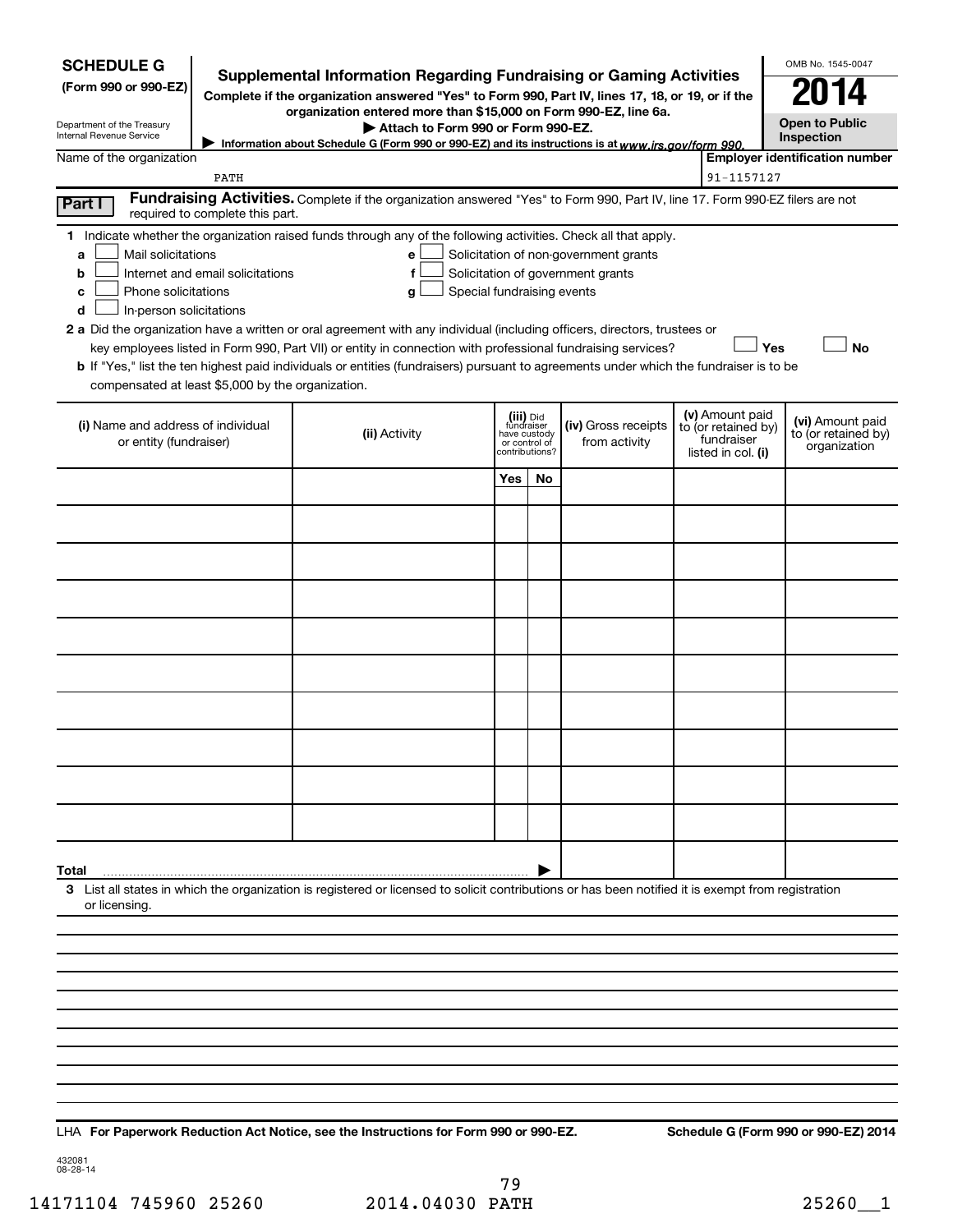| <b>SCHEDULE G</b>                                                                                                                                                                 |                                                                                                                                                                                                                                                                                                                                                                                                                                                                                                                                                               |                                 |                                         |                                                                            |                                                                            | OMB No. 1545-0047                                       |
|-----------------------------------------------------------------------------------------------------------------------------------------------------------------------------------|---------------------------------------------------------------------------------------------------------------------------------------------------------------------------------------------------------------------------------------------------------------------------------------------------------------------------------------------------------------------------------------------------------------------------------------------------------------------------------------------------------------------------------------------------------------|---------------------------------|-----------------------------------------|----------------------------------------------------------------------------|----------------------------------------------------------------------------|---------------------------------------------------------|
| (Form 990 or 990-EZ)                                                                                                                                                              | <b>Supplemental Information Regarding Fundraising or Gaming Activities</b><br>Complete if the organization answered "Yes" to Form 990, Part IV, lines 17, 18, or 19, or if the<br>organization entered more than \$15,000 on Form 990-EZ, line 6a.                                                                                                                                                                                                                                                                                                            |                                 |                                         |                                                                            |                                                                            |                                                         |
| Department of the Treasury<br>Internal Revenue Service                                                                                                                            | Attach to Form 990 or Form 990-EZ.                                                                                                                                                                                                                                                                                                                                                                                                                                                                                                                            |                                 |                                         |                                                                            |                                                                            | <b>Open to Public</b><br>Inspection                     |
| Name of the organization                                                                                                                                                          | Information about Schedule G (Form 990 or 990-EZ) and its instructions is at www.irs.gov/form 990.                                                                                                                                                                                                                                                                                                                                                                                                                                                            |                                 |                                         |                                                                            |                                                                            | <b>Employer identification number</b>                   |
| PATH                                                                                                                                                                              |                                                                                                                                                                                                                                                                                                                                                                                                                                                                                                                                                               |                                 |                                         |                                                                            | 91-1157127                                                                 |                                                         |
| Part I<br>required to complete this part.                                                                                                                                         | Fundraising Activities. Complete if the organization answered "Yes" to Form 990, Part IV, line 17. Form 990-EZ filers are not                                                                                                                                                                                                                                                                                                                                                                                                                                 |                                 |                                         |                                                                            |                                                                            |                                                         |
| Mail solicitations<br>a<br>Internet and email solicitations<br>b<br>Phone solicitations<br>с<br>In-person solicitations<br>d<br>compensated at least \$5,000 by the organization. | 1 Indicate whether the organization raised funds through any of the following activities. Check all that apply.<br>e<br>$\mathbf{f}$<br>Special fundraising events<br>g<br>2 a Did the organization have a written or oral agreement with any individual (including officers, directors, trustees or<br>key employees listed in Form 990, Part VII) or entity in connection with professional fundraising services?<br>b If "Yes," list the ten highest paid individuals or entities (fundraisers) pursuant to agreements under which the fundraiser is to be |                                 |                                         | Solicitation of non-government grants<br>Solicitation of government grants |                                                                            | Yes<br>No                                               |
| (i) Name and address of individual<br>or entity (fundraiser)                                                                                                                      | (ii) Activity                                                                                                                                                                                                                                                                                                                                                                                                                                                                                                                                                 | or control of<br>contributions? | (iii) Did<br>fundraiser<br>have custody | (iv) Gross receipts<br>from activity                                       | (v) Amount paid<br>to (or retained by)<br>fundraiser<br>listed in col. (i) | (vi) Amount paid<br>to (or retained by)<br>organization |
|                                                                                                                                                                                   |                                                                                                                                                                                                                                                                                                                                                                                                                                                                                                                                                               | Yes                             | No                                      |                                                                            |                                                                            |                                                         |
|                                                                                                                                                                                   |                                                                                                                                                                                                                                                                                                                                                                                                                                                                                                                                                               |                                 |                                         |                                                                            |                                                                            |                                                         |
|                                                                                                                                                                                   |                                                                                                                                                                                                                                                                                                                                                                                                                                                                                                                                                               |                                 |                                         |                                                                            |                                                                            |                                                         |
|                                                                                                                                                                                   |                                                                                                                                                                                                                                                                                                                                                                                                                                                                                                                                                               |                                 |                                         |                                                                            |                                                                            |                                                         |
|                                                                                                                                                                                   |                                                                                                                                                                                                                                                                                                                                                                                                                                                                                                                                                               |                                 |                                         |                                                                            |                                                                            |                                                         |
|                                                                                                                                                                                   |                                                                                                                                                                                                                                                                                                                                                                                                                                                                                                                                                               |                                 |                                         |                                                                            |                                                                            |                                                         |
|                                                                                                                                                                                   |                                                                                                                                                                                                                                                                                                                                                                                                                                                                                                                                                               |                                 |                                         |                                                                            |                                                                            |                                                         |
|                                                                                                                                                                                   |                                                                                                                                                                                                                                                                                                                                                                                                                                                                                                                                                               |                                 |                                         |                                                                            |                                                                            |                                                         |
|                                                                                                                                                                                   |                                                                                                                                                                                                                                                                                                                                                                                                                                                                                                                                                               |                                 |                                         |                                                                            |                                                                            |                                                         |
|                                                                                                                                                                                   |                                                                                                                                                                                                                                                                                                                                                                                                                                                                                                                                                               |                                 |                                         |                                                                            |                                                                            |                                                         |
| Total                                                                                                                                                                             |                                                                                                                                                                                                                                                                                                                                                                                                                                                                                                                                                               |                                 |                                         |                                                                            |                                                                            |                                                         |
| or licensing.                                                                                                                                                                     | 3 List all states in which the organization is registered or licensed to solicit contributions or has been notified it is exempt from registration                                                                                                                                                                                                                                                                                                                                                                                                            |                                 |                                         |                                                                            |                                                                            |                                                         |
|                                                                                                                                                                                   |                                                                                                                                                                                                                                                                                                                                                                                                                                                                                                                                                               |                                 |                                         |                                                                            |                                                                            |                                                         |
|                                                                                                                                                                                   |                                                                                                                                                                                                                                                                                                                                                                                                                                                                                                                                                               |                                 |                                         |                                                                            |                                                                            |                                                         |
|                                                                                                                                                                                   |                                                                                                                                                                                                                                                                                                                                                                                                                                                                                                                                                               |                                 |                                         |                                                                            |                                                                            |                                                         |
|                                                                                                                                                                                   |                                                                                                                                                                                                                                                                                                                                                                                                                                                                                                                                                               |                                 |                                         |                                                                            |                                                                            |                                                         |
|                                                                                                                                                                                   |                                                                                                                                                                                                                                                                                                                                                                                                                                                                                                                                                               |                                 |                                         |                                                                            |                                                                            |                                                         |
|                                                                                                                                                                                   |                                                                                                                                                                                                                                                                                                                                                                                                                                                                                                                                                               |                                 |                                         |                                                                            |                                                                            |                                                         |
|                                                                                                                                                                                   |                                                                                                                                                                                                                                                                                                                                                                                                                                                                                                                                                               |                                 |                                         |                                                                            |                                                                            |                                                         |
|                                                                                                                                                                                   |                                                                                                                                                                                                                                                                                                                                                                                                                                                                                                                                                               |                                 |                                         |                                                                            |                                                                            |                                                         |

**For Paperwork Reduction Act Notice, see the Instructions for Form 990 or 990-EZ. Schedule G (Form 990 or 990-EZ) 2014** LHA

432081 08-28-14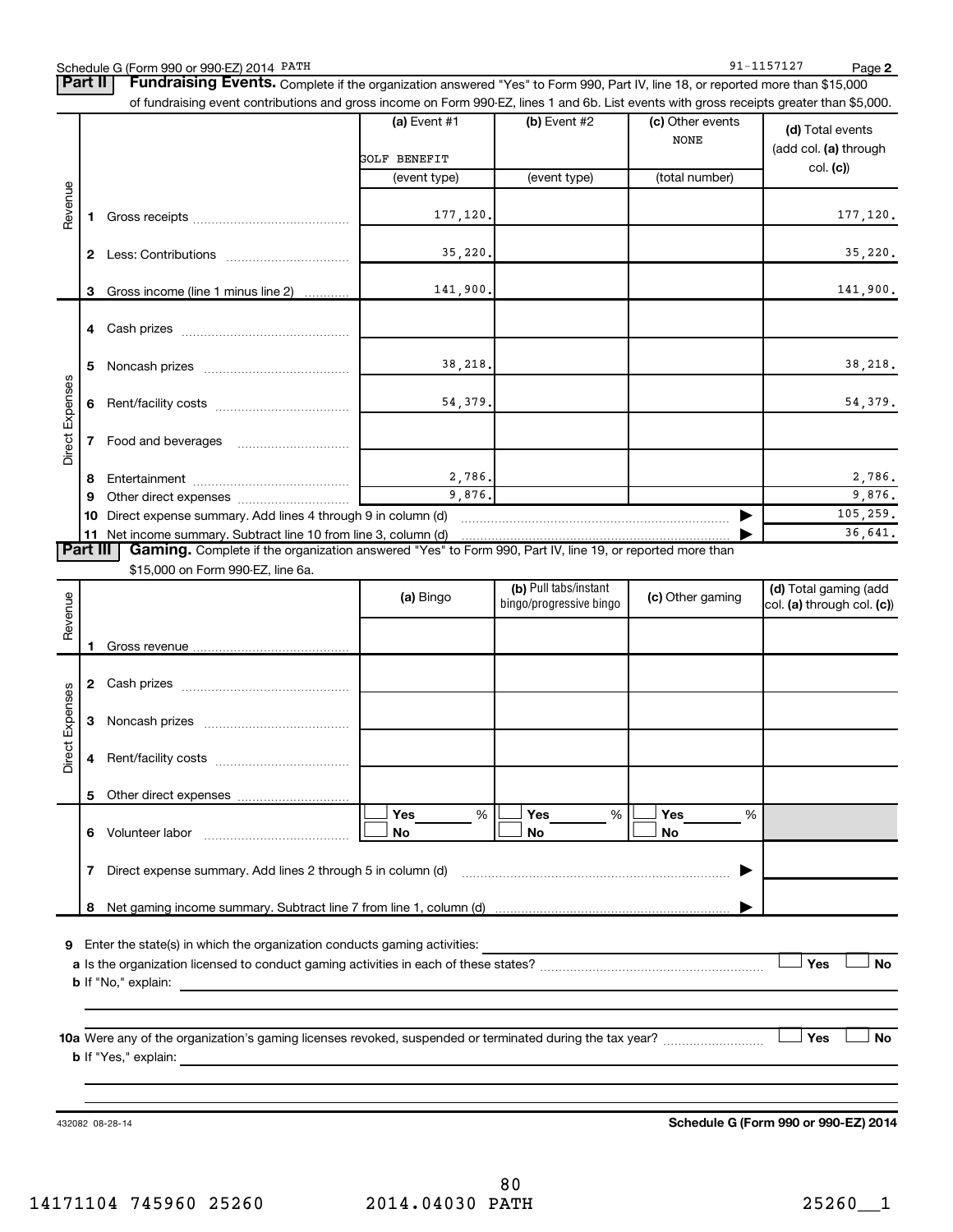|                 | Part II  | Schedule G (Form 990 or 990-EZ) 2014 PATH                                                                                                                                                                                                                                  |                       |                                                       |                                 | 91-1157127<br>Page 2                      |
|-----------------|----------|----------------------------------------------------------------------------------------------------------------------------------------------------------------------------------------------------------------------------------------------------------------------------|-----------------------|-------------------------------------------------------|---------------------------------|-------------------------------------------|
|                 |          | Fundraising Events. Complete if the organization answered "Yes" to Form 990, Part IV, line 18, or reported more than \$15,000<br>of fundraising event contributions and gross income on Form 990-EZ, lines 1 and 6b. List events with gross receipts greater than \$5,000. |                       |                                                       |                                 |                                           |
|                 |          |                                                                                                                                                                                                                                                                            | (a) Event #1          | (b) Event #2                                          | (c) Other events<br><b>NONE</b> | (d) Total events<br>(add col. (a) through |
|                 |          |                                                                                                                                                                                                                                                                            | GOLF BENEFIT          |                                                       |                                 | col. (c))                                 |
|                 |          |                                                                                                                                                                                                                                                                            | (event type)          | (event type)                                          | (total number)                  |                                           |
| Revenue         | 1        |                                                                                                                                                                                                                                                                            | 177,120.              |                                                       |                                 | 177,120.                                  |
|                 | 2        |                                                                                                                                                                                                                                                                            | 35,220.               |                                                       |                                 | 35,220.                                   |
|                 | 3        | Gross income (line 1 minus line 2)                                                                                                                                                                                                                                         | 141,900.              |                                                       |                                 | 141,900.                                  |
|                 | 4        |                                                                                                                                                                                                                                                                            |                       |                                                       |                                 |                                           |
|                 | 5        |                                                                                                                                                                                                                                                                            | 38,218.               |                                                       |                                 | 38,218.                                   |
| Direct Expenses | 6        |                                                                                                                                                                                                                                                                            | 54,379.               |                                                       |                                 | 54,379.                                   |
|                 | 7        |                                                                                                                                                                                                                                                                            |                       |                                                       |                                 |                                           |
|                 | 8        |                                                                                                                                                                                                                                                                            | 2,786.                |                                                       |                                 | 2,786.                                    |
|                 | 9        |                                                                                                                                                                                                                                                                            | 9,876.                |                                                       |                                 | 9,876.                                    |
|                 |          | Direct expense summary. Add lines 4 through 9 in column (d) maturities contains an according contained and Direct expense summary.                                                                                                                                         |                       |                                                       |                                 | 105,259.                                  |
|                 | 11       |                                                                                                                                                                                                                                                                            |                       |                                                       |                                 | 36,641.                                   |
|                 | Part III | Gaming. Complete if the organization answered "Yes" to Form 990, Part IV, line 19, or reported more than                                                                                                                                                                   |                       |                                                       |                                 |                                           |
|                 |          | \$15,000 on Form 990-EZ, line 6a.                                                                                                                                                                                                                                          |                       | (b) Pull tabs/instant                                 |                                 | (d) Total gaming (add                     |
| Revenue         |          |                                                                                                                                                                                                                                                                            | (a) Bingo             | bingo/progressive bingo                               | (c) Other gaming                | col. (a) through col. (c))                |
|                 |          |                                                                                                                                                                                                                                                                            |                       |                                                       |                                 |                                           |
|                 | 1        |                                                                                                                                                                                                                                                                            |                       |                                                       |                                 |                                           |
|                 | 2        | Cash prizes [111] Cash prizes [11] Cash prizes [11] Cash prizes [11] Casar Dividend Dividend Dividend Dividend D                                                                                                                                                           |                       |                                                       |                                 |                                           |
| Expenses        | 3        |                                                                                                                                                                                                                                                                            |                       |                                                       |                                 |                                           |
| tig<br>ă        |          |                                                                                                                                                                                                                                                                            |                       |                                                       |                                 |                                           |
|                 |          |                                                                                                                                                                                                                                                                            |                       |                                                       |                                 |                                           |
|                 |          | 6 Volunteer labor                                                                                                                                                                                                                                                          | Yes<br>%<br><b>No</b> | Yes<br>%<br>No                                        | Yes<br>%<br>No                  |                                           |
|                 | 7        | Direct expense summary. Add lines 2 through 5 in column (d)                                                                                                                                                                                                                |                       |                                                       |                                 |                                           |
|                 | 8        |                                                                                                                                                                                                                                                                            |                       |                                                       |                                 |                                           |
| 9               |          | Enter the state(s) in which the organization conducts gaming activities:                                                                                                                                                                                                   |                       | <u> 1989 - Johann Stein, fransk politik (d. 1989)</u> |                                 | Yes<br><b>No</b>                          |
|                 |          |                                                                                                                                                                                                                                                                            |                       |                                                       |                                 | Yes<br><b>No</b>                          |
|                 |          |                                                                                                                                                                                                                                                                            |                       |                                                       |                                 |                                           |

432082 08-28-14

**Schedule G (Form 990 or 990-EZ) 2014**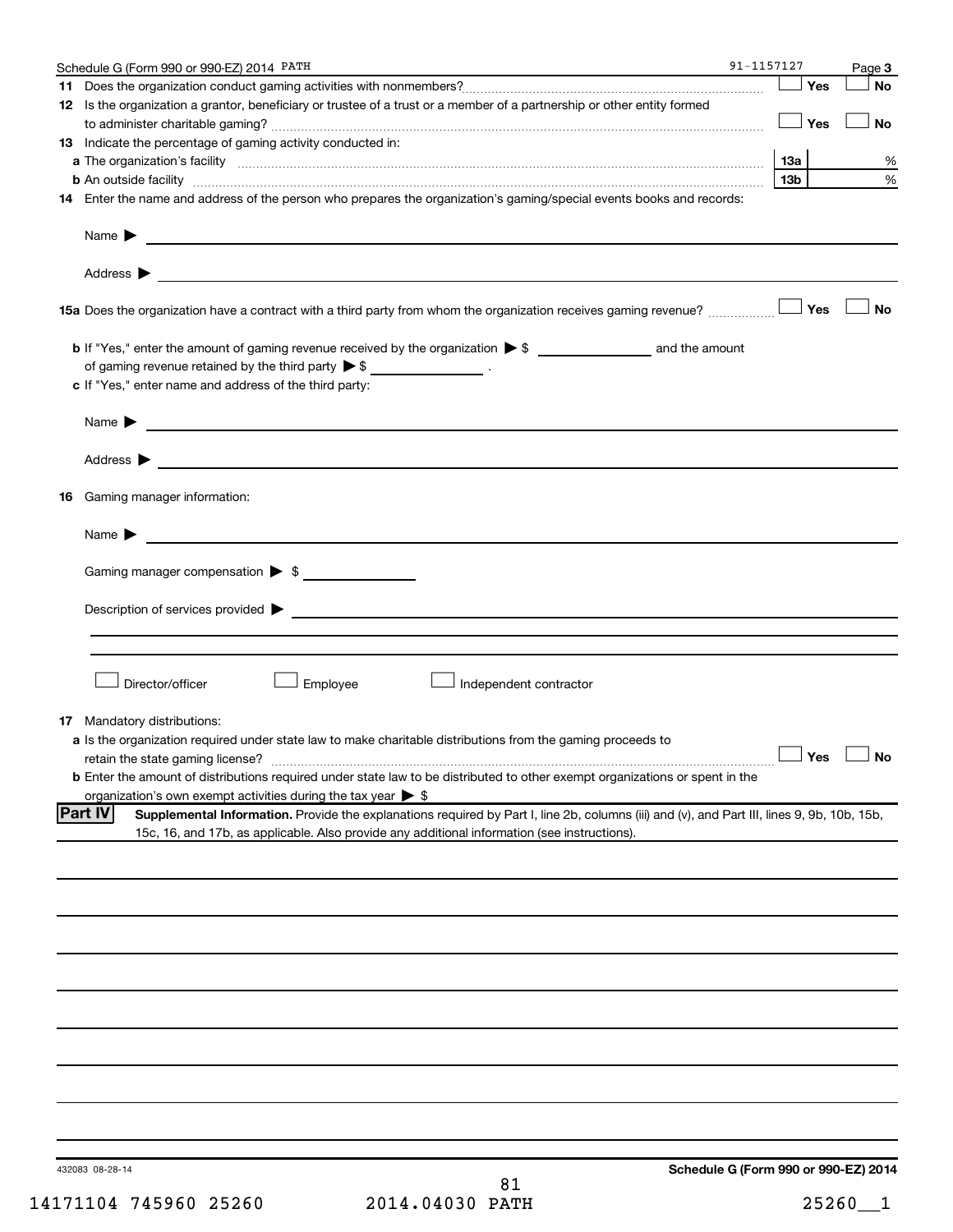|    | Schedule G (Form 990 or 990-EZ) 2014 PATH                                                                                                                                                                                            | 91-1157127                           | Page 3    |
|----|--------------------------------------------------------------------------------------------------------------------------------------------------------------------------------------------------------------------------------------|--------------------------------------|-----------|
|    |                                                                                                                                                                                                                                      | Yes                                  | <b>No</b> |
|    | 12 Is the organization a grantor, beneficiary or trustee of a trust or a member of a partnership or other entity formed                                                                                                              | Yes                                  | <b>No</b> |
|    | <b>13</b> Indicate the percentage of gaming activity conducted in:                                                                                                                                                                   |                                      |           |
|    |                                                                                                                                                                                                                                      | 1За                                  | %         |
|    |                                                                                                                                                                                                                                      | 13 <sub>b</sub>                      | %         |
|    | 14 Enter the name and address of the person who prepares the organization's gaming/special events books and records:                                                                                                                 |                                      |           |
|    | Name $\blacktriangleright$<br><u> 1989 - John Stein, Amerikaansk politiker (* 1908)</u>                                                                                                                                              |                                      |           |
|    |                                                                                                                                                                                                                                      |                                      |           |
|    |                                                                                                                                                                                                                                      | Yes                                  | <b>No</b> |
|    | of gaming revenue retained by the third party $\triangleright$ \$ __________________.                                                                                                                                                |                                      |           |
|    | c If "Yes," enter name and address of the third party:                                                                                                                                                                               |                                      |           |
|    | <u> 1989 - Johann Barbara, martin amerikan basal dan berasal dan berasal dalam basal dan berasal dan berasal dan</u><br>Name $\blacktriangleright$                                                                                   |                                      |           |
|    | Address $\blacktriangleright$                                                                                                                                                                                                        |                                      |           |
| 16 | Gaming manager information:                                                                                                                                                                                                          |                                      |           |
|    | Name $\blacktriangleright$                                                                                                                                                                                                           |                                      |           |
|    | Gaming manager compensation > \$                                                                                                                                                                                                     |                                      |           |
|    | Description of services provided <b>Denote the Constantine Constantine Constantine Constantine Constantine Constantine Constantine Constantine Constantine Constantine Constantine Constantine Constantine Constantine Constanti</b> |                                      |           |
|    |                                                                                                                                                                                                                                      |                                      |           |
|    | Director/officer<br>Employee<br>Independent contractor                                                                                                                                                                               |                                      |           |
|    | <b>17</b> Mandatory distributions:                                                                                                                                                                                                   |                                      |           |
|    | a Is the organization required under state law to make charitable distributions from the gaming proceeds to                                                                                                                          |                                      |           |
|    | retain the state gaming license?                                                                                                                                                                                                     | Yes $\lfloor$                        | $\Box$ No |
|    | <b>b</b> Enter the amount of distributions required under state law to be distributed to other exempt organizations or spent in the                                                                                                  |                                      |           |
|    | organization's own exempt activities during the tax year $\triangleright$ \$                                                                                                                                                         |                                      |           |
|    | <b>Part IV</b><br>Supplemental Information. Provide the explanations required by Part I, line 2b, columns (iii) and (v), and Part III, lines 9, 9b, 10b, 15b,                                                                        |                                      |           |
|    | 15c, 16, and 17b, as applicable. Also provide any additional information (see instructions).                                                                                                                                         |                                      |           |
|    |                                                                                                                                                                                                                                      |                                      |           |
|    |                                                                                                                                                                                                                                      |                                      |           |
|    |                                                                                                                                                                                                                                      |                                      |           |
|    |                                                                                                                                                                                                                                      |                                      |           |
|    |                                                                                                                                                                                                                                      |                                      |           |
|    |                                                                                                                                                                                                                                      |                                      |           |
|    |                                                                                                                                                                                                                                      |                                      |           |
|    |                                                                                                                                                                                                                                      |                                      |           |
|    |                                                                                                                                                                                                                                      |                                      |           |
|    |                                                                                                                                                                                                                                      |                                      |           |
|    |                                                                                                                                                                                                                                      |                                      |           |
|    |                                                                                                                                                                                                                                      |                                      |           |
|    |                                                                                                                                                                                                                                      |                                      |           |
|    |                                                                                                                                                                                                                                      |                                      |           |
|    | 432083 08-28-14                                                                                                                                                                                                                      | Schedule G (Form 990 or 990-EZ) 2014 |           |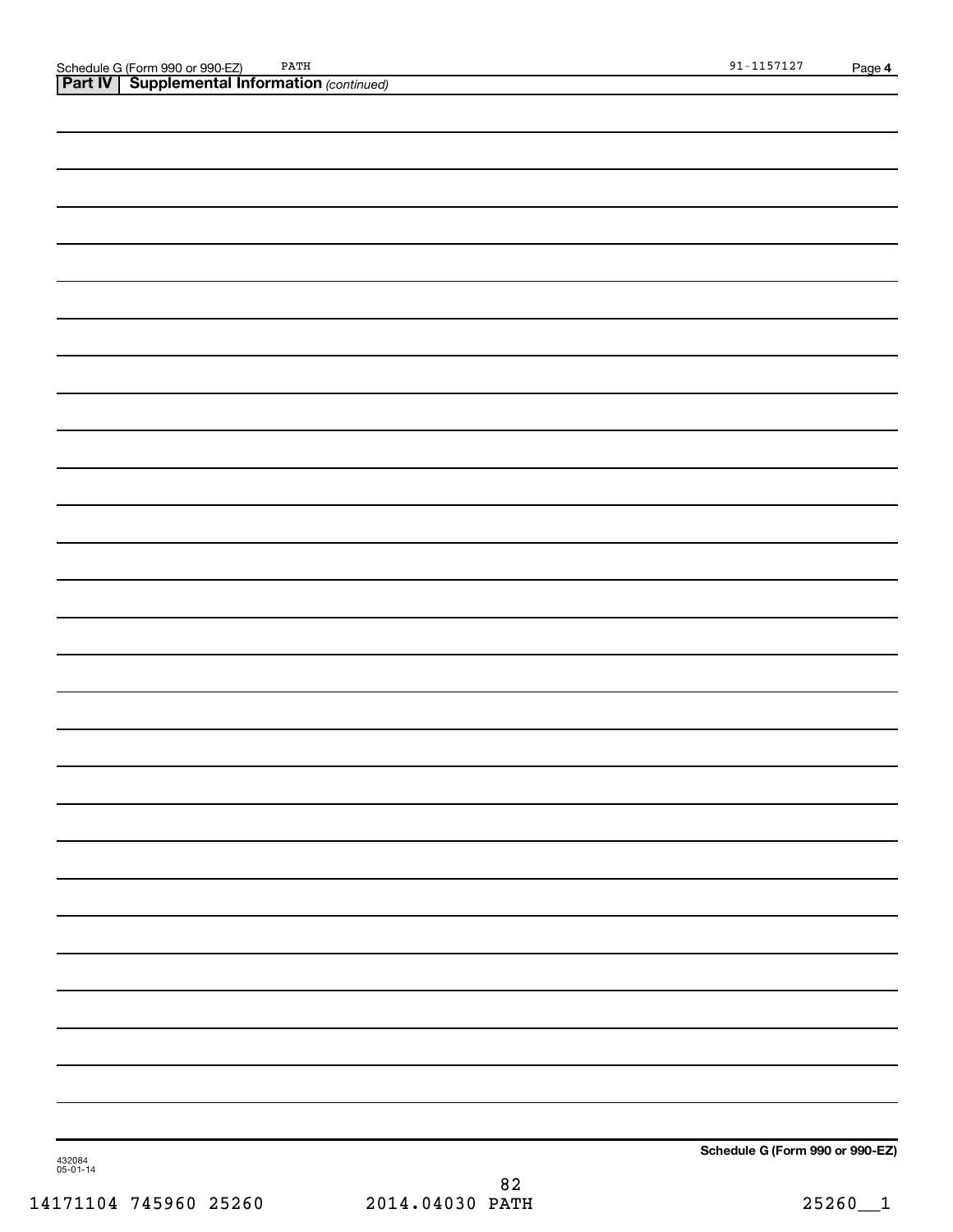**Part IV** | Supplemental Information (continued)

**Schedule G (Form 990 or 990-EZ)**

14171104 745960 25260 2014.04030 PATH 25260\_\_1 82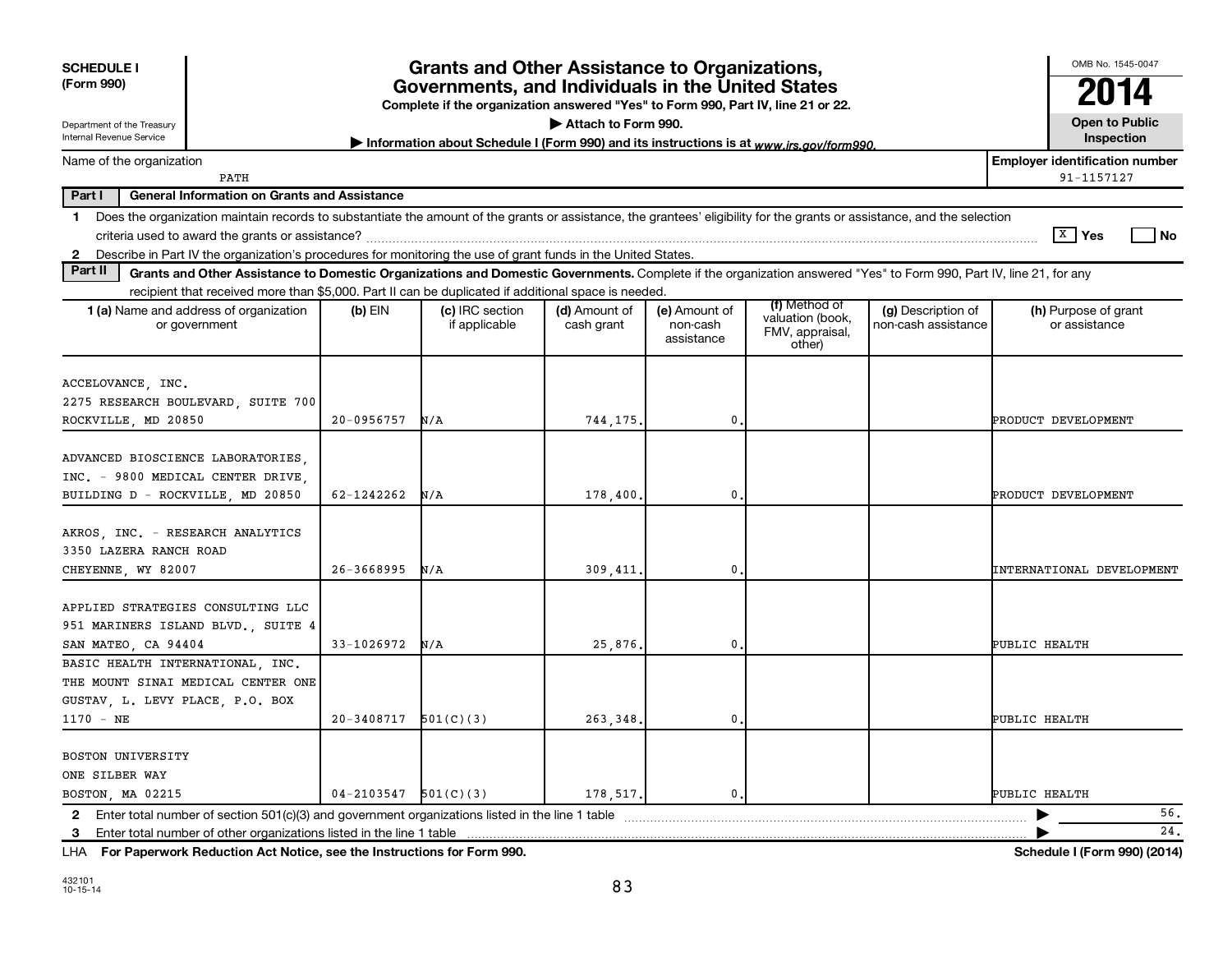| <b>SCHEDULE I</b><br>(Form 990)<br>Department of the Treasury<br>Internal Revenue Service                                                                                                                                                                                                                       | <b>Grants and Other Assistance to Organizations,</b><br>Governments, and Individuals in the United States<br>Complete if the organization answered "Yes" to Form 990, Part IV, line 21 or 22.<br>Attach to Form 990.<br>Information about Schedule I (Form 990) and its instructions is at www.irs.gov/form990. |                                  |                             |                                         |                                                                |                                           |                                       |  |  |  |  |
|-----------------------------------------------------------------------------------------------------------------------------------------------------------------------------------------------------------------------------------------------------------------------------------------------------------------|-----------------------------------------------------------------------------------------------------------------------------------------------------------------------------------------------------------------------------------------------------------------------------------------------------------------|----------------------------------|-----------------------------|-----------------------------------------|----------------------------------------------------------------|-------------------------------------------|---------------------------------------|--|--|--|--|
| Name of the organization                                                                                                                                                                                                                                                                                        |                                                                                                                                                                                                                                                                                                                 |                                  |                             |                                         |                                                                |                                           | <b>Employer identification number</b> |  |  |  |  |
| PATH                                                                                                                                                                                                                                                                                                            |                                                                                                                                                                                                                                                                                                                 |                                  |                             |                                         |                                                                |                                           | 91-1157127                            |  |  |  |  |
| Part I<br><b>General Information on Grants and Assistance</b>                                                                                                                                                                                                                                                   |                                                                                                                                                                                                                                                                                                                 |                                  |                             |                                         |                                                                |                                           |                                       |  |  |  |  |
| Does the organization maintain records to substantiate the amount of the grants or assistance, the grantees' eligibility for the grants or assistance, and the selection<br>1.<br>Describe in Part IV the organization's procedures for monitoring the use of grant funds in the United States.<br>$\mathbf{2}$ |                                                                                                                                                                                                                                                                                                                 |                                  |                             |                                         |                                                                |                                           | $\boxed{\text{X}}$ Yes<br><b>No</b>   |  |  |  |  |
| Part II<br>Grants and Other Assistance to Domestic Organizations and Domestic Governments. Complete if the organization answered "Yes" to Form 990, Part IV, line 21, for any                                                                                                                                   |                                                                                                                                                                                                                                                                                                                 |                                  |                             |                                         |                                                                |                                           |                                       |  |  |  |  |
| recipient that received more than \$5,000. Part II can be duplicated if additional space is needed.                                                                                                                                                                                                             |                                                                                                                                                                                                                                                                                                                 |                                  |                             |                                         |                                                                |                                           |                                       |  |  |  |  |
| 1 (a) Name and address of organization<br>or government                                                                                                                                                                                                                                                         | (b) EIN                                                                                                                                                                                                                                                                                                         | (c) IRC section<br>if applicable | (d) Amount of<br>cash grant | (e) Amount of<br>non-cash<br>assistance | (f) Method of<br>valuation (book,<br>FMV, appraisal,<br>other) | (g) Description of<br>non-cash assistance | (h) Purpose of grant<br>or assistance |  |  |  |  |
| ACCELOVANCE, INC.<br>2275 RESEARCH BOULEVARD, SUITE 700<br>ROCKVILLE, MD 20850                                                                                                                                                                                                                                  | 20-0956757                                                                                                                                                                                                                                                                                                      | N/A                              | 744,175.                    | 0                                       |                                                                |                                           | PRODUCT DEVELOPMENT                   |  |  |  |  |
| ADVANCED BIOSCIENCE LABORATORIES<br>INC. - 9800 MEDICAL CENTER DRIVE,<br>BUILDING D - ROCKVILLE, MD 20850                                                                                                                                                                                                       | 62-1242262                                                                                                                                                                                                                                                                                                      | N/A                              | 178,400.                    | $\mathbf 0$ .                           |                                                                |                                           | <b>PRODUCT DEVELOPMENT</b>            |  |  |  |  |
| AKROS, INC. - RESEARCH ANALYTICS<br>3350 LAZERA RANCH ROAD<br>CHEYENNE, WY 82007                                                                                                                                                                                                                                | $26 - 3668995$                                                                                                                                                                                                                                                                                                  | N/A                              | 309,411.                    | $\mathbf{0}$                            |                                                                |                                           | INTERNATIONAL DEVELOPMENT             |  |  |  |  |
| APPLIED STRATEGIES CONSULTING LLC<br>951 MARINERS ISLAND BLVD., SUITE 4<br>SAN MATEO, CA 94404                                                                                                                                                                                                                  | 33-1026972                                                                                                                                                                                                                                                                                                      | N/A                              | 25,876,                     | 0                                       |                                                                |                                           | PUBLIC HEALTH                         |  |  |  |  |
| BASIC HEALTH INTERNATIONAL, INC.<br>THE MOUNT SINAI MEDICAL CENTER ONE<br>GUSTAV, L. LEVY PLACE, P.O. BOX<br>$1170 - NE$                                                                                                                                                                                        | $20-3408717$ $501(C)(3)$                                                                                                                                                                                                                                                                                        |                                  | 263,348.                    | 0                                       |                                                                |                                           | PUBLIC HEALTH                         |  |  |  |  |
| BOSTON UNIVERSITY<br>ONE SILBER WAY<br>BOSTON, MA 02215                                                                                                                                                                                                                                                         | $04 - 2103547$ $501(C)(3)$                                                                                                                                                                                                                                                                                      |                                  | 178,517.                    | $\mathbf{0}$                            |                                                                |                                           | PUBLIC HEALTH                         |  |  |  |  |
| 2 Enter total number of section 501(c)(3) and government organizations listed in the line 1 table                                                                                                                                                                                                               |                                                                                                                                                                                                                                                                                                                 |                                  |                             |                                         |                                                                |                                           | 56.                                   |  |  |  |  |
| 3 Enter total number of other organizations listed in the line 1 table                                                                                                                                                                                                                                          |                                                                                                                                                                                                                                                                                                                 |                                  |                             |                                         |                                                                |                                           | 24.                                   |  |  |  |  |

**For Paperwork Reduction Act Notice, see the Instructions for Form 990. Schedule I (Form 990) (2014)** LHA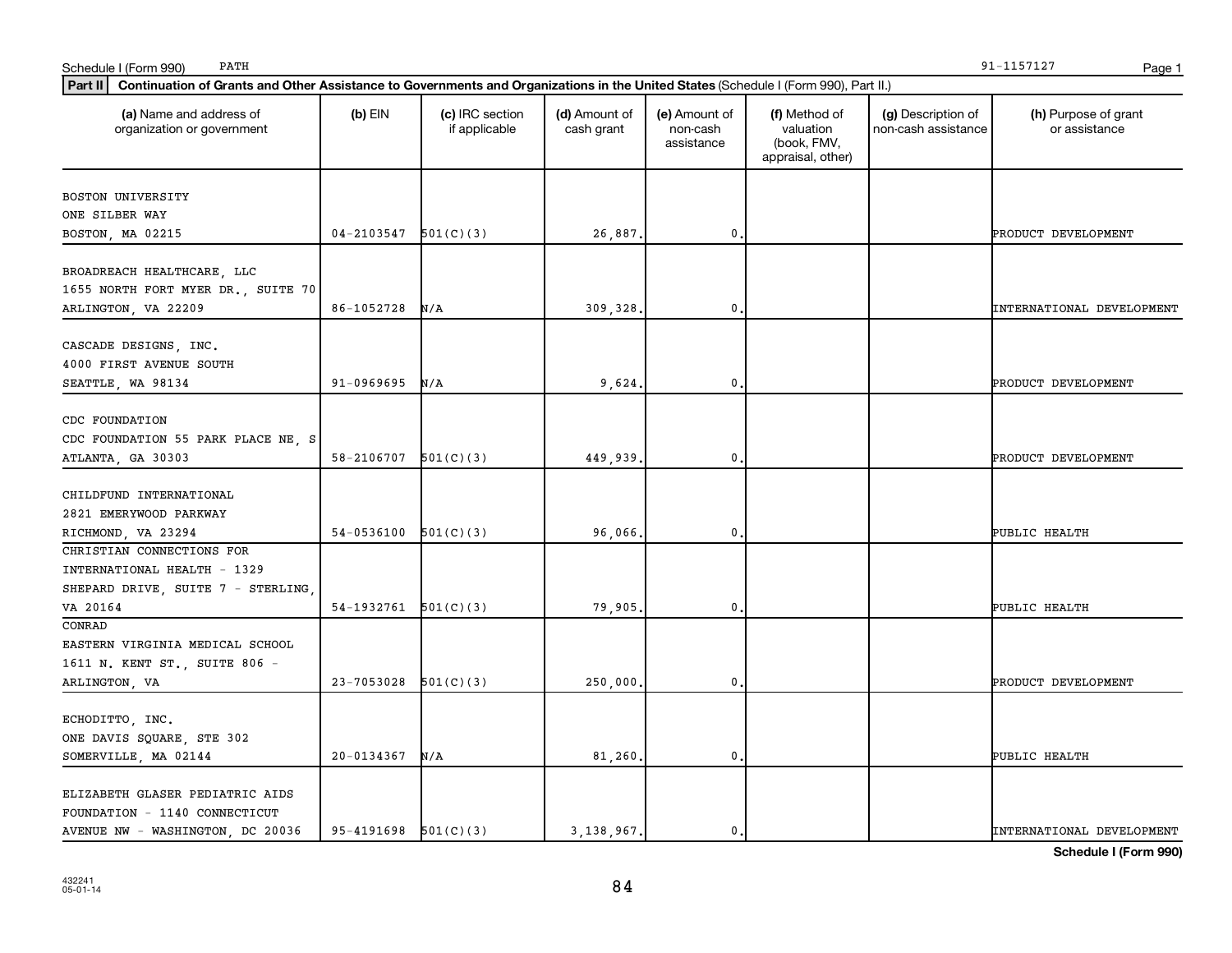| Schedule I (Form 990)<br>PATH                                                                                                                  |                            |                                  |                             |                                         |                                                                |                                           | 91-1157127<br>Page 1                  |
|------------------------------------------------------------------------------------------------------------------------------------------------|----------------------------|----------------------------------|-----------------------------|-----------------------------------------|----------------------------------------------------------------|-------------------------------------------|---------------------------------------|
| Part II<br>Continuation of Grants and Other Assistance to Governments and Organizations in the United States (Schedule I (Form 990), Part II.) |                            |                                  |                             |                                         |                                                                |                                           |                                       |
| (a) Name and address of<br>organization or government                                                                                          | $(b)$ EIN                  | (c) IRC section<br>if applicable | (d) Amount of<br>cash grant | (e) Amount of<br>non-cash<br>assistance | (f) Method of<br>valuation<br>(book, FMV,<br>appraisal, other) | (g) Description of<br>non-cash assistance | (h) Purpose of grant<br>or assistance |
| BOSTON UNIVERSITY                                                                                                                              |                            |                                  |                             |                                         |                                                                |                                           |                                       |
| ONE SILBER WAY                                                                                                                                 |                            |                                  |                             |                                         |                                                                |                                           |                                       |
| BOSTON, MA 02215                                                                                                                               | $04 - 2103547$             | 501(C)(3)                        | 26,887                      | $\mathfrak{o}$ .                        |                                                                |                                           | PRODUCT DEVELOPMENT                   |
| BROADREACH HEALTHCARE, LLC<br>1655 NORTH FORT MYER DR., SUITE 70                                                                               |                            |                                  |                             |                                         |                                                                |                                           |                                       |
| ARLINGTON, VA 22209                                                                                                                            | 86-1052728                 | N/A                              | 309,328                     | $\mathbf{0}$                            |                                                                |                                           | INTERNATIONAL DEVELOPMENT             |
| CASCADE DESIGNS, INC.<br>4000 FIRST AVENUE SOUTH                                                                                               |                            |                                  |                             |                                         |                                                                |                                           |                                       |
| SEATTLE, WA 98134                                                                                                                              | 91-0969695                 | N/A                              | 9,624                       | $\mathbf 0$ .                           |                                                                |                                           | PRODUCT DEVELOPMENT                   |
| CDC FOUNDATION<br>CDC FOUNDATION 55 PARK PLACE NE, S<br>ATLANTA, GA 30303                                                                      | 58-2106707                 | 501(C)(3)                        | 449,939.                    | $\mathbf{0}$ .                          |                                                                |                                           | PRODUCT DEVELOPMENT                   |
| CHILDFUND INTERNATIONAL<br>2821 EMERYWOOD PARKWAY<br>RICHMOND, VA 23294                                                                        | 54-0536100                 | 501(C)(3)                        | 96,066                      | 0                                       |                                                                |                                           | PUBLIC HEALTH                         |
| CHRISTIAN CONNECTIONS FOR<br>INTERNATIONAL HEALTH - 1329<br>SHEPARD DRIVE, SUITE 7 - STERLING                                                  |                            |                                  |                             |                                         |                                                                |                                           |                                       |
| VA 20164                                                                                                                                       | 54-1932761                 | 501(C)(3)                        | 79,905                      | $\mathfrak{o}$ .                        |                                                                |                                           | <b>PUBLIC HEALTH</b>                  |
| CONRAD<br>EASTERN VIRGINIA MEDICAL SCHOOL<br>1611 N. KENT ST., SUITE 806 -                                                                     |                            |                                  |                             |                                         |                                                                |                                           |                                       |
| ARLINGTON, VA                                                                                                                                  | 23-7053028                 | 501(C)(3)                        | 250,000                     | $\mathfrak o$ .                         |                                                                |                                           | PRODUCT DEVELOPMENT                   |
| ECHODITTO, INC.<br>ONE DAVIS SQUARE, STE 302<br>SOMERVILLE, MA 02144                                                                           | $20 - 0134367$             | N/A                              | 81,260                      | 0.                                      |                                                                |                                           | PUBLIC HEALTH                         |
| ELIZABETH GLASER PEDIATRIC AIDS<br>FOUNDATION - 1140 CONNECTICUT<br>AVENUE NW - WASHINGTON, DC 20036                                           | $95 - 4191698$ $501(C)(3)$ |                                  | 3,138,967.                  | $\mathbf{0}$ .                          |                                                                |                                           | INTERNATIONAL DEVELOPMENT             |

PATH 91-1157127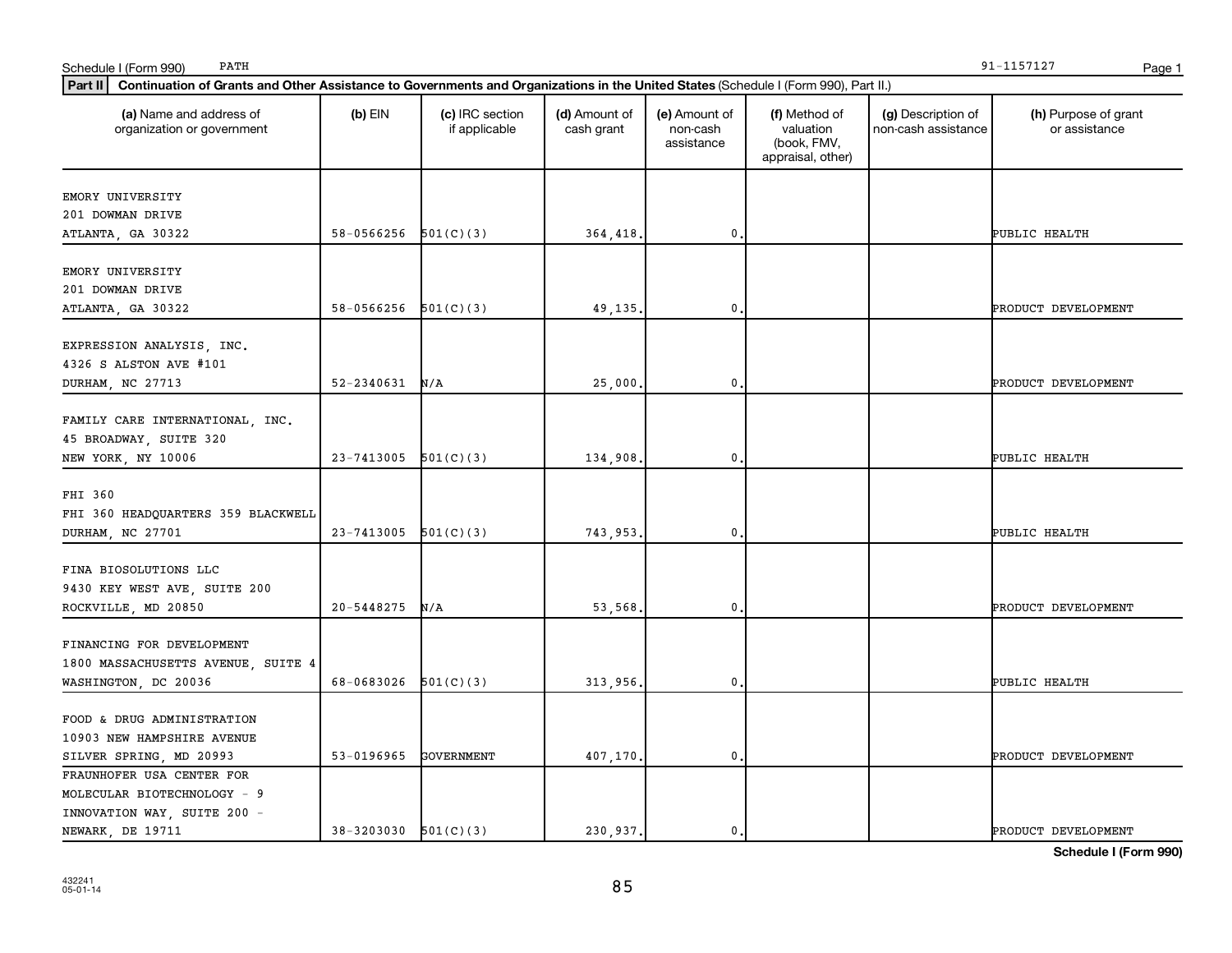| PATH<br>Schedule I (Form 990)                                                                                                                  |                            |                                  |                             |                                         |                                                                |                                           | 91-1157127<br>Page 1                  |
|------------------------------------------------------------------------------------------------------------------------------------------------|----------------------------|----------------------------------|-----------------------------|-----------------------------------------|----------------------------------------------------------------|-------------------------------------------|---------------------------------------|
| Part II<br>Continuation of Grants and Other Assistance to Governments and Organizations in the United States (Schedule I (Form 990), Part II.) |                            |                                  |                             |                                         |                                                                |                                           |                                       |
| (a) Name and address of<br>organization or government                                                                                          | $(b)$ EIN                  | (c) IRC section<br>if applicable | (d) Amount of<br>cash grant | (e) Amount of<br>non-cash<br>assistance | (f) Method of<br>valuation<br>(book, FMV,<br>appraisal, other) | (g) Description of<br>non-cash assistance | (h) Purpose of grant<br>or assistance |
| EMORY UNIVERSITY<br>201 DOWMAN DRIVE<br>ATLANTA, GA 30322                                                                                      | $58-0566256$ $501(C)(3)$   |                                  | 364,418.                    | 0                                       |                                                                |                                           | PUBLIC HEALTH                         |
| EMORY UNIVERSITY<br>201 DOWMAN DRIVE<br>ATLANTA, GA 30322                                                                                      | 58-0566256                 | 501(C)(3)                        | 49,135.                     | 0                                       |                                                                |                                           | PRODUCT DEVELOPMENT                   |
| EXPRESSION ANALYSIS, INC.<br>4326 S ALSTON AVE #101<br>DURHAM, NC 27713                                                                        | 52-2340631                 | N/A                              | 25,000.                     | 0                                       |                                                                |                                           | PRODUCT DEVELOPMENT                   |
| FAMILY CARE INTERNATIONAL, INC.<br>45 BROADWAY, SUITE 320<br>NEW YORK, NY 10006                                                                | 23-7413005                 | 501(C)(3)                        | 134,908.                    | 0                                       |                                                                |                                           | PUBLIC HEALTH                         |
| <b>FHI 360</b><br>FHI 360 HEADQUARTERS 359 BLACKWELL<br>DURHAM, NC 27701                                                                       | $23 - 7413005$ $501(C)(3)$ |                                  | 743,953.                    | 0                                       |                                                                |                                           | PUBLIC HEALTH                         |
| FINA BIOSOLUTIONS LLC<br>9430 KEY WEST AVE, SUITE 200<br>ROCKVILLE, MD 20850                                                                   | $20 - 5448275$             | N/A                              | 53,568                      | 0                                       |                                                                |                                           | PRODUCT DEVELOPMENT                   |
| FINANCING FOR DEVELOPMENT<br>1800 MASSACHUSETTS AVENUE, SUITE 4<br>WASHINGTON, DC 20036                                                        | 68-0683026                 | 501(C)(3)                        | 313,956.                    | 0                                       |                                                                |                                           | PUBLIC HEALTH                         |
| FOOD & DRUG ADMINISTRATION<br>10903 NEW HAMPSHIRE AVENUE<br>SILVER SPRING, MD 20993                                                            | 53-0196965                 | GOVERNMENT                       | 407,170.                    | $\mathbf{0}$                            |                                                                |                                           | PRODUCT DEVELOPMENT                   |
| FRAUNHOFER USA CENTER FOR<br>MOLECULAR BIOTECHNOLOGY - 9<br>INNOVATION WAY, SUITE 200 -<br>NEWARK, DE 19711                                    | $38-3203030$ $501(C)(3)$   |                                  | 230,937.                    | $\mathbf{0}$ .                          |                                                                |                                           | PRODUCT DEVELOPMENT                   |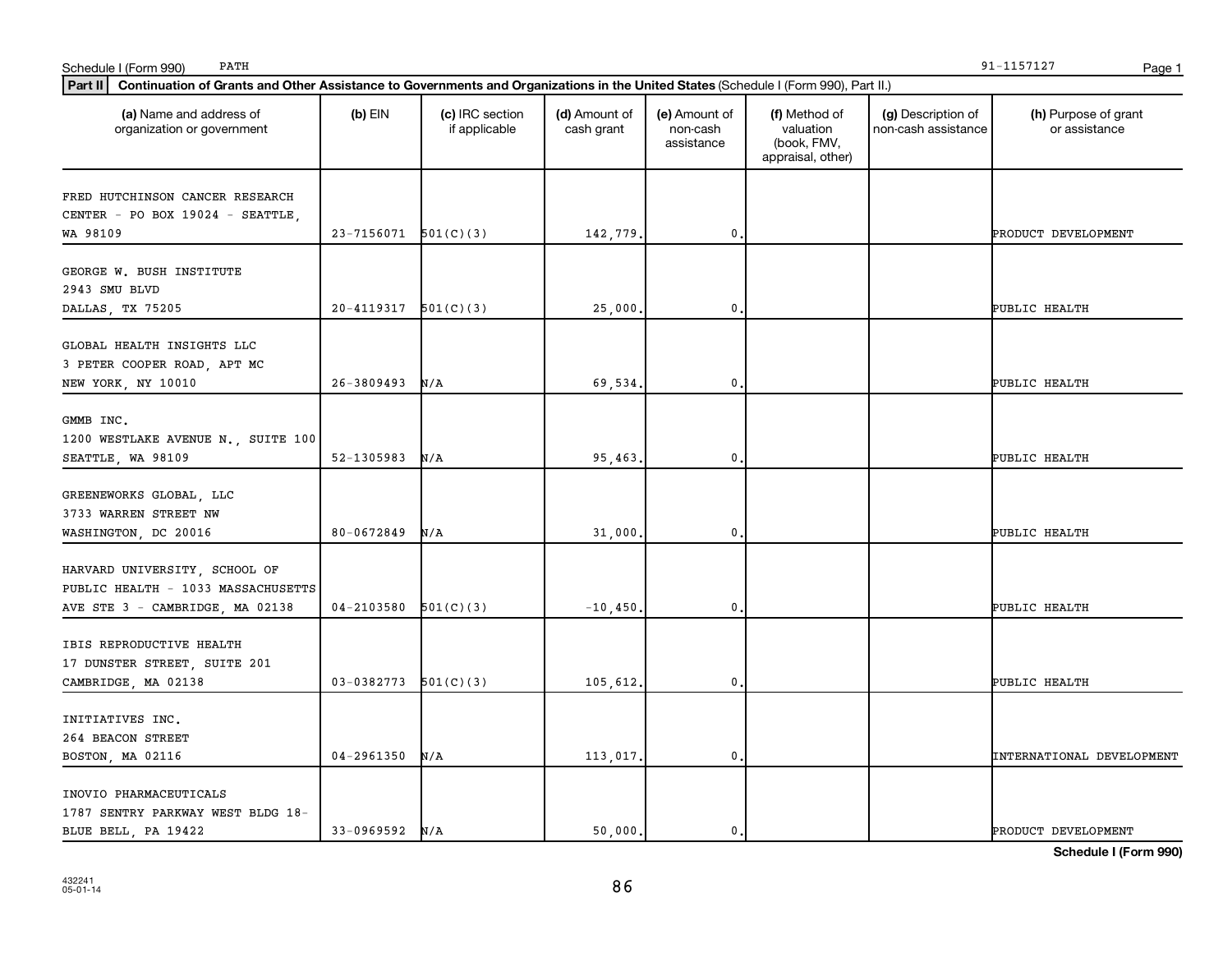| PATH<br>Schedule I (Form 990)                                                                                                                  |                            |                                  |                             |                                         |                                                                |                                           | 91-1157127<br>Page 1                  |
|------------------------------------------------------------------------------------------------------------------------------------------------|----------------------------|----------------------------------|-----------------------------|-----------------------------------------|----------------------------------------------------------------|-------------------------------------------|---------------------------------------|
| Part II<br>Continuation of Grants and Other Assistance to Governments and Organizations in the United States (Schedule I (Form 990), Part II.) |                            |                                  |                             |                                         |                                                                |                                           |                                       |
| (a) Name and address of<br>organization or government                                                                                          | $(b)$ EIN                  | (c) IRC section<br>if applicable | (d) Amount of<br>cash grant | (e) Amount of<br>non-cash<br>assistance | (f) Method of<br>valuation<br>(book, FMV,<br>appraisal, other) | (g) Description of<br>non-cash assistance | (h) Purpose of grant<br>or assistance |
| FRED HUTCHINSON CANCER RESEARCH<br>CENTER - PO BOX 19024 - SEATTLE,<br>WA 98109                                                                | $23 - 7156071$ $501(C)(3)$ |                                  | 142,779.                    | $\mathbf 0$ .                           |                                                                |                                           | PRODUCT DEVELOPMENT                   |
| GEORGE W. BUSH INSTITUTE<br>2943 SMU BLVD<br>DALLAS, TX 75205                                                                                  | 20-4119317                 | 501(C)(3)                        | 25,000.                     | $\mathbf{0}$                            |                                                                |                                           | PUBLIC HEALTH                         |
| GLOBAL HEALTH INSIGHTS LLC<br>3 PETER COOPER ROAD, APT MC<br>NEW YORK, NY 10010                                                                | 26-3809493                 | N/A                              | 69,534.                     | $\mathbf{0}$                            |                                                                |                                           | PUBLIC HEALTH                         |
| GMMB INC.<br>1200 WESTLAKE AVENUE N., SUITE 100<br>SEATTLE, WA 98109                                                                           | 52-1305983                 | N/A                              | 95,463.                     | $\mathbf{0}$                            |                                                                |                                           | PUBLIC HEALTH                         |
| GREENEWORKS GLOBAL, LLC<br>3733 WARREN STREET NW<br>WASHINGTON, DC 20016                                                                       | 80-0672849                 | N/A                              | 31,000.                     | $\mathbf 0$ .                           |                                                                |                                           | PUBLIC HEALTH                         |
| HARVARD UNIVERSITY, SCHOOL OF<br>PUBLIC HEALTH - 1033 MASSACHUSETTS<br>AVE STE 3 - CAMBRIDGE, MA 02138                                         | 04-2103580                 | 501(C)(3)                        | $-10,450.$                  | $\mathbf{0}$                            |                                                                |                                           | PUBLIC HEALTH                         |
| IBIS REPRODUCTIVE HEALTH<br>17 DUNSTER STREET, SUITE 201<br>CAMBRIDGE, MA 02138                                                                | $03-0382773$ $501(C)(3)$   |                                  | 105,612.                    | $\mathbf 0$ .                           |                                                                |                                           | PUBLIC HEALTH                         |
| INITIATIVES INC.<br>264 BEACON STREET<br>BOSTON, MA 02116                                                                                      | $04 - 2961350$             | N/A                              | 113,017.                    | $\mathbf 0$ .                           |                                                                |                                           | INTERNATIONAL DEVELOPMENT             |
| INOVIO PHARMACEUTICALS<br>1787 SENTRY PARKWAY WEST BLDG 18-<br>BLUE BELL, PA 19422                                                             | $33-0969592$ N/A           |                                  | 50,000.                     | 0.                                      |                                                                |                                           | PRODUCT DEVELOPMENT                   |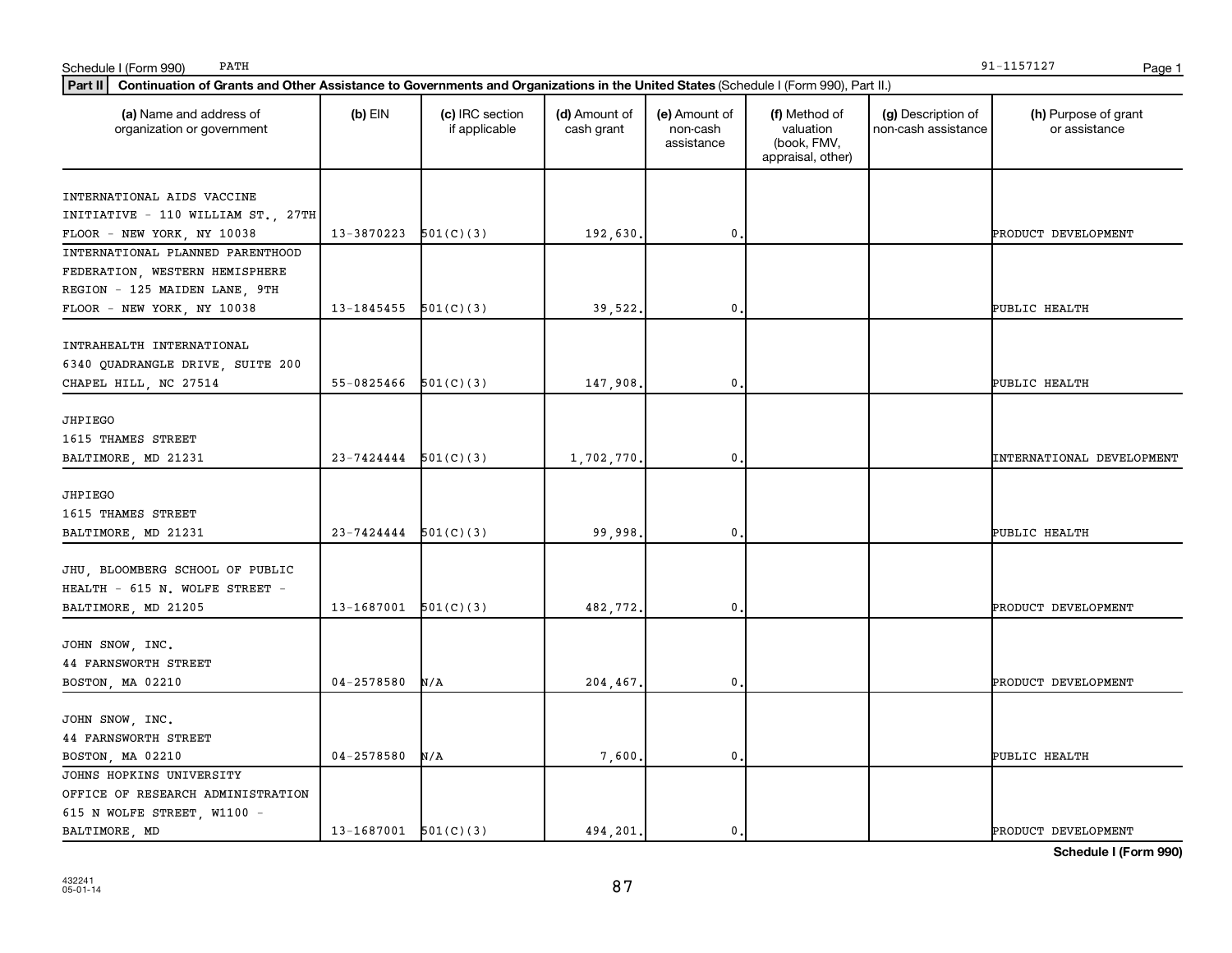| Schedule I (Form 990)<br>PATH                                                                                                                  |                          |                                  |                             |                                         |                                                                |                                           | 91-1157127<br>Page 1                  |
|------------------------------------------------------------------------------------------------------------------------------------------------|--------------------------|----------------------------------|-----------------------------|-----------------------------------------|----------------------------------------------------------------|-------------------------------------------|---------------------------------------|
| Part II<br>Continuation of Grants and Other Assistance to Governments and Organizations in the United States (Schedule I (Form 990), Part II.) |                          |                                  |                             |                                         |                                                                |                                           |                                       |
| (a) Name and address of<br>organization or government                                                                                          | $(b)$ EIN                | (c) IRC section<br>if applicable | (d) Amount of<br>cash grant | (e) Amount of<br>non-cash<br>assistance | (f) Method of<br>valuation<br>(book, FMV,<br>appraisal, other) | (g) Description of<br>non-cash assistance | (h) Purpose of grant<br>or assistance |
| INTERNATIONAL AIDS VACCINE                                                                                                                     |                          |                                  |                             |                                         |                                                                |                                           |                                       |
| INITIATIVE - 110 WILLIAM ST., 27TH                                                                                                             |                          |                                  |                             |                                         |                                                                |                                           |                                       |
| FLOOR - NEW YORK, NY 10038                                                                                                                     | 13-3870223               | 501(C)(3)                        | 192,630                     | 0,                                      |                                                                |                                           | PRODUCT DEVELOPMENT                   |
| INTERNATIONAL PLANNED PARENTHOOD                                                                                                               |                          |                                  |                             |                                         |                                                                |                                           |                                       |
| FEDERATION, WESTERN HEMISPHERE                                                                                                                 |                          |                                  |                             |                                         |                                                                |                                           |                                       |
| REGION - 125 MAIDEN LANE, 9TH                                                                                                                  |                          |                                  |                             |                                         |                                                                |                                           |                                       |
| FLOOR - NEW YORK, NY 10038                                                                                                                     | $13-1845455$ $501(C)(3)$ |                                  | 39,522                      | $\mathbf{0}$                            |                                                                |                                           | PUBLIC HEALTH                         |
| INTRAHEALTH INTERNATIONAL<br>6340 QUADRANGLE DRIVE, SUITE 200                                                                                  |                          |                                  |                             |                                         |                                                                |                                           |                                       |
| CHAPEL HILL, NC 27514                                                                                                                          | 55-0825466               | 501(C)(3)                        | 147,908                     | 0                                       |                                                                |                                           | PUBLIC HEALTH                         |
| JHPIEGO<br>1615 THAMES STREET<br>BALTIMORE, MD 21231                                                                                           | $23 - 7424444$           | 501(C)(3)                        | 1,702,770                   | 0,                                      |                                                                |                                           | INTERNATIONAL DEVELOPMENT             |
| JHPIEGO<br>1615 THAMES STREET<br>BALTIMORE, MD 21231                                                                                           | 23-7424444               | 501(C)(3)                        | 99,998                      | $\mathbf{0}$                            |                                                                |                                           | PUBLIC HEALTH                         |
| JHU, BLOOMBERG SCHOOL OF PUBLIC<br>HEALTH - 615 N. WOLFE STREET -<br>BALTIMORE, MD 21205                                                       | 13-1687001               | 501(C)(3)                        | 482,772                     | $\mathbf{0}$                            |                                                                |                                           | PRODUCT DEVELOPMENT                   |
| JOHN SNOW, INC.<br><b>44 FARNSWORTH STREET</b>                                                                                                 |                          |                                  |                             |                                         |                                                                |                                           |                                       |
| BOSTON, MA 02210                                                                                                                               | $04 - 2578580$           | N/A                              | 204,467.                    | 0.                                      |                                                                |                                           | PRODUCT DEVELOPMENT                   |
| JOHN SNOW, INC.<br><b>44 FARNSWORTH STREET</b><br>BOSTON, MA 02210                                                                             | $04 - 2578580$           | N/A                              | 7,600                       | 0                                       |                                                                |                                           | PUBLIC HEALTH                         |
| JOHNS HOPKINS UNIVERSITY                                                                                                                       |                          |                                  |                             |                                         |                                                                |                                           |                                       |
| OFFICE OF RESEARCH ADMINISTRATION                                                                                                              |                          |                                  |                             |                                         |                                                                |                                           |                                       |
| 615 N WOLFE STREET, W1100 -                                                                                                                    |                          |                                  |                             |                                         |                                                                |                                           |                                       |
| BALTIMORE, MD                                                                                                                                  | $13-1687001$ $501(C)(3)$ |                                  | 494,201.                    | 0.                                      |                                                                |                                           | PRODUCT DEVELOPMENT                   |

PATH 91-1157127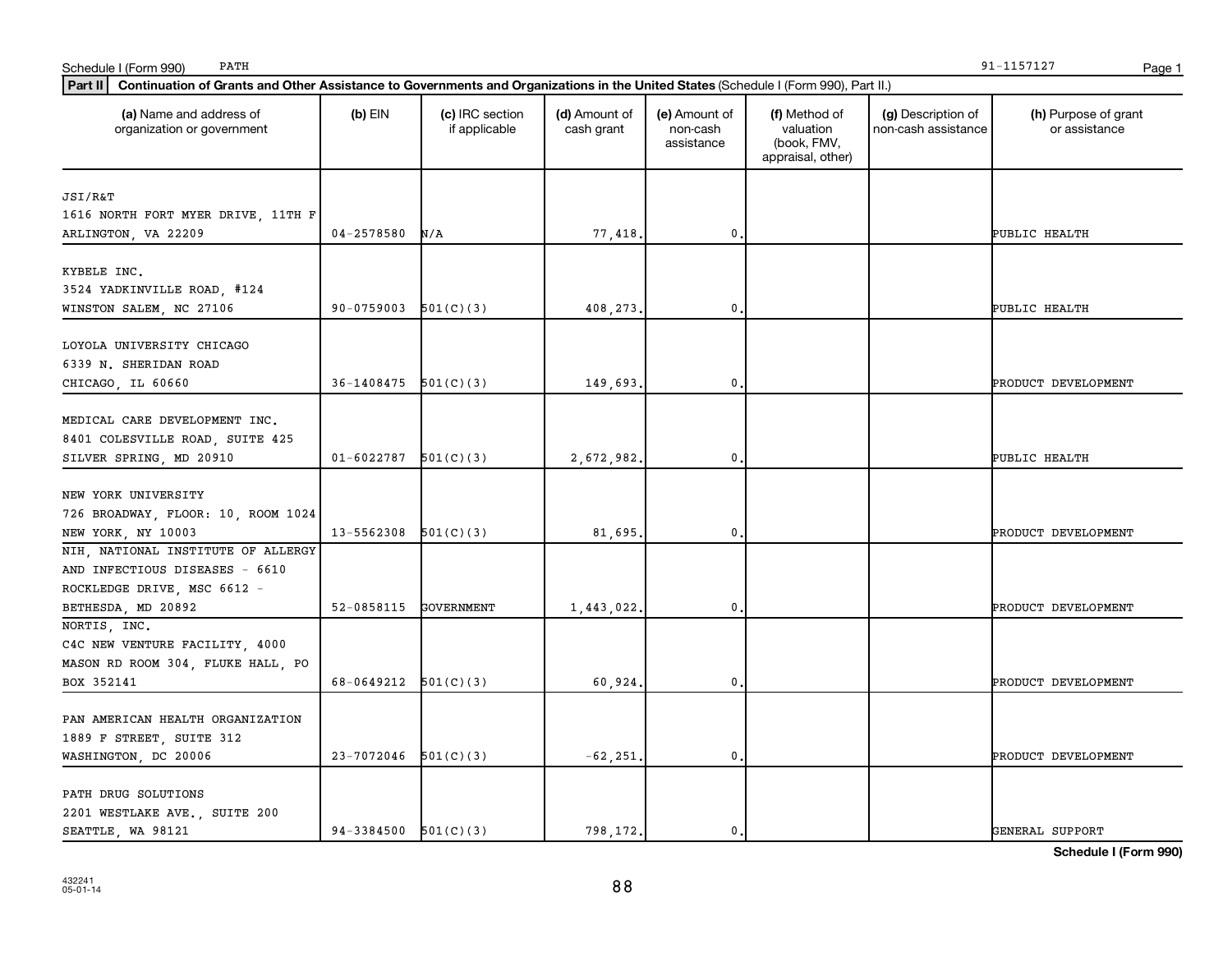| Part II<br>Continuation of Grants and Other Assistance to Governments and Organizations in the United States (Schedule I (Form 990), Part II.) |                          |                                  |                             |                                         |                                                                |                                           |                                       |
|------------------------------------------------------------------------------------------------------------------------------------------------|--------------------------|----------------------------------|-----------------------------|-----------------------------------------|----------------------------------------------------------------|-------------------------------------------|---------------------------------------|
| (a) Name and address of<br>organization or government                                                                                          | $(b)$ EIN                | (c) IRC section<br>if applicable | (d) Amount of<br>cash grant | (e) Amount of<br>non-cash<br>assistance | (f) Method of<br>valuation<br>(book, FMV,<br>appraisal, other) | (g) Description of<br>non-cash assistance | (h) Purpose of grant<br>or assistance |
| JSI/R&T                                                                                                                                        |                          |                                  |                             |                                         |                                                                |                                           |                                       |
| 1616 NORTH FORT MYER DRIVE, 11TH F<br>ARLINGTON, VA 22209                                                                                      | $04 - 2578580$           | N/A                              | 77,418                      | 0.                                      |                                                                |                                           | PUBLIC HEALTH                         |
| KYBELE INC.<br>3524 YADKINVILLE ROAD, #124                                                                                                     |                          |                                  |                             |                                         |                                                                |                                           |                                       |
| WINSTON SALEM, NC 27106                                                                                                                        | $90 - 0759003$           | 501(C)(3)                        | 408,273                     | $\mathbf 0$ .                           |                                                                |                                           | PUBLIC HEALTH                         |
| LOYOLA UNIVERSITY CHICAGO<br>6339 N. SHERIDAN ROAD<br>CHICAGO, IL 60660                                                                        | 36-1408475               | 501(C)(3)                        | 149,693                     | 0.                                      |                                                                |                                           | PRODUCT DEVELOPMENT                   |
| MEDICAL CARE DEVELOPMENT INC.                                                                                                                  |                          |                                  |                             |                                         |                                                                |                                           |                                       |
| 8401 COLESVILLE ROAD, SUITE 425<br>SILVER SPRING, MD 20910                                                                                     | $01-6022787$ $501(C)(3)$ |                                  | 2,672,982                   | 0.                                      |                                                                |                                           | PUBLIC HEALTH                         |
| NEW YORK UNIVERSITY<br>726 BROADWAY, FLOOR: 10, ROOM 1024                                                                                      |                          |                                  |                             |                                         |                                                                |                                           |                                       |
| NEW YORK, NY 10003                                                                                                                             | 13-5562308               | 501(C)(3)                        | 81,695                      | $\mathbf 0$ .                           |                                                                |                                           | PRODUCT DEVELOPMENT                   |
| NIH, NATIONAL INSTITUTE OF ALLERGY<br>AND INFECTIOUS DISEASES - 6610<br>ROCKLEDGE DRIVE, MSC 6612 -                                            |                          |                                  |                             |                                         |                                                                |                                           |                                       |
| BETHESDA, MD 20892                                                                                                                             | 52-0858115               | GOVERNMENT                       | 1,443,022                   | 0.                                      |                                                                |                                           | PRODUCT DEVELOPMENT                   |
| NORTIS, INC.<br>C4C NEW VENTURE FACILITY, 4000<br>MASON RD ROOM 304, FLUKE HALL, PO                                                            |                          |                                  |                             |                                         |                                                                |                                           |                                       |
| BOX 352141                                                                                                                                     | 68-0649212               | 501(C)(3)                        | 60,924                      | 0.                                      |                                                                |                                           | PRODUCT DEVELOPMENT                   |
| PAN AMERICAN HEALTH ORGANIZATION<br>1889 F STREET, SUITE 312<br>WASHINGTON, DC 20006                                                           | 23-7072046               | 501(C)(3)                        | $-62, 251$                  | $\mathbf 0$ .                           |                                                                |                                           | PRODUCT DEVELOPMENT                   |
| PATH DRUG SOLUTIONS<br>2201 WESTLAKE AVE., SUITE 200<br>SEATTLE, WA 98121                                                                      | 94-3384500               | 501(C)(3)                        | 798,172.                    | 0.                                      |                                                                |                                           | GENERAL SUPPORT                       |

Schedule I (Form 990) PATH Page 1

PATH 91-1157127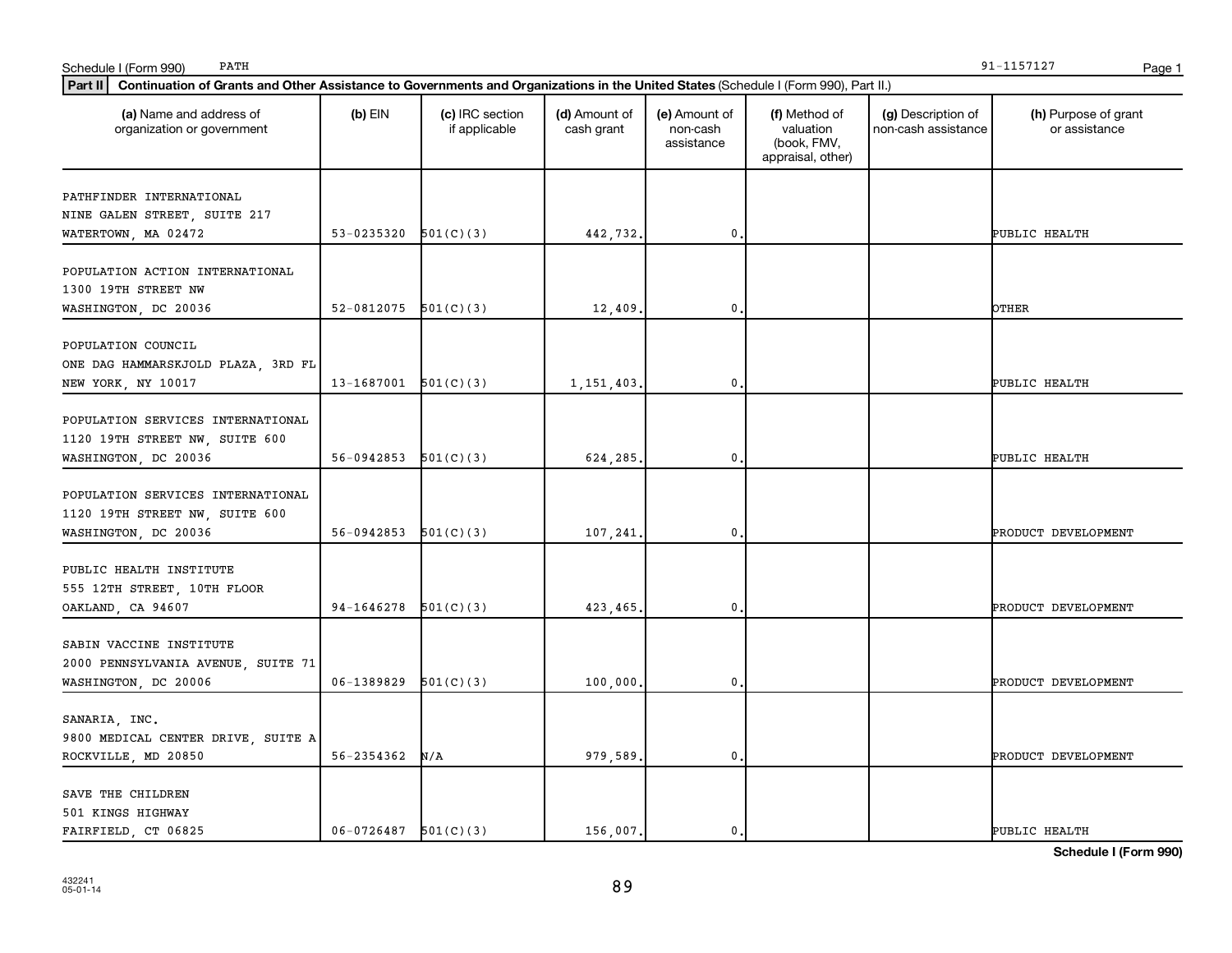| Schedule I (Form 990)<br>PATH                                                                                                                  |                          |                                  |                             |                                         |                                                                |                                           | 91-1157127<br>Page 1                  |
|------------------------------------------------------------------------------------------------------------------------------------------------|--------------------------|----------------------------------|-----------------------------|-----------------------------------------|----------------------------------------------------------------|-------------------------------------------|---------------------------------------|
| Part II<br>Continuation of Grants and Other Assistance to Governments and Organizations in the United States (Schedule I (Form 990), Part II.) |                          |                                  |                             |                                         |                                                                |                                           |                                       |
| (a) Name and address of<br>organization or government                                                                                          | $(b)$ EIN                | (c) IRC section<br>if applicable | (d) Amount of<br>cash grant | (e) Amount of<br>non-cash<br>assistance | (f) Method of<br>valuation<br>(book, FMV,<br>appraisal, other) | (g) Description of<br>non-cash assistance | (h) Purpose of grant<br>or assistance |
| PATHFINDER INTERNATIONAL<br>NINE GALEN STREET, SUITE 217<br>WATERTOWN, MA 02472                                                                | 53-0235320               | 501(C)(3)                        | 442,732.                    | $\mathbf{0}$                            |                                                                |                                           | PUBLIC HEALTH                         |
| POPULATION ACTION INTERNATIONAL<br>1300 19TH STREET NW<br>WASHINGTON, DC 20036                                                                 | 52-0812075               | 501(C)(3)                        | 12,409.                     | $\mathbf{0}$                            |                                                                |                                           | OTHER                                 |
| POPULATION COUNCIL<br>ONE DAG HAMMARSKJOLD PLAZA, 3RD FL<br>NEW YORK, NY 10017                                                                 | $13-1687001$ $501(C)(3)$ |                                  | 1, 151, 403.                | $\mathbf{0}$                            |                                                                |                                           | PUBLIC HEALTH                         |
| POPULATION SERVICES INTERNATIONAL<br>1120 19TH STREET NW, SUITE 600<br>WASHINGTON, DC 20036                                                    | 56-0942853               | 501(C)(3)                        | 624,285.                    | $\mathbf{0}$                            |                                                                |                                           | PUBLIC HEALTH                         |
| POPULATION SERVICES INTERNATIONAL<br>1120 19TH STREET NW, SUITE 600<br>WASHINGTON, DC 20036                                                    | $56-0942853$ $501(C)(3)$ |                                  | 107,241                     | $\mathbf{0}$                            |                                                                |                                           | PRODUCT DEVELOPMENT                   |
| PUBLIC HEALTH INSTITUTE<br>555 12TH STREET, 10TH FLOOR<br>OAKLAND, CA 94607                                                                    | 94-1646278               | 501(C)(3)                        | 423,465                     | $\mathbf{0}$                            |                                                                |                                           | PRODUCT DEVELOPMENT                   |
| SABIN VACCINE INSTITUTE<br>2000 PENNSYLVANIA AVENUE, SUITE 71<br>WASHINGTON, DC 20006                                                          | 06-1389829               | 501(C)(3)                        | 100,000.                    | $\mathbf{0}$                            |                                                                |                                           | PRODUCT DEVELOPMENT                   |
| SANARIA, INC.<br>9800 MEDICAL CENTER DRIVE, SUITE A<br>ROCKVILLE, MD 20850                                                                     | 56-2354362               | N/A                              | 979,589.                    | $\mathbf{0}$                            |                                                                |                                           | PRODUCT DEVELOPMENT                   |
| SAVE THE CHILDREN<br>501 KINGS HIGHWAY<br>FAIRFIELD, CT 06825                                                                                  | $06-0726487$ $501(C)(3)$ |                                  | 156,007.                    | 0.                                      |                                                                |                                           | PUBLIC HEALTH                         |

PATH 91-1157127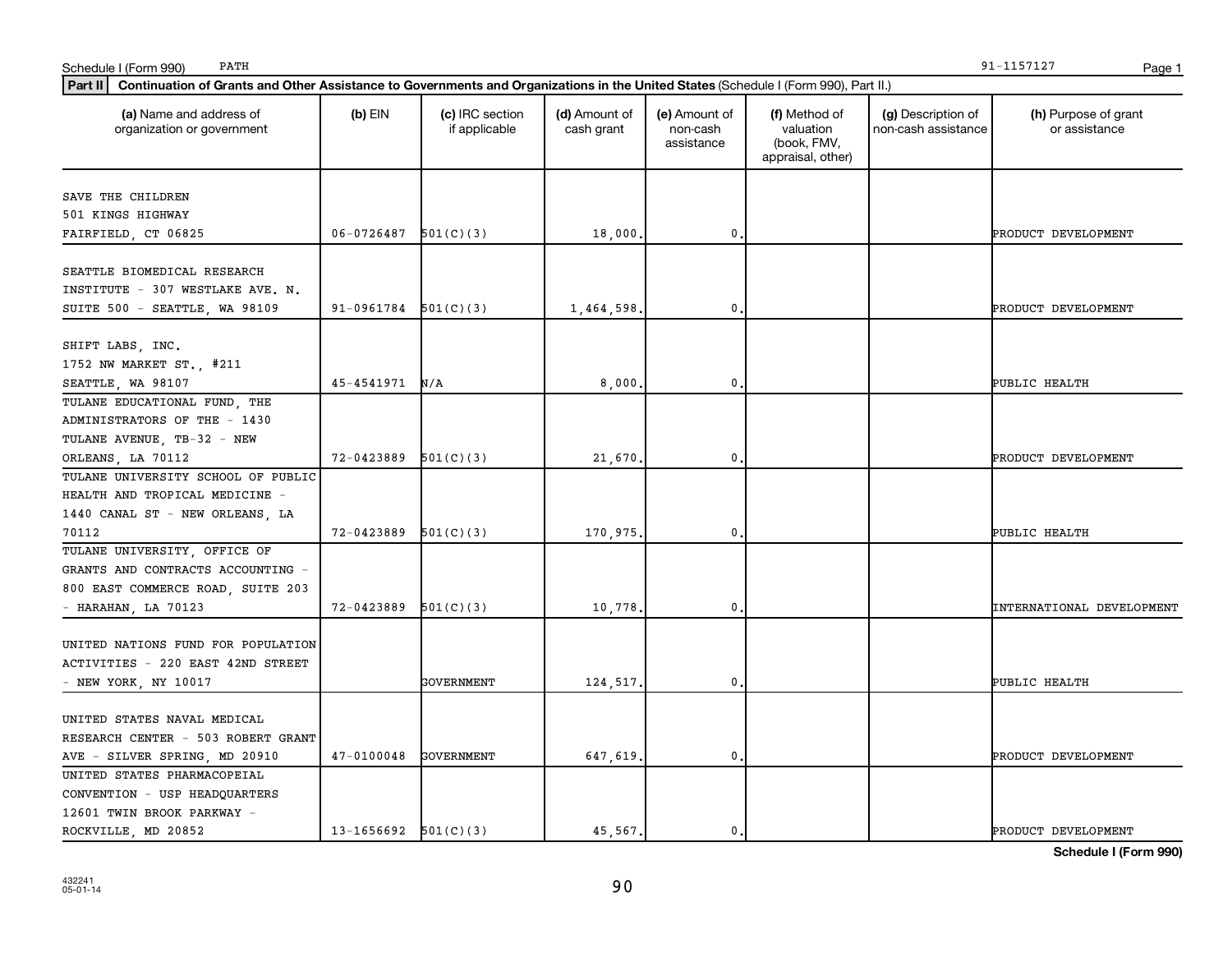| PATH<br>Schedule I (Form 990)                                                                                                                  |                          |                                  |                             |                                         |                                                                |                                           | 91-1157127<br>Page 1                  |
|------------------------------------------------------------------------------------------------------------------------------------------------|--------------------------|----------------------------------|-----------------------------|-----------------------------------------|----------------------------------------------------------------|-------------------------------------------|---------------------------------------|
| Part II<br>Continuation of Grants and Other Assistance to Governments and Organizations in the United States (Schedule I (Form 990), Part II.) |                          |                                  |                             |                                         |                                                                |                                           |                                       |
| (a) Name and address of<br>organization or government                                                                                          | $(b)$ EIN                | (c) IRC section<br>if applicable | (d) Amount of<br>cash grant | (e) Amount of<br>non-cash<br>assistance | (f) Method of<br>valuation<br>(book, FMV,<br>appraisal, other) | (g) Description of<br>non-cash assistance | (h) Purpose of grant<br>or assistance |
| SAVE THE CHILDREN                                                                                                                              |                          |                                  |                             |                                         |                                                                |                                           |                                       |
| 501 KINGS HIGHWAY                                                                                                                              |                          |                                  |                             |                                         |                                                                |                                           |                                       |
| FAIRFIELD, CT 06825                                                                                                                            | $06 - 0726487$           | 501(C)(3)                        | 18,000                      | $^{\rm 0}$ .                            |                                                                |                                           | PRODUCT DEVELOPMENT                   |
| SEATTLE BIOMEDICAL RESEARCH<br>INSTITUTE - 307 WESTLAKE AVE. N.                                                                                |                          |                                  |                             |                                         |                                                                |                                           |                                       |
| SUITE 500 - SEATTLE, WA 98109                                                                                                                  | $91-0961784$ $501(C)(3)$ |                                  | 1,464,598                   | $\mathbf 0$ .                           |                                                                |                                           | PRODUCT DEVELOPMENT                   |
| SHIFT LABS, INC.<br>1752 NW MARKET ST., #211                                                                                                   |                          |                                  |                             |                                         |                                                                |                                           |                                       |
| SEATTLE, WA 98107                                                                                                                              | 45-4541971               | N/A                              | 8,000                       | $\mathbf 0$ .                           |                                                                |                                           | PUBLIC HEALTH                         |
| TULANE EDUCATIONAL FUND, THE<br>ADMINISTRATORS OF THE - 1430<br>TULANE AVENUE, TB-32 - NEW                                                     |                          |                                  |                             |                                         |                                                                |                                           |                                       |
| ORLEANS, LA 70112                                                                                                                              | 72-0423889               | 501(C)(3)                        | 21,670                      | 0                                       |                                                                |                                           | PRODUCT DEVELOPMENT                   |
| TULANE UNIVERSITY SCHOOL OF PUBLIC                                                                                                             |                          |                                  |                             |                                         |                                                                |                                           |                                       |
| HEALTH AND TROPICAL MEDICINE -                                                                                                                 |                          |                                  |                             |                                         |                                                                |                                           |                                       |
| 1440 CANAL ST - NEW ORLEANS, LA                                                                                                                |                          |                                  |                             |                                         |                                                                |                                           |                                       |
| 70112                                                                                                                                          | 72-0423889               | 501(C)(3)                        | 170,975                     | 0.                                      |                                                                |                                           | PUBLIC HEALTH                         |
| TULANE UNIVERSITY, OFFICE OF<br>GRANTS AND CONTRACTS ACCOUNTING -                                                                              |                          |                                  |                             |                                         |                                                                |                                           |                                       |
| 800 EAST COMMERCE ROAD, SUITE 203<br>$-$ HARAHAN, LA 70123                                                                                     | 72-0423889               | 501(C)(3)                        | 10,778                      | $\mathbf 0$ .                           |                                                                |                                           | INTERNATIONAL DEVELOPMENT             |
| UNITED NATIONS FUND FOR POPULATION<br>ACTIVITIES - 220 EAST 42ND STREET                                                                        |                          |                                  |                             |                                         |                                                                |                                           |                                       |
| - NEW YORK, NY 10017                                                                                                                           |                          | GOVERNMENT                       | 124,517                     | $\mathbf{0}$                            |                                                                |                                           | PUBLIC HEALTH                         |
| UNITED STATES NAVAL MEDICAL<br>RESEARCH CENTER - 503 ROBERT GRANT<br>AVE - SILVER SPRING, MD 20910                                             | $47 - 0100048$           | GOVERNMENT                       | 647,619.                    | $\mathbf{0}$ .                          |                                                                |                                           | PRODUCT DEVELOPMENT                   |
| UNITED STATES PHARMACOPEIAL<br>CONVENTION - USP HEADQUARTERS                                                                                   |                          |                                  |                             |                                         |                                                                |                                           |                                       |
| 12601 TWIN BROOK PARKWAY -<br>ROCKVILLE, MD 20852                                                                                              | $13-1656692$ $501(C)(3)$ |                                  | 45.567.                     | $\mathbf{0}$ .                          |                                                                |                                           | PRODUCT DEVELOPMENT                   |

PATH 91-1157127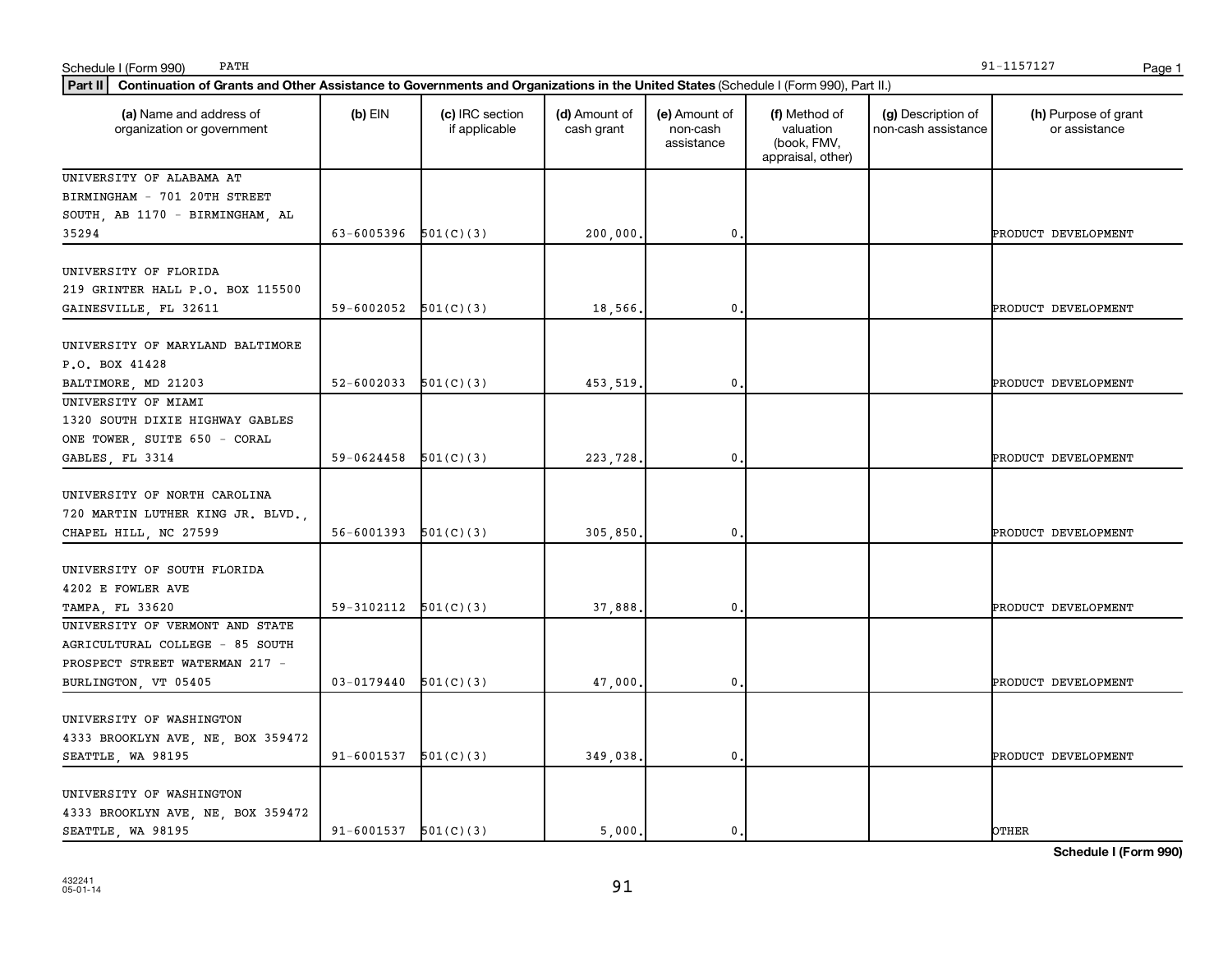| PATH<br>Schedule I (Form 990)                                                                                                                  |                            |                                  |                             |                                         |                                                                |                                           | 91-1157127<br>Page 1                  |
|------------------------------------------------------------------------------------------------------------------------------------------------|----------------------------|----------------------------------|-----------------------------|-----------------------------------------|----------------------------------------------------------------|-------------------------------------------|---------------------------------------|
| Part II<br>Continuation of Grants and Other Assistance to Governments and Organizations in the United States (Schedule I (Form 990), Part II.) |                            |                                  |                             |                                         |                                                                |                                           |                                       |
| (a) Name and address of<br>organization or government                                                                                          | (b) EIN                    | (c) IRC section<br>if applicable | (d) Amount of<br>cash grant | (e) Amount of<br>non-cash<br>assistance | (f) Method of<br>valuation<br>(book, FMV,<br>appraisal, other) | (g) Description of<br>non-cash assistance | (h) Purpose of grant<br>or assistance |
| UNIVERSITY OF ALABAMA AT                                                                                                                       |                            |                                  |                             |                                         |                                                                |                                           |                                       |
| BIRMINGHAM - 701 20TH STREET                                                                                                                   |                            |                                  |                             |                                         |                                                                |                                           |                                       |
| SOUTH, AB 1170 - BIRMINGHAM, AL                                                                                                                |                            |                                  |                             |                                         |                                                                |                                           |                                       |
| 35294                                                                                                                                          | 63-6005396 $501(C)(3)$     |                                  | 200,000                     | 0.                                      |                                                                |                                           | PRODUCT DEVELOPMENT                   |
| UNIVERSITY OF FLORIDA<br>219 GRINTER HALL P.O. BOX 115500                                                                                      |                            |                                  |                             |                                         |                                                                |                                           |                                       |
| GAINESVILLE, FL 32611                                                                                                                          | 59-6002052                 | 501(C)(3)                        | 18,566                      | 0.                                      |                                                                |                                           | PRODUCT DEVELOPMENT                   |
| UNIVERSITY OF MARYLAND BALTIMORE<br>P.O. BOX 41428                                                                                             |                            |                                  |                             |                                         |                                                                |                                           |                                       |
| BALTIMORE, MD 21203                                                                                                                            | 52-6002033                 | 501(C)(3)                        | 453,519                     | 0.                                      |                                                                |                                           | PRODUCT DEVELOPMENT                   |
| UNIVERSITY OF MIAMI<br>1320 SOUTH DIXIE HIGHWAY GABLES<br>ONE TOWER, SUITE 650 - CORAL                                                         |                            |                                  |                             |                                         |                                                                |                                           |                                       |
| GABLES, FL 3314                                                                                                                                | 59-0624458                 | 501(C)(3)                        | 223,728                     | $\mathbf 0$ .                           |                                                                |                                           | PRODUCT DEVELOPMENT                   |
| UNIVERSITY OF NORTH CAROLINA<br>720 MARTIN LUTHER KING JR. BLVD.,<br>CHAPEL HILL, NC 27599                                                     | $56 - 6001393$ $501(C)(3)$ |                                  | 305,850                     | 0.                                      |                                                                |                                           | PRODUCT DEVELOPMENT                   |
| UNIVERSITY OF SOUTH FLORIDA<br>4202 E FOWLER AVE<br>TAMPA, FL 33620                                                                            | $59-3102112$ $501(C)(3)$   |                                  | 37,888                      | 0.                                      |                                                                |                                           | PRODUCT DEVELOPMENT                   |
| UNIVERSITY OF VERMONT AND STATE                                                                                                                |                            |                                  |                             |                                         |                                                                |                                           |                                       |
| AGRICULTURAL COLLEGE - 85 SOUTH<br>PROSPECT STREET WATERMAN 217 -                                                                              |                            |                                  |                             |                                         |                                                                |                                           |                                       |
| BURLINGTON, VT 05405                                                                                                                           | $03 - 0179440$             | 501(C)(3)                        | 47,000                      | $\mathbf 0$ .                           |                                                                |                                           | PRODUCT DEVELOPMENT                   |
| UNIVERSITY OF WASHINGTON<br>4333 BROOKLYN AVE, NE, BOX 359472<br>SEATTLE, WA 98195                                                             | 91-6001537                 | 501(C)(3)                        | 349,038,                    | 0.                                      |                                                                |                                           | PRODUCT DEVELOPMENT                   |
| UNIVERSITY OF WASHINGTON<br>4333 BROOKLYN AVE, NE, BOX 359472<br>SEATTLE, WA 98195                                                             | $91 - 6001537$ $501(C)(3)$ |                                  | 5.000.                      | $\mathbf{0}$ .                          |                                                                |                                           | OTHER                                 |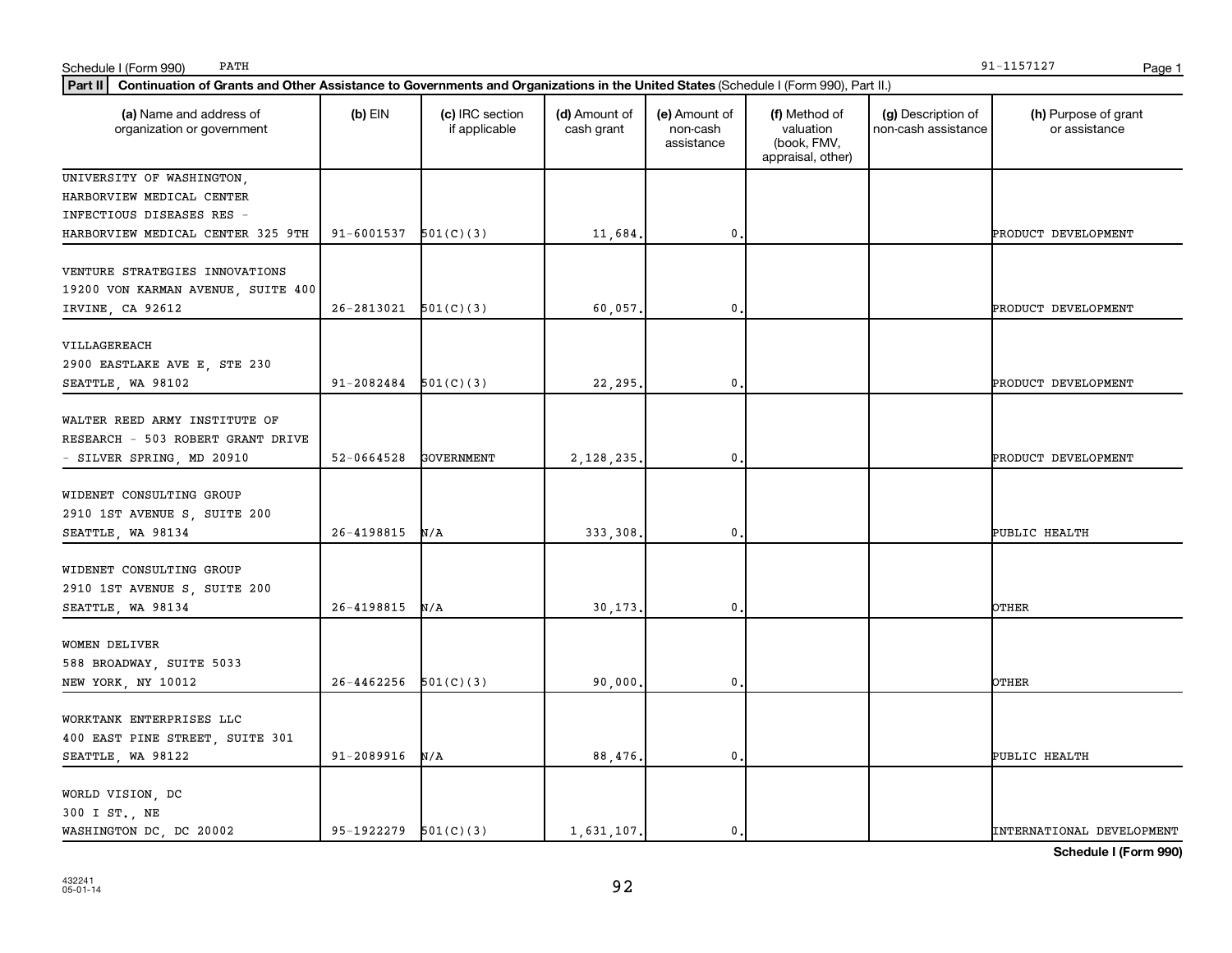| PATH<br>Schedule I (Form 990)                                                                                                                  |                            |                                  |                             |                                         |                                                                |                                           | 91-1157127<br>Page 1                  |
|------------------------------------------------------------------------------------------------------------------------------------------------|----------------------------|----------------------------------|-----------------------------|-----------------------------------------|----------------------------------------------------------------|-------------------------------------------|---------------------------------------|
| Part II<br>Continuation of Grants and Other Assistance to Governments and Organizations in the United States (Schedule I (Form 990), Part II.) |                            |                                  |                             |                                         |                                                                |                                           |                                       |
| (a) Name and address of<br>organization or government                                                                                          | $(b)$ EIN                  | (c) IRC section<br>if applicable | (d) Amount of<br>cash grant | (e) Amount of<br>non-cash<br>assistance | (f) Method of<br>valuation<br>(book, FMV,<br>appraisal, other) | (g) Description of<br>non-cash assistance | (h) Purpose of grant<br>or assistance |
| UNIVERSITY OF WASHINGTON,                                                                                                                      |                            |                                  |                             |                                         |                                                                |                                           |                                       |
| HARBORVIEW MEDICAL CENTER                                                                                                                      |                            |                                  |                             |                                         |                                                                |                                           |                                       |
| INFECTIOUS DISEASES RES -                                                                                                                      |                            |                                  |                             |                                         |                                                                |                                           |                                       |
| HARBORVIEW MEDICAL CENTER 325 9TH                                                                                                              | $91 - 6001537$ $501(C)(3)$ |                                  | 11,684.                     | 0                                       |                                                                |                                           | PRODUCT DEVELOPMENT                   |
| VENTURE STRATEGIES INNOVATIONS<br>19200 VON KARMAN AVENUE, SUITE 400                                                                           |                            |                                  |                             |                                         |                                                                |                                           |                                       |
| IRVINE, CA 92612                                                                                                                               | $26-2813021$ $501(C)(3)$   |                                  | 60,057.                     | $\mathbf{0}$                            |                                                                |                                           | PRODUCT DEVELOPMENT                   |
| VILLAGEREACH<br>2900 EASTLAKE AVE E, STE 230<br>SEATTLE, WA 98102                                                                              | $91 - 2082484$ $501(C)(3)$ |                                  | 22,295.                     | 0                                       |                                                                |                                           | PRODUCT DEVELOPMENT                   |
|                                                                                                                                                |                            |                                  |                             |                                         |                                                                |                                           |                                       |
| WALTER REED ARMY INSTITUTE OF<br>RESEARCH - 503 ROBERT GRANT DRIVE                                                                             |                            |                                  |                             |                                         |                                                                |                                           |                                       |
| - SILVER SPRING, MD 20910                                                                                                                      | 52-0664528                 | GOVERNMENT                       | 2,128,235.                  | 0                                       |                                                                |                                           | PRODUCT DEVELOPMENT                   |
| WIDENET CONSULTING GROUP<br>2910 1ST AVENUE S, SUITE 200<br>SEATTLE, WA 98134                                                                  | 26-4198815                 | N/A                              | 333,308,                    | $\mathbf{0}$                            |                                                                |                                           | PUBLIC HEALTH                         |
|                                                                                                                                                |                            |                                  |                             |                                         |                                                                |                                           |                                       |
| WIDENET CONSULTING GROUP<br>2910 1ST AVENUE S, SUITE 200                                                                                       |                            |                                  |                             |                                         |                                                                |                                           |                                       |
| SEATTLE, WA 98134                                                                                                                              | $26 - 4198815$             | N/A                              | 30,173                      | 0                                       |                                                                |                                           | OTHER                                 |
| WOMEN DELIVER<br>588 BROADWAY, SUITE 5033                                                                                                      | $26-4462256$ $501(C)(3)$   |                                  | 90,000                      | 0                                       |                                                                |                                           | OTHER                                 |
| NEW YORK, NY 10012                                                                                                                             |                            |                                  |                             |                                         |                                                                |                                           |                                       |
| WORKTANK ENTERPRISES LLC<br>400 EAST PINE STREET, SUITE 301                                                                                    |                            |                                  |                             |                                         |                                                                |                                           |                                       |
| SEATTLE, WA 98122                                                                                                                              | 91-2089916                 | N/A                              | 88,476.                     | $\mathbf{0}$                            |                                                                |                                           | PUBLIC HEALTH                         |
|                                                                                                                                                |                            |                                  |                             |                                         |                                                                |                                           |                                       |
| WORLD VISION, DC                                                                                                                               |                            |                                  |                             |                                         |                                                                |                                           |                                       |
| 300 I ST., NE                                                                                                                                  |                            |                                  |                             |                                         |                                                                |                                           |                                       |
| WASHINGTON DC, DC 20002                                                                                                                        | $95-1922279$ $501(C)(3)$   |                                  | 1,631,107.                  | $\mathbf{0}$                            |                                                                |                                           | INTERNATIONAL DEVELOPMENT             |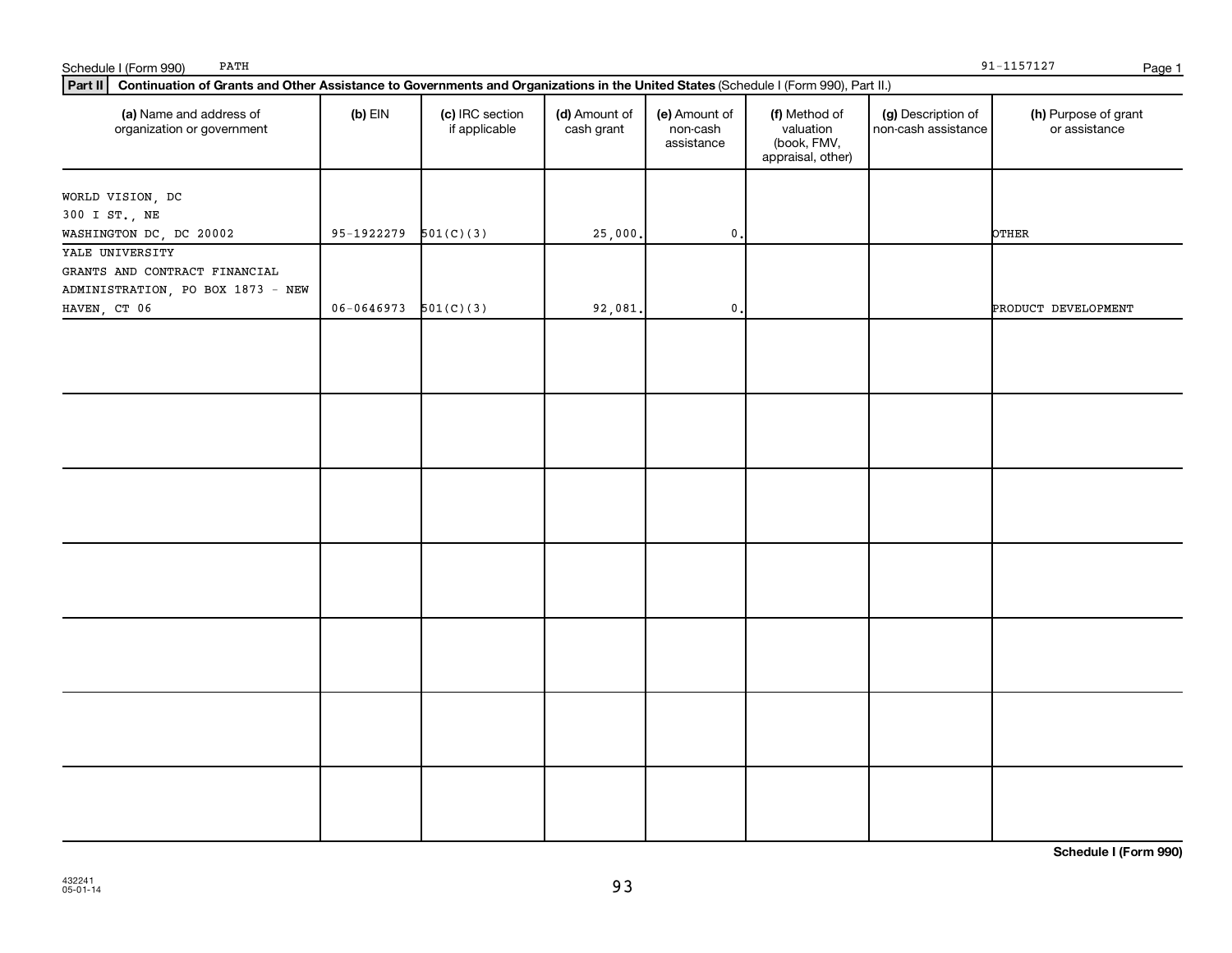| $\ensuremath{\mathrm{PATH}}$<br>Schedule I (Form 990)                                                                                          |                |                                  |                             |                                         |                                                                |                                           | $91 - 1157127$<br>Page 1              |
|------------------------------------------------------------------------------------------------------------------------------------------------|----------------|----------------------------------|-----------------------------|-----------------------------------------|----------------------------------------------------------------|-------------------------------------------|---------------------------------------|
| Part II<br>Continuation of Grants and Other Assistance to Governments and Organizations in the United States (Schedule I (Form 990), Part II.) |                |                                  |                             |                                         |                                                                |                                           |                                       |
| (a) Name and address of<br>organization or government                                                                                          | (b) EIN        | (c) IRC section<br>if applicable | (d) Amount of<br>cash grant | (e) Amount of<br>non-cash<br>assistance | (f) Method of<br>valuation<br>(book, FMV,<br>appraisal, other) | (g) Description of<br>non-cash assistance | (h) Purpose of grant<br>or assistance |
| WORLD VISION, DC<br>300 I ST., NE<br>WASHINGTON DC, DC 20002                                                                                   | 95-1922279     | 501(C)(3)                        | 25,000.                     | $\mathbf{0}$                            |                                                                |                                           | <b>OTHER</b>                          |
| YALE UNIVERSITY<br>GRANTS AND CONTRACT FINANCIAL<br>ADMINISTRATION, PO BOX 1873 - NEW                                                          |                |                                  |                             |                                         |                                                                |                                           |                                       |
| HAVEN, CT 06                                                                                                                                   | $06 - 0646973$ | 501(C)(3)                        | 92,081.                     | $\mathfrak o$ .                         |                                                                |                                           | PRODUCT DEVELOPMENT                   |
|                                                                                                                                                |                |                                  |                             |                                         |                                                                |                                           |                                       |
|                                                                                                                                                |                |                                  |                             |                                         |                                                                |                                           |                                       |
|                                                                                                                                                |                |                                  |                             |                                         |                                                                |                                           |                                       |
|                                                                                                                                                |                |                                  |                             |                                         |                                                                |                                           |                                       |
|                                                                                                                                                |                |                                  |                             |                                         |                                                                |                                           |                                       |
|                                                                                                                                                |                |                                  |                             |                                         |                                                                |                                           |                                       |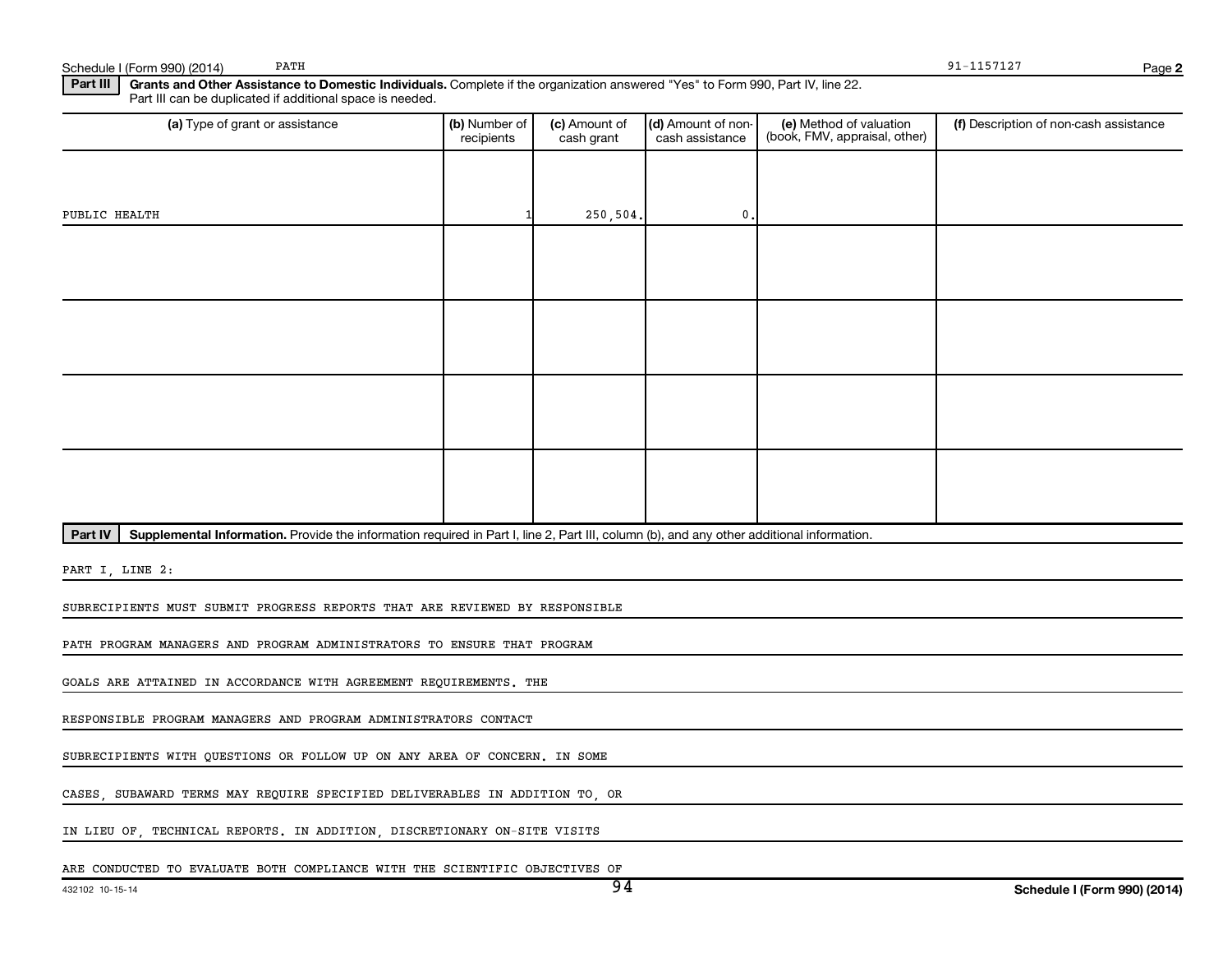Schedule I (Form 990) (2014) PATH PARTH PAGE 2014 PATH PAGE 2014 1157127

PATH 91-1157127

**2**

Part III | Grants and Other Assistance to Domestic Individuals. Complete if the organization answered "Yes" to Form 990, Part IV, line 22. Part III can be duplicated if additional space is needed.

| (a) Type of grant or assistance                                                                                                                             | (b) Number of<br>recipients | (c) Amount of<br>cash grant | (d) Amount of non-<br>cash assistance | (e) Method of valuation<br>(book, FMV, appraisal, other) | (f) Description of non-cash assistance |
|-------------------------------------------------------------------------------------------------------------------------------------------------------------|-----------------------------|-----------------------------|---------------------------------------|----------------------------------------------------------|----------------------------------------|
|                                                                                                                                                             |                             |                             |                                       |                                                          |                                        |
| PUBLIC HEALTH                                                                                                                                               |                             | 250, 504.                   | $\mathbf{0}$ .                        |                                                          |                                        |
|                                                                                                                                                             |                             |                             |                                       |                                                          |                                        |
|                                                                                                                                                             |                             |                             |                                       |                                                          |                                        |
|                                                                                                                                                             |                             |                             |                                       |                                                          |                                        |
|                                                                                                                                                             |                             |                             |                                       |                                                          |                                        |
|                                                                                                                                                             |                             |                             |                                       |                                                          |                                        |
|                                                                                                                                                             |                             |                             |                                       |                                                          |                                        |
|                                                                                                                                                             |                             |                             |                                       |                                                          |                                        |
|                                                                                                                                                             |                             |                             |                                       |                                                          |                                        |
| Supplemental Information. Provide the information required in Part I, line 2, Part III, column (b), and any other additional information.<br><b>Part IV</b> |                             |                             |                                       |                                                          |                                        |
|                                                                                                                                                             |                             |                             |                                       |                                                          |                                        |

PART I, LINE 2:

SUBRECIPIENTS MUST SUBMIT PROGRESS REPORTS THAT ARE REVIEWED BY RESPONSIBLE

PATH PROGRAM MANAGERS AND PROGRAM ADMINISTRATORS TO ENSURE THAT PROGRAM

GOALS ARE ATTAINED IN ACCORDANCE WITH AGREEMENT REQUIREMENTS. THE

RESPONSIBLE PROGRAM MANAGERS AND PROGRAM ADMINISTRATORS CONTACT

SUBRECIPIENTS WITH QUESTIONS OR FOLLOW UP ON ANY AREA OF CONCERN. IN SOME

CASES, SUBAWARD TERMS MAY REQUIRE SPECIFIED DELIVERABLES IN ADDITION TO, OR

IN LIEU OF, TECHNICAL REPORTS. IN ADDITION, DISCRETIONARY ON-SITE VISITS

ARE CONDUCTED TO EVALUATE BOTH COMPLIANCE WITH THE SCIENTIFIC OBJECTIVES OF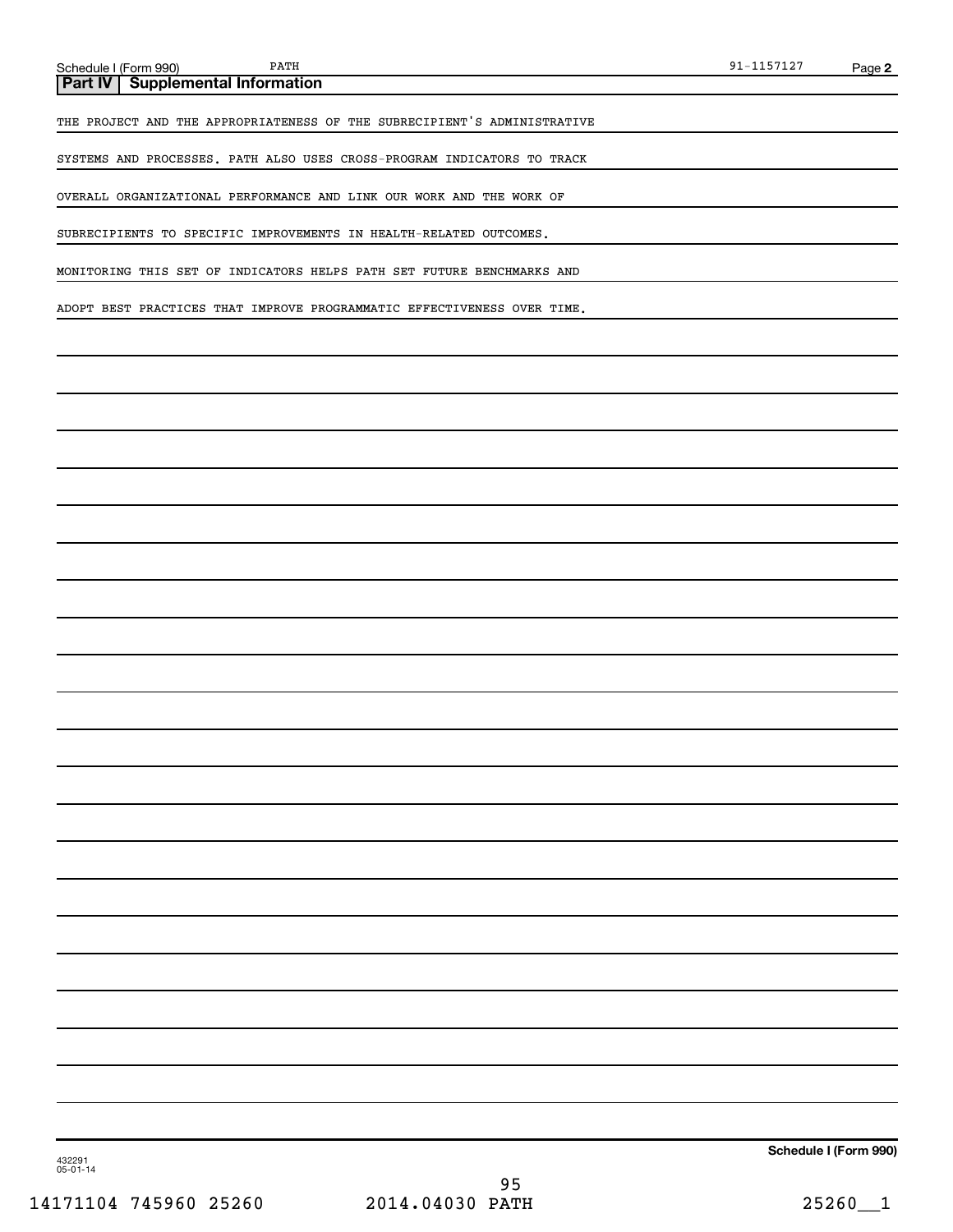**Part IV Supplemental Information**

THE PROJECT AND THE APPROPRIATENESS OF THE SUBRECIPIENT'S ADMINISTRATIVE

SYSTEMS AND PROCESSES. PATH ALSO USES CROSS-PROGRAM INDICATORS TO TRACK

OVERALL ORGANIZATIONAL PERFORMANCE AND LINK OUR WORK AND THE WORK OF

SUBRECIPIENTS TO SPECIFIC IMPROVEMENTS IN HEALTH-RELATED OUTCOMES.

MONITORING THIS SET OF INDICATORS HELPS PATH SET FUTURE BENCHMARKS AND

ADOPT BEST PRACTICES THAT IMPROVE PROGRAMMATIC EFFECTIVENESS OVER TIME.

**Schedule I (Form 990)**

432291 05-01-14

14171104 745960 25260 2014.04030 PATH 25260\_\_1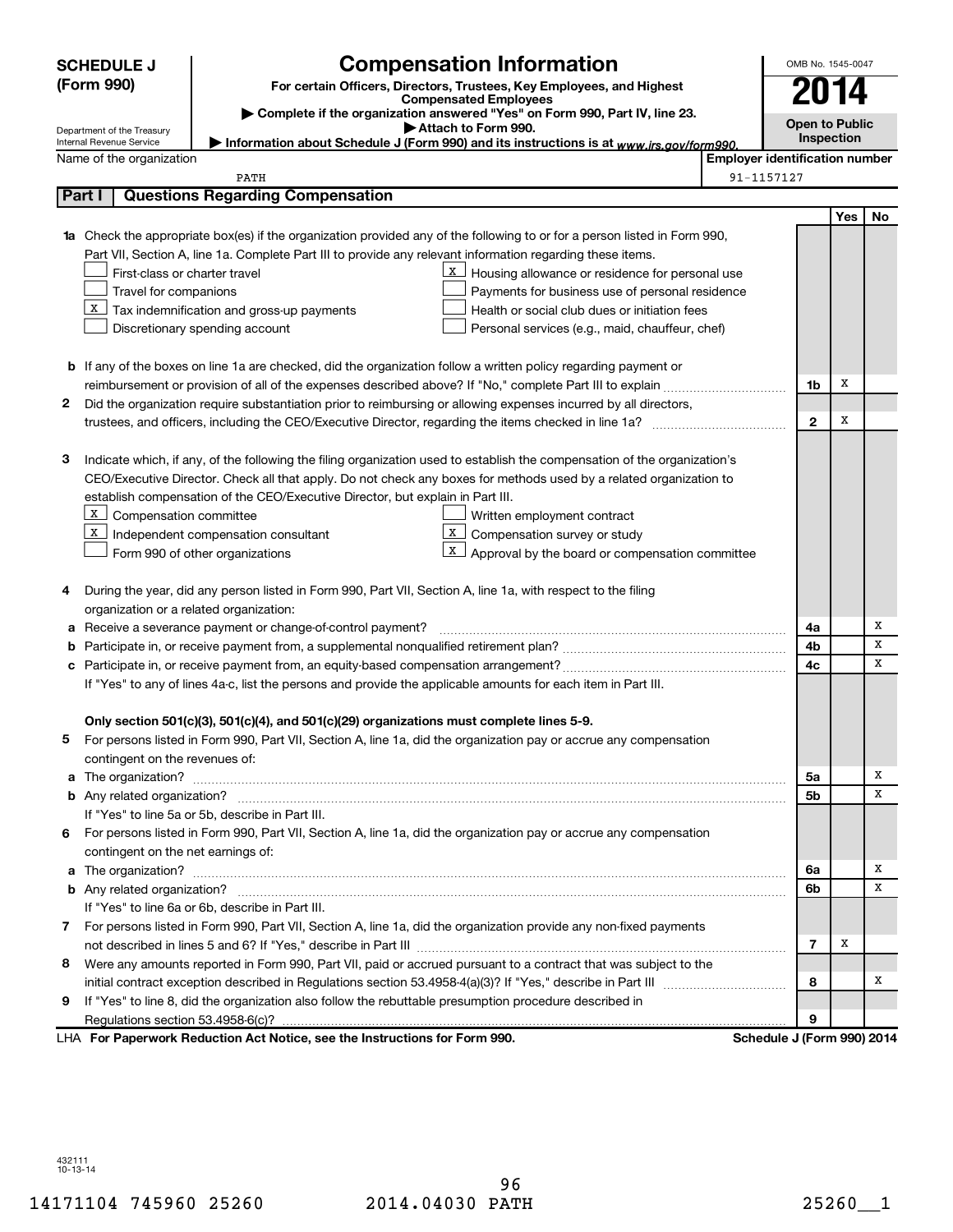|                                                                                                                | <b>SCHEDULE J</b>                                                                                                           | <b>Compensation Information</b>                                                                                           |                                       | OMB No. 1545-0047          |     |    |  |  |
|----------------------------------------------------------------------------------------------------------------|-----------------------------------------------------------------------------------------------------------------------------|---------------------------------------------------------------------------------------------------------------------------|---------------------------------------|----------------------------|-----|----|--|--|
|                                                                                                                | (Form 990)                                                                                                                  | For certain Officers, Directors, Trustees, Key Employees, and Highest                                                     |                                       |                            |     |    |  |  |
|                                                                                                                |                                                                                                                             | <b>Compensated Employees</b>                                                                                              |                                       | 2014                       |     |    |  |  |
|                                                                                                                | Department of the Treasury                                                                                                  | Complete if the organization answered "Yes" on Form 990, Part IV, line 23.<br>Attach to Form 990.                         |                                       | <b>Open to Public</b>      |     |    |  |  |
|                                                                                                                | Internal Revenue Service                                                                                                    | Information about Schedule J (Form 990) and its instructions is at www.irs.gov/form990.                                   |                                       | Inspection                 |     |    |  |  |
|                                                                                                                | Name of the organization                                                                                                    |                                                                                                                           | <b>Employer identification number</b> |                            |     |    |  |  |
|                                                                                                                |                                                                                                                             | PATH                                                                                                                      | 91-1157127                            |                            |     |    |  |  |
|                                                                                                                | Part I                                                                                                                      | <b>Questions Regarding Compensation</b>                                                                                   |                                       |                            |     |    |  |  |
|                                                                                                                |                                                                                                                             |                                                                                                                           |                                       |                            | Yes | No |  |  |
| 1a                                                                                                             |                                                                                                                             | Check the appropriate box(es) if the organization provided any of the following to or for a person listed in Form 990,    |                                       |                            |     |    |  |  |
|                                                                                                                |                                                                                                                             | Part VII, Section A, line 1a. Complete Part III to provide any relevant information regarding these items.                |                                       |                            |     |    |  |  |
|                                                                                                                | First-class or charter travel                                                                                               | $X \mid$<br>Housing allowance or residence for personal use                                                               |                                       |                            |     |    |  |  |
|                                                                                                                | Travel for companions                                                                                                       | Payments for business use of personal residence                                                                           |                                       |                            |     |    |  |  |
|                                                                                                                | $X$ Tax indemnification and gross-up payments<br>Health or social club dues or initiation fees                              |                                                                                                                           |                                       |                            |     |    |  |  |
|                                                                                                                |                                                                                                                             | Discretionary spending account<br>Personal services (e.g., maid, chauffeur, chef)                                         |                                       |                            |     |    |  |  |
|                                                                                                                |                                                                                                                             |                                                                                                                           |                                       |                            |     |    |  |  |
|                                                                                                                | <b>b</b> If any of the boxes on line 1a are checked, did the organization follow a written policy regarding payment or<br>х |                                                                                                                           |                                       |                            |     |    |  |  |
| reimbursement or provision of all of the expenses described above? If "No," complete Part III to explain<br>1b |                                                                                                                             |                                                                                                                           |                                       |                            |     |    |  |  |
| 2                                                                                                              |                                                                                                                             | Did the organization require substantiation prior to reimbursing or allowing expenses incurred by all directors,          |                                       | $\mathbf{2}$               | x   |    |  |  |
|                                                                                                                |                                                                                                                             |                                                                                                                           |                                       |                            |     |    |  |  |
| з                                                                                                              |                                                                                                                             | Indicate which, if any, of the following the filing organization used to establish the compensation of the organization's |                                       |                            |     |    |  |  |
|                                                                                                                |                                                                                                                             | CEO/Executive Director. Check all that apply. Do not check any boxes for methods used by a related organization to        |                                       |                            |     |    |  |  |
|                                                                                                                |                                                                                                                             | establish compensation of the CEO/Executive Director, but explain in Part III.                                            |                                       |                            |     |    |  |  |
|                                                                                                                | X Compensation committee                                                                                                    | Written employment contract                                                                                               |                                       |                            |     |    |  |  |
|                                                                                                                | $X$ Independent compensation consultant<br>X  <br>Compensation survey or study                                              |                                                                                                                           |                                       |                            |     |    |  |  |
|                                                                                                                | $\underline{x}$ Approval by the board or compensation committee<br>Form 990 of other organizations                          |                                                                                                                           |                                       |                            |     |    |  |  |
|                                                                                                                |                                                                                                                             |                                                                                                                           |                                       |                            |     |    |  |  |
| 4                                                                                                              |                                                                                                                             | During the year, did any person listed in Form 990, Part VII, Section A, line 1a, with respect to the filing              |                                       |                            |     |    |  |  |
|                                                                                                                | organization or a related organization:                                                                                     |                                                                                                                           |                                       |                            |     |    |  |  |
| а                                                                                                              |                                                                                                                             | Receive a severance payment or change-of-control payment?                                                                 |                                       | 4a                         |     | х  |  |  |
| b                                                                                                              |                                                                                                                             |                                                                                                                           |                                       | 4b                         |     | x  |  |  |
| c                                                                                                              |                                                                                                                             |                                                                                                                           |                                       | 4c                         |     | x  |  |  |
|                                                                                                                |                                                                                                                             | If "Yes" to any of lines 4a-c, list the persons and provide the applicable amounts for each item in Part III.             |                                       |                            |     |    |  |  |
|                                                                                                                |                                                                                                                             |                                                                                                                           |                                       |                            |     |    |  |  |
|                                                                                                                |                                                                                                                             | Only section 501(c)(3), 501(c)(4), and 501(c)(29) organizations must complete lines 5-9.                                  |                                       |                            |     |    |  |  |
|                                                                                                                |                                                                                                                             | For persons listed in Form 990, Part VII, Section A, line 1a, did the organization pay or accrue any compensation         |                                       |                            |     |    |  |  |
|                                                                                                                | contingent on the revenues of:                                                                                              |                                                                                                                           |                                       |                            |     |    |  |  |
|                                                                                                                |                                                                                                                             |                                                                                                                           |                                       | 5a                         |     | х  |  |  |
|                                                                                                                |                                                                                                                             |                                                                                                                           |                                       | 5b                         |     | x  |  |  |
|                                                                                                                |                                                                                                                             | If "Yes" to line 5a or 5b, describe in Part III.                                                                          |                                       |                            |     |    |  |  |
| 6.                                                                                                             |                                                                                                                             | For persons listed in Form 990, Part VII, Section A, line 1a, did the organization pay or accrue any compensation         |                                       |                            |     |    |  |  |
|                                                                                                                | contingent on the net earnings of:                                                                                          |                                                                                                                           |                                       | 6a                         |     | х  |  |  |
|                                                                                                                |                                                                                                                             |                                                                                                                           |                                       |                            |     |    |  |  |
|                                                                                                                |                                                                                                                             | If "Yes" to line 6a or 6b, describe in Part III.                                                                          |                                       | 6b                         |     | х  |  |  |
|                                                                                                                |                                                                                                                             | 7 For persons listed in Form 990, Part VII, Section A, line 1a, did the organization provide any non-fixed payments       |                                       |                            |     |    |  |  |
|                                                                                                                |                                                                                                                             |                                                                                                                           |                                       | $\overline{7}$             | х   |    |  |  |
| 8                                                                                                              |                                                                                                                             | Were any amounts reported in Form 990, Part VII, paid or accrued pursuant to a contract that was subject to the           |                                       |                            |     |    |  |  |
|                                                                                                                |                                                                                                                             |                                                                                                                           |                                       | 8                          |     | х  |  |  |
| 9                                                                                                              |                                                                                                                             | If "Yes" to line 8, did the organization also follow the rebuttable presumption procedure described in                    |                                       |                            |     |    |  |  |
|                                                                                                                |                                                                                                                             |                                                                                                                           |                                       | 9                          |     |    |  |  |
|                                                                                                                |                                                                                                                             | LHA For Paperwork Reduction Act Notice, see the Instructions for Form 990.                                                |                                       | Schedule J (Form 990) 2014 |     |    |  |  |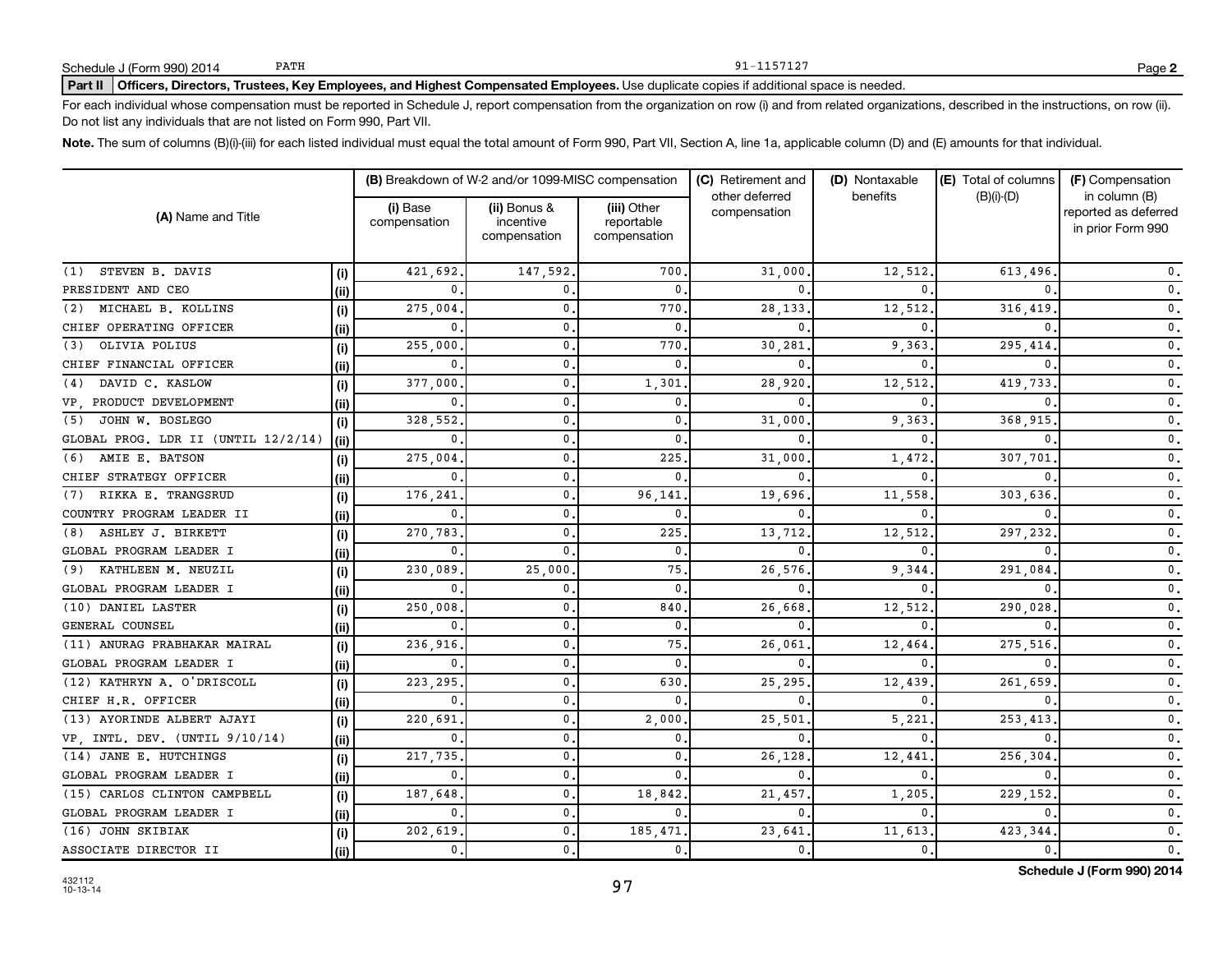### Part II | Officers, Directors, Trustees, Key Employees, and Highest Compensated Employees. Use duplicate copies if additional space is needed.

For each individual whose compensation must be reported in Schedule J, report compensation from the organization on row (i) and from related organizations, described in the instructions, on row (ii). Do not list any individuals that are not listed on Form 990, Part VII.

Note. The sum of columns (B)(i)-(iii) for each listed individual must equal the total amount of Form 990, Part VII, Section A, line 1a, applicable column (D) and (E) amounts for that individual.

|                                     |       |                          | (B) Breakdown of W-2 and/or 1099-MISC compensation |                                           | (C) Retirement and<br>other deferred | (D) Nontaxable<br>benefits | (E) Total of columns | (F) Compensation<br>in column (B)         |  |
|-------------------------------------|-------|--------------------------|----------------------------------------------------|-------------------------------------------|--------------------------------------|----------------------------|----------------------|-------------------------------------------|--|
| (A) Name and Title                  |       | (i) Base<br>compensation | (ii) Bonus &<br>incentive<br>compensation          | (iii) Other<br>reportable<br>compensation | compensation                         |                            | $(B)(i)-(D)$         | reported as deferred<br>in prior Form 990 |  |
| STEVEN B. DAVIS<br>(1)              | (i)   | 421,692                  | 147.592                                            | 700                                       | 31,000                               | 12,512                     | 613.496              | $\mathbf{0}$ .                            |  |
| PRESIDENT AND CEO                   | (ii)  | $\Omega$                 |                                                    | 0                                         | <sup>n</sup>                         | $\Omega$                   |                      | $\mathbf{0}$ .                            |  |
| MICHAEL B. KOLLINS<br>(2)           | (i)   | 275,004                  | 0                                                  | 770                                       | 28,133                               | 12,512                     | 316,419              | $\mathbf{0}$ .                            |  |
| CHIEF OPERATING OFFICER             | (ii)  | $\mathbf{0}$             | 0                                                  | 0                                         | <sup>n</sup>                         | n                          |                      | 0.                                        |  |
| OLIVIA POLIUS<br>(3)                | (i)   | 255,000                  | 0                                                  | 770                                       | 30,281                               | 9,363                      | 295,414              | 0.                                        |  |
| CHIEF FINANCIAL OFFICER             | (ii)  | 0                        | 0                                                  | 0                                         | <sup>0</sup>                         | $\Omega$                   |                      | $\mathbf{0}$ .                            |  |
| DAVID C. KASLOW<br>(4)              | (i)   | 377,000                  | 0                                                  | 1,301                                     | 28,920                               | 12,512                     | 419,733              | $\mathfrak o$ .                           |  |
| VP PRODUCT DEVELOPMENT              | (ii)  | 0                        | 0                                                  | 0                                         | <sup>0</sup>                         | n                          |                      | $\mathbf{0}$ .                            |  |
| JOHN W. BOSLEGO<br>(5)              | (i)   | 328,552                  | 0                                                  | 0                                         | 31,000                               | 9,363                      | 368,915              | $\mathfrak o$ .                           |  |
| GLOBAL PROG. LDR II (UNTIL 12/2/14) | (iii) | 0                        | 0                                                  | 0                                         | <sup>0</sup>                         | <sup>n</sup>               |                      | $\mathsf{0}\,.$                           |  |
| (6) AMIE E. BATSON                  | (i)   | 275,004                  | 0                                                  | 225                                       | 31,000                               | 1,472                      | 307,701              | 0.                                        |  |
| CHIEF STRATEGY OFFICER              | (ii)  | $\mathbf{0}$             | $\mathbf 0$                                        | 0                                         | <sup>0</sup>                         | $\Omega$                   |                      | $\mathsf{0}\,.$                           |  |
| (7) RIKKA E. TRANGSRUD              | (i)   | 176,241                  | $\mathbf 0$                                        | 96,141                                    | 19,696                               | 11,558                     | 303,636              | $\mathsf{0}\,.$                           |  |
| COUNTRY PROGRAM LEADER II           | (ii)  | 0                        | 0                                                  | 0                                         | <sup>0</sup>                         |                            |                      | $\mathbf{0}$ .                            |  |
| (8) ASHLEY J. BIRKETT               | (i)   | 270,783                  | 0                                                  | 225                                       | 13,712                               | 12,512                     | 297,232              | 0.                                        |  |
| GLOBAL PROGRAM LEADER I             | (ii)  | 0                        |                                                    | 0                                         | <sup>0</sup>                         |                            |                      | 0.                                        |  |
| (9) KATHLEEN M. NEUZIL              | (i)   | 230,089                  | 25,000                                             | 75                                        | 26,576                               | 9.344                      | 291,084              | $\mathbf{0}$ .                            |  |
| GLOBAL PROGRAM LEADER I             | (ii)  | $\mathbf{0}$             | 0                                                  | 0                                         | $\Omega$                             |                            |                      | $\mathbf{0}$ .                            |  |
| (10) DANIEL LASTER                  | (i)   | 250,008                  | $\mathbf 0$                                        | 840                                       | 26,668                               | 12,512                     | 290,028              | $\mathbf{0}$ .                            |  |
| GENERAL COUNSEL                     | (ii)  | 0                        | $\mathbf 0$                                        | 0                                         | <sup>0</sup>                         | <sup>0</sup>               |                      | $\mathbf{0}$ .                            |  |
| (11) ANURAG PRABHAKAR MAIRAL        | (i)   | 236,916                  | $\mathbf 0$                                        | 75                                        | 26,061                               | 12,464                     | 275,516              | 0.                                        |  |
| GLOBAL PROGRAM LEADER I             | (ii)  | 0                        | 0                                                  | 0                                         | <sup>0</sup>                         | $\Omega$                   |                      | $\mathbf{0}$ .                            |  |
| (12) KATHRYN A. O'DRISCOLL          | (i)   | 223, 295                 | 0                                                  | 630                                       | 25,295                               | 12,439                     | 261,659              | $\mathbf{0}$ .                            |  |
| CHIEF H.R. OFFICER                  | (ii)  | 0                        | $\mathbf{0}$ .                                     | $\mathbf{0}$                              | $\Omega$                             | $\mathbf{0}$               |                      | $\mathbf{0}$ .                            |  |
| (13) AYORINDE ALBERT AJAYI          | (i)   | 220,691                  | 0                                                  | 2,000                                     | 25,501                               | 5,221                      | 253,413              | $\mathbf{0}$ .                            |  |
| VP, INTL. DEV. (UNTIL 9/10/14)      | (ii)  | 0                        | 0                                                  | $\mathbf{0}$                              | $\Omega$                             | <sup>0</sup>               |                      | $\mathbf{0}$ .                            |  |
| (14) JANE E. HUTCHINGS              | (i)   | 217,735                  | 0                                                  | $\mathbf{0}$                              | 26.128                               | 12,441                     | 256.304              | $\mathbf{0}$ .                            |  |
| GLOBAL PROGRAM LEADER I             | (ii)  | $\mathbf{0}$             | 0                                                  | $\mathbf{0}$                              | $\Omega$                             | $\Omega$                   |                      | $\mathbf{0}$ .                            |  |
| (15) CARLOS CLINTON CAMPBELL        | (i)   | 187,648                  | 0                                                  | 18,842                                    | 21,457                               | 1,205                      | 229,152              | $\mathsf{0}\,.$                           |  |
| GLOBAL PROGRAM LEADER I             | (ii)  | 0                        | $\mathbf 0$ .                                      | $\mathbf{0}$                              | $\Omega$                             | $^{\circ}$                 |                      | $\mathbf{0}$ .                            |  |
| (16) JOHN SKIBIAK                   | (i)   | 202,619                  | $\mathbf 0$ .                                      | 185,471                                   | 23,641                               | 11,613                     | 423,344              | $\mathbf 0$ .                             |  |
| ASSOCIATE DIRECTOR II               | (ii)  | 0.                       | $\mathbf 0$ .                                      | 0.                                        | 0                                    | $\mathbf{0}$ .             | 0.                   | $\mathbf{0}$ .                            |  |

97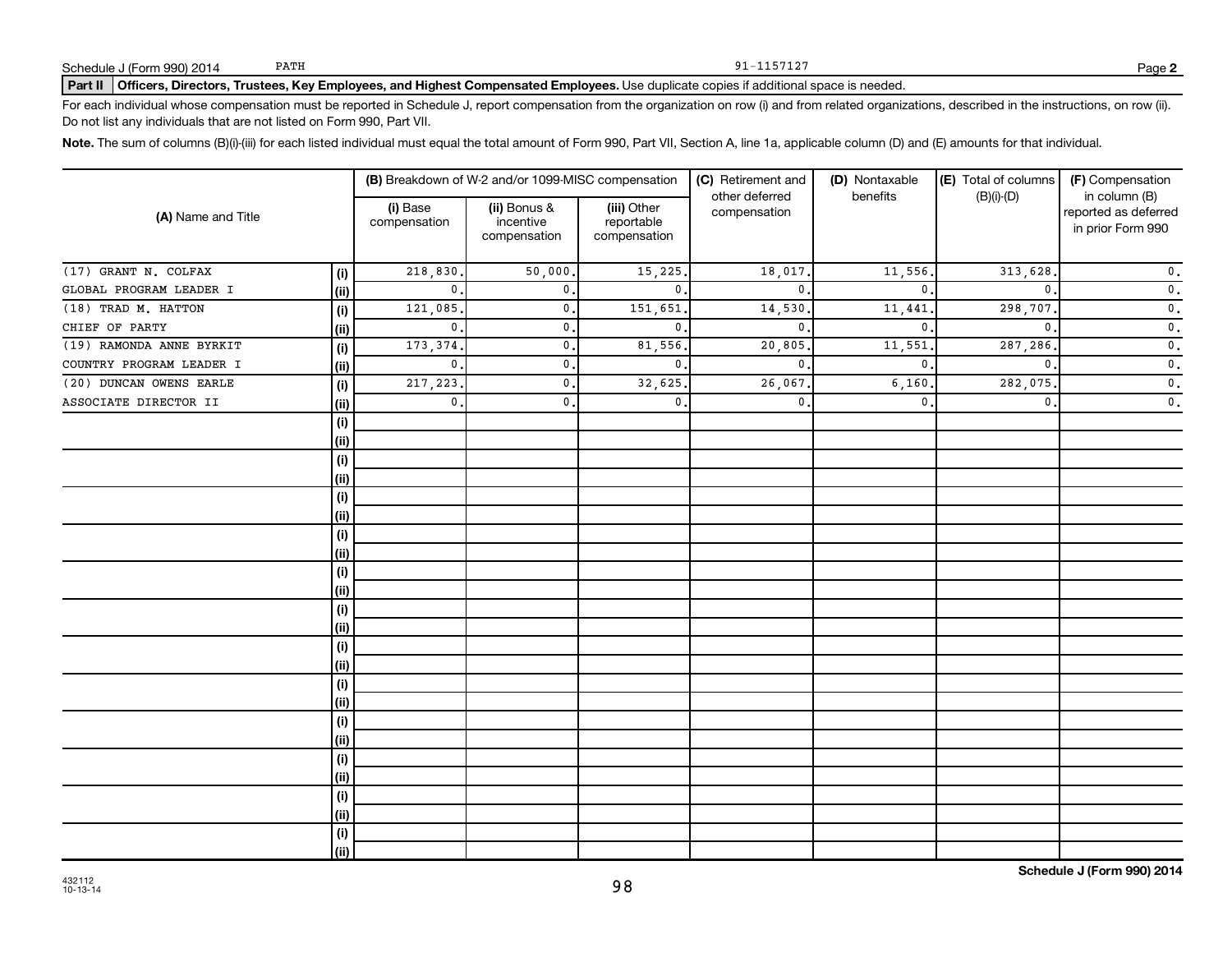## Part II | Officers, Directors, Trustees, Key Employees, and Highest Compensated Employees. Use duplicate copies if additional space is needed.

For each individual whose compensation must be reported in Schedule J, report compensation from the organization on row (i) and from related organizations, described in the instructions, on row (ii). Do not list any individuals that are not listed on Form 990, Part VII.

Note. The sum of columns (B)(i)-(iii) for each listed individual must equal the total amount of Form 990, Part VII, Section A, line 1a, applicable column (D) and (E) amounts for that individual.

|                          |      |                          | (B) Breakdown of W-2 and/or 1099-MISC compensation |                                           | (C) Retirement and             | (D) Nontaxable | (E) Total of columns | (F) Compensation                                           |  |
|--------------------------|------|--------------------------|----------------------------------------------------|-------------------------------------------|--------------------------------|----------------|----------------------|------------------------------------------------------------|--|
| (A) Name and Title       |      | (i) Base<br>compensation | (ii) Bonus &<br>incentive<br>compensation          | (iii) Other<br>reportable<br>compensation | other deferred<br>compensation | benefits       | $(B)(i)-(D)$         | in column (B)<br>reported as deferred<br>in prior Form 990 |  |
| (17) GRANT N. COLFAX     | (i)  | 218,830                  | 50,000                                             | 15,225                                    | 18,017                         | 11,556.        | 313,628              | $\mathfrak o$ .                                            |  |
| GLOBAL PROGRAM LEADER I  | (ii) | $\mathbf 0$ .            | $\mathbf{0}$                                       | $\mathbf{0}$ .                            | $\mathbf{0}$                   | $\mathbf{0}$   | $\Omega$             | $\mathfrak o$ .                                            |  |
| (18) TRAD M. HATTON      | (i)  | 121,085                  | $\mathbf{0}$                                       | 151,651                                   | 14,530                         | 11,441         | 298,707              | $\mathfrak o$ .                                            |  |
| CHIEF OF PARTY           | (ii) | $\mathbf{0}$ .           | $\mathbf{0}$                                       | $\mathbf{0}$ .                            | $\mathbf{0}$                   | $\mathbf{0}$   | $\mathbf{0}$         | $\mathfrak o$ .                                            |  |
| (19) RAMONDA ANNE BYRKIT | (i)  | 173,374                  | $\mathbf{0}$ .                                     | 81,556                                    | 20,805                         | 11,551         | 287,286              | $\mathbf 0$ .                                              |  |
| COUNTRY PROGRAM LEADER I | (ii) | $\mathbf{0}$ .           | $\mathbf{0}$ .                                     | $\mathbf{0}$ .                            | $\mathbf{0}$                   | $\mathbf{0}$ . | $\mathbf{0}$ .       | $\mathbf 0$ .                                              |  |
| (20) DUNCAN OWENS EARLE  | (i)  | 217,223                  | $\mathbf{0}$ .                                     | 32,625                                    | 26,067                         | 6,160.         | 282,075              | $\mathbf 0$ .                                              |  |
| ASSOCIATE DIRECTOR II    | (ii) | $\mathbf{0}$ .           | $\mathbf{0}$ .                                     | 0.                                        | $\mathbf{0}$                   | $\mathbf{0}$ . | $\mathbf 0$ .        | $\mathbf 0$ .                                              |  |
|                          | (i)  |                          |                                                    |                                           |                                |                |                      |                                                            |  |
|                          | (ii) |                          |                                                    |                                           |                                |                |                      |                                                            |  |
|                          | (i)  |                          |                                                    |                                           |                                |                |                      |                                                            |  |
|                          | (ii) |                          |                                                    |                                           |                                |                |                      |                                                            |  |
|                          | (i)  |                          |                                                    |                                           |                                |                |                      |                                                            |  |
|                          | (ii) |                          |                                                    |                                           |                                |                |                      |                                                            |  |
|                          | (i)  |                          |                                                    |                                           |                                |                |                      |                                                            |  |
|                          | (ii) |                          |                                                    |                                           |                                |                |                      |                                                            |  |
|                          | (i)  |                          |                                                    |                                           |                                |                |                      |                                                            |  |
|                          | (ii) |                          |                                                    |                                           |                                |                |                      |                                                            |  |
|                          | (i)  |                          |                                                    |                                           |                                |                |                      |                                                            |  |
|                          | (ii) |                          |                                                    |                                           |                                |                |                      |                                                            |  |
|                          | (i)  |                          |                                                    |                                           |                                |                |                      |                                                            |  |
|                          | (ii) |                          |                                                    |                                           |                                |                |                      |                                                            |  |
|                          | (i)  |                          |                                                    |                                           |                                |                |                      |                                                            |  |
|                          | (ii) |                          |                                                    |                                           |                                |                |                      |                                                            |  |
|                          | (i)  |                          |                                                    |                                           |                                |                |                      |                                                            |  |
|                          | (ii) |                          |                                                    |                                           |                                |                |                      |                                                            |  |
|                          | (i)  |                          |                                                    |                                           |                                |                |                      |                                                            |  |
|                          | (ii) |                          |                                                    |                                           |                                |                |                      |                                                            |  |
|                          | (i)  |                          |                                                    |                                           |                                |                |                      |                                                            |  |
|                          | (ii) |                          |                                                    |                                           |                                |                |                      |                                                            |  |
|                          | (i)  |                          |                                                    |                                           |                                |                |                      |                                                            |  |
|                          | (ii) |                          |                                                    |                                           |                                |                |                      |                                                            |  |

98

91-1157127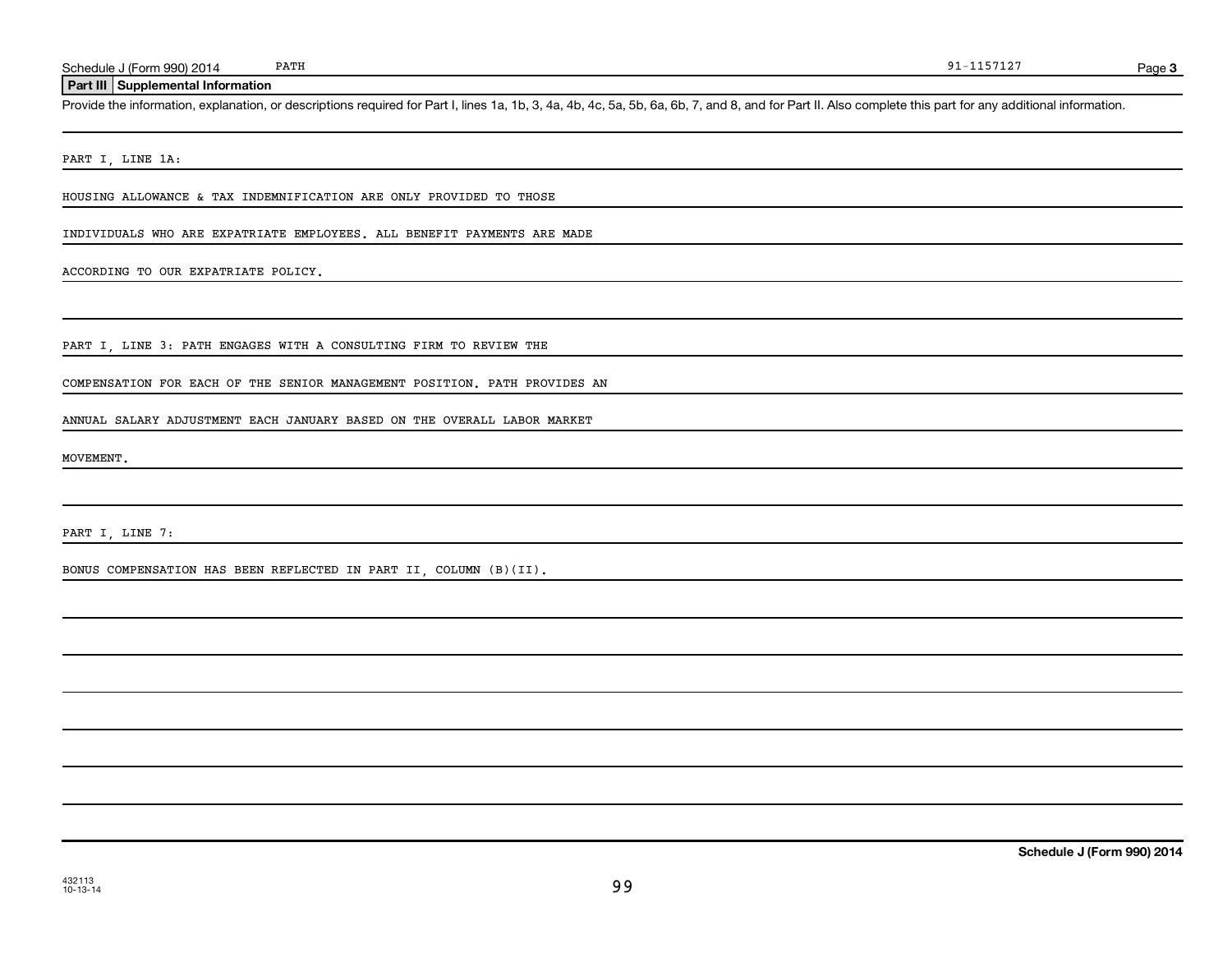#### **Part III Supplemental Information**

Provide the information, explanation, or descriptions required for Part I, lines 1a, 1b, 3, 4a, 4b, 4c, 5a, 5b, 6a, 6b, 7, and 8, and for Part II. Also complete this part for any additional information.

PART I, LINE 1A:

HOUSING ALLOWANCE & TAX INDEMNIFICATION ARE ONLY PROVIDED TO THOSE

INDIVIDUALS WHO ARE EXPATRIATE EMPLOYEES. ALL BENEFIT PAYMENTS ARE MADE

ACCORDING TO OUR EXPATRIATE POLICY.

PART I, LINE 3: PATH ENGAGES WITH A CONSULTING FIRM TO REVIEW THE

COMPENSATION FOR EACH OF THE SENIOR MANAGEMENT POSITION. PATH PROVIDES AN

ANNUAL SALARY ADJUSTMENT EACH JANUARY BASED ON THE OVERALL LABOR MARKET

MOVEMENT.

PART I, LINE 7:

BONUS COMPENSATION HAS BEEN REFLECTED IN PART II, COLUMN (B)(II).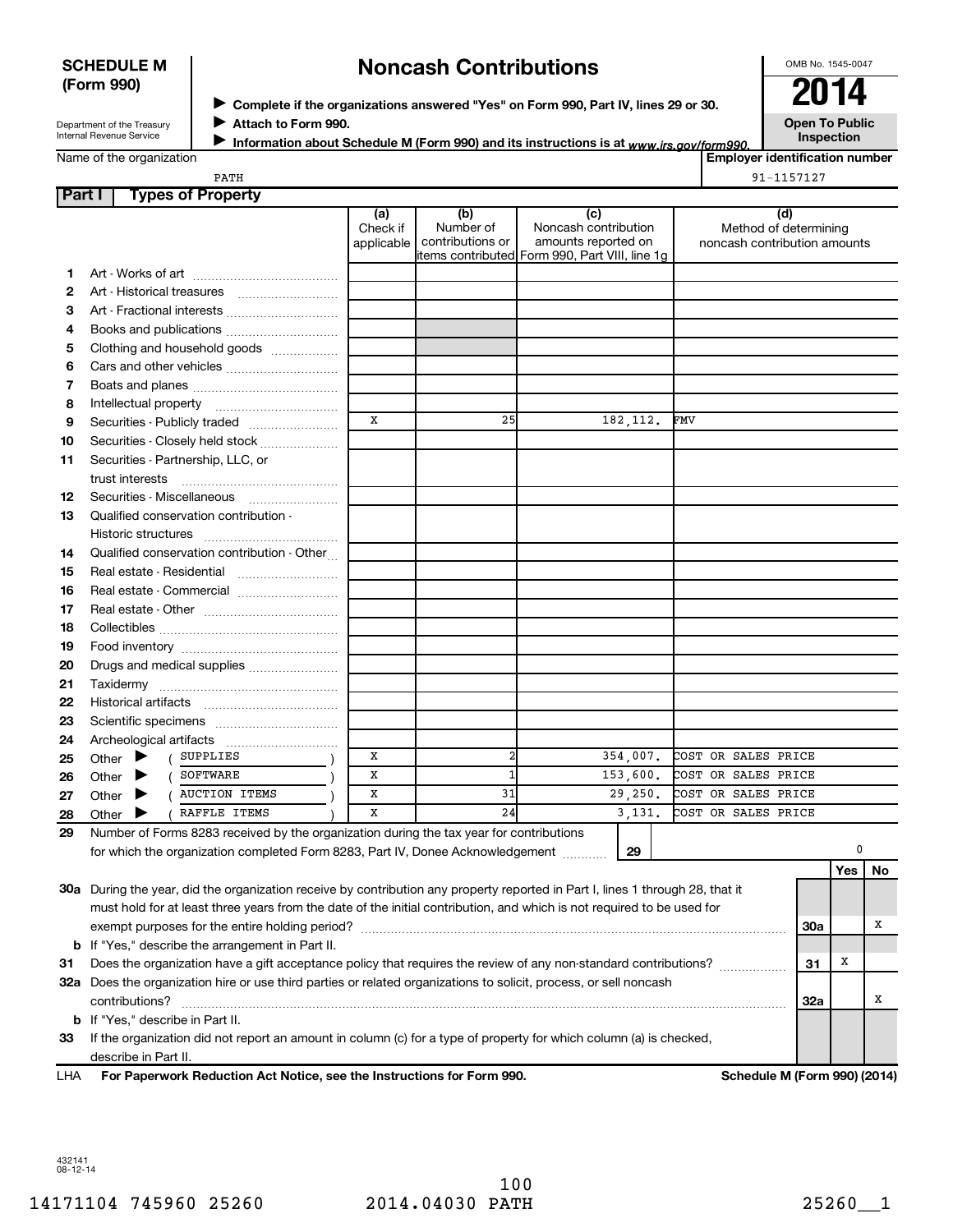# **SCHEDULE M (Form 990)**

# **Noncash Contributions**

OMB No. 1545-0047

Department of the Treasury Internal Revenue Service

◆ Complete if the organizations answered "Yes" on Form 990, Part IV, lines 29 or 30.<br>▶ Complete if the organizations answered "Yes" on Form 990, Part IV, lines 29 or 30. **Attach to Form 990.** J

**Information about Schedule M (Form 990) and its instructions is at**  J

**Open To Public Inspection**

|  | Name of the organization |
|--|--------------------------|
|--|--------------------------|

| vww.irs.aov/form990. | <b>Inspection</b>                     |  |  |  |
|----------------------|---------------------------------------|--|--|--|
|                      | <b>Employer identification number</b> |  |  |  |

PATH 91-1157127

| <b>Part I</b> | <b>Types of Property</b>                                                                                                       |                               |                                      |                                                                                                      |           |                                                              |            |       |    |
|---------------|--------------------------------------------------------------------------------------------------------------------------------|-------------------------------|--------------------------------------|------------------------------------------------------------------------------------------------------|-----------|--------------------------------------------------------------|------------|-------|----|
|               |                                                                                                                                | (a)<br>Check if<br>applicable | (b)<br>Number of<br>contributions or | (c)<br>Noncash contribution<br>amounts reported on<br>items contributed Form 990, Part VIII, line 1g |           | (d)<br>Method of determining<br>noncash contribution amounts |            |       |    |
| 1.            |                                                                                                                                |                               |                                      |                                                                                                      |           |                                                              |            |       |    |
| 2             |                                                                                                                                |                               |                                      |                                                                                                      |           |                                                              |            |       |    |
| З             | Art - Fractional interests                                                                                                     |                               |                                      |                                                                                                      |           |                                                              |            |       |    |
| 4             | Books and publications                                                                                                         |                               |                                      |                                                                                                      |           |                                                              |            |       |    |
| 5             | Clothing and household goods                                                                                                   |                               |                                      |                                                                                                      |           |                                                              |            |       |    |
| 6             | Cars and other vehicles                                                                                                        |                               |                                      |                                                                                                      |           |                                                              |            |       |    |
| 7             |                                                                                                                                |                               |                                      |                                                                                                      |           |                                                              |            |       |    |
| 8             |                                                                                                                                |                               |                                      |                                                                                                      |           |                                                              |            |       |    |
| 9             |                                                                                                                                | $\mathbf{x}$                  | 25                                   |                                                                                                      | 182, 112. | FMV                                                          |            |       |    |
|               | Securities - Publicly traded                                                                                                   |                               |                                      |                                                                                                      |           |                                                              |            |       |    |
| 10            | Securities - Closely held stock                                                                                                |                               |                                      |                                                                                                      |           |                                                              |            |       |    |
| 11            | Securities - Partnership, LLC, or<br>trust interests                                                                           |                               |                                      |                                                                                                      |           |                                                              |            |       |    |
| 12            | Securities - Miscellaneous                                                                                                     |                               |                                      |                                                                                                      |           |                                                              |            |       |    |
| 13            | Qualified conservation contribution -                                                                                          |                               |                                      |                                                                                                      |           |                                                              |            |       |    |
|               |                                                                                                                                |                               |                                      |                                                                                                      |           |                                                              |            |       |    |
| 14            | Qualified conservation contribution - Other                                                                                    |                               |                                      |                                                                                                      |           |                                                              |            |       |    |
| 15            | Real estate - Residential                                                                                                      |                               |                                      |                                                                                                      |           |                                                              |            |       |    |
| 16            | Real estate - Commercial                                                                                                       |                               |                                      |                                                                                                      |           |                                                              |            |       |    |
| 17            |                                                                                                                                |                               |                                      |                                                                                                      |           |                                                              |            |       |    |
| 18            |                                                                                                                                |                               |                                      |                                                                                                      |           |                                                              |            |       |    |
| 19            |                                                                                                                                |                               |                                      |                                                                                                      |           |                                                              |            |       |    |
| 20            | Drugs and medical supplies                                                                                                     |                               |                                      |                                                                                                      |           |                                                              |            |       |    |
| 21            |                                                                                                                                |                               |                                      |                                                                                                      |           |                                                              |            |       |    |
| 22            |                                                                                                                                |                               |                                      |                                                                                                      |           |                                                              |            |       |    |
| 23            |                                                                                                                                |                               |                                      |                                                                                                      |           |                                                              |            |       |    |
| 24            |                                                                                                                                |                               |                                      |                                                                                                      |           |                                                              |            |       |    |
| 25            | ( SUPPLIES<br>Other $\blacktriangleright$                                                                                      | X                             | 2                                    |                                                                                                      | 354,007.  | COST OR SALES PRICE                                          |            |       |    |
| 26            | SOFTWARE<br>▶<br>Other                                                                                                         | X                             | $\mathbf{1}$                         |                                                                                                      | 153,600.  | COST OR SALES PRICE                                          |            |       |    |
| 27            | <b>AUCTION ITEMS</b><br>▶<br>Other                                                                                             | x                             | 31                                   |                                                                                                      | 29.250.   | COST OR SALES PRICE                                          |            |       |    |
| 28            | RAFFLE ITEMS<br>Other<br>▶                                                                                                     | X                             | 24                                   |                                                                                                      | 3.131.    | COST OR SALES PRICE                                          |            |       |    |
| 29            | Number of Forms 8283 received by the organization during the tax year for contributions                                        |                               |                                      |                                                                                                      |           |                                                              |            |       |    |
|               | for which the organization completed Form 8283, Part IV, Donee Acknowledgement [1111]                                          |                               |                                      |                                                                                                      | 29        |                                                              |            | 0     |    |
|               |                                                                                                                                |                               |                                      |                                                                                                      |           |                                                              |            | Yes l | No |
|               | 30a During the year, did the organization receive by contribution any property reported in Part I, lines 1 through 28, that it |                               |                                      |                                                                                                      |           |                                                              |            |       |    |
|               | must hold for at least three years from the date of the initial contribution, and which is not required to be used for         |                               |                                      |                                                                                                      |           |                                                              |            |       |    |
|               |                                                                                                                                |                               |                                      |                                                                                                      |           |                                                              | <b>30a</b> |       | х  |
|               | <b>b</b> If "Yes," describe the arrangement in Part II.                                                                        |                               |                                      |                                                                                                      |           |                                                              |            |       |    |
| 31            | Does the organization have a gift acceptance policy that requires the review of any non-standard contributions?                |                               |                                      |                                                                                                      |           |                                                              | 31         | х     |    |
|               | 32a Does the organization hire or use third parties or related organizations to solicit, process, or sell noncash              |                               |                                      |                                                                                                      |           |                                                              |            |       |    |
|               | contributions?                                                                                                                 |                               |                                      |                                                                                                      |           |                                                              | 32a        |       | х  |
|               | <b>b</b> If "Yes," describe in Part II.                                                                                        |                               |                                      |                                                                                                      |           |                                                              |            |       |    |
| 33            | If the organization did not report an amount in column (c) for a type of property for which column (a) is checked,             |                               |                                      |                                                                                                      |           |                                                              |            |       |    |
|               | describe in Part II.                                                                                                           |                               |                                      |                                                                                                      |           |                                                              |            |       |    |
| LHA           | For Paperwork Reduction Act Notice, see the Instructions for Form 990.                                                         |                               |                                      |                                                                                                      |           | Schedule M (Form 990) (2014)                                 |            |       |    |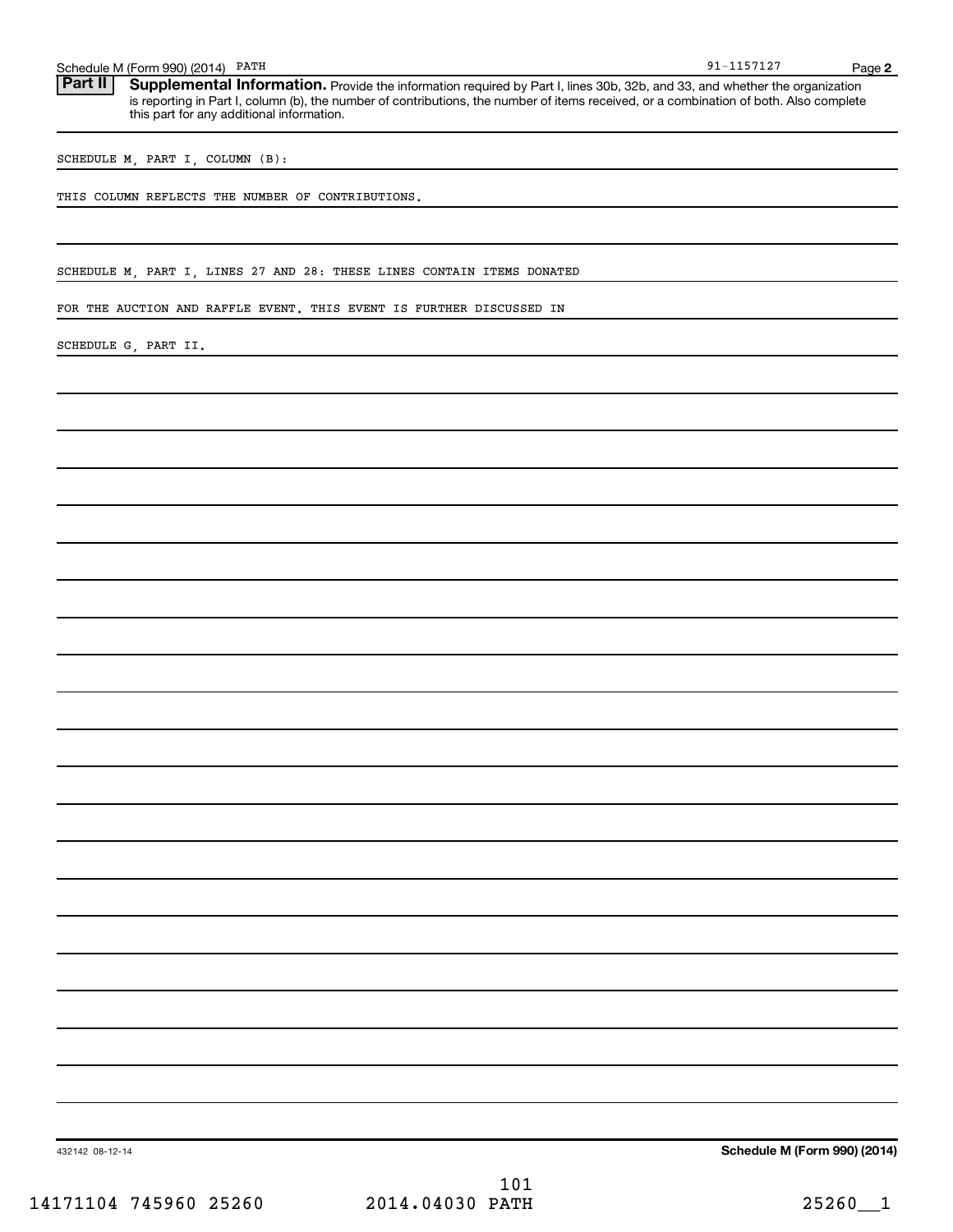Part II | Supplemental Information. Provide the information required by Part I, lines 30b, 32b, and 33, and whether the organization is reporting in Part I, column (b), the number of contributions, the number of items received, or a combination of both. Also complete this part for any additional information.

SCHEDULE M, PART I, COLUMN (B):

THIS COLUMN REFLECTS THE NUMBER OF CONTRIBUTIONS.

SCHEDULE M, PART I, LINES 27 AND 28: THESE LINES CONTAIN ITEMS DONATED

FOR THE AUCTION AND RAFFLE EVENT. THIS EVENT IS FURTHER DISCUSSED IN

SCHEDULE G, PART II.

91-1157127

**Schedule M (Form 990) (2014)**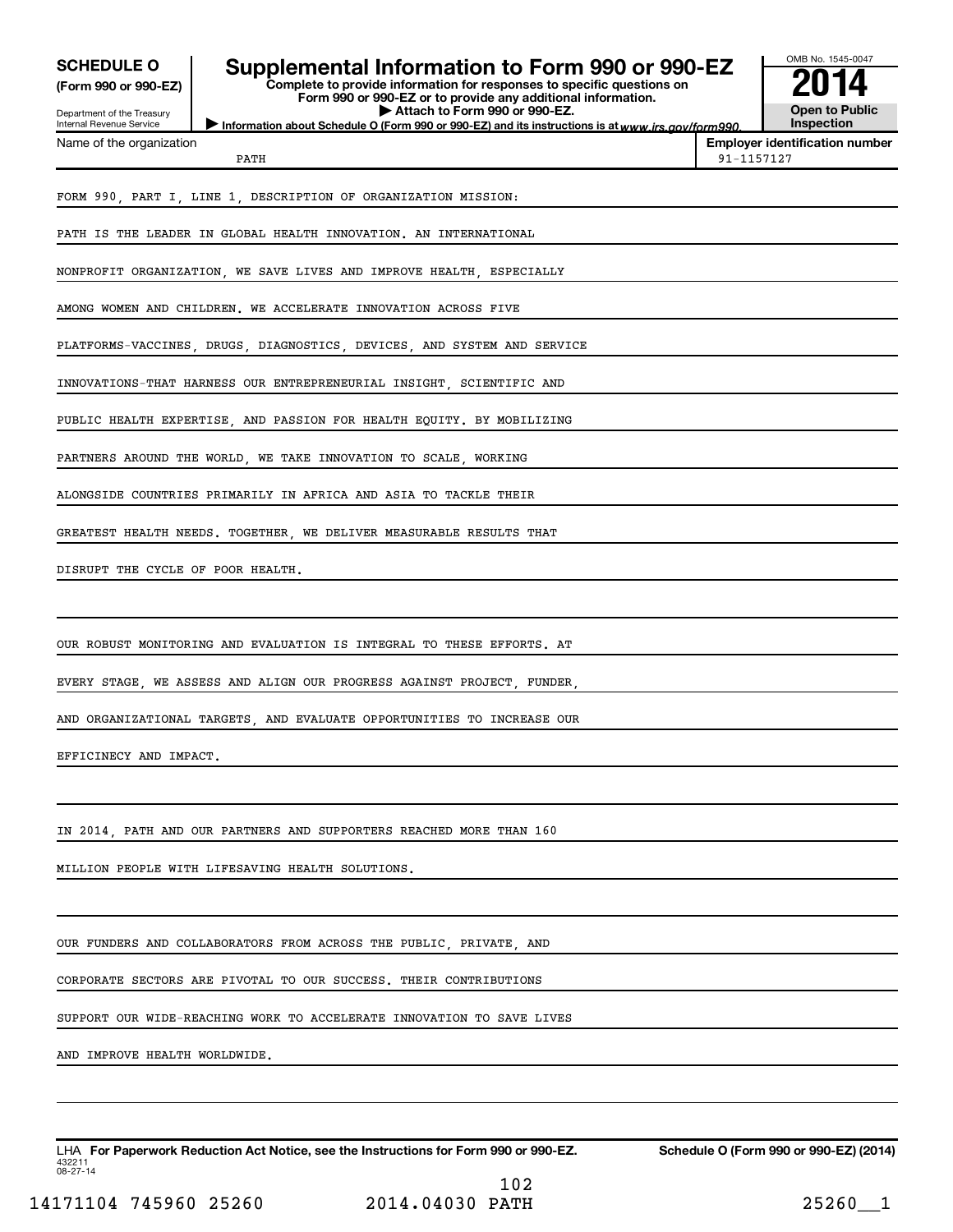| <b>SCHEDULE O</b><br>(Form 990 or 990-EZ)<br>Department of the Treasury<br>Internal Revenue Service | Supplemental Information to Form 990 or 990-EZ<br>Complete to provide information for responses to specific questions on<br>Form 990 or 990-EZ or to provide any additional information.<br>Attach to Form 990 or 990-EZ.<br>Information about Schedule O (Form 990 or 990-EZ) and its instructions is at www.irs.gov/form990. |            | OMB No. 1545-0047<br><b>Open to Public</b><br>Inspection |
|-----------------------------------------------------------------------------------------------------|--------------------------------------------------------------------------------------------------------------------------------------------------------------------------------------------------------------------------------------------------------------------------------------------------------------------------------|------------|----------------------------------------------------------|
| Name of the organization                                                                            | PATH                                                                                                                                                                                                                                                                                                                           | 91-1157127 | <b>Employer identification number</b>                    |
|                                                                                                     | FORM 990, PART I, LINE 1, DESCRIPTION OF ORGANIZATION MISSION:                                                                                                                                                                                                                                                                 |            |                                                          |
|                                                                                                     | PATH IS THE LEADER IN GLOBAL HEALTH INNOVATION. AN INTERNATIONAL                                                                                                                                                                                                                                                               |            |                                                          |
|                                                                                                     | NONPROFIT ORGANIZATION, WE SAVE LIVES AND IMPROVE HEALTH, ESPECIALLY                                                                                                                                                                                                                                                           |            |                                                          |
|                                                                                                     | AMONG WOMEN AND CHILDREN. WE ACCELERATE INNOVATION ACROSS FIVE                                                                                                                                                                                                                                                                 |            |                                                          |
|                                                                                                     | PLATFORMS-VACCINES, DRUGS, DIAGNOSTICS, DEVICES, AND SYSTEM AND SERVICE                                                                                                                                                                                                                                                        |            |                                                          |
|                                                                                                     | INNOVATIONS-THAT HARNESS OUR ENTREPRENEURIAL INSIGHT, SCIENTIFIC AND                                                                                                                                                                                                                                                           |            |                                                          |
|                                                                                                     | PUBLIC HEALTH EXPERTISE, AND PASSION FOR HEALTH EQUITY. BY MOBILIZING                                                                                                                                                                                                                                                          |            |                                                          |
|                                                                                                     | PARTNERS AROUND THE WORLD, WE TAKE INNOVATION TO SCALE, WORKING                                                                                                                                                                                                                                                                |            |                                                          |
|                                                                                                     | ALONGSIDE COUNTRIES PRIMARILY IN AFRICA AND ASIA TO TACKLE THEIR                                                                                                                                                                                                                                                               |            |                                                          |
|                                                                                                     | GREATEST HEALTH NEEDS. TOGETHER, WE DELIVER MEASURABLE RESULTS THAT                                                                                                                                                                                                                                                            |            |                                                          |
| DISRUPT THE CYCLE OF POOR HEALTH.                                                                   |                                                                                                                                                                                                                                                                                                                                |            |                                                          |
|                                                                                                     |                                                                                                                                                                                                                                                                                                                                |            |                                                          |
|                                                                                                     | OUR ROBUST MONITORING AND EVALUATION IS INTEGRAL TO THESE EFFORTS. AT                                                                                                                                                                                                                                                          |            |                                                          |
|                                                                                                     | EVERY STAGE, WE ASSESS AND ALIGN OUR PROGRESS AGAINST PROJECT, FUNDER,                                                                                                                                                                                                                                                         |            |                                                          |
|                                                                                                     | AND ORGANIZATIONAL TARGETS, AND EVALUATE OPPORTUNITIES TO INCREASE OUR                                                                                                                                                                                                                                                         |            |                                                          |
| EFFICINECY AND IMPACT.                                                                              |                                                                                                                                                                                                                                                                                                                                |            |                                                          |
|                                                                                                     |                                                                                                                                                                                                                                                                                                                                |            |                                                          |
|                                                                                                     | IN 2014, PATH AND OUR PARTNERS AND SUPPORTERS REACHED MORE THAN 160                                                                                                                                                                                                                                                            |            |                                                          |
|                                                                                                     | MILLION PEOPLE WITH LIFESAVING HEALTH SOLUTIONS.                                                                                                                                                                                                                                                                               |            |                                                          |
|                                                                                                     |                                                                                                                                                                                                                                                                                                                                |            |                                                          |
|                                                                                                     | OUR FUNDERS AND COLLABORATORS FROM ACROSS THE PUBLIC, PRIVATE, AND                                                                                                                                                                                                                                                             |            |                                                          |
|                                                                                                     | CORPORATE SECTORS ARE PIVOTAL TO OUR SUCCESS. THEIR CONTRIBUTIONS                                                                                                                                                                                                                                                              |            |                                                          |
|                                                                                                     | SUPPORT OUR WIDE-REACHING WORK TO ACCELERATE INNOVATION TO SAVE LIVES                                                                                                                                                                                                                                                          |            |                                                          |
| AND IMPROVE HEALTH WORLDWIDE.                                                                       |                                                                                                                                                                                                                                                                                                                                |            |                                                          |
|                                                                                                     |                                                                                                                                                                                                                                                                                                                                |            |                                                          |

432211 08-27-14 LHA For Paperwork Reduction Act Notice, see the Instructions for Form 990 or 990-EZ. Schedule O (Form 990 or 990-EZ) (2014)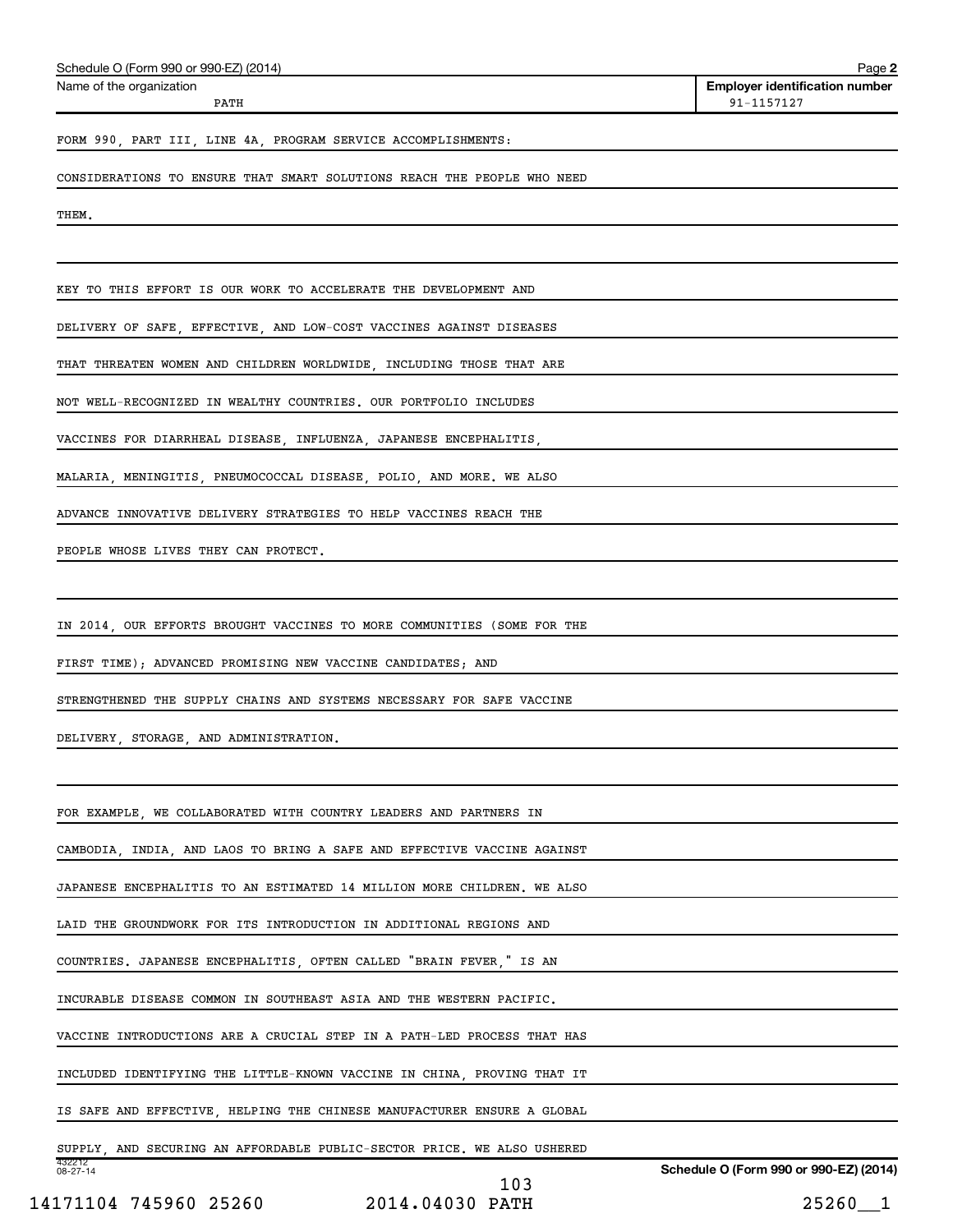| Schedule O (Form 990 or 990-EZ) (2014)                                  | Page 2                                              |
|-------------------------------------------------------------------------|-----------------------------------------------------|
| Name of the organization<br>PATH                                        | <b>Employer identification number</b><br>91-1157127 |
| FORM 990, PART III, LINE 4A, PROGRAM SERVICE ACCOMPLISHMENTS:           |                                                     |
| CONSIDERATIONS TO ENSURE THAT SMART SOLUTIONS REACH THE PEOPLE WHO NEED |                                                     |
| THEM.                                                                   |                                                     |
|                                                                         |                                                     |
| KEY TO THIS EFFORT IS OUR WORK TO ACCELERATE THE DEVELOPMENT AND        |                                                     |
| DELIVERY OF SAFE, EFFECTIVE, AND LOW-COST VACCINES AGAINST DISEASES     |                                                     |
| THAT THREATEN WOMEN AND CHILDREN WORLDWIDE, INCLUDING THOSE THAT ARE    |                                                     |
| NOT WELL-RECOGNIZED IN WEALTHY COUNTRIES. OUR PORTFOLIO INCLUDES        |                                                     |
| VACCINES FOR DIARRHEAL DISEASE, INFLUENZA, JAPANESE ENCEPHALITIS,       |                                                     |
| MALARIA, MENINGITIS, PNEUMOCOCCAL DISEASE, POLIO, AND MORE. WE ALSO     |                                                     |
| ADVANCE INNOVATIVE DELIVERY STRATEGIES TO HELP VACCINES REACH THE       |                                                     |
| PEOPLE WHOSE LIVES THEY CAN PROTECT.                                    |                                                     |
|                                                                         |                                                     |
| IN 2014, OUR EFFORTS BROUGHT VACCINES TO MORE COMMUNITIES (SOME FOR THE |                                                     |
| FIRST TIME); ADVANCED PROMISING NEW VACCINE CANDIDATES; AND             |                                                     |
| STRENGTHENED THE SUPPLY CHAINS AND SYSTEMS NECESSARY FOR SAFE VACCINE   |                                                     |
| DELIVERY, STORAGE, AND ADMINISTRATION.                                  |                                                     |
|                                                                         |                                                     |
| FOR EXAMPLE, WE COLLABORATED WITH COUNTRY LEADERS AND PARTNERS IN       |                                                     |
| CAMBODIA, INDIA, AND LAOS TO BRING A SAFE AND EFFECTIVE VACCINE AGAINST |                                                     |
| JAPANESE ENCEPHALITIS TO AN ESTIMATED 14 MILLION MORE CHILDREN. WE ALSO |                                                     |
| LAID THE GROUNDWORK FOR ITS INTRODUCTION IN ADDITIONAL REGIONS AND      |                                                     |
| COUNTRIES. JAPANESE ENCEPHALITIS, OFTEN CALLED "BRAIN FEVER," IS AN     |                                                     |
| INCURABLE DISEASE COMMON IN SOUTHEAST ASIA AND THE WESTERN PACIFIC.     |                                                     |
| VACCINE INTRODUCTIONS ARE A CRUCIAL STEP IN A PATH-LED PROCESS THAT HAS |                                                     |
| INCLUDED IDENTIFYING THE LITTLE-KNOWN VACCINE IN CHINA, PROVING THAT IT |                                                     |

IS SAFE AND EFFECTIVE, HELPING THE CHINESE MANUFACTURER ENSURE A GLOBAL

SUPPLY, AND SECURING AN AFFORDABLE PUBLIC-SECTOR PRICE. WE ALSO USHERED

**Schedule O (Form 990 or 990-EZ) (2014)**

432212 08-27-14

103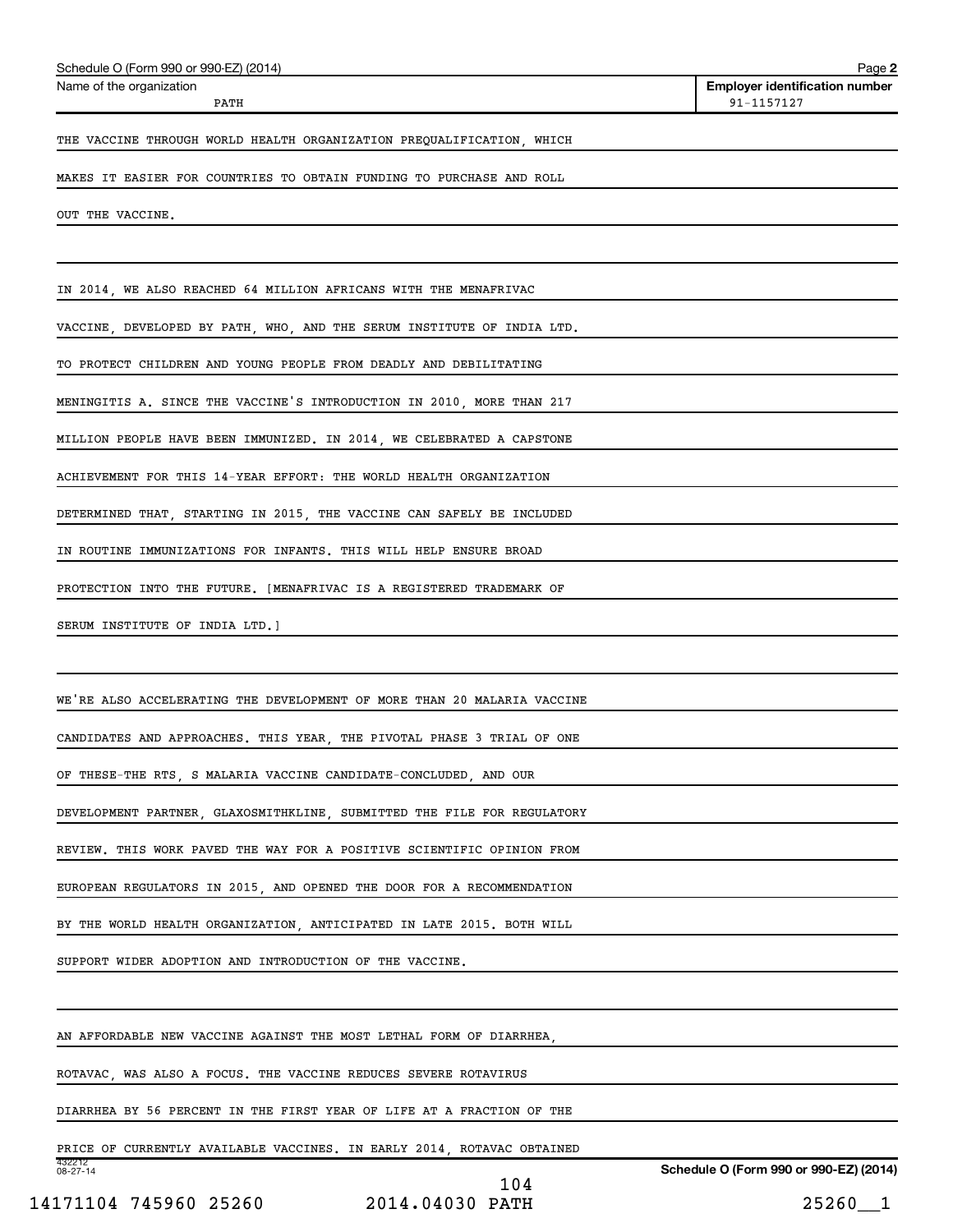| Schedule O (Form 990 or 990-EZ) (2014)                                   | Page 2                                |
|--------------------------------------------------------------------------|---------------------------------------|
| Name of the organization                                                 | <b>Employer identification number</b> |
| PATH                                                                     | 91-1157127                            |
| THE VACCINE THROUGH WORLD HEALTH ORGANIZATION PREQUALIFICATION.<br>WHICH |                                       |
| MAKES IT EASIER FOR COUNTRIES TO OBTAIN FUNDING TO PURCHASE AND ROLL     |                                       |

OUT THE VACCINE.

IN 2014, WE ALSO REACHED 64 MILLION AFRICANS WITH THE MENAFRIVAC

VACCINE, DEVELOPED BY PATH, WHO, AND THE SERUM INSTITUTE OF INDIA LTD.

TO PROTECT CHILDREN AND YOUNG PEOPLE FROM DEADLY AND DEBILITATING

MENINGITIS A. SINCE THE VACCINE'S INTRODUCTION IN 2010, MORE THAN 217

MILLION PEOPLE HAVE BEEN IMMUNIZED. IN 2014, WE CELEBRATED A CAPSTONE

ACHIEVEMENT FOR THIS 14-YEAR EFFORT: THE WORLD HEALTH ORGANIZATION

DETERMINED THAT, STARTING IN 2015, THE VACCINE CAN SAFELY BE INCLUDED

IN ROUTINE IMMUNIZATIONS FOR INFANTS. THIS WILL HELP ENSURE BROAD

PROTECTION INTO THE FUTURE. [MENAFRIVAC IS A REGISTERED TRADEMARK OF

SERUM INSTITUTE OF INDIA LTD.]

WE'RE ALSO ACCELERATING THE DEVELOPMENT OF MORE THAN 20 MALARIA VACCINE

CANDIDATES AND APPROACHES. THIS YEAR, THE PIVOTAL PHASE 3 TRIAL OF ONE

OF THESE-THE RTS, S MALARIA VACCINE CANDIDATE-CONCLUDED, AND OUR

DEVELOPMENT PARTNER, GLAXOSMITHKLINE, SUBMITTED THE FILE FOR REGULATORY

REVIEW. THIS WORK PAVED THE WAY FOR A POSITIVE SCIENTIFIC OPINION FROM

EUROPEAN REGULATORS IN 2015, AND OPENED THE DOOR FOR A RECOMMENDATION

BY THE WORLD HEALTH ORGANIZATION, ANTICIPATED IN LATE 2015. BOTH WILL

SUPPORT WIDER ADOPTION AND INTRODUCTION OF THE VACCINE.

AN AFFORDABLE NEW VACCINE AGAINST THE MOST LETHAL FORM OF DIARRHEA,

ROTAVAC, WAS ALSO A FOCUS. THE VACCINE REDUCES SEVERE ROTAVIRUS

DIARRHEA BY 56 PERCENT IN THE FIRST YEAR OF LIFE AT A FRACTION OF THE

PRICE OF CURRENTLY AVAILABLE VACCINES. IN EARLY 2014, ROTAVAC OBTAINED

432212 08-27-14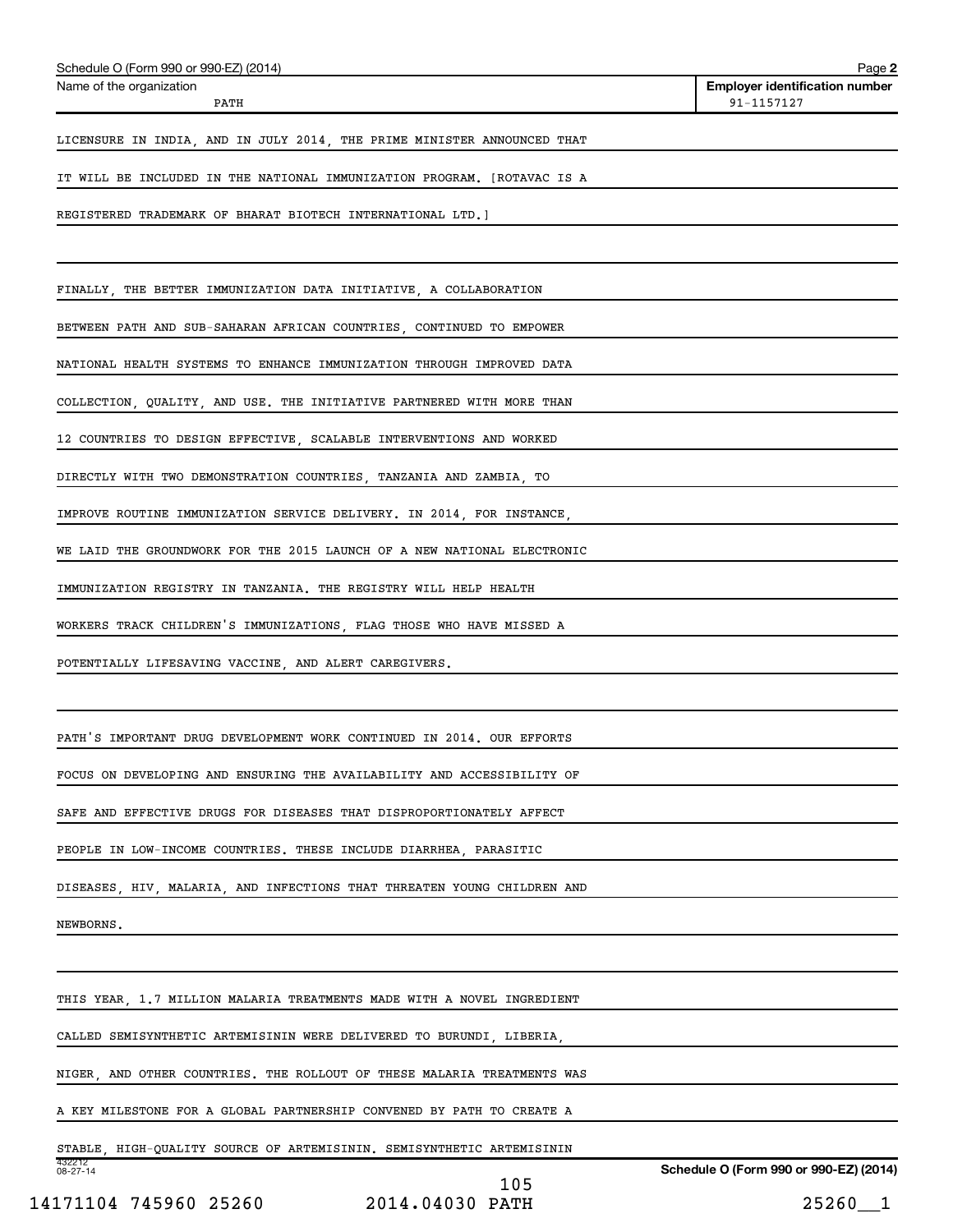| Schedule O (Form 990 or 990-EZ) (2014)                                  |                 | Page 2                                              |
|-------------------------------------------------------------------------|-----------------|-----------------------------------------------------|
| Name of the organization<br>PATH                                        |                 | <b>Employer identification number</b><br>91-1157127 |
| LICENSURE IN INDIA, AND IN JULY 2014, THE PRIME MINISTER ANNOUNCED THAT |                 |                                                     |
| IT WILL BE INCLUDED IN THE NATIONAL IMMUNIZATION PROGRAM. [ROTAVAC IS A |                 |                                                     |
| REGISTERED TRADEMARK OF BHARAT BIOTECH INTERNATIONAL LTD.]              |                 |                                                     |
| FINALLY, THE BETTER IMMUNIZATION DATA INITIATIVE, A COLLABORATION       |                 |                                                     |
| BETWEEN PATH AND SUB-SAHARAN AFRICAN COUNTRIES, CONTINUED TO EMPOWER    |                 |                                                     |
| NATIONAL HEALTH SYSTEMS TO ENHANCE IMMUNIZATION THROUGH IMPROVED DATA   |                 |                                                     |
| COLLECTION, QUALITY, AND USE. THE INITIATIVE PARTNERED WITH MORE THAN   |                 |                                                     |
| 12 COUNTRIES TO DESIGN EFFECTIVE, SCALABLE INTERVENTIONS AND WORKED     |                 |                                                     |
| DIRECTLY WITH TWO DEMONSTRATION COUNTRIES, TANZANIA AND ZAMBIA, TO      |                 |                                                     |
| IMPROVE ROUTINE IMMUNIZATION SERVICE DELIVERY. IN 2014, FOR INSTANCE,   |                 |                                                     |
| WE LAID THE GROUNDWORK FOR THE 2015 LAUNCH OF A NEW NATIONAL ELECTRONIC |                 |                                                     |
| IMMUNIZATION REGISTRY IN TANZANIA. THE REGISTRY WILL HELP HEALTH        |                 |                                                     |
| WORKERS TRACK CHILDREN'S IMMUNIZATIONS, FLAG THOSE WHO HAVE MISSED A    |                 |                                                     |
| POTENTIALLY LIFESAVING VACCINE, AND ALERT CAREGIVERS.                   |                 |                                                     |
| PATH'S IMPORTANT DRUG DEVELOPMENT WORK CONTINUED IN 2014. OUR EFFORTS   |                 |                                                     |
| FOCUS ON DEVELOPING AND ENSURING THE AVAILABILITY AND ACCESSIBILITY OF  |                 |                                                     |
| SAFE AND EFFECTIVE DRUGS FOR DISEASES THAT DISPROPORTIONATELY AFFECT    |                 |                                                     |
| PEOPLE IN LOW-INCOME COUNTRIES. THESE INCLUDE DIARRHEA, PARASITIC       |                 |                                                     |
| DISEASES, HIV, MALARIA, AND INFECTIONS THAT THREATEN YOUNG CHILDREN AND |                 |                                                     |
| NEWBORNS.                                                               |                 |                                                     |
| THIS YEAR, 1.7 MILLION MALARIA TREATMENTS MADE WITH A NOVEL INGREDIENT  |                 |                                                     |
| CALLED SEMISYNTHETIC ARTEMISININ WERE DELIVERED TO BURUNDI, LIBERIA,    |                 |                                                     |
| NIGER, AND OTHER COUNTRIES. THE ROLLOUT OF THESE MALARIA TREATMENTS WAS |                 |                                                     |
| A KEY MILESTONE FOR A GLOBAL PARTNERSHIP CONVENED BY PATH TO CREATE A   |                 |                                                     |
| STABLE, HIGH-QUALITY SOURCE OF ARTEMISININ. SEMISYNTHETIC ARTEMISININ   |                 |                                                     |
| 432212<br>$08 - 27 - 14$                                                | 105             | Schedule O (Form 990 or 990-EZ) (2014)              |
| 14171104 745960 25260                                                   | 2014.04030 PATH | $25260 - 1$                                         |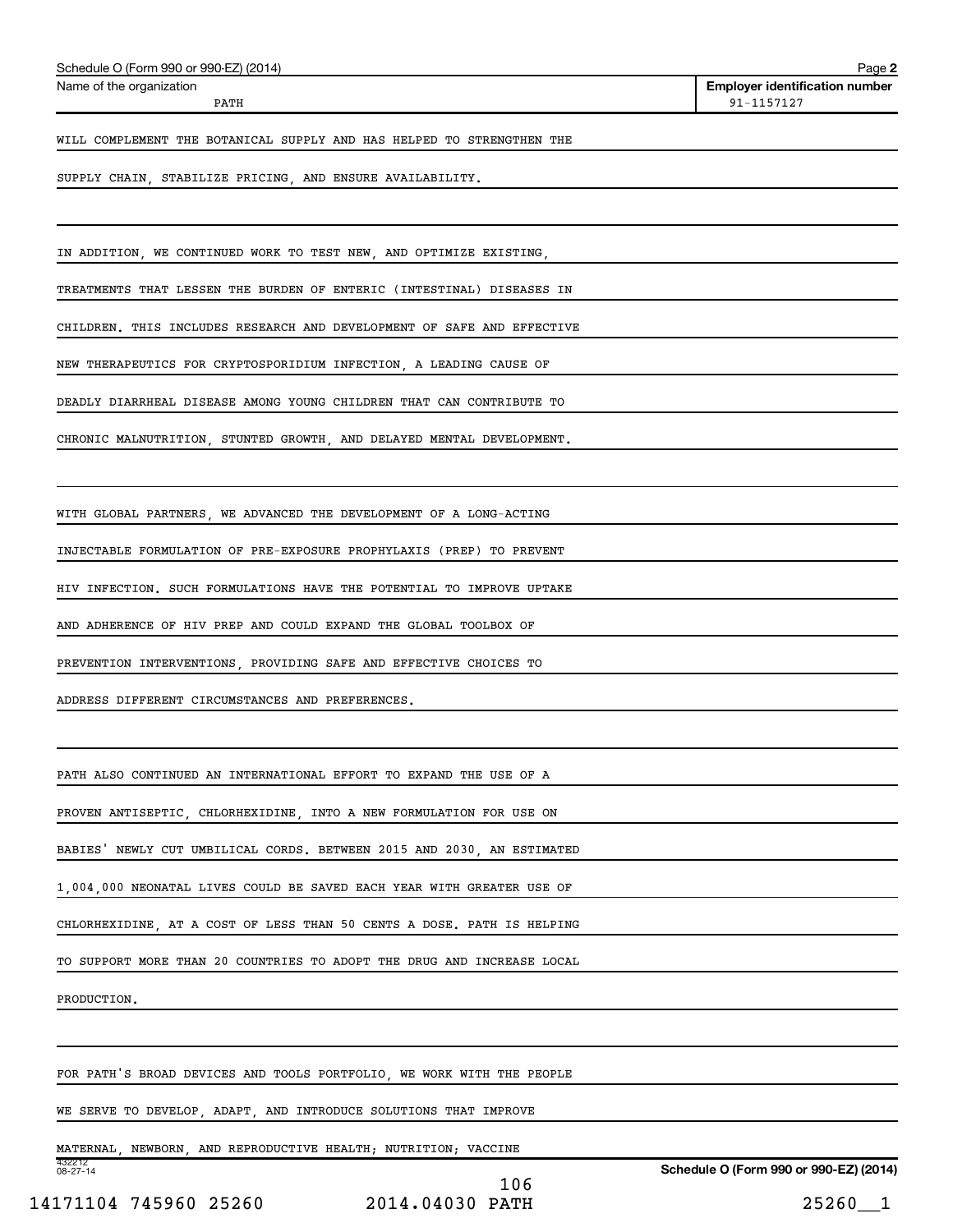| Schedule O (Form 990 or 990-EZ) (2014) | Page |  |
|----------------------------------------|------|--|
|                                        |      |  |

Name of the organization

PATH 91-1157127

**2 Employer identification number**

WILL COMPLEMENT THE BOTANICAL SUPPLY AND HAS HELPED TO STRENGTHEN THE

#### SUPPLY CHAIN, STABILIZE PRICING, AND ENSURE AVAILABILITY.

IN ADDITION, WE CONTINUED WORK TO TEST NEW, AND OPTIMIZE EXISTING,

TREATMENTS THAT LESSEN THE BURDEN OF ENTERIC (INTESTINAL) DISEASES IN

CHILDREN. THIS INCLUDES RESEARCH AND DEVELOPMENT OF SAFE AND EFFECTIVE

NEW THERAPEUTICS FOR CRYPTOSPORIDIUM INFECTION, A LEADING CAUSE OF

DEADLY DIARRHEAL DISEASE AMONG YOUNG CHILDREN THAT CAN CONTRIBUTE TO

CHRONIC MALNUTRITION, STUNTED GROWTH, AND DELAYED MENTAL DEVELOPMENT.

WITH GLOBAL PARTNERS, WE ADVANCED THE DEVELOPMENT OF A LONG-ACTING

INJECTABLE FORMULATION OF PRE-EXPOSURE PROPHYLAXIS (PREP) TO PREVENT

HIV INFECTION. SUCH FORMULATIONS HAVE THE POTENTIAL TO IMPROVE UPTAKE

AND ADHERENCE OF HIV PREP AND COULD EXPAND THE GLOBAL TOOLBOX OF

PREVENTION INTERVENTIONS, PROVIDING SAFE AND EFFECTIVE CHOICES TO

ADDRESS DIFFERENT CIRCUMSTANCES AND PREFERENCES.

PATH ALSO CONTINUED AN INTERNATIONAL EFFORT TO EXPAND THE USE OF A

PROVEN ANTISEPTIC, CHLORHEXIDINE, INTO A NEW FORMULATION FOR USE ON

BABIES' NEWLY CUT UMBILICAL CORDS. BETWEEN 2015 AND 2030, AN ESTIMATED

1,004,000 NEONATAL LIVES COULD BE SAVED EACH YEAR WITH GREATER USE OF

CHLORHEXIDINE, AT A COST OF LESS THAN 50 CENTS A DOSE. PATH IS HELPING

TO SUPPORT MORE THAN 20 COUNTRIES TO ADOPT THE DRUG AND INCREASE LOCAL

PRODUCTION.

FOR PATH'S BROAD DEVICES AND TOOLS PORTFOLIO, WE WORK WITH THE PEOPLE

WE SERVE TO DEVELOP, ADAPT, AND INTRODUCE SOLUTIONS THAT IMPROVE

MATERNAL, NEWBORN, AND REPRODUCTIVE HEALTH; NUTRITION; VACCINE

432212 08-27-14

**Schedule O (Form 990 or 990-EZ) (2014)**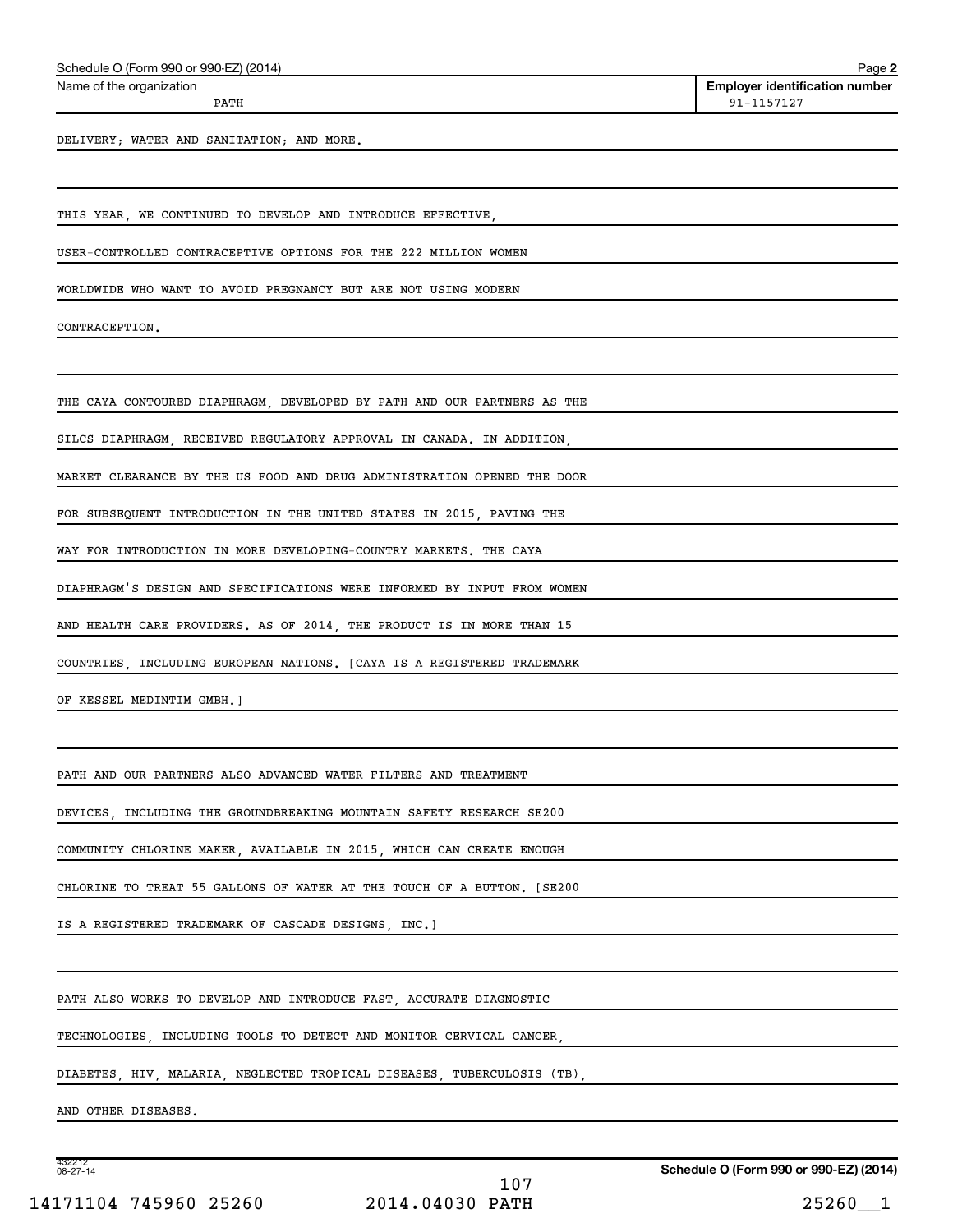| Schedule O (Form 990 or 990-EZ) (2014) | Page |  |
|----------------------------------------|------|--|
|                                        |      |  |

Name of the organization

**2 Employer identification number** PATH 91-1157127

DELIVERY; WATER AND SANITATION; AND MORE.

THIS YEAR, WE CONTINUED TO DEVELOP AND INTRODUCE EFFECTIVE,

USER-CONTROLLED CONTRACEPTIVE OPTIONS FOR THE 222 MILLION WOMEN

WORLDWIDE WHO WANT TO AVOID PREGNANCY BUT ARE NOT USING MODERN

CONTRACEPTION.

THE CAYA CONTOURED DIAPHRAGM, DEVELOPED BY PATH AND OUR PARTNERS AS THE

SILCS DIAPHRAGM, RECEIVED REGULATORY APPROVAL IN CANADA. IN ADDITION,

MARKET CLEARANCE BY THE US FOOD AND DRUG ADMINISTRATION OPENED THE DOOR

FOR SUBSEQUENT INTRODUCTION IN THE UNITED STATES IN 2015, PAVING THE

WAY FOR INTRODUCTION IN MORE DEVELOPING-COUNTRY MARKETS. THE CAYA

DIAPHRAGM'S DESIGN AND SPECIFICATIONS WERE INFORMED BY INPUT FROM WOMEN

AND HEALTH CARE PROVIDERS. AS OF 2014, THE PRODUCT IS IN MORE THAN 15

COUNTRIES, INCLUDING EUROPEAN NATIONS. [CAYA IS A REGISTERED TRADEMARK

OF KESSEL MEDINTIM GMBH.]

PATH AND OUR PARTNERS ALSO ADVANCED WATER FILTERS AND TREATMENT

DEVICES, INCLUDING THE GROUNDBREAKING MOUNTAIN SAFETY RESEARCH SE200

COMMUNITY CHLORINE MAKER, AVAILABLE IN 2015, WHICH CAN CREATE ENOUGH

CHLORINE TO TREAT 55 GALLONS OF WATER AT THE TOUCH OF A BUTTON. [SE200

IS A REGISTERED TRADEMARK OF CASCADE DESIGNS, INC.]

PATH ALSO WORKS TO DEVELOP AND INTRODUCE FAST, ACCURATE DIAGNOSTIC

TECHNOLOGIES, INCLUDING TOOLS TO DETECT AND MONITOR CERVICAL CANCER,

DIABETES, HIV, MALARIA, NEGLECTED TROPICAL DISEASES, TUBERCULOSIS (TB),

AND OTHER DISEASES.

432212 08-27-14

**Schedule O (Form 990 or 990-EZ) (2014)**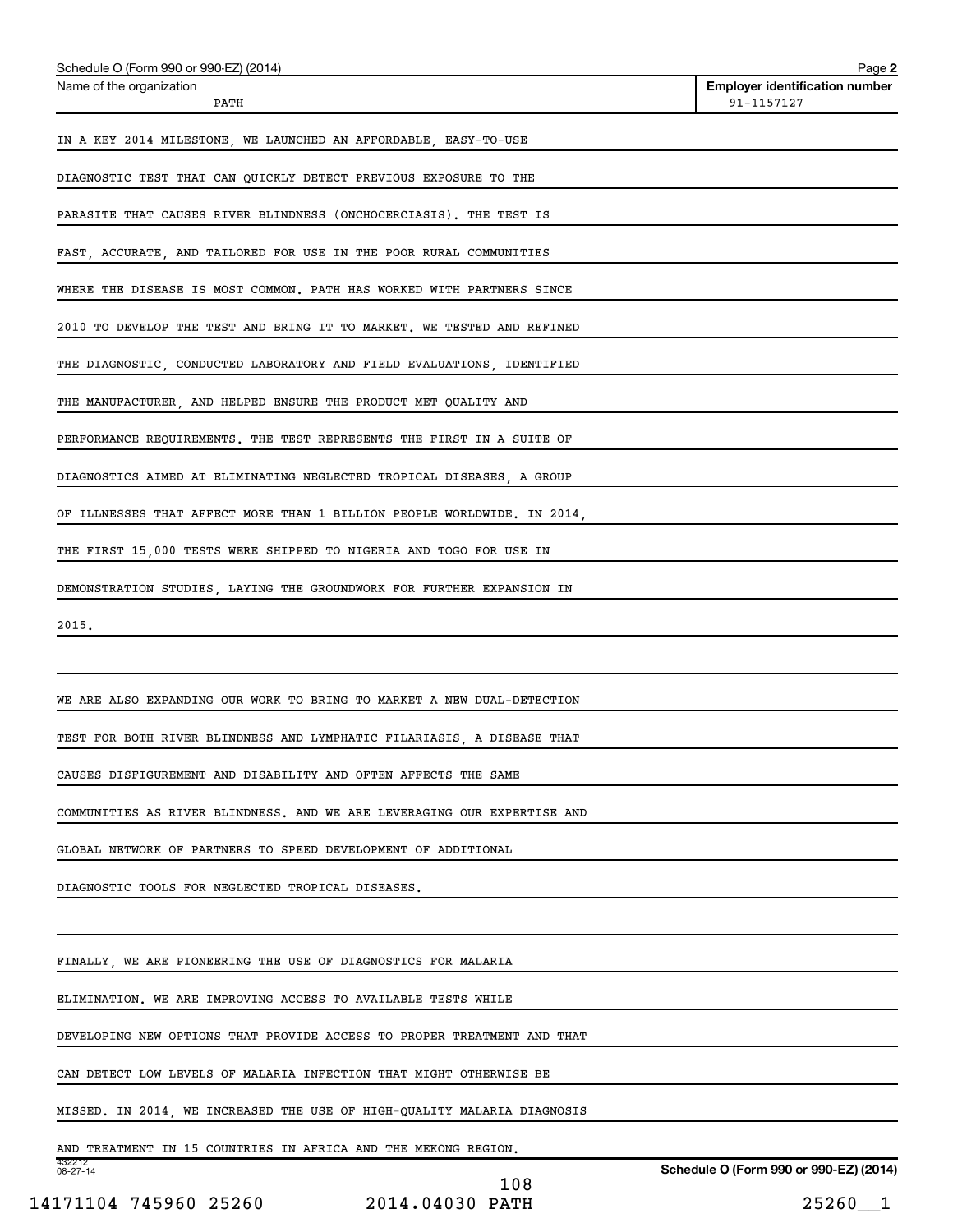| Schedule O (Form 990 or 990-EZ) (2014)                                  | Page 2                                              |
|-------------------------------------------------------------------------|-----------------------------------------------------|
| Name of the organization<br>PATH                                        | <b>Employer identification number</b><br>91-1157127 |
| IN A KEY 2014 MILESTONE, WE LAUNCHED AN AFFORDABLE, EASY-TO-USE         |                                                     |
| DIAGNOSTIC TEST THAT CAN QUICKLY DETECT PREVIOUS EXPOSURE TO THE        |                                                     |
| PARASITE THAT CAUSES RIVER BLINDNESS (ONCHOCERCIASIS). THE TEST IS      |                                                     |
| FAST, ACCURATE, AND TAILORED FOR USE IN THE POOR RURAL COMMUNITIES      |                                                     |
| WHERE THE DISEASE IS MOST COMMON. PATH HAS WORKED WITH PARTNERS SINCE   |                                                     |
| 2010 TO DEVELOP THE TEST AND BRING IT TO MARKET. WE TESTED AND REFINED  |                                                     |
| THE DIAGNOSTIC, CONDUCTED LABORATORY AND FIELD EVALUATIONS, IDENTIFIED  |                                                     |
| THE MANUFACTURER, AND HELPED ENSURE THE PRODUCT MET QUALITY AND         |                                                     |
| PERFORMANCE REQUIREMENTS. THE TEST REPRESENTS THE FIRST IN A SUITE OF   |                                                     |
| DIAGNOSTICS AIMED AT ELIMINATING NEGLECTED TROPICAL DISEASES, A GROUP   |                                                     |
| OF ILLNESSES THAT AFFECT MORE THAN 1 BILLION PEOPLE WORLDWIDE. IN 2014, |                                                     |
| THE FIRST 15,000 TESTS WERE SHIPPED TO NIGERIA AND TOGO FOR USE IN      |                                                     |
| DEMONSTRATION STUDIES, LAYING THE GROUNDWORK FOR FURTHER EXPANSION IN   |                                                     |
| 2015.                                                                   |                                                     |
|                                                                         |                                                     |
| WE ARE ALSO EXPANDING OUR WORK TO BRING TO MARKET A NEW DUAL-DETECTION  |                                                     |
| TEST FOR BOTH RIVER BLINDNESS AND LYMPHATIC FILARIASIS, A DISEASE THAT  |                                                     |
| CAUSES DISFIGUREMENT AND DISABILITY AND OFTEN AFFECTS THE SAME          |                                                     |
| COMMUNITIES AS RIVER BLINDNESS. AND WE ARE LEVERAGING OUR EXPERTISE AND |                                                     |
| GLOBAL NETWORK OF PARTNERS TO SPEED DEVELOPMENT OF ADDITIONAL           |                                                     |
| DIAGNOSTIC TOOLS FOR NEGLECTED TROPICAL DISEASES.                       |                                                     |
|                                                                         |                                                     |
| FINALLY, WE ARE PIONEERING THE USE OF DIAGNOSTICS FOR MALARIA           |                                                     |
| ELIMINATION. WE ARE IMPROVING ACCESS TO AVAILABLE TESTS WHILE           |                                                     |
| DEVELOPING NEW OPTIONS THAT PROVIDE ACCESS TO PROPER TREATMENT AND THAT |                                                     |
| CAN DETECT LOW LEVELS OF MALARIA INFECTION THAT MIGHT OTHERWISE BE      |                                                     |

MISSED. IN 2014, WE INCREASED THE USE OF HIGH-QUALITY MALARIA DIAGNOSIS

AND TREATMENT IN 15 COUNTRIES IN AFRICA AND THE MEKONG REGION.

432212 08-27-14

**Schedule O (Form 990 or 990-EZ) (2014)**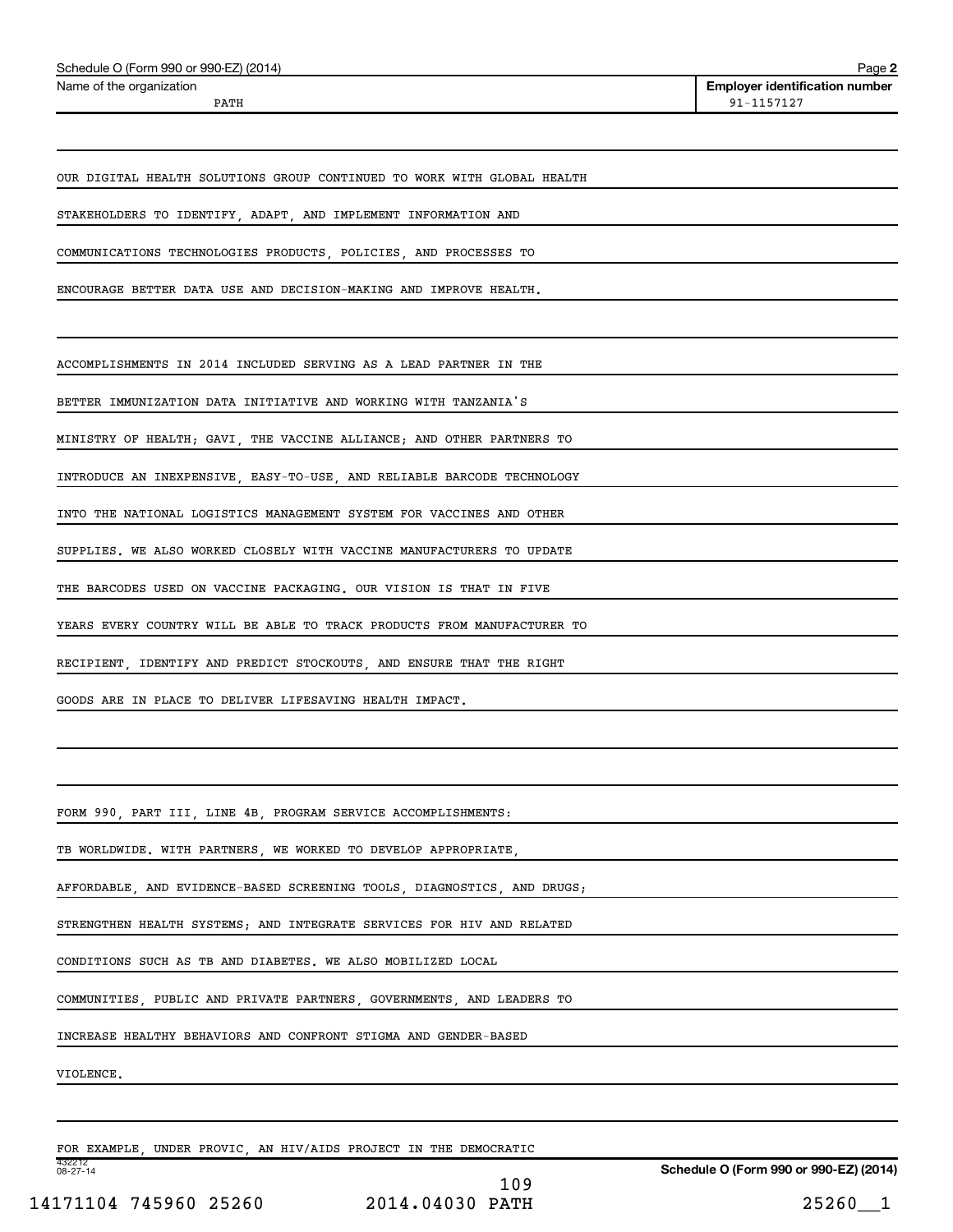**2 Employer identification number** PATH 91-1157127

OUR DIGITAL HEALTH SOLUTIONS GROUP CONTINUED TO WORK WITH GLOBAL HEALTH

STAKEHOLDERS TO IDENTIFY, ADAPT, AND IMPLEMENT INFORMATION AND

COMMUNICATIONS TECHNOLOGIES PRODUCTS, POLICIES, AND PROCESSES TO

ENCOURAGE BETTER DATA USE AND DECISION-MAKING AND IMPROVE HEALTH.

ACCOMPLISHMENTS IN 2014 INCLUDED SERVING AS A LEAD PARTNER IN THE

BETTER IMMUNIZATION DATA INITIATIVE AND WORKING WITH TANZANIA'S

MINISTRY OF HEALTH; GAVI, THE VACCINE ALLIANCE; AND OTHER PARTNERS TO

INTRODUCE AN INEXPENSIVE, EASY-TO-USE, AND RELIABLE BARCODE TECHNOLOGY

INTO THE NATIONAL LOGISTICS MANAGEMENT SYSTEM FOR VACCINES AND OTHER

SUPPLIES. WE ALSO WORKED CLOSELY WITH VACCINE MANUFACTURERS TO UPDATE

THE BARCODES USED ON VACCINE PACKAGING. OUR VISION IS THAT IN FIVE

YEARS EVERY COUNTRY WILL BE ABLE TO TRACK PRODUCTS FROM MANUFACTURER TO

RECIPIENT, IDENTIFY AND PREDICT STOCKOUTS, AND ENSURE THAT THE RIGHT

GOODS ARE IN PLACE TO DELIVER LIFESAVING HEALTH IMPACT.

FORM 990, PART III, LINE 4B, PROGRAM SERVICE ACCOMPLISHMENTS:

TB WORLDWIDE. WITH PARTNERS, WE WORKED TO DEVELOP APPROPRIATE,

AFFORDABLE, AND EVIDENCE-BASED SCREENING TOOLS, DIAGNOSTICS, AND DRUGS;

STRENGTHEN HEALTH SYSTEMS; AND INTEGRATE SERVICES FOR HIV AND RELATED

CONDITIONS SUCH AS TB AND DIABETES. WE ALSO MOBILIZED LOCAL

COMMUNITIES, PUBLIC AND PRIVATE PARTNERS, GOVERNMENTS, AND LEADERS TO

INCREASE HEALTHY BEHAVIORS AND CONFRONT STIGMA AND GENDER-BASED

VIOLENCE.

FOR EXAMPLE, UNDER PROVIC, AN HIV/AIDS PROJECT IN THE DEMOCRATIC

432212 08-27-14

**Schedule O (Form 990 or 990-EZ) (2014)**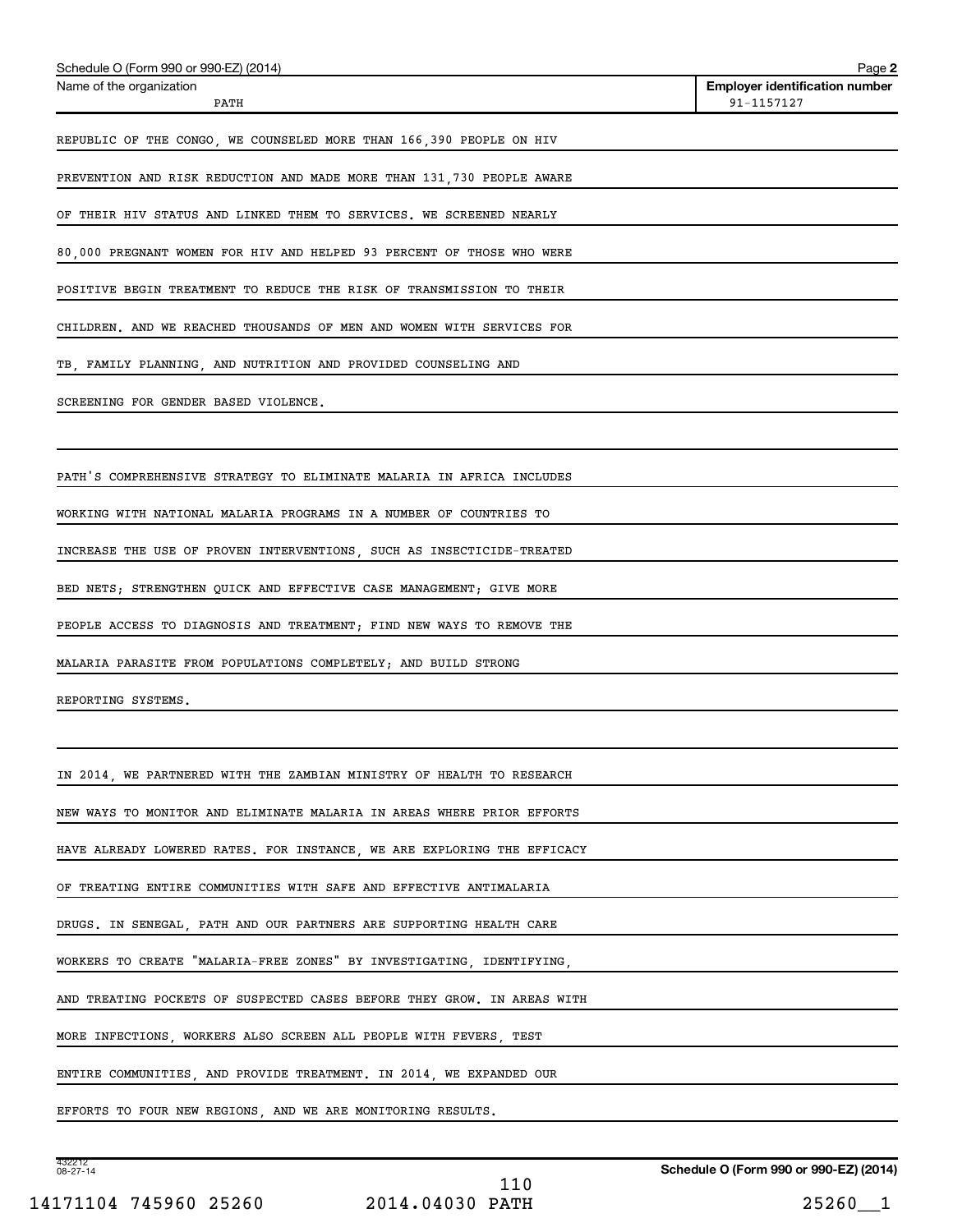| Schedule O (Form 990 or 990-EZ) (2014)                                  | Page 2                                              |
|-------------------------------------------------------------------------|-----------------------------------------------------|
| Name of the organization<br>PATH                                        | <b>Employer identification number</b><br>91-1157127 |
| REPUBLIC OF THE CONGO, WE COUNSELED MORE THAN 166,390 PEOPLE ON HIV     |                                                     |
| PREVENTION AND RISK REDUCTION AND MADE MORE THAN 131,730 PEOPLE AWARE   |                                                     |
| OF THEIR HIV STATUS AND LINKED THEM TO SERVICES. WE SCREENED NEARLY     |                                                     |
| 80,000 PREGNANT WOMEN FOR HIV AND HELPED 93 PERCENT OF THOSE WHO WERE   |                                                     |
| POSITIVE BEGIN TREATMENT TO REDUCE THE RISK OF TRANSMISSION TO THEIR    |                                                     |
| CHILDREN. AND WE REACHED THOUSANDS OF MEN AND WOMEN WITH SERVICES FOR   |                                                     |
| TB, FAMILY PLANNING, AND NUTRITION AND PROVIDED COUNSELING AND          |                                                     |
| SCREENING FOR GENDER BASED VIOLENCE.                                    |                                                     |
| PATH'S COMPREHENSIVE STRATEGY TO ELIMINATE MALARIA IN AFRICA INCLUDES   |                                                     |
| WORKING WITH NATIONAL MALARIA PROGRAMS IN A NUMBER OF COUNTRIES TO      |                                                     |
| INCREASE THE USE OF PROVEN INTERVENTIONS, SUCH AS INSECTICIDE-TREATED   |                                                     |
| BED NETS; STRENGTHEN QUICK AND EFFECTIVE CASE MANAGEMENT; GIVE MORE     |                                                     |
| PEOPLE ACCESS TO DIAGNOSIS AND TREATMENT; FIND NEW WAYS TO REMOVE THE   |                                                     |
| MALARIA PARASITE FROM POPULATIONS COMPLETELY; AND BUILD STRONG          |                                                     |
| REPORTING SYSTEMS.                                                      |                                                     |
| IN 2014, WE PARTNERED WITH THE ZAMBIAN MINISTRY OF HEALTH TO RESEARCH   |                                                     |
| NEW WAYS TO MONITOR AND ELIMINATE MALARIA IN AREAS WHERE PRIOR EFFORTS  |                                                     |
| HAVE ALREADY LOWERED RATES. FOR INSTANCE, WE ARE EXPLORING THE EFFICACY |                                                     |
| OF TREATING ENTIRE COMMUNITIES WITH SAFE AND EFFECTIVE ANTIMALARIA      |                                                     |
| DRUGS. IN SENEGAL, PATH AND OUR PARTNERS ARE SUPPORTING HEALTH CARE     |                                                     |
| WORKERS TO CREATE "MALARIA-FREE ZONES" BY INVESTIGATING, IDENTIFYING,   |                                                     |
| AND TREATING POCKETS OF SUSPECTED CASES BEFORE THEY GROW. IN AREAS WITH |                                                     |
| MORE INFECTIONS, WORKERS ALSO SCREEN ALL PEOPLE WITH FEVERS, TEST       |                                                     |
| ENTIRE COMMUNITIES, AND PROVIDE TREATMENT. IN 2014, WE EXPANDED OUR     |                                                     |
| EFFORTS TO FOUR NEW REGIONS, AND WE ARE MONITORING RESULTS.             |                                                     |

110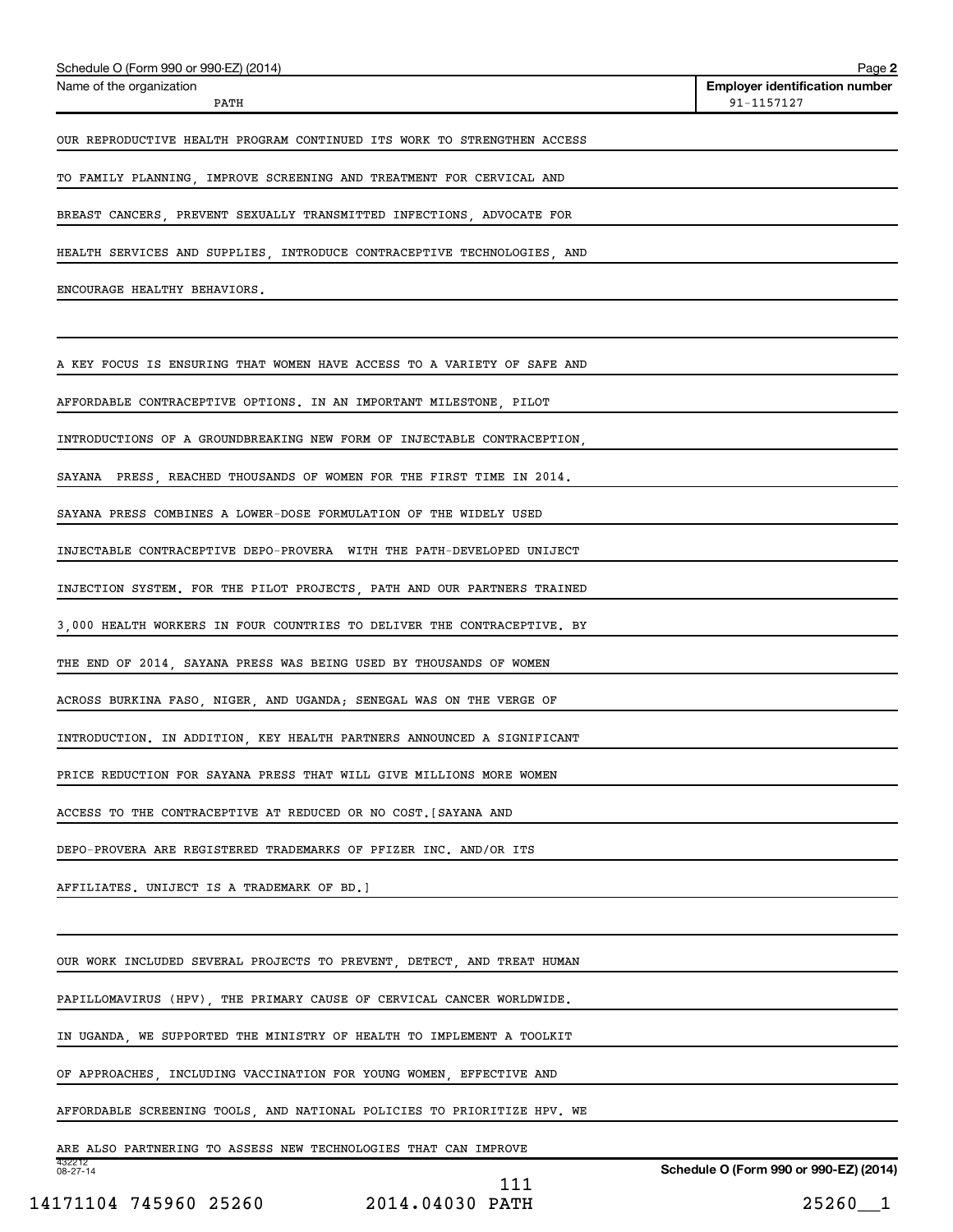| Schedule O (Form 990 or 990-EZ) (2014)                                    | Page 2                                              |
|---------------------------------------------------------------------------|-----------------------------------------------------|
| Name of the organization<br>PATH                                          | <b>Employer identification number</b><br>91-1157127 |
| OUR REPRODUCTIVE HEALTH PROGRAM CONTINUED ITS WORK TO STRENGTHEN ACCESS   |                                                     |
| TO FAMILY PLANNING, IMPROVE SCREENING AND TREATMENT FOR CERVICAL AND      |                                                     |
| BREAST CANCERS, PREVENT SEXUALLY TRANSMITTED INFECTIONS, ADVOCATE FOR     |                                                     |
| HEALTH SERVICES AND SUPPLIES, INTRODUCE CONTRACEPTIVE TECHNOLOGIES, AND   |                                                     |
| ENCOURAGE HEALTHY BEHAVIORS.                                              |                                                     |
|                                                                           |                                                     |
| A KEY FOCUS IS ENSURING THAT WOMEN HAVE ACCESS TO A VARIETY OF SAFE AND   |                                                     |
| AFFORDABLE CONTRACEPTIVE OPTIONS. IN AN IMPORTANT MILESTONE, PILOT        |                                                     |
| INTRODUCTIONS OF A GROUNDBREAKING NEW FORM OF INJECTABLE CONTRACEPTION,   |                                                     |
| SAYANA PRESS, REACHED THOUSANDS OF WOMEN FOR THE FIRST TIME IN 2014.      |                                                     |
| SAYANA PRESS COMBINES A LOWER-DOSE FORMULATION OF THE WIDELY USED         |                                                     |
| INJECTABLE CONTRACEPTIVE DEPO-PROVERA WITH THE PATH-DEVELOPED UNIJECT     |                                                     |
| INJECTION SYSTEM. FOR THE PILOT PROJECTS, PATH AND OUR PARTNERS TRAINED   |                                                     |
| 3,000 HEALTH WORKERS IN FOUR COUNTRIES TO DELIVER THE CONTRACEPTIVE. BY   |                                                     |
| THE END OF 2014, SAYANA PRESS WAS BEING USED BY THOUSANDS OF WOMEN        |                                                     |
| ACROSS BURKINA FASO, NIGER, AND UGANDA; SENEGAL WAS ON THE VERGE OF       |                                                     |
| INTRODUCTION. IN ADDITION, KEY HEALTH PARTNERS ANNOUNCED A SIGNIFICANT    |                                                     |
| PRICE REDUCTION FOR SAYANA PRESS THAT WILL GIVE MILLIONS MORE WOMEN       |                                                     |
| ACCESS TO THE CONTRACEPTIVE AT REDUCED OR NO COST. [SAYANA AND            |                                                     |
| DEPO-PROVERA ARE REGISTERED TRADEMARKS OF PFIZER INC. AND/OR ITS          |                                                     |
| AFFILIATES. UNIJECT IS A TRADEMARK OF BD.]                                |                                                     |
|                                                                           |                                                     |
| OUR WORK INCLUDED SEVERAL PROJECTS TO PREVENT, DETECT, AND TREAT HUMAN    |                                                     |
| PAPILLOMAVIRUS (HPV), THE PRIMARY CAUSE OF CERVICAL CANCER WORLDWIDE.     |                                                     |
| IN UGANDA, WE SUPPORTED THE MINISTRY OF HEALTH TO IMPLEMENT A TOOLKIT     |                                                     |
| OF APPROACHES, INCLUDING VACCINATION FOR YOUNG WOMEN, EFFECTIVE AND       |                                                     |
| AFFORDABLE SCREENING TOOLS, AND NATIONAL POLICIES TO PRIORITIZE HPV. WE   |                                                     |
| ARE ALSO PARTNERING TO ASSESS NEW TECHNOLOGIES THAT CAN IMPROVE<br>432212 |                                                     |
| 08-27-14<br>111                                                           | Schedule O (Form 990 or 990-EZ) (2014)              |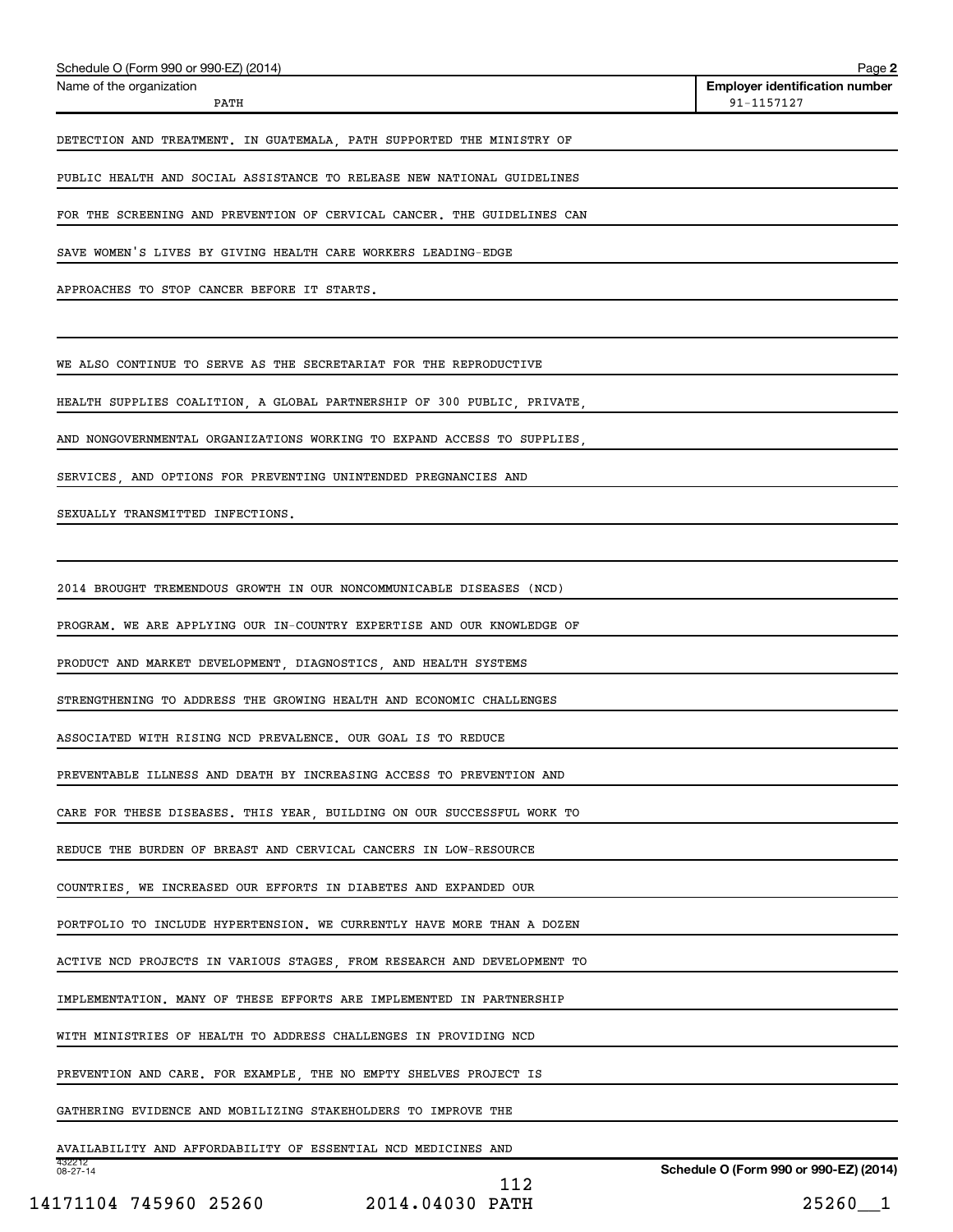| Schedule O (Form 990 or 990-EZ) (2014)                                  | Page 2                                              |
|-------------------------------------------------------------------------|-----------------------------------------------------|
| Name of the organization<br>PATH                                        | <b>Employer identification number</b><br>91-1157127 |
|                                                                         |                                                     |
| DETECTION AND TREATMENT. IN GUATEMALA, PATH SUPPORTED THE MINISTRY OF   |                                                     |
| PUBLIC HEALTH AND SOCIAL ASSISTANCE TO RELEASE NEW NATIONAL GUIDELINES  |                                                     |
| FOR THE SCREENING AND PREVENTION OF CERVICAL CANCER. THE GUIDELINES CAN |                                                     |
| SAVE WOMEN'S LIVES BY GIVING HEALTH CARE WORKERS LEADING-EDGE           |                                                     |
| APPROACHES TO STOP CANCER BEFORE IT STARTS.                             |                                                     |
|                                                                         |                                                     |
| WE ALSO CONTINUE TO SERVE AS THE SECRETARIAT FOR THE REPRODUCTIVE       |                                                     |
| HEALTH SUPPLIES COALITION, A GLOBAL PARTNERSHIP OF 300 PUBLIC, PRIVATE, |                                                     |
|                                                                         |                                                     |
| AND NONGOVERNMENTAL ORGANIZATIONS WORKING TO EXPAND ACCESS TO SUPPLIES, |                                                     |
| SERVICES, AND OPTIONS FOR PREVENTING UNINTENDED PREGNANCIES AND         |                                                     |
| SEXUALLY TRANSMITTED INFECTIONS.                                        |                                                     |
|                                                                         |                                                     |
| 2014 BROUGHT TREMENDOUS GROWTH IN OUR NONCOMMUNICABLE DISEASES (NCD)    |                                                     |
| PROGRAM. WE ARE APPLYING OUR IN-COUNTRY EXPERTISE AND OUR KNOWLEDGE OF  |                                                     |
| PRODUCT AND MARKET DEVELOPMENT, DIAGNOSTICS, AND HEALTH SYSTEMS         |                                                     |
| STRENGTHENING TO ADDRESS THE GROWING HEALTH AND ECONOMIC CHALLENGES     |                                                     |
| ASSOCIATED WITH RISING NCD PREVALENCE. OUR GOAL IS TO REDUCE            |                                                     |
| PREVENTABLE ILLNESS AND DEATH BY INCREASING ACCESS TO PREVENTION AND    |                                                     |
| CARE FOR THESE DISEASES. THIS YEAR, BUILDING ON OUR SUCCESSFUL WORK TO  |                                                     |
| REDUCE THE BURDEN OF BREAST AND CERVICAL CANCERS IN LOW-RESOURCE        |                                                     |
| COUNTRIES, WE INCREASED OUR EFFORTS IN DIABETES AND EXPANDED OUR        |                                                     |
| PORTFOLIO TO INCLUDE HYPERTENSION. WE CURRENTLY HAVE MORE THAN A DOZEN  |                                                     |
| ACTIVE NCD PROJECTS IN VARIOUS STAGES, FROM RESEARCH AND DEVELOPMENT TO |                                                     |
| IMPLEMENTATION. MANY OF THESE EFFORTS ARE IMPLEMENTED IN PARTNERSHIP    |                                                     |
| WITH MINISTRIES OF HEALTH TO ADDRESS CHALLENGES IN PROVIDING NCD        |                                                     |
| PREVENTION AND CARE. FOR EXAMPLE, THE NO EMPTY SHELVES PROJECT IS       |                                                     |
| GATHERING EVIDENCE AND MOBILIZING STAKEHOLDERS TO IMPROVE THE           |                                                     |
| AVAILABILITY AND AFFORDABILITY OF ESSENTIAL NCD MEDICINES AND           |                                                     |
| 432212<br>08-27-14<br>110                                               | Schedule O (Form 990 or 990-EZ) (2014)              |

14171104 745960 25260 2014.04030 PATH 25260\_\_1

112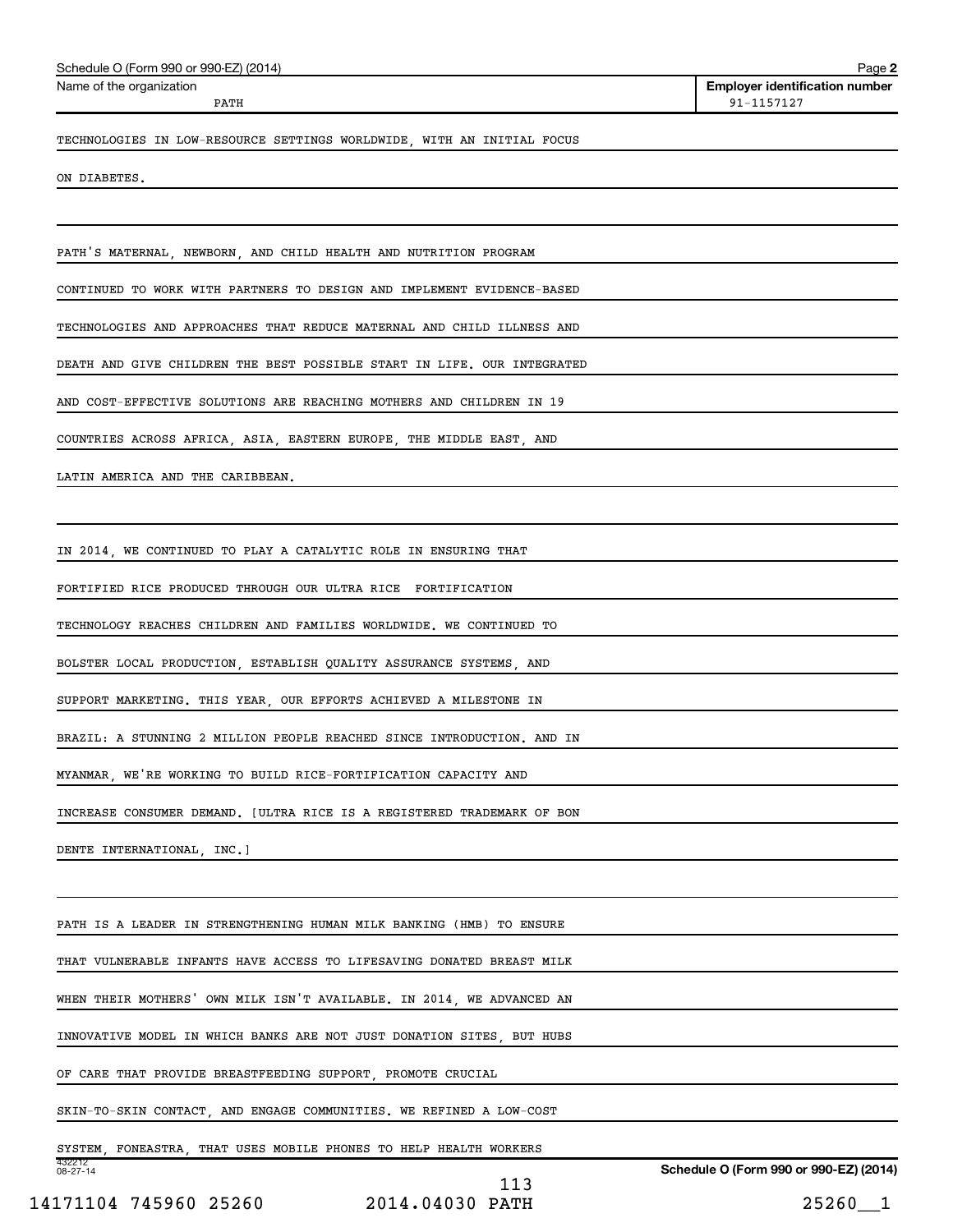| Schedule O (Form 990 or 990-EZ) (2014) | Page |  |
|----------------------------------------|------|--|
|                                        |      |  |

PATH 91-1157127

TECHNOLOGIES IN LOW-RESOURCE SETTINGS WORLDWIDE, WITH AN INITIAL FOCUS

ON DIABETES.

PATH'S MATERNAL, NEWBORN, AND CHILD HEALTH AND NUTRITION PROGRAM

CONTINUED TO WORK WITH PARTNERS TO DESIGN AND IMPLEMENT EVIDENCE-BASED

TECHNOLOGIES AND APPROACHES THAT REDUCE MATERNAL AND CHILD ILLNESS AND

DEATH AND GIVE CHILDREN THE BEST POSSIBLE START IN LIFE. OUR INTEGRATED

AND COST-EFFECTIVE SOLUTIONS ARE REACHING MOTHERS AND CHILDREN IN 19

COUNTRIES ACROSS AFRICA, ASIA, EASTERN EUROPE, THE MIDDLE EAST, AND

LATIN AMERICA AND THE CARIBBEAN.

IN 2014, WE CONTINUED TO PLAY A CATALYTIC ROLE IN ENSURING THAT

FORTIFIED RICE PRODUCED THROUGH OUR ULTRA RICE FORTIFICATION

TECHNOLOGY REACHES CHILDREN AND FAMILIES WORLDWIDE. WE CONTINUED TO

BOLSTER LOCAL PRODUCTION, ESTABLISH QUALITY ASSURANCE SYSTEMS, AND

SUPPORT MARKETING. THIS YEAR, OUR EFFORTS ACHIEVED A MILESTONE IN

BRAZIL: A STUNNING 2 MILLION PEOPLE REACHED SINCE INTRODUCTION. AND IN

MYANMAR, WE'RE WORKING TO BUILD RICE-FORTIFICATION CAPACITY AND

INCREASE CONSUMER DEMAND. [ULTRA RICE IS A REGISTERED TRADEMARK OF BON

DENTE INTERNATIONAL, INC.]

PATH IS A LEADER IN STRENGTHENING HUMAN MILK BANKING (HMB) TO ENSURE

THAT VULNERABLE INFANTS HAVE ACCESS TO LIFESAVING DONATED BREAST MILK

WHEN THEIR MOTHERS' OWN MILK ISN'T AVAILABLE. IN 2014, WE ADVANCED AN

INNOVATIVE MODEL IN WHICH BANKS ARE NOT JUST DONATION SITES, BUT HUBS

OF CARE THAT PROVIDE BREASTFEEDING SUPPORT, PROMOTE CRUCIAL

SKIN-TO-SKIN CONTACT, AND ENGAGE COMMUNITIES. WE REFINED A LOW-COST

SYSTEM, FONEASTRA, THAT USES MOBILE PHONES TO HELP HEALTH WORKERS

**Schedule O (Form 990 or 990-EZ) (2014)** 113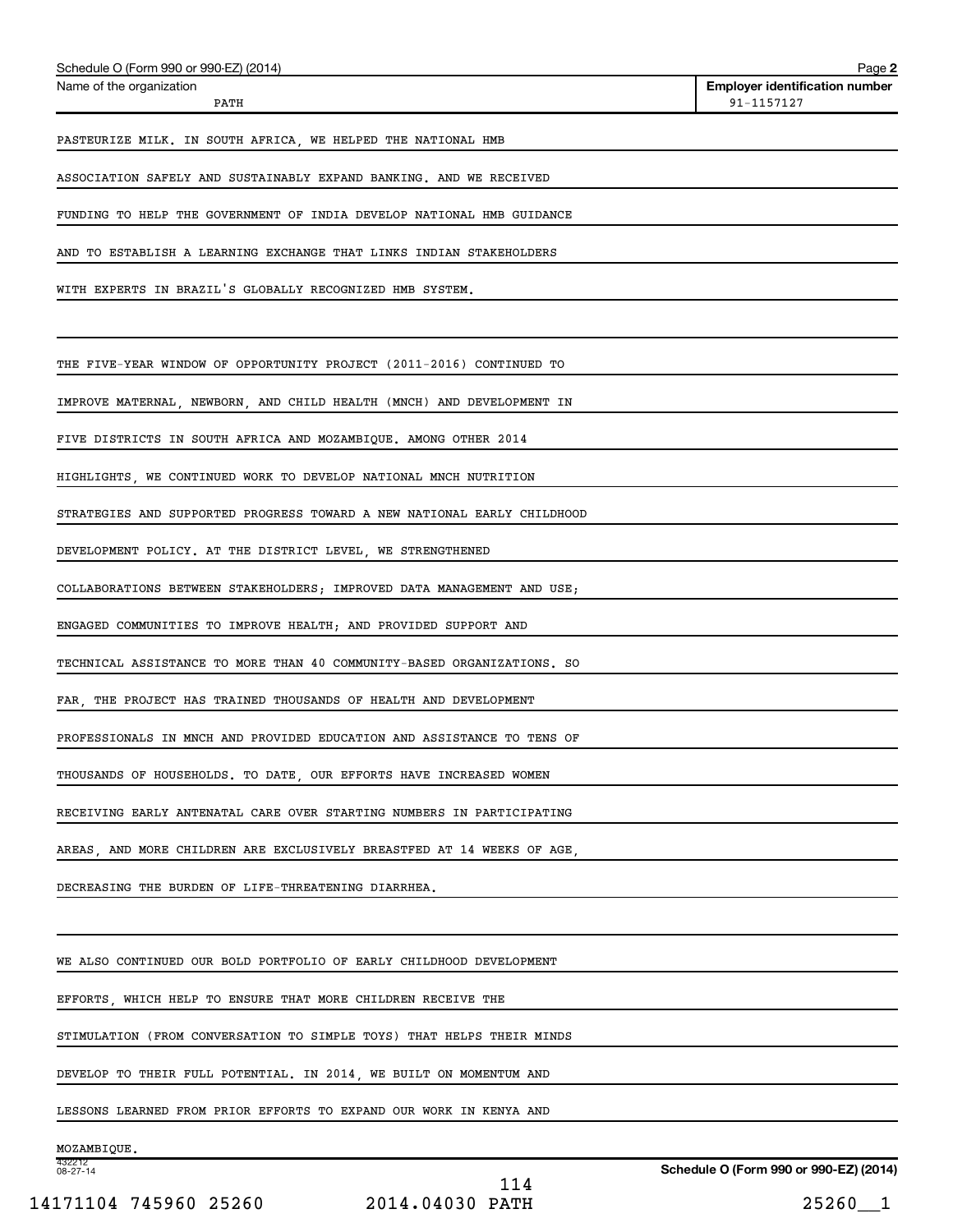| Schedule O (Form 990 or 990-EZ) (2014)                                                                                                        | Page 2                                              |
|-----------------------------------------------------------------------------------------------------------------------------------------------|-----------------------------------------------------|
| Name of the organization<br>PATH                                                                                                              | <b>Employer identification number</b><br>91-1157127 |
| PASTEURIZE MILK. IN SOUTH AFRICA, WE HELPED THE NATIONAL HMB                                                                                  |                                                     |
| ASSOCIATION SAFELY AND SUSTAINABLY EXPAND BANKING. AND WE RECEIVED                                                                            |                                                     |
| FUNDING TO HELP THE GOVERNMENT OF INDIA DEVELOP NATIONAL HMB GUIDANCE                                                                         |                                                     |
| AND TO ESTABLISH A LEARNING EXCHANGE THAT LINKS INDIAN STAKEHOLDERS                                                                           |                                                     |
| WITH EXPERTS IN BRAZIL'S GLOBALLY RECOGNIZED HMB SYSTEM.                                                                                      |                                                     |
|                                                                                                                                               |                                                     |
| THE FIVE-YEAR WINDOW OF OPPORTUNITY PROJECT (2011-2016) CONTINUED TO<br>IMPROVE MATERNAL, NEWBORN, AND CHILD HEALTH (MNCH) AND DEVELOPMENT IN |                                                     |
|                                                                                                                                               |                                                     |
| FIVE DISTRICTS IN SOUTH AFRICA AND MOZAMBIQUE. AMONG OTHER 2014                                                                               |                                                     |
| HIGHLIGHTS, WE CONTINUED WORK TO DEVELOP NATIONAL MNCH NUTRITION                                                                              |                                                     |
| STRATEGIES AND SUPPORTED PROGRESS TOWARD A NEW NATIONAL EARLY CHILDHOOD                                                                       |                                                     |
| DEVELOPMENT POLICY. AT THE DISTRICT LEVEL, WE STRENGTHENED                                                                                    |                                                     |
| COLLABORATIONS BETWEEN STAKEHOLDERS; IMPROVED DATA MANAGEMENT AND USE;                                                                        |                                                     |
| ENGAGED COMMUNITIES TO IMPROVE HEALTH; AND PROVIDED SUPPORT AND                                                                               |                                                     |
| TECHNICAL ASSISTANCE TO MORE THAN 40 COMMUNITY-BASED ORGANIZATIONS. SO                                                                        |                                                     |
| FAR, THE PROJECT HAS TRAINED THOUSANDS OF HEALTH AND DEVELOPMENT                                                                              |                                                     |
| PROFESSIONALS IN MNCH AND PROVIDED EDUCATION AND ASSISTANCE TO TENS OF                                                                        |                                                     |
| THOUSANDS OF HOUSEHOLDS. TO DATE, OUR EFFORTS HAVE INCREASED WOMEN                                                                            |                                                     |
| RECEIVING EARLY ANTENATAL CARE OVER STARTING NUMBERS IN PARTICIPATING                                                                         |                                                     |
| AREAS, AND MORE CHILDREN ARE EXCLUSIVELY BREASTFED AT 14 WEEKS OF AGE,                                                                        |                                                     |
| DECREASING THE BURDEN OF LIFE-THREATENING DIARRHEA.                                                                                           |                                                     |
|                                                                                                                                               |                                                     |
| WE ALSO CONTINUED OUR BOLD PORTFOLIO OF EARLY CHILDHOOD DEVELOPMENT                                                                           |                                                     |
| EFFORTS, WHICH HELP TO ENSURE THAT MORE CHILDREN RECEIVE THE                                                                                  |                                                     |
| STIMULATION (FROM CONVERSATION TO SIMPLE TOYS) THAT HELPS THEIR MINDS                                                                         |                                                     |
| DEVELOP TO THEIR FULL POTENTIAL. IN 2014, WE BUILT ON MOMENTUM AND                                                                            |                                                     |
| LESSONS LEARNED FROM PRIOR EFFORTS TO EXPAND OUR WORK IN KENYA AND                                                                            |                                                     |
| MOZAMBIQUE.                                                                                                                                   |                                                     |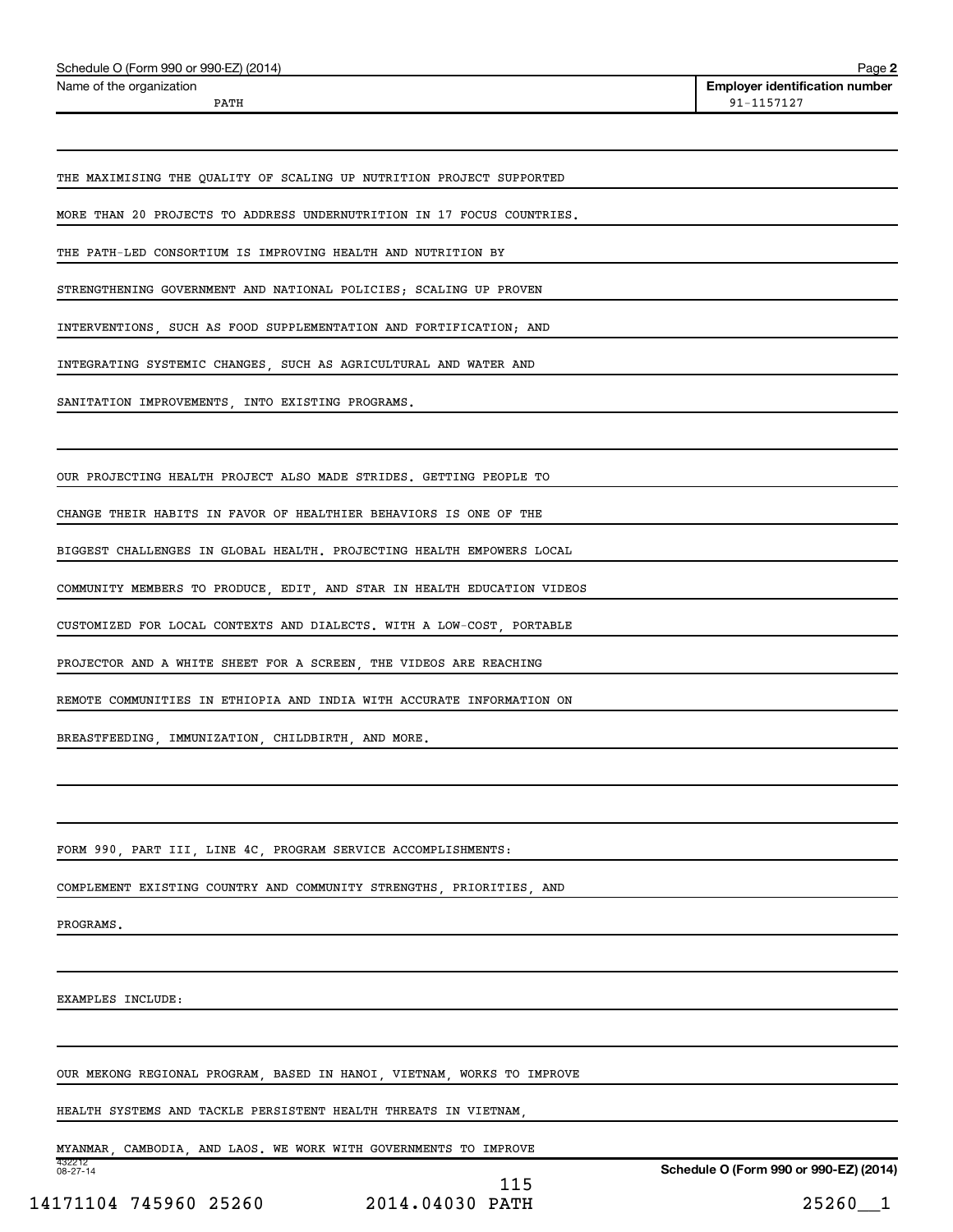**2 Employer identification number** PATH 91-1157127

THE MAXIMISING THE QUALITY OF SCALING UP NUTRITION PROJECT SUPPORTED

MORE THAN 20 PROJECTS TO ADDRESS UNDERNUTRITION IN 17 FOCUS COUNTRIES.

THE PATH-LED CONSORTIUM IS IMPROVING HEALTH AND NUTRITION BY

STRENGTHENING GOVERNMENT AND NATIONAL POLICIES; SCALING UP PROVEN

INTERVENTIONS, SUCH AS FOOD SUPPLEMENTATION AND FORTIFICATION; AND

INTEGRATING SYSTEMIC CHANGES, SUCH AS AGRICULTURAL AND WATER AND

SANITATION IMPROVEMENTS, INTO EXISTING PROGRAMS.

OUR PROJECTING HEALTH PROJECT ALSO MADE STRIDES. GETTING PEOPLE TO

CHANGE THEIR HABITS IN FAVOR OF HEALTHIER BEHAVIORS IS ONE OF THE

BIGGEST CHALLENGES IN GLOBAL HEALTH. PROJECTING HEALTH EMPOWERS LOCAL

COMMUNITY MEMBERS TO PRODUCE, EDIT, AND STAR IN HEALTH EDUCATION VIDEOS

CUSTOMIZED FOR LOCAL CONTEXTS AND DIALECTS. WITH A LOW-COST, PORTABLE

PROJECTOR AND A WHITE SHEET FOR A SCREEN, THE VIDEOS ARE REACHING

REMOTE COMMUNITIES IN ETHIOPIA AND INDIA WITH ACCURATE INFORMATION ON

BREASTFEEDING, IMMUNIZATION, CHILDBIRTH, AND MORE.

FORM 990, PART III, LINE 4C, PROGRAM SERVICE ACCOMPLISHMENTS:

COMPLEMENT EXISTING COUNTRY AND COMMUNITY STRENGTHS, PRIORITIES, AND

PROGRAMS.

EXAMPLES INCLUDE:

OUR MEKONG REGIONAL PROGRAM, BASED IN HANOI, VIETNAM, WORKS TO IMPROVE

HEALTH SYSTEMS AND TACKLE PERSISTENT HEALTH THREATS IN VIETNAM,

432212 08-27-14 **Schedule O (Form 990 or 990-EZ) (2014)** MYANMAR, CAMBODIA, AND LAOS. WE WORK WITH GOVERNMENTS TO IMPROVE 115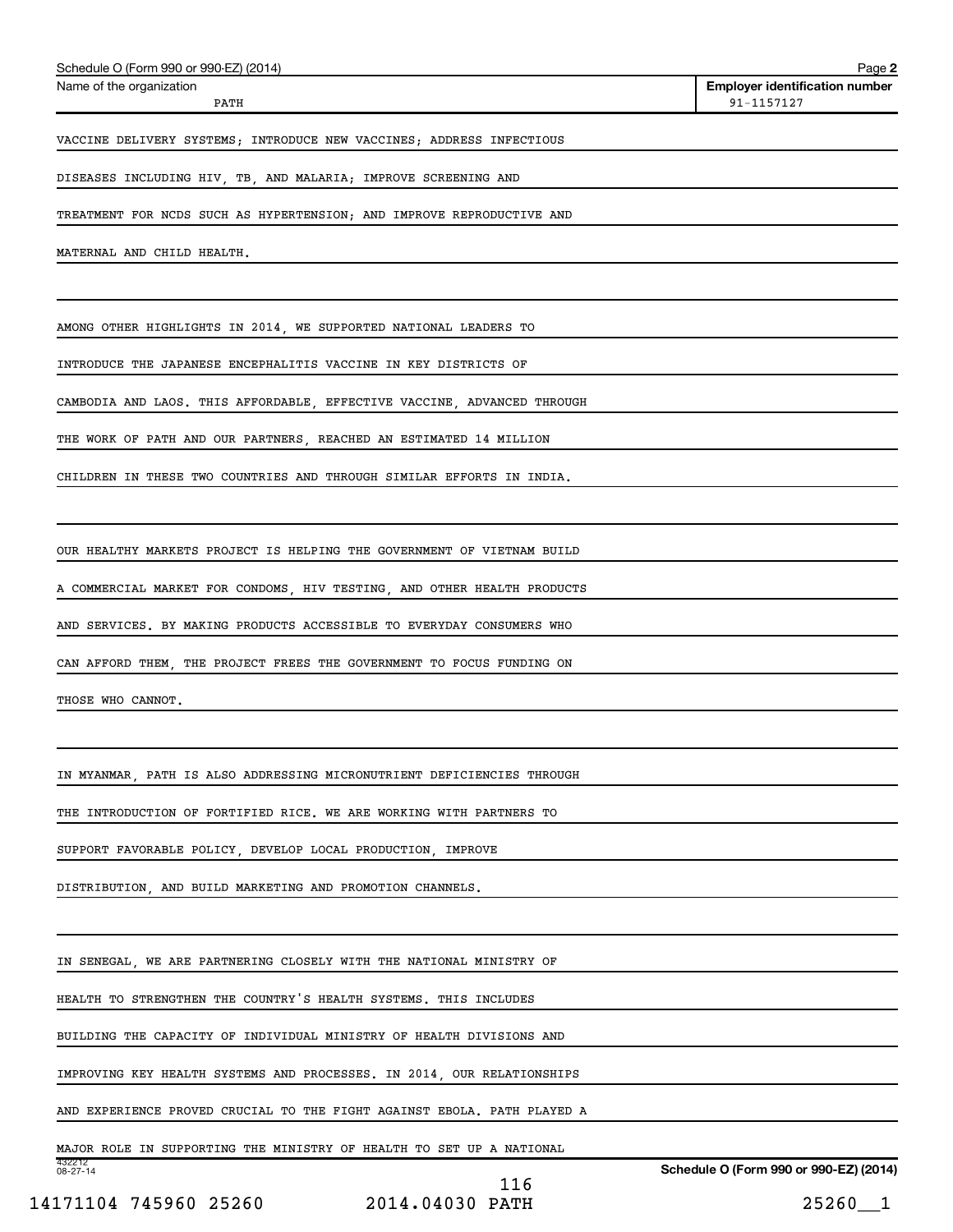| Schedule O (Form 990 or 990-EZ) (2014)                                  | Page 2                                              |
|-------------------------------------------------------------------------|-----------------------------------------------------|
| Name of the organization<br>PATH                                        | <b>Employer identification number</b><br>91-1157127 |
| VACCINE DELIVERY SYSTEMS; INTRODUCE NEW VACCINES; ADDRESS INFECTIOUS    |                                                     |
| DISEASES INCLUDING HIV, TB, AND MALARIA; IMPROVE SCREENING AND          |                                                     |
| TREATMENT FOR NCDS SUCH AS HYPERTENSION; AND IMPROVE REPRODUCTIVE AND   |                                                     |
| MATERNAL AND CHILD HEALTH.                                              |                                                     |
| AMONG OTHER HIGHLIGHTS IN 2014, WE SUPPORTED NATIONAL LEADERS TO        |                                                     |
| INTRODUCE THE JAPANESE ENCEPHALITIS VACCINE IN KEY DISTRICTS OF         |                                                     |
| CAMBODIA AND LAOS. THIS AFFORDABLE, EFFECTIVE VACCINE, ADVANCED THROUGH |                                                     |
| THE WORK OF PATH AND OUR PARTNERS, REACHED AN ESTIMATED 14 MILLION      |                                                     |
| CHILDREN IN THESE TWO COUNTRIES AND THROUGH SIMILAR EFFORTS IN INDIA.   |                                                     |
|                                                                         |                                                     |
| OUR HEALTHY MARKETS PROJECT IS HELPING THE GOVERNMENT OF VIETNAM BUILD  |                                                     |
| A COMMERCIAL MARKET FOR CONDOMS, HIV TESTING, AND OTHER HEALTH PRODUCTS |                                                     |
| AND SERVICES. BY MAKING PRODUCTS ACCESSIBLE TO EVERYDAY CONSUMERS WHO   |                                                     |
| CAN AFFORD THEM, THE PROJECT FREES THE GOVERNMENT TO FOCUS FUNDING ON   |                                                     |
| THOSE WHO CANNOT.                                                       |                                                     |
|                                                                         |                                                     |
| IN MYANMAR, PATH IS ALSO ADDRESSING MICRONUTRIENT DEFICIENCIES THROUGH  |                                                     |
| THE INTRODUCTION OF FORTIFIED RICE. WE ARE WORKING WITH PARTNERS TO     |                                                     |
| SUPPORT FAVORABLE POLICY, DEVELOP LOCAL PRODUCTION, IMPROVE             |                                                     |
| DISTRIBUTION, AND BUILD MARKETING AND PROMOTION CHANNELS.               |                                                     |
|                                                                         |                                                     |
| IN SENEGAL, WE ARE PARTNERING CLOSELY WITH THE NATIONAL MINISTRY OF     |                                                     |
| HEALTH TO STRENGTHEN THE COUNTRY'S HEALTH SYSTEMS. THIS INCLUDES        |                                                     |

BUILDING THE CAPACITY OF INDIVIDUAL MINISTRY OF HEALTH DIVISIONS AND

IMPROVING KEY HEALTH SYSTEMS AND PROCESSES. IN 2014, OUR RELATIONSHIPS

AND EXPERIENCE PROVED CRUCIAL TO THE FIGHT AGAINST EBOLA. PATH PLAYED A

MAJOR ROLE IN SUPPORTING THE MINISTRY OF HEALTH TO SET UP A NATIONAL

**Schedule O (Form 990 or 990-EZ) (2014)**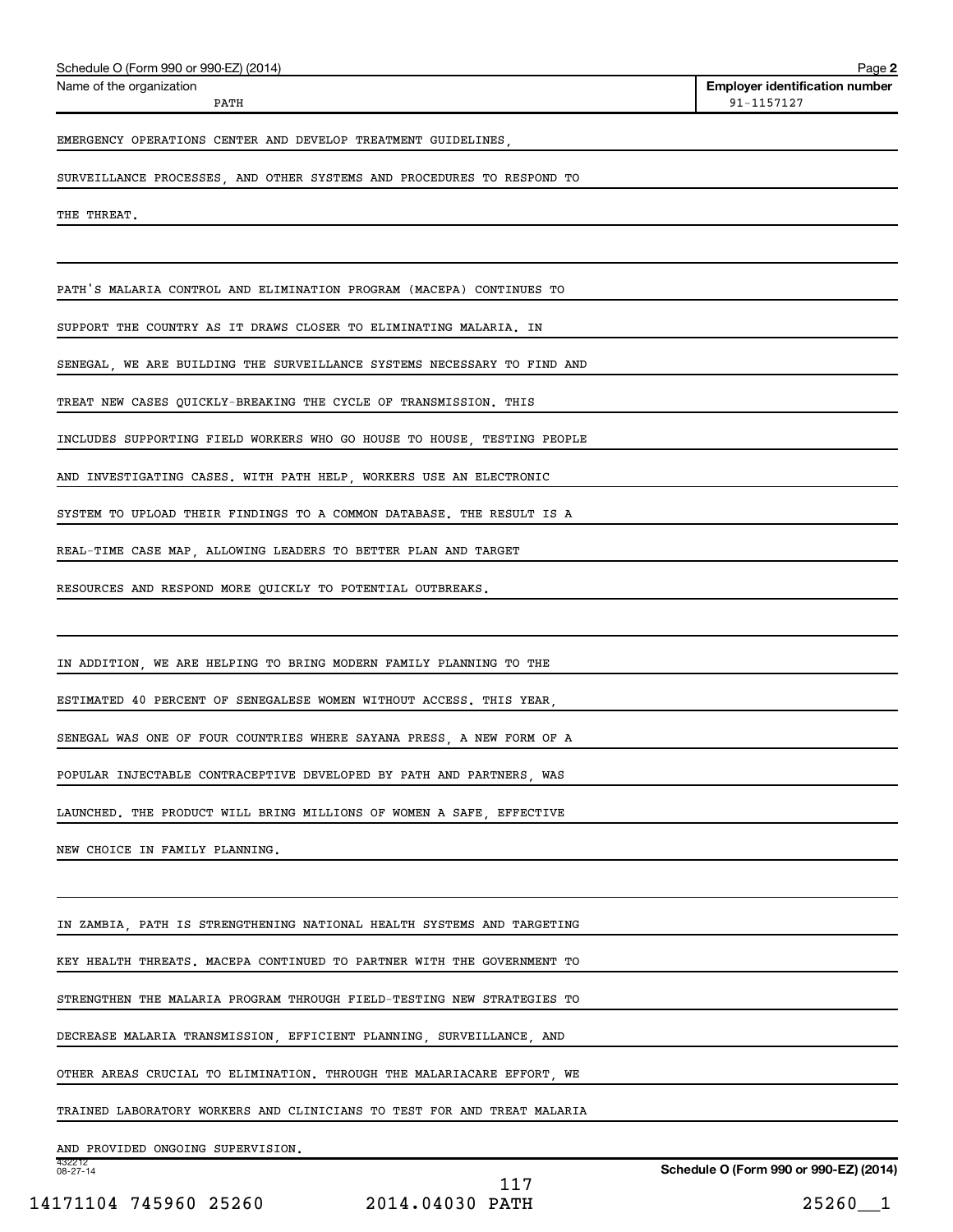| Schedule O (Form 990 or 990-EZ) (2014)                       | Page 2                                |
|--------------------------------------------------------------|---------------------------------------|
| Name of the organization                                     | <b>Employer identification number</b> |
| PATH                                                         | 91-1157127                            |
|                                                              |                                       |
| EMERGENCY OPERATIONS CENTER AND DEVELOP TREATMENT GUIDELINES |                                       |

SURVEILLANCE PROCESSES, AND OTHER SYSTEMS AND PROCEDURES TO RESPOND TO

THE THREAT.

PATH'S MALARIA CONTROL AND ELIMINATION PROGRAM (MACEPA) CONTINUES TO

SUPPORT THE COUNTRY AS IT DRAWS CLOSER TO ELIMINATING MALARIA. IN

SENEGAL, WE ARE BUILDING THE SURVEILLANCE SYSTEMS NECESSARY TO FIND AND

TREAT NEW CASES QUICKLY-BREAKING THE CYCLE OF TRANSMISSION. THIS

INCLUDES SUPPORTING FIELD WORKERS WHO GO HOUSE TO HOUSE, TESTING PEOPLE

AND INVESTIGATING CASES. WITH PATH HELP, WORKERS USE AN ELECTRONIC

SYSTEM TO UPLOAD THEIR FINDINGS TO A COMMON DATABASE. THE RESULT IS A

REAL-TIME CASE MAP, ALLOWING LEADERS TO BETTER PLAN AND TARGET

RESOURCES AND RESPOND MORE QUICKLY TO POTENTIAL OUTBREAKS.

IN ADDITION, WE ARE HELPING TO BRING MODERN FAMILY PLANNING TO THE

ESTIMATED 40 PERCENT OF SENEGALESE WOMEN WITHOUT ACCESS. THIS YEAR,

SENEGAL WAS ONE OF FOUR COUNTRIES WHERE SAYANA PRESS, A NEW FORM OF A

POPULAR INJECTABLE CONTRACEPTIVE DEVELOPED BY PATH AND PARTNERS, WAS

LAUNCHED. THE PRODUCT WILL BRING MILLIONS OF WOMEN A SAFE, EFFECTIVE

NEW CHOICE IN FAMILY PLANNING.

IN ZAMBIA, PATH IS STRENGTHENING NATIONAL HEALTH SYSTEMS AND TARGETING

KEY HEALTH THREATS. MACEPA CONTINUED TO PARTNER WITH THE GOVERNMENT TO

STRENGTHEN THE MALARIA PROGRAM THROUGH FIELD-TESTING NEW STRATEGIES TO

DECREASE MALARIA TRANSMISSION, EFFICIENT PLANNING, SURVEILLANCE, AND

OTHER AREAS CRUCIAL TO ELIMINATION. THROUGH THE MALARIACARE EFFORT, WE

TRAINED LABORATORY WORKERS AND CLINICIANS TO TEST FOR AND TREAT MALARIA

AND PROVIDED ONGOING SUPERVISION.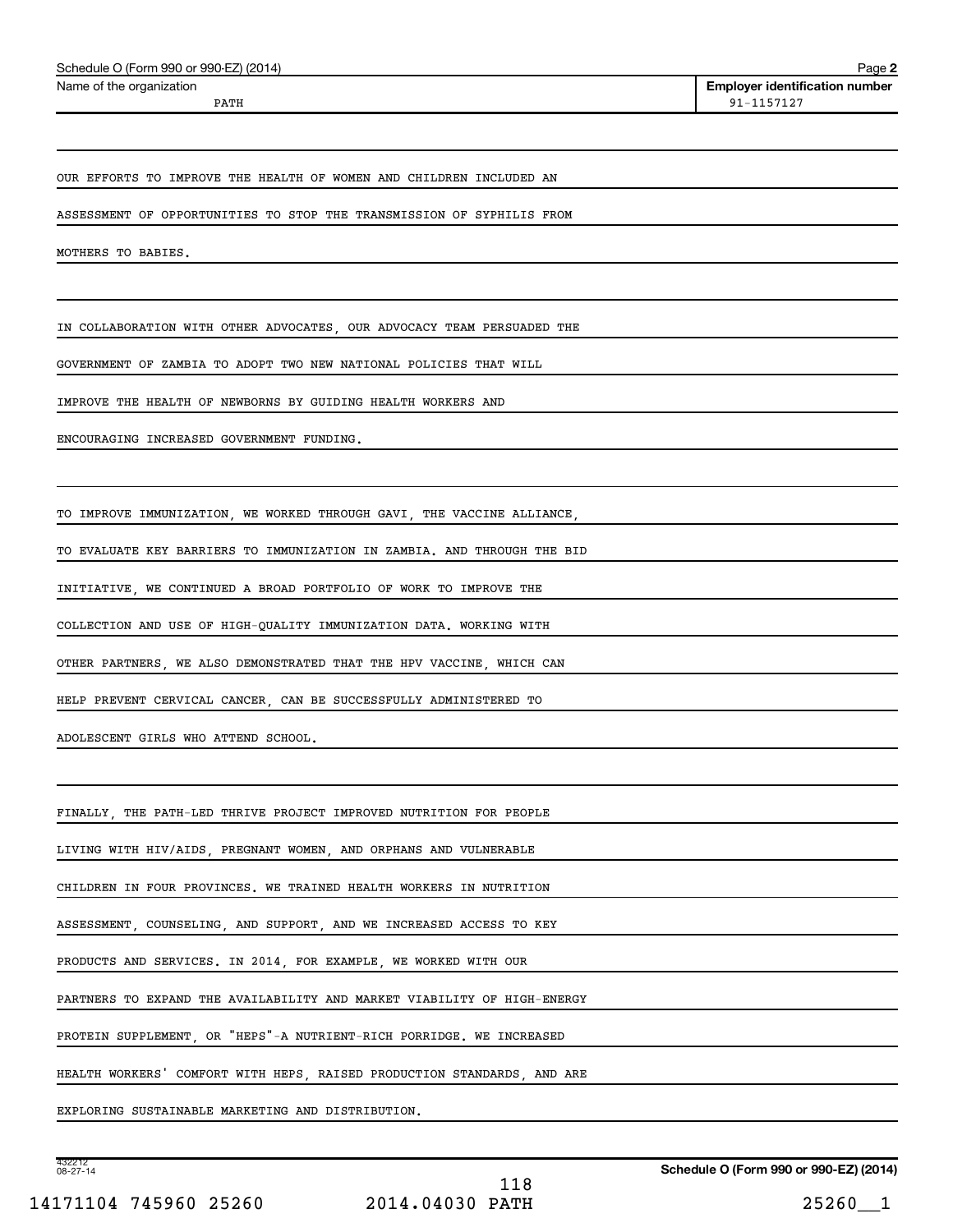**2 Employer identification number** PATH 91-1157127

OUR EFFORTS TO IMPROVE THE HEALTH OF WOMEN AND CHILDREN INCLUDED AN

ASSESSMENT OF OPPORTUNITIES TO STOP THE TRANSMISSION OF SYPHILIS FROM

MOTHERS TO BABIES.

IN COLLABORATION WITH OTHER ADVOCATES, OUR ADVOCACY TEAM PERSUADED THE

GOVERNMENT OF ZAMBIA TO ADOPT TWO NEW NATIONAL POLICIES THAT WILL

IMPROVE THE HEALTH OF NEWBORNS BY GUIDING HEALTH WORKERS AND

ENCOURAGING INCREASED GOVERNMENT FUNDING.

TO IMPROVE IMMUNIZATION, WE WORKED THROUGH GAVI, THE VACCINE ALLIANCE,

TO EVALUATE KEY BARRIERS TO IMMUNIZATION IN ZAMBIA. AND THROUGH THE BID

INITIATIVE, WE CONTINUED A BROAD PORTFOLIO OF WORK TO IMPROVE THE

COLLECTION AND USE OF HIGH-QUALITY IMMUNIZATION DATA. WORKING WITH

OTHER PARTNERS, WE ALSO DEMONSTRATED THAT THE HPV VACCINE, WHICH CAN

HELP PREVENT CERVICAL CANCER, CAN BE SUCCESSFULLY ADMINISTERED TO

ADOLESCENT GIRLS WHO ATTEND SCHOOL.

FINALLY, THE PATH-LED THRIVE PROJECT IMPROVED NUTRITION FOR PEOPLE

LIVING WITH HIV/AIDS, PREGNANT WOMEN, AND ORPHANS AND VULNERABLE

CHILDREN IN FOUR PROVINCES. WE TRAINED HEALTH WORKERS IN NUTRITION

ASSESSMENT, COUNSELING, AND SUPPORT, AND WE INCREASED ACCESS TO KEY

PRODUCTS AND SERVICES. IN 2014, FOR EXAMPLE, WE WORKED WITH OUR

PARTNERS TO EXPAND THE AVAILABILITY AND MARKET VIABILITY OF HIGH-ENERGY

PROTEIN SUPPLEMENT, OR "HEPS"-A NUTRIENT-RICH PORRIDGE. WE INCREASED

HEALTH WORKERS' COMFORT WITH HEPS, RAISED PRODUCTION STANDARDS, AND ARE

EXPLORING SUSTAINABLE MARKETING AND DISTRIBUTION.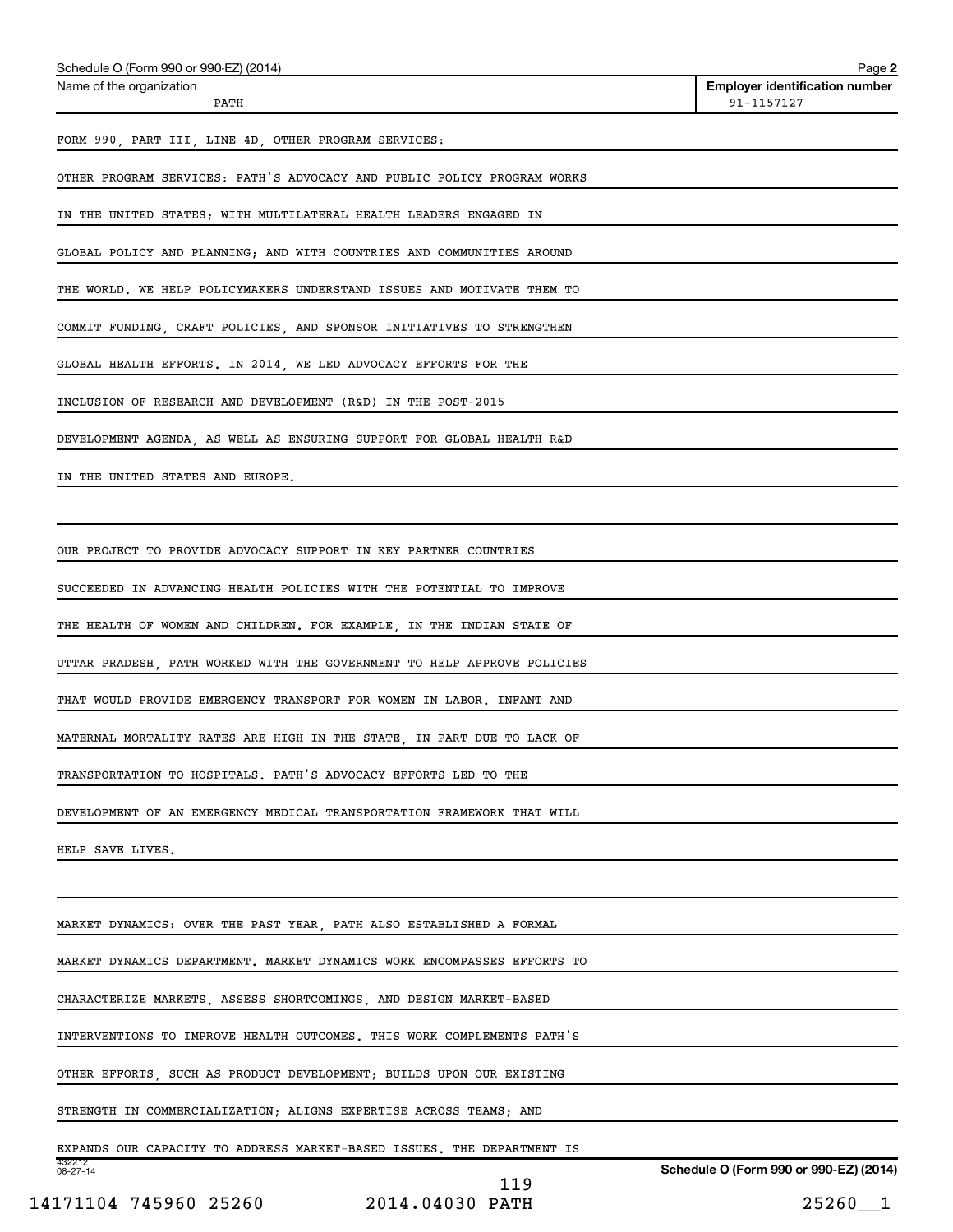| Schedule O (Form 990 or 990-EZ) (2014)                                  | Page 2                                              |
|-------------------------------------------------------------------------|-----------------------------------------------------|
| Name of the organization<br>PATH                                        | <b>Employer identification number</b><br>91-1157127 |
| FORM 990, PART III, LINE 4D, OTHER PROGRAM SERVICES:                    |                                                     |
| OTHER PROGRAM SERVICES: PATH'S ADVOCACY AND PUBLIC POLICY PROGRAM WORKS |                                                     |
| IN THE UNITED STATES; WITH MULTILATERAL HEALTH LEADERS ENGAGED IN       |                                                     |
| GLOBAL POLICY AND PLANNING; AND WITH COUNTRIES AND COMMUNITIES AROUND   |                                                     |
| THE WORLD. WE HELP POLICYMAKERS UNDERSTAND ISSUES AND MOTIVATE THEM TO  |                                                     |
| COMMIT FUNDING, CRAFT POLICIES, AND SPONSOR INITIATIVES TO STRENGTHEN   |                                                     |
| GLOBAL HEALTH EFFORTS. IN 2014, WE LED ADVOCACY EFFORTS FOR THE         |                                                     |
| INCLUSION OF RESEARCH AND DEVELOPMENT (R&D) IN THE POST-2015            |                                                     |
| DEVELOPMENT AGENDA. AS WELL AS ENSURING SUPPORT FOR GLOBAL HEALTH R&D   |                                                     |
| IN THE UNITED STATES AND EUROPE.                                        |                                                     |
|                                                                         |                                                     |
| OUR PROJECT TO PROVIDE ADVOCACY SUPPORT IN KEY PARTNER COUNTRIES        |                                                     |
| SUCCEEDED IN ADVANCING HEALTH POLICIES WITH THE POTENTIAL TO IMPROVE    |                                                     |
| THE HEALTH OF WOMEN AND CHILDREN. FOR EXAMPLE, IN THE INDIAN STATE OF   |                                                     |
| UTTAR PRADESH, PATH WORKED WITH THE GOVERNMENT TO HELP APPROVE POLICIES |                                                     |
| THAT WOULD PROVIDE EMERGENCY TRANSPORT FOR WOMEN IN LABOR. INFANT AND   |                                                     |
| MATERNAL MORTALITY RATES ARE HIGH IN THE STATE, IN PART DUE TO LACK OF  |                                                     |
| TRANSPORTATION TO HOSPITALS. PATH'S ADVOCACY EFFORTS LED TO THE         |                                                     |
| DEVELOPMENT OF AN EMERGENCY MEDICAL TRANSPORTATION FRAMEWORK THAT WILL  |                                                     |
| HELP SAVE LIVES.                                                        |                                                     |
|                                                                         |                                                     |
| MARKET DYNAMICS: OVER THE PAST YEAR, PATH ALSO ESTABLISHED A FORMAL     |                                                     |
| MARKET DYNAMICS DEPARTMENT. MARKET DYNAMICS WORK ENCOMPASSES EFFORTS TO |                                                     |
| CHARACTERIZE MARKETS, ASSESS SHORTCOMINGS, AND DESIGN MARKET-BASED      |                                                     |
| INTERVENTIONS TO IMPROVE HEALTH OUTCOMES. THIS WORK COMPLEMENTS PATH'S  |                                                     |
| OTHER EFFORTS, SUCH AS PRODUCT DEVELOPMENT; BUILDS UPON OUR EXISTING    |                                                     |
| STRENGTH IN COMMERCIALIZATION; ALIGNS EXPERTISE ACROSS TEAMS; AND       |                                                     |
| EXPANDS OUR CAPACITY TO ADDRESS MARKET-BASED ISSUES. THE DEPARTMENT IS  |                                                     |
| 432212<br>$08 - 27 - 14$<br>119                                         | Schedule O (Form 990 or 990-EZ) (2014)              |
| 14171104 745960 25260<br>2014.04030 PATH                                | $25260 - 1$                                         |

<sup>2014.04030</sup> PATH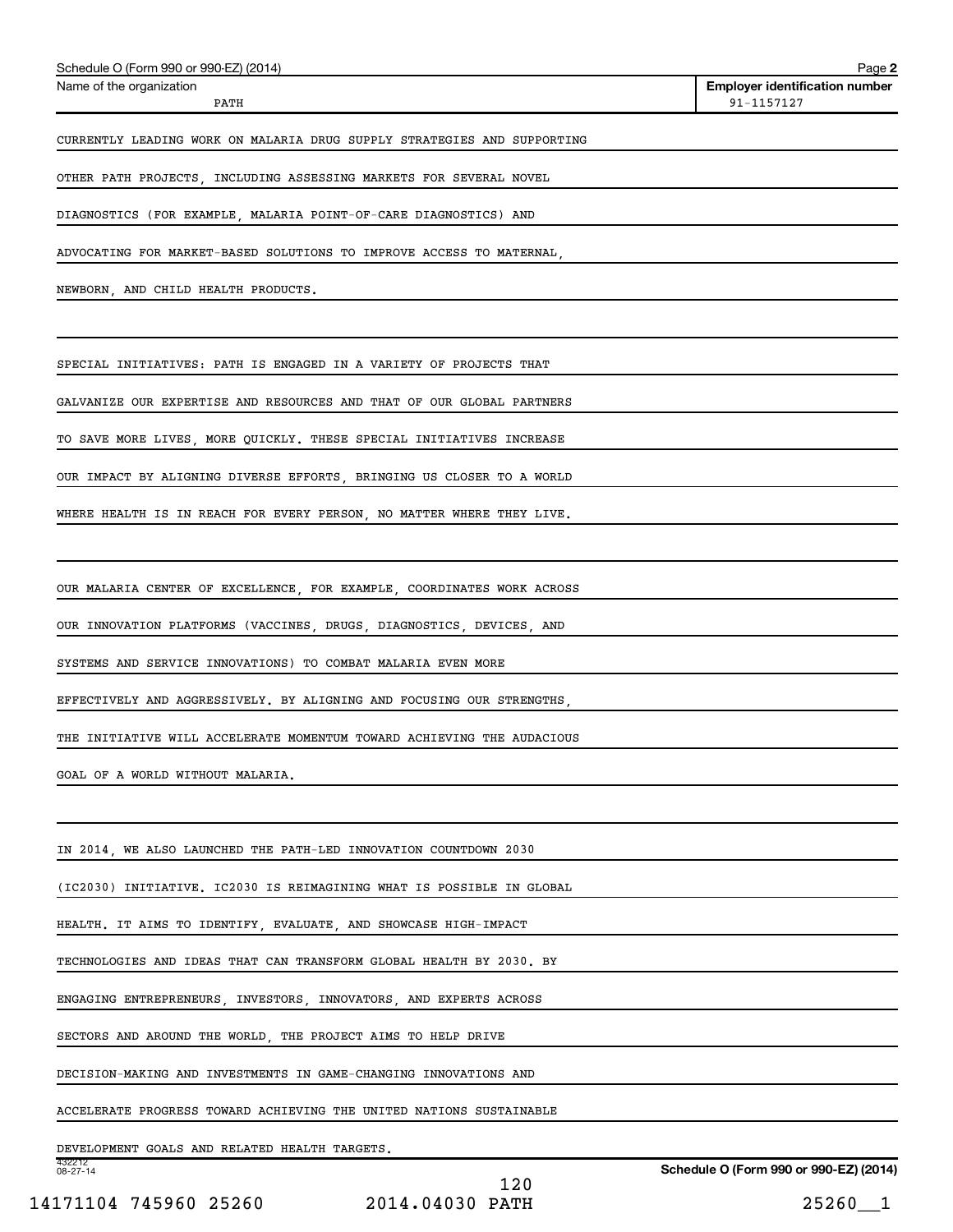| CURRENTLY LEADING WORK ON MALARIA DRUG SUPPLY STRATEGIES AND SUPPORTING |                                        |
|-------------------------------------------------------------------------|----------------------------------------|
| OTHER PATH PROJECTS, INCLUDING ASSESSING MARKETS FOR SEVERAL NOVEL      |                                        |
| DIAGNOSTICS (FOR EXAMPLE, MALARIA POINT-OF-CARE DIAGNOSTICS) AND        |                                        |
| ADVOCATING FOR MARKET-BASED SOLUTIONS TO IMPROVE ACCESS TO MATERNAL,    |                                        |
| NEWBORN, AND CHILD HEALTH PRODUCTS.                                     |                                        |
|                                                                         |                                        |
| SPECIAL INITIATIVES: PATH IS ENGAGED IN A VARIETY OF PROJECTS THAT      |                                        |
| GALVANIZE OUR EXPERTISE AND RESOURCES AND THAT OF OUR GLOBAL PARTNERS   |                                        |
| TO SAVE MORE LIVES, MORE QUICKLY. THESE SPECIAL INITIATIVES INCREASE    |                                        |
| OUR IMPACT BY ALIGNING DIVERSE EFFORTS, BRINGING US CLOSER TO A WORLD   |                                        |
| WHERE HEALTH IS IN REACH FOR EVERY PERSON, NO MATTER WHERE THEY LIVE.   |                                        |
|                                                                         |                                        |
| OUR MALARIA CENTER OF EXCELLENCE, FOR EXAMPLE, COORDINATES WORK ACROSS  |                                        |
| OUR INNOVATION PLATFORMS (VACCINES, DRUGS, DIAGNOSTICS, DEVICES, AND    |                                        |
| SYSTEMS AND SERVICE INNOVATIONS) TO COMBAT MALARIA EVEN MORE            |                                        |
| EFFECTIVELY AND AGGRESSIVELY. BY ALIGNING AND FOCUSING OUR STRENGTHS,   |                                        |
| THE INITIATIVE WILL ACCELERATE MOMENTUM TOWARD ACHIEVING THE AUDACIOUS  |                                        |
| GOAL OF A WORLD WITHOUT MALARIA.                                        |                                        |
|                                                                         |                                        |
| IN 2014, WE ALSO LAUNCHED THE PATH-LED INNOVATION COUNTDOWN 2030        |                                        |
| (IC2030) INITIATIVE. IC2030 IS REIMAGINING WHAT IS POSSIBLE IN GLOBAL   |                                        |
| HEALTH. IT AIMS TO IDENTIFY, EVALUATE, AND SHOWCASE HIGH-IMPACT         |                                        |
| TECHNOLOGIES AND IDEAS THAT CAN TRANSFORM GLOBAL HEALTH BY 2030. BY     |                                        |
| ENGAGING ENTREPRENEURS, INVESTORS, INNOVATORS, AND EXPERTS ACROSS       |                                        |
| SECTORS AND AROUND THE WORLD, THE PROJECT AIMS TO HELP DRIVE            |                                        |
| DECISION-MAKING AND INVESTMENTS IN GAME-CHANGING INNOVATIONS AND        |                                        |
| ACCELERATE PROGRESS TOWARD ACHIEVING THE UNITED NATIONS SUSTAINABLE     |                                        |
| DEVELOPMENT GOALS AND RELATED HEALTH TARGETS.                           |                                        |
| 432212<br>$08 - 27 - 14$<br>120                                         | Schedule O (Form 990 or 990-EZ) (2014) |
| 14171104 745960 25260 2014.04030 PATH                                   | $25260 - 1$                            |

Schedule O (Form 990 or 990-EZ) (2014)

Name of the organization

PATH 91-1157127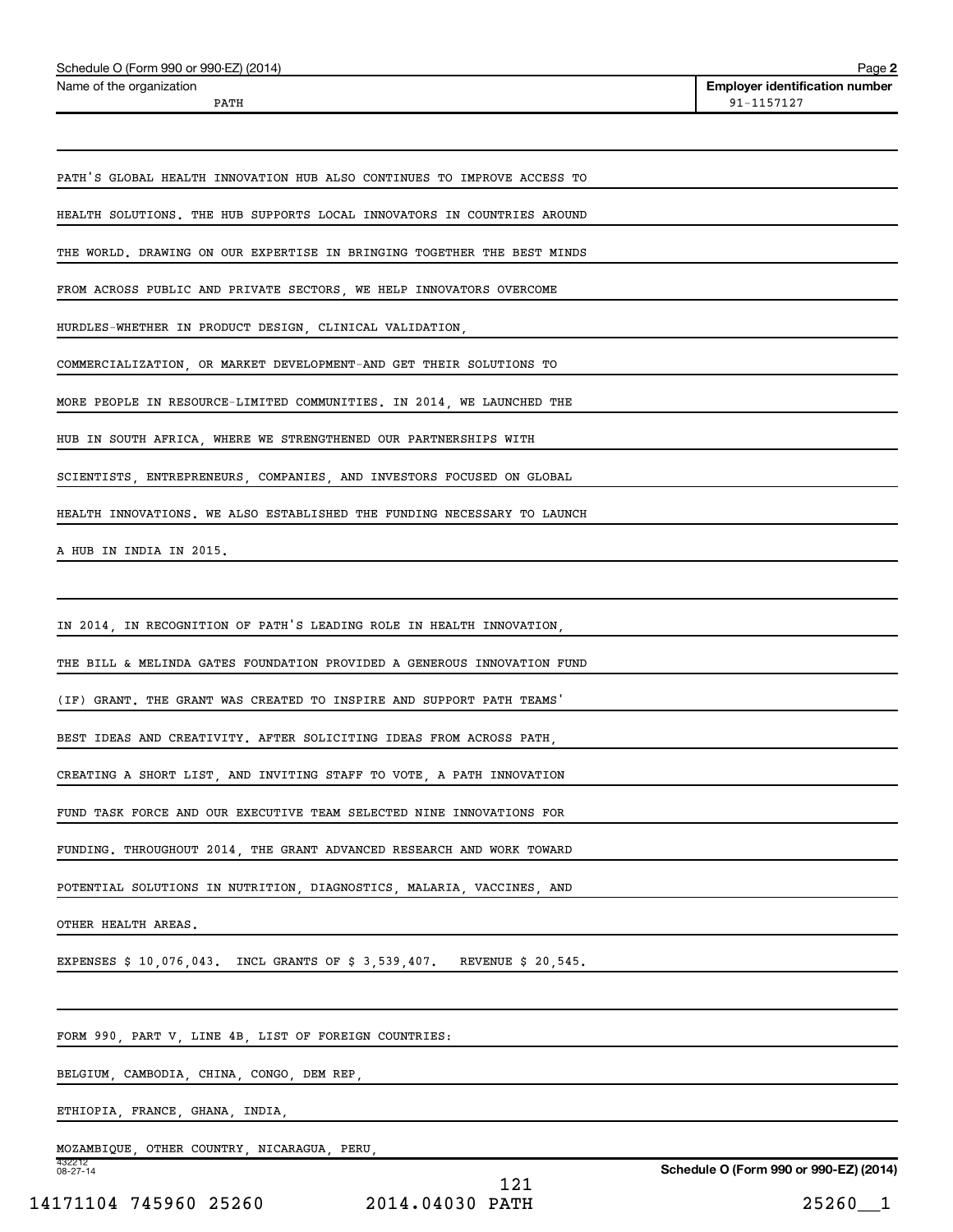**2 Employer identification number** PATH 91-1157127

PATH'S GLOBAL HEALTH INNOVATION HUB ALSO CONTINUES TO IMPROVE ACCESS TO

HEALTH SOLUTIONS. THE HUB SUPPORTS LOCAL INNOVATORS IN COUNTRIES AROUND

THE WORLD. DRAWING ON OUR EXPERTISE IN BRINGING TOGETHER THE BEST MINDS

FROM ACROSS PUBLIC AND PRIVATE SECTORS, WE HELP INNOVATORS OVERCOME

HURDLES-WHETHER IN PRODUCT DESIGN, CLINICAL VALIDATION,

COMMERCIALIZATION, OR MARKET DEVELOPMENT-AND GET THEIR SOLUTIONS TO

MORE PEOPLE IN RESOURCE-LIMITED COMMUNITIES. IN 2014, WE LAUNCHED THE

HUB IN SOUTH AFRICA, WHERE WE STRENGTHENED OUR PARTNERSHIPS WITH

SCIENTISTS, ENTREPRENEURS, COMPANIES, AND INVESTORS FOCUSED ON GLOBAL

HEALTH INNOVATIONS. WE ALSO ESTABLISHED THE FUNDING NECESSARY TO LAUNCH

A HUB IN INDIA IN 2015.

IN 2014, IN RECOGNITION OF PATH'S LEADING ROLE IN HEALTH INNOVATION,

THE BILL & MELINDA GATES FOUNDATION PROVIDED A GENEROUS INNOVATION FUND

(IF) GRANT. THE GRANT WAS CREATED TO INSPIRE AND SUPPORT PATH TEAMS'

BEST IDEAS AND CREATIVITY. AFTER SOLICITING IDEAS FROM ACROSS PATH,

CREATING A SHORT LIST, AND INVITING STAFF TO VOTE, A PATH INNOVATION

FUND TASK FORCE AND OUR EXECUTIVE TEAM SELECTED NINE INNOVATIONS FOR

FUNDING. THROUGHOUT 2014, THE GRANT ADVANCED RESEARCH AND WORK TOWARD

POTENTIAL SOLUTIONS IN NUTRITION, DIAGNOSTICS, MALARIA, VACCINES, AND

OTHER HEALTH AREAS.

EXPENSES \$ 10,076,043. INCL GRANTS OF \$ 3,539,407. REVENUE \$ 20,545.

FORM 990, PART V, LINE 4B, LIST OF FOREIGN COUNTRIES:

BELGIUM, CAMBODIA, CHINA, CONGO, DEM REP,

ETHIOPIA, FRANCE, GHANA, INDIA,

MOZAMBIQUE, OTHER COUNTRY, NICARAGUA, PERU,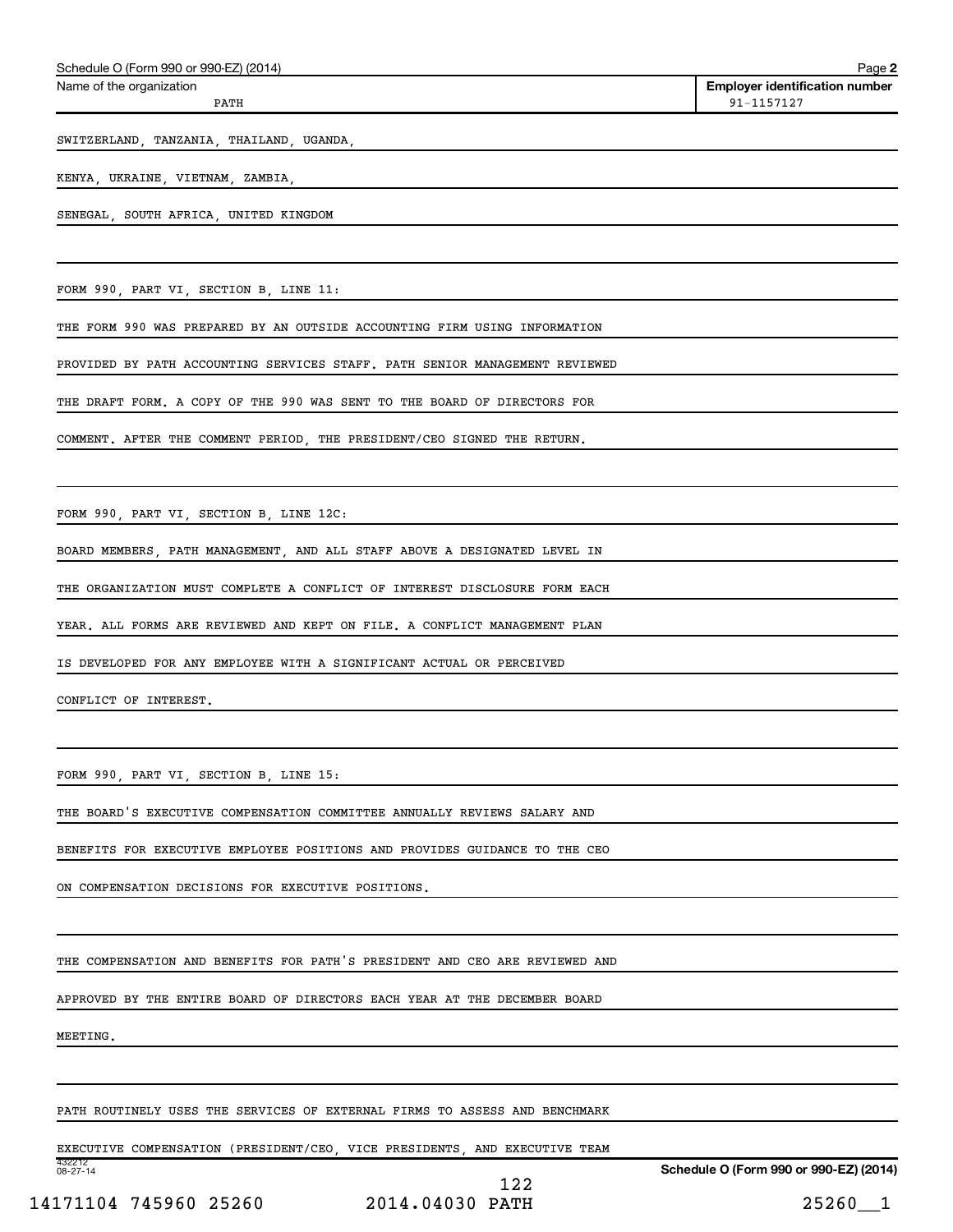| Schedule O (Form 990 or 990-EZ) (2014) |  | Page |  |
|----------------------------------------|--|------|--|
|                                        |  |      |  |

**2 Employer identification number** PATH 91-1157127

SWITZERLAND, TANZANIA, THAILAND, UGANDA,

KENYA, UKRAINE, VIETNAM, ZAMBIA,

SENEGAL, SOUTH AFRICA, UNITED KINGDOM

FORM 990, PART VI, SECTION B, LINE 11:

THE FORM 990 WAS PREPARED BY AN OUTSIDE ACCOUNTING FIRM USING INFORMATION

PROVIDED BY PATH ACCOUNTING SERVICES STAFF. PATH SENIOR MANAGEMENT REVIEWED

THE DRAFT FORM. A COPY OF THE 990 WAS SENT TO THE BOARD OF DIRECTORS FOR

COMMENT. AFTER THE COMMENT PERIOD, THE PRESIDENT/CEO SIGNED THE RETURN.

FORM 990, PART VI, SECTION B, LINE 12C:

BOARD MEMBERS, PATH MANAGEMENT, AND ALL STAFF ABOVE A DESIGNATED LEVEL IN

THE ORGANIZATION MUST COMPLETE A CONFLICT OF INTEREST DISCLOSURE FORM EACH

YEAR. ALL FORMS ARE REVIEWED AND KEPT ON FILE. A CONFLICT MANAGEMENT PLAN

IS DEVELOPED FOR ANY EMPLOYEE WITH A SIGNIFICANT ACTUAL OR PERCEIVED

CONFLICT OF INTEREST.

FORM 990, PART VI, SECTION B, LINE 15:

THE BOARD'S EXECUTIVE COMPENSATION COMMITTEE ANNUALLY REVIEWS SALARY AND

BENEFITS FOR EXECUTIVE EMPLOYEE POSITIONS AND PROVIDES GUIDANCE TO THE CEO

ON COMPENSATION DECISIONS FOR EXECUTIVE POSITIONS.

THE COMPENSATION AND BENEFITS FOR PATH'S PRESIDENT AND CEO ARE REVIEWED AND

APPROVED BY THE ENTIRE BOARD OF DIRECTORS EACH YEAR AT THE DECEMBER BOARD

MEETING.

PATH ROUTINELY USES THE SERVICES OF EXTERNAL FIRMS TO ASSESS AND BENCHMARK

EXECUTIVE COMPENSATION (PRESIDENT/CEO, VICE PRESIDENTS, AND EXECUTIVE TEAM

432212 08-27-14

**Schedule O (Form 990 or 990-EZ) (2014)**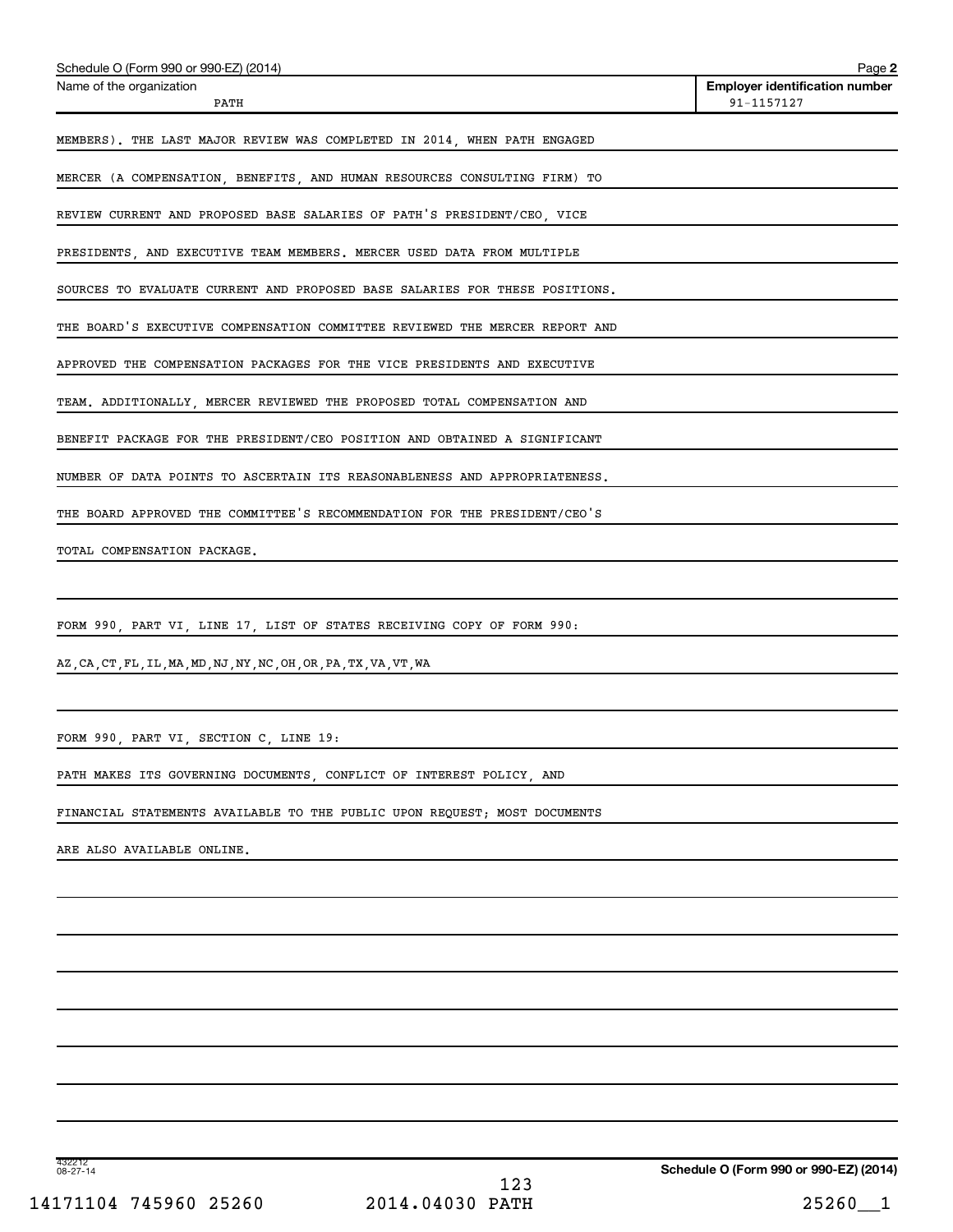| Schedule O (Form 990 or 990-EZ) (2014)                                      | Page 2                                |
|-----------------------------------------------------------------------------|---------------------------------------|
| Name of the organization                                                    | <b>Employer identification number</b> |
| PATH                                                                        | 91-1157127                            |
| MEMBERS). THE LAST MAJOR REVIEW WAS COMPLETED IN 2014, WHEN PATH ENGAGED    |                                       |
| MERCER (A COMPENSATION, BENEFITS, AND HUMAN RESOURCES CONSULTING FIRM) TO   |                                       |
| REVIEW CURRENT AND PROPOSED BASE SALARIES OF PATH'S PRESIDENT/CEO, VICE     |                                       |
| PRESIDENTS, AND EXECUTIVE TEAM MEMBERS. MERCER USED DATA FROM MULTIPLE      |                                       |
| SOURCES TO EVALUATE CURRENT AND PROPOSED BASE SALARIES FOR THESE POSITIONS. |                                       |
| THE BOARD'S EXECUTIVE COMPENSATION COMMITTEE REVIEWED THE MERCER REPORT AND |                                       |
| APPROVED THE COMPENSATION PACKAGES FOR THE VICE PRESIDENTS AND EXECUTIVE    |                                       |
| TEAM. ADDITIONALLY MERCER REVIEWED THE PROPOSED TOTAL COMPENSATION AND      |                                       |
| BENEFIT PACKAGE FOR THE PRESIDENT/CEO POSITION AND OBTAINED A SIGNIFICANT   |                                       |
| NUMBER OF DATA POINTS TO ASCERTAIN ITS REASONABLENESS AND APPROPRIATENESS.  |                                       |
| THE BOARD APPROVED THE COMMITTEE'S RECOMMENDATION FOR THE PRESIDENT/CEO'S   |                                       |
| TOTAL COMPENSATION PACKAGE.                                                 |                                       |
|                                                                             |                                       |
| FORM 990, PART VI, LINE 17, LIST OF STATES RECEIVING COPY OF FORM 990:      |                                       |
| AZ, CA, CT, FL, IL, MA, MD, NJ, NY, NC, OH, OR, PA, TX, VA, VT, WA          |                                       |
|                                                                             |                                       |
| FORM 990, PART VI, SECTION C, LINE 19:                                      |                                       |
| PATH MAKES ITS GOVERNING DOCUMENTS, CONFLICT OF INTEREST POLICY, AND        |                                       |
| FINANCIAL STATEMENTS AVAILABLE TO THE PUBLIC UPON REQUEST; MOST DOCUMENTS   |                                       |
| ARE ALSO AVAILABLE ONLINE.                                                  |                                       |
|                                                                             |                                       |
|                                                                             |                                       |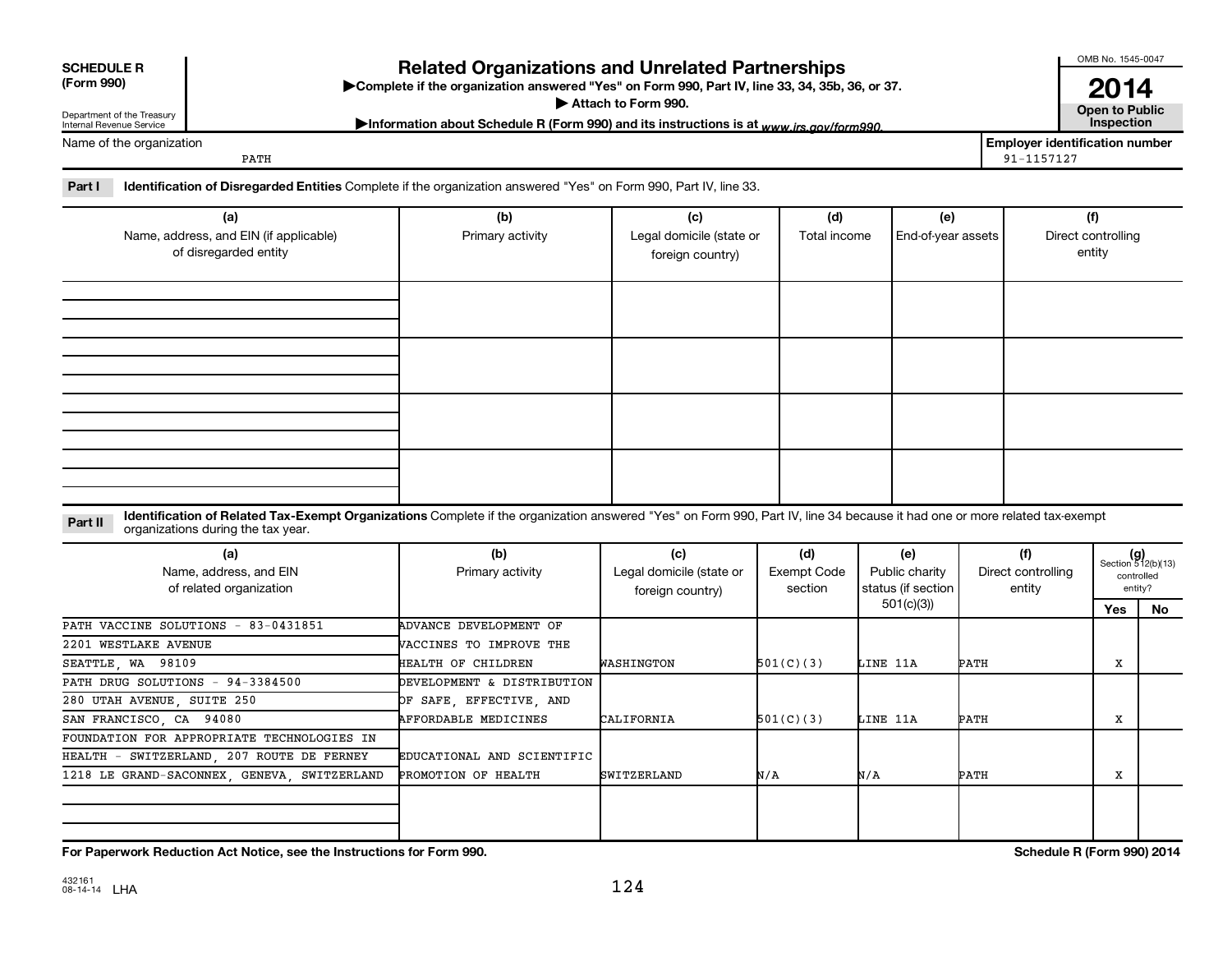| <b>SCHEDULE R</b><br>(Form 990)<br>Department of the Treasury<br>Internal Revenue Service |      | <b>Related Organizations and Unrelated Partnerships</b><br>▶ Complete if the organization answered "Yes" on Form 990, Part IV, line 33, 34, 35b, 36, or 37.<br>Attach to Form 990.<br>Information about Schedule R (Form 990) and its instructions is at www.irs.gov/form990. |            | OMB No. 1545-0047<br>2014<br>Open to Public<br><b>Inspection</b> |
|-------------------------------------------------------------------------------------------|------|-------------------------------------------------------------------------------------------------------------------------------------------------------------------------------------------------------------------------------------------------------------------------------|------------|------------------------------------------------------------------|
| Name of the organization                                                                  |      |                                                                                                                                                                                                                                                                               |            | Employer identification number                                   |
|                                                                                           | PATH |                                                                                                                                                                                                                                                                               | 91-1157127 |                                                                  |
|                                                                                           |      |                                                                                                                                                                                                                                                                               |            |                                                                  |

# Part I ldentification of Disregarded Entities Complete if the organization answered "Yes" on Form 990, Part IV, line 33.

| (a)<br>Name, address, and EIN (if applicable)<br>of disregarded entity | (b)<br>Primary activity | (c)<br>Legal domicile (state or<br>foreign country) | (d)<br>Total income | (e)<br>End-of-year assets | (f)<br>Direct controlling<br>entity |
|------------------------------------------------------------------------|-------------------------|-----------------------------------------------------|---------------------|---------------------------|-------------------------------------|
|                                                                        |                         |                                                     |                     |                           |                                     |
|                                                                        |                         |                                                     |                     |                           |                                     |
|                                                                        |                         |                                                     |                     |                           |                                     |
|                                                                        |                         |                                                     |                     |                           |                                     |

### **Part II** Identification of Related Tax-Exempt Organizations Complete if the organization answered "Yes" on Form 990, Part IV, line 34 because it had one or more related tax-exempt<br>Complete it is a seriest of the two wears organizations during the tax year.

| (a)<br>Name, address, and EIN<br>of related organization | (b)<br>Primary activity        | (c)<br>Legal domicile (state or<br>foreign country) | (d)<br>Exempt Code<br>section | (e)<br>Public charity<br>status (if section | (f)<br>Direct controlling<br>entity |     | $(g)$<br>Section 512(b)(13)<br>controlled<br>entity? |
|----------------------------------------------------------|--------------------------------|-----------------------------------------------------|-------------------------------|---------------------------------------------|-------------------------------------|-----|------------------------------------------------------|
|                                                          |                                |                                                     |                               | 501(c)(3))                                  |                                     | Yes | No                                                   |
| PATH VACCINE SOLUTIONS - 83-0431851                      | ADVANCE DEVELOPMENT OF         |                                                     |                               |                                             |                                     |     |                                                      |
| 2201 WESTLAKE AVENUE                                     | <b>WACCINES TO IMPROVE THE</b> |                                                     |                               |                                             |                                     |     |                                                      |
| SEATTLE, WA 98109                                        | HEALTH OF CHILDREN             | WASHINGTON                                          | 501(C)(3)                     | LINE 11A                                    | PATH                                | X   |                                                      |
| PATH DRUG SOLUTIONS - 94-3384500                         | DEVELOPMENT & DISTRIBUTION     |                                                     |                               |                                             |                                     |     |                                                      |
| 280 UTAH AVENUE, SUITE 250                               | OF SAFE, EFFECTIVE, AND        |                                                     |                               |                                             |                                     |     |                                                      |
| SAN FRANCISCO, CA 94080                                  | <b>AFFORDABLE MEDICINES</b>    | CALIFORNIA                                          | 501(C)(3)                     | LINE 11A                                    | PATH                                | x   |                                                      |
| FOUNDATION FOR APPROPRIATE TECHNOLOGIES IN               |                                |                                                     |                               |                                             |                                     |     |                                                      |
| SWITZERLAND, 207 ROUTE DE FERNEY<br>$HEALTH$ -           | EDUCATIONAL AND SCIENTIFIC     |                                                     |                               |                                             |                                     |     |                                                      |
| 1218 LE GRAND-SACONNEX, GENEVA, SWITZERLAND              | PROMOTION OF HEALTH            | SWITZERLAND                                         | N/A                           | N/A                                         | PATH                                | x   |                                                      |
|                                                          |                                |                                                     |                               |                                             |                                     |     |                                                      |
|                                                          |                                |                                                     |                               |                                             |                                     |     |                                                      |
|                                                          |                                |                                                     |                               |                                             |                                     |     |                                                      |

**For Paperwork Reduction Act Notice, see the Instructions for Form 990. Schedule R (Form 990) 2014**

**I** OMB No. 1545-0047

 $\blacksquare$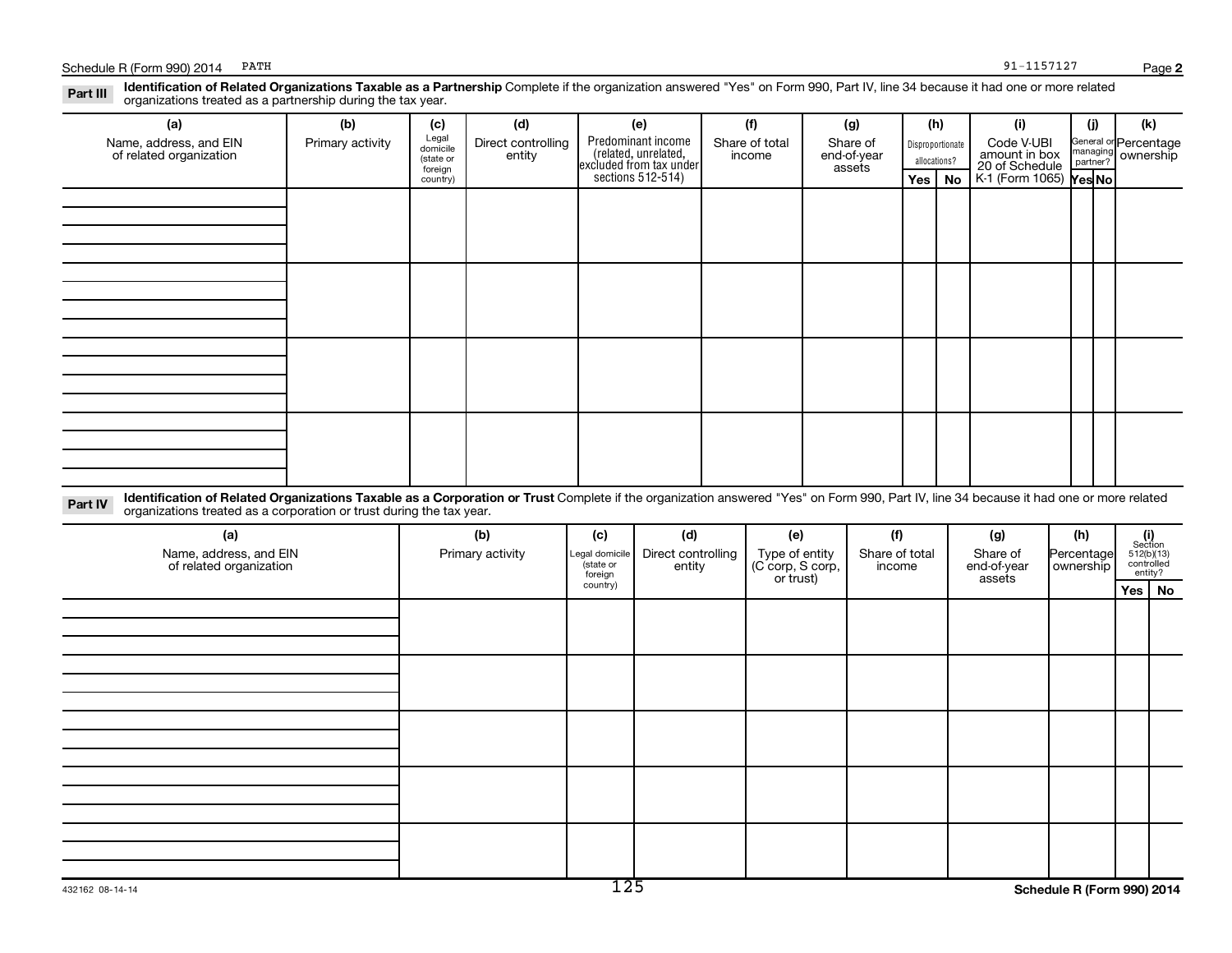**Yes No Yes No** K-1 (Form 1065)

assets

#### Disproportionate allocations? Legal domicile (state or General or Percentage managing partner? Part III Identification of Related Organizations Taxable as a Partnership Complete if the organization answered "Yes" on Form 990, Part IV, line 34 because it had one or more related<br>Read to the organizations tracted as a **(a) (b) (c) (d) (e) (f) (g) (h) (i) (j) (k)** Predominant income (related, unrelated, excluded from tax under sections 512-514) organizations treated as a partnership during the tax year. Name, address, and EIN of related organization Primary activity  $\left| \begin{array}{c} \text{Legal} \\ \text{domisib} \end{array} \right|$  Direct controlling entity Share of total income Share of end-of-year Code V-UBI amount in box 20 of Schedule ownership

foreign country)

| <b>Identification of Related Organizations Taxable as a Corporation or Trust</b> Complete if the organization answered "Yes" on Form 990. Part IV. line 34 because it had one or more related<br>Part IV |
|----------------------------------------------------------------------------------------------------------------------------------------------------------------------------------------------------------|
| organizations treated as a corporation or trust during the tax year.                                                                                                                                     |

| (a)                                               | (b)              | (c)                         | (d)                          | (e)                                             | (f)                      | (g)                     | (h)                       |                                                                                                                                 |  |
|---------------------------------------------------|------------------|-----------------------------|------------------------------|-------------------------------------------------|--------------------------|-------------------------|---------------------------|---------------------------------------------------------------------------------------------------------------------------------|--|
| Name, address, and EIN<br>of related organization | Primary activity | Legal domicile<br>(state or | Direct controlling<br>entity | Type of entity<br>(C corp, S corp,<br>or trust) | Share of total<br>income | Share of<br>end-of-year | Percentage<br>  ownership | $\begin{array}{c} \textbf{(i)}\\ \text{Section}\\ 512 \text{(b)} \text{(13)}\\ \text{controlled} \\ \text{entity?} \end{array}$ |  |
|                                                   |                  | foreign                     |                              |                                                 |                          | assets                  |                           |                                                                                                                                 |  |
|                                                   |                  | country)                    |                              |                                                 |                          |                         |                           | Yes   No                                                                                                                        |  |
|                                                   |                  |                             |                              |                                                 |                          |                         |                           |                                                                                                                                 |  |
|                                                   |                  |                             |                              |                                                 |                          |                         |                           |                                                                                                                                 |  |
|                                                   |                  |                             |                              |                                                 |                          |                         |                           |                                                                                                                                 |  |
|                                                   |                  |                             |                              |                                                 |                          |                         |                           |                                                                                                                                 |  |
|                                                   |                  |                             |                              |                                                 |                          |                         |                           |                                                                                                                                 |  |
|                                                   |                  |                             |                              |                                                 |                          |                         |                           |                                                                                                                                 |  |
|                                                   |                  |                             |                              |                                                 |                          |                         |                           |                                                                                                                                 |  |
|                                                   |                  |                             |                              |                                                 |                          |                         |                           |                                                                                                                                 |  |
|                                                   |                  |                             |                              |                                                 |                          |                         |                           |                                                                                                                                 |  |
|                                                   |                  |                             |                              |                                                 |                          |                         |                           |                                                                                                                                 |  |
|                                                   |                  |                             |                              |                                                 |                          |                         |                           |                                                                                                                                 |  |
|                                                   |                  |                             |                              |                                                 |                          |                         |                           |                                                                                                                                 |  |
|                                                   |                  |                             |                              |                                                 |                          |                         |                           |                                                                                                                                 |  |
|                                                   |                  |                             |                              |                                                 |                          |                         |                           |                                                                                                                                 |  |
|                                                   |                  |                             |                              |                                                 |                          |                         |                           |                                                                                                                                 |  |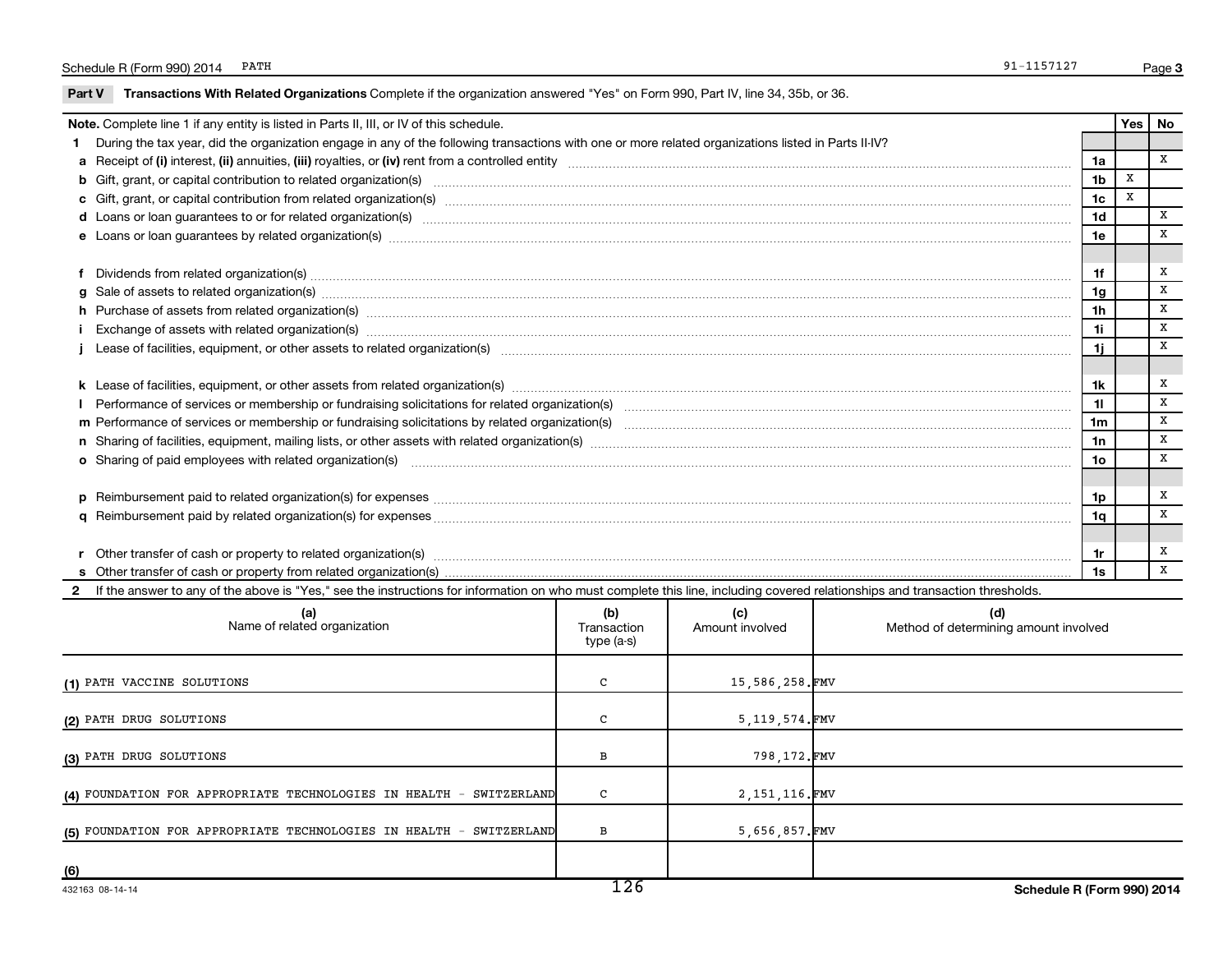Part V Transactions With Related Organizations Complete if the organization answered "Yes" on Form 990, Part IV, line 34, 35b, or 36.

| Note. Complete line 1 if any entity is listed in Parts II, III, or IV of this schedule.                                                                                                                                        |                | Yes | No |
|--------------------------------------------------------------------------------------------------------------------------------------------------------------------------------------------------------------------------------|----------------|-----|----|
| During the tax year, did the organization engage in any of the following transactions with one or more related organizations listed in Parts II-IV?                                                                            |                |     |    |
|                                                                                                                                                                                                                                | 1a             |     | x  |
| b Gift, grant, or capital contribution to related organization(s) manufactured content to content and contribution to related organization(s) manufactured content and content of the content of the content of the content of | 1 <sub>b</sub> | X   |    |
|                                                                                                                                                                                                                                | 1 <sub>c</sub> | X   |    |
| d Loans or loan guarantees to or for related organization(s) www.communically.com/www.communically.com/www.communically.com/www.communically.com/www.communically.com/www.communically.com/www.communically.com/www.communical | 1 <sub>d</sub> |     | X  |
|                                                                                                                                                                                                                                | 1e             |     | X  |
|                                                                                                                                                                                                                                |                |     |    |
|                                                                                                                                                                                                                                | 1f             |     | х  |
| $g$ Sale of assets to related organization(s) with the contraction contraction contract of the contract of the contract organization(s) with the contract of the contract of the contract of the contract of the contract of   | 1g             |     | х  |
| h Purchase of assets from related organization(s) manufactured and content to content the content of assets from related organization(s)                                                                                       | 1 <sub>h</sub> |     | X  |
|                                                                                                                                                                                                                                | 1i.            |     | X  |
|                                                                                                                                                                                                                                | 1i             |     | X  |
|                                                                                                                                                                                                                                |                |     |    |
|                                                                                                                                                                                                                                | 1k             |     | x  |
|                                                                                                                                                                                                                                | 11             |     | X  |
|                                                                                                                                                                                                                                | 1 <sub>m</sub> |     | X  |
|                                                                                                                                                                                                                                | 1n             |     | X  |
| o Sharing of paid employees with related organization(s) manufaction(s) and all resonance contracts are set of the state organization(s) and all resonance contracts are set of the state organization(s) and all resonance co | 1 <sub>o</sub> |     | X  |
|                                                                                                                                                                                                                                |                |     |    |
|                                                                                                                                                                                                                                | 1p             |     | x  |
|                                                                                                                                                                                                                                | 1 <sub>q</sub> |     | X  |
|                                                                                                                                                                                                                                |                |     |    |
|                                                                                                                                                                                                                                | 1r             |     | х  |
|                                                                                                                                                                                                                                | 1s             |     | X  |
| 2 If the answer to any of the above is "Yes," see the instructions for information on who must complete this line, including covered relationships and transaction thresholds.                                                 |                |     |    |

| (a)<br>Name of related organization                                 | (b)<br>Transaction<br>type (a-s) | (c)<br>Amount involved | (d)<br>Method of determining amount involved |
|---------------------------------------------------------------------|----------------------------------|------------------------|----------------------------------------------|
| (1) PATH VACCINE SOLUTIONS                                          | C                                | 15,586,258.FMV         |                                              |
| (2) PATH DRUG SOLUTIONS                                             | C                                | 5, 119, 574. FMV       |                                              |
| (3) PATH DRUG SOLUTIONS                                             | в                                | 798,172.FMV            |                                              |
| (4) FOUNDATION FOR APPROPRIATE TECHNOLOGIES IN HEALTH - SWITZERLAND | C                                | 2,151,116.FMV          |                                              |
| (5) FOUNDATION FOR APPROPRIATE TECHNOLOGIES IN HEALTH - SWITZERLAND | в                                | 5,656,857.FMV          |                                              |
| (6)                                                                 | $\overline{100}$                 |                        |                                              |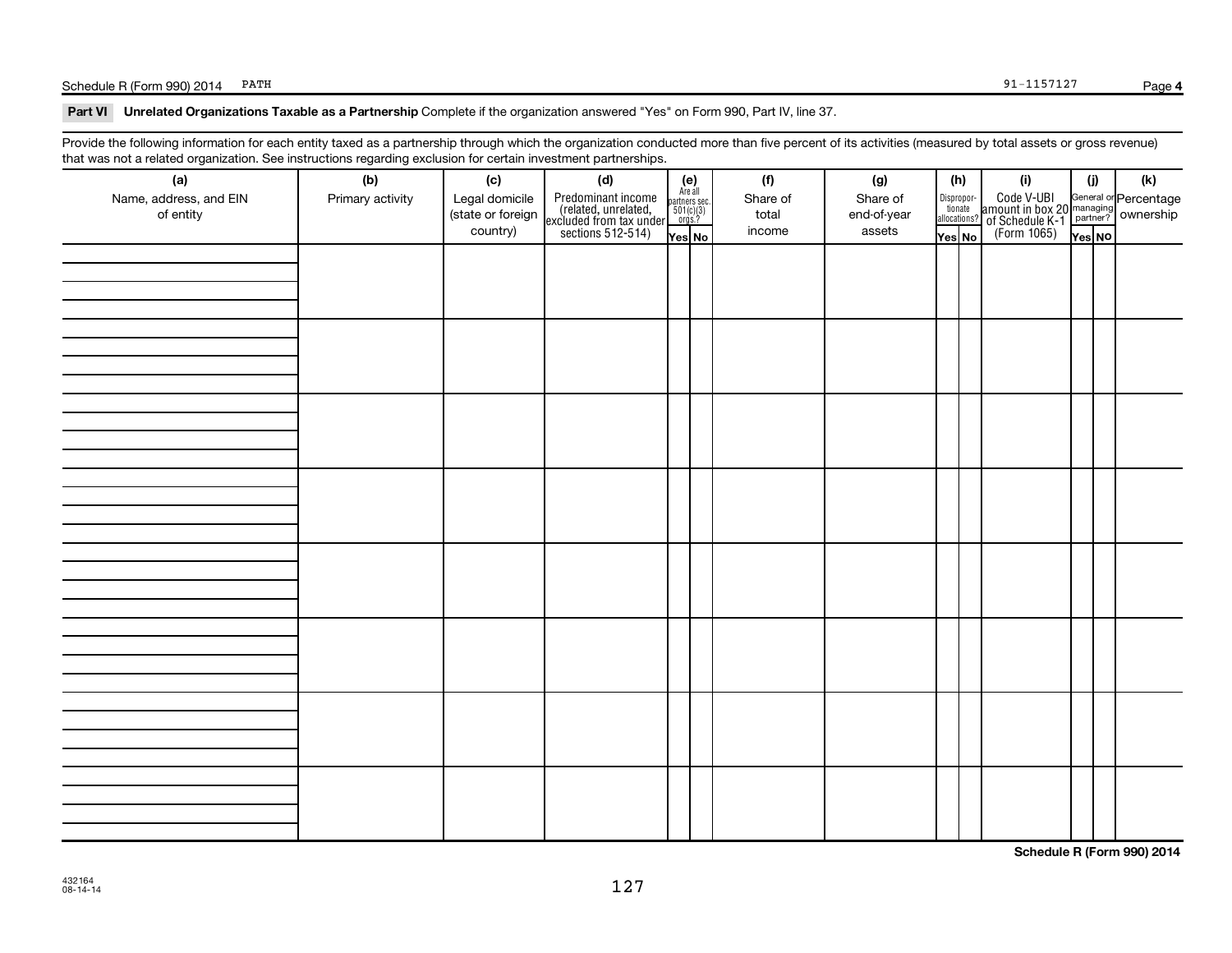# Schedule R (Form 990) 2014 PATH 91-1157127

Part VI Unrelated Organizations Taxable as a Partnership Complete if the organization answered "Yes" on Form 990, Part IV, line 37.

Provide the following information for each entity taxed as a partnership through which the organization conducted more than five percent of its activities (measured by total assets or gross revenue) that was not a related organization. See instructions regarding exclusion for certain investment partnerships.

| that was not a related organization. Occ instructions regarding excitation for certain investment partnerships.<br>(a) | (b)              | (c)               | (d)                                                                                        |                                                          | (f)      | (g)         |        | (h)                                                                        | (i)                                                                            | (j)    | (k) |
|------------------------------------------------------------------------------------------------------------------------|------------------|-------------------|--------------------------------------------------------------------------------------------|----------------------------------------------------------|----------|-------------|--------|----------------------------------------------------------------------------|--------------------------------------------------------------------------------|--------|-----|
| Name, address, and EIN                                                                                                 | Primary activity | Legal domicile    | Predominant income<br>(related, unrelated,<br>excluded from tax under<br>sections 512-514) | (e)<br>Are all<br>partners sec.<br>$501(c)(3)$<br>orgs.? | Share of | Share of    |        | $\begin{tabular}{c} Disproport \\ tionate \\ all locations? \end{tabular}$ | Code V-UBI<br>amount in box 20 managing<br>Percentage<br>(Form 1065)<br>Pes No |        |     |
| of entity                                                                                                              |                  | (state or foreign |                                                                                            |                                                          | total    | end-of-year |        |                                                                            |                                                                                |        |     |
|                                                                                                                        |                  | country)          |                                                                                            | Yes No                                                   | income   | assets      | Yes No |                                                                            |                                                                                | Yes NO |     |
|                                                                                                                        |                  |                   |                                                                                            |                                                          |          |             |        |                                                                            |                                                                                |        |     |
|                                                                                                                        |                  |                   |                                                                                            |                                                          |          |             |        |                                                                            |                                                                                |        |     |
|                                                                                                                        |                  |                   |                                                                                            |                                                          |          |             |        |                                                                            |                                                                                |        |     |
|                                                                                                                        |                  |                   |                                                                                            |                                                          |          |             |        |                                                                            |                                                                                |        |     |
|                                                                                                                        |                  |                   |                                                                                            |                                                          |          |             |        |                                                                            |                                                                                |        |     |
|                                                                                                                        |                  |                   |                                                                                            |                                                          |          |             |        |                                                                            |                                                                                |        |     |
|                                                                                                                        |                  |                   |                                                                                            |                                                          |          |             |        |                                                                            |                                                                                |        |     |
|                                                                                                                        |                  |                   |                                                                                            |                                                          |          |             |        |                                                                            |                                                                                |        |     |
|                                                                                                                        |                  |                   |                                                                                            |                                                          |          |             |        |                                                                            |                                                                                |        |     |
|                                                                                                                        |                  |                   |                                                                                            |                                                          |          |             |        |                                                                            |                                                                                |        |     |
|                                                                                                                        |                  |                   |                                                                                            |                                                          |          |             |        |                                                                            |                                                                                |        |     |
|                                                                                                                        |                  |                   |                                                                                            |                                                          |          |             |        |                                                                            |                                                                                |        |     |
|                                                                                                                        |                  |                   |                                                                                            |                                                          |          |             |        |                                                                            |                                                                                |        |     |
|                                                                                                                        |                  |                   |                                                                                            |                                                          |          |             |        |                                                                            |                                                                                |        |     |
|                                                                                                                        |                  |                   |                                                                                            |                                                          |          |             |        |                                                                            |                                                                                |        |     |
|                                                                                                                        |                  |                   |                                                                                            |                                                          |          |             |        |                                                                            |                                                                                |        |     |
|                                                                                                                        |                  |                   |                                                                                            |                                                          |          |             |        |                                                                            |                                                                                |        |     |
|                                                                                                                        |                  |                   |                                                                                            |                                                          |          |             |        |                                                                            |                                                                                |        |     |
|                                                                                                                        |                  |                   |                                                                                            |                                                          |          |             |        |                                                                            |                                                                                |        |     |
|                                                                                                                        |                  |                   |                                                                                            |                                                          |          |             |        |                                                                            |                                                                                |        |     |
|                                                                                                                        |                  |                   |                                                                                            |                                                          |          |             |        |                                                                            |                                                                                |        |     |
|                                                                                                                        |                  |                   |                                                                                            |                                                          |          |             |        |                                                                            |                                                                                |        |     |
|                                                                                                                        |                  |                   |                                                                                            |                                                          |          |             |        |                                                                            |                                                                                |        |     |
|                                                                                                                        |                  |                   |                                                                                            |                                                          |          |             |        |                                                                            |                                                                                |        |     |
|                                                                                                                        |                  |                   |                                                                                            |                                                          |          |             |        |                                                                            |                                                                                |        |     |
|                                                                                                                        |                  |                   |                                                                                            |                                                          |          |             |        |                                                                            |                                                                                |        |     |
|                                                                                                                        |                  |                   |                                                                                            |                                                          |          |             |        |                                                                            |                                                                                |        |     |
|                                                                                                                        |                  |                   |                                                                                            |                                                          |          |             |        |                                                                            |                                                                                |        |     |
|                                                                                                                        |                  |                   |                                                                                            |                                                          |          |             |        |                                                                            |                                                                                |        |     |
|                                                                                                                        |                  |                   |                                                                                            |                                                          |          |             |        |                                                                            |                                                                                |        |     |
|                                                                                                                        |                  |                   |                                                                                            |                                                          |          |             |        |                                                                            |                                                                                |        |     |
|                                                                                                                        |                  |                   |                                                                                            |                                                          |          |             |        |                                                                            |                                                                                |        |     |

**Schedule R (Form 990) 2014**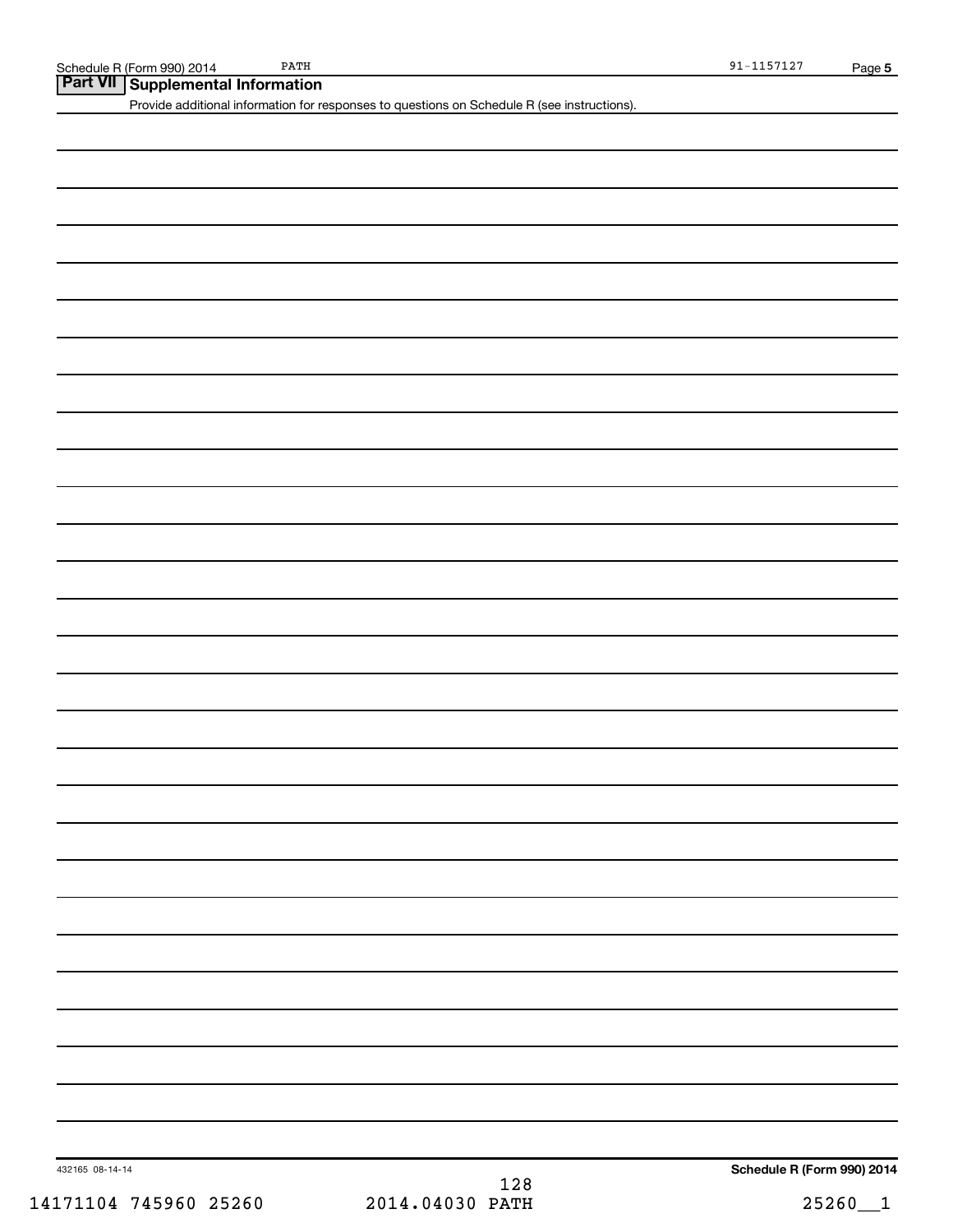**Part VII Supplemental Information**

Provide additional information for responses to questions on Schedule R (see instructions).

432165 08-14-14